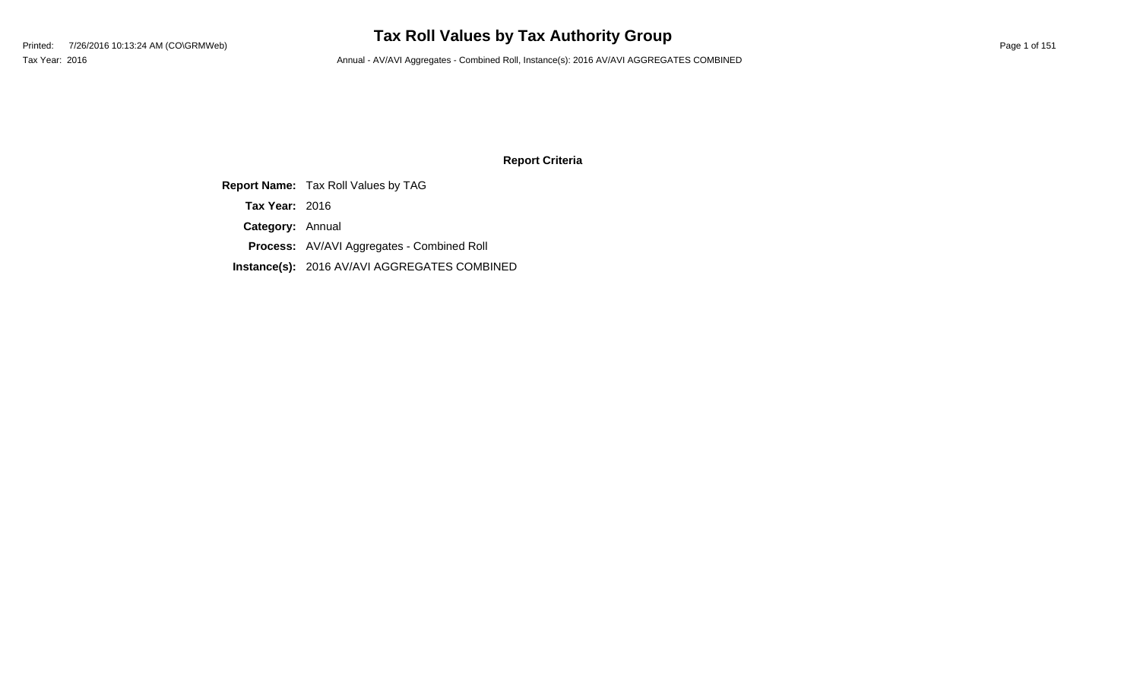# **Tax Roll Values by Tax Authority Group**

Tax Year: 2016 **Annual - AV/AVI Aggregates - Combined Roll**, Instance(s): 2016 AV/AVI AGGREGATES COMBINED

### **Report Criteria**

**Report Name:** Tax Roll Values by TAG **Category:** Annual **Process:** AV/AVI Aggregates - Combined Roll **Instance(s):** 2016 AV/AVI AGGREGATES COMBINED **Tax Year:** 2016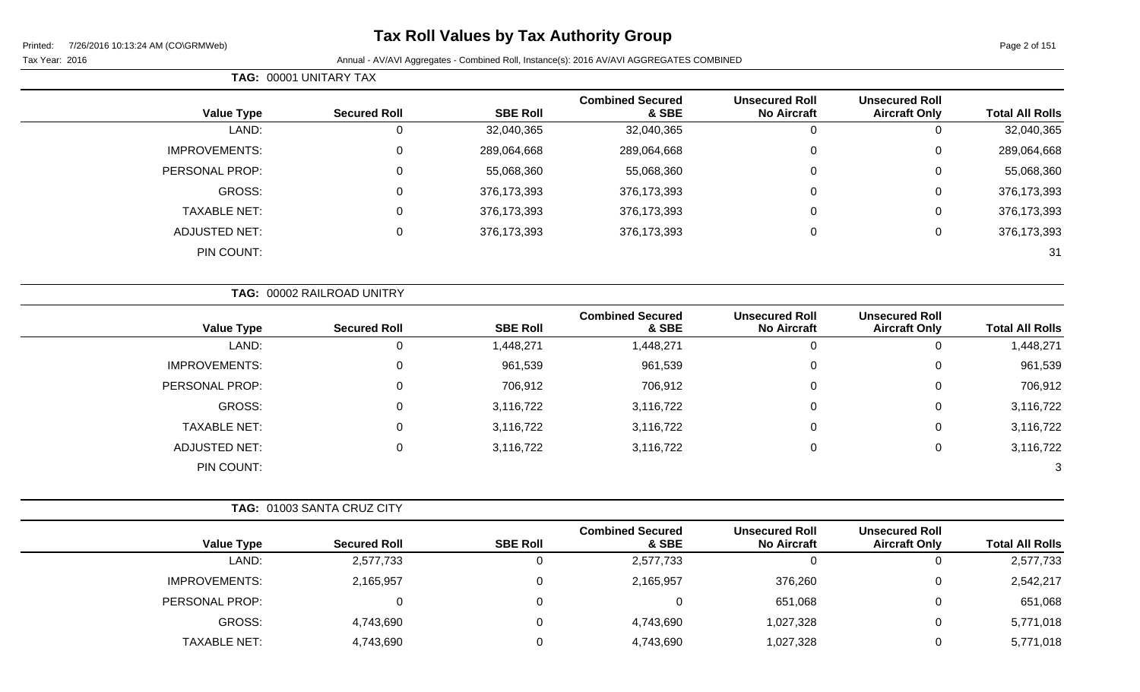Page 2 of 151

#### Tax Year: 2016 **Annual - AV/AVI Aggregates - Combined Roll**, Instance(s): 2016 AV/AVI AGGREGATES COMBINED

|                      | TAG: 00001 UNITARY TAX     |                 |                                  |                                             |                                               |                        |
|----------------------|----------------------------|-----------------|----------------------------------|---------------------------------------------|-----------------------------------------------|------------------------|
| <b>Value Type</b>    | <b>Secured Roll</b>        | <b>SBE Roll</b> | <b>Combined Secured</b><br>& SBE | <b>Unsecured Roll</b><br><b>No Aircraft</b> | <b>Unsecured Roll</b><br><b>Aircraft Only</b> | <b>Total All Rolls</b> |
| LAND:                | 0                          | 32,040,365      | 32,040,365                       | 0                                           | $\mathbf 0$                                   | 32,040,365             |
| IMPROVEMENTS:        | 0                          | 289,064,668     | 289,064,668                      | 0                                           | $\mathbf 0$                                   | 289,064,668            |
| PERSONAL PROP:       | 0                          | 55,068,360      | 55,068,360                       | 0                                           | $\mathbf 0$                                   | 55,068,360             |
| <b>GROSS:</b>        | 0                          | 376, 173, 393   | 376,173,393                      | 0                                           | $\mathbf 0$                                   | 376,173,393            |
| <b>TAXABLE NET:</b>  | 0                          | 376,173,393     | 376,173,393                      | 0                                           | $\mathbf 0$                                   | 376,173,393            |
| <b>ADJUSTED NET:</b> | 0                          | 376, 173, 393   | 376,173,393                      | 0                                           | $\mathbf 0$                                   | 376,173,393            |
| PIN COUNT:           |                            |                 |                                  |                                             |                                               | 31                     |
|                      | TAG: 00002 RAILROAD UNITRY |                 |                                  |                                             |                                               |                        |
| <b>Value Type</b>    | <b>Secured Roll</b>        | <b>SBE Roll</b> | <b>Combined Secured</b><br>& SBE | <b>Unsecured Roll</b><br><b>No Aircraft</b> | <b>Unsecured Roll</b><br><b>Aircraft Only</b> | <b>Total All Rolls</b> |
| LAND:                | 0                          | 1,448,271       | 1,448,271                        | $\mathbf 0$                                 | $\mathbf 0$                                   | 1,448,271              |
| <b>IMPROVEMENTS:</b> | 0                          | 961,539         | 961,539                          | 0                                           | $\mathbf 0$                                   | 961,539                |
| PERSONAL PROP:       | 0                          | 706,912         | 706,912                          | 0                                           | $\mathbf 0$                                   | 706,912                |
| GROSS:               | 0                          | 3,116,722       | 3,116,722                        | 0                                           | $\mathbf 0$                                   | 3,116,722              |
| <b>TAXABLE NET:</b>  | 0                          | 3,116,722       | 3,116,722                        | 0                                           | $\mathbf 0$                                   | 3,116,722              |
| <b>ADJUSTED NET:</b> | 0                          | 3,116,722       | 3,116,722                        | 0                                           | 0                                             | 3,116,722              |

PIN COUNT: 3

|                      | <b>TAG: 01003 SANTA CRUZ CITY</b> |                 |                                  |                                             |                                               |                        |
|----------------------|-----------------------------------|-----------------|----------------------------------|---------------------------------------------|-----------------------------------------------|------------------------|
| <b>Value Type</b>    | <b>Secured Roll</b>               | <b>SBE Roll</b> | <b>Combined Secured</b><br>& SBE | <b>Unsecured Roll</b><br><b>No Aircraft</b> | <b>Unsecured Roll</b><br><b>Aircraft Only</b> | <b>Total All Rolls</b> |
| LAND:                | 2,577,733                         | 0               | 2,577,733                        |                                             |                                               | 2,577,733              |
| <b>IMPROVEMENTS:</b> | 2,165,957                         | 0               | 2,165,957                        | 376,260                                     | 0                                             | 2,542,217              |
| PERSONAL PROP:       |                                   | 0               |                                  | 651,068                                     |                                               | 651,068                |
| GROSS:               | 4,743,690                         | 0               | 4,743,690                        | 1,027,328                                   | 0                                             | 5,771,018              |
| <b>TAXABLE NET:</b>  | 4,743,690                         | 0               | 4,743,690                        | 1,027,328                                   |                                               | 5,771,018              |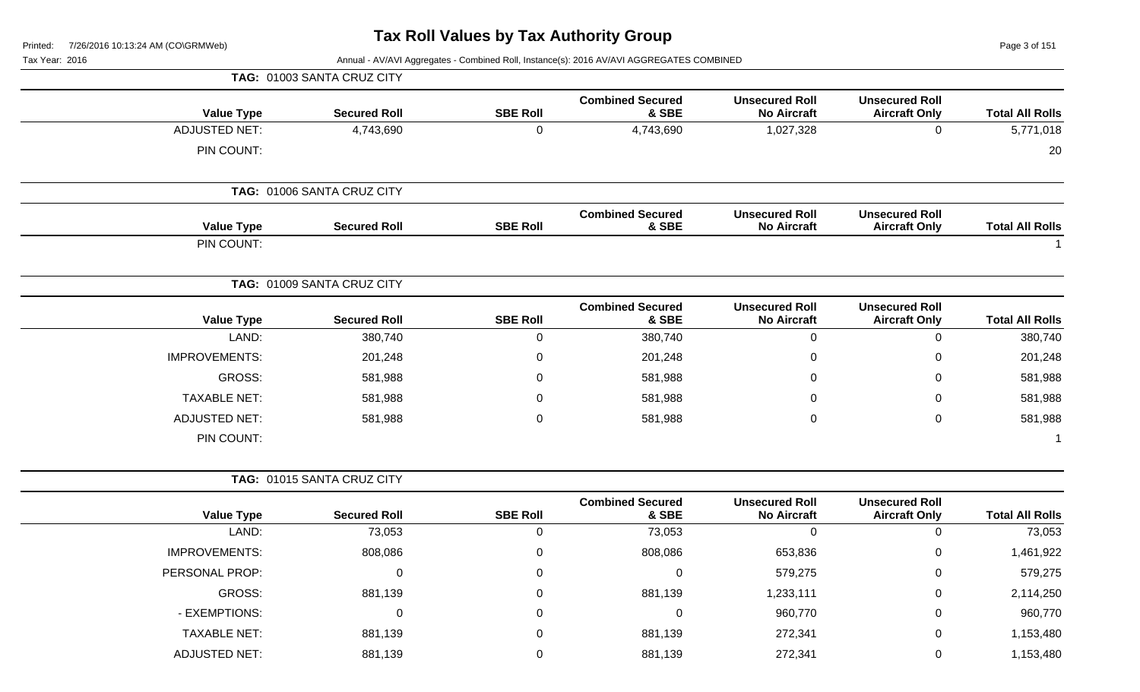**TAG:** 01003 SANTA CRUZ CITY

Page 3 of 151

| <b>Value Type</b>    | <b>Secured Roll</b>        | <b>SBE Roll</b> | <b>Combined Secured</b><br>& SBE | <b>Unsecured Roll</b><br><b>No Aircraft</b> | <b>Unsecured Roll</b><br><b>Aircraft Only</b> | <b>Total All Rolls</b> |
|----------------------|----------------------------|-----------------|----------------------------------|---------------------------------------------|-----------------------------------------------|------------------------|
| <b>ADJUSTED NET:</b> | 4,743,690                  | $\overline{0}$  | 4,743,690                        | 1,027,328                                   | $\mathbf 0$                                   | 5,771,018              |
| PIN COUNT:           |                            |                 |                                  |                                             |                                               | 20                     |
|                      | TAG: 01006 SANTA CRUZ CITY |                 |                                  |                                             |                                               |                        |
| <b>Value Type</b>    | <b>Secured Roll</b>        | <b>SBE Roll</b> | <b>Combined Secured</b><br>& SBE | <b>Unsecured Roll</b><br><b>No Aircraft</b> | <b>Unsecured Roll</b><br><b>Aircraft Only</b> | <b>Total All Rolls</b> |
| PIN COUNT:           |                            |                 |                                  |                                             |                                               |                        |
|                      | TAG: 01009 SANTA CRUZ CITY |                 |                                  |                                             |                                               |                        |
| <b>Value Type</b>    | <b>Secured Roll</b>        | <b>SBE Roll</b> | <b>Combined Secured</b><br>& SBE | <b>Unsecured Roll</b><br><b>No Aircraft</b> | <b>Unsecured Roll</b><br><b>Aircraft Only</b> | <b>Total All Rolls</b> |
| LAND:                | 380,740                    | $\mathbf 0$     | 380,740                          | $\mathbf 0$                                 | $\mathbf 0$                                   | 380,740                |
| <b>IMPROVEMENTS:</b> | 201,248                    | $\pmb{0}$       | 201,248                          | $\pmb{0}$                                   | $\mathbf 0$                                   | 201,248                |
| GROSS:               | 581,988                    | $\mathbf 0$     | 581,988                          | $\Omega$                                    | $\Omega$                                      | 581,988                |
| <b>TAXABLE NET:</b>  | 581,988                    | 0               | 581,988                          | 0                                           | 0                                             | 581,988                |
| <b>ADJUSTED NET:</b> | 581,988                    | $\mathbf 0$     | 581,988                          | 0                                           | $\mathbf 0$                                   | 581,988                |
| PIN COUNT:           |                            |                 |                                  |                                             |                                               | -1                     |
|                      | TAG: 01015 SANTA CRUZ CITY |                 |                                  |                                             |                                               |                        |
| <b>Value Type</b>    | <b>Secured Roll</b>        | <b>SBE Roll</b> | <b>Combined Secured</b><br>& SBE | <b>Unsecured Roll</b><br><b>No Aircraft</b> | <b>Unsecured Roll</b><br><b>Aircraft Only</b> | <b>Total All Rolls</b> |
| LAND:                | 73,053                     | $\mathbf 0$     | 73,053                           | $\mathbf{0}$                                | $\mathbf 0$                                   | 73,053                 |
| <b>IMPROVEMENTS:</b> | 808,086                    | 0               | 808,086                          | 653,836                                     | $\pmb{0}$                                     | 1,461,922              |
| PERSONAL PROP:       | $\mathbf 0$                | 0               | $\mathsf 0$                      | 579,275                                     | 0                                             | 579,275                |
| GROSS:               | 881,139                    | 0               | 881,139                          | 1,233,111                                   | 0                                             | 2,114,250              |
| - EXEMPTIONS:        | $\mathbf 0$                | 0               | $\pmb{0}$                        | 960,770                                     | $\mathbf 0$                                   | 960,770                |
| <b>TAXABLE NET:</b>  | 881,139                    | 0               | 881,139                          | 272,341                                     | 0                                             | 1,153,480              |
| <b>ADJUSTED NET:</b> | 881,139                    | $\mathbf 0$     | 881,139                          | 272,341                                     | $\mathbf 0$                                   | 1,153,480              |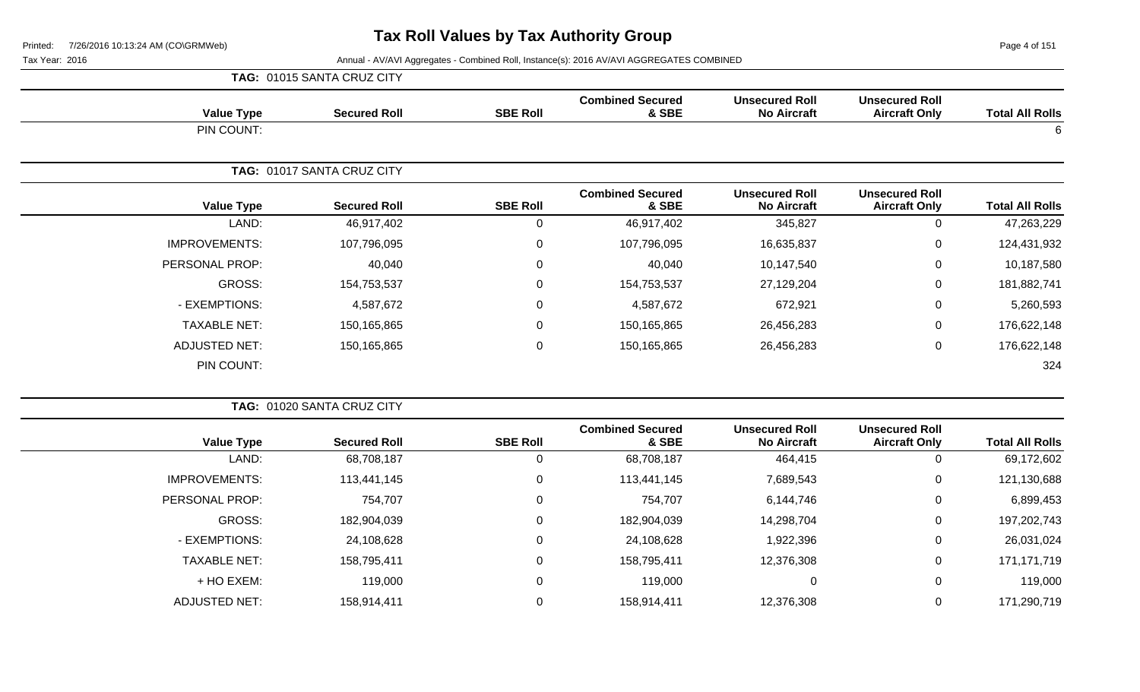|                      | TAG: 01015 SANTA CRUZ CITY |                  |                                  |                                             |                                               |                        |
|----------------------|----------------------------|------------------|----------------------------------|---------------------------------------------|-----------------------------------------------|------------------------|
| <b>Value Type</b>    | <b>Secured Roll</b>        | <b>SBE Roll</b>  | <b>Combined Secured</b><br>& SBE | <b>Unsecured Roll</b><br><b>No Aircraft</b> | <b>Unsecured Roll</b><br><b>Aircraft Only</b> | <b>Total All Rolls</b> |
| PIN COUNT:           |                            |                  |                                  |                                             |                                               | 6                      |
|                      | TAG: 01017 SANTA CRUZ CITY |                  |                                  |                                             |                                               |                        |
| <b>Value Type</b>    | <b>Secured Roll</b>        | <b>SBE Roll</b>  | <b>Combined Secured</b><br>& SBE | <b>Unsecured Roll</b><br><b>No Aircraft</b> | <b>Unsecured Roll</b><br><b>Aircraft Only</b> | <b>Total All Rolls</b> |
| LAND:                | 46,917,402                 | $\mathbf 0$      | 46,917,402                       | 345,827                                     | 0                                             | 47,263,229             |
| <b>IMPROVEMENTS:</b> | 107,796,095                | $\mathbf 0$      | 107,796,095                      | 16,635,837                                  | $\mathbf 0$                                   | 124,431,932            |
| PERSONAL PROP:       | 40,040                     | $\mathbf 0$      | 40,040                           | 10,147,540                                  | $\mathbf 0$                                   | 10,187,580             |
| GROSS:               | 154,753,537                | $\mathbf 0$      | 154,753,537                      | 27,129,204                                  | $\mathbf 0$                                   | 181,882,741            |
| - EXEMPTIONS:        | 4,587,672                  | $\boldsymbol{0}$ | 4,587,672                        | 672,921                                     | $\mathbf 0$                                   | 5,260,593              |
| <b>TAXABLE NET:</b>  | 150,165,865                | $\mathbf 0$      | 150,165,865                      | 26,456,283                                  | $\pmb{0}$                                     | 176,622,148            |
| <b>ADJUSTED NET:</b> | 150,165,865                | $\mathbf 0$      | 150,165,865                      | 26,456,283                                  | $\mathbf 0$                                   | 176,622,148            |
| PIN COUNT:           |                            |                  |                                  |                                             |                                               | 324                    |

|                      | TAG: 01020 SANTA CRUZ CITY |                 |                                  |                                             |                                               |                        |
|----------------------|----------------------------|-----------------|----------------------------------|---------------------------------------------|-----------------------------------------------|------------------------|
| <b>Value Type</b>    | <b>Secured Roll</b>        | <b>SBE Roll</b> | <b>Combined Secured</b><br>& SBE | <b>Unsecured Roll</b><br><b>No Aircraft</b> | <b>Unsecured Roll</b><br><b>Aircraft Only</b> | <b>Total All Rolls</b> |
| LAND:                | 68,708,187                 | 0               | 68,708,187                       | 464,415                                     | 0                                             | 69,172,602             |
| <b>IMPROVEMENTS:</b> | 113,441,145                | 0               | 113,441,145                      | 7,689,543                                   | 0                                             | 121,130,688            |
| PERSONAL PROP:       | 754,707                    | 0               | 754,707                          | 6,144,746                                   | 0                                             | 6,899,453              |
| GROSS:               | 182,904,039                | 0               | 182,904,039                      | 14,298,704                                  | 0                                             | 197,202,743            |
| - EXEMPTIONS:        | 24,108,628                 | 0               | 24,108,628                       | 1,922,396                                   | 0                                             | 26,031,024             |
| <b>TAXABLE NET:</b>  | 158,795,411                | 0               | 158,795,411                      | 12,376,308                                  | 0                                             | 171,171,719            |
| + HO EXEM:           | 119,000                    | 0               | 119,000                          | 0                                           | 0                                             | 119,000                |
| ADJUSTED NET:        | 158,914,411                | 0               | 158,914,411                      | 12,376,308                                  | 0                                             | 171,290,719            |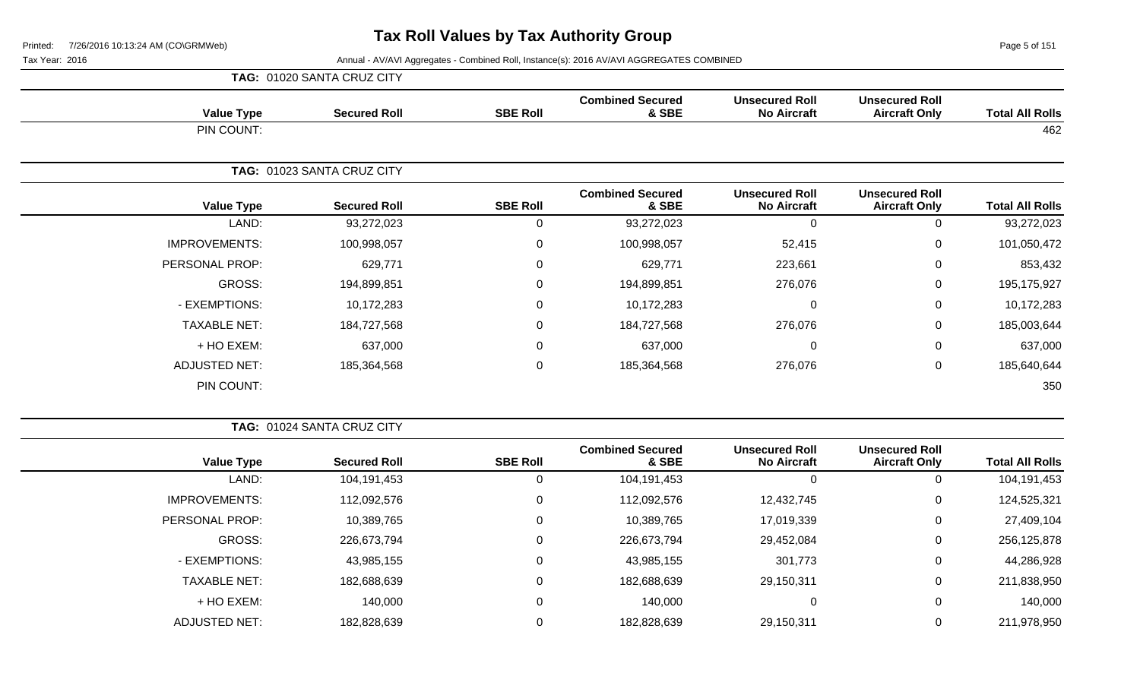Page 5 of 151

|                      | TAG: 01020 SANTA CRUZ CITY |                 |                                  |                                             |                                               |                        |
|----------------------|----------------------------|-----------------|----------------------------------|---------------------------------------------|-----------------------------------------------|------------------------|
| <b>Value Type</b>    | <b>Secured Roll</b>        | <b>SBE Roll</b> | <b>Combined Secured</b><br>& SBE | <b>Unsecured Roll</b><br><b>No Aircraft</b> | <b>Unsecured Roll</b><br><b>Aircraft Only</b> | <b>Total All Rolls</b> |
| PIN COUNT:           |                            |                 |                                  |                                             |                                               | 462                    |
|                      | TAG: 01023 SANTA CRUZ CITY |                 |                                  |                                             |                                               |                        |
| <b>Value Type</b>    | <b>Secured Roll</b>        | <b>SBE Roll</b> | <b>Combined Secured</b><br>& SBE | <b>Unsecured Roll</b><br><b>No Aircraft</b> | <b>Unsecured Roll</b><br><b>Aircraft Only</b> | <b>Total All Rolls</b> |
| LAND:                | 93,272,023                 | 0               | 93,272,023                       | $\Omega$                                    | 0                                             | 93,272,023             |
| <b>IMPROVEMENTS:</b> | 100,998,057                | 0               | 100,998,057                      | 52,415                                      | $\mathbf 0$                                   | 101,050,472            |
| PERSONAL PROP:       | 629,771                    | 0               | 629,771                          | 223,661                                     | $\mathbf 0$                                   | 853,432                |
| GROSS:               | 194,899,851                | $\Omega$        | 194,899,851                      | 276,076                                     | $\mathbf 0$                                   | 195,175,927            |
| - EXEMPTIONS:        | 10,172,283                 | $\overline{0}$  | 10,172,283                       | 0                                           | 0                                             | 10,172,283             |
| <b>TAXABLE NET:</b>  | 184,727,568                | $\mathbf 0$     | 184,727,568                      | 276,076                                     | $\mathbf 0$                                   | 185,003,644            |
| + HO EXEM:           | 637,000                    | $\mathbf 0$     | 637,000                          | $\Omega$                                    | 0                                             | 637,000                |
| <b>ADJUSTED NET:</b> | 185,364,568                | $\mathbf 0$     | 185,364,568                      | 276,076                                     | $\mathbf 0$                                   | 185,640,644            |
| PIN COUNT:           |                            |                 |                                  |                                             |                                               | 350                    |

|                        |                                               |                                             |                                  |                 | <b>TAG: 01024 SANTA CRUZ CITY</b> |                      |  |  |  |  |
|------------------------|-----------------------------------------------|---------------------------------------------|----------------------------------|-----------------|-----------------------------------|----------------------|--|--|--|--|
| <b>Total All Rolls</b> | <b>Unsecured Roll</b><br><b>Aircraft Only</b> | <b>Unsecured Roll</b><br><b>No Aircraft</b> | <b>Combined Secured</b><br>& SBE | <b>SBE Roll</b> | <b>Secured Roll</b>               | <b>Value Type</b>    |  |  |  |  |
| 104,191,453            | 0                                             | 0                                           | 104,191,453                      | 0               | 104,191,453                       | LAND:                |  |  |  |  |
| 124,525,321            | 0                                             | 12,432,745                                  | 112,092,576                      | 0               | 112,092,576                       | <b>IMPROVEMENTS:</b> |  |  |  |  |
| 27,409,104             | 0                                             | 17,019,339                                  | 10,389,765                       | 0               | 10,389,765                        | PERSONAL PROP:       |  |  |  |  |
| 256,125,878            | 0                                             | 29,452,084                                  | 226,673,794                      | $\mathbf 0$     | 226,673,794                       | <b>GROSS:</b>        |  |  |  |  |
| 44,286,928             | 0                                             | 301,773                                     | 43,985,155                       | 0               | 43,985,155                        | - EXEMPTIONS:        |  |  |  |  |
| 211,838,950            | 0                                             | 29,150,311                                  | 182,688,639                      | $\Omega$        | 182,688,639                       | <b>TAXABLE NET:</b>  |  |  |  |  |
| 140,000                | 0                                             | 0                                           | 140,000                          | 0               | 140,000                           | $+$ HO EXEM:         |  |  |  |  |
| 211,978,950            | 0                                             | 29,150,311                                  | 182,828,639                      | 0               | 182,828,639                       | <b>ADJUSTED NET:</b> |  |  |  |  |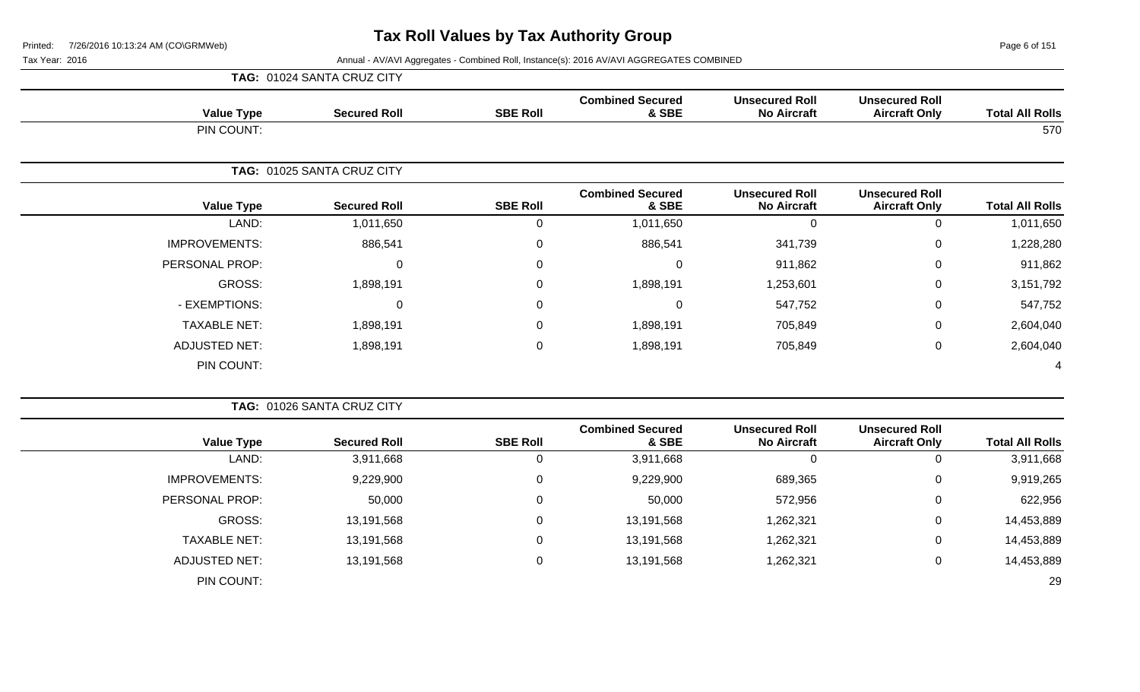Page 6 of 151

|                        |                                               |                                             |                                    |                 | TAG: 01024 SANTA CRUZ CITY |                      |
|------------------------|-----------------------------------------------|---------------------------------------------|------------------------------------|-----------------|----------------------------|----------------------|
| <b>Total All Rolls</b> | <b>Unsecured Roll</b><br><b>Aircraft Only</b> | <b>Unsecured Roll</b><br><b>No Aircraft</b> | <b>Combined Secured</b><br>& SBE   | <b>SBE Roll</b> | <b>Secured Roll</b>        | <b>Value Type</b>    |
| 570                    |                                               |                                             |                                    |                 |                            | PIN COUNT:           |
|                        |                                               |                                             |                                    |                 | TAG: 01025 SANTA CRUZ CITY |                      |
| <b>Total All Rolls</b> | <b>Unsecured Roll</b><br><b>Aircraft Only</b> | <b>Unsecured Roll</b><br><b>No Aircraft</b> | <b>Combined Secured</b><br>& SBE   | <b>SBE Roll</b> | <b>Secured Roll</b>        | <b>Value Type</b>    |
| 1,011,650              | $\Omega$                                      | $\Omega$                                    | 1,011,650                          | 0               | 1,011,650                  | LAND:                |
| 1,228,280              | 0                                             | 341,739                                     | 886,541                            | 0               | 886,541                    | <b>IMPROVEMENTS:</b> |
| 911,862                | 0                                             | 911,862                                     | $\Omega$                           | $\mathbf 0$     | $\Omega$                   | PERSONAL PROP:       |
| 3,151,792              | 0                                             | 1,253,601                                   | 1,898,191                          | 0               | 1,898,191                  | GROSS:               |
| 547,752                | $\Omega$                                      | 547,752                                     | $\Omega$                           | 0               | $\Omega$                   | - EXEMPTIONS:        |
| 2,604,040              | 0                                             | 705,849                                     | 1,898,191                          | 0               | 1,898,191                  | <b>TAXABLE NET:</b>  |
| 2,604,040              | $\mathbf 0$                                   | 705,849                                     | 1,898,191                          | 0               | 1,898,191                  | ADJUSTED NET:        |
| 4                      |                                               |                                             |                                    |                 |                            | PIN COUNT:           |
|                        |                                               |                                             |                                    |                 | TAG: 01026 SANTA CRUZ CITY |                      |
| Total All Dalle        | <b>Unsecured Roll</b><br>Airoraft Only        | <b>Unsecured Roll</b><br>No Airoroft        | <b>Combined Secured</b><br>$9$ CDC | <b>CDE DAIL</b> | <b>Conurad Dall</b>        | Volue Tune           |

| <b>Total All Rolls</b> | <b>Unsecured Roll</b><br><b>Aircraft Only</b> | <b>Unsecured Roll</b><br><b>No Aircraft</b> | <b>Combined Secured</b><br>& SBE | <b>SBE Roll</b> | <b>Secured Roll</b> | <b>Value Type</b>    |
|------------------------|-----------------------------------------------|---------------------------------------------|----------------------------------|-----------------|---------------------|----------------------|
| 3,911,668              | v                                             | 0                                           | 3,911,668                        | U               | 3,911,668           | LAND:                |
| 9,919,265              | U                                             | 689,365                                     | 9,229,900                        | ◡               | 9,229,900           | <b>IMPROVEMENTS:</b> |
| 622,956                | ◡                                             | 572,956                                     | 50,000                           | v               | 50,000              | PERSONAL PROP:       |
| 14,453,889             | U                                             | 1,262,321                                   | 13,191,568                       | v               | 13,191,568          | GROSS:               |
| 14,453,889             | U                                             | 1,262,321                                   | 13,191,568                       | v               | 13,191,568          | TAXABLE NET:         |
| 14,453,889             | U                                             | 1,262,321                                   | 13,191,568                       | v               | 13,191,568          | <b>ADJUSTED NET:</b> |
| 29                     |                                               |                                             |                                  |                 |                     | PIN COUNT:           |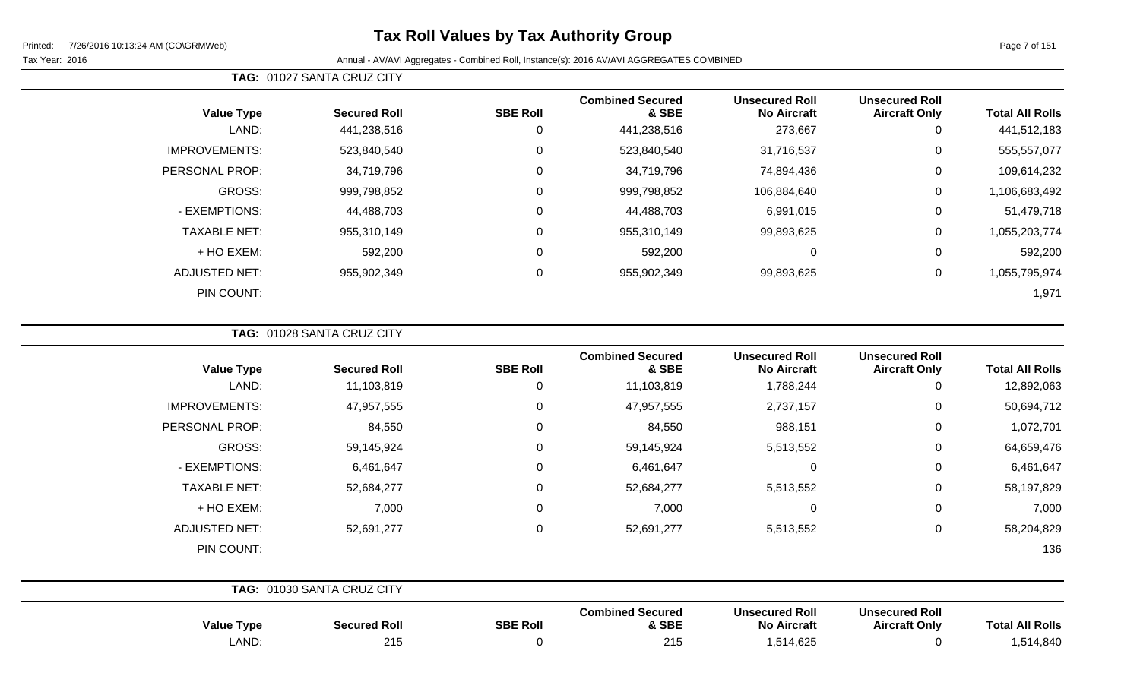# **Tax Roll Values by Tax Authority Group**

Tax Year: 2016 Annual - AV/AVI Aggregates - Combined Roll, Instance(s): 2016 AV/AVI AGGREGATES COMBINED

|                        |                                               |                                             |                                  |                 | TAG: 01027 SANTA CRUZ CITY |                      |
|------------------------|-----------------------------------------------|---------------------------------------------|----------------------------------|-----------------|----------------------------|----------------------|
| <b>Total All Rolls</b> | <b>Unsecured Roll</b><br><b>Aircraft Only</b> | <b>Unsecured Roll</b><br><b>No Aircraft</b> | <b>Combined Secured</b><br>& SBE | <b>SBE Roll</b> | <b>Secured Roll</b>        | <b>Value Type</b>    |
| 441,512,183            | 0                                             | 273,667                                     | 441,238,516                      | 0               | 441,238,516                | LAND:                |
| 555,557,077            | 0                                             | 31,716,537                                  | 523,840,540                      | 0               | 523,840,540                | <b>IMPROVEMENTS:</b> |
| 109,614,232            | 0                                             | 74,894,436                                  | 34,719,796                       | 0               | 34,719,796                 | PERSONAL PROP:       |
| 1,106,683,492          | 0                                             | 106,884,640                                 | 999,798,852                      | $\mathbf 0$     | 999,798,852                | <b>GROSS:</b>        |
| 51,479,718             | $\Omega$                                      | 6,991,015                                   | 44,488,703                       | 0               | 44,488,703                 | - EXEMPTIONS:        |
| 1,055,203,774          | 0                                             | 99,893,625                                  | 955,310,149                      | 0               | 955,310,149                | <b>TAXABLE NET:</b>  |
| 592,200                | 0                                             | 0                                           | 592,200                          | 0               | 592,200                    | + HO EXEM:           |
| 1,055,795,974          | 0                                             | 99,893,625                                  | 955,902,349                      | 0               | 955,902,349                | <b>ADJUSTED NET:</b> |
| 1,971                  |                                               |                                             |                                  |                 |                            | PIN COUNT:           |

**TAG:** 01028 SANTA CRUZ CITY

| <b>Value Type</b>    | <b>Secured Roll</b>        | <b>SBE Roll</b> | <b>Combined Secured</b><br>& SBE | <b>Unsecured Roll</b><br><b>No Aircraft</b> | <b>Unsecured Roll</b><br><b>Aircraft Only</b> | <b>Total All Rolls</b> |
|----------------------|----------------------------|-----------------|----------------------------------|---------------------------------------------|-----------------------------------------------|------------------------|
| LAND:                | 11,103,819                 | 0               | 11,103,819                       | 1,788,244                                   | 0                                             | 12,892,063             |
| <b>IMPROVEMENTS:</b> | 47,957,555                 | 0               | 47,957,555                       | 2,737,157                                   | $\mathbf 0$                                   | 50,694,712             |
| PERSONAL PROP:       | 84,550                     | $\Omega$        | 84,550                           | 988,151                                     | 0                                             | 1,072,701              |
| GROSS:               | 59,145,924                 | $\Omega$        | 59,145,924                       | 5,513,552                                   | 0                                             | 64,659,476             |
| - EXEMPTIONS:        | 6,461,647                  | 0               | 6,461,647                        | $\mathbf 0$                                 | 0                                             | 6,461,647              |
| <b>TAXABLE NET:</b>  | 52,684,277                 | 0               | 52,684,277                       | 5,513,552                                   | $\mathbf 0$                                   | 58,197,829             |
| + HO EXEM:           | 7,000                      | $\Omega$        | 7,000                            | $\mathbf 0$                                 | $\mathbf 0$                                   | 7,000                  |
| <b>ADJUSTED NET:</b> | 52,691,277                 | $\Omega$        | 52,691,277                       | 5,513,552                                   | 0                                             | 58,204,829             |
| PIN COUNT:           |                            |                 |                                  |                                             |                                               | 136                    |
|                      | TAG: 01030 SANTA CRUZ CITY |                 |                                  |                                             |                                               |                        |
| <b>Value Type</b>    | <b>Secured Roll</b>        | <b>SBE Roll</b> | <b>Combined Secured</b><br>& SBE | <b>Unsecured Roll</b><br><b>No Aircraft</b> | <b>Unsecured Roll</b><br><b>Aircraft Only</b> | <b>Total All Rolls</b> |

LAND: 215 0 215 1,514,625 0 1,514,840

Page 7 of 151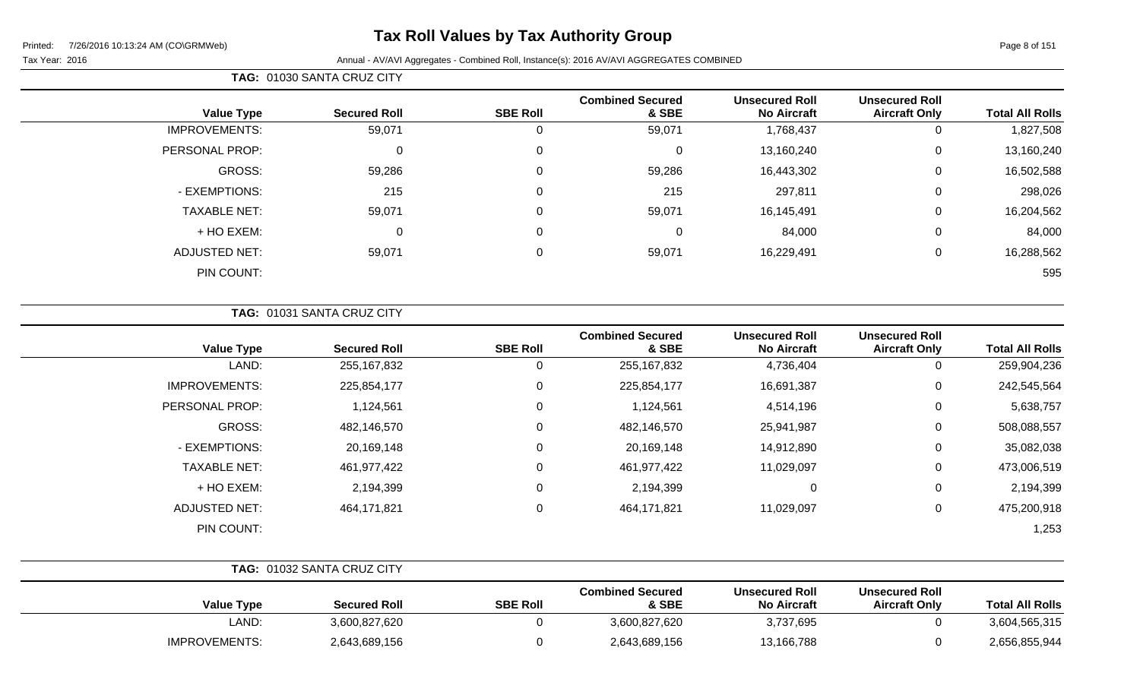# **Tax Roll Values by Tax Authority Group**

|  | <b>TAG: 01030 SANTA CRUZ CITY</b> |
|--|-----------------------------------|
|--|-----------------------------------|

| <b>Total All Rolls</b> | <b>Unsecured Roll</b><br><b>Aircraft Only</b> | <b>Unsecured Roll</b><br><b>No Aircraft</b> | <b>Combined Secured</b><br>& SBE | <b>SBE Roll</b> | <b>Secured Roll</b> | <b>Value Type</b>    |
|------------------------|-----------------------------------------------|---------------------------------------------|----------------------------------|-----------------|---------------------|----------------------|
|                        |                                               |                                             |                                  |                 |                     |                      |
| 1,827,508              |                                               | 1,768,437                                   | 59,071                           |                 | 59,071              | <b>IMPROVEMENTS:</b> |
| 13,160,240<br>0        |                                               | 13,160,240                                  | $\Omega$                         | $\Omega$        | 0                   | PERSONAL PROP:       |
| 16,502,588<br>0        |                                               | 16,443,302                                  | 59,286                           |                 | 59,286              | <b>GROSS:</b>        |
| 298,026<br>0           |                                               | 297,811                                     | 215                              |                 | 215                 | - EXEMPTIONS:        |
| 16,204,562<br>0        |                                               | 16,145,491                                  | 59,071                           | $\overline{0}$  | 59,071              | <b>TAXABLE NET:</b>  |
| 84,000<br>0            |                                               | 84,000                                      | $\Omega$                         | $\Omega$        | 0                   | + HO EXEM:           |
| 16,288,562<br>0        |                                               | 16,229,491                                  | 59,071                           | $\Omega$        | 59,071              | <b>ADJUSTED NET:</b> |
| 595                    |                                               |                                             |                                  |                 |                     | PIN COUNT:           |
|                        |                                               |                                             |                                  |                 |                     |                      |

|  | <b>TAG: 01031 SANTA CRUZ CITY</b> |  |
|--|-----------------------------------|--|
|  |                                   |  |

| <b>Value Type</b>    | <b>Secured Roll</b> | <b>SBE Roll</b> | <b>Combined Secured</b><br>& SBE | <b>Unsecured Roll</b><br><b>No Aircraft</b> | <b>Unsecured Roll</b><br><b>Aircraft Only</b> | <b>Total All Rolls</b> |
|----------------------|---------------------|-----------------|----------------------------------|---------------------------------------------|-----------------------------------------------|------------------------|
| LAND:                | 255, 167, 832       | 0               | 255,167,832                      | 4,736,404                                   | 0                                             | 259,904,236            |
| <b>IMPROVEMENTS:</b> | 225,854,177         | 0               | 225,854,177                      | 16,691,387                                  | 0                                             | 242,545,564            |
| PERSONAL PROP:       | 1,124,561           | $\Omega$        | 1,124,561                        | 4,514,196                                   | 0                                             | 5,638,757              |
| GROSS:               | 482,146,570         | $\Omega$        | 482,146,570                      | 25,941,987                                  | 0                                             | 508,088,557            |
| - EXEMPTIONS:        | 20,169,148          | 0               | 20,169,148                       | 14,912,890                                  | 0                                             | 35,082,038             |
| <b>TAXABLE NET:</b>  | 461,977,422         | $\Omega$        | 461,977,422                      | 11,029,097                                  | 0                                             | 473,006,519            |
| + HO EXEM:           | 2,194,399           | $\Omega$        | 2,194,399                        | 0                                           | 0                                             | 2,194,399              |
| <b>ADJUSTED NET:</b> | 464,171,821         | 0               | 464,171,821                      | 11,029,097                                  | $\mathbf 0$                                   | 475,200,918            |
| PIN COUNT:           |                     |                 |                                  |                                             |                                               | 1,253                  |

|                      | <b>TAG: 01032 SANTA CRUZ CITY</b> |                 |                                  |                                             |                                               |                        |
|----------------------|-----------------------------------|-----------------|----------------------------------|---------------------------------------------|-----------------------------------------------|------------------------|
| <b>Value Type</b>    | <b>Secured Roll</b>               | <b>SBE Roll</b> | <b>Combined Secured</b><br>& SBE | <b>Unsecured Roll</b><br><b>No Aircraft</b> | <b>Unsecured Roll</b><br><b>Aircraft Only</b> | <b>Total All Rolls</b> |
| LAND:                | 3,600,827,620                     |                 | 3,600,827,620                    | 3,737,695                                   |                                               | 3,604,565,315          |
| <b>IMPROVEMENTS:</b> | 2,643,689,156                     |                 | 2,643,689,156                    | 13,166,788                                  |                                               | 2,656,855,944          |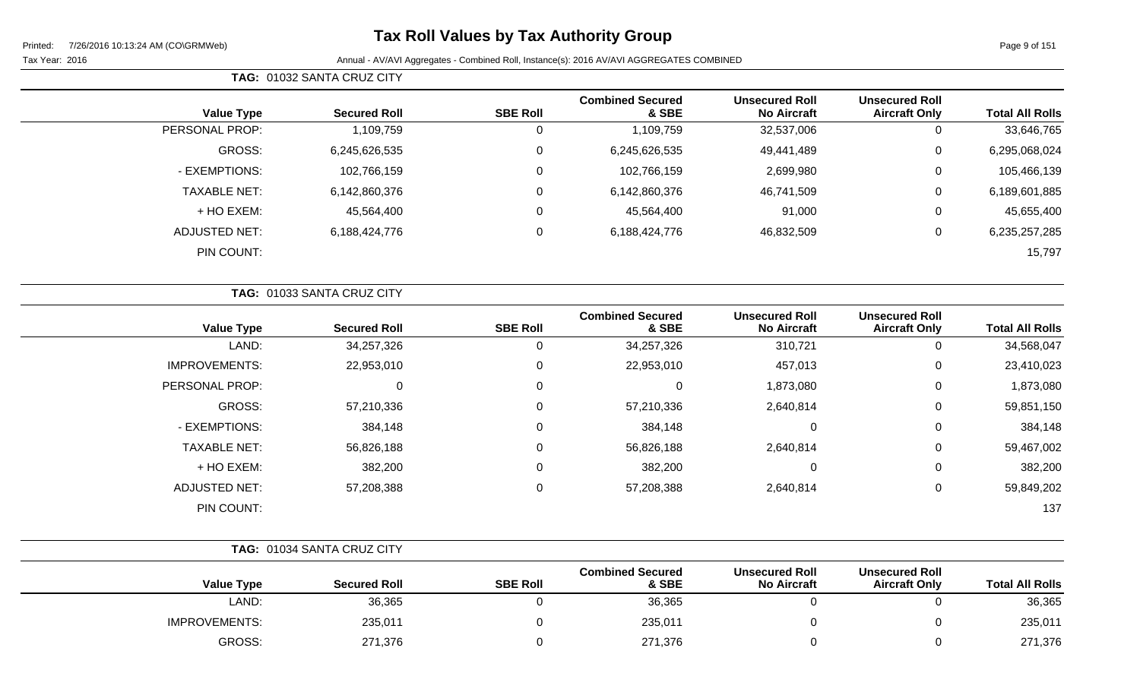# **Tax Roll Values by Tax Authority Group**

| <b>Total All Rolls</b> | <b>Unsecured Roll</b><br><b>Aircraft Only</b> | <b>Unsecured Roll</b><br><b>No Aircraft</b> | <b>Combined Secured</b><br>& SBE | <b>SBE Roll</b> | <b>Secured Roll</b> | <b>Value Type</b>   |
|------------------------|-----------------------------------------------|---------------------------------------------|----------------------------------|-----------------|---------------------|---------------------|
| 33,646,765             | 0                                             | 32,537,006                                  | 1,109,759                        | 0               | 1,109,759           | PERSONAL PROP:      |
| 6,295,068,024          | 0                                             | 49,441,489                                  | 6,245,626,535                    | 0               | 6,245,626,535       | GROSS:              |
| 105,466,139            | $\mathbf 0$                                   | 2,699,980                                   | 102,766,159                      | 0               | 102,766,159         | - EXEMPTIONS:       |
| 6,189,601,885          | 0                                             | 46,741,509                                  | 6,142,860,376                    | 0               | 6,142,860,376       | <b>TAXABLE NET:</b> |
| 45,655,400             | 0                                             | 91,000                                      | 45,564,400                       | $\mathbf 0$     | 45,564,400          | + HO EXEM:          |
| 6,235,257,285          | 0                                             | 46,832,509                                  | 6,188,424,776                    | $\Omega$        | 6,188,424,776       | ADJUSTED NET:       |
| 15,797                 |                                               |                                             |                                  |                 |                     | PIN COUNT:          |
|                        |                                               |                                             |                                  |                 |                     |                     |

|                      | TAG: 01033 SANTA CRUZ CITY |                 |                                  |                                             |                                               |                        |
|----------------------|----------------------------|-----------------|----------------------------------|---------------------------------------------|-----------------------------------------------|------------------------|
| <b>Value Type</b>    | <b>Secured Roll</b>        | <b>SBE Roll</b> | <b>Combined Secured</b><br>& SBE | <b>Unsecured Roll</b><br><b>No Aircraft</b> | <b>Unsecured Roll</b><br><b>Aircraft Only</b> | <b>Total All Rolls</b> |
| LAND:                | 34,257,326                 | 0               | 34,257,326                       | 310,721                                     | 0                                             | 34,568,047             |
| <b>IMPROVEMENTS:</b> | 22,953,010                 | 0               | 22,953,010                       | 457,013                                     | $\mathbf 0$                                   | 23,410,023             |
| PERSONAL PROP:       | 0                          | 0               | 0                                | 1,873,080                                   | $\mathbf 0$                                   | 1,873,080              |
| GROSS:               | 57,210,336                 | 0               | 57,210,336                       | 2,640,814                                   | $\mathbf 0$                                   | 59,851,150             |
| - EXEMPTIONS:        | 384,148                    | 0               | 384,148                          | 0                                           | $\mathbf 0$                                   | 384,148                |
| <b>TAXABLE NET:</b>  | 56,826,188                 | 0               | 56,826,188                       | 2,640,814                                   | $\overline{0}$                                | 59,467,002             |
| + HO EXEM:           | 382,200                    | 0               | 382,200                          | 0                                           | $\overline{0}$                                | 382,200                |
| <b>ADJUSTED NET:</b> | 57,208,388                 | 0               | 57,208,388                       | 2,640,814                                   | $\mathbf 0$                                   | 59,849,202             |
| PIN COUNT:           |                            |                 |                                  |                                             |                                               | 137                    |

|                      | TAG: 01034 SANTA CRUZ CITY |                 |                                  |                                             |                                               |                        |
|----------------------|----------------------------|-----------------|----------------------------------|---------------------------------------------|-----------------------------------------------|------------------------|
| <b>Value Type</b>    | <b>Secured Roll</b>        | <b>SBE Roll</b> | <b>Combined Secured</b><br>& SBE | <b>Unsecured Roll</b><br><b>No Aircraft</b> | <b>Unsecured Roll</b><br><b>Aircraft Only</b> | <b>Total All Rolls</b> |
| LAND:                | 36,365                     |                 | 36,365                           |                                             |                                               | 36,365                 |
| <b>IMPROVEMENTS:</b> | 235,011                    |                 | 235,011                          |                                             |                                               | 235,011                |
| <b>GROSS:</b>        | 271,376                    |                 | 271,376                          |                                             |                                               | 271,376                |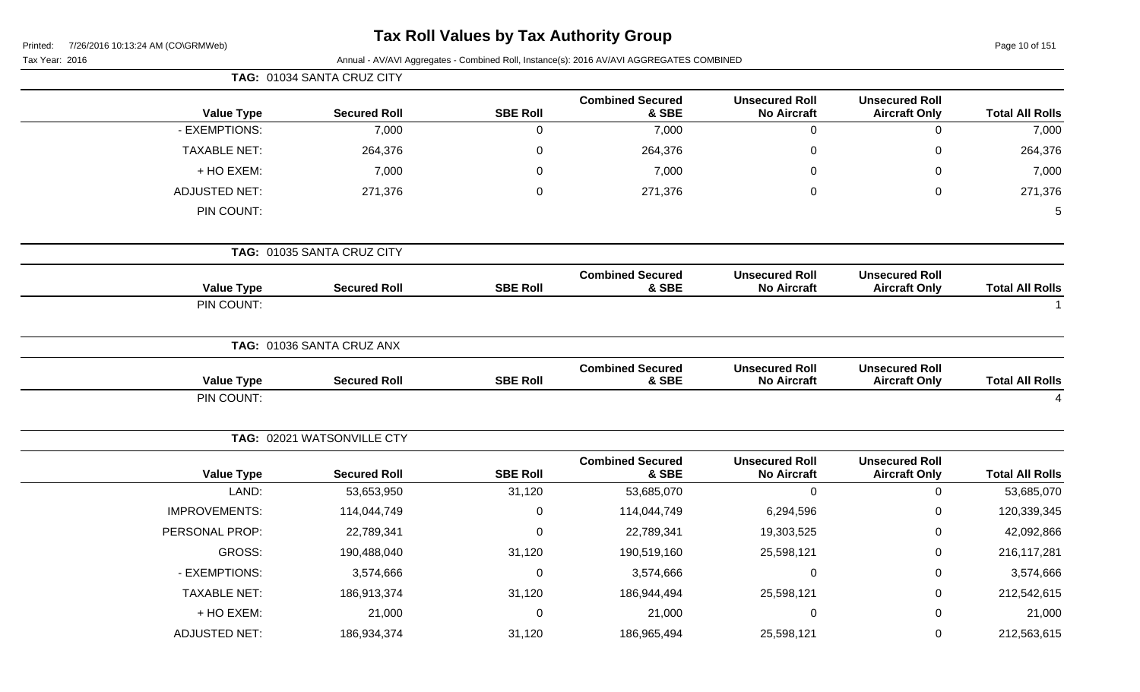| Printed: |  | 7/26/2016 10:13:24 AM (CO\GRMWeb) |
|----------|--|-----------------------------------|
|          |  |                                   |

# **Tax Roll Values by Tax Authority Group**

Page 10 of 151

| Tax Year: 2016       |                            |                 | Annual - AV/AVI Aggregates - Combined Roll, Instance(s): 2016 AV/AVI AGGREGATES COMBINED |                                             |                                               |                                                                                                                                                                                                                                                                                    |
|----------------------|----------------------------|-----------------|------------------------------------------------------------------------------------------|---------------------------------------------|-----------------------------------------------|------------------------------------------------------------------------------------------------------------------------------------------------------------------------------------------------------------------------------------------------------------------------------------|
|                      | TAG: 01034 SANTA CRUZ CITY |                 |                                                                                          |                                             |                                               |                                                                                                                                                                                                                                                                                    |
| <b>Value Type</b>    | <b>Secured Roll</b>        | <b>SBE Roll</b> | <b>Combined Secured</b><br>& SBE                                                         | <b>Unsecured Roll</b><br><b>No Aircraft</b> | <b>Unsecured Roll</b><br><b>Aircraft Only</b> |                                                                                                                                                                                                                                                                                    |
| - EXEMPTIONS:        | 7,000                      | $\mathbf 0$     | 7,000                                                                                    | $\boldsymbol{0}$                            | $\mathbf 0$                                   |                                                                                                                                                                                                                                                                                    |
| <b>TAXABLE NET:</b>  | 264,376                    | $\mathbf 0$     | 264,376                                                                                  | $\mathbf 0$                                 | $\mathbf 0$                                   |                                                                                                                                                                                                                                                                                    |
| + HO EXEM:           | 7,000                      | $\mathbf 0$     | 7,000                                                                                    | 0                                           | 0                                             |                                                                                                                                                                                                                                                                                    |
| <b>ADJUSTED NET:</b> | 271,376                    | $\mathbf 0$     | 271,376                                                                                  | 0                                           | $\mathbf 0$                                   |                                                                                                                                                                                                                                                                                    |
| PIN COUNT:           |                            |                 |                                                                                          |                                             |                                               |                                                                                                                                                                                                                                                                                    |
|                      | TAG: 01035 SANTA CRUZ CITY |                 |                                                                                          |                                             |                                               |                                                                                                                                                                                                                                                                                    |
| <b>Value Type</b>    | <b>Secured Roll</b>        | <b>SBE Roll</b> | <b>Combined Secured</b><br>& SBE                                                         | <b>Unsecured Roll</b><br><b>No Aircraft</b> | <b>Unsecured Roll</b><br><b>Aircraft Only</b> |                                                                                                                                                                                                                                                                                    |
| PIN COUNT:           |                            |                 |                                                                                          |                                             |                                               | <b>Total All Rolls</b><br>7,000<br>264,376<br>7,000<br>271,376<br>$\overline{5}$<br><b>Total All Rolls</b><br><b>Total All Rolls</b><br>4<br><b>Total All Rolls</b><br>53,685,070<br>120,339,345<br>42,092,866<br>216,117,281<br>3,574,666<br>212,542,615<br>21,000<br>212,563,615 |
|                      | TAG: 01036 SANTA CRUZ ANX  |                 |                                                                                          |                                             |                                               |                                                                                                                                                                                                                                                                                    |
| <b>Value Type</b>    | <b>Secured Roll</b>        | <b>SBE Roll</b> | <b>Combined Secured</b><br>& SBE                                                         | <b>Unsecured Roll</b><br><b>No Aircraft</b> | <b>Unsecured Roll</b><br><b>Aircraft Only</b> |                                                                                                                                                                                                                                                                                    |
| PIN COUNT:           |                            |                 |                                                                                          |                                             |                                               |                                                                                                                                                                                                                                                                                    |
|                      | TAG: 02021 WATSONVILLE CTY |                 |                                                                                          |                                             |                                               |                                                                                                                                                                                                                                                                                    |
| <b>Value Type</b>    | <b>Secured Roll</b>        | <b>SBE Roll</b> | <b>Combined Secured</b><br>& SBE                                                         | <b>Unsecured Roll</b><br><b>No Aircraft</b> | <b>Unsecured Roll</b><br><b>Aircraft Only</b> |                                                                                                                                                                                                                                                                                    |
| LAND:                | 53,653,950                 | 31,120          | 53,685,070                                                                               | $\mathbf 0$                                 | $\mathbf 0$                                   |                                                                                                                                                                                                                                                                                    |
| <b>IMPROVEMENTS:</b> | 114,044,749                | $\mathbf 0$     | 114,044,749                                                                              | 6,294,596                                   | $\mathbf 0$                                   |                                                                                                                                                                                                                                                                                    |
| PERSONAL PROP:       | 22,789,341                 | $\mathbf 0$     | 22,789,341                                                                               | 19,303,525                                  | 0                                             |                                                                                                                                                                                                                                                                                    |
| GROSS:               | 190,488,040                | 31,120          | 190,519,160                                                                              | 25,598,121                                  | 0                                             |                                                                                                                                                                                                                                                                                    |
| - EXEMPTIONS:        | 3,574,666                  | $\mathbf 0$     | 3,574,666                                                                                | $\mathbf 0$                                 | 0                                             |                                                                                                                                                                                                                                                                                    |
| <b>TAXABLE NET:</b>  | 186,913,374                | 31,120          | 186,944,494                                                                              | 25,598,121                                  | 0                                             |                                                                                                                                                                                                                                                                                    |
| + HO EXEM:           | 21,000                     | $\mathbf 0$     | 21,000                                                                                   | $\overline{0}$                              | $\mathbf 0$                                   |                                                                                                                                                                                                                                                                                    |
| <b>ADJUSTED NET:</b> | 186,934,374                | 31,120          | 186,965,494                                                                              | 25,598,121                                  | $\mathsf 0$                                   |                                                                                                                                                                                                                                                                                    |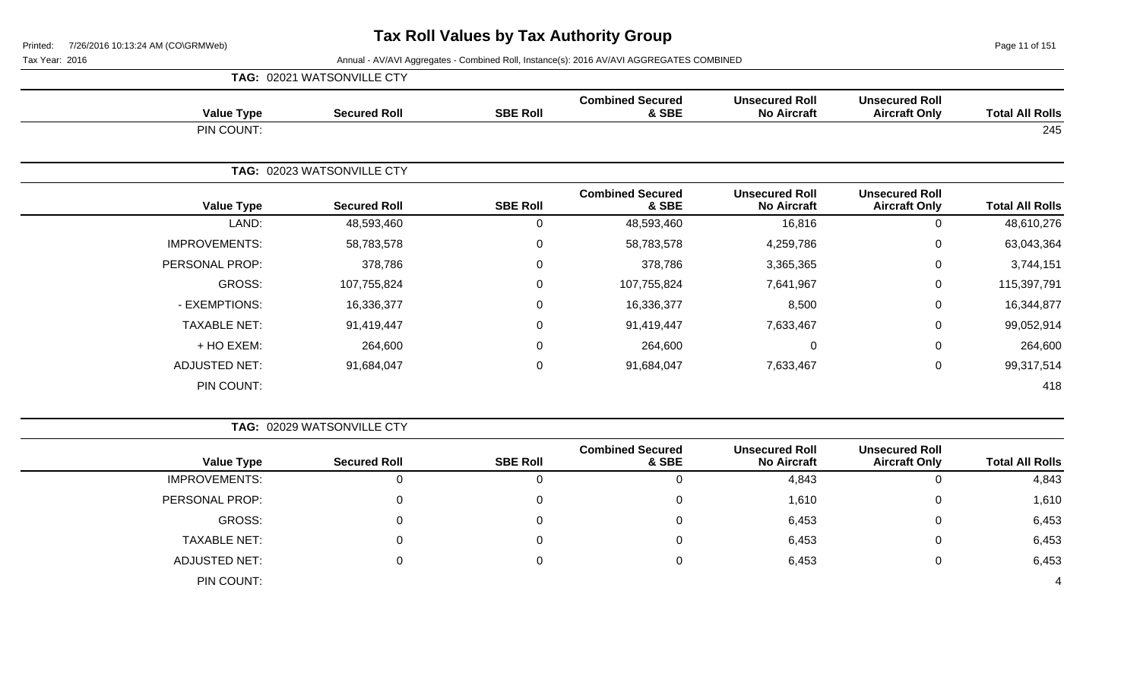Page 11 of 151

|                      | TAG: 02021 WATSONVILLE CTY |                 |                                  |                                             |                                               |                        |
|----------------------|----------------------------|-----------------|----------------------------------|---------------------------------------------|-----------------------------------------------|------------------------|
| <b>Value Type</b>    | <b>Secured Roll</b>        | <b>SBE Roll</b> | <b>Combined Secured</b><br>& SBE | <b>Unsecured Roll</b><br><b>No Aircraft</b> | <b>Unsecured Roll</b><br><b>Aircraft Only</b> | <b>Total All Rolls</b> |
| PIN COUNT:           |                            |                 |                                  |                                             |                                               | 245                    |
|                      | TAG: 02023 WATSONVILLE CTY |                 |                                  |                                             |                                               |                        |
| <b>Value Type</b>    | <b>Secured Roll</b>        | <b>SBE Roll</b> | <b>Combined Secured</b><br>& SBE | <b>Unsecured Roll</b><br><b>No Aircraft</b> | <b>Unsecured Roll</b><br><b>Aircraft Only</b> | <b>Total All Rolls</b> |
| LAND:                | 48,593,460                 | 0               | 48,593,460                       | 16,816                                      | 0                                             | 48,610,276             |
| <b>IMPROVEMENTS:</b> | 58,783,578                 | 0               | 58,783,578                       | 4,259,786                                   | $\mathbf 0$                                   | 63,043,364             |
| PERSONAL PROP:       | 378,786                    | 0               | 378,786                          | 3,365,365                                   | $\mathbf 0$                                   | 3,744,151              |
| <b>GROSS:</b>        | 107,755,824                | $\mathbf 0$     | 107,755,824                      | 7,641,967                                   | $\mathbf 0$                                   | 115,397,791            |
| - EXEMPTIONS:        | 16,336,377                 | 0               | 16,336,377                       | 8,500                                       | $\mathbf 0$                                   | 16,344,877             |
| <b>TAXABLE NET:</b>  | 91,419,447                 | $\pmb{0}$       | 91,419,447                       | 7,633,467                                   | $\mathbf 0$                                   | 99,052,914             |
| + HO EXEM:           | 264,600                    | 0               | 264,600                          | $\Omega$                                    | $\mathbf 0$                                   | 264,600                |
| <b>ADJUSTED NET:</b> | 91,684,047                 | $\mathbf 0$     | 91,684,047                       | 7,633,467                                   | $\mathbf 0$                                   | 99,317,514             |
| PIN COUNT:           |                            |                 |                                  |                                             |                                               | 418                    |

|                        |                                               |                                             |                                  |                 | TAG: 02029 WATSONVILLE CTY |                      |
|------------------------|-----------------------------------------------|---------------------------------------------|----------------------------------|-----------------|----------------------------|----------------------|
| <b>Total All Rolls</b> | <b>Unsecured Roll</b><br><b>Aircraft Only</b> | <b>Unsecured Roll</b><br><b>No Aircraft</b> | <b>Combined Secured</b><br>& SBE | <b>SBE Roll</b> | <b>Secured Roll</b>        | <b>Value Type</b>    |
| 4,843                  | 0                                             | 4,843                                       | 0                                |                 | O                          | <b>IMPROVEMENTS:</b> |
| 1,610                  | $\mathbf{0}$                                  | 1,610                                       | 0                                |                 | 0                          | PERSONAL PROP:       |
| 6,453                  | $\mathbf 0$                                   | 6,453                                       | 0                                |                 |                            | GROSS:               |
| 6,453                  | $\overline{0}$                                | 6,453                                       | 0                                |                 | 0                          | <b>TAXABLE NET:</b>  |
| 6,453                  | $\overline{0}$                                | 6,453                                       | 0                                |                 | 0                          | ADJUSTED NET:        |
| 4                      |                                               |                                             |                                  |                 |                            | PIN COUNT:           |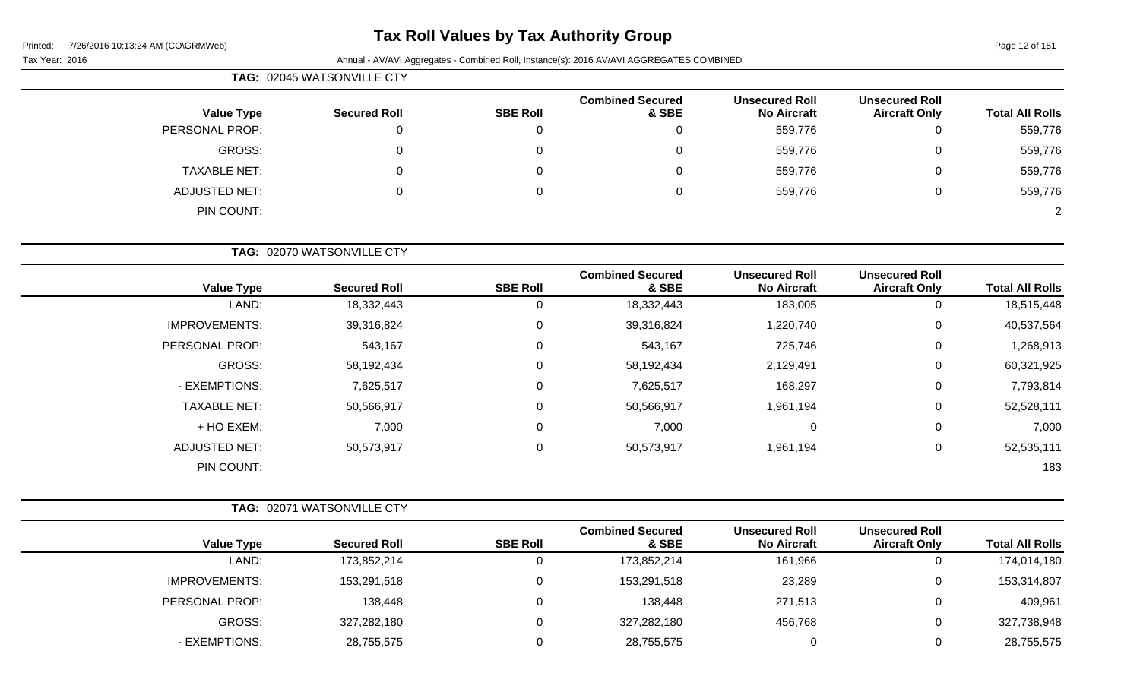# **Tax Roll Values by Tax Authority Group**

Printed: 7/26/2016 10:13:24 AM (CO\GRMWeb)

#### Tax Year: 2016 **Annual - AV/AVI Aggregates - Combined Roll**, Instance(s): 2016 AV/AVI AGGREGATES COMBINED

| <b>TAG: 02045 WATSONVILLE CTY</b> |
|-----------------------------------|

| <b>Value Type</b>    | <b>Secured Roll</b> | <b>SBE Roll</b> | <b>Combined Secured</b><br>& SBE | <b>Unsecured Roll</b><br><b>No Aircraft</b> | <b>Unsecured Roll</b><br><b>Aircraft Only</b> | <b>Total All Rolls</b> |
|----------------------|---------------------|-----------------|----------------------------------|---------------------------------------------|-----------------------------------------------|------------------------|
| PERSONAL PROP:       | ັ                   | 0               | 0                                | 559,776                                     |                                               | 559,776                |
| GROSS:               |                     | 0               | 0                                | 559,776                                     |                                               | 559,776                |
| <b>TAXABLE NET:</b>  |                     | 0               | 0                                | 559,776                                     | 0                                             | 559,776                |
| <b>ADJUSTED NET:</b> |                     | 0               | 0                                | 559,776                                     |                                               | 559,776                |
| PIN COUNT:           |                     |                 |                                  |                                             |                                               | $\overline{2}$         |

**TAG:** 02070 WATSONVILLE CTY

| <b>Value Type</b>    | <b>Secured Roll</b> | <b>SBE Roll</b> | <b>Combined Secured</b><br>& SBE | <b>Unsecured Roll</b><br><b>No Aircraft</b> | <b>Unsecured Roll</b><br><b>Aircraft Only</b> | <b>Total All Rolls</b> |
|----------------------|---------------------|-----------------|----------------------------------|---------------------------------------------|-----------------------------------------------|------------------------|
| LAND:                | 18,332,443          | 0               | 18,332,443                       | 183,005                                     | 0                                             | 18,515,448             |
| <b>IMPROVEMENTS:</b> | 39,316,824          | 0               | 39,316,824                       | 1,220,740                                   | 0                                             | 40,537,564             |
| PERSONAL PROP:       | 543,167             | 0               | 543,167                          | 725,746                                     | $\mathbf 0$                                   | 1,268,913              |
| GROSS:               | 58,192,434          | 0               | 58,192,434                       | 2,129,491                                   | 0                                             | 60,321,925             |
| - EXEMPTIONS:        | 7,625,517           | 0               | 7,625,517                        | 168,297                                     | $\mathbf 0$                                   | 7,793,814              |
| <b>TAXABLE NET:</b>  | 50,566,917          | 0               | 50,566,917                       | 1,961,194                                   | 0                                             | 52,528,111             |
| + HO EXEM:           | 7,000               | 0               | 7,000                            | 0                                           | 0                                             | 7,000                  |
| <b>ADJUSTED NET:</b> | 50,573,917          | 0               | 50,573,917                       | 1,961,194                                   | 0                                             | 52,535,111             |
| PIN COUNT:           |                     |                 |                                  |                                             |                                               | 183                    |

|                | <b>TAG: 02071 WATSONVILLE CTY</b> |                     |                 |                                  |                                             |                                               |                        |
|----------------|-----------------------------------|---------------------|-----------------|----------------------------------|---------------------------------------------|-----------------------------------------------|------------------------|
|                | <b>Value Type</b>                 | <b>Secured Roll</b> | <b>SBE Roll</b> | <b>Combined Secured</b><br>& SBE | <b>Unsecured Roll</b><br><b>No Aircraft</b> | <b>Unsecured Roll</b><br><b>Aircraft Only</b> | <b>Total All Rolls</b> |
|                | LAND:                             | 173,852,214         | 0               | 173,852,214                      | 161,966                                     |                                               | 174,014,180            |
|                | <b>IMPROVEMENTS:</b>              | 153,291,518         | 0               | 153,291,518                      | 23,289                                      | 0                                             | 153,314,807            |
| PERSONAL PROP: |                                   | 138,448             | 0               | 138,448                          | 271,513                                     | 0                                             | 409,961                |
|                | GROSS:                            | 327,282,180         | 0               | 327,282,180                      | 456,768                                     | 0                                             | 327,738,948            |
|                | - EXEMPTIONS:                     | 28,755,575          | 0               | 28,755,575                       |                                             | U                                             | 28,755,575             |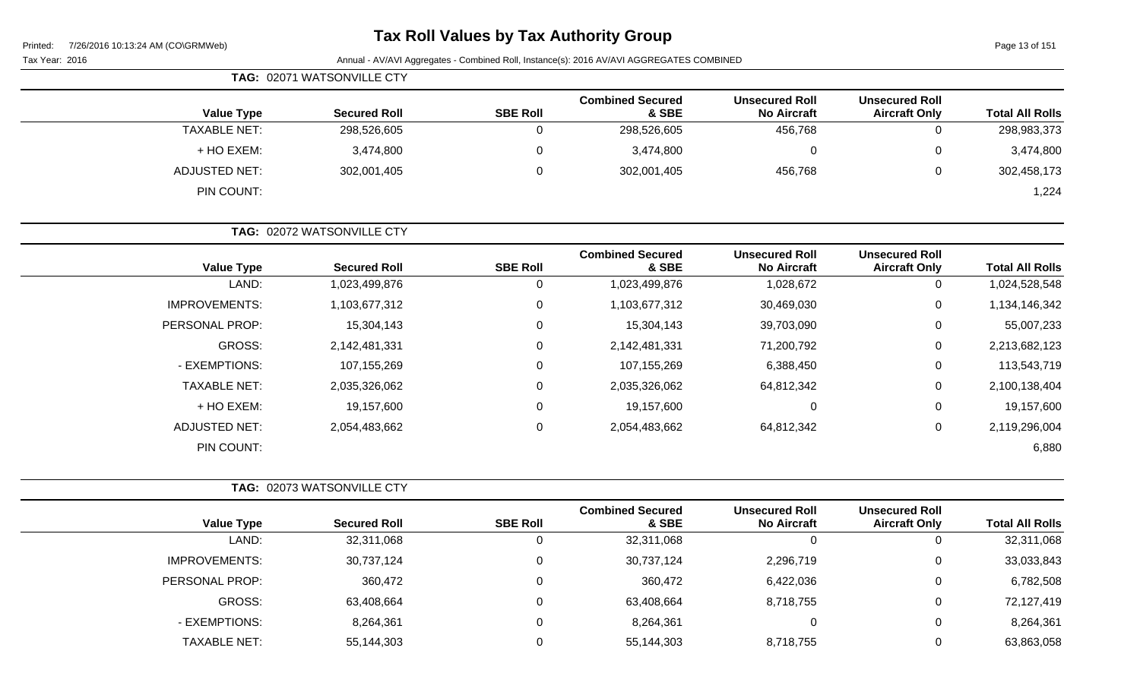| <b>Tax Roll Values by Tax Authority Group</b><br>7/26/2016 10:13:24 AM (CO\GRMWeb)<br>Printed: |                            |                 |                                                                                          |                                             |                                               |                        |
|------------------------------------------------------------------------------------------------|----------------------------|-----------------|------------------------------------------------------------------------------------------|---------------------------------------------|-----------------------------------------------|------------------------|
| Tax Year: 2016                                                                                 |                            |                 | Annual - AV/AVI Aggregates - Combined Roll, Instance(s): 2016 AV/AVI AGGREGATES COMBINED |                                             |                                               | Page 13 of 151         |
|                                                                                                | TAG: 02071 WATSONVILLE CTY |                 |                                                                                          |                                             |                                               |                        |
| <b>Value Type</b>                                                                              | <b>Secured Roll</b>        | <b>SBE Roll</b> | <b>Combined Secured</b><br>& SBE                                                         | <b>Unsecured Roll</b><br><b>No Aircraft</b> | <b>Unsecured Roll</b><br><b>Aircraft Only</b> | <b>Total All Rolls</b> |
| <b>TAXABLE NET:</b>                                                                            | 298,526,605                | $\mathbf 0$     | 298,526,605                                                                              | 456,768                                     | 0                                             | 298,983,373            |
| + HO EXEM:                                                                                     | 3,474,800                  | 0               | 3,474,800                                                                                | 0                                           | 0                                             | 3,474,800              |
| <b>ADJUSTED NET:</b>                                                                           | 302,001,405                | 0               | 302,001,405                                                                              | 456,768                                     | 0                                             | 302,458,173            |
| PIN COUNT:                                                                                     |                            |                 |                                                                                          |                                             |                                               | 1,224                  |
|                                                                                                | TAG: 02072 WATSONVILLE CTY |                 |                                                                                          |                                             |                                               |                        |
| <b>Value Type</b>                                                                              | <b>Secured Roll</b>        | <b>SBE Roll</b> | <b>Combined Secured</b><br>& SBE                                                         | <b>Unsecured Roll</b><br><b>No Aircraft</b> | <b>Unsecured Roll</b><br><b>Aircraft Only</b> | <b>Total All Rolls</b> |
| LAND:                                                                                          | 1,023,499,876              | 0               | 1,023,499,876                                                                            | 1,028,672                                   | 0                                             | 1,024,528,548          |
| <b>IMPROVEMENTS:</b>                                                                           | 1,103,677,312              | 0               | 1,103,677,312                                                                            | 30,469,030                                  | 0                                             | 1,134,146,342          |
| PERSONAL PROP:                                                                                 | 15,304,143                 | 0               | 15,304,143                                                                               | 39,703,090                                  | 0                                             | 55,007,233             |
| GROSS:                                                                                         | 2,142,481,331              | $\Omega$        | 2,142,481,331                                                                            | 71,200,792                                  | 0                                             | 2,213,682,123          |
| - EXEMPTIONS:                                                                                  | 107, 155, 269              | 0               | 107,155,269                                                                              | 6,388,450                                   | 0                                             | 113,543,719            |
| <b>TAXABLE NET:</b>                                                                            | 2,035,326,062              | 0               | 2,035,326,062                                                                            | 64,812,342                                  | 0                                             | 2,100,138,404          |
| + HO EXEM:                                                                                     | 19,157,600                 | $\Omega$        | 19,157,600                                                                               | $\Omega$                                    | 0                                             | 19,157,600             |
| <b>ADJUSTED NET:</b>                                                                           | 2,054,483,662              | 0               | 2,054,483,662                                                                            | 64,812,342                                  | 0                                             | 2,119,296,004          |
| PIN COUNT:                                                                                     |                            |                 |                                                                                          |                                             |                                               | 6,880                  |
|                                                                                                | TAG: 02073 WATSONVILLE CTY |                 |                                                                                          |                                             |                                               |                        |
| <b>Value Type</b>                                                                              | <b>Secured Roll</b>        | <b>SBE Roll</b> | <b>Combined Secured</b><br>& SBE                                                         | <b>Unsecured Roll</b><br><b>No Aircraft</b> | <b>Unsecured Roll</b><br><b>Aircraft Only</b> | <b>Total All Rolls</b> |
| LAND:                                                                                          | 32,311,068                 | 0               | 32,311,068                                                                               | $\Omega$                                    | 0                                             | 32,311,068             |
| <b>IMPROVEMENTS:</b>                                                                           | 30,737,124                 | 0               | 30,737,124                                                                               | 2,296,719                                   | 0                                             | 33,033,843             |

PERSONAL PROP: 360,472 360,472 0 360,472 360,472 6,422,036 0 6,782,508

- EXEMPTIONS: 8,264,361 0 8,264,361 0 8,264,361 TAXABLE NET: 55,144,303 0 55,144,303 8,718,755 0 63,863,058

GROSS: 63,408,664 0 63,408,664 8,718,755 0 72,127,419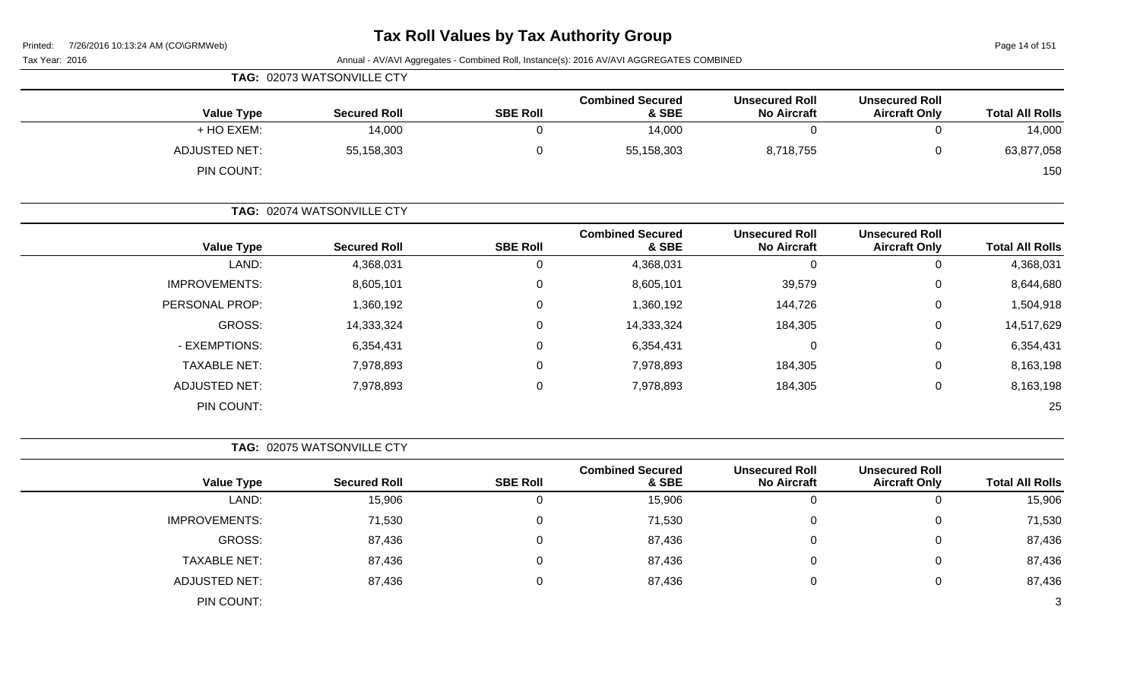Tax Year: 2016 **Annual - AV/AVI Aggregates - Combined Roll**, Instance(s): 2016 AV/AVI AGGREGATES COMBINED

| TAG: 02073 WATSONVILLE CTY |                     |                 |                                  |                                             |                                               |                        |
|----------------------------|---------------------|-----------------|----------------------------------|---------------------------------------------|-----------------------------------------------|------------------------|
| <b>Value Type</b>          | <b>Secured Roll</b> | <b>SBE Roll</b> | <b>Combined Secured</b><br>& SBE | <b>Unsecured Roll</b><br><b>No Aircraft</b> | <b>Unsecured Roll</b><br><b>Aircraft Only</b> | <b>Total All Rolls</b> |
| + HO EXEM:                 | 14,000              |                 | 14,000                           |                                             |                                               | 14,000                 |
| ADJUSTED NET:              | 55,158,303          |                 | 55,158,303                       | 8,718,755                                   |                                               | 63,877,058             |
| PIN COUNT:                 |                     |                 |                                  |                                             |                                               | 150                    |

| <b>Value Type</b>    | <b>Secured Roll</b> | <b>SBE Roll</b> | <b>Combined Secured</b><br>& SBE | <b>Unsecured Roll</b><br><b>No Aircraft</b> | <b>Unsecured Roll</b><br><b>Aircraft Only</b> | <b>Total All Rolls</b> |
|----------------------|---------------------|-----------------|----------------------------------|---------------------------------------------|-----------------------------------------------|------------------------|
| LAND:                | 4,368,031           | U               | 4,368,031                        | 0                                           | 0                                             | 4,368,031              |
| <b>IMPROVEMENTS:</b> | 8,605,101           | 0               | 8,605,101                        | 39,579                                      | 0                                             | 8,644,680              |
| PERSONAL PROP:       | 1,360,192           | 0               | 1,360,192                        | 144,726                                     | 0                                             | 1,504,918              |
| GROSS:               | 14,333,324          | 0               | 14,333,324                       | 184,305                                     | 0                                             | 14,517,629             |
| - EXEMPTIONS:        | 6,354,431           | 0               | 6,354,431                        | 0                                           | 0                                             | 6,354,431              |
| <b>TAXABLE NET:</b>  | 7,978,893           | 0               | 7,978,893                        | 184,305                                     | 0                                             | 8,163,198              |
| ADJUSTED NET:        | 7,978,893           | U               | 7,978,893                        | 184,305                                     | 0                                             | 8,163,198              |
| PIN COUNT:           |                     |                 |                                  |                                             |                                               | 25                     |

**TAG:** 02075 WATSONVILLE CTY

| <b>Value Type</b>    | <b>Secured Roll</b> | <b>SBE Roll</b> | <b>Combined Secured</b><br>& SBE | <b>Unsecured Roll</b><br><b>No Aircraft</b> | <b>Unsecured Roll</b><br><b>Aircraft Only</b> | <b>Total All Rolls</b> |
|----------------------|---------------------|-----------------|----------------------------------|---------------------------------------------|-----------------------------------------------|------------------------|
| LAND:                | 15,906              | 0               | 15,906                           | U                                           | 0                                             | 15,906                 |
| <b>IMPROVEMENTS:</b> | 71,530              | 0               | 71,530                           | 0                                           | 0                                             | 71,530                 |
| GROSS:               | 87,436              | 0               | 87,436                           | U                                           | 0                                             | 87,436                 |
| <b>TAXABLE NET:</b>  | 87,436              | 0               | 87,436                           | U                                           | 0                                             | 87,436                 |
| <b>ADJUSTED NET:</b> | 87,436              | 0               | 87,436                           |                                             | 0                                             | 87,436                 |
| PIN COUNT:           |                     |                 |                                  |                                             |                                               | 3                      |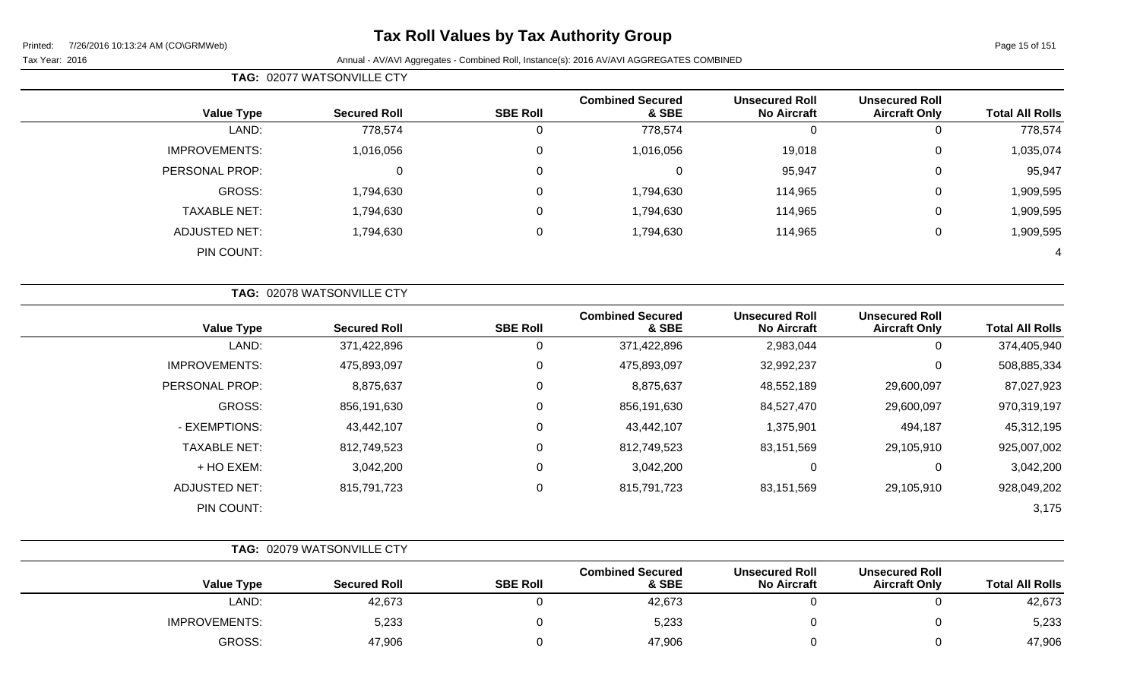# **Tax Roll Values by Tax Authority Group**

**TAG:** 02077 WATSONVILLE CTY

| <b>Total All Rolls</b> | <b>Unsecured Roll</b><br><b>Aircraft Only</b> | <b>Unsecured Roll</b><br><b>No Aircraft</b> | <b>Combined Secured</b><br>& SBE | <b>SBE Roll</b> | <b>Secured Roll</b> | <b>Value Type</b>    |
|------------------------|-----------------------------------------------|---------------------------------------------|----------------------------------|-----------------|---------------------|----------------------|
| 778,574                | $\mathbf{0}$                                  | 0                                           | 778,574                          | 0               | 778,574             | LAND:                |
| 1,035,074              | $\overline{0}$                                | 19,018                                      | 1,016,056                        | 0               | 1,016,056           | <b>IMPROVEMENTS:</b> |
| 95,947                 | $\overline{0}$                                | 95,947                                      | 0                                | $\mathbf 0$     |                     | PERSONAL PROP:       |
| 1,909,595              | $\mathbf 0$                                   | 114,965                                     | 1,794,630                        | $\mathbf 0$     | 1,794,630           | GROSS:               |
| 1,909,595              | 0                                             | 114,965                                     | 1,794,630                        | 0               | 1,794,630           | <b>TAXABLE NET:</b>  |
| 1,909,595              | 0                                             | 114,965                                     | 1,794,630                        | $\mathbf 0$     | 1,794,630           | <b>ADJUSTED NET:</b> |
| 4                      |                                               |                                             |                                  |                 |                     | PIN COUNT:           |

| <b>Value Type</b>    | <b>Secured Roll</b> | <b>SBE Roll</b> | <b>Combined Secured</b><br>& SBE | <b>Unsecured Roll</b><br><b>No Aircraft</b> | <b>Unsecured Roll</b><br><b>Aircraft Only</b> | <b>Total All Rolls</b> |
|----------------------|---------------------|-----------------|----------------------------------|---------------------------------------------|-----------------------------------------------|------------------------|
| LAND:                | 371,422,896         | 0               | 371,422,896                      | 2,983,044                                   | 0                                             | 374,405,940            |
| <b>IMPROVEMENTS:</b> | 475,893,097         | 0               | 475,893,097                      | 32,992,237                                  | 0                                             | 508,885,334            |
| PERSONAL PROP:       | 8,875,637           | 0               | 8,875,637                        | 48,552,189                                  | 29,600,097                                    | 87,027,923             |
| <b>GROSS:</b>        | 856,191,630         | 0               | 856,191,630                      | 84,527,470                                  | 29,600,097                                    | 970,319,197            |
| - EXEMPTIONS:        | 43,442,107          | 0               | 43,442,107                       | 1,375,901                                   | 494,187                                       | 45,312,195             |
| <b>TAXABLE NET:</b>  | 812,749,523         | 0               | 812,749,523                      | 83,151,569                                  | 29,105,910                                    | 925,007,002            |
| + HO EXEM:           | 3,042,200           | 0               | 3,042,200                        | $\Omega$                                    | 0                                             | 3,042,200              |
| <b>ADJUSTED NET:</b> | 815,791,723         | 0               | 815,791,723                      | 83,151,569                                  | 29,105,910                                    | 928,049,202            |
| PIN COUNT:           |                     |                 |                                  |                                             |                                               | 3,175                  |

|                      | TAG: 02079 WATSONVILLE CTY |                 |                                  |                                             |                                               |                        |
|----------------------|----------------------------|-----------------|----------------------------------|---------------------------------------------|-----------------------------------------------|------------------------|
| <b>Value Type</b>    | <b>Secured Roll</b>        | <b>SBE Roll</b> | <b>Combined Secured</b><br>& SBE | <b>Unsecured Roll</b><br><b>No Aircraft</b> | <b>Unsecured Roll</b><br><b>Aircraft Only</b> | <b>Total All Rolls</b> |
| LAND:                | 42,673                     |                 | 42,673                           |                                             |                                               | 42,673                 |
| <b>IMPROVEMENTS:</b> | 5,233                      |                 | 5,233                            |                                             |                                               | 5,233                  |
| GROSS:               | 47,906                     |                 | 47,906                           |                                             |                                               | 47,906                 |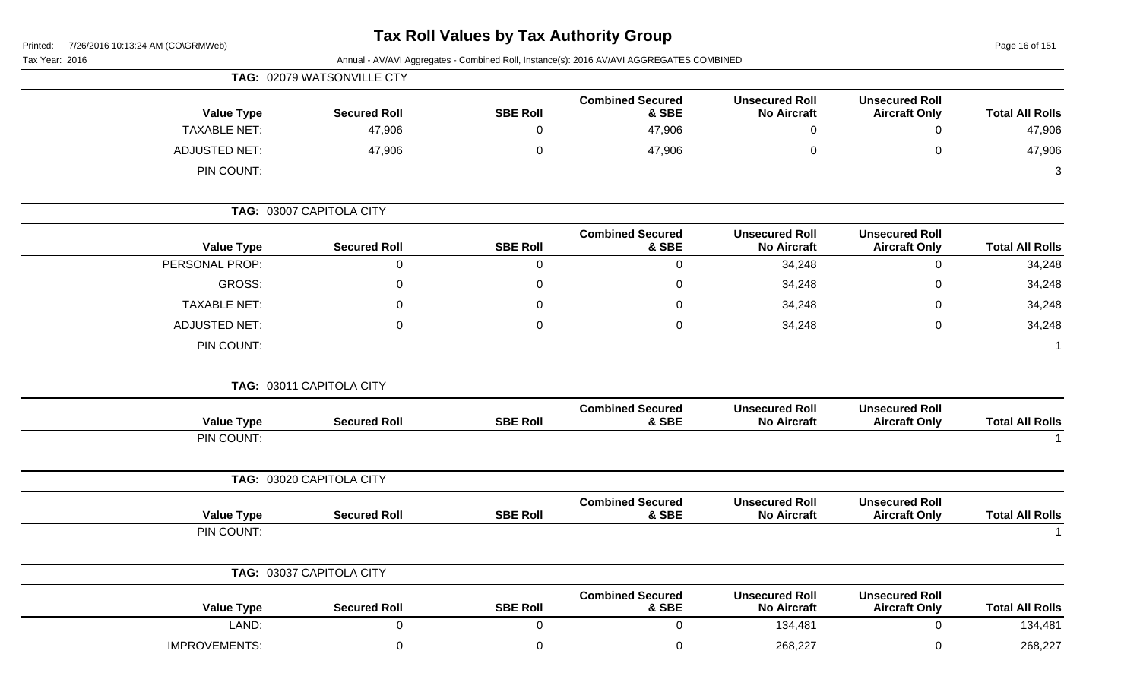Page 16 of 151

| Tax Year: 2016       |                            |                 | Annual - AV/AVI Aggregates - Combined Roll, Instance(s): 2016 AV/AVI AGGREGATES COMBINED |                                             |                                               |                        |
|----------------------|----------------------------|-----------------|------------------------------------------------------------------------------------------|---------------------------------------------|-----------------------------------------------|------------------------|
|                      | TAG: 02079 WATSONVILLE CTY |                 |                                                                                          |                                             |                                               |                        |
| <b>Value Type</b>    | <b>Secured Roll</b>        | <b>SBE Roll</b> | <b>Combined Secured</b><br>& SBE                                                         | <b>Unsecured Roll</b><br><b>No Aircraft</b> | <b>Unsecured Roll</b><br><b>Aircraft Only</b> | <b>Total All Rolls</b> |
| <b>TAXABLE NET:</b>  | 47,906                     | 0               | 47,906                                                                                   | $\mathbf 0$                                 | $\mathbf 0$                                   | 47,906                 |
| <b>ADJUSTED NET:</b> | 47,906                     | 0               | 47,906                                                                                   | 0                                           | $\mathbf 0$                                   | 47,906                 |
| PIN COUNT:           |                            |                 |                                                                                          |                                             |                                               | 3                      |
|                      | TAG: 03007 CAPITOLA CITY   |                 |                                                                                          |                                             |                                               |                        |
| <b>Value Type</b>    | <b>Secured Roll</b>        | <b>SBE Roll</b> | <b>Combined Secured</b><br>& SBE                                                         | <b>Unsecured Roll</b><br><b>No Aircraft</b> | <b>Unsecured Roll</b><br><b>Aircraft Only</b> | <b>Total All Rolls</b> |
| PERSONAL PROP:       | 0                          | 0               | 0                                                                                        | 34,248                                      | $\mathbf 0$                                   | 34,248                 |
| GROSS:               | $\Omega$                   | 0               | 0                                                                                        | 34,248                                      | 0                                             | 34,248                 |
| <b>TAXABLE NET:</b>  | ∩                          | 0               | 0                                                                                        | 34,248                                      | 0                                             | 34,248                 |
| <b>ADJUSTED NET:</b> | $\Omega$                   | 0               | $\mathbf 0$                                                                              | 34,248                                      | $\mathbf 0$                                   | 34,248                 |
| PIN COUNT:           |                            |                 |                                                                                          |                                             |                                               |                        |
|                      | TAG: 03011 CAPITOLA CITY   |                 |                                                                                          |                                             |                                               |                        |
| <b>Value Type</b>    | <b>Secured Roll</b>        | <b>SBE Roll</b> | <b>Combined Secured</b><br>& SBE                                                         | <b>Unsecured Roll</b><br><b>No Aircraft</b> | <b>Unsecured Roll</b><br><b>Aircraft Only</b> | <b>Total All Rolls</b> |
| PIN COUNT:           |                            |                 |                                                                                          |                                             |                                               |                        |
|                      | TAG: 03020 CAPITOLA CITY   |                 |                                                                                          |                                             |                                               |                        |
| <b>Value Type</b>    | <b>Secured Roll</b>        | <b>SBE Roll</b> | <b>Combined Secured</b><br>& SBE                                                         | <b>Unsecured Roll</b><br><b>No Aircraft</b> | <b>Unsecured Roll</b><br><b>Aircraft Only</b> | <b>Total All Rolls</b> |
| PIN COUNT:           |                            |                 |                                                                                          |                                             |                                               |                        |
|                      | TAG: 03037 CAPITOLA CITY   |                 |                                                                                          |                                             |                                               |                        |
| <b>Value Type</b>    | <b>Secured Roll</b>        | <b>SBE Roll</b> | <b>Combined Secured</b><br>& SBE                                                         | <b>Unsecured Roll</b><br><b>No Aircraft</b> | <b>Unsecured Roll</b><br><b>Aircraft Only</b> | <b>Total All Rolls</b> |
| LAND:                | $\mathsf 0$                | 0               | 0                                                                                        | 134,481                                     | $\mathsf 0$                                   | 134,481                |
| <b>IMPROVEMENTS:</b> | $\pmb{0}$                  | $\mathbf 0$     | $\mathbf 0$                                                                              | 268,227                                     | $\pmb{0}$                                     | 268,227                |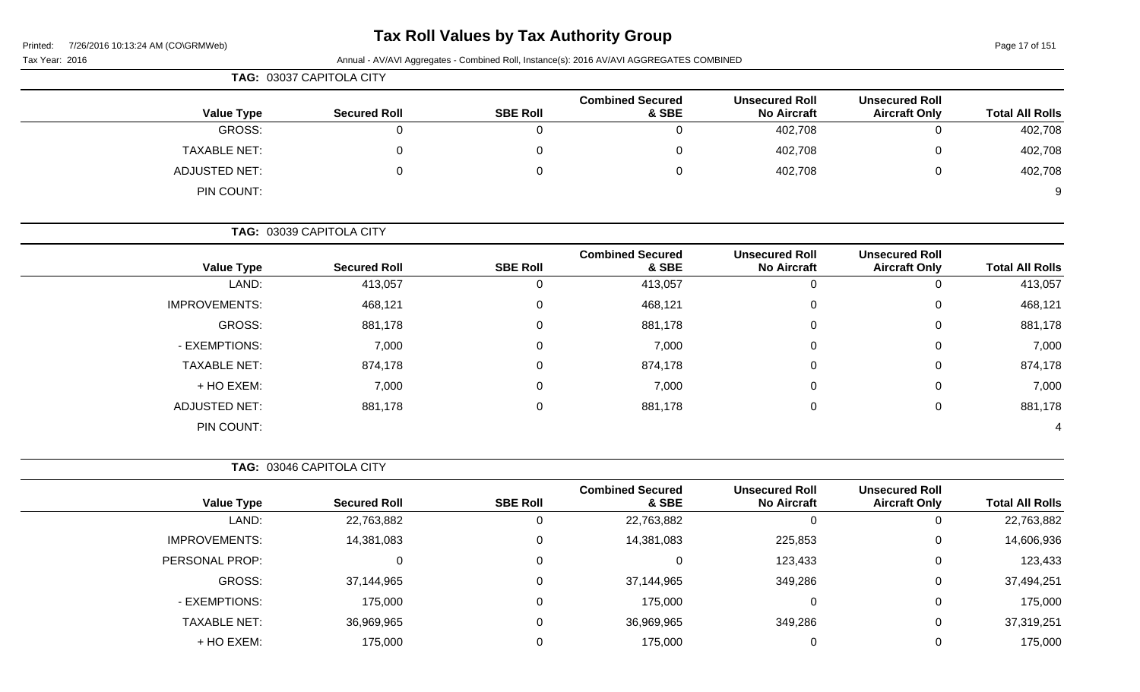# **Tax Roll Values by Tax Authority Group**

Tax Year: 2016 **Annual - AV/AVI Aggregates - Combined Roll**, Instance(s): 2016 AV/AVI AGGREGATES COMBINED

| TAG: 03037 CAPITOLA CITY |                     |                 |                                  |                                             |                                               |                        |
|--------------------------|---------------------|-----------------|----------------------------------|---------------------------------------------|-----------------------------------------------|------------------------|
| <b>Value Type</b>        | <b>Secured Roll</b> | <b>SBE Roll</b> | <b>Combined Secured</b><br>& SBE | <b>Unsecured Roll</b><br><b>No Aircraft</b> | <b>Unsecured Roll</b><br><b>Aircraft Only</b> | <b>Total All Rolls</b> |
| GROSS:                   |                     |                 | 0                                | 402,708                                     | $\Omega$                                      | 402,708                |
| TAXABLE NET:             |                     |                 | 0                                | 402,708                                     | $\mathbf 0$                                   | 402,708                |
| <b>ADJUSTED NET:</b>     |                     |                 | 0                                | 402,708                                     | 0                                             | 402,708                |
| PIN COUNT:               |                     |                 |                                  |                                             |                                               | 9                      |
|                          |                     |                 |                                  |                                             |                                               |                        |

**TAG:** 03039 CAPITOLA CITY

| <b>Value Type</b>    | <b>Secured Roll</b> | <b>SBE Roll</b> | <b>Combined Secured</b><br>& SBE | <b>Unsecured Roll</b><br><b>No Aircraft</b> | <b>Unsecured Roll</b><br><b>Aircraft Only</b> | <b>Total All Rolls</b> |
|----------------------|---------------------|-----------------|----------------------------------|---------------------------------------------|-----------------------------------------------|------------------------|
| LAND:                | 413,057             | U               | 413,057                          | U                                           | 0                                             | 413,057                |
| <b>IMPROVEMENTS:</b> | 468,121             | 0               | 468,121                          | 0                                           | 0                                             | 468,121                |
| GROSS:               | 881,178             | 0               | 881,178                          | 0                                           | 0                                             | 881,178                |
| - EXEMPTIONS:        | 7,000               | 0               | 7,000                            | 0                                           | $\mathbf 0$                                   | 7,000                  |
| <b>TAXABLE NET:</b>  | 874,178             | 0               | 874,178                          | 0                                           | 0                                             | 874,178                |
| + HO EXEM:           | 7,000               | 0               | 7,000                            | 0                                           | $\mathbf 0$                                   | 7,000                  |
| <b>ADJUSTED NET:</b> | 881,178             | 0               | 881,178                          | 0                                           | $\mathbf 0$                                   | 881,178                |
| PIN COUNT:           |                     |                 |                                  |                                             |                                               |                        |

**TAG:** 03046 CAPITOLA CITY

|                      |                     |                 | <b>Combined Secured</b> | <b>Unsecured Roll</b> | <b>Unsecured Roll</b> |                        |
|----------------------|---------------------|-----------------|-------------------------|-----------------------|-----------------------|------------------------|
| <b>Value Type</b>    | <b>Secured Roll</b> | <b>SBE Roll</b> | & SBE                   | <b>No Aircraft</b>    | <b>Aircraft Only</b>  | <b>Total All Rolls</b> |
| LAND:                | 22,763,882          | 0               | 22,763,882              |                       | 0                     | 22,763,882             |
| <b>IMPROVEMENTS:</b> | 14,381,083          | 0               | 14,381,083              | 225,853               | 0                     | 14,606,936             |
| PERSONAL PROP:       | 0                   | 0               | 0                       | 123,433               | 0                     | 123,433                |
| GROSS:               | 37,144,965          | 0               | 37,144,965              | 349,286               | 0                     | 37,494,251             |
| - EXEMPTIONS:        | 175,000             | 0               | 175,000                 |                       | 0                     | 175,000                |
| <b>TAXABLE NET:</b>  | 36,969,965          | 0               | 36,969,965              | 349,286               | 0                     | 37,319,251             |
| + HO EXEM:           | 175,000             |                 | 175,000                 |                       | 0                     | 175,000                |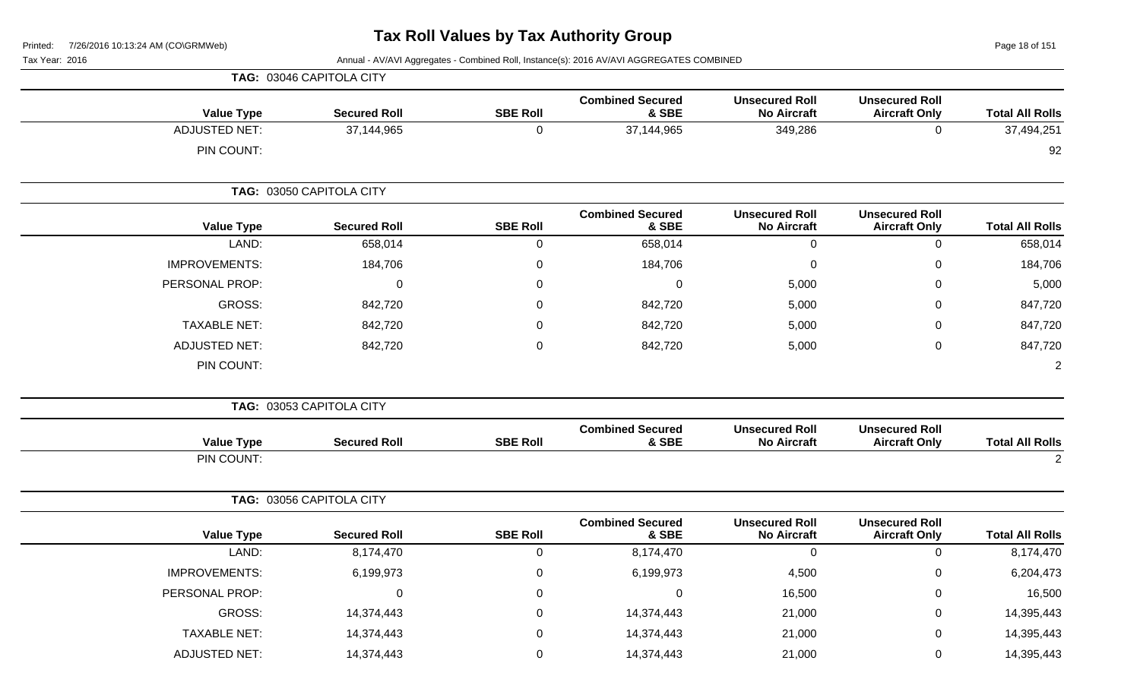Page 18 of 151

|                        |                                               |                                             |                                  |                 | TAG: 03046 CAPITOLA CITY |                      |
|------------------------|-----------------------------------------------|---------------------------------------------|----------------------------------|-----------------|--------------------------|----------------------|
| <b>Total All Rolls</b> | <b>Unsecured Roll</b><br><b>Aircraft Only</b> | <b>Unsecured Roll</b><br><b>No Aircraft</b> | <b>Combined Secured</b><br>& SBE | <b>SBE Roll</b> | <b>Secured Roll</b>      | <b>Value Type</b>    |
| 37,494,251             | $\mathbf 0$                                   | 349,286                                     | 37,144,965                       | $\mathbf 0$     | 37,144,965               | <b>ADJUSTED NET:</b> |
| 92                     |                                               |                                             |                                  |                 |                          | PIN COUNT:           |
|                        |                                               |                                             |                                  |                 | TAG: 03050 CAPITOLA CITY |                      |
| <b>Total All Rolls</b> | <b>Unsecured Roll</b><br><b>Aircraft Only</b> | <b>Unsecured Roll</b><br><b>No Aircraft</b> | <b>Combined Secured</b><br>& SBE | <b>SBE Roll</b> | <b>Secured Roll</b>      | <b>Value Type</b>    |
| 658,014                | $\mathbf 0$                                   | $\mathbf 0$                                 | 658,014                          | $\pmb{0}$       | 658,014                  | LAND:                |
| 184,706                | $\mathbf 0$                                   | $\pmb{0}$                                   | 184,706                          | $\pmb{0}$       | 184,706                  | <b>IMPROVEMENTS:</b> |
| 5,000                  | 0                                             | 5,000                                       | 0                                | 0               | $\mathbf 0$              | PERSONAL PROP:       |
| 847,720                | $\mathbf 0$                                   | 5,000                                       | 842,720                          | $\mathbf 0$     | 842,720                  | GROSS:               |
| 847,720                | $\mathbf 0$                                   | 5,000                                       | 842,720                          | 0               | 842,720                  | <b>TAXABLE NET:</b>  |
| 847,720                | $\pmb{0}$                                     | 5,000                                       | 842,720                          | $\pmb{0}$       | 842,720                  | <b>ADJUSTED NET:</b> |
| $\overline{2}$         |                                               |                                             |                                  |                 |                          | PIN COUNT:           |
|                        |                                               |                                             |                                  |                 | TAG: 03053 CAPITOLA CITY |                      |
| <b>Total All Rolls</b> | <b>Unsecured Roll</b><br><b>Aircraft Only</b> | <b>Unsecured Roll</b><br><b>No Aircraft</b> | <b>Combined Secured</b><br>& SBE | <b>SBE Roll</b> | <b>Secured Roll</b>      | <b>Value Type</b>    |
| 2                      |                                               |                                             |                                  |                 |                          | PIN COUNT:           |
|                        |                                               |                                             |                                  |                 | TAG: 03056 CAPITOLA CITY |                      |
| <b>Total All Rolls</b> | <b>Unsecured Roll</b><br><b>Aircraft Only</b> | <b>Unsecured Roll</b><br><b>No Aircraft</b> | <b>Combined Secured</b><br>& SBE | <b>SBE Roll</b> | <b>Secured Roll</b>      | <b>Value Type</b>    |
| 8,174,470              | $\mathbf 0$                                   | $\mathbf 0$                                 | 8,174,470                        | $\mathbf 0$     | 8,174,470                | LAND:                |
| 6,204,473              | $\mathbf 0$                                   | 4,500                                       | 6,199,973                        | $\pmb{0}$       | 6,199,973                | <b>IMPROVEMENTS:</b> |
| 16,500                 | 0                                             | 16,500                                      | 0                                | 0               | $\mathbf 0$              | PERSONAL PROP:       |
| 14,395,443             | $\pmb{0}$                                     | 21,000                                      | 14,374,443                       | $\Omega$        | 14,374,443               | <b>GROSS:</b>        |
| 14,395,443             | $\mathbf 0$                                   | 21,000                                      | 14,374,443                       | 0               | 14,374,443               | <b>TAXABLE NET:</b>  |
| 14,395,443             | $\mathbf 0$                                   | 21,000                                      | 14,374,443                       | $\mathbf 0$     | 14,374,443               | <b>ADJUSTED NET:</b> |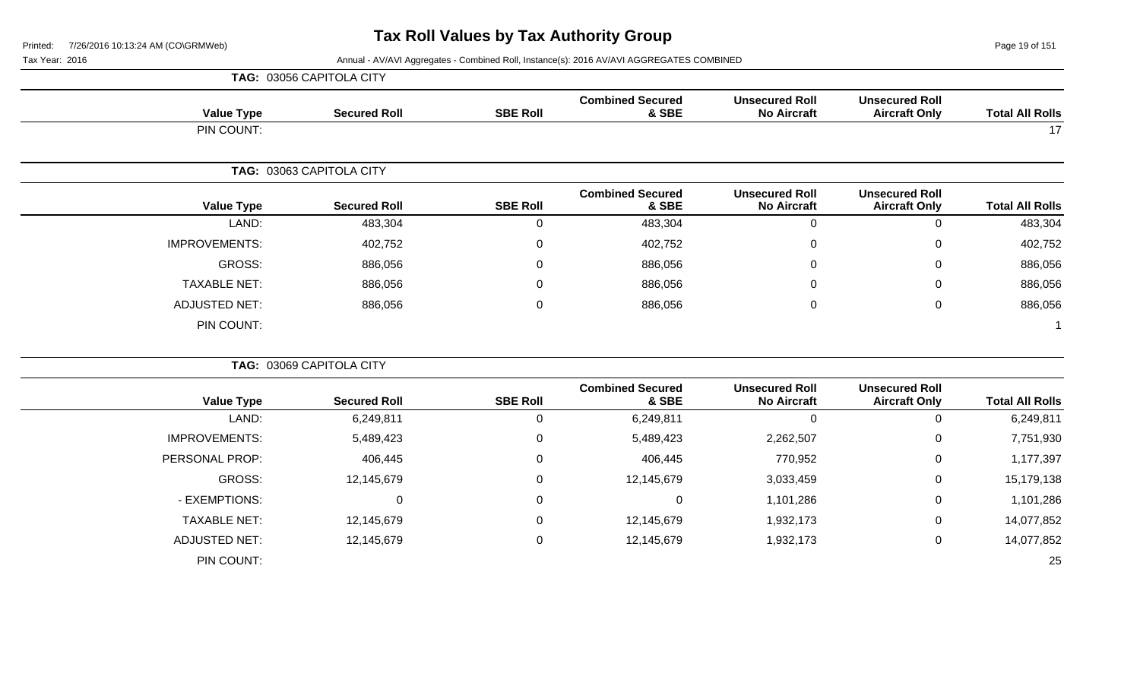Page 19 of 151

|                        |                                               |                                             |                                  |                 | TAG: 03056 CAPITOLA CITY |                      |
|------------------------|-----------------------------------------------|---------------------------------------------|----------------------------------|-----------------|--------------------------|----------------------|
| <b>Total All Rolls</b> | <b>Unsecured Roll</b><br><b>Aircraft Only</b> | <b>Unsecured Roll</b><br><b>No Aircraft</b> | <b>Combined Secured</b><br>& SBE | <b>SBE Roll</b> | <b>Secured Roll</b>      | <b>Value Type</b>    |
| 17                     |                                               |                                             |                                  |                 |                          | PIN COUNT:           |
|                        |                                               |                                             |                                  |                 | TAG: 03063 CAPITOLA CITY |                      |
| <b>Total All Rolls</b> | <b>Unsecured Roll</b><br><b>Aircraft Only</b> | <b>Unsecured Roll</b><br><b>No Aircraft</b> | <b>Combined Secured</b><br>& SBE | <b>SBE Roll</b> | <b>Secured Roll</b>      | <b>Value Type</b>    |
| 483,304                | $\mathbf 0$                                   | $\boldsymbol{0}$                            | 483,304                          | 0               | 483,304                  | LAND:                |
| 402,752                | 0                                             | $\mathbf{0}$                                | 402,752                          | 0               | 402,752                  | <b>IMPROVEMENTS:</b> |
| 886,056                | $\Omega$                                      | $\Omega$                                    | 886,056                          | $\Omega$        | 886,056                  | <b>GROSS:</b>        |
| 886,056                | 0                                             | 0                                           | 886,056                          | 0               | 886,056                  | <b>TAXABLE NET:</b>  |
| 886,056                | $\mathbf 0$                                   | $\Omega$                                    | 886,056                          | 0               | 886,056                  | <b>ADJUSTED NET:</b> |
|                        |                                               |                                             |                                  |                 |                          | PIN COUNT:           |
|                        |                                               |                                             |                                  |                 | TAG: 03069 CAPITOLA CITY |                      |
| <b>Total All Rolls</b> | <b>Unsecured Roll</b><br><b>Aircraft Only</b> | <b>Unsecured Roll</b><br><b>No Aircraft</b> | <b>Combined Secured</b><br>& SBE | <b>SBE Roll</b> | <b>Secured Roll</b>      | <b>Value Type</b>    |
| 6,249,811              | $\mathbf 0$                                   | $\mathbf 0$                                 | 6,249,811                        | 0               | 6,249,811                | LAND:                |
| 7,751,930              | 0                                             | 2,262,507                                   | 5,489,423                        | 0               | 5,489,423                | <b>IMPROVEMENTS:</b> |
| 1,177,397              | $\mathbf 0$                                   | 770,952                                     | 406,445                          | 0               | 406,445                  | PERSONAL PROP:       |
| 15,179,138             | $\mathbf 0$                                   | 3,033,459                                   | 12,145,679                       | 0               | 12,145,679               | <b>GROSS:</b>        |
| 1,101,286              | 0                                             | 1,101,286                                   | $\Omega$                         | 0               | $\Omega$                 | - EXEMPTIONS:        |
| 14,077,852             | $\mathbf 0$                                   | 1,932,173                                   | 12,145,679                       | 0               | 12,145,679               | <b>TAXABLE NET:</b>  |
| 14,077,852             | $\pmb{0}$                                     | 1,932,173                                   | 12,145,679                       | 0               | 12,145,679               | <b>ADJUSTED NET:</b> |
| 25                     |                                               |                                             |                                  |                 |                          | PIN COUNT:           |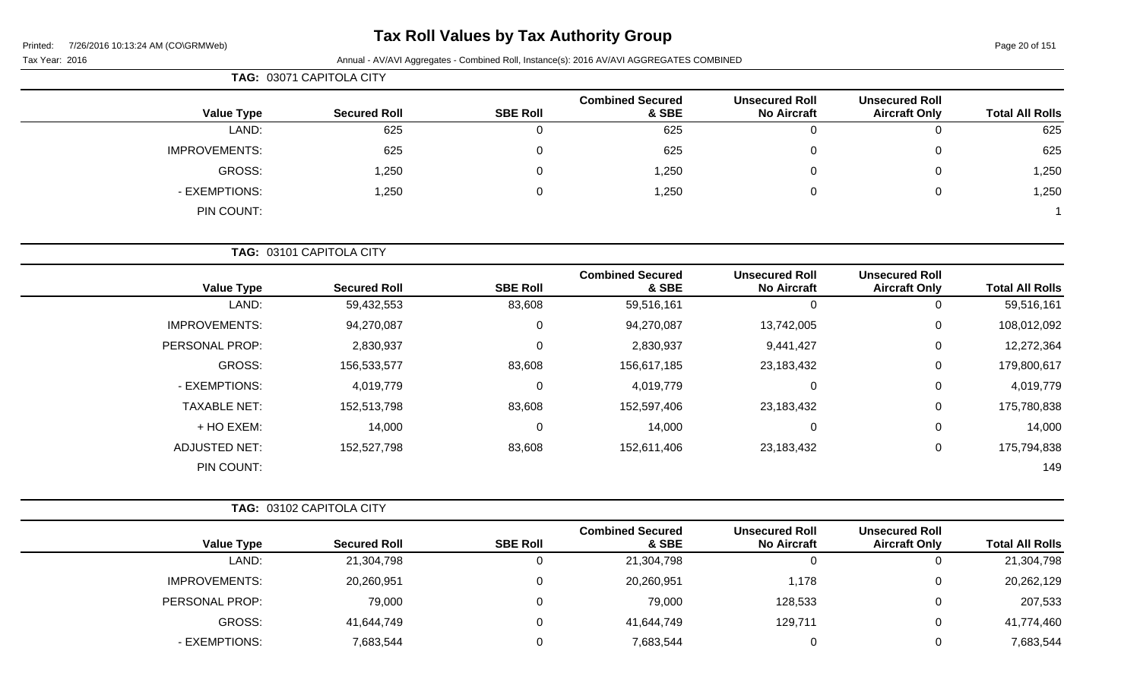# **Tax Roll Values by Tax Authority Group**

Tax Year: 2016 **Annual - AV/AVI Aggregates - Combined Roll**, Instance(s): 2016 AV/AVI AGGREGATES COMBINED

|                        |                                               |                                             |                                  | TAG: 03071 CAPITOLA CITY |                     |                      |  |  |
|------------------------|-----------------------------------------------|---------------------------------------------|----------------------------------|--------------------------|---------------------|----------------------|--|--|
| <b>Total All Rolls</b> | <b>Unsecured Roll</b><br><b>Aircraft Only</b> | <b>Unsecured Roll</b><br><b>No Aircraft</b> | <b>Combined Secured</b><br>& SBE | <b>SBE Roll</b>          | <b>Secured Roll</b> | <b>Value Type</b>    |  |  |
| 625                    | 0                                             | 0                                           | 625                              | 0                        | 625                 | LAND:                |  |  |
| 625                    | 0                                             | 0                                           | 625                              | $\Omega$                 | 625                 | <b>IMPROVEMENTS:</b> |  |  |
| 1,250                  | 0                                             | 0                                           | 1,250                            | 0                        | 1,250               | <b>GROSS:</b>        |  |  |
| 1,250                  | 0                                             | 0                                           | 1,250                            | $\Omega$                 | 1,250               | - EXEMPTIONS:        |  |  |
|                        |                                               |                                             |                                  |                          |                     | PIN COUNT:           |  |  |

**TAG:** 03101 CAPITOLA CITY

| <b>Value Type</b>    | <b>Secured Roll</b> | <b>SBE Roll</b> | <b>Combined Secured</b><br>& SBE | <b>Unsecured Roll</b><br><b>No Aircraft</b> | <b>Unsecured Roll</b><br><b>Aircraft Only</b> | <b>Total All Rolls</b> |
|----------------------|---------------------|-----------------|----------------------------------|---------------------------------------------|-----------------------------------------------|------------------------|
| LAND:                | 59,432,553          | 83,608          | 59,516,161                       | O                                           | U                                             | 59,516,161             |
| <b>IMPROVEMENTS:</b> | 94,270,087          | $\mathbf 0$     | 94,270,087                       | 13,742,005                                  | 0                                             | 108,012,092            |
| PERSONAL PROP:       | 2,830,937           | $\Omega$        | 2,830,937                        | 9,441,427                                   | 0                                             | 12,272,364             |
| <b>GROSS:</b>        | 156,533,577         | 83,608          | 156,617,185                      | 23,183,432                                  | 0                                             | 179,800,617            |
| - EXEMPTIONS:        | 4,019,779           | $\Omega$        | 4,019,779                        | 0                                           | 0                                             | 4,019,779              |
| <b>TAXABLE NET:</b>  | 152,513,798         | 83,608          | 152,597,406                      | 23,183,432                                  | 0                                             | 175,780,838            |
| + HO EXEM:           | 14,000              | $\Omega$        | 14,000                           | 0                                           | $\mathbf 0$                                   | 14,000                 |
| ADJUSTED NET:        | 152,527,798         | 83,608          | 152,611,406                      | 23,183,432                                  | 0                                             | 175,794,838            |
| PIN COUNT:           |                     |                 |                                  |                                             |                                               | 149                    |

|                      | <b>TAG: 03102 CAPITOLA CITY</b> |                 |                                  |                                             |                                               |                        |
|----------------------|---------------------------------|-----------------|----------------------------------|---------------------------------------------|-----------------------------------------------|------------------------|
| Value Type           | <b>Secured Roll</b>             | <b>SBE Roll</b> | <b>Combined Secured</b><br>& SBE | <b>Unsecured Roll</b><br><b>No Aircraft</b> | <b>Unsecured Roll</b><br><b>Aircraft Only</b> | <b>Total All Rolls</b> |
| LAND:                | 21,304,798                      | C               | 21,304,798                       |                                             | U                                             | 21,304,798             |
| <b>IMPROVEMENTS:</b> | 20,260,951                      |                 | 20,260,951                       | 1,178                                       | $\overline{0}$                                | 20,262,129             |
| PERSONAL PROP:       | 79,000                          |                 | 79,000                           | 128,533                                     | $\mathbf{0}$                                  | 207,533                |
| GROSS:               | 41,644,749                      |                 | 41,644,749                       | 129,711                                     | $\overline{0}$                                | 41,774,460             |
| - EXEMPTIONS:        | 7,683,544                       |                 | 7,683,544                        |                                             | $\overline{0}$                                | 7,683,544              |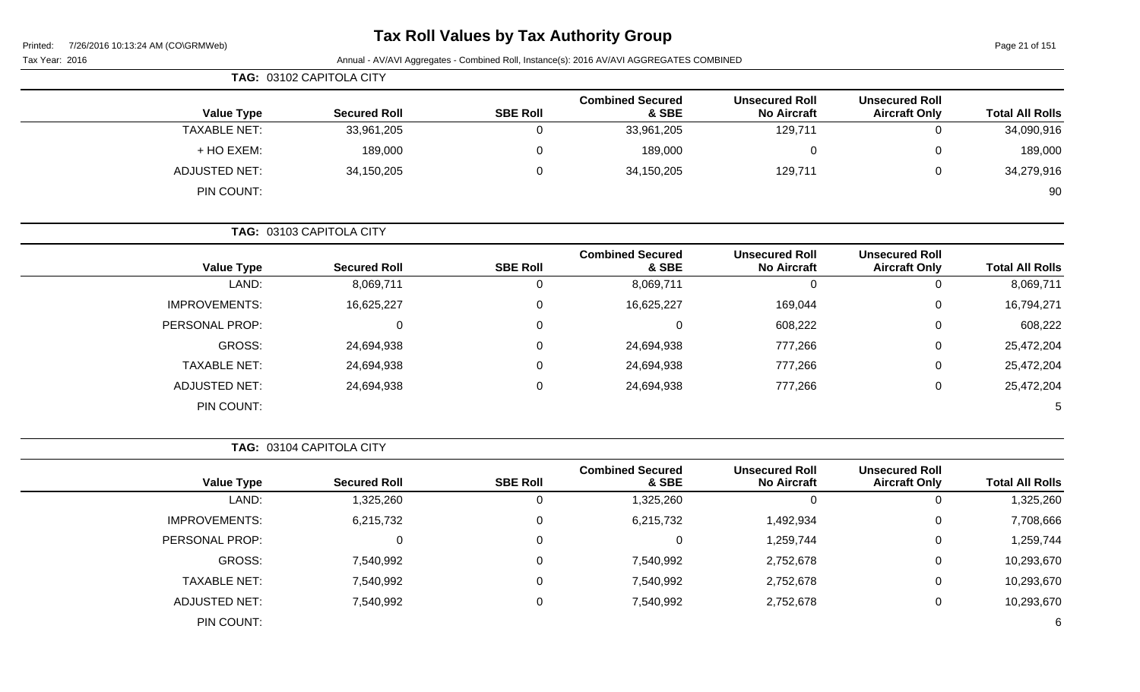# **Tax Roll Values by Tax Authority Group**

Page 21 of 151

| Tax Year: 2016 | Annual - AV/AVI Aggregates - Combined Roll, Instance(s): 2016 AV/AVI AGGREGATES COMBINED |
|----------------|------------------------------------------------------------------------------------------|

|                      | TAG: 03102 CAPITOLA CITY |                 |                                  |                                             |                                               |                        |
|----------------------|--------------------------|-----------------|----------------------------------|---------------------------------------------|-----------------------------------------------|------------------------|
| <b>Value Type</b>    | <b>Secured Roll</b>      | <b>SBE Roll</b> | <b>Combined Secured</b><br>& SBE | <b>Unsecured Roll</b><br><b>No Aircraft</b> | <b>Unsecured Roll</b><br><b>Aircraft Only</b> | <b>Total All Rolls</b> |
| <b>TAXABLE NET:</b>  | 33,961,205               |                 | 33,961,205                       | 129,711                                     | U                                             | 34,090,916             |
| + HO EXEM:           | 189,000                  |                 | 189,000                          |                                             | 0                                             | 189,000                |
| <b>ADJUSTED NET:</b> | 34,150,205               |                 | 34,150,205                       | 129,711                                     | 0                                             | 34,279,916             |
| PIN COUNT:           |                          |                 |                                  |                                             |                                               | 90                     |

**TAG:** 03103 CAPITOLA CITY

| <b>Value Type</b>    | <b>Secured Roll</b> | <b>SBE Roll</b> | <b>Combined Secured</b><br>& SBE | <b>Unsecured Roll</b><br><b>No Aircraft</b> | <b>Unsecured Roll</b><br><b>Aircraft Only</b> | <b>Total All Rolls</b> |
|----------------------|---------------------|-----------------|----------------------------------|---------------------------------------------|-----------------------------------------------|------------------------|
| LAND:                | 8,069,711           |                 | 8,069,711                        | υ                                           | O                                             | 8,069,711              |
| <b>IMPROVEMENTS:</b> | 16,625,227          | 0               | 16,625,227                       | 169,044                                     | 0                                             | 16,794,271             |
| PERSONAL PROP:       | 0                   | 0               |                                  | 608,222                                     | 0                                             | 608,222                |
| GROSS:               | 24,694,938          | 0               | 24,694,938                       | 777,266                                     | 0                                             | 25,472,204             |
| <b>TAXABLE NET:</b>  | 24,694,938          | 0               | 24,694,938                       | 777,266                                     | 0                                             | 25,472,204             |
| <b>ADJUSTED NET:</b> | 24,694,938          | 0               | 24,694,938                       | 777,266                                     | 0                                             | 25,472,204             |
| PIN COUNT:           |                     |                 |                                  |                                             |                                               | 5                      |

**TAG:** 03104 CAPITOLA CITY

|                      |                     |                 | <b>Combined Secured</b> | <b>Unsecured Roll</b> | <b>Unsecured Roll</b> |                        |
|----------------------|---------------------|-----------------|-------------------------|-----------------------|-----------------------|------------------------|
| <b>Value Type</b>    | <b>Secured Roll</b> | <b>SBE Roll</b> | & SBE                   | <b>No Aircraft</b>    | <b>Aircraft Only</b>  | <b>Total All Rolls</b> |
| LAND:                | 1,325,260           |                 | 1,325,260               | 0                     |                       | 1,325,260              |
| <b>IMPROVEMENTS:</b> | 6,215,732           |                 | 6,215,732               | 1,492,934             |                       | 7,708,666              |
| PERSONAL PROP:       |                     |                 |                         | 1,259,744             | 0                     | 1,259,744              |
| GROSS:               | 7,540,992           |                 | 7,540,992               | 2,752,678             | U                     | 10,293,670             |
| <b>TAXABLE NET:</b>  | 7,540,992           |                 | 7,540,992               | 2,752,678             | U                     | 10,293,670             |
| ADJUSTED NET:        | 7,540,992           |                 | 7,540,992               | 2,752,678             |                       | 10,293,670             |
| PIN COUNT:           |                     |                 |                         |                       |                       | 6                      |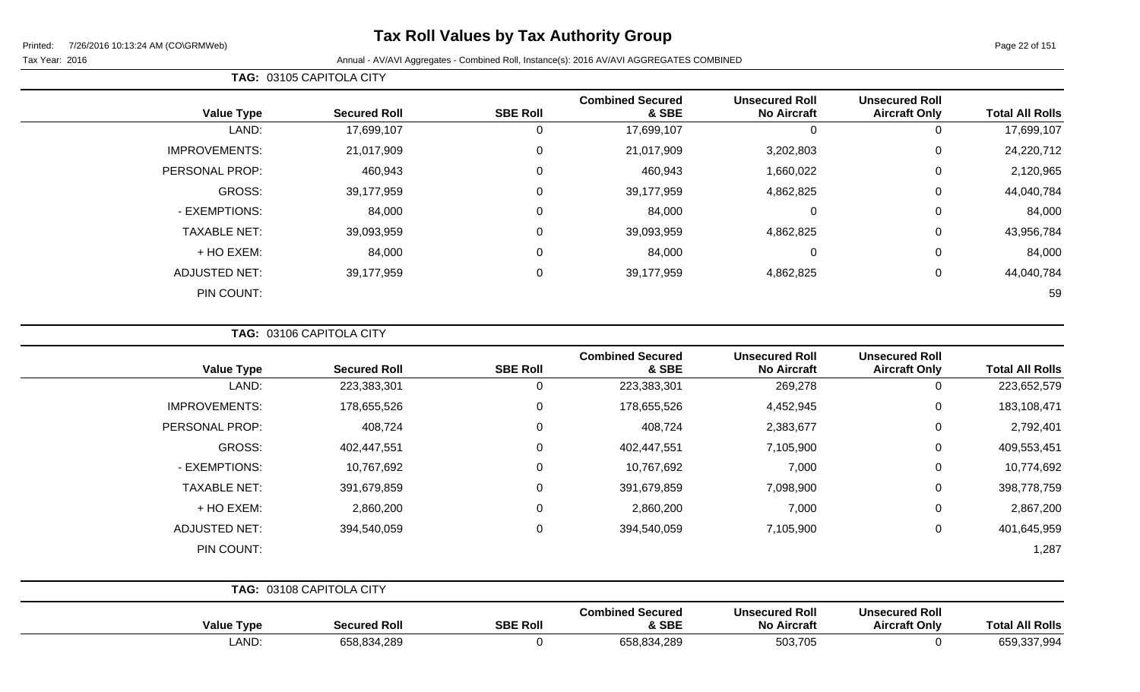# **Tax Roll Values by Tax Authority Group**

Page 22 of 151

#### Tax Year: 2016 **Annual - AV/AVI Aggregates - Combined Roll**, Instance(s): 2016 AV/AVI AGGREGATES COMBINED

|                      |                     |                 | <b>Combined Secured</b> | <b>Unsecured Roll</b> | <b>Unsecured Roll</b> |                        |
|----------------------|---------------------|-----------------|-------------------------|-----------------------|-----------------------|------------------------|
| <b>Value Type</b>    | <b>Secured Roll</b> | <b>SBE Roll</b> | & SBE                   | <b>No Aircraft</b>    | <b>Aircraft Only</b>  | <b>Total All Rolls</b> |
| LAND:                | 17,699,107          |                 | 17,699,107              | 0                     | 0                     | 17,699,107             |
| <b>IMPROVEMENTS:</b> | 21,017,909          | 0               | 21,017,909              | 3,202,803             | $\overline{0}$        | 24,220,712             |
| PERSONAL PROP:       | 460,943             | 0               | 460,943                 | 1,660,022             | $\mathbf 0$           | 2,120,965              |
| GROSS:               | 39,177,959          | 0               | 39,177,959              | 4,862,825             | 0                     | 44,040,784             |
| - EXEMPTIONS:        | 84,000              | 0               | 84,000                  | 0                     | 0                     | 84,000                 |
| <b>TAXABLE NET:</b>  | 39,093,959          | 0               | 39,093,959              | 4,862,825             | $\mathbf 0$           | 43,956,784             |
| + HO EXEM:           | 84,000              | 0               | 84,000                  | 0                     | 0                     | 84,000                 |
| <b>ADJUSTED NET:</b> | 39,177,959          | 0               | 39,177,959              | 4,862,825             | 0                     | 44,040,784             |
| PIN COUNT:           |                     |                 |                         |                       |                       | 59                     |

**TAG:** 03106 CAPITOLA CITY

**TAG:** 03105 CAPITOLA CITY

| <b>Value Type</b>    | <b>Secured Roll</b>      | <b>SBE Roll</b> | <b>Combined Secured</b><br>& SBE | <b>Unsecured Roll</b><br><b>No Aircraft</b> | <b>Unsecured Roll</b><br><b>Aircraft Only</b> | <b>Total All Rolls</b> |
|----------------------|--------------------------|-----------------|----------------------------------|---------------------------------------------|-----------------------------------------------|------------------------|
| LAND:                | 223,383,301              | 0               | 223,383,301                      | 269,278                                     | 0                                             | 223,652,579            |
| <b>IMPROVEMENTS:</b> | 178,655,526              | 0               | 178,655,526                      | 4,452,945                                   | $\mathbf 0$                                   | 183,108,471            |
| PERSONAL PROP:       | 408,724                  | 0               | 408,724                          | 2,383,677                                   | 0                                             | 2,792,401              |
| GROSS:               | 402,447,551              | 0               | 402,447,551                      | 7,105,900                                   | $\mathbf 0$                                   | 409,553,451            |
| - EXEMPTIONS:        | 10,767,692               | $\Omega$        | 10,767,692                       | 7,000                                       | $\mathbf 0$                                   | 10,774,692             |
| <b>TAXABLE NET:</b>  | 391,679,859              | 0               | 391,679,859                      | 7,098,900                                   | 0                                             | 398,778,759            |
| + HO EXEM:           | 2,860,200                | 0               | 2,860,200                        | 7,000                                       | 0                                             | 2,867,200              |
| <b>ADJUSTED NET:</b> | 394,540,059              | $\Omega$        | 394,540,059                      | 7,105,900                                   | 0                                             | 401,645,959            |
| PIN COUNT:           |                          |                 |                                  |                                             |                                               | 1,287                  |
|                      | TAG: 03108 CAPITOLA CITY |                 |                                  |                                             |                                               |                        |

| <b>Value Type</b> | <b>Secured Roll</b> | <b>SBE Roll</b> | <b>Combined Secured</b><br>& SBE | <b>Unsecured Roll</b><br><b>No Aircraft</b> | <b>Unsecured Roll</b><br>Aircraft Only | <b>Total All Rolls</b> |
|-------------------|---------------------|-----------------|----------------------------------|---------------------------------------------|----------------------------------------|------------------------|
| LAND:             | 658,834,289         |                 | .834.289<br>658,83               | 503,705                                     |                                        | 659,337,994            |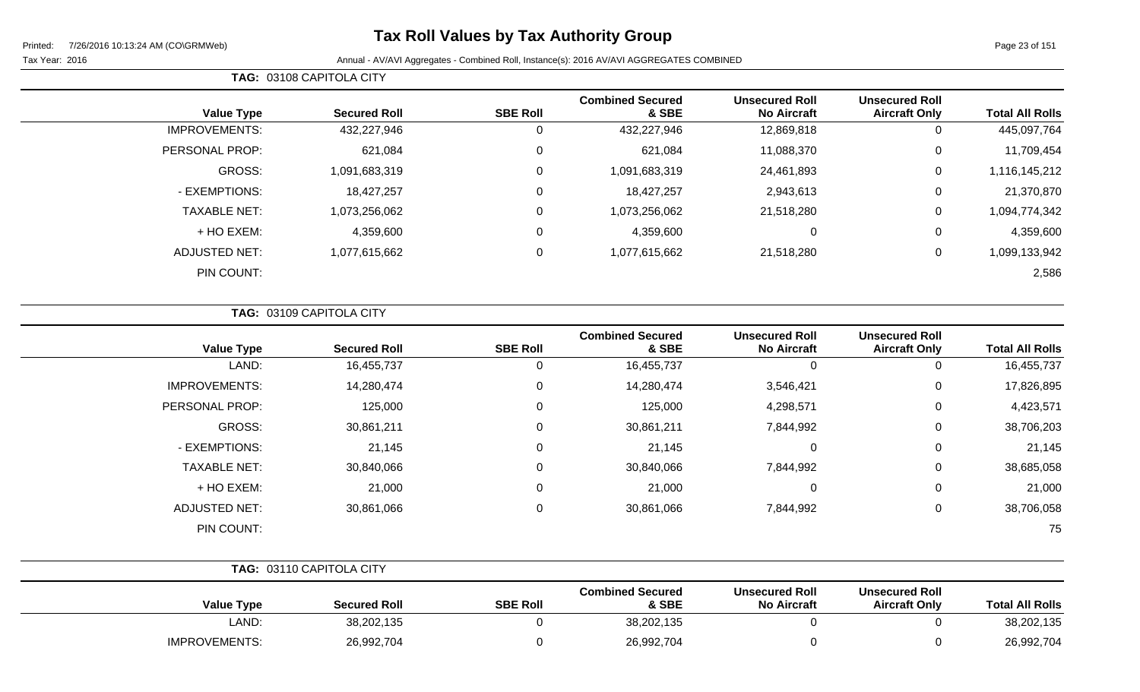# **Tax Roll Values by Tax Authority Group**

#### Tax Year: 2016 **Annual - AV/AVI Aggregates - Combined Roll**, Instance(s): 2016 AV/AVI AGGREGATES COMBINED

**TAG:** 03108 CAPITOLA CITY

|                      |                     |                 | <b>Combined Secured</b> | <b>Unsecured Roll</b> | <b>Unsecured Roll</b> |                        |
|----------------------|---------------------|-----------------|-------------------------|-----------------------|-----------------------|------------------------|
| <b>Value Type</b>    | <b>Secured Roll</b> | <b>SBE Roll</b> | & SBE                   | <b>No Aircraft</b>    | <b>Aircraft Only</b>  | <b>Total All Rolls</b> |
| <b>IMPROVEMENTS:</b> | 432,227,946         | 0               | 432,227,946             | 12,869,818            | 0                     | 445,097,764            |
| PERSONAL PROP:       | 621,084             | $\Omega$        | 621,084                 | 11,088,370            | 0                     | 11,709,454             |
| GROSS:               | 1,091,683,319       | 0               | 1,091,683,319           | 24,461,893            | 0                     | 1,116,145,212          |
| - EXEMPTIONS:        | 18,427,257          | 0               | 18,427,257              | 2,943,613             | 0                     | 21,370,870             |
| <b>TAXABLE NET:</b>  | 1,073,256,062       | 0               | 1,073,256,062           | 21,518,280            | 0                     | 1,094,774,342          |
| + HO EXEM:           | 4,359,600           | $\Omega$        | 4,359,600               | 0                     | 0                     | 4,359,600              |
| <b>ADJUSTED NET:</b> | 1,077,615,662       | $\Omega$        | 1,077,615,662           | 21,518,280            | 0                     | 1,099,133,942          |
| PIN COUNT:           |                     |                 |                         |                       |                       | 2,586                  |

|  | <b>TAG: 03109 CAPITOLA CITY</b> |  |
|--|---------------------------------|--|
|  |                                 |  |

| <b>Value Type</b>    | <b>Secured Roll</b> | <b>SBE Roll</b> | <b>Combined Secured</b><br>& SBE | <b>Unsecured Roll</b><br><b>No Aircraft</b> | <b>Unsecured Roll</b><br><b>Aircraft Only</b> | <b>Total All Rolls</b> |
|----------------------|---------------------|-----------------|----------------------------------|---------------------------------------------|-----------------------------------------------|------------------------|
| LAND:                | 16,455,737          | 0               | 16,455,737                       |                                             | 0                                             | 16,455,737             |
| <b>IMPROVEMENTS:</b> | 14,280,474          | 0               | 14,280,474                       | 3,546,421                                   | 0                                             | 17,826,895             |
| PERSONAL PROP:       | 125,000             | 0               | 125,000                          | 4,298,571                                   | 0                                             | 4,423,571              |
| GROSS:               | 30,861,211          | 0               | 30,861,211                       | 7,844,992                                   | 0                                             | 38,706,203             |
| - EXEMPTIONS:        | 21,145              | 0               | 21,145                           | 0                                           | 0                                             | 21,145                 |
| <b>TAXABLE NET:</b>  | 30,840,066          | 0               | 30,840,066                       | 7,844,992                                   | 0                                             | 38,685,058             |
| + HO EXEM:           | 21,000              | 0               | 21,000                           | 0                                           | 0                                             | 21,000                 |
| <b>ADJUSTED NET:</b> | 30,861,066          | 0               | 30,861,066                       | 7,844,992                                   | 0                                             | 38,706,058             |
| PIN COUNT:           |                     |                 |                                  |                                             |                                               | 75                     |

|                   | <b>TAG: 03110 CAPITOLA CITY</b> |                 |                                  |                                             |                                               |                        |
|-------------------|---------------------------------|-----------------|----------------------------------|---------------------------------------------|-----------------------------------------------|------------------------|
| <b>Value Type</b> | <b>Secured Roll</b>             | <b>SBE Roll</b> | <b>Combined Secured</b><br>& SBE | <b>Unsecured Roll</b><br><b>No Aircraft</b> | <b>Unsecured Roll</b><br><b>Aircraft Only</b> | <b>Total All Rolls</b> |
| LAND:             | 38,202,135                      |                 | 38,202,135                       |                                             |                                               | 38,202,135             |
| IMPROVEMENTS:     | 26,992,704                      |                 | 26,992,704                       |                                             |                                               | 26,992,704             |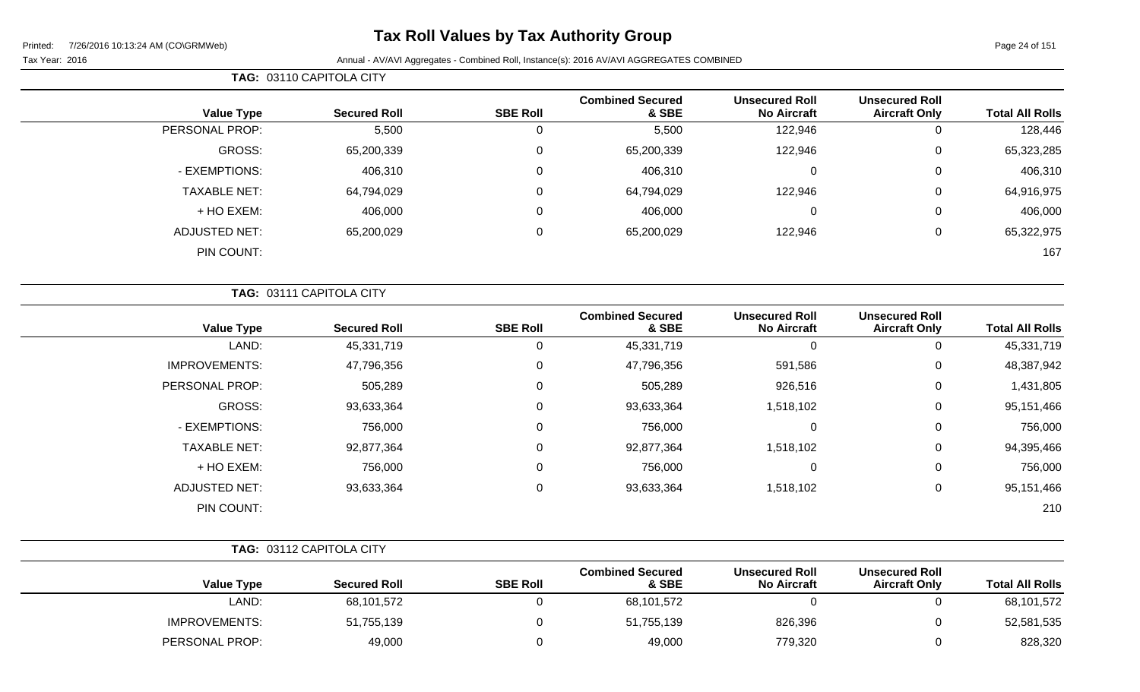# **Tax Roll Values by Tax Authority Group**

|                        |                                               |                                             |                                  | TAG: 03110 CAPITOLA CITY |                     |                     |  |
|------------------------|-----------------------------------------------|---------------------------------------------|----------------------------------|--------------------------|---------------------|---------------------|--|
| <b>Total All Rolls</b> | <b>Unsecured Roll</b><br><b>Aircraft Only</b> | <b>Unsecured Roll</b><br><b>No Aircraft</b> | <b>Combined Secured</b><br>& SBE | <b>SBE Roll</b>          | <b>Secured Roll</b> | <b>Value Type</b>   |  |
| 128,446                |                                               | 122,946                                     | 5,500                            | O                        | 5,500               | PERSONAL PROP:      |  |
| 65,323,285             | 0                                             | 122,946                                     | 65,200,339                       | 0                        | 65,200,339          | GROSS:              |  |
| 406,310                | $\mathbf 0$                                   | $\mathbf 0$                                 | 406,310                          | 0                        | 406,310             | - EXEMPTIONS:       |  |
| 64,916,975             | 0                                             | 122,946                                     | 64,794,029                       | 0                        | 64,794,029          | <b>TAXABLE NET:</b> |  |
| 406,000                | $\mathbf 0$                                   | 0                                           | 406,000                          | $\Omega$                 | 406,000             | + HO EXEM:          |  |
| 65,322,975             | 0                                             | 122,946                                     | 65,200,029                       | 0                        | 65,200,029          | ADJUSTED NET:       |  |
| 167                    |                                               |                                             |                                  |                          |                     | PIN COUNT:          |  |

|                      | TAG: 03111 CAPITOLA CITY |                 |                                  |                                             |                                               |                        |  |
|----------------------|--------------------------|-----------------|----------------------------------|---------------------------------------------|-----------------------------------------------|------------------------|--|
| <b>Value Type</b>    | <b>Secured Roll</b>      | <b>SBE Roll</b> | <b>Combined Secured</b><br>& SBE | <b>Unsecured Roll</b><br><b>No Aircraft</b> | <b>Unsecured Roll</b><br><b>Aircraft Only</b> | <b>Total All Rolls</b> |  |
| LAND:                | 45,331,719               | 0               | 45,331,719                       | 0                                           | 0                                             | 45,331,719             |  |
| <b>IMPROVEMENTS:</b> | 47,796,356               | $\mathbf 0$     | 47,796,356                       | 591,586                                     | 0                                             | 48,387,942             |  |
| PERSONAL PROP:       | 505,289                  | $\mathbf 0$     | 505,289                          | 926,516                                     | 0                                             | 1,431,805              |  |
| GROSS:               | 93,633,364               | 0               | 93,633,364                       | 1,518,102                                   | 0                                             | 95,151,466             |  |
| - EXEMPTIONS:        | 756,000                  | 0               | 756,000                          | 0                                           | 0                                             | 756,000                |  |
| <b>TAXABLE NET:</b>  | 92,877,364               | $\mathbf 0$     | 92,877,364                       | 1,518,102                                   | 0                                             | 94,395,466             |  |
| + HO EXEM:           | 756,000                  | $\mathbf 0$     | 756,000                          | $\mathbf 0$                                 | 0                                             | 756,000                |  |
| <b>ADJUSTED NET:</b> | 93,633,364               | $\mathbf 0$     | 93,633,364                       | 1,518,102                                   | 0                                             | 95,151,466             |  |
| PIN COUNT:           |                          |                 |                                  |                                             |                                               | 210                    |  |

|                        |                                               |                                             |                                  |                 | TAG: 03112 CAPITOLA CITY |                      |
|------------------------|-----------------------------------------------|---------------------------------------------|----------------------------------|-----------------|--------------------------|----------------------|
| <b>Total All Rolls</b> | <b>Unsecured Roll</b><br><b>Aircraft Only</b> | <b>Unsecured Roll</b><br><b>No Aircraft</b> | <b>Combined Secured</b><br>& SBE | <b>SBE Roll</b> | <b>Secured Roll</b>      | <b>Value Type</b>    |
| 68,101,572             |                                               |                                             | 68,101,572                       |                 | 68,101,572               | LAND:                |
| 52,581,535             |                                               | 826,396                                     | 51,755,139                       |                 | 51,755,139               | <b>IMPROVEMENTS:</b> |
| 828,320                |                                               | 779,320                                     | 49,000                           |                 | 49,000                   | PERSONAL PROP:       |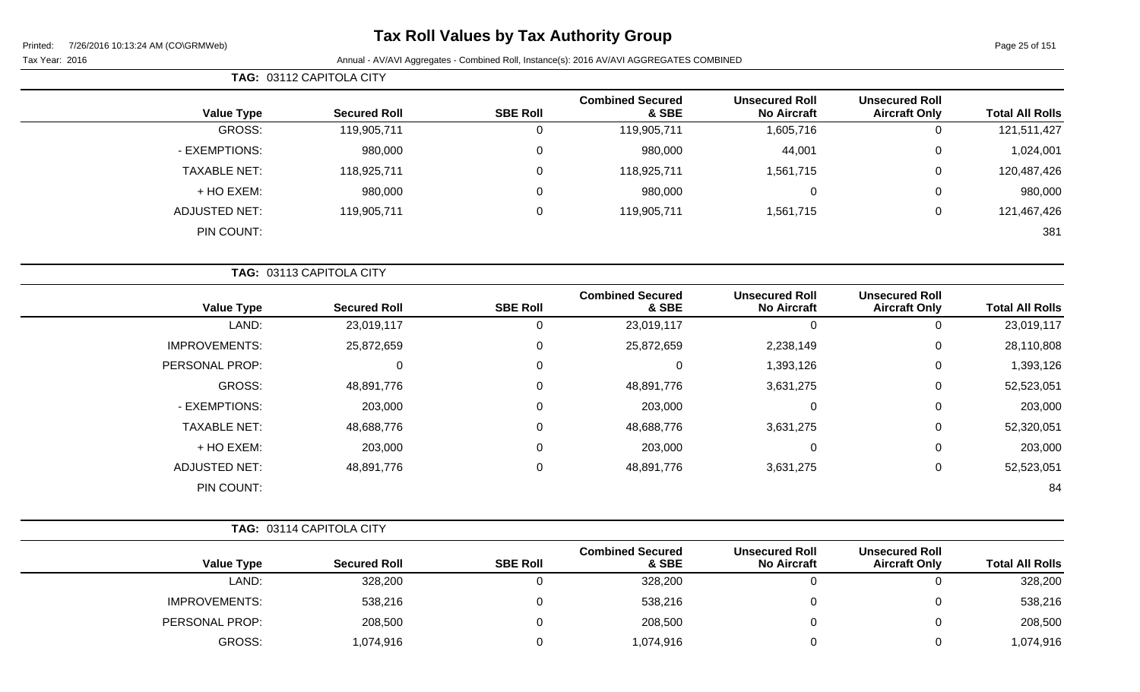# **Tax Roll Values by Tax Authority Group**

Page 25 of 151

|                     | TAG: 03112 CAPITOLA CITY |         |                 |                                  |                                             |                                               |                        |  |  |  |
|---------------------|--------------------------|---------|-----------------|----------------------------------|---------------------------------------------|-----------------------------------------------|------------------------|--|--|--|
| <b>Value Type</b>   | <b>Secured Roll</b>      |         | <b>SBE Roll</b> | <b>Combined Secured</b><br>& SBE | <b>Unsecured Roll</b><br><b>No Aircraft</b> | <b>Unsecured Roll</b><br><b>Aircraft Only</b> | <b>Total All Rolls</b> |  |  |  |
| GROSS:              | 119,905,711              |         | 0               | 119,905,711                      | 1,605,716                                   | 0                                             | 121,511,427            |  |  |  |
| - EXEMPTIONS:       |                          | 980,000 | 0               | 980,000                          | 44,001                                      | 0                                             | 1,024,001              |  |  |  |
| <b>TAXABLE NET:</b> | 118,925,711              |         | 0               | 118,925,711                      | 1,561,715                                   | 0                                             | 120,487,426            |  |  |  |
| + HO EXEM:          |                          | 980,000 | 0               | 980,000                          | 0                                           | 0                                             | 980,000                |  |  |  |
| ADJUSTED NET:       | 119,905,711              |         | 0               | 119,905,711                      | 1,561,715                                   | 0                                             | 121,467,426            |  |  |  |
| PIN COUNT:          |                          |         |                 |                                  |                                             |                                               | 381                    |  |  |  |

|                      | TAG: 03113 CAPITOLA CITY |                 |                                  |                                             |                                               |                        |
|----------------------|--------------------------|-----------------|----------------------------------|---------------------------------------------|-----------------------------------------------|------------------------|
| <b>Value Type</b>    | <b>Secured Roll</b>      | <b>SBE Roll</b> | <b>Combined Secured</b><br>& SBE | <b>Unsecured Roll</b><br><b>No Aircraft</b> | <b>Unsecured Roll</b><br><b>Aircraft Only</b> | <b>Total All Rolls</b> |
| LAND:                | 23,019,117               |                 | 23,019,117                       | 0                                           |                                               | 23,019,117             |
| <b>IMPROVEMENTS:</b> | 25,872,659               | 0               | 25,872,659                       | 2,238,149                                   | 0                                             | 28,110,808             |
| PERSONAL PROP:       | 0                        | $\mathbf 0$     |                                  | 1,393,126                                   | 0                                             | 1,393,126              |
| GROSS:               | 48,891,776               | $\Omega$        | 48,891,776                       | 3,631,275                                   | 0                                             | 52,523,051             |
| - EXEMPTIONS:        | 203,000                  | $\Omega$        | 203,000                          | $\mathbf 0$                                 | $\Omega$                                      | 203,000                |
| <b>TAXABLE NET:</b>  | 48,688,776               | 0               | 48,688,776                       | 3,631,275                                   | 0                                             | 52,320,051             |
| + HO EXEM:           | 203,000                  | $\Omega$        | 203,000                          | 0                                           | $\Omega$                                      | 203,000                |
| <b>ADJUSTED NET:</b> | 48,891,776               | $\Omega$        | 48,891,776                       | 3,631,275                                   | 0                                             | 52,523,051             |
| PIN COUNT:           |                          |                 |                                  |                                             |                                               | 84                     |

|   | TAG: 03114 CAPITOLA CITY |   |       |     |
|---|--------------------------|---|-------|-----|
| . |                          | . | ----- | Cor |

| <b>Value Type</b>    | <b>Secured Roll</b> | <b>SBE Roll</b> | <b>Combined Secured</b><br>& SBE | <b>Unsecured Roll</b><br><b>No Aircraft</b> | <b>Unsecured Roll</b><br><b>Aircraft Only</b> | <b>Total All Rolls</b> |
|----------------------|---------------------|-----------------|----------------------------------|---------------------------------------------|-----------------------------------------------|------------------------|
| LAND:                | 328,200             |                 | 328,200                          |                                             |                                               | 328,200                |
| <b>IMPROVEMENTS:</b> | 538,216             |                 | 538,216                          |                                             |                                               | 538,216                |
| PERSONAL PROP:       | 208,500             |                 | 208,500                          |                                             |                                               | 208,500                |
| GROSS:               | 1,074,916           |                 | 1,074,916                        |                                             |                                               | 1,074,916              |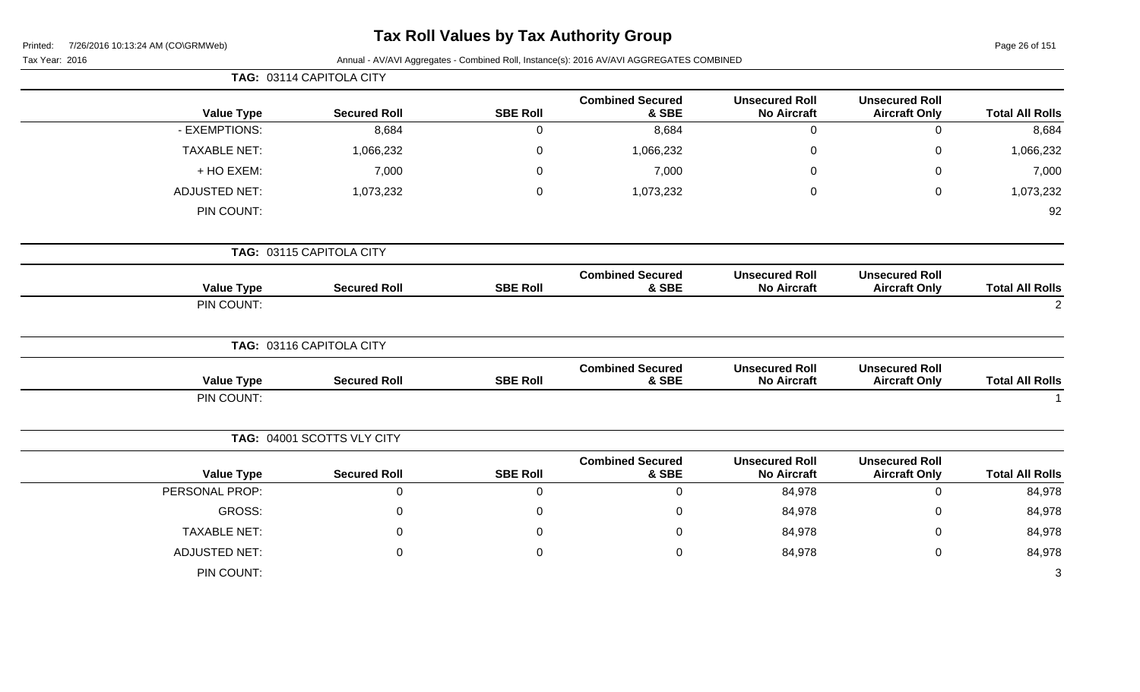| Printed: |  | 7/26/2016 10:13:24 AM (CO\GRMWeb) |
|----------|--|-----------------------------------|
|          |  |                                   |

Page 26 of 151

| Tax Year: 2016 |  |
|----------------|--|
|                |  |

|                      | TAG: 03114 CAPITOLA CITY   |                 |                                  |                                             |                                               |                        |
|----------------------|----------------------------|-----------------|----------------------------------|---------------------------------------------|-----------------------------------------------|------------------------|
| <b>Value Type</b>    | <b>Secured Roll</b>        | <b>SBE Roll</b> | <b>Combined Secured</b><br>& SBE | <b>Unsecured Roll</b><br><b>No Aircraft</b> | <b>Unsecured Roll</b><br><b>Aircraft Only</b> | <b>Total All Rolls</b> |
| - EXEMPTIONS:        | 8,684                      | $\mathbf 0$     | 8,684                            | $\mathbf 0$                                 | $\mathbf 0$                                   | 8,684                  |
| <b>TAXABLE NET:</b>  | 1,066,232                  | $\mathbf 0$     | 1,066,232                        | $\mathbf 0$                                 | $\pmb{0}$                                     | 1,066,232              |
| + HO EXEM:           | 7,000                      | $\mathbf 0$     | 7,000                            | $\mathbf 0$                                 | $\mathbf 0$                                   | 7,000                  |
| <b>ADJUSTED NET:</b> | 1,073,232                  | $\mathbf 0$     | 1,073,232                        | $\mathbf 0$                                 | $\pmb{0}$                                     | 1,073,232              |
| PIN COUNT:           |                            |                 |                                  |                                             |                                               | 92                     |
|                      | TAG: 03115 CAPITOLA CITY   |                 |                                  |                                             |                                               |                        |
| <b>Value Type</b>    | <b>Secured Roll</b>        | <b>SBE Roll</b> | <b>Combined Secured</b><br>& SBE | <b>Unsecured Roll</b><br><b>No Aircraft</b> | <b>Unsecured Roll</b><br><b>Aircraft Only</b> | <b>Total All Rolls</b> |
| PIN COUNT:           |                            |                 |                                  |                                             |                                               | $\overline{2}$         |
|                      | TAG: 03116 CAPITOLA CITY   |                 |                                  |                                             |                                               |                        |
| <b>Value Type</b>    | <b>Secured Roll</b>        | <b>SBE Roll</b> | <b>Combined Secured</b><br>& SBE | <b>Unsecured Roll</b><br><b>No Aircraft</b> | <b>Unsecured Roll</b><br><b>Aircraft Only</b> | <b>Total All Rolls</b> |
| PIN COUNT:           |                            |                 |                                  |                                             |                                               |                        |
|                      | TAG: 04001 SCOTTS VLY CITY |                 |                                  |                                             |                                               |                        |
| <b>Value Type</b>    | <b>Secured Roll</b>        | <b>SBE Roll</b> | <b>Combined Secured</b><br>& SBE | <b>Unsecured Roll</b><br><b>No Aircraft</b> | <b>Unsecured Roll</b><br><b>Aircraft Only</b> | <b>Total All Rolls</b> |
| PERSONAL PROP:       | $\overline{0}$             | $\mathbf 0$     | $\mathbf 0$                      | 84,978                                      | $\pmb{0}$                                     | 84,978                 |
| GROSS:               | $\mathbf 0$                | $\mathbf 0$     | $\Omega$                         | 84,978                                      | $\boldsymbol{0}$                              | 84,978                 |
| <b>TAXABLE NET:</b>  | 0                          | $\mathbf 0$     | 0                                | 84,978                                      | 0                                             | 84,978                 |
| <b>ADJUSTED NET:</b> | 0                          | $\mathbf 0$     | 0                                | 84,978                                      | $\mathbf 0$                                   | 84,978                 |
| PIN COUNT:           |                            |                 |                                  |                                             |                                               | 3                      |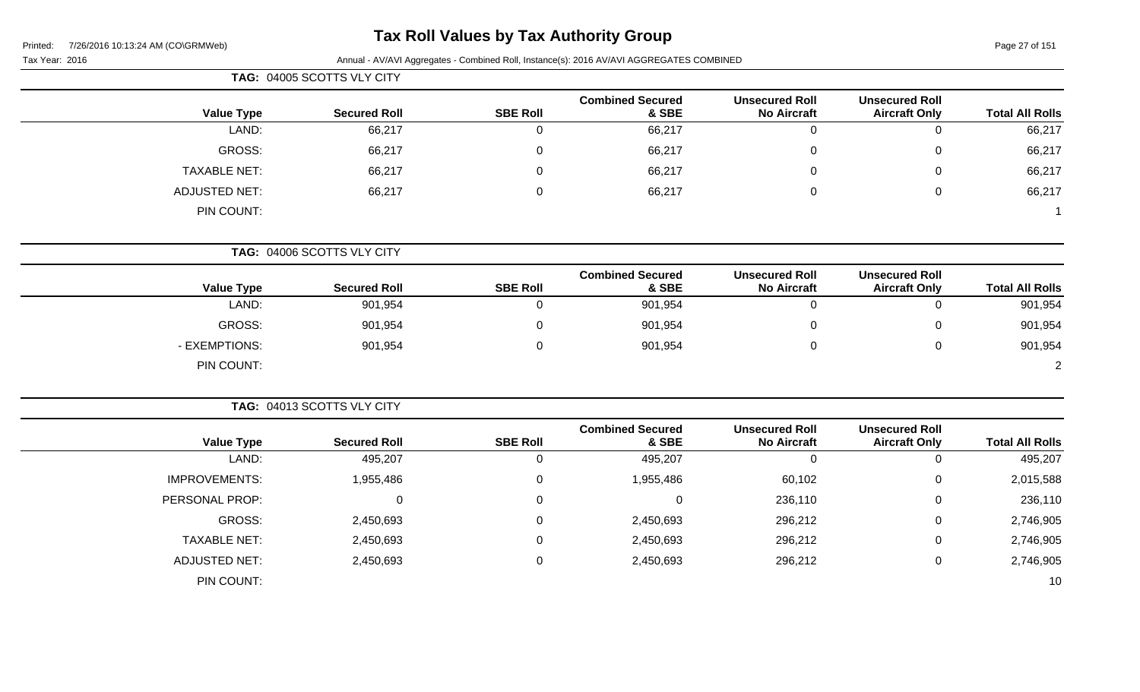# **Tax Roll Values by Tax Authority Group**

Page 27 of 151

| Tax Year: 2016 |                      |                            |                 | Annual - AV/AVI Aggregates - Combined Roll, Instance(s): 2016 AV/AVI AGGREGATES COMBINED |                                             |                                               |                        |
|----------------|----------------------|----------------------------|-----------------|------------------------------------------------------------------------------------------|---------------------------------------------|-----------------------------------------------|------------------------|
|                |                      |                            |                 |                                                                                          |                                             |                                               |                        |
|                | <b>Value Type</b>    | <b>Secured Roll</b>        | <b>SBE Roll</b> | <b>Combined Secured</b><br>& SBE                                                         | <b>Unsecured Roll</b><br><b>No Aircraft</b> | <b>Unsecured Roll</b><br><b>Aircraft Only</b> | <b>Total All Rolls</b> |
|                | LAND:                | 66,217                     | $\mathbf 0$     | 66,217                                                                                   | $\mathbf 0$                                 | $\mathbf 0$                                   | 66,217                 |
|                | GROSS:               | 66,217                     | 0               | 66,217                                                                                   | $\mathbf 0$                                 | $\mathsf 0$                                   | 66,217                 |
|                | <b>TAXABLE NET:</b>  | 66,217                     | $\Omega$        | 66,217                                                                                   | $\overline{0}$                              | 0                                             | 66,217                 |
|                | <b>ADJUSTED NET:</b> | 66,217                     | 0               | 66,217                                                                                   | $\mathbf 0$                                 | $\mathsf 0$                                   | 66,217                 |
|                | PIN COUNT:           |                            |                 |                                                                                          |                                             |                                               |                        |
|                |                      | TAG: 04006 SCOTTS VLY CITY |                 |                                                                                          |                                             |                                               |                        |
|                | <b>Value Type</b>    | <b>Secured Roll</b>        | <b>SBE Roll</b> | <b>Combined Secured</b><br>& SBE                                                         | <b>Unsecured Roll</b><br><b>No Aircraft</b> | <b>Unsecured Roll</b><br><b>Aircraft Only</b> | <b>Total All Rolls</b> |
|                | LAND:                | 901,954                    | 0               | 901,954                                                                                  | $\mathbf 0$                                 | 0                                             | 901,954                |
|                | <b>GROSS:</b>        | 901,954                    | $\Omega$        | 901,954                                                                                  | $\mathbf 0$                                 | $\mathbf 0$                                   | 901,954                |
|                | - EXEMPTIONS:        | 901,954                    | $\mathbf 0$     | 901,954                                                                                  | $\mathbf 0$                                 | $\mathsf 0$                                   | 901,954                |
|                | PIN COUNT:           |                            |                 |                                                                                          |                                             |                                               | $\overline{2}$         |
|                |                      | TAG: 04013 SCOTTS VLY CITY |                 |                                                                                          |                                             |                                               |                        |
|                | <b>Value Type</b>    | <b>Secured Roll</b>        | <b>SBE Roll</b> | <b>Combined Secured</b><br>& SBE                                                         | <b>Unsecured Roll</b><br><b>No Aircraft</b> | <b>Unsecured Roll</b><br><b>Aircraft Only</b> | <b>Total All Rolls</b> |
|                | LAND:                | 495,207                    | 0               | 495,207                                                                                  | $\mathbf 0$                                 | $\mathbf 0$                                   | 495,207                |
|                | <b>IMPROVEMENTS:</b> | 1,955,486                  | $\mathbf 0$     | 1,955,486                                                                                | 60,102                                      | $\mathbf 0$                                   | 2,015,588              |
|                | PERSONAL PROP:       | 0                          | 0               | 0                                                                                        | 236,110                                     | $\mathsf 0$                                   | 236,110                |

GROSS: 2,450,693 0 2,450,693 296,212 0 2,746,905

TAXABLE NET: 2,450,693 0 2,450,693 296,212 0 2,746,905 ADJUSTED NET: 2,450,693 0 2,450,693 296,212 0 2,746,905

PIN COUNT: 10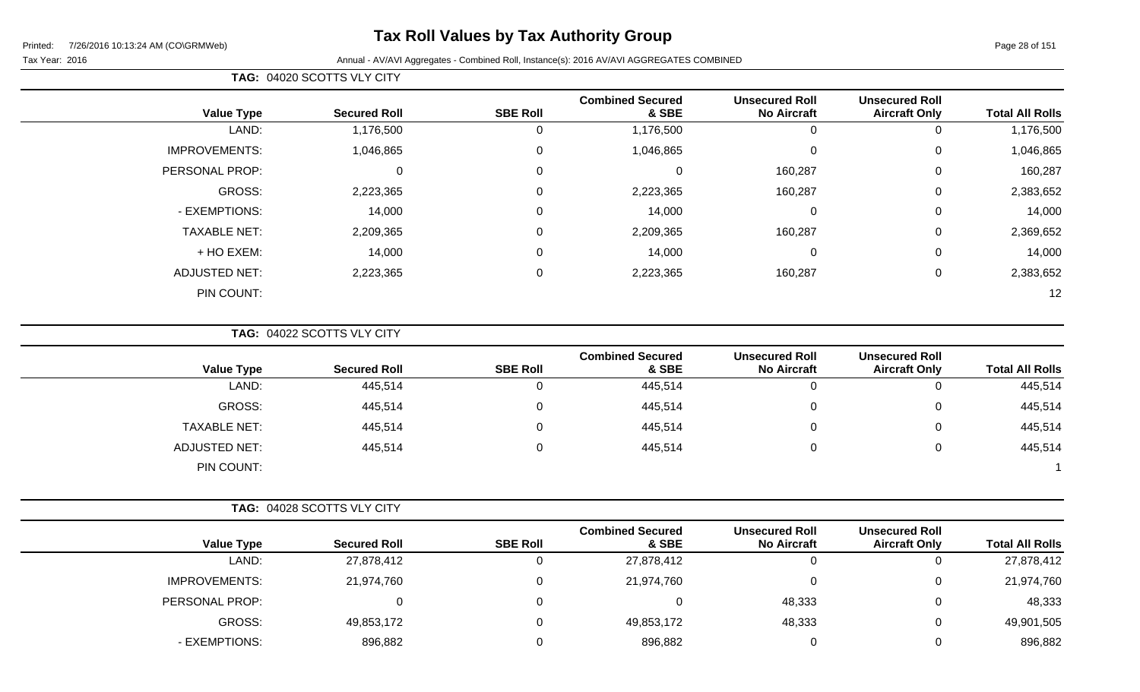# **Tax Roll Values by Tax Authority Group**

#### Tax Year: 2016 **Annual - AV/AVI Aggregates - Combined Roll**, Instance(s): 2016 AV/AVI AGGREGATES COMBINED

**TAG:** 04020 SCOTTS VLY CITY

| <b>Value Type</b>    | <b>Secured Roll</b> | <b>SBE Roll</b> | <b>Combined Secured</b><br>& SBE | <b>Unsecured Roll</b><br><b>No Aircraft</b> | <b>Unsecured Roll</b><br><b>Aircraft Only</b> | <b>Total All Rolls</b> |
|----------------------|---------------------|-----------------|----------------------------------|---------------------------------------------|-----------------------------------------------|------------------------|
| LAND:                | 1,176,500           | 0               | 1,176,500                        | 0                                           | 0                                             | 1,176,500              |
| <b>IMPROVEMENTS:</b> | 1,046,865           | $\mathbf 0$     | 1,046,865                        | 0                                           | 0                                             | 1,046,865              |
| PERSONAL PROP:       | 0                   | $\mathbf 0$     | 0                                | 160,287                                     | 0                                             | 160,287                |
| GROSS:               | 2,223,365           | $\mathsf 0$     | 2,223,365                        | 160,287                                     | $\mathbf 0$                                   | 2,383,652              |
| - EXEMPTIONS:        | 14,000              | $\mathbf 0$     | 14,000                           | 0                                           | $\mathbf 0$                                   | 14,000                 |
| <b>TAXABLE NET:</b>  | 2,209,365           | $\mathbf 0$     | 2,209,365                        | 160,287                                     | $\mathbf 0$                                   | 2,369,652              |
| + HO EXEM:           | 14,000              | $\mathsf 0$     | 14,000                           | 0                                           | $\mathbf 0$                                   | 14,000                 |
| <b>ADJUSTED NET:</b> | 2,223,365           | $\mathbf 0$     | 2,223,365                        | 160,287                                     | 0                                             | 2,383,652              |
| PIN COUNT:           |                     |                 |                                  |                                             |                                               | 12                     |

**TAG:** 04022 SCOTTS VLY CITY

| <b>Value Type</b>    | <b>Secured Roll</b> | <b>SBE Roll</b> | <b>Combined Secured</b><br>& SBE | <b>Unsecured Roll</b><br><b>No Aircraft</b> | <b>Unsecured Roll</b><br><b>Aircraft Only</b> | <b>Total All Rolls</b> |
|----------------------|---------------------|-----------------|----------------------------------|---------------------------------------------|-----------------------------------------------|------------------------|
| LAND:                | 445,514             |                 | 445,514                          | 0                                           | U                                             | 445,514                |
| GROSS:               | 445,514             |                 | 445,514                          | 0                                           | Ü                                             | 445,514                |
| <b>TAXABLE NET:</b>  | 445,514             |                 | 445,514                          | 0                                           | υ                                             | 445,514                |
| <b>ADJUSTED NET:</b> | 445,514             |                 | 445,514                          | 0                                           | U                                             | 445,514                |
| PIN COUNT:           |                     |                 |                                  |                                             |                                               |                        |

|                      |                     |                 | <b>Combined Secured</b> | <b>Unsecured Roll</b> | <b>Unsecured Roll</b> |                        |
|----------------------|---------------------|-----------------|-------------------------|-----------------------|-----------------------|------------------------|
| <b>Value Type</b>    | <b>Secured Roll</b> | <b>SBE Roll</b> | & SBE                   | <b>No Aircraft</b>    | <b>Aircraft Only</b>  | <b>Total All Rolls</b> |
| LAND:                | 27,878,412          |                 | 27,878,412              |                       |                       | 27,878,412             |
| <b>IMPROVEMENTS:</b> | 21,974,760          |                 | 21,974,760              |                       | 0                     | 21,974,760             |
| PERSONAL PROP:       |                     |                 |                         | 48,333                |                       | 48,333                 |
| GROSS:               | 49,853,172          |                 | 49,853,172              | 48,333                |                       | 49,901,505             |
| - EXEMPTIONS:        | 896,882             |                 | 896,882                 |                       |                       | 896,882                |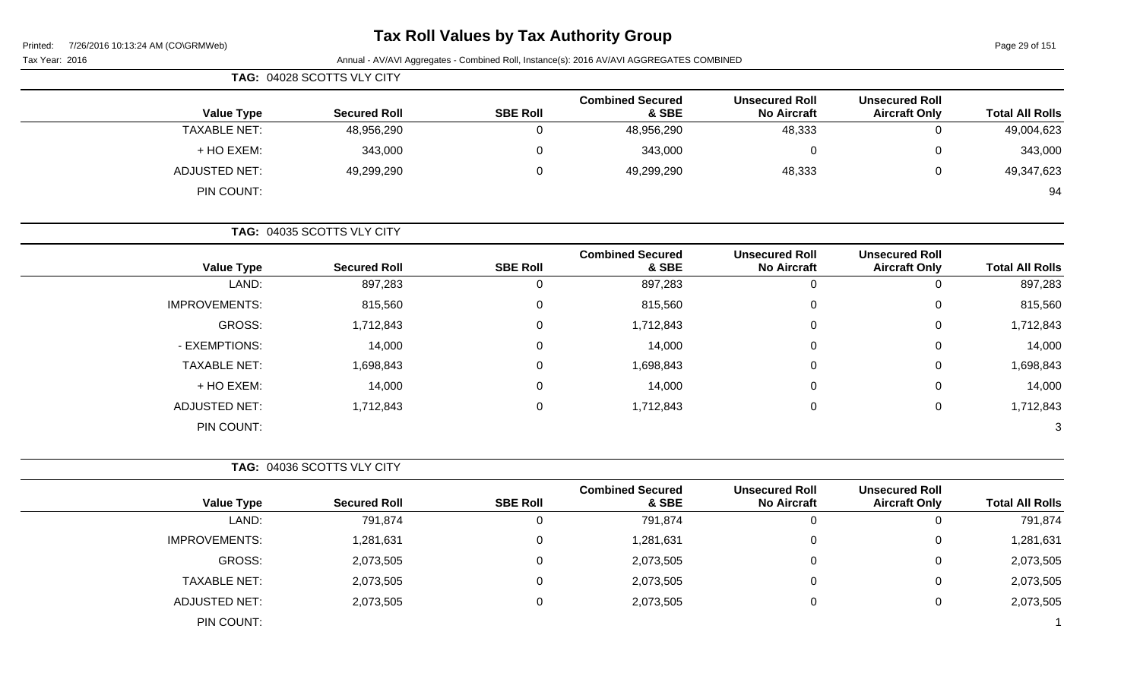### **Tax Roll Values by Tax Authority Group**

| 7/26/2016 10:13:24 AM (CO\GRMWeb)<br>Printed: | <b>I dA IVIII VAIUGS DY TAA AUGIOTILY OF OUP</b> |                 |                                                                                          |                                             |                                               | Page 29 of 151         |
|-----------------------------------------------|--------------------------------------------------|-----------------|------------------------------------------------------------------------------------------|---------------------------------------------|-----------------------------------------------|------------------------|
| Tax Year: 2016                                |                                                  |                 | Annual - AV/AVI Aggregates - Combined Roll, Instance(s): 2016 AV/AVI AGGREGATES COMBINED |                                             |                                               |                        |
|                                               | TAG: 04028 SCOTTS VLY CITY                       |                 |                                                                                          |                                             |                                               |                        |
| <b>Value Type</b>                             | <b>Secured Roll</b>                              | <b>SBE Roll</b> | <b>Combined Secured</b><br>& SBE                                                         | <b>Unsecured Roll</b><br><b>No Aircraft</b> | <b>Unsecured Roll</b><br><b>Aircraft Only</b> | <b>Total All Rolls</b> |
| <b>TAXABLE NET:</b>                           | 48,956,290                                       | 0               | 48,956,290                                                                               | 48,333                                      | 0                                             | 49,004,623             |
| + HO EXEM:                                    | 343,000                                          | 0               | 343,000                                                                                  | 0                                           |                                               | 343,000                |
| <b>ADJUSTED NET:</b>                          | 49,299,290                                       | 0               | 49,299,290                                                                               | 48,333                                      | 0                                             | 49,347,623             |
| PIN COUNT:                                    |                                                  |                 |                                                                                          |                                             |                                               | 94                     |
|                                               | TAG: 04035 SCOTTS VLY CITY                       |                 |                                                                                          |                                             |                                               |                        |
| <b>Value Type</b>                             | <b>Secured Roll</b>                              | <b>SBE Roll</b> | <b>Combined Secured</b><br>& SBE                                                         | <b>Unsecured Roll</b><br><b>No Aircraft</b> | <b>Unsecured Roll</b><br><b>Aircraft Only</b> | <b>Total All Rolls</b> |
| LAND:                                         | 897,283                                          | 0               | 897,283                                                                                  | 0                                           | $\Omega$                                      | 897,283                |
| <b>IMPROVEMENTS:</b>                          | 815,560                                          | 0               | 815,560                                                                                  | 0                                           | 0                                             | 815,560                |
| GROSS:                                        | 1,712,843                                        | 0               | 1,712,843                                                                                | 0                                           |                                               | 1,712,843              |
| - EXEMPTIONS:                                 | 14,000                                           | 0               | 14,000                                                                                   | 0                                           | 0                                             | 14,000                 |
| <b>TAXABLE NET:</b>                           | 1,698,843                                        | 0               | 1,698,843                                                                                | 0                                           |                                               | 1,698,843              |
| + HO EXEM:                                    | 14,000                                           | 0               | 14,000                                                                                   | 0                                           | 0                                             | 14,000                 |
| <b>ADJUSTED NET:</b>                          | 1,712,843                                        | 0               | 1,712,843                                                                                | 0                                           | 0                                             | 1,712,843              |
| PIN COUNT:                                    |                                                  |                 |                                                                                          |                                             |                                               | 3                      |
|                                               | TAG: 04036 SCOTTS VLY CITY                       |                 |                                                                                          |                                             |                                               |                        |
| <b>Value Type</b>                             | <b>Secured Roll</b>                              | <b>SBE Roll</b> | <b>Combined Secured</b><br>& SBE                                                         | <b>Unsecured Roll</b><br><b>No Aircraft</b> | <b>Unsecured Roll</b><br><b>Aircraft Only</b> | <b>Total All Rolls</b> |
| LAND:                                         | 791,874                                          | 0               | 791,874                                                                                  | $\mathbf 0$                                 | $\Omega$                                      | 791,874                |
| <b>IMPROVEMENTS:</b>                          | 1,281,631                                        | 0               | 1,281,631                                                                                | 0                                           | 0                                             | 1,281,631              |
| GROSS:                                        | 2,073,505                                        | 0               | 2,073,505                                                                                | $\pmb{0}$                                   | 0                                             | 2,073,505              |
| <b>TAXABLE NET:</b>                           | 2,073,505                                        | 0               | 2,073,505                                                                                | 0                                           |                                               | 2,073,505              |
| <b>ADJUSTED NET:</b><br>PIN COUNT:            | 2,073,505                                        | 0               | 2,073,505                                                                                | $\pmb{0}$                                   | 0                                             | 2,073,505              |
|                                               |                                                  |                 |                                                                                          |                                             |                                               |                        |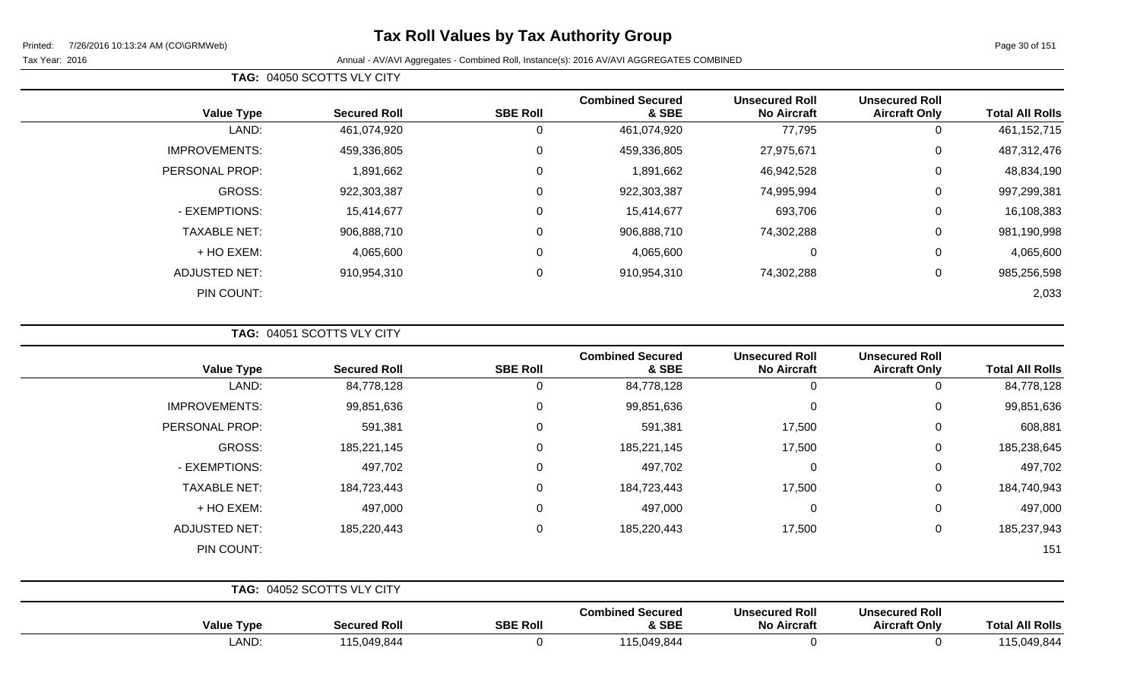# **Tax Roll Values by Tax Authority Group**

#### Tax Year: 2016 **Annual - AV/AVI Aggregates - Combined Roll**, Instance(s): 2016 AV/AVI AGGREGATES COMBINED

**TAG:** 04050 SCOTTS VLY CITY

| <b>Value Type</b>    | <b>Secured Roll</b> | <b>SBE Roll</b> | <b>Combined Secured</b><br>& SBE | <b>Unsecured Roll</b><br><b>No Aircraft</b> | <b>Unsecured Roll</b><br><b>Aircraft Only</b> | <b>Total All Rolls</b> |
|----------------------|---------------------|-----------------|----------------------------------|---------------------------------------------|-----------------------------------------------|------------------------|
| LAND:                | 461,074,920         | υ               | 461,074,920                      | 77,795                                      | 0                                             | 461, 152, 715          |
| <b>IMPROVEMENTS:</b> | 459,336,805         | 0               | 459,336,805                      | 27,975,671                                  | $\overline{0}$                                | 487,312,476            |
| PERSONAL PROP:       | 1,891,662           | 0               | 1,891,662                        | 46,942,528                                  | $\overline{0}$                                | 48,834,190             |
| GROSS:               | 922,303,387         | 0               | 922,303,387                      | 74,995,994                                  | $\mathbf 0$                                   | 997,299,381            |
| - EXEMPTIONS:        | 15,414,677          | 0               | 15,414,677                       | 693,706                                     | 0                                             | 16,108,383             |
| <b>TAXABLE NET:</b>  | 906,888,710         | 0               | 906,888,710                      | 74,302,288                                  | $\mathbf 0$                                   | 981,190,998            |
| + HO EXEM:           | 4,065,600           | 0               | 4,065,600                        | 0                                           | 0                                             | 4,065,600              |
| <b>ADJUSTED NET:</b> | 910,954,310         | 0               | 910,954,310                      | 74,302,288                                  | $\mathbf 0$                                   | 985,256,598            |
| PIN COUNT:           |                     |                 |                                  |                                             |                                               | 2,033                  |

**TAG:** 04051 SCOTTS VLY CITY

| <b>Total All Rolls</b> | <b>Unsecured Roll</b><br><b>Aircraft Only</b> | <b>Unsecured Roll</b><br><b>No Aircraft</b> | <b>Combined Secured</b><br>& SBE | <b>SBE Roll</b> | <b>Secured Roll</b>        | <b>Value Type</b>    |
|------------------------|-----------------------------------------------|---------------------------------------------|----------------------------------|-----------------|----------------------------|----------------------|
| 84,778,128             | $\mathbf 0$                                   | 0                                           | 84,778,128                       | 0               | 84,778,128                 | LAND:                |
| 99,851,636             | 0                                             | 0                                           | 99,851,636                       | $\mathbf 0$     | 99,851,636                 | <b>IMPROVEMENTS:</b> |
| 608,881                | 0                                             | 17,500                                      | 591,381                          | $\mathbf 0$     | 591,381                    | PERSONAL PROP:       |
| 185,238,645            | 0                                             | 17,500                                      | 185,221,145                      | $\mathbf 0$     | 185,221,145                | GROSS:               |
| 497,702                | 0                                             | $\mathbf 0$                                 | 497,702                          | $\mathbf 0$     | 497,702                    | - EXEMPTIONS:        |
| 184,740,943            | $\mathbf 0$                                   | 17,500                                      | 184,723,443                      | $\mathbf 0$     | 184,723,443                | <b>TAXABLE NET:</b>  |
| 497,000                | $\mathbf 0$                                   | $\mathbf 0$                                 | 497,000                          | $\mathbf 0$     | 497,000                    | + HO EXEM:           |
| 185,237,943            | $\mathbf 0$                                   | 17,500                                      | 185,220,443                      | $\mathbf 0$     | 185,220,443                | <b>ADJUSTED NET:</b> |
| 151                    |                                               |                                             |                                  |                 |                            | PIN COUNT:           |
|                        |                                               |                                             |                                  |                 | TAG: 04052 SCOTTS VLY CITY |                      |
|                        | <b>Unsecured Roll</b>                         | <b>Unsecured Roll</b>                       | <b>Combined Secured</b>          |                 |                            |                      |

| Tvpc<br>Value | <b>Secured Roll</b> | <b>SBE Roll</b> | <b>Combined Secured</b><br>& SBE             | <b>Unsecured Roll</b><br><b>No Aircraft</b> | <b>Unsecured Roll</b><br><b>Aircraft Only</b> | <b>Total All Rolls</b> |
|---------------|---------------------|-----------------|----------------------------------------------|---------------------------------------------|-----------------------------------------------|------------------------|
| LAND:         | 115,049,844         |                 | $\rightarrow$<br>$\bigcap$ 49 844<br>-19.044 |                                             |                                               | 49.844<br>1 A F        |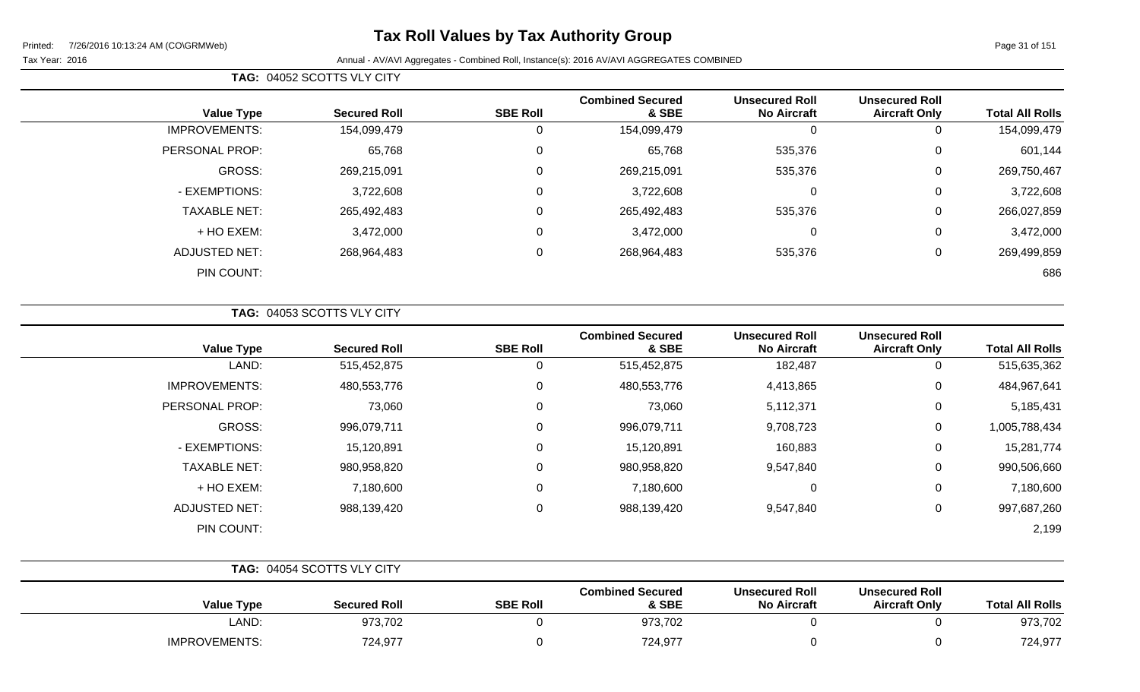# **Tax Roll Values by Tax Authority Group**

| TAG: 04052 SCOTTS VLY CITY |                     |                 |                                  |                                             |                                               |                        |
|----------------------------|---------------------|-----------------|----------------------------------|---------------------------------------------|-----------------------------------------------|------------------------|
| <b>Value Type</b>          | <b>Secured Roll</b> | <b>SBE Roll</b> | <b>Combined Secured</b><br>& SBE | <b>Unsecured Roll</b><br><b>No Aircraft</b> | <b>Unsecured Roll</b><br><b>Aircraft Only</b> | <b>Total All Rolls</b> |
| <b>IMPROVEMENTS:</b>       | 154,099,479         | 0               | 154,099,479                      |                                             |                                               | 154,099,479            |
| PERSONAL PROP:             | 65,768              | 0               | 65,768                           | 535,376                                     | 0                                             | 601,144                |
| GROSS:                     | 269,215,091         | 0               | 269,215,091                      | 535,376                                     | 0                                             | 269,750,467            |
| - EXEMPTIONS:              | 3,722,608           | 0               | 3,722,608                        | 0                                           | 0                                             | 3,722,608              |
| <b>TAXABLE NET:</b>        | 265,492,483         | 0               | 265,492,483                      | 535,376                                     | 0                                             | 266,027,859            |
| + HO EXEM:                 | 3,472,000           | 0               | 3,472,000                        | $\Omega$                                    | 0                                             | 3,472,000              |
| ADJUSTED NET:              | 268,964,483         | 0               | 268,964,483                      | 535,376                                     | 0                                             | 269,499,859            |
| PIN COUNT:                 |                     |                 |                                  |                                             |                                               | 686                    |

|  |  | <b>TAG: 04053 SCOTTS VLY CITY</b> |  |  |  |  |
|--|--|-----------------------------------|--|--|--|--|
|--|--|-----------------------------------|--|--|--|--|

| <b>Value Type</b>    | <b>Secured Roll</b> | <b>SBE Roll</b> | <b>Combined Secured</b><br>& SBE | <b>Unsecured Roll</b><br><b>No Aircraft</b> | <b>Unsecured Roll</b><br><b>Aircraft Only</b> | <b>Total All Rolls</b> |
|----------------------|---------------------|-----------------|----------------------------------|---------------------------------------------|-----------------------------------------------|------------------------|
| LAND:                | 515,452,875         | 0               | 515,452,875                      | 182,487                                     | 0                                             | 515,635,362            |
| <b>IMPROVEMENTS:</b> | 480,553,776         | 0               | 480,553,776                      | 4,413,865                                   | 0                                             | 484,967,641            |
| PERSONAL PROP:       | 73,060              | 0               | 73,060                           | 5,112,371                                   | 0                                             | 5,185,431              |
| <b>GROSS:</b>        | 996,079,711         | 0               | 996,079,711                      | 9,708,723                                   | 0                                             | 1,005,788,434          |
| - EXEMPTIONS:        | 15,120,891          | 0               | 15,120,891                       | 160,883                                     | 0                                             | 15,281,774             |
| <b>TAXABLE NET:</b>  | 980,958,820         | 0               | 980,958,820                      | 9,547,840                                   | 0                                             | 990,506,660            |
| + HO EXEM:           | 7,180,600           | 0               | 7,180,600                        | 0                                           | 0                                             | 7,180,600              |
| <b>ADJUSTED NET:</b> | 988,139,420         | 0               | 988,139,420                      | 9,547,840                                   | 0                                             | 997,687,260            |
| PIN COUNT:           |                     |                 |                                  |                                             |                                               | 2,199                  |

|                      | TAG: 04054 SCOTTS VLY CITY |                 |                                  |                                             |                                               |                        |
|----------------------|----------------------------|-----------------|----------------------------------|---------------------------------------------|-----------------------------------------------|------------------------|
| <b>Value Type</b>    | <b>Secured Roll</b>        | <b>SBE Roll</b> | <b>Combined Secured</b><br>& SBE | <b>Unsecured Roll</b><br><b>No Aircraft</b> | <b>Unsecured Roll</b><br><b>Aircraft Only</b> | <b>Total All Rolls</b> |
| LAND:                | 973,702                    |                 | 973,702                          |                                             |                                               | 973,702                |
| <b>IMPROVEMENTS:</b> | 724,977                    |                 | 724,977                          |                                             |                                               | 724,977                |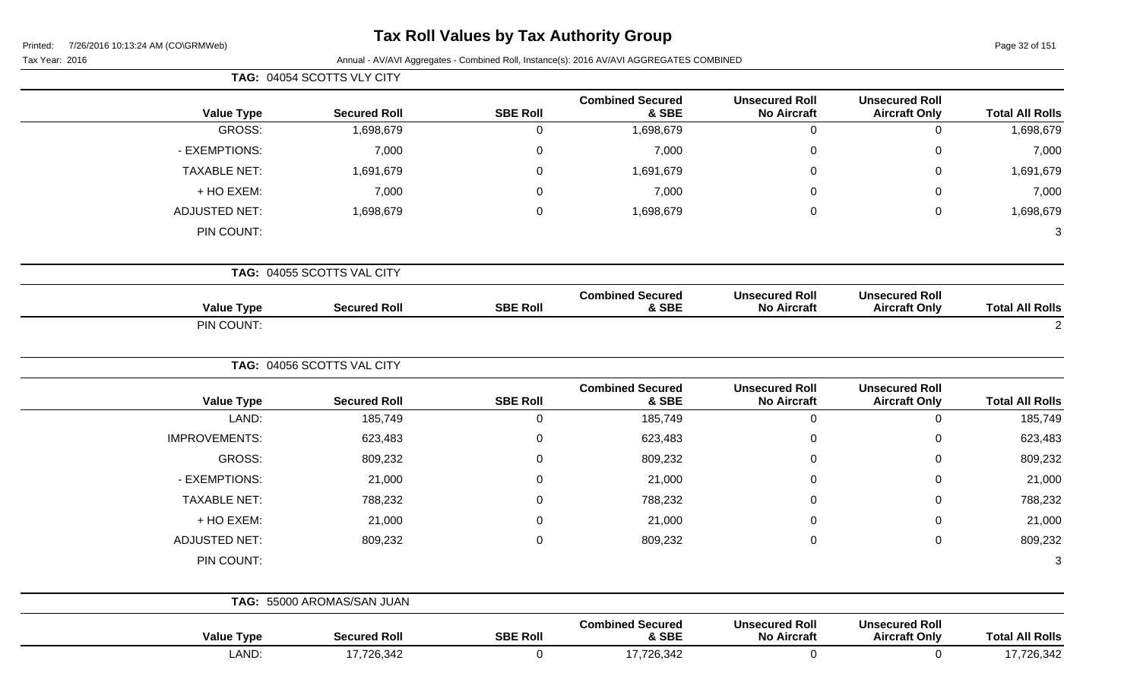# **Tax Roll Values by Tax Authority Group**

Page 32 of 151

|                        |                                               |                                             |                                  |                  | TAG: 04054 SCOTTS VLY CITY |                      |
|------------------------|-----------------------------------------------|---------------------------------------------|----------------------------------|------------------|----------------------------|----------------------|
| <b>Total All Rolls</b> | <b>Unsecured Roll</b><br><b>Aircraft Only</b> | <b>Unsecured Roll</b><br><b>No Aircraft</b> | <b>Combined Secured</b><br>& SBE | <b>SBE Roll</b>  | <b>Secured Roll</b>        | <b>Value Type</b>    |
| 1,698,679              | $\pmb{0}$                                     | $\pmb{0}$                                   | 1,698,679                        | $\mathbf 0$      | 1,698,679                  | <b>GROSS:</b>        |
| 7,000                  | $\,0\,$                                       | $\pmb{0}$                                   | 7,000                            | $\mathbf 0$      | 7,000                      | - EXEMPTIONS:        |
| 1,691,679              | $\mathbf 0$                                   | $\Omega$                                    | 1,691,679                        | $\mathbf 0$      | 1,691,679                  | <b>TAXABLE NET:</b>  |
| 7,000                  | $\boldsymbol{0}$                              | $\Omega$                                    | 7,000                            | $\mathbf 0$      | 7,000                      | + HO EXEM:           |
| 1,698,679              | $\mathbf 0$                                   | $\pmb{0}$                                   | 1,698,679                        | $\pmb{0}$        | 1,698,679                  | <b>ADJUSTED NET:</b> |
| $\mathbf{3}$           |                                               |                                             |                                  |                  |                            | PIN COUNT:           |
|                        |                                               |                                             |                                  |                  | TAG: 04055 SCOTTS VAL CITY |                      |
| <b>Total All Rolls</b> | <b>Unsecured Roll</b><br><b>Aircraft Only</b> | <b>Unsecured Roll</b><br><b>No Aircraft</b> | <b>Combined Secured</b><br>& SBE | <b>SBE Roll</b>  | <b>Secured Roll</b>        | <b>Value Type</b>    |
| $\overline{2}$         |                                               |                                             |                                  |                  |                            | PIN COUNT:           |
|                        |                                               |                                             |                                  |                  | TAG: 04056 SCOTTS VAL CITY |                      |
| <b>Total All Rolls</b> | <b>Unsecured Roll</b><br><b>Aircraft Only</b> | <b>Unsecured Roll</b><br><b>No Aircraft</b> | <b>Combined Secured</b><br>& SBE | <b>SBE Roll</b>  | <b>Secured Roll</b>        | <b>Value Type</b>    |
| 185,749                | $\pmb{0}$                                     | $\mathbf 0$                                 | 185,749                          | $\mathbf 0$      | 185,749                    | LAND:                |
| 623,483                | $\boldsymbol{0}$                              | $\mathbf 0$                                 | 623,483                          | $\boldsymbol{0}$ | 623,483                    | <b>IMPROVEMENTS:</b> |
| 809,232                | $\boldsymbol{0}$                              | $\Omega$                                    | 809,232                          | $\mathbf 0$      | 809,232                    | GROSS:               |
| 21,000                 | $\,0\,$                                       | $\mathbf 0$                                 | 21,000                           | $\mathbf 0$      | 21,000                     | - EXEMPTIONS:        |
| 788,232                | $\mathbf 0$                                   | $\Omega$                                    | 788,232                          | $\mathbf 0$      | 788,232                    | <b>TAXABLE NET:</b>  |
| 21,000                 | $\boldsymbol{0}$                              | 0                                           | 21,000                           | $\mathbf 0$      | 21,000                     | + HO EXEM:           |
| 809,232                | $\boldsymbol{0}$                              | $\pmb{0}$                                   | 809,232                          | $\mathbf 0$      | 809,232                    | <b>ADJUSTED NET:</b> |
| 3                      |                                               |                                             |                                  |                  |                            | PIN COUNT:           |
|                        |                                               |                                             |                                  |                  | TAG: 55000 AROMAS/SAN JUAN |                      |
| <b>Total All Rolls</b> | <b>Unsecured Roll</b><br><b>Aircraft Only</b> | <b>Unsecured Roll</b><br><b>No Aircraft</b> | <b>Combined Secured</b><br>& SBE | <b>SBE Roll</b>  | <b>Secured Roll</b>        | <b>Value Type</b>    |
| 17,726,342             | $\boldsymbol{0}$                              | $\mathbf 0$                                 | 17,726,342                       | $\mathbf 0$      | 17,726,342                 | LAND:                |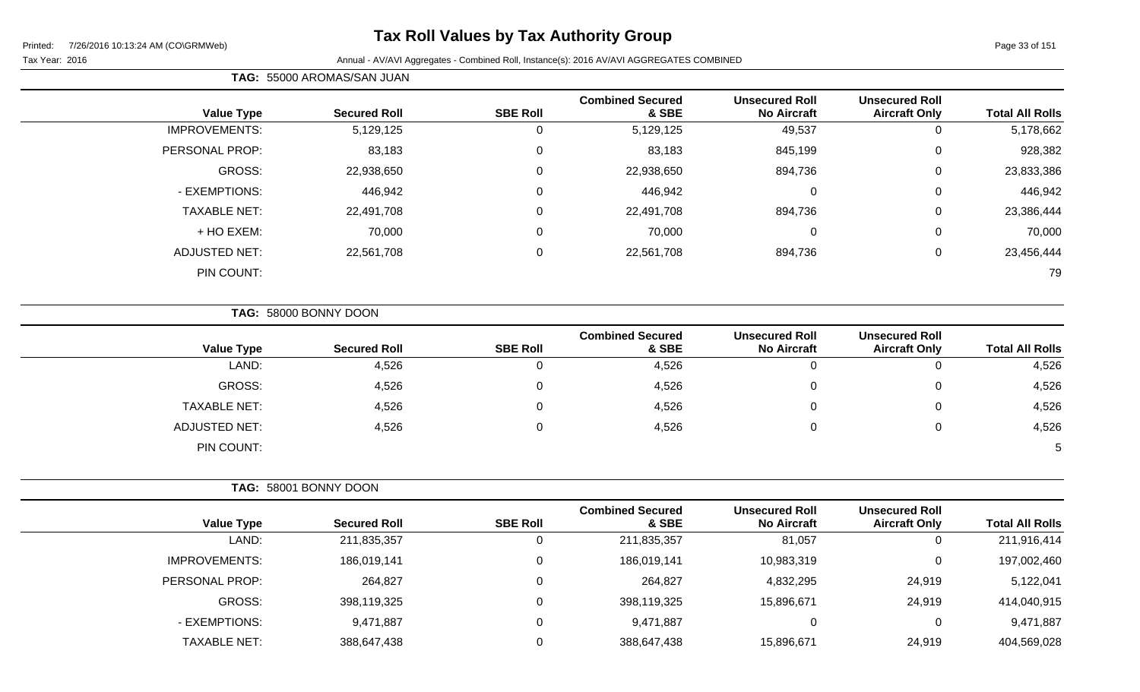# **Tax Roll Values by Tax Authority Group**

Printed: 7/26/2016 10:13:24 AM (CO\GRMWeb)

#### Page 33 of 151

 $\overline{a}$ 

Tax Year: 2016 **Annual - AV/AVI Aggregates - Combined Roll**, Instance(s): 2016 AV/AVI AGGREGATES COMBINED

| <b>Total All Rolls</b> | <b>Unsecured Roll</b><br><b>Aircraft Only</b> | <b>Unsecured Roll</b><br><b>No Aircraft</b> | <b>Combined Secured</b><br>& SBE | <b>SBE Roll</b> | <b>Secured Roll</b> | <b>Value Type</b>    |
|------------------------|-----------------------------------------------|---------------------------------------------|----------------------------------|-----------------|---------------------|----------------------|
| 5,178,662              | 0                                             | 49,537                                      | 5,129,125                        | 0               | 5,129,125           | <b>IMPROVEMENTS:</b> |
| 928,382                | $\overline{0}$                                | 845,199                                     | 83,183                           | 0               | 83,183              | PERSONAL PROP:       |
| 23,833,386             | $\mathbf{0}$                                  | 894,736                                     | 22,938,650                       | $\Omega$        | 22,938,650          | GROSS:               |
| 446,942                | 0                                             | 0                                           | 446,942                          | 0               | 446,942             | - EXEMPTIONS:        |
| 23,386,444             | 0                                             | 894,736                                     | 22,491,708                       | 0               | 22,491,708          | <b>TAXABLE NET:</b>  |
| 70,000                 | $\mathbf{0}$                                  | 0                                           | 70,000                           | $\Omega$        | 70,000              | + HO EXEM:           |
| 23,456,444             | 0                                             | 894,736                                     | 22,561,708                       | $\mathbf 0$     | 22,561,708          | ADJUSTED NET:        |
| 79                     |                                               |                                             |                                  |                 |                     | PIN COUNT:           |
|                        |                                               |                                             |                                  |                 |                     |                      |

**TAG:** 58000 BONNY DOON

**TAG:** 55000 AROMAS/SAN JUAN

|                      |                     |                 | <b>Combined Secured</b> | <b>Unsecured Roll</b> | <b>Unsecured Roll</b> |                        |
|----------------------|---------------------|-----------------|-------------------------|-----------------------|-----------------------|------------------------|
| <b>Value Type</b>    | <b>Secured Roll</b> | <b>SBE Roll</b> | & SBE                   | <b>No Aircraft</b>    | <b>Aircraft Only</b>  | <b>Total All Rolls</b> |
| LAND:                | 4,526               |                 | 4,526                   | 0                     | ັ                     | 4,526                  |
| <b>GROSS:</b>        | 4,526               |                 | 4,526                   | 0                     |                       | 4,526                  |
| <b>TAXABLE NET:</b>  | 4,526               |                 | 4,526                   | 0                     | υ                     | 4,526                  |
| <b>ADJUSTED NET:</b> | 4,526               |                 | 4,526                   | 0                     | ν                     | 4,526                  |
| PIN COUNT:           |                     |                 |                         |                       |                       |                        |

| TAG: 58001 BONNY DOON |                     |                 |                                  |                                             |                                               |                        |
|-----------------------|---------------------|-----------------|----------------------------------|---------------------------------------------|-----------------------------------------------|------------------------|
| <b>Value Type</b>     | <b>Secured Roll</b> | <b>SBE Roll</b> | <b>Combined Secured</b><br>& SBE | <b>Unsecured Roll</b><br><b>No Aircraft</b> | <b>Unsecured Roll</b><br><b>Aircraft Only</b> | <b>Total All Rolls</b> |
| LAND:                 | 211,835,357         |                 | 211,835,357                      | 81,057                                      | 0                                             | 211,916,414            |
| <b>IMPROVEMENTS:</b>  | 186,019,141         |                 | 186,019,141                      | 10,983,319                                  | $\overline{0}$                                | 197,002,460            |
| PERSONAL PROP:        | 264,827             |                 | 264,827                          | 4,832,295                                   | 24,919                                        | 5,122,041              |
| GROSS:                | 398,119,325         | 0               | 398,119,325                      | 15,896,671                                  | 24,919                                        | 414,040,915            |
| - EXEMPTIONS:         | 9,471,887           |                 | 9,471,887                        | 0                                           | 0                                             | 9,471,887              |
| <b>TAXABLE NET:</b>   | 388,647,438         |                 | 388,647,438                      | 15,896,671                                  | 24,919                                        | 404,569,028            |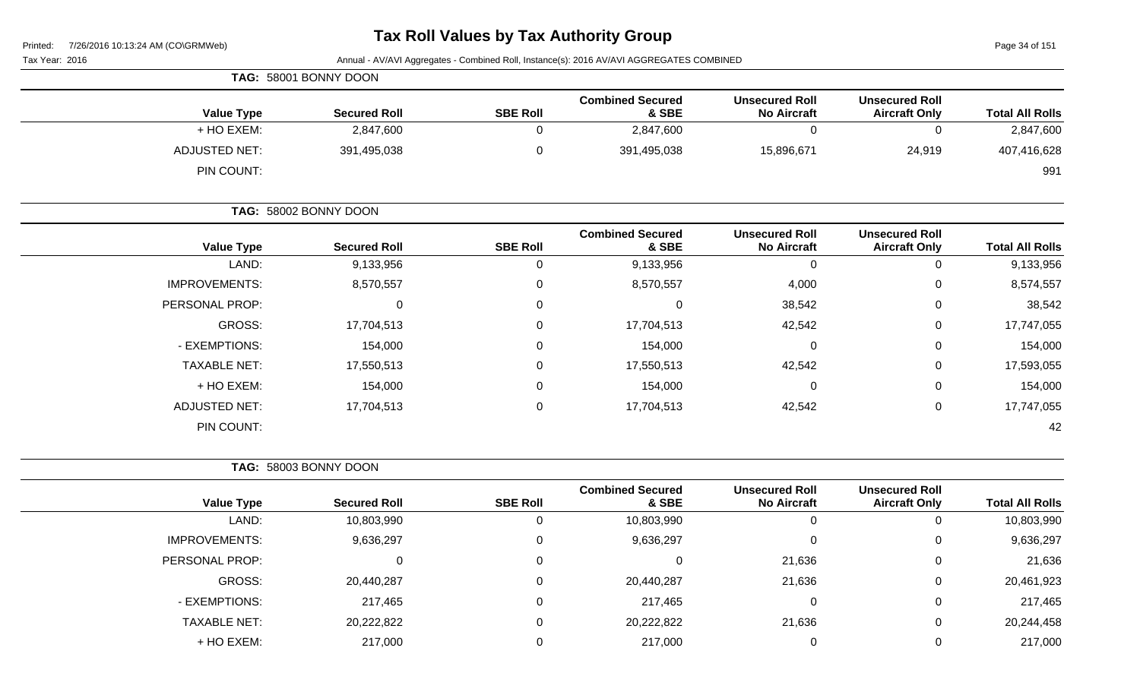# **Tax Roll Values by Tax Authority Group**

Page 34 of 151

| <b>Faye J4 UI IJI</b>  | r i ilito.<br>$1/20/20101010.13.24$ ANI (CONGINITYED)<br>Annual - AV/AVI Aggregates - Combined Roll, Instance(s): 2016 AV/AVI AGGREGATES COMBINED<br>Tax Year: 2016 |                                             |                                  |                 |                       |                      |  |
|------------------------|---------------------------------------------------------------------------------------------------------------------------------------------------------------------|---------------------------------------------|----------------------------------|-----------------|-----------------------|----------------------|--|
|                        |                                                                                                                                                                     |                                             |                                  |                 | TAG: 58001 BONNY DOON |                      |  |
| <b>Total All Rolls</b> | <b>Unsecured Roll</b><br><b>Aircraft Only</b>                                                                                                                       | <b>Unsecured Roll</b><br><b>No Aircraft</b> | <b>Combined Secured</b><br>& SBE | <b>SBE Roll</b> | <b>Secured Roll</b>   | <b>Value Type</b>    |  |
| 2,847,600              | 0                                                                                                                                                                   | $\mathbf 0$                                 | 2,847,600                        | 0               | 2,847,600             | + HO EXEM:           |  |
| 407,416,628            | 24,919                                                                                                                                                              | 15,896,671                                  | 391,495,038                      | 0               | 391,495,038           | <b>ADJUSTED NET:</b> |  |
| 991                    |                                                                                                                                                                     |                                             |                                  |                 |                       | PIN COUNT:           |  |
|                        | TAG: 58002 BONNY DOON                                                                                                                                               |                                             |                                  |                 |                       |                      |  |
| <b>Total All Rolls</b> | <b>Unsecured Roll</b><br><b>Aircraft Only</b>                                                                                                                       | <b>Unsecured Roll</b><br><b>No Aircraft</b> | <b>Combined Secured</b><br>& SBE | <b>SBE Roll</b> | <b>Secured Roll</b>   | <b>Value Type</b>    |  |
| 9,133,956              | $\mathbf 0$                                                                                                                                                         | $\mathbf 0$                                 | 9,133,956                        | 0               | 9,133,956             | LAND:                |  |
| 8,574,557              | 0                                                                                                                                                                   | 4,000                                       | 8,570,557                        | 0               | 8,570,557             | <b>IMPROVEMENTS:</b> |  |
| 38,542                 | 0                                                                                                                                                                   | 38,542                                      | 0                                | 0               | 0                     | PERSONAL PROP:       |  |
| 17,747,055             | 0                                                                                                                                                                   | 42,542                                      | 17,704,513                       | 0               | 17,704,513            | GROSS:               |  |
| 154,000                | 0                                                                                                                                                                   | 0                                           | 154,000                          | 0               | 154,000               | - EXEMPTIONS:        |  |
| 17,593,055             | 0                                                                                                                                                                   | 42,542                                      | 17,550,513                       | 0               | 17,550,513            | <b>TAXABLE NET:</b>  |  |
| 154,000                | 0                                                                                                                                                                   | $\Omega$                                    | 154,000                          | 0               | 154,000               | + HO EXEM:           |  |
| 17,747,055             | 0                                                                                                                                                                   | 42,542                                      | 17,704,513                       | 0               | 17,704,513            | <b>ADJUSTED NET:</b> |  |
| 42                     |                                                                                                                                                                     |                                             |                                  |                 |                       | PIN COUNT:           |  |
|                        |                                                                                                                                                                     |                                             |                                  |                 | TAG: 58003 BONNY DOON |                      |  |
| <b>Total All Rolls</b> | <b>Unsecured Roll</b><br><b>Aircraft Only</b>                                                                                                                       | <b>Unsecured Roll</b><br><b>No Aircraft</b> | <b>Combined Secured</b><br>& SBE | <b>SBE Roll</b> | <b>Secured Roll</b>   | <b>Value Type</b>    |  |
| 10,803,990             | $\mathbf 0$                                                                                                                                                         | $\boldsymbol{0}$                            | 10,803,990                       | 0               | 10,803,990            | LAND:                |  |
| 9,636,297              | 0                                                                                                                                                                   | $\mathbf 0$                                 | 9,636,297                        | 0               | 9,636,297             | <b>IMPROVEMENTS:</b> |  |
| 21,636                 | 0                                                                                                                                                                   | 21,636                                      | $\pmb{0}$                        | 0               | $\pmb{0}$             | PERSONAL PROP:       |  |
| 20,461,923             | 0                                                                                                                                                                   | 21,636                                      | 20,440,287                       | 0               | 20,440,287            | GROSS:               |  |
| 217,465                | 0                                                                                                                                                                   | 0                                           | 217,465                          | 0               | 217,465               | - EXEMPTIONS:        |  |
| 20,244,458             | 0                                                                                                                                                                   | 21,636                                      | 20,222,822                       | 0               | 20,222,822            | TAXABLE NET:         |  |
| 217,000                | 0                                                                                                                                                                   | $\mathbf 0$                                 | 217,000                          | 0               | 217,000               | + HO EXEM:           |  |
|                        |                                                                                                                                                                     |                                             |                                  |                 |                       |                      |  |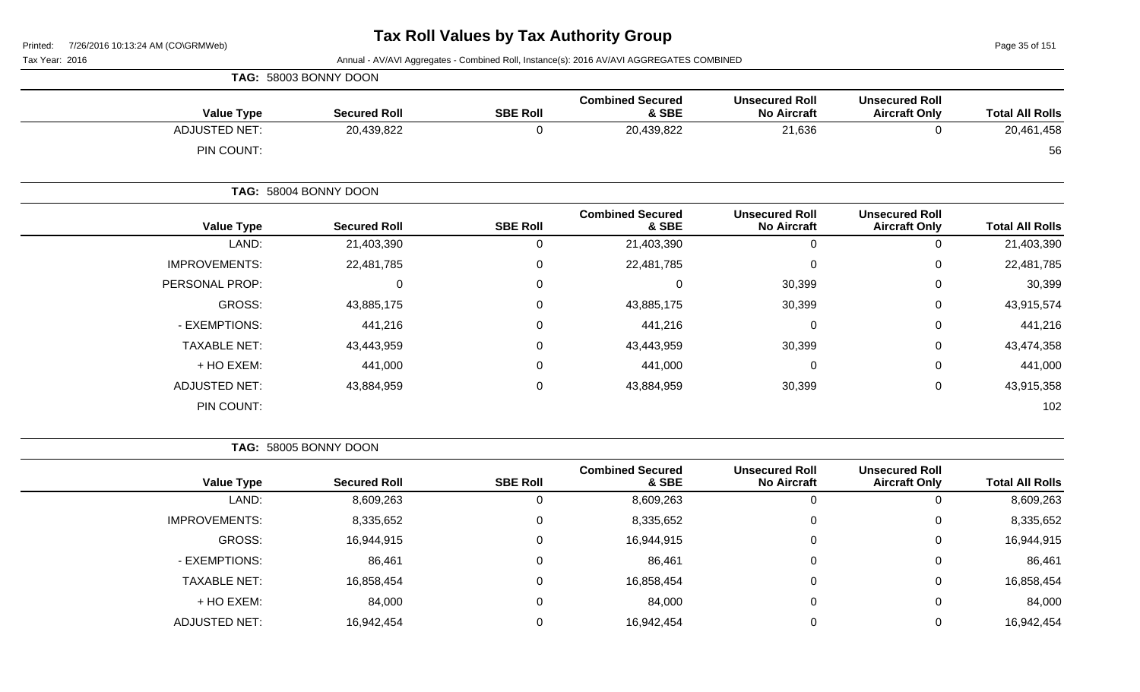Page 35 of 151

Tax Year: 2016 **Annual - AV/AVI Aggregates - Combined Roll**, Instance(s): 2016 AV/AVI AGGREGATES COMBINED

|                      | TAG: 58003 BONNY DOON |                 |                                  |                                             |                                               |                        |
|----------------------|-----------------------|-----------------|----------------------------------|---------------------------------------------|-----------------------------------------------|------------------------|
| <b>Value Type</b>    | <b>Secured Roll</b>   | <b>SBE Roll</b> | <b>Combined Secured</b><br>& SBE | <b>Unsecured Roll</b><br><b>No Aircraft</b> | <b>Unsecured Roll</b><br><b>Aircraft Only</b> | <b>Total All Rolls</b> |
| <b>ADJUSTED NET:</b> | 20,439,822            | 0               | 20,439,822                       | 21,636                                      | 0                                             | 20,461,458             |
| PIN COUNT:           |                       |                 |                                  |                                             |                                               | 56                     |
|                      | TAG: 58004 BONNY DOON |                 |                                  |                                             |                                               |                        |
| <b>Value Type</b>    | <b>Secured Roll</b>   | <b>SBE Roll</b> | <b>Combined Secured</b><br>& SBE | <b>Unsecured Roll</b><br><b>No Aircraft</b> | <b>Unsecured Roll</b><br><b>Aircraft Only</b> | <b>Total All Rolls</b> |
| LAND:                | 21,403,390            | 0               | 21,403,390                       | $\mathbf 0$                                 | 0                                             | 21,403,390             |
| <b>IMPROVEMENTS:</b> | 22,481,785            | $\mathbf 0$     | 22,481,785                       | $\mathbf 0$                                 | 0                                             | 22,481,785             |
| PERSONAL PROP:       | 0                     | 0               | 0                                | 30,399                                      | 0                                             | 30,399                 |
| GROSS:               | 43,885,175            | 0               | 43,885,175                       | 30,399                                      | 0                                             | 43,915,574             |
| - EXEMPTIONS:        | 441,216               | 0               | 441,216                          | $\mathbf 0$                                 | 0                                             | 441,216                |
| <b>TAXABLE NET:</b>  | 43,443,959            | 0               | 43,443,959                       | 30,399                                      | 0                                             | 43,474,358             |
| + HO EXEM:           | 441,000               | 0               | 441,000                          | $\mathbf 0$                                 | 0                                             | 441,000                |
| <b>ADJUSTED NET:</b> | 43,884,959            | 0               | 43,884,959                       | 30,399                                      | 0                                             | 43,915,358             |
| PIN COUNT:           |                       |                 |                                  |                                             |                                               | 102                    |

**TAG:** 58005 BONNY DOON

|                      |                     |                 | <b>Combined Secured</b> | <b>Unsecured Roll</b> | <b>Unsecured Roll</b> |                        |
|----------------------|---------------------|-----------------|-------------------------|-----------------------|-----------------------|------------------------|
| <b>Value Type</b>    | <b>Secured Roll</b> | <b>SBE Roll</b> | & SBE                   | <b>No Aircraft</b>    | <b>Aircraft Only</b>  | <b>Total All Rolls</b> |
| LAND:                | 8,609,263           | 0               | 8,609,263               |                       | 0                     | 8,609,263              |
| <b>IMPROVEMENTS:</b> | 8,335,652           | $\mathbf{0}$    | 8,335,652               | $\Omega$              | $\overline{0}$        | 8,335,652              |
| GROSS:               | 16,944,915          | $\Omega$        | 16,944,915              |                       | $\mathbf 0$           | 16,944,915             |
| - EXEMPTIONS:        | 86,461              | $\Omega$        | 86,461                  |                       | $\mathbf 0$           | 86,461                 |
| <b>TAXABLE NET:</b>  | 16,858,454          | 0               | 16,858,454              |                       | 0                     | 16,858,454             |
| + HO EXEM:           | 84,000              | $\Omega$        | 84,000                  | $\Omega$              | 0                     | 84,000                 |
| <b>ADJUSTED NET:</b> | 16,942,454          | 0               | 16,942,454              |                       | $\Omega$              | 16,942,454             |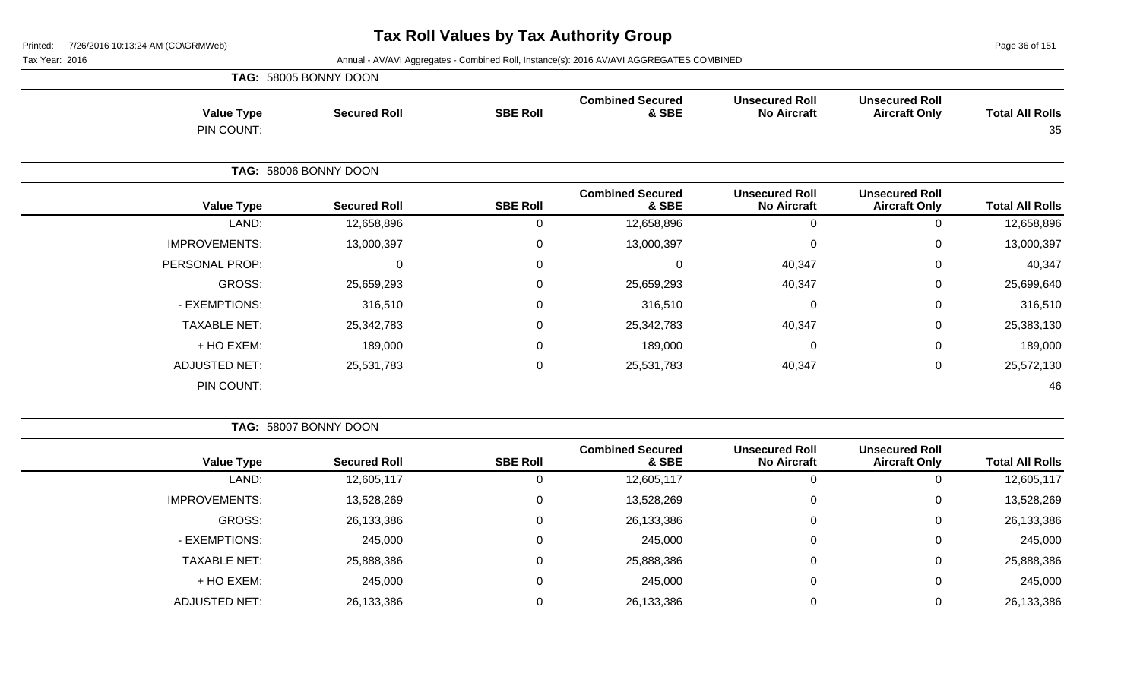|                      | TAG: 58005 BONNY DOON |                 |                                  |                                             |                                               |                        |
|----------------------|-----------------------|-----------------|----------------------------------|---------------------------------------------|-----------------------------------------------|------------------------|
| <b>Value Type</b>    | <b>Secured Roll</b>   | <b>SBE Roll</b> | <b>Combined Secured</b><br>& SBE | <b>Unsecured Roll</b><br><b>No Aircraft</b> | <b>Unsecured Roll</b><br><b>Aircraft Only</b> | <b>Total All Rolls</b> |
| PIN COUNT:           |                       |                 |                                  |                                             |                                               | 35                     |
|                      | TAG: 58006 BONNY DOON |                 |                                  |                                             |                                               |                        |
| <b>Value Type</b>    | <b>Secured Roll</b>   | <b>SBE Roll</b> | <b>Combined Secured</b><br>& SBE | <b>Unsecured Roll</b><br><b>No Aircraft</b> | <b>Unsecured Roll</b><br><b>Aircraft Only</b> | <b>Total All Rolls</b> |
| LAND:                | 12,658,896            | 0               | 12,658,896                       | 0                                           | 0                                             | 12,658,896             |
| <b>IMPROVEMENTS:</b> | 13,000,397            | $\mathbf 0$     | 13,000,397                       | 0                                           | 0                                             | 13,000,397             |
| PERSONAL PROP:       | 0                     | $\mathbf 0$     | $\mathbf 0$                      | 40,347                                      | $\mathbf 0$                                   | 40,347                 |
| GROSS:               | 25,659,293            | $\Omega$        | 25,659,293                       | 40,347                                      | $\Omega$                                      | 25,699,640             |
| - EXEMPTIONS:        | 316,510               | $\mathbf 0$     | 316,510                          | $\mathbf{0}$                                | $\mathbf 0$                                   | 316,510                |
| <b>TAXABLE NET:</b>  | 25,342,783            | $\mathbf 0$     | 25,342,783                       | 40,347                                      | 0                                             | 25,383,130             |
| + HO EXEM:           | 189,000               | $\mathbf 0$     | 189,000                          | 0                                           | $\Omega$                                      | 189,000                |
| <b>ADJUSTED NET:</b> | 25,531,783            | $\mathbf 0$     | 25,531,783                       | 40,347                                      | $\mathbf 0$                                   | 25,572,130             |
| PIN COUNT:           |                       |                 |                                  |                                             |                                               | 46                     |

|                        |                                               |                                             |                                  |                 | TAG: 58007 BONNY DOON |                      |
|------------------------|-----------------------------------------------|---------------------------------------------|----------------------------------|-----------------|-----------------------|----------------------|
| <b>Total All Rolls</b> | <b>Unsecured Roll</b><br><b>Aircraft Only</b> | <b>Unsecured Roll</b><br><b>No Aircraft</b> | <b>Combined Secured</b><br>& SBE | <b>SBE Roll</b> | <b>Secured Roll</b>   | <b>Value Type</b>    |
| 12,605,117             | 0                                             |                                             | 12,605,117                       | U               | 12,605,117            | LAND:                |
| 13,528,269             | $\mathbf 0$                                   | 0                                           | 13,528,269                       | 0               | 13,528,269            | <b>IMPROVEMENTS:</b> |
| 26,133,386             | 0                                             | 0                                           | 26,133,386                       | 0               | 26,133,386            | GROSS:               |
| 245,000                | $\mathbf 0$                                   |                                             | 245,000                          | 0               | 245,000               | - EXEMPTIONS:        |
| 25,888,386             | 0                                             |                                             | 25,888,386                       | 0               | 25,888,386            | <b>TAXABLE NET:</b>  |
| 245,000                | 0                                             |                                             | 245,000                          | 0               | 245,000               | + HO EXEM:           |
| 26,133,386             | 0                                             |                                             | 26,133,386                       |                 | 26,133,386            | <b>ADJUSTED NET:</b> |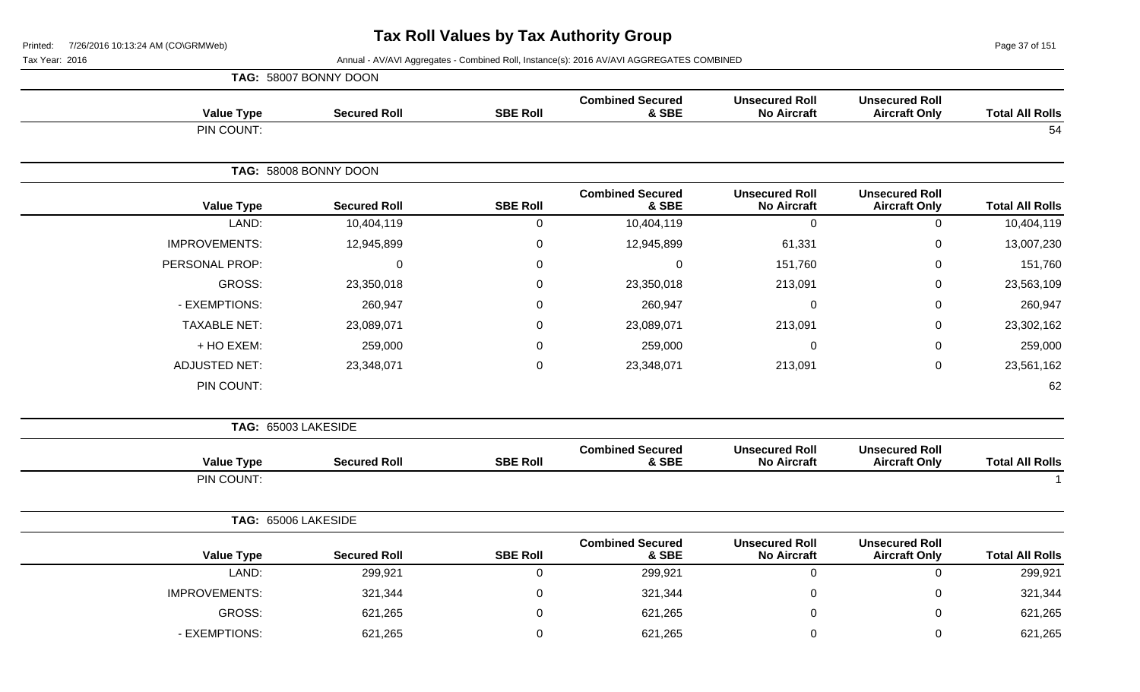|                           |                                               |                                             |                                  |                 | TAG: 58007 BONNY DOON |                      |
|---------------------------|-----------------------------------------------|---------------------------------------------|----------------------------------|-----------------|-----------------------|----------------------|
| <b>Total All Rolls</b>    | <b>Unsecured Roll</b><br><b>Aircraft Only</b> | <b>Unsecured Roll</b><br><b>No Aircraft</b> | <b>Combined Secured</b><br>& SBE | <b>SBE Roll</b> | <b>Secured Roll</b>   | <b>Value Type</b>    |
| 54                        |                                               |                                             |                                  |                 |                       | PIN COUNT:           |
|                           |                                               |                                             |                                  |                 | TAG: 58008 BONNY DOON |                      |
| <b>Total All Rolls</b>    | <b>Unsecured Roll</b><br><b>Aircraft Only</b> | <b>Unsecured Roll</b><br><b>No Aircraft</b> | <b>Combined Secured</b><br>& SBE | <b>SBE Roll</b> | <b>Secured Roll</b>   | <b>Value Type</b>    |
| 10,404,119<br>$\mathbf 0$ |                                               | $\mathbf 0$                                 | 10,404,119                       | 0               | 10,404,119            | LAND:                |
| 13,007,230<br>$\mathbf 0$ |                                               | 61,331                                      | 12,945,899                       | 0               | 12,945,899            | <b>IMPROVEMENTS:</b> |
| 151,760<br>$\mathbf 0$    |                                               | 151,760                                     | $\mathsf 0$                      | 0               | $\mathbf 0$           | PERSONAL PROP:       |
| 23,563,109<br>$\Omega$    |                                               | 213,091                                     | 23,350,018                       | 0               | 23,350,018            | GROSS:               |
| 260,947<br>$\Omega$       |                                               | 0                                           | 260,947                          | 0               | 260,947               | - EXEMPTIONS:        |
| 23,302,162<br>$\mathbf 0$ |                                               | 213,091                                     | 23,089,071                       | 0               | 23,089,071            | <b>TAXABLE NET:</b>  |
| 259,000<br>$\mathbf 0$    |                                               | 0                                           | 259,000                          | 0               | 259,000               | + HO EXEM:           |
| 23,561,162<br>0           |                                               | 213,091                                     | 23,348,071                       | 0               | 23,348,071            | <b>ADJUSTED NET:</b> |
| 62                        |                                               |                                             |                                  |                 |                       | PIN COUNT:           |
|                           |                                               |                                             |                                  |                 |                       | TAG: 65003 LAKESIDE  |
| <b>Total All Rolls</b>    | <b>Unsecured Roll</b><br><b>Aircraft Only</b> | <b>Unsecured Roll</b><br><b>No Aircraft</b> | <b>Combined Secured</b><br>& SBE | <b>SBE Roll</b> | <b>Secured Roll</b>   | <b>Value Type</b>    |
|                           |                                               |                                             |                                  |                 |                       | PIN COUNT:           |
|                           |                                               |                                             |                                  |                 |                       | TAG: 65006 LAKESIDE  |
| <b>Total All Rolls</b>    | <b>Unsecured Roll</b><br><b>Aircraft Only</b> | <b>Unsecured Roll</b><br><b>No Aircraft</b> | <b>Combined Secured</b><br>& SBE | <b>SBE Roll</b> | <b>Secured Roll</b>   | <b>Value Type</b>    |
| 299,921<br>$\mathbf 0$    |                                               | $\mathbf 0$                                 | 299,921                          | $\mathbf 0$     | 299,921               | LAND:                |
| 321,344<br>$\Omega$       |                                               | $\Omega$                                    | 321,344                          | $\Omega$        | 321,344               | <b>IMPROVEMENTS:</b> |
| 621,265<br>0              |                                               | 0                                           | 621,265                          | 0               | 621,265               | <b>GROSS:</b>        |

- EXEMPTIONS: 621,265 0 621,265 0 0 621,265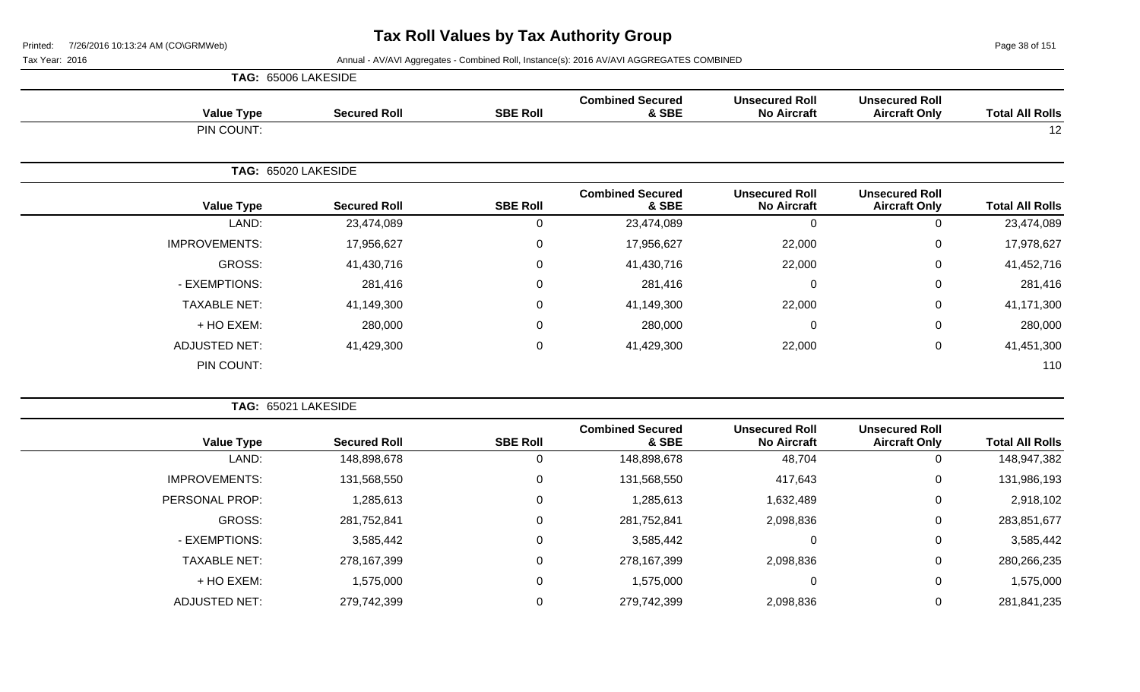Page 38 of 151

|                      | TAG: 65006 LAKESIDE |                 |                                  |                                             |                                               |                        |
|----------------------|---------------------|-----------------|----------------------------------|---------------------------------------------|-----------------------------------------------|------------------------|
| <b>Value Type</b>    | <b>Secured Roll</b> | <b>SBE Roll</b> | <b>Combined Secured</b><br>& SBE | <b>Unsecured Roll</b><br><b>No Aircraft</b> | <b>Unsecured Roll</b><br><b>Aircraft Only</b> | <b>Total All Rolls</b> |
| PIN COUNT:           |                     |                 |                                  |                                             |                                               | 12                     |
|                      | TAG: 65020 LAKESIDE |                 |                                  |                                             |                                               |                        |
| <b>Value Type</b>    | <b>Secured Roll</b> | <b>SBE Roll</b> | <b>Combined Secured</b><br>& SBE | <b>Unsecured Roll</b><br><b>No Aircraft</b> | <b>Unsecured Roll</b><br><b>Aircraft Only</b> | <b>Total All Rolls</b> |
| LAND:                | 23,474,089          | 0               | 23,474,089                       | $\mathbf 0$                                 | 0                                             | 23,474,089             |
| <b>IMPROVEMENTS:</b> | 17,956,627          | $\mathbf 0$     | 17,956,627                       | 22,000                                      | 0                                             | 17,978,627             |
| <b>GROSS:</b>        | 41,430,716          | $\mathbf 0$     | 41,430,716                       | 22,000                                      | 0                                             | 41,452,716             |
| - EXEMPTIONS:        | 281,416             | $\mathbf 0$     | 281,416                          | $\mathbf 0$                                 | 0                                             | 281,416                |
| <b>TAXABLE NET:</b>  | 41,149,300          | $\mathbf 0$     | 41,149,300                       | 22,000                                      | 0                                             | 41,171,300             |
| + HO EXEM:           | 280,000             | 0               | 280,000                          | $\mathbf 0$                                 | 0                                             | 280,000                |
| <b>ADJUSTED NET:</b> | 41,429,300          | $\mathbf 0$     | 41,429,300                       | 22,000                                      | 0                                             | 41,451,300             |
| PIN COUNT:           |                     |                 |                                  |                                             |                                               | 110                    |

|                      | TAG: 65021 LAKESIDE |                 |                                  |                                             |                                               |                        |
|----------------------|---------------------|-----------------|----------------------------------|---------------------------------------------|-----------------------------------------------|------------------------|
| <b>Value Type</b>    | <b>Secured Roll</b> | <b>SBE Roll</b> | <b>Combined Secured</b><br>& SBE | <b>Unsecured Roll</b><br><b>No Aircraft</b> | <b>Unsecured Roll</b><br><b>Aircraft Only</b> | <b>Total All Rolls</b> |
| LAND:                | 148,898,678         | 0               | 148,898,678                      | 48,704                                      | 0                                             | 148,947,382            |
| <b>IMPROVEMENTS:</b> | 131,568,550         | $\mathbf 0$     | 131,568,550                      | 417,643                                     | 0                                             | 131,986,193            |
| PERSONAL PROP:       | 1,285,613           | 0               | 1,285,613                        | 1,632,489                                   | 0                                             | 2,918,102              |
| GROSS:               | 281,752,841         | 0               | 281,752,841                      | 2,098,836                                   | 0                                             | 283,851,677            |
| - EXEMPTIONS:        | 3,585,442           | $\mathbf 0$     | 3,585,442                        |                                             | 0                                             | 3,585,442              |
| <b>TAXABLE NET:</b>  | 278,167,399         | $\mathbf 0$     | 278,167,399                      | 2,098,836                                   | 0                                             | 280,266,235            |
| + HO EXEM:           | 1,575,000           | $\mathbf 0$     | 1,575,000                        |                                             | 0                                             | 1,575,000              |
| ADJUSTED NET:        | 279,742,399         | $\Omega$        | 279,742,399                      | 2,098,836                                   | 0                                             | 281,841,235            |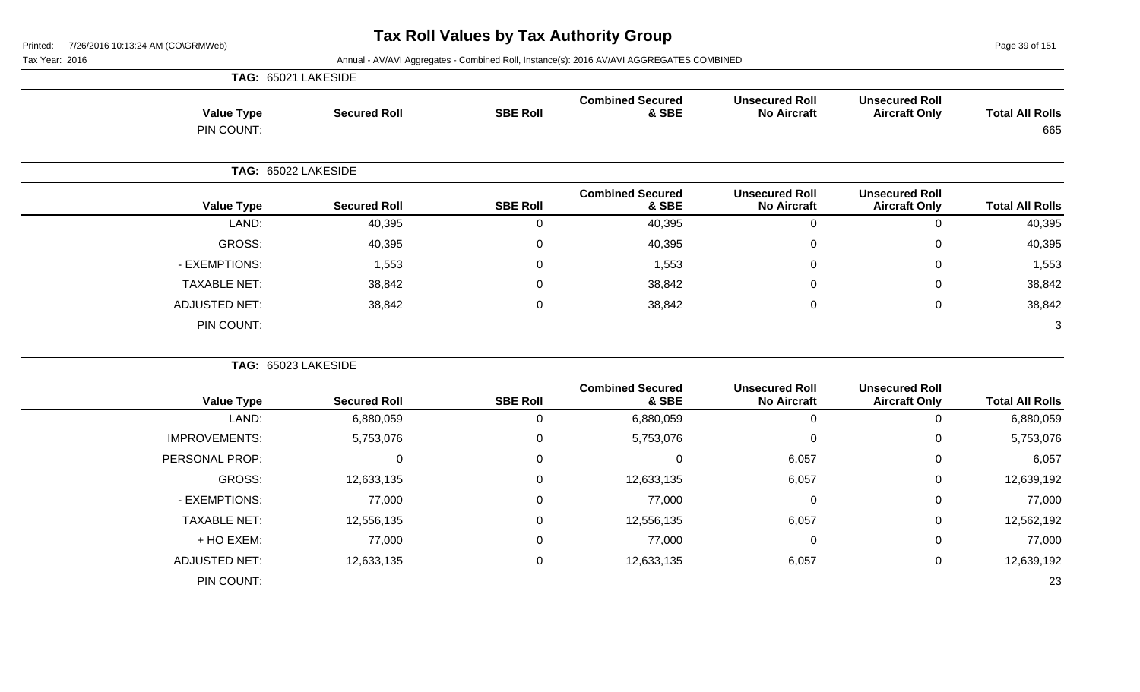**TAG:** 65021 LAKESIDE

Page 39 of 151

| <b>Total All Rolls</b> | <b>Unsecured Roll</b><br><b>Aircraft Only</b> | <b>Unsecured Roll</b><br><b>No Aircraft</b> | <b>Combined Secured</b><br>& SBE | <b>SBE Roll</b> | <b>Secured Roll</b> | <b>Value Type</b>    |
|------------------------|-----------------------------------------------|---------------------------------------------|----------------------------------|-----------------|---------------------|----------------------|
| 665                    |                                               |                                             |                                  |                 |                     | PIN COUNT:           |
|                        |                                               |                                             |                                  |                 |                     | TAG: 65022 LAKESIDE  |
| <b>Total All Rolls</b> | <b>Unsecured Roll</b><br><b>Aircraft Only</b> | <b>Unsecured Roll</b><br><b>No Aircraft</b> | <b>Combined Secured</b><br>& SBE | <b>SBE Roll</b> | <b>Secured Roll</b> | <b>Value Type</b>    |
| 40,395                 | $\mathbf 0$                                   | $\mathbf 0$                                 | 40,395                           | $\mathbf 0$     | 40,395              | LAND:                |
| 40,395                 | $\mathbf 0$                                   | $\overline{0}$                              | 40,395                           | 0               | 40,395              | <b>GROSS:</b>        |
| 1,553                  | 0                                             | $\mathbf{0}$                                | 1,553                            | 0               | 1,553               | - EXEMPTIONS:        |
| 38,842                 | 0                                             | $\Omega$                                    | 38,842                           | $\Omega$        | 38,842              | <b>TAXABLE NET:</b>  |
| 38,842                 | $\mathbf 0$                                   | $\mathbf 0$                                 | 38,842                           | $\mathbf 0$     | 38,842              | <b>ADJUSTED NET:</b> |
| 3                      |                                               |                                             |                                  |                 |                     | PIN COUNT:           |
|                        |                                               |                                             |                                  |                 |                     | TAG: 65023 LAKESIDE  |
| <b>Total All Rolls</b> | <b>Unsecured Roll</b><br><b>Aircraft Only</b> | <b>Unsecured Roll</b><br><b>No Aircraft</b> | <b>Combined Secured</b><br>& SBE | <b>SBE Roll</b> | <b>Secured Roll</b> | <b>Value Type</b>    |
| 6,880,059              | $\mathsf 0$                                   | $\boldsymbol{0}$                            | 6,880,059                        | $\mathbf 0$     | 6,880,059           | LAND:                |
| 5,753,076              | $\overline{0}$                                | $\mathbf 0$                                 | 5,753,076                        | 0               | 5,753,076           | <b>IMPROVEMENTS:</b> |
| 6,057                  | $\mathbf 0$                                   | 6,057                                       | 0                                | $\mathbf 0$     | 0                   | PERSONAL PROP:       |
| 12,639,192             | 0                                             | 6,057                                       | 12,633,135                       | 0               | 12,633,135          | <b>GROSS:</b>        |
| 77,000                 | $\mathbf 0$                                   | $\mathbf 0$                                 | 77,000                           | 0               | 77,000              | - EXEMPTIONS:        |
| 12,562,192             | $\pmb{0}$                                     | 6,057                                       | 12,556,135                       | 0               | 12,556,135          | <b>TAXABLE NET:</b>  |
| 77,000                 | $\mathbf 0$                                   | $\mathbf 0$                                 | 77,000                           | 0               | 77,000              | + HO EXEM:           |
| 12,639,192             | $\mathbf 0$                                   | 6,057                                       | 12,633,135                       | 0               | 12,633,135          | <b>ADJUSTED NET:</b> |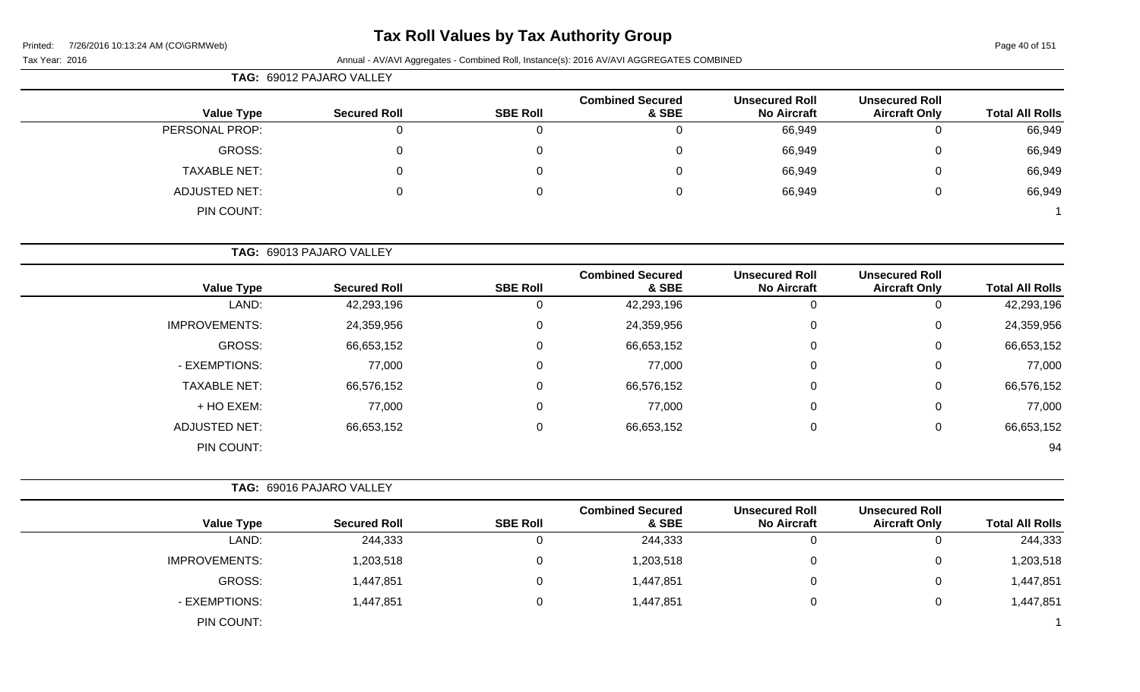# **Tax Roll Values by Tax Authority Group**

Printed: 7/26/2016 10:13:24 AM (CO\GRMWeb)

#### Page 40 of 151

#### Tax Year: 2016 **Annual - AV/AVI Aggregates - Combined Roll**, Instance(s): 2016 AV/AVI AGGREGATES COMBINED

|                     | TAG: 69012 PAJARO VALLEY |                 |                                  |                                             |                                               |                        |  |  |  |  |
|---------------------|--------------------------|-----------------|----------------------------------|---------------------------------------------|-----------------------------------------------|------------------------|--|--|--|--|
| <b>Value Type</b>   | <b>Secured Roll</b>      | <b>SBE Roll</b> | <b>Combined Secured</b><br>& SBE | <b>Unsecured Roll</b><br><b>No Aircraft</b> | <b>Unsecured Roll</b><br><b>Aircraft Only</b> | <b>Total All Rolls</b> |  |  |  |  |
| PERSONAL PROP:      | 0                        |                 |                                  | 66,949                                      | 0                                             | 66,949                 |  |  |  |  |
| GROSS:              | $\mathbf 0$              | 0               | 0                                | 66,949                                      | 0                                             | 66,949                 |  |  |  |  |
| <b>TAXABLE NET:</b> | 0                        | 0               | 0                                | 66,949                                      | 0                                             | 66,949                 |  |  |  |  |
| ADJUSTED NET:       | 0                        | 0               | 0                                | 66,949                                      | 0                                             | 66,949                 |  |  |  |  |
| PIN COUNT:          |                          |                 |                                  |                                             |                                               |                        |  |  |  |  |

**TAG:** 69013 PAJARO VALLEY

| <b>Value Type</b>    | <b>Secured Roll</b> | <b>SBE Roll</b> | <b>Combined Secured</b><br>& SBE | <b>Unsecured Roll</b><br><b>No Aircraft</b> | <b>Unsecured Roll</b><br><b>Aircraft Only</b> | <b>Total All Rolls</b> |
|----------------------|---------------------|-----------------|----------------------------------|---------------------------------------------|-----------------------------------------------|------------------------|
| LAND:                | 42,293,196          |                 | 42,293,196                       | 0                                           |                                               | 42,293,196             |
| <b>IMPROVEMENTS:</b> | 24,359,956          | 0               | 24,359,956                       | 0                                           | 0                                             | 24,359,956             |
| GROSS:               | 66,653,152          |                 | 66,653,152                       | 0                                           | 0                                             | 66,653,152             |
| - EXEMPTIONS:        | 77,000              |                 | 77,000                           | $\mathbf 0$                                 | 0                                             | 77,000                 |
| <b>TAXABLE NET:</b>  | 66,576,152          | 0               | 66,576,152                       | $\mathbf 0$                                 | $\Omega$                                      | 66,576,152             |
| + HO EXEM:           | 77,000              | 0               | 77,000                           | $\mathbf 0$                                 | 0                                             | 77,000                 |
| <b>ADJUSTED NET:</b> | 66,653,152          |                 | 66,653,152                       | $\mathbf 0$                                 | 0                                             | 66,653,152             |
| PIN COUNT:           |                     |                 |                                  |                                             |                                               | 94                     |

|                      | TAG: 69016 PAJARO VALLEY |                 |                                  |                                             |                                               |                        |
|----------------------|--------------------------|-----------------|----------------------------------|---------------------------------------------|-----------------------------------------------|------------------------|
| <b>Value Type</b>    | <b>Secured Roll</b>      | <b>SBE Roll</b> | <b>Combined Secured</b><br>& SBE | <b>Unsecured Roll</b><br><b>No Aircraft</b> | <b>Unsecured Roll</b><br><b>Aircraft Only</b> | <b>Total All Rolls</b> |
| LAND:                | 244,333                  |                 | 244,333                          | 0                                           | U                                             | 244,333                |
| <b>IMPROVEMENTS:</b> | 1,203,518                | 0               | 1,203,518                        | 0                                           | 0                                             | 1,203,518              |
| GROSS:               | 1,447,851                | 0               | 1,447,851                        | 0                                           | 0                                             | 1,447,851              |
| - EXEMPTIONS:        | 1,447,851                | 0               | 1,447,851                        | 0                                           | 0                                             | 1,447,851              |
| PIN COUNT:           |                          |                 |                                  |                                             |                                               |                        |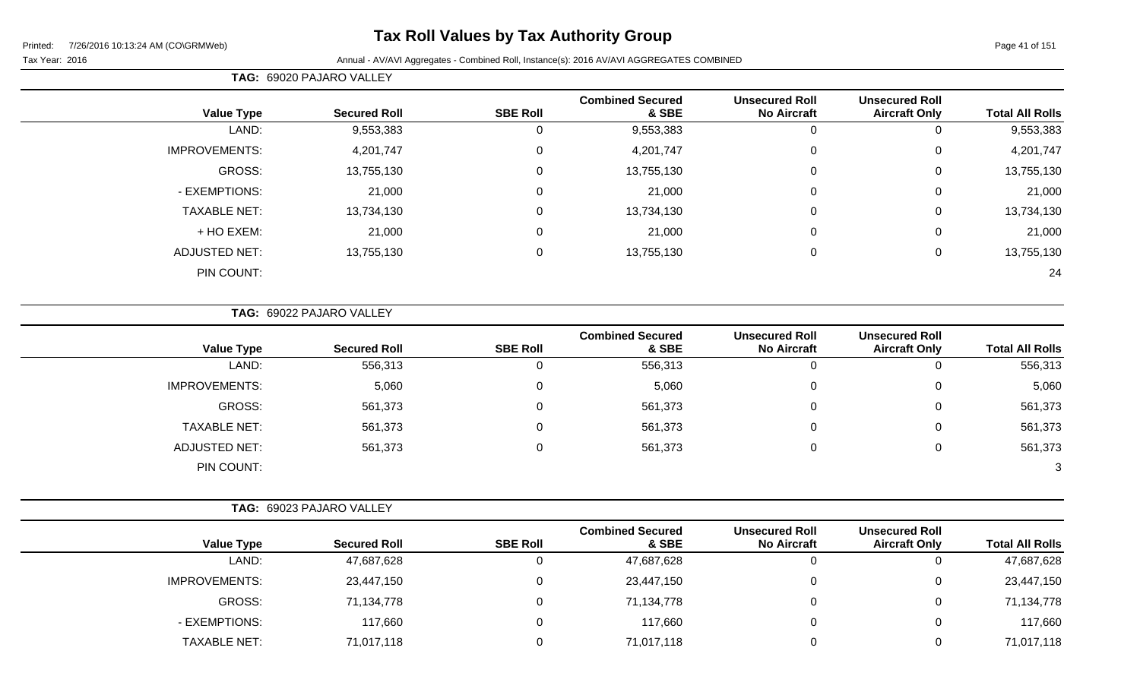# **Tax Roll Values by Tax Authority Group**

#### Tax Year: 2016 **Annual - AV/AVI Aggregates - Combined Roll**, Instance(s): 2016 AV/AVI AGGREGATES COMBINED

**TAG:** 69020 PAJARO VALLEY

|                        | <b>Unsecured Roll</b> | <b>Unsecured Roll</b> | <b>Combined Secured</b> |                  |                     |                      |
|------------------------|-----------------------|-----------------------|-------------------------|------------------|---------------------|----------------------|
| <b>Total All Rolls</b> | <b>Aircraft Only</b>  | <b>No Aircraft</b>    | & SBE                   | <b>SBE Roll</b>  | <b>Secured Roll</b> | <b>Value Type</b>    |
| 9,553,383              | 0                     | 0                     | 9,553,383               | 0                | 9,553,383           | LAND:                |
| 4,201,747              | 0                     | $\mathbf 0$           | 4,201,747               | $\mathbf 0$      | 4,201,747           | <b>IMPROVEMENTS:</b> |
| 13,755,130             | 0                     | 0                     | 13,755,130              | 0                | 13,755,130          | GROSS:               |
| 21,000                 | 0                     | $\mathbf 0$           | 21,000                  | $\mathbf 0$      | 21,000              | - EXEMPTIONS:        |
| 13,734,130             | $\mathbf 0$           | $\mathbf 0$           | 13,734,130              | $\mathbf 0$      | 13,734,130          | <b>TAXABLE NET:</b>  |
| 21,000                 | $\mathbf 0$           | $\mathbf 0$           | 21,000                  | $\boldsymbol{0}$ | 21,000              | + HO EXEM:           |
| 13,755,130             | 0                     | 0                     | 13,755,130              | $\mathbf 0$      | 13,755,130          | <b>ADJUSTED NET:</b> |
| 24                     |                       |                       |                         |                  |                     | PIN COUNT:           |

**TAG:** 69022 PAJARO VALLEY

| <b>Value Type</b>    | <b>Secured Roll</b> | <b>SBE Roll</b> | <b>Combined Secured</b><br>& SBE | <b>Unsecured Roll</b><br><b>No Aircraft</b> | <b>Unsecured Roll</b><br><b>Aircraft Only</b> | <b>Total All Rolls</b> |
|----------------------|---------------------|-----------------|----------------------------------|---------------------------------------------|-----------------------------------------------|------------------------|
| LAND:                | 556,313             |                 | 556,313                          | v                                           | 0                                             | 556,313                |
| <b>IMPROVEMENTS:</b> | 5,060               | 0               | 5,060                            | U                                           | 0                                             | 5,060                  |
| <b>GROSS:</b>        | 561,373             |                 | 561,373                          | υ                                           | 0                                             | 561,373                |
| <b>TAXABLE NET:</b>  | 561,373             |                 | 561,373                          | U                                           | 0                                             | 561,373                |
| ADJUSTED NET:        | 561,373             | 0               | 561,373                          | U                                           | 0                                             | 561,373                |
| PIN COUNT:           |                     |                 |                                  |                                             |                                               | 3                      |

| TAG: 69023 PAJARO VALLEY |  |
|--------------------------|--|
|                          |  |

| <b>Value Type</b>    | <b>Secured Roll</b> | <b>SBE Roll</b> | <b>Combined Secured</b><br>& SBE | <b>Unsecured Roll</b><br><b>No Aircraft</b> | <b>Unsecured Roll</b><br><b>Aircraft Only</b> | <b>Total All Rolls</b> |
|----------------------|---------------------|-----------------|----------------------------------|---------------------------------------------|-----------------------------------------------|------------------------|
| LAND:                | 47,687,628          |                 | 47,687,628                       |                                             |                                               | 47,687,628             |
| <b>IMPROVEMENTS:</b> | 23,447,150          |                 | 23,447,150                       |                                             |                                               | 23,447,150             |
| GROSS:               | 71,134,778          |                 | 71,134,778                       |                                             |                                               | 71,134,778             |
| - EXEMPTIONS:        | 117,660             |                 | 117,660                          |                                             |                                               | 117,660                |
| <b>TAXABLE NET:</b>  | 71,017,118          |                 | 71,017,118                       |                                             |                                               | 71,017,118             |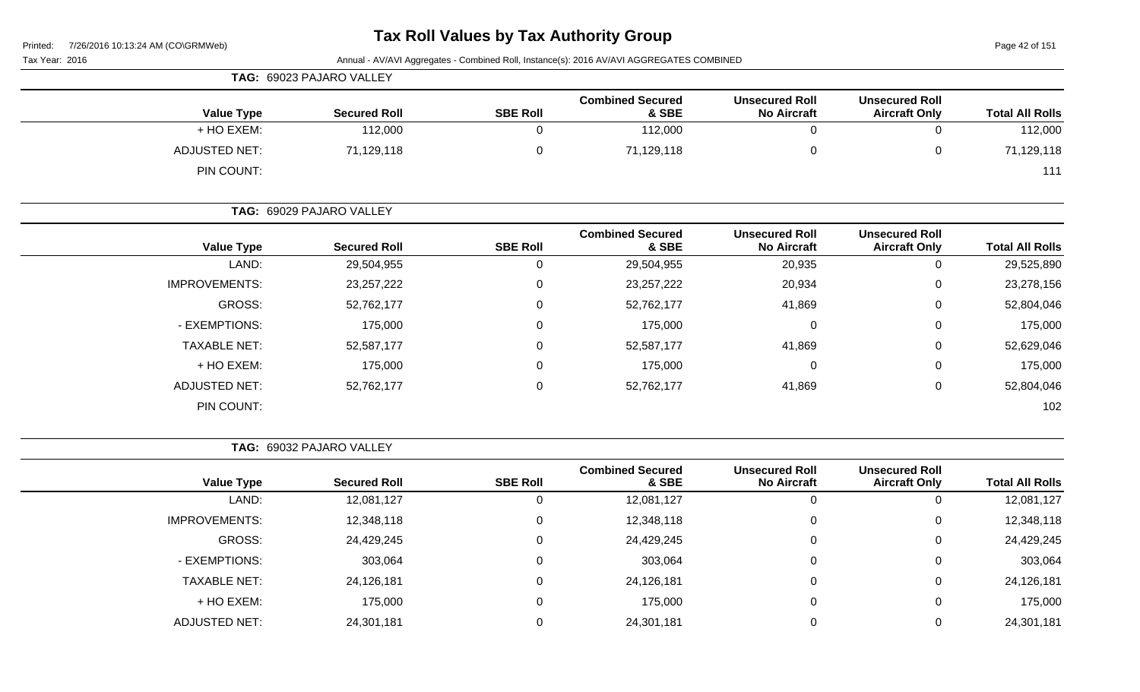Page 42 of 151

| Tax Year: 2016 | Annual - AV/AVI Aggregates - Combined Roll, Instance(s): 2016 AV/AVI AGGREGATES COMBINED |                          |                 |                                  |                                             |                                               |                        |
|----------------|------------------------------------------------------------------------------------------|--------------------------|-----------------|----------------------------------|---------------------------------------------|-----------------------------------------------|------------------------|
|                | TAG: 69023 PAJARO VALLEY                                                                 |                          |                 |                                  |                                             |                                               |                        |
|                | <b>Value Type</b>                                                                        | <b>Secured Roll</b>      | <b>SBE Roll</b> | <b>Combined Secured</b><br>& SBE | <b>Unsecured Roll</b><br><b>No Aircraft</b> | <b>Unsecured Roll</b><br><b>Aircraft Only</b> | <b>Total All Rolls</b> |
|                | + HO EXEM:                                                                               | 112,000                  | 0               | 112,000                          | 0                                           | $\mathbf 0$                                   | 112,000                |
|                | <b>ADJUSTED NET:</b>                                                                     | 71,129,118               | $\overline{0}$  | 71,129,118                       | 0                                           | $\mathbf 0$                                   | 71,129,118             |
|                | PIN COUNT:                                                                               |                          |                 |                                  |                                             |                                               | 111                    |
|                |                                                                                          | TAG: 69029 PAJARO VALLEY |                 |                                  |                                             |                                               |                        |
|                | <b>Value Type</b>                                                                        | <b>Secured Roll</b>      | <b>SBE Roll</b> | <b>Combined Secured</b><br>& SBE | <b>Unsecured Roll</b><br><b>No Aircraft</b> | <b>Unsecured Roll</b><br><b>Aircraft Only</b> | <b>Total All Rolls</b> |
|                | LAND:                                                                                    | 29,504,955               | 0               | 29,504,955                       | 20,935                                      | 0                                             | 29,525,890             |
|                | <b>IMPROVEMENTS:</b>                                                                     | 23, 257, 222             | $\mathbf 0$     | 23, 257, 222                     | 20,934                                      | $\mathbf 0$                                   | 23,278,156             |
|                | GROSS:                                                                                   | 52,762,177               | $\mathbf 0$     | 52,762,177                       | 41,869                                      | $\mathbf 0$                                   | 52,804,046             |
|                | - EXEMPTIONS:                                                                            | 175,000                  | $\mathbf 0$     | 175,000                          | $\mathbf 0$                                 | $\mathbf 0$                                   | 175,000                |
|                | <b>TAXABLE NET:</b>                                                                      | 52,587,177               | $\mathbf 0$     | 52,587,177                       | 41,869                                      | $\mathbf 0$                                   | 52,629,046             |
|                | + HO EXEM:                                                                               | 175,000                  | $\mathbf 0$     | 175,000                          | 0                                           | $\mathbf 0$                                   | 175,000                |
|                | <b>ADJUSTED NET:</b>                                                                     | 52,762,177               | $\mathbf 0$     | 52,762,177                       | 41,869                                      | $\mathbf 0$                                   | 52,804,046             |
|                | PIN COUNT:                                                                               |                          |                 |                                  |                                             |                                               | 102                    |

**TAG:** 69032 PAJARO VALLEY

|                      |                   |                     |                 | <b>Combined Secured</b> | <b>Unsecured Roll</b> | <b>Unsecured Roll</b> |                        |
|----------------------|-------------------|---------------------|-----------------|-------------------------|-----------------------|-----------------------|------------------------|
|                      | <b>Value Type</b> | <b>Secured Roll</b> | <b>SBE Roll</b> | & SBE                   | <b>No Aircraft</b>    | <b>Aircraft Only</b>  | <b>Total All Rolls</b> |
|                      | LAND:             | 12,081,127          |                 | 12,081,127              | 0                     |                       | 12,081,127             |
| <b>IMPROVEMENTS:</b> |                   | 12,348,118          |                 | 12,348,118              | 0                     | U                     | 12,348,118             |
|                      | <b>GROSS:</b>     | 24,429,245          |                 | 24,429,245              | $\Omega$              | U                     | 24,429,245             |
| - EXEMPTIONS:        |                   | 303,064             |                 | 303,064                 | $\Omega$              |                       | 303,064                |
| <b>TAXABLE NET:</b>  |                   | 24,126,181          |                 | 24,126,181              | 0                     | 0                     | 24,126,181             |
| + HO EXEM:           |                   | 175,000             |                 | 175,000                 | 0                     |                       | 175,000                |
| <b>ADJUSTED NET:</b> |                   | 24,301,181          |                 | 24,301,181              | $\Omega$              |                       | 24,301,181             |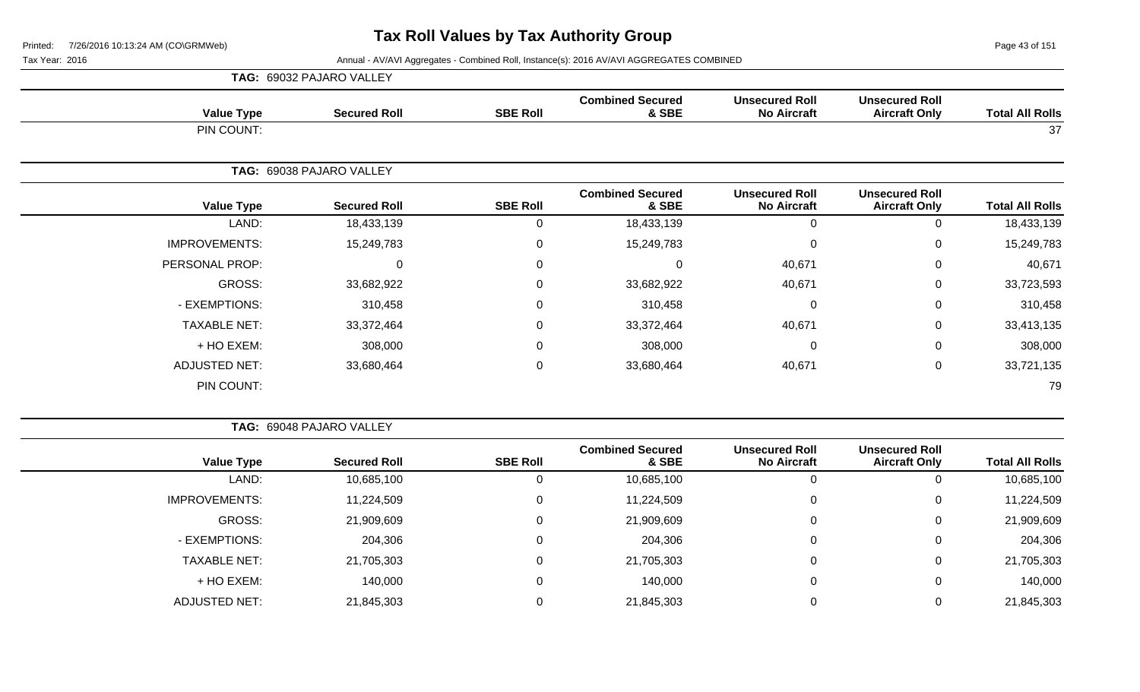Page 43 of 151

|                      | TAG: 69032 PAJARO VALLEY |                 |                                  |                                             |                                               |                        |
|----------------------|--------------------------|-----------------|----------------------------------|---------------------------------------------|-----------------------------------------------|------------------------|
| <b>Value Type</b>    | <b>Secured Roll</b>      | <b>SBE Roll</b> | <b>Combined Secured</b><br>& SBE | <b>Unsecured Roll</b><br><b>No Aircraft</b> | <b>Unsecured Roll</b><br><b>Aircraft Only</b> | <b>Total All Rolls</b> |
| PIN COUNT:           |                          |                 |                                  |                                             |                                               | 37                     |
|                      | TAG: 69038 PAJARO VALLEY |                 |                                  |                                             |                                               |                        |
| <b>Value Type</b>    | <b>Secured Roll</b>      | <b>SBE Roll</b> | <b>Combined Secured</b><br>& SBE | <b>Unsecured Roll</b><br><b>No Aircraft</b> | <b>Unsecured Roll</b><br><b>Aircraft Only</b> | <b>Total All Rolls</b> |
| LAND:                | 18,433,139               | 0               | 18,433,139                       | $\Omega$                                    | $\mathbf 0$                                   | 18,433,139             |
| <b>IMPROVEMENTS:</b> | 15,249,783               | 0               | 15,249,783                       | $\Omega$                                    | $\mathbf 0$                                   | 15,249,783             |
| PERSONAL PROP:       | $\Omega$                 | 0               | $\Omega$                         | 40,671                                      | 0                                             | 40,671                 |
| <b>GROSS:</b>        | 33,682,922               | 0               | 33,682,922                       | 40,671                                      | $\mathbf 0$                                   | 33,723,593             |
| - EXEMPTIONS:        | 310,458                  | 0               | 310,458                          | 0                                           | $\mathbf 0$                                   | 310,458                |
| <b>TAXABLE NET:</b>  | 33,372,464               | 0               | 33,372,464                       | 40,671                                      | $\mathbf 0$                                   | 33,413,135             |
| + HO EXEM:           | 308,000                  | 0               | 308,000                          | $\Omega$                                    | 0                                             | 308,000                |
| <b>ADJUSTED NET:</b> | 33,680,464               | 0               | 33,680,464                       | 40,671                                      | $\mathbf 0$                                   | 33,721,135             |
| PIN COUNT:           |                          |                 |                                  |                                             |                                               | 79                     |

|                      | TAG: 69048 PAJARO VALLEY |                 |                                  |                                             |                                               |                        |
|----------------------|--------------------------|-----------------|----------------------------------|---------------------------------------------|-----------------------------------------------|------------------------|
| <b>Value Type</b>    | <b>Secured Roll</b>      | <b>SBE Roll</b> | <b>Combined Secured</b><br>& SBE | <b>Unsecured Roll</b><br><b>No Aircraft</b> | <b>Unsecured Roll</b><br><b>Aircraft Only</b> | <b>Total All Rolls</b> |
| LAND:                | 10,685,100               | 0               | 10,685,100                       | 0                                           | 0                                             | 10,685,100             |
| <b>IMPROVEMENTS:</b> | 11,224,509               | 0               | 11,224,509                       | 0                                           | 0                                             | 11,224,509             |
| GROSS:               | 21,909,609               | $\Omega$        | 21,909,609                       | 0                                           | 0                                             | 21,909,609             |
| - EXEMPTIONS:        | 204,306                  | $\mathbf 0$     | 204,306                          | 0                                           | 0                                             | 204,306                |
| <b>TAXABLE NET:</b>  | 21,705,303               | 0               | 21,705,303                       | $\mathbf 0$                                 | 0                                             | 21,705,303             |
| + HO EXEM:           | 140,000                  | 0               | 140,000                          | 0                                           | 0                                             | 140,000                |
| <b>ADJUSTED NET:</b> | 21,845,303               | 0               | 21,845,303                       | 0                                           | 0                                             | 21,845,303             |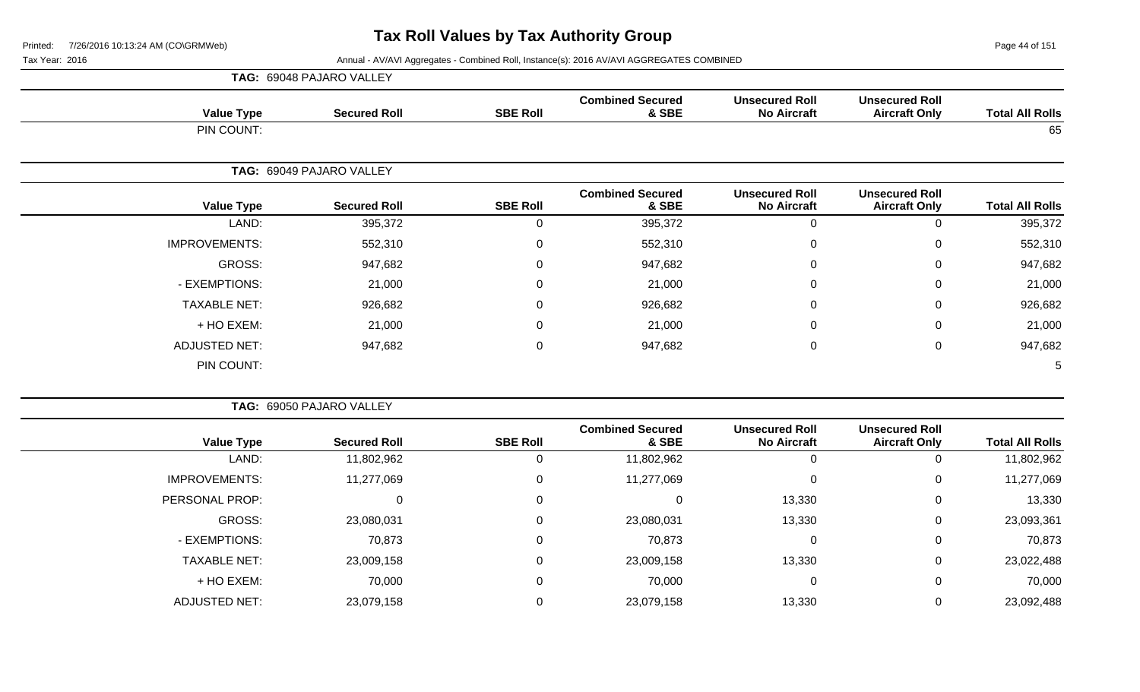Page 44 of 151

| TAG: 69048 PAJARO VALLEY |                 |                                  |                                             |                                               |                        |
|--------------------------|-----------------|----------------------------------|---------------------------------------------|-----------------------------------------------|------------------------|
| <b>Value Type</b>        | <b>SBE Roll</b> | <b>Combined Secured</b><br>& SBE | <b>Unsecured Roll</b><br><b>No Aircraft</b> | <b>Unsecured Roll</b><br><b>Aircraft Only</b> | <b>Total All Rolls</b> |
| PIN COUNT:               |                 |                                  |                                             |                                               | 65                     |
| TAG: 69049 PAJARO VALLEY |                 |                                  |                                             |                                               |                        |
| <b>Value Type</b>        | <b>SBE Roll</b> | <b>Combined Secured</b><br>& SBE | <b>Unsecured Roll</b><br><b>No Aircraft</b> | <b>Unsecured Roll</b><br><b>Aircraft Only</b> | <b>Total All Rolls</b> |
| LAND:                    | 0               | 395,372                          | $\pmb{0}$                                   | $\Omega$                                      | 395,372                |
| <b>IMPROVEMENTS:</b>     | $\mathsf 0$     | 552,310                          | 0                                           | $\mathbf 0$                                   | 552,310                |
| GROSS:                   | 0               | 947,682                          | $\pmb{0}$                                   | $\Omega$                                      | 947,682                |
| - EXEMPTIONS:            | $\mathbf 0$     | 21,000                           | 0                                           | 0                                             | 21,000                 |
| <b>TAXABLE NET:</b>      | 0               | 926,682                          | 0                                           | 0                                             | 926,682                |
| + HO EXEM:               | 0               | 21,000                           | $\pmb{0}$                                   | $\Omega$                                      | 21,000                 |
| <b>ADJUSTED NET:</b>     | $\mathbf 0$     | 947,682                          | 0                                           | 0                                             | 947,682                |
| PIN COUNT:               |                 |                                  |                                             |                                               | 5                      |
|                          |                 |                                  |                                             |                                               |                        |
| TAG: 69050 PAJARO VALLEY |                 |                                  |                                             |                                               |                        |

| <b>Value Type</b>    | <b>Secured Roll</b> | <b>SBE Roll</b> | <b>Combined Secured</b><br>& SBE | <b>Unsecured Roll</b><br><b>No Aircraft</b> | <b>Unsecured Roll</b><br><b>Aircraft Only</b> | <b>Total All Rolls</b> |
|----------------------|---------------------|-----------------|----------------------------------|---------------------------------------------|-----------------------------------------------|------------------------|
| LAND:                | 11,802,962          | U               | 11,802,962                       | 0                                           | υ                                             | 11,802,962             |
| <b>IMPROVEMENTS:</b> | 11,277,069          | 0               | 11,277,069                       | 0                                           | U                                             | 11,277,069             |
| PERSONAL PROP:       |                     | 0               | 0                                | 13,330                                      | 0                                             | 13,330                 |
| GROSS:               | 23,080,031          | 0               | 23,080,031                       | 13,330                                      | U                                             | 23,093,361             |
| - EXEMPTIONS:        | 70,873              | 0               | 70,873                           | 0                                           | 0                                             | 70,873                 |
| <b>TAXABLE NET:</b>  | 23,009,158          | 0               | 23,009,158                       | 13,330                                      | U                                             | 23,022,488             |
| + HO EXEM:           | 70,000              | 0               | 70,000                           | 0                                           | U                                             | 70,000                 |
| <b>ADJUSTED NET:</b> | 23,079,158          | 0               | 23,079,158                       | 13,330                                      | U                                             | 23,092,488             |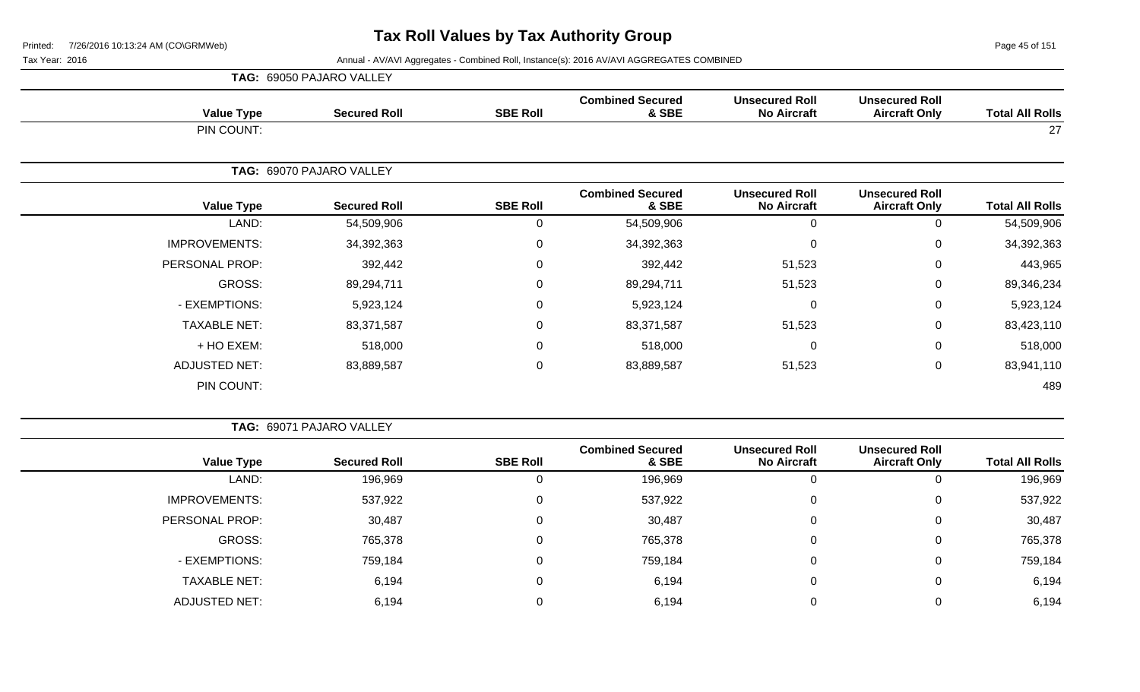Page 45 of 151

|                      | TAG: 69050 PAJARO VALLEY |                 |                                  |                                             |                                               |                        |
|----------------------|--------------------------|-----------------|----------------------------------|---------------------------------------------|-----------------------------------------------|------------------------|
| <b>Value Type</b>    | <b>Secured Roll</b>      | <b>SBE Roll</b> | <b>Combined Secured</b><br>& SBE | <b>Unsecured Roll</b><br><b>No Aircraft</b> | <b>Unsecured Roll</b><br><b>Aircraft Only</b> | <b>Total All Rolls</b> |
| PIN COUNT:           |                          |                 |                                  |                                             |                                               | 27                     |
|                      | TAG: 69070 PAJARO VALLEY |                 |                                  |                                             |                                               |                        |
| <b>Value Type</b>    | <b>Secured Roll</b>      | <b>SBE Roll</b> | <b>Combined Secured</b><br>& SBE | <b>Unsecured Roll</b><br><b>No Aircraft</b> | <b>Unsecured Roll</b><br><b>Aircraft Only</b> | <b>Total All Rolls</b> |
| LAND:                | 54,509,906               | 0               | 54,509,906                       | 0                                           | 0                                             | 54,509,906             |
| <b>IMPROVEMENTS:</b> | 34,392,363               | 0               | 34,392,363                       | 0                                           | $\mathbf 0$                                   | 34,392,363             |
| PERSONAL PROP:       | 392,442                  | $\mathbf 0$     | 392,442                          | 51,523                                      | $\mathbf 0$                                   | 443,965                |
| GROSS:               | 89,294,711               | $\Omega$        | 89,294,711                       | 51,523                                      | $\mathbf 0$                                   | 89,346,234             |
| - EXEMPTIONS:        | 5,923,124                | $\overline{0}$  | 5,923,124                        | 0                                           | $\mathbf 0$                                   | 5,923,124              |
| <b>TAXABLE NET:</b>  | 83,371,587               | $\mathbf 0$     | 83,371,587                       | 51,523                                      | $\mathbf 0$                                   | 83,423,110             |
| + HO EXEM:           | 518,000                  | $\Omega$        | 518,000                          | $\Omega$                                    | $\mathbf 0$                                   | 518,000                |
| <b>ADJUSTED NET:</b> | 83,889,587               | $\mathbf 0$     | 83,889,587                       | 51,523                                      | $\mathbf 0$                                   | 83,941,110             |
| PIN COUNT:           |                          |                 |                                  |                                             |                                               | 489                    |

| <b>TAG: 69071 PAJARO VALLEY</b> |
|---------------------------------|
|---------------------------------|

| <b>Value Type</b>    | <b>Secured Roll</b> | <b>SBE Roll</b> | <b>Combined Secured</b><br>& SBE | <b>Unsecured Roll</b><br><b>No Aircraft</b> | <b>Unsecured Roll</b><br><b>Aircraft Only</b> | <b>Total All Rolls</b> |
|----------------------|---------------------|-----------------|----------------------------------|---------------------------------------------|-----------------------------------------------|------------------------|
| LAND:                | 196,969             | 0               | 196,969                          |                                             | 0                                             | 196,969                |
| <b>IMPROVEMENTS:</b> | 537,922             | 0               | 537,922                          |                                             | 0                                             | 537,922                |
| PERSONAL PROP:       | 30,487              | 0               | 30,487                           |                                             | 0                                             | 30,487                 |
| GROSS:               | 765,378             | 0               | 765,378                          |                                             | 0                                             | 765,378                |
| - EXEMPTIONS:        | 759,184             | 0               | 759,184                          |                                             | 0                                             | 759,184                |
| <b>TAXABLE NET:</b>  | 6,194               | 0               | 6,194                            |                                             | 0                                             | 6,194                  |
| <b>ADJUSTED NET:</b> | 6,194               | 0               | 6,194                            |                                             | 0                                             | 6,194                  |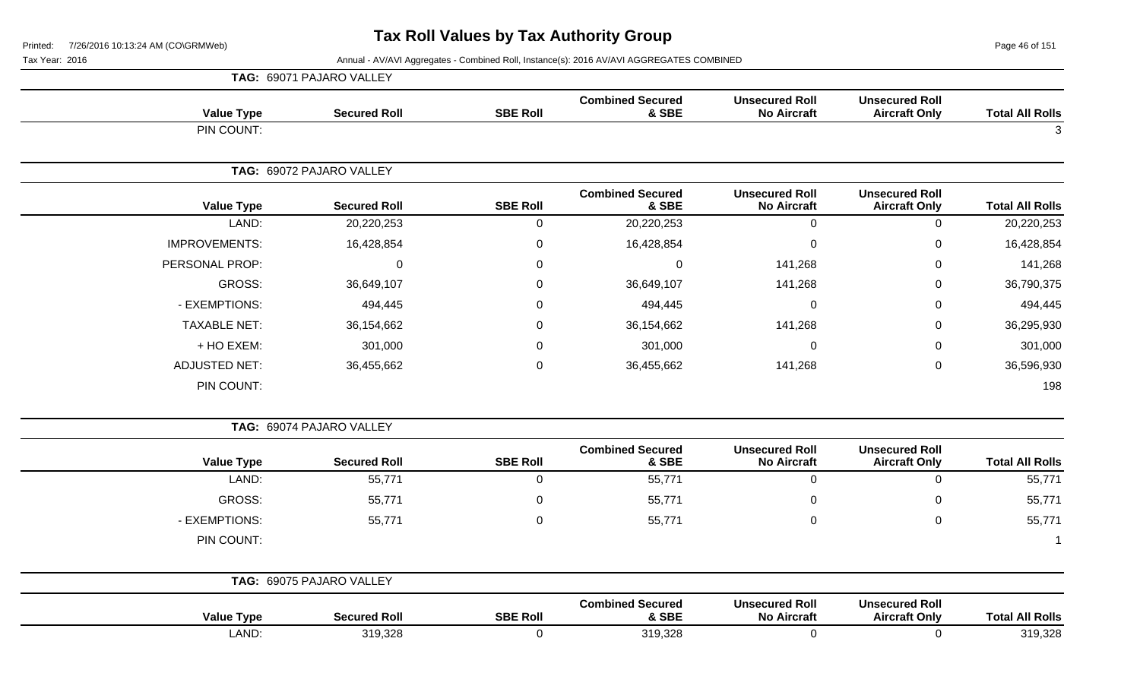Page 46 of 151

|                        |                                               |                                             |                                  |                 | TAG: 69071 PAJARO VALLEY |                      |
|------------------------|-----------------------------------------------|---------------------------------------------|----------------------------------|-----------------|--------------------------|----------------------|
| <b>Total All Rolls</b> | <b>Unsecured Roll</b><br><b>Aircraft Only</b> | <b>Unsecured Roll</b><br><b>No Aircraft</b> | <b>Combined Secured</b><br>& SBE | <b>SBE Roll</b> | <b>Secured Roll</b>      | <b>Value Type</b>    |
| 3                      |                                               |                                             |                                  |                 |                          | PIN COUNT:           |
|                        |                                               |                                             |                                  |                 | TAG: 69072 PAJARO VALLEY |                      |
| <b>Total All Rolls</b> | <b>Unsecured Roll</b><br><b>Aircraft Only</b> | <b>Unsecured Roll</b><br><b>No Aircraft</b> | <b>Combined Secured</b><br>& SBE | <b>SBE Roll</b> | <b>Secured Roll</b>      | <b>Value Type</b>    |
| 20,220,253             | $\mathsf{O}\xspace$                           | $\mathbf 0$                                 | 20,220,253                       | $\mathsf 0$     | 20,220,253               | LAND:                |
| 16,428,854             | 0                                             | $\overline{0}$                              | 16,428,854                       | 0               | 16,428,854               | <b>IMPROVEMENTS:</b> |
| 141,268                | 0                                             | 141,268                                     | $\mathbf 0$                      | 0               | $\mathbf 0$              | PERSONAL PROP:       |
| 36,790,375             | 0                                             | 141,268                                     | 36,649,107                       | $\Omega$        | 36,649,107               | <b>GROSS:</b>        |
| 494,445                | 0                                             | $\mathbf 0$                                 | 494,445                          | 0               | 494,445                  | - EXEMPTIONS:        |
| 36,295,930             | 0                                             | 141,268                                     | 36,154,662                       | 0               | 36,154,662               | <b>TAXABLE NET:</b>  |
| 301,000                | 0                                             | $\overline{0}$                              | 301,000                          | 0               | 301,000                  | + HO EXEM:           |
| 36,596,930             | 0                                             | 141,268                                     | 36,455,662                       | 0               | 36,455,662               | <b>ADJUSTED NET:</b> |
| 198                    |                                               |                                             |                                  |                 |                          | PIN COUNT:           |
|                        |                                               |                                             |                                  |                 | TAG: 69074 PAJARO VALLEY |                      |
| <b>Total All Rolls</b> | <b>Unsecured Roll</b><br><b>Aircraft Only</b> | <b>Unsecured Roll</b><br><b>No Aircraft</b> | <b>Combined Secured</b><br>& SBE | <b>SBE Roll</b> | <b>Secured Roll</b>      | <b>Value Type</b>    |
| 55,771                 | $\mathbf 0$                                   | $\mathbf 0$                                 | 55,771                           | $\mathbf 0$     | 55,771                   | LAND:                |
| 55,771                 | 0                                             | $\mathbf 0$                                 | 55,771                           | 0               | 55,771                   | <b>GROSS:</b>        |
| 55,771                 | 0                                             | $\overline{0}$                              | 55,771                           | 0               | 55,771                   | - EXEMPTIONS:        |
| $\overline{1}$         |                                               |                                             |                                  |                 |                          | PIN COUNT:           |
|                        |                                               |                                             |                                  |                 | TAG: 69075 PAJARO VALLEY |                      |
| <b>Total All Rolls</b> | <b>Unsecured Roll</b><br><b>Aircraft Only</b> | <b>Unsecured Roll</b><br><b>No Aircraft</b> | <b>Combined Secured</b><br>& SBE | <b>SBE Roll</b> | <b>Secured Roll</b>      | <b>Value Type</b>    |
| 319,328                | $\mathbf 0$                                   | $\mathbf 0$                                 | 319,328                          | $\pmb{0}$       | 319,328                  | LAND:                |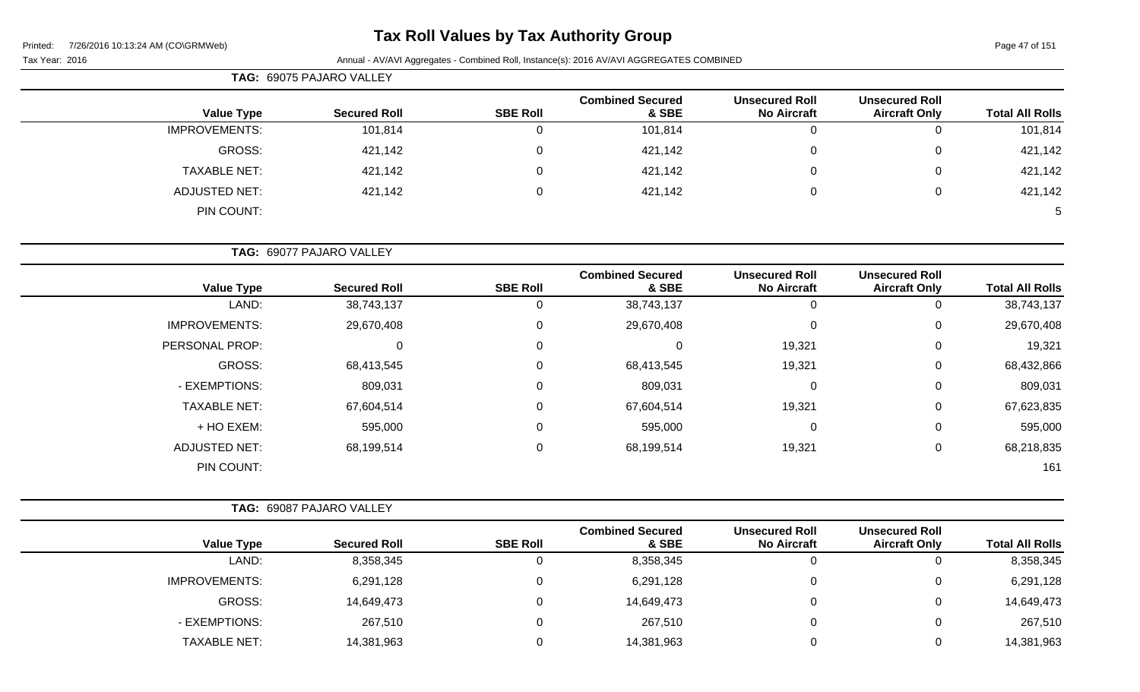# **Tax Roll Values by Tax Authority Group**

|                      | TAG: 69075 PAJARO VALLEY |                 |                                  |                                             |                                               |                        |
|----------------------|--------------------------|-----------------|----------------------------------|---------------------------------------------|-----------------------------------------------|------------------------|
| <b>Value Type</b>    | <b>Secured Roll</b>      | <b>SBE Roll</b> | <b>Combined Secured</b><br>& SBE | <b>Unsecured Roll</b><br><b>No Aircraft</b> | <b>Unsecured Roll</b><br><b>Aircraft Only</b> | <b>Total All Rolls</b> |
| <b>IMPROVEMENTS:</b> | 101,814                  |                 | 101,814                          | 0                                           | 0                                             | 101,814                |
| GROSS:               | 421,142                  |                 | 421,142                          | 0                                           | 0                                             | 421,142                |
| <b>TAXABLE NET:</b>  | 421,142                  |                 | 421,142                          | 0                                           | 0                                             | 421,142                |
| <b>ADJUSTED NET:</b> | 421,142                  |                 | 421,142                          | 0                                           | 0                                             | 421,142                |
| PIN COUNT:           |                          |                 |                                  |                                             |                                               | 5 <sup>5</sup>         |

**TAG:** 69077 PAJARO VALLEY

| <b>Value Type</b>    | <b>Secured Roll</b> | <b>SBE Roll</b> | <b>Combined Secured</b><br>& SBE | <b>Unsecured Roll</b><br><b>No Aircraft</b> | <b>Unsecured Roll</b><br><b>Aircraft Only</b> | <b>Total All Rolls</b> |
|----------------------|---------------------|-----------------|----------------------------------|---------------------------------------------|-----------------------------------------------|------------------------|
| LAND:                | 38,743,137          |                 | 38,743,137                       | 0                                           | 0                                             | 38,743,137             |
| <b>IMPROVEMENTS:</b> | 29,670,408          | 0               | 29,670,408                       | 0                                           | 0                                             | 29,670,408             |
| PERSONAL PROP:       | 0                   | $\Omega$        |                                  | 19,321                                      | 0                                             | 19,321                 |
| <b>GROSS:</b>        | 68,413,545          | $\Omega$        | 68,413,545                       | 19,321                                      | 0                                             | 68,432,866             |
| - EXEMPTIONS:        | 809,031             | 0               | 809,031                          | 0                                           | 0                                             | 809,031                |
| <b>TAXABLE NET:</b>  | 67,604,514          | 0               | 67,604,514                       | 19,321                                      | 0                                             | 67,623,835             |
| + HO EXEM:           | 595,000             | $\Omega$        | 595,000                          | 0                                           | 0                                             | 595,000                |
| <b>ADJUSTED NET:</b> | 68,199,514          | 0               | 68,199,514                       | 19,321                                      | 0                                             | 68,218,835             |
| PIN COUNT:           |                     |                 |                                  |                                             |                                               | 161                    |

|                      | <b>TAG: 69087 PAJARO VALLEY</b> |                 |                                  |                                             |                                               |                        |
|----------------------|---------------------------------|-----------------|----------------------------------|---------------------------------------------|-----------------------------------------------|------------------------|
| <b>Value Type</b>    | <b>Secured Roll</b>             | <b>SBE Roll</b> | <b>Combined Secured</b><br>& SBE | <b>Unsecured Roll</b><br><b>No Aircraft</b> | <b>Unsecured Roll</b><br><b>Aircraft Only</b> | <b>Total All Rolls</b> |
| LAND:                | 8,358,345                       | U               | 8,358,345                        | υ                                           |                                               | 8,358,345              |
| <b>IMPROVEMENTS:</b> | 6,291,128                       | 0               | 6,291,128                        | 0                                           |                                               | 6,291,128              |
| GROSS:               | 14,649,473                      | 0               | 14,649,473                       | 0                                           |                                               | 14,649,473             |
| - EXEMPTIONS:        | 267,510                         | 0               | 267,510                          | 0                                           |                                               | 267,510                |
| <b>TAXABLE NET:</b>  | 14,381,963                      |                 | 14,381,963                       | 0                                           |                                               | 14,381,963             |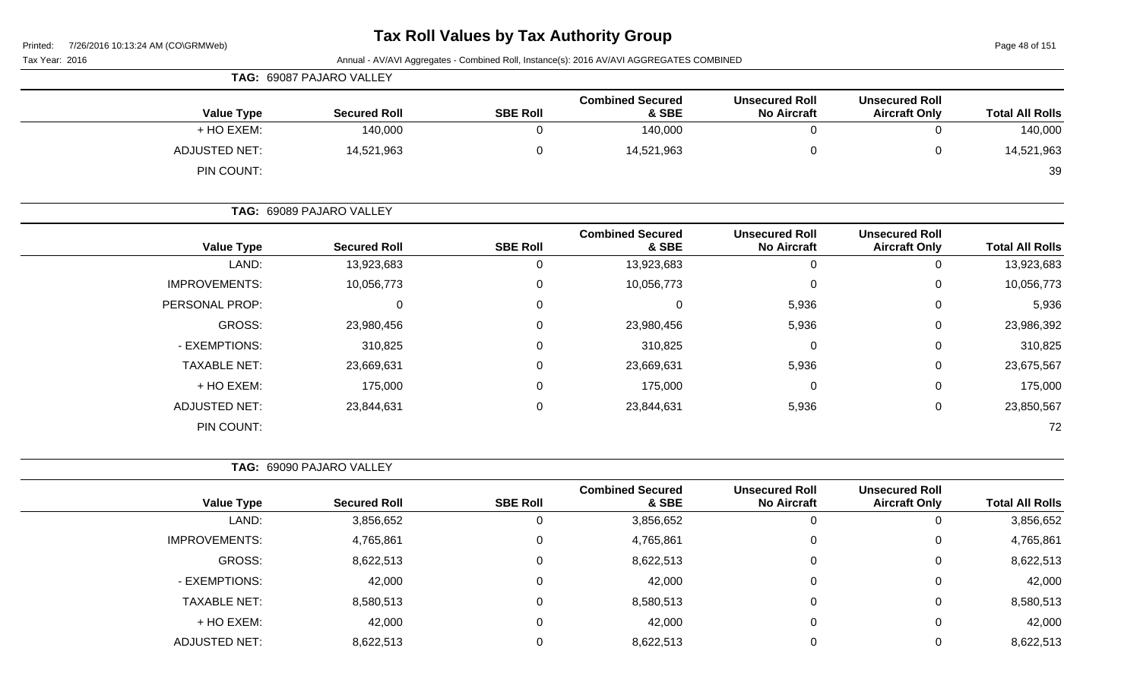Page 48 of 151

|                        | Annual - AV/AVI Aggregates - Combined Roll, Instance(s): 2016 AV/AVI AGGREGATES COMBINED<br>Tax Year: 2016 |                                             |                                  |                 |                          |                      |  |  |  |
|------------------------|------------------------------------------------------------------------------------------------------------|---------------------------------------------|----------------------------------|-----------------|--------------------------|----------------------|--|--|--|
|                        |                                                                                                            |                                             |                                  |                 | TAG: 69087 PAJARO VALLEY |                      |  |  |  |
| <b>Total All Rolls</b> | <b>Unsecured Roll</b><br><b>Aircraft Only</b>                                                              | <b>Unsecured Roll</b><br><b>No Aircraft</b> | <b>Combined Secured</b><br>& SBE | <b>SBE Roll</b> | <b>Secured Roll</b>      | <b>Value Type</b>    |  |  |  |
| 140,000                | 0                                                                                                          | 0                                           | 140,000                          | 0               | 140,000                  | + HO EXEM:           |  |  |  |
| 14,521,963             | $\mathbf 0$                                                                                                | 0                                           | 14,521,963                       | 0               | 14,521,963               | <b>ADJUSTED NET:</b> |  |  |  |
| 39                     |                                                                                                            |                                             |                                  |                 |                          | PIN COUNT:           |  |  |  |
|                        |                                                                                                            |                                             |                                  |                 | TAG: 69089 PAJARO VALLEY |                      |  |  |  |
| <b>Total All Rolls</b> | <b>Unsecured Roll</b><br><b>Aircraft Only</b>                                                              | <b>Unsecured Roll</b><br><b>No Aircraft</b> | <b>Combined Secured</b><br>& SBE | <b>SBE Roll</b> | <b>Secured Roll</b>      | <b>Value Type</b>    |  |  |  |
| 13,923,683             | 0                                                                                                          | 0                                           | 13,923,683                       | 0               | 13,923,683               | LAND:                |  |  |  |
| 10,056,773             | 0                                                                                                          | 0                                           | 10,056,773                       | 0               | 10,056,773               | <b>IMPROVEMENTS:</b> |  |  |  |
| 5,936                  | 0                                                                                                          | 5,936                                       | $\mathbf 0$                      | 0               | 0                        | PERSONAL PROP:       |  |  |  |
| 23,986,392             | $\mathbf 0$                                                                                                | 5,936                                       | 23,980,456                       | 0               | 23,980,456               | GROSS:               |  |  |  |
| 310,825                | 0                                                                                                          | 0                                           | 310,825                          | 0               | 310,825                  | - EXEMPTIONS:        |  |  |  |
| 23,675,567             | 0                                                                                                          | 5,936                                       | 23,669,631                       | 0               | 23,669,631               | <b>TAXABLE NET:</b>  |  |  |  |
| 175,000                | 0                                                                                                          | 0                                           | 175,000                          | 0               | 175,000                  | + HO EXEM:           |  |  |  |
| 23,850,567             | $\pmb{0}$                                                                                                  | 5,936                                       | 23,844,631                       | 0               | 23,844,631               | <b>ADJUSTED NET:</b> |  |  |  |
| 72                     |                                                                                                            |                                             |                                  |                 |                          | PIN COUNT:           |  |  |  |
|                        |                                                                                                            |                                             |                                  |                 | TAG: 69090 PAJARO VALLEY |                      |  |  |  |
| <b>Total All Rolls</b> | <b>Unsecured Roll</b><br><b>Aircraft Only</b>                                                              | <b>Unsecured Roll</b><br><b>No Aircraft</b> | <b>Combined Secured</b><br>& SBE | <b>SBE Roll</b> | <b>Secured Roll</b>      | <b>Value Type</b>    |  |  |  |
| 3,856,652              | $\Omega$                                                                                                   | 0                                           | 3,856,652                        | 0               | 3,856,652                | LAND:                |  |  |  |
| 4,765,861              | $\Omega$                                                                                                   | 0                                           | 4,765,861                        | 0               | 4,765,861                | <b>IMPROVEMENTS:</b> |  |  |  |
| 8,622,513              | 0                                                                                                          | $\Omega$                                    | 8,622,513                        | $\mathbf{0}$    | 8,622,513                | <b>GROSS:</b>        |  |  |  |
| 42,000                 | $\pmb{0}$                                                                                                  | 0                                           | 42,000                           | 0               | 42,000                   | - EXEMPTIONS:        |  |  |  |
| 8,580,513              | 0                                                                                                          | 0                                           | 8,580,513                        | 0               | 8,580,513                | <b>TAXABLE NET:</b>  |  |  |  |
| 42,000                 | 0                                                                                                          | 0                                           | 42,000                           | 0               | 42,000                   | + HO EXEM:           |  |  |  |
| 8,622,513              | $\boldsymbol{0}$                                                                                           | 0                                           | 8,622,513                        | 0               | 8,622,513                | <b>ADJUSTED NET:</b> |  |  |  |
|                        |                                                                                                            |                                             |                                  |                 |                          |                      |  |  |  |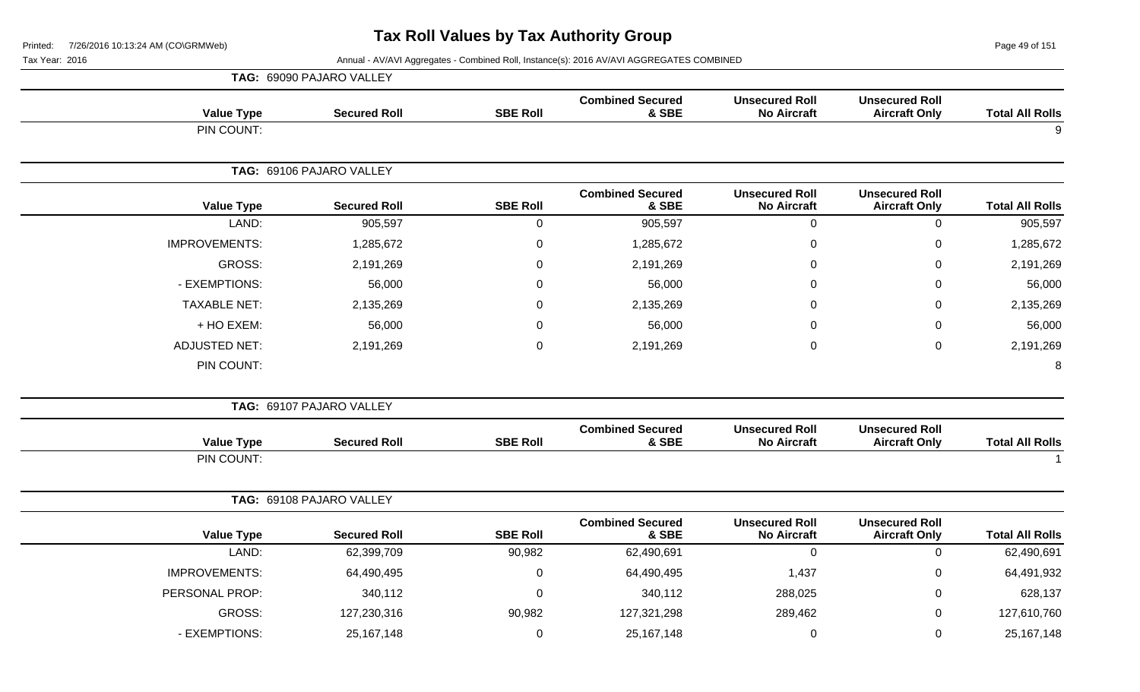Page 49 of 151

|                        |                                               |                                             |                                  |                 | TAG: 69090 PAJARO VALLEY |                      |
|------------------------|-----------------------------------------------|---------------------------------------------|----------------------------------|-----------------|--------------------------|----------------------|
| <b>Total All Rolls</b> | <b>Unsecured Roll</b><br><b>Aircraft Only</b> | <b>Unsecured Roll</b><br><b>No Aircraft</b> | <b>Combined Secured</b><br>& SBE | <b>SBE Roll</b> | <b>Secured Roll</b>      | <b>Value Type</b>    |
| 9                      |                                               |                                             |                                  |                 |                          | PIN COUNT:           |
|                        |                                               |                                             |                                  |                 | TAG: 69106 PAJARO VALLEY |                      |
| <b>Total All Rolls</b> | <b>Unsecured Roll</b><br><b>Aircraft Only</b> | <b>Unsecured Roll</b><br><b>No Aircraft</b> | <b>Combined Secured</b><br>& SBE | <b>SBE Roll</b> | <b>Secured Roll</b>      | <b>Value Type</b>    |
| 905,597                | $\pmb{0}$                                     | $\mathbf 0$                                 | 905,597                          | $\mathbf 0$     | 905,597                  | LAND:                |
| 1,285,672              | $\mathsf 0$                                   | $\mathbf 0$                                 | 1,285,672                        | 0               | 1,285,672                | <b>IMPROVEMENTS:</b> |
| 2,191,269              | 0                                             | $\Omega$                                    | 2,191,269                        | 0               | 2,191,269                | GROSS:               |
| 56,000                 | $\mathbf 0$                                   | 0                                           | 56,000                           | 0               | 56,000                   | - EXEMPTIONS:        |
| 2,135,269              | $\mathbf 0$                                   | 0                                           | 2,135,269                        | 0               | 2,135,269                | <b>TAXABLE NET:</b>  |
| 56,000                 | 0                                             | $\Omega$                                    | 56,000                           | 0               | 56,000                   | + HO EXEM:           |
| 2,191,269              | $\pmb{0}$                                     | 0                                           | 2,191,269                        | 0               | 2,191,269                | <b>ADJUSTED NET:</b> |
| 8                      |                                               |                                             |                                  |                 |                          | PIN COUNT:           |
|                        |                                               |                                             |                                  |                 | TAG: 69107 PAJARO VALLEY |                      |
| <b>Total All Rolls</b> | <b>Unsecured Roll</b><br><b>Aircraft Only</b> | <b>Unsecured Roll</b><br><b>No Aircraft</b> | <b>Combined Secured</b><br>& SBE | <b>SBE Roll</b> | <b>Secured Roll</b>      | <b>Value Type</b>    |
| -1                     |                                               |                                             |                                  |                 |                          | PIN COUNT:           |
|                        |                                               |                                             |                                  |                 | TAG: 69108 PAJARO VALLEY |                      |
| <b>Total All Rolls</b> | <b>Unsecured Roll</b><br><b>Aircraft Only</b> | <b>Unsecured Roll</b><br><b>No Aircraft</b> | <b>Combined Secured</b><br>& SBE | <b>SBE Roll</b> | <b>Secured Roll</b>      | <b>Value Type</b>    |
| 62,490,691             | $\mathbf 0$                                   | $\overline{0}$                              | 62,490,691                       | 90,982          | 62,399,709               | LAND:                |
| 64,491,932             | $\mathbf 0$                                   | 1,437                                       | 64,490,495                       | 0               | 64,490,495               | <b>IMPROVEMENTS:</b> |
| 628,137                | $\mathbf 0$                                   | 288,025                                     | 340,112                          | 0               | 340,112                  | PERSONAL PROP:       |
| 127,610,760            | $\mathbf 0$                                   | 289,462                                     | 127,321,298                      | 90,982          | 127,230,316              | <b>GROSS:</b>        |
| 25, 167, 148           | $\mathsf 0$                                   | $\pmb{0}$                                   | 25, 167, 148                     | 0               | 25, 167, 148             | - EXEMPTIONS:        |
|                        |                                               |                                             |                                  |                 |                          |                      |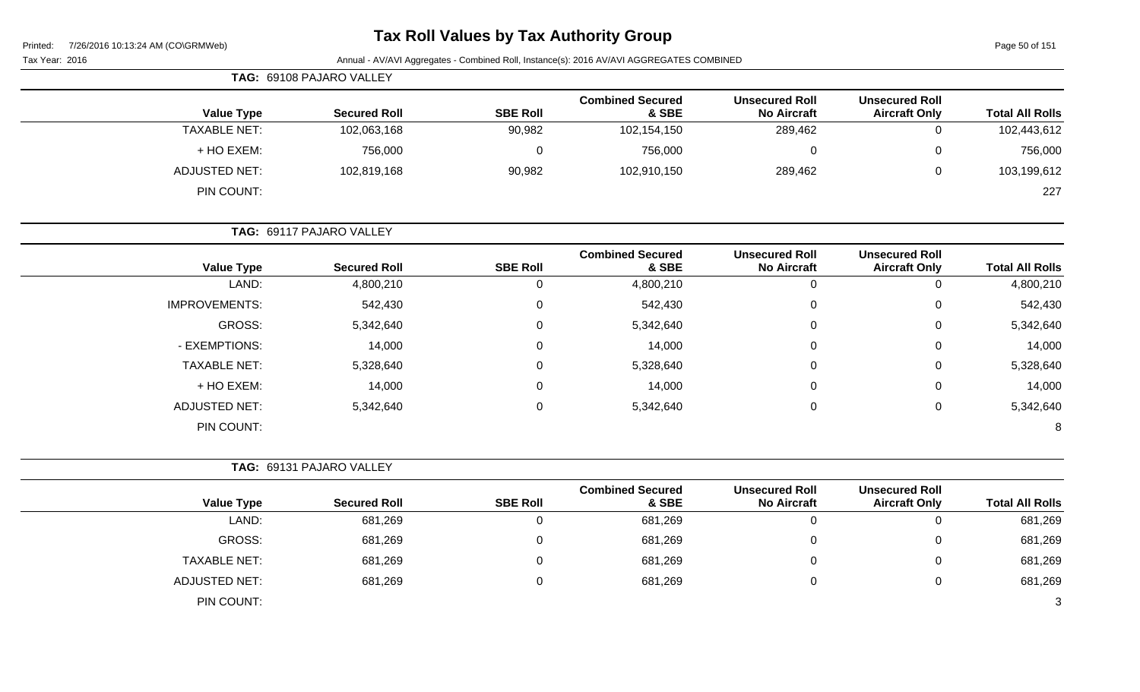| Printed: |  | 7/26/2016 10:13:24 AM (CO\GRMWeb) |
|----------|--|-----------------------------------|
|          |  |                                   |

# **Tax Roll Values by Tax Authority Group**

Page 50 of 151

| Tax Year: 2016 | Annual - AV/AVI Aggregates - Combined Roll, Instance(s): 2016 AV/AVI AGGREGATES COMBINED |
|----------------|------------------------------------------------------------------------------------------|
|                |                                                                                          |

|                        |                                               |                                             |                                  |                 | TAG: 69108 PAJARO VALLEY |                      |
|------------------------|-----------------------------------------------|---------------------------------------------|----------------------------------|-----------------|--------------------------|----------------------|
| <b>Total All Rolls</b> | <b>Unsecured Roll</b><br><b>Aircraft Only</b> | <b>Unsecured Roll</b><br><b>No Aircraft</b> | <b>Combined Secured</b><br>& SBE | <b>SBE Roll</b> | <b>Secured Roll</b>      | <b>Value Type</b>    |
| 102,443,612            | 0                                             | 289,462                                     | 102,154,150                      | 90,982          | 102,063,168              | <b>TAXABLE NET:</b>  |
| 756,000                | 0                                             | 0                                           | 756,000                          | 0               | 756,000                  | + HO EXEM:           |
| 103,199,612            | 0                                             | 289,462                                     | 102,910,150                      | 90,982          | 102,819,168              | <b>ADJUSTED NET:</b> |
| 227                    |                                               |                                             |                                  |                 |                          | PIN COUNT:           |
|                        |                                               |                                             |                                  |                 | TAG: 69117 PAJARO VALLEY |                      |
| <b>Total All Rolls</b> | <b>Unsecured Roll</b><br><b>Aircraft Only</b> | <b>Unsecured Roll</b><br><b>No Aircraft</b> | <b>Combined Secured</b><br>& SBE | <b>SBE Roll</b> | <b>Secured Roll</b>      | <b>Value Type</b>    |
| 4,800,210              | 0                                             | $\Omega$                                    | 4,800,210                        | 0               | 4,800,210                | LAND:                |
| 542,430                | 0                                             | $\mathbf 0$                                 | 542,430                          | 0               | 542,430                  | <b>IMPROVEMENTS:</b> |
| 5,342,640              | 0                                             | $\mathbf 0$                                 | 5,342,640                        | $\Omega$        | 5,342,640                | GROSS:               |
| 14,000                 | 0                                             | $\Omega$                                    | 14,000                           | $\Omega$        | 14,000                   | - EXEMPTIONS:        |
| 5,328,640              | 0                                             | $\mathbf 0$                                 | 5,328,640                        | $\Omega$        | 5,328,640                | <b>TAXABLE NET:</b>  |
| 14,000                 | 0                                             | $\mathbf 0$                                 | 14,000                           | $\Omega$        | 14,000                   | + HO EXEM:           |
|                        | 0                                             | 0                                           | 5,342,640                        | 0               | 5,342,640                | <b>ADJUSTED NET:</b> |

**TAG:** 69131 PAJARO VALLEY

| <b>Total All Rolls</b> | <b>Unsecured Roll</b><br><b>Aircraft Only</b> | <b>Unsecured Roll</b><br><b>No Aircraft</b> | <b>Combined Secured</b><br>& SBE | <b>SBE Roll</b> | <b>Secured Roll</b> | <b>Value Type</b>    |
|------------------------|-----------------------------------------------|---------------------------------------------|----------------------------------|-----------------|---------------------|----------------------|
| 681,269                |                                               | O                                           | 681,269                          |                 | 681,269             | LAND:                |
| 681,269                |                                               |                                             | 681,269                          | ∩               | 681,269             | <b>GROSS:</b>        |
| 681,269                |                                               |                                             | 681,269                          |                 | 681,269             | <b>TAXABLE NET:</b>  |
| 681,269                |                                               |                                             | 681,269                          |                 | 681,269             | <b>ADJUSTED NET:</b> |
| 3                      |                                               |                                             |                                  |                 |                     | PIN COUNT:           |

PIN COUNT: 8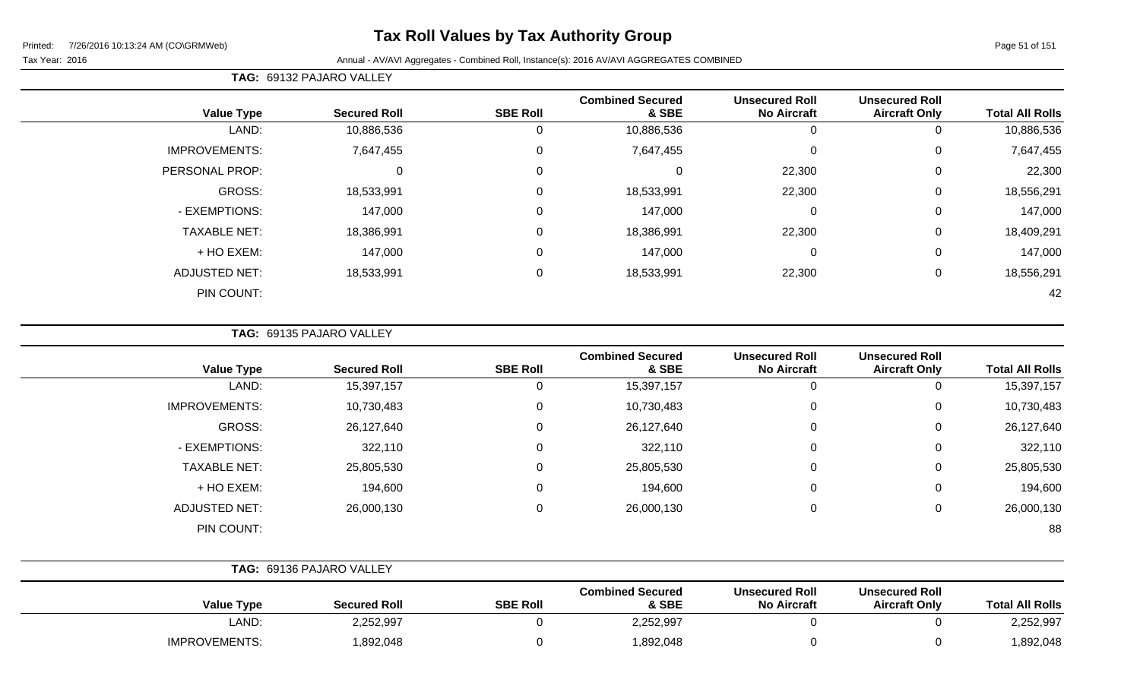# **Tax Roll Values by Tax Authority Group**

#### Tax Year: 2016 **Annual - AV/AVI Aggregates - Combined Roll**, Instance(s): 2016 AV/AVI AGGREGATES COMBINED

**TAG:** 69132 PAJARO VALLEY

| <b>Value Type</b>    | <b>Secured Roll</b> | <b>SBE Roll</b> | <b>Combined Secured</b><br>& SBE | <b>Unsecured Roll</b><br><b>No Aircraft</b> | <b>Unsecured Roll</b><br><b>Aircraft Only</b> | <b>Total All Rolls</b> |
|----------------------|---------------------|-----------------|----------------------------------|---------------------------------------------|-----------------------------------------------|------------------------|
| LAND:                | 10,886,536          | 0               | 10,886,536                       | 0                                           |                                               | 10,886,536             |
| <b>IMPROVEMENTS:</b> | 7,647,455           | 0               | 7,647,455                        | $\overline{0}$                              | 0                                             | 7,647,455              |
| PERSONAL PROP:       | 0                   | 0               |                                  | 22,300                                      | 0                                             | 22,300                 |
| GROSS:               | 18,533,991          | $\Omega$        | 18,533,991                       | 22,300                                      | 0                                             | 18,556,291             |
| - EXEMPTIONS:        | 147,000             | $\Omega$        | 147,000                          | $\mathbf 0$                                 | 0                                             | 147,000                |
| <b>TAXABLE NET:</b>  | 18,386,991          | $\Omega$        | 18,386,991                       | 22,300                                      | 0                                             | 18,409,291             |
| + HO EXEM:           | 147,000             | $\Omega$        | 147,000                          | $\mathbf 0$                                 | 0                                             | 147,000                |
| <b>ADJUSTED NET:</b> | 18,533,991          | $\Omega$        | 18,533,991                       | 22,300                                      | $\Omega$                                      | 18,556,291             |
| PIN COUNT:           |                     |                 |                                  |                                             |                                               | 42                     |

**TAG:** 69135 PAJARO VALLEY

| <b>Value Type</b>    | <b>Secured Roll</b> | <b>SBE Roll</b> | <b>Combined Secured</b><br>& SBE | <b>Unsecured Roll</b><br><b>No Aircraft</b> | <b>Unsecured Roll</b><br><b>Aircraft Only</b> | <b>Total All Rolls</b> |
|----------------------|---------------------|-----------------|----------------------------------|---------------------------------------------|-----------------------------------------------|------------------------|
| LAND:                | 15,397,157          | 0               | 15,397,157                       | 0                                           |                                               | 15,397,157             |
| <b>IMPROVEMENTS:</b> | 10,730,483          | 0               | 10,730,483                       | 0                                           | 0                                             | 10,730,483             |
| GROSS:               | 26,127,640          | 0               | 26,127,640                       | $\mathbf 0$                                 | 0                                             | 26,127,640             |
| - EXEMPTIONS:        | 322,110             | 0               | 322,110                          | $\mathbf 0$                                 | 0                                             | 322,110                |
| <b>TAXABLE NET:</b>  | 25,805,530          | 0               | 25,805,530                       | $\mathbf 0$                                 | 0                                             | 25,805,530             |
| + HO EXEM:           | 194,600             | 0               | 194,600                          | $\mathbf 0$                                 | 0                                             | 194,600                |
| <b>ADJUSTED NET:</b> | 26,000,130          | 0               | 26,000,130                       | $\mathbf 0$                                 | 0                                             | 26,000,130             |
| PIN COUNT:           |                     |                 |                                  |                                             |                                               | 88                     |

|                      | TAG: 69136 PAJARO VALLEY |                 |                                  |                                             |                                               |                        |
|----------------------|--------------------------|-----------------|----------------------------------|---------------------------------------------|-----------------------------------------------|------------------------|
| <b>Value Type</b>    | <b>Secured Roll</b>      | <b>SBE Roll</b> | <b>Combined Secured</b><br>& SBE | <b>Unsecured Roll</b><br><b>No Aircraft</b> | <b>Unsecured Roll</b><br><b>Aircraft Only</b> | <b>Total All Rolls</b> |
| LAND:                | 2,252,997                |                 | 2,252,997                        |                                             |                                               | 2,252,997              |
| <b>IMPROVEMENTS:</b> | 1,892,048                |                 | 892,048,                         |                                             |                                               | 892,048,               |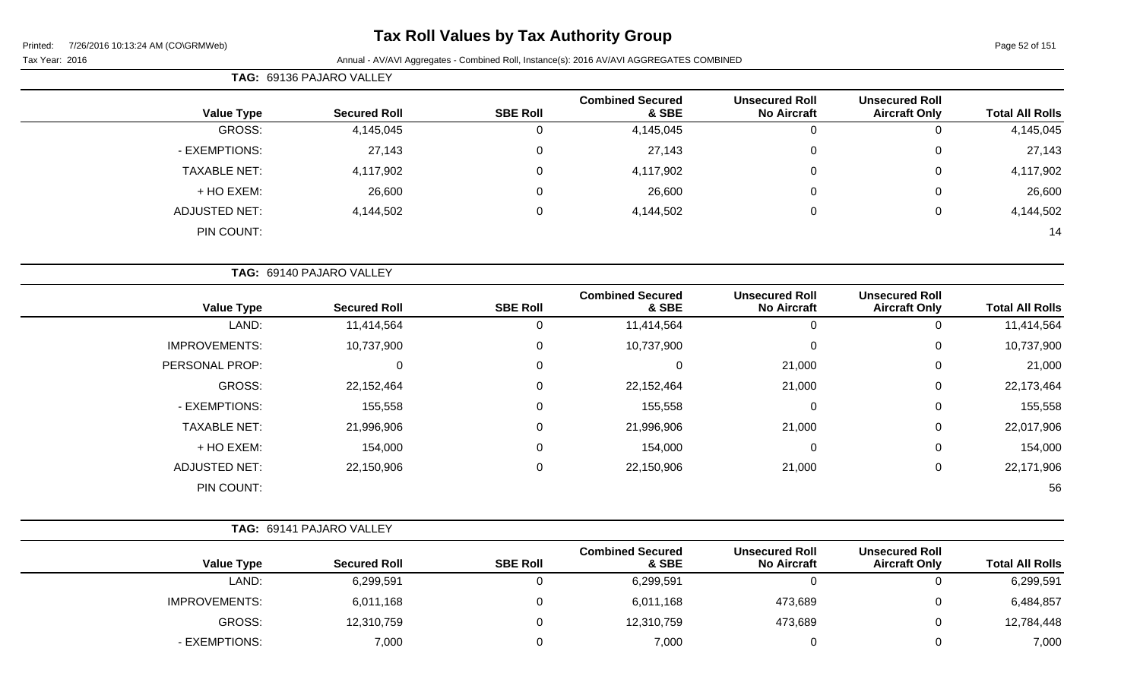# **Tax Roll Values by Tax Authority Group**

#### Tax Year: 2016 Annual - AV/AVI Aggregates - Combined Roll, Instance(s): 2016 AV/AVI AGGREGATES COMBINED

|                        | <b>Unsecured Roll</b>                         | <b>Unsecured Roll</b>                       | <b>Combined Secured</b>          |                 |                          |                      |
|------------------------|-----------------------------------------------|---------------------------------------------|----------------------------------|-----------------|--------------------------|----------------------|
| <b>Total All Rolls</b> | <b>Aircraft Only</b>                          | <b>No Aircraft</b>                          | & SBE                            | <b>SBE Roll</b> | <b>Secured Roll</b>      | <b>Value Type</b>    |
| 4,145,045              | $\mathbf 0$                                   | $\boldsymbol{0}$                            | 4,145,045                        | $\overline{0}$  | 4,145,045                | GROSS:               |
| 27,143                 | 0                                             | $\mathbf 0$                                 | 27,143                           | $\pmb{0}$       | 27,143                   | - EXEMPTIONS:        |
| 4,117,902              | 0                                             | $\Omega$                                    | 4,117,902                        | $\mathbf 0$     | 4,117,902                | <b>TAXABLE NET:</b>  |
| 26,600                 | $\mathsf 0$                                   | 0                                           | 26,600                           | $\mathbf 0$     | 26,600                   | + HO EXEM:           |
| 4,144,502              | $\pmb{0}$                                     | $\mathbf 0$                                 | 4,144,502                        | $\pmb{0}$       | 4,144,502                | <b>ADJUSTED NET:</b> |
| 14                     |                                               |                                             |                                  |                 |                          | PIN COUNT:           |
|                        |                                               |                                             |                                  |                 | TAG: 69140 PAJARO VALLEY |                      |
| <b>Total All Rolls</b> | <b>Unsecured Roll</b><br><b>Aircraft Only</b> | <b>Unsecured Roll</b><br><b>No Aircraft</b> | <b>Combined Secured</b><br>& SBE | <b>SBE Roll</b> | <b>Secured Roll</b>      | <b>Value Type</b>    |
| 11,414,564             | $\mathbf 0$                                   | $\boldsymbol{0}$                            | 11,414,564                       | $\mathbf 0$     | 11,414,564               | LAND:                |
| 10,737,900             | $\mathsf 0$                                   | $\mathbf 0$                                 | 10,737,900                       | $\pmb{0}$       | 10,737,900               | <b>IMPROVEMENTS:</b> |
| 21,000                 | $\pmb{0}$                                     | 21,000                                      | $\mathsf 0$                      | $\mathbf 0$     | $\mathbf 0$              | PERSONAL PROP:       |
| 22,173,464             | $\pmb{0}$                                     | 21,000                                      | 22,152,464                       | $\mathbf 0$     | 22,152,464               | GROSS:               |
| 155,558                | $\mathsf 0$                                   | $\mathbf 0$                                 | 155,558                          | $\mathbf 0$     | 155,558                  | - EXEMPTIONS:        |
| 22,017,906             | $\pmb{0}$                                     | 21,000                                      | 21,996,906                       | $\mathbf 0$     | 21,996,906               | <b>TAXABLE NET:</b>  |
| 154,000                | $\mathsf 0$                                   | $\mathbf 0$                                 | 154,000                          | $\mathbf 0$     | 154,000                  | + HO EXEM:           |
| 22,171,906             | $\mathsf 0$                                   | 21,000                                      | 22,150,906                       | $\mathbf 0$     | 22,150,906               | <b>ADJUSTED NET:</b> |
| 56                     |                                               |                                             |                                  |                 |                          | PIN COUNT:           |
|                        |                                               |                                             |                                  |                 | TAG: 69141 PAJARO VALLEY |                      |
| <b>Total All Rolls</b> | <b>Unsecured Roll</b><br><b>Aircraft Only</b> | <b>Unsecured Roll</b><br><b>No Aircraft</b> | <b>Combined Secured</b><br>& SBE | <b>SBE Roll</b> | <b>Secured Roll</b>      | <b>Value Type</b>    |

LAND: 6,299,591 0 6,299,591 0 0 6,299,591

GROSS: 12,310,759 0 12,310,759 473,689 0 12,784,448

IMPROVEMENTS: 6,011,168 6.011,168 0 6,011,168 473,689 0 6,484,857

- EXEMPTIONS: 7,000 0 7,000 0 0 7,000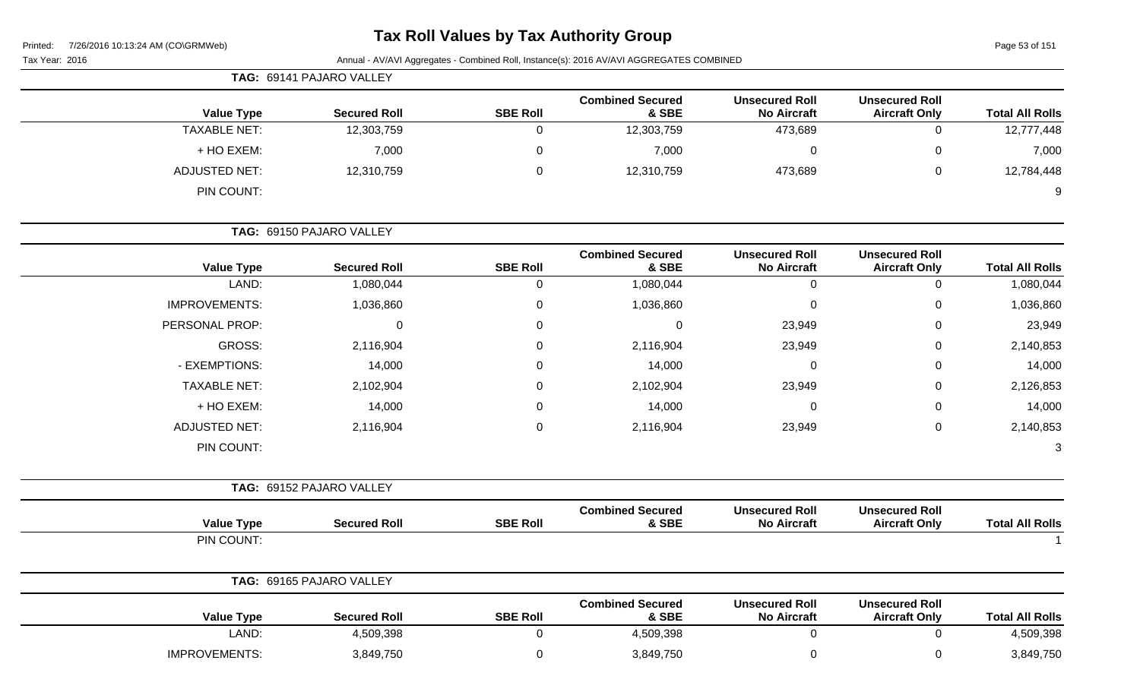# **Tax Roll Values by Tax Authority Group**

Page 53 of 151

| Tax Year: 2016 | Annual - AV/AVI Aggregates - Combined Roll, Instance(s): 2016 AV/AVI AGGREGATES COMBINED |
|----------------|------------------------------------------------------------------------------------------|
|----------------|------------------------------------------------------------------------------------------|

|                        |                                               |                                             |                                  |                 | TAG: 69141 PAJARO VALLEY |                      |
|------------------------|-----------------------------------------------|---------------------------------------------|----------------------------------|-----------------|--------------------------|----------------------|
| <b>Total All Rolls</b> | <b>Unsecured Roll</b><br><b>Aircraft Only</b> | <b>Unsecured Roll</b><br><b>No Aircraft</b> | <b>Combined Secured</b><br>& SBE | <b>SBE Roll</b> | <b>Secured Roll</b>      | <b>Value Type</b>    |
| 12,777,448             | 0                                             | 473,689                                     | 12,303,759                       | 0               | 12,303,759               | <b>TAXABLE NET:</b>  |
| 7,000                  | 0                                             | $\overline{0}$                              | 7,000                            | 0               | 7,000                    | + HO EXEM:           |
| 12,784,448             | 0                                             | 473,689                                     | 12,310,759                       | 0               | 12,310,759               | <b>ADJUSTED NET:</b> |
| 9                      |                                               |                                             |                                  |                 |                          | PIN COUNT:           |
|                        |                                               |                                             |                                  |                 | TAG: 69150 PAJARO VALLEY |                      |
| <b>Total All Rolls</b> | <b>Unsecured Roll</b><br><b>Aircraft Only</b> | <b>Unsecured Roll</b><br><b>No Aircraft</b> | <b>Combined Secured</b><br>& SBE | <b>SBE Roll</b> | <b>Secured Roll</b>      | <b>Value Type</b>    |
| 1,080,044              | 0                                             | $\mathbf 0$                                 | 1,080,044                        | $\mathbf 0$     | 1,080,044                | LAND:                |
| 1,036,860              | 0                                             | $\mathbf 0$                                 | 1,036,860                        | 0               | 1,036,860                | <b>IMPROVEMENTS:</b> |
| 23,949                 | 0                                             | 23,949                                      | 0                                | 0               | 0                        | PERSONAL PROP:       |
| 2,140,853              | 0                                             | 23,949                                      | 2,116,904                        | 0               | 2,116,904                | GROSS:               |
| 14,000                 | 0                                             | 0                                           | 14,000                           | 0               | 14,000                   | - EXEMPTIONS:        |
| 2,126,853              | 0                                             | 23,949                                      | 2,102,904                        | 0               | 2,102,904                | <b>TAXABLE NET:</b>  |
| 14,000                 | 0                                             | 0                                           | 14,000                           | 0               | 14,000                   | + HO EXEM:           |
| 2,140,853              | 0                                             | 23,949                                      | 2,116,904                        | 0               | 2,116,904                | <b>ADJUSTED NET:</b> |
| 3                      |                                               |                                             |                                  |                 |                          | PIN COUNT:           |
|                        |                                               |                                             |                                  |                 | TAG: 69152 PAJARO VALLEY |                      |
| <b>Total All Rolls</b> | <b>Unsecured Roll</b><br><b>Aircraft Only</b> | <b>Unsecured Roll</b><br><b>No Aircraft</b> | <b>Combined Secured</b><br>& SBE | <b>SBE Roll</b> | <b>Secured Roll</b>      | <b>Value Type</b>    |
|                        |                                               |                                             |                                  |                 |                          | PIN COUNT:           |
|                        |                                               |                                             |                                  |                 | TAG: 69165 PAJARO VALLEY |                      |
| <b>Total All Rolls</b> | <b>Unsecured Roll</b><br><b>Aircraft Only</b> | <b>Unsecured Roll</b><br><b>No Aircraft</b> | <b>Combined Secured</b><br>& SBE | <b>SBE Roll</b> | <b>Secured Roll</b>      | <b>Value Type</b>    |
| 4,509,398              | $\mathbf 0$                                   | $\overline{0}$                              | 4,509,398                        | $\mathbf 0$     | 4,509,398                | LAND:                |
| 3,849,750              | 0                                             | $\mathbf 0$                                 | 3,849,750                        | $\overline{0}$  | 3,849,750                | IMPROVEMENTS:        |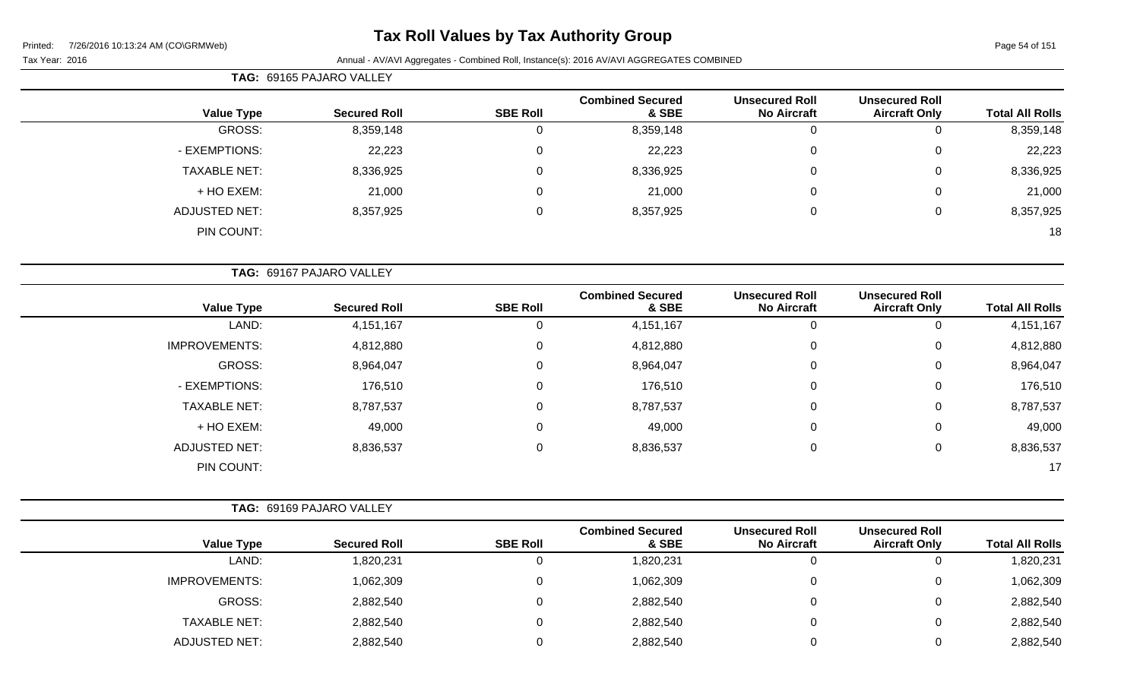# **Tax Roll Values by Tax Authority Group**

|                     | TAG: 69165 PAJARO VALLEY |                 |                                  |                                             |                                               |                        |
|---------------------|--------------------------|-----------------|----------------------------------|---------------------------------------------|-----------------------------------------------|------------------------|
| <b>Value Type</b>   | <b>Secured Roll</b>      | <b>SBE Roll</b> | <b>Combined Secured</b><br>& SBE | <b>Unsecured Roll</b><br><b>No Aircraft</b> | <b>Unsecured Roll</b><br><b>Aircraft Only</b> | <b>Total All Rolls</b> |
| GROSS:              | 8,359,148                | 0               | 8,359,148                        | 0                                           | 0                                             | 8,359,148              |
| - EXEMPTIONS:       | 22,223                   | $\pmb{0}$       | 22,223                           | 0                                           | 0                                             | 22,223                 |
| <b>TAXABLE NET:</b> | 8,336,925                | 0               | 8,336,925                        | $\mathbf 0$                                 | 0                                             | 8,336,925              |
| + HO EXEM:          | 21,000                   | 0               | 21,000                           | $\mathbf 0$                                 | 0                                             | 21,000                 |
| ADJUSTED NET:       | 8,357,925                | 0               | 8,357,925                        | 0                                           | 0                                             | 8,357,925              |
| PIN COUNT:          |                          |                 |                                  |                                             |                                               | 18                     |

|                      | TAG: 69167 PAJARO VALLEY |                 |                                  |                                             |                                               |                        |
|----------------------|--------------------------|-----------------|----------------------------------|---------------------------------------------|-----------------------------------------------|------------------------|
| <b>Value Type</b>    | <b>Secured Roll</b>      | <b>SBE Roll</b> | <b>Combined Secured</b><br>& SBE | <b>Unsecured Roll</b><br><b>No Aircraft</b> | <b>Unsecured Roll</b><br><b>Aircraft Only</b> | <b>Total All Rolls</b> |
| LAND:                | 4,151,167                |                 | 4, 151, 167                      | U                                           | 0                                             | 4, 151, 167            |
| <b>IMPROVEMENTS:</b> | 4,812,880                | 0               | 4,812,880                        | 0                                           | 0                                             | 4,812,880              |
| GROSS:               | 8,964,047                | 0               | 8,964,047                        | $\mathbf 0$                                 | 0                                             | 8,964,047              |
| - EXEMPTIONS:        | 176,510                  | $\Omega$        | 176,510                          | 0                                           | 0                                             | 176,510                |
| <b>TAXABLE NET:</b>  | 8,787,537                | $\Omega$        | 8,787,537                        | $\overline{0}$                              | 0                                             | 8,787,537              |
| + HO EXEM:           | 49,000                   | $\Omega$        | 49,000                           | 0                                           | 0                                             | 49,000                 |
| <b>ADJUSTED NET:</b> | 8,836,537                | $\Omega$        | 8,836,537                        | 0                                           | 0                                             | 8,836,537              |
| PIN COUNT:           |                          |                 |                                  |                                             |                                               | 17                     |

|                      | <b>TAG: 69169 PAJARO VALLEY</b> |                 |                                  |                                             |                                               |                        |
|----------------------|---------------------------------|-----------------|----------------------------------|---------------------------------------------|-----------------------------------------------|------------------------|
| <b>Value Type</b>    | <b>Secured Roll</b>             | <b>SBE Roll</b> | <b>Combined Secured</b><br>& SBE | <b>Unsecured Roll</b><br><b>No Aircraft</b> | <b>Unsecured Roll</b><br><b>Aircraft Only</b> | <b>Total All Rolls</b> |
| LAND:                | 1,820,231                       |                 | 1,820,231                        | 0                                           | 0                                             | 1,820,231              |
| <b>IMPROVEMENTS:</b> | 1,062,309                       |                 | 1,062,309                        | 0                                           | 0                                             | 1,062,309              |
| GROSS:               | 2,882,540                       |                 | 2,882,540                        | 0                                           | 0                                             | 2,882,540              |
| <b>TAXABLE NET:</b>  | 2,882,540                       |                 | 2,882,540                        | 0                                           | 0                                             | 2,882,540              |
| ADJUSTED NET:        | 2,882,540                       |                 | 2,882,540                        | 0                                           | 0                                             | 2,882,540              |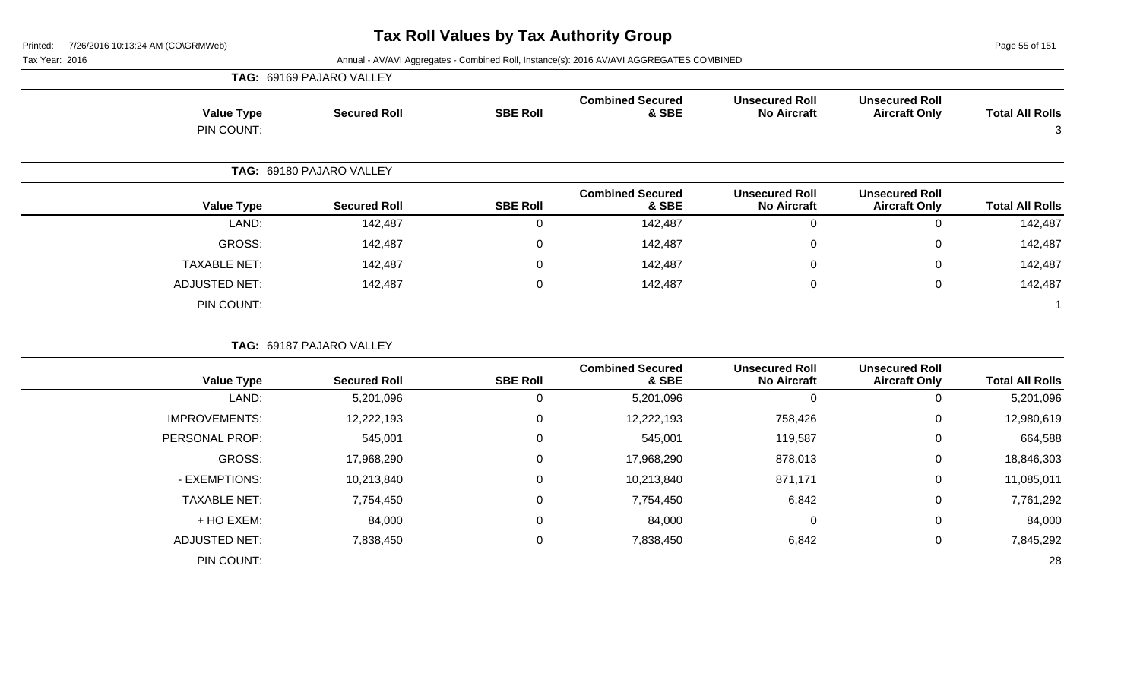Page 55 of 151

|                      | TAG: 69169 PAJARO VALLEY |                  |                                  |                                             |                                               |                        |
|----------------------|--------------------------|------------------|----------------------------------|---------------------------------------------|-----------------------------------------------|------------------------|
| <b>Value Type</b>    | <b>Secured Roll</b>      | <b>SBE Roll</b>  | <b>Combined Secured</b><br>& SBE | <b>Unsecured Roll</b><br><b>No Aircraft</b> | <b>Unsecured Roll</b><br><b>Aircraft Only</b> | <b>Total All Rolls</b> |
| PIN COUNT:           |                          |                  |                                  |                                             |                                               | 3                      |
|                      | TAG: 69180 PAJARO VALLEY |                  |                                  |                                             |                                               |                        |
| <b>Value Type</b>    | <b>Secured Roll</b>      | <b>SBE Roll</b>  | <b>Combined Secured</b><br>& SBE | <b>Unsecured Roll</b><br><b>No Aircraft</b> | <b>Unsecured Roll</b><br><b>Aircraft Only</b> | <b>Total All Rolls</b> |
| LAND:                | 142,487                  | $\mathbf 0$      | 142,487                          | $\mathbf 0$                                 | $\mathbf 0$                                   | 142,487                |
| GROSS:               | 142,487                  | 0                | 142,487                          | 0                                           | 0                                             | 142,487                |
| <b>TAXABLE NET:</b>  | 142,487                  | $\mathbf 0$      | 142,487                          | $\Omega$                                    | 0                                             | 142,487                |
| <b>ADJUSTED NET:</b> | 142,487                  | $\mathbf 0$      | 142,487                          | $\mathbf 0$                                 | $\mathbf 0$                                   | 142,487                |
| PIN COUNT:           |                          |                  |                                  |                                             |                                               | -1                     |
|                      | TAG: 69187 PAJARO VALLEY |                  |                                  |                                             |                                               |                        |
| <b>Value Type</b>    | <b>Secured Roll</b>      | <b>SBE Roll</b>  | <b>Combined Secured</b><br>& SBE | <b>Unsecured Roll</b><br><b>No Aircraft</b> | <b>Unsecured Roll</b><br><b>Aircraft Only</b> | <b>Total All Rolls</b> |
| LAND:                | 5,201,096                | $\mathbf 0$      | 5,201,096                        | $\mathbf 0$                                 | $\mathbf 0$                                   | 5,201,096              |
| <b>IMPROVEMENTS:</b> | 12,222,193               | $\mathbf 0$      | 12,222,193                       | 758,426                                     | $\mathbf 0$                                   | 12,980,619             |
| PERSONAL PROP:       | 545,001                  | $\mathbf 0$      | 545,001                          | 119,587                                     | 0                                             | 664,588                |
| GROSS:               | 17,968,290               | $\mathbf 0$      | 17,968,290                       | 878,013                                     | 0                                             | 18,846,303             |
| - EXEMPTIONS:        | 10,213,840               | $\mathbf 0$      | 10,213,840                       | 871,171                                     | 0                                             | 11,085,011             |
| <b>TAXABLE NET:</b>  | 7,754,450                | $\boldsymbol{0}$ | 7,754,450                        | 6,842                                       | 0                                             | 7,761,292              |
| + HO EXEM:           | 84,000                   | $\mathbf 0$      | 84,000                           | 0                                           | 0                                             | 84,000                 |
| <b>ADJUSTED NET:</b> | 7,838,450                | $\mathbf 0$      | 7,838,450                        | 6,842                                       | 0                                             | 7,845,292              |
| PIN COUNT:           |                          |                  |                                  |                                             |                                               | 28                     |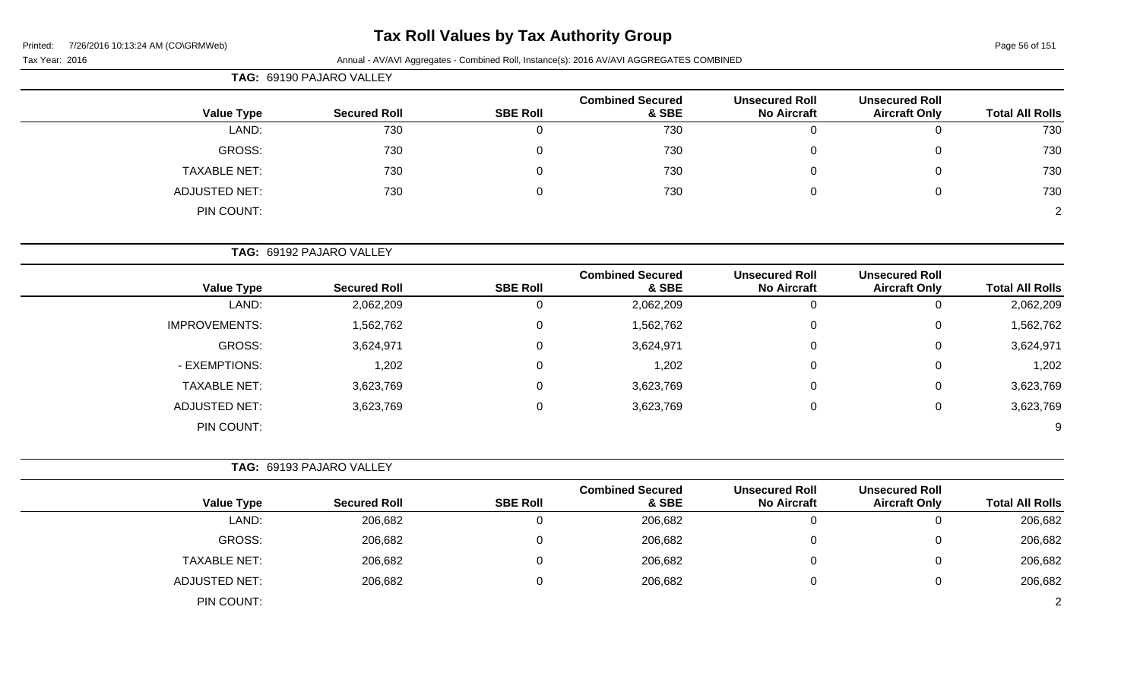# **Tax Roll Values by Tax Authority Group**

Tax Year: 2016 **Annual - AV/AVI Aggregates - Combined Roll**, Instance(s): 2016 AV/AVI AGGREGATES COMBINED

|                      | TAG: 69190 PAJARO VALLEY |                 |                                  |                                             |                                               |                        |  |  |  |
|----------------------|--------------------------|-----------------|----------------------------------|---------------------------------------------|-----------------------------------------------|------------------------|--|--|--|
| <b>Value Type</b>    | <b>Secured Roll</b>      | <b>SBE Roll</b> | <b>Combined Secured</b><br>& SBE | <b>Unsecured Roll</b><br><b>No Aircraft</b> | <b>Unsecured Roll</b><br><b>Aircraft Only</b> | <b>Total All Rolls</b> |  |  |  |
| LAND:                | 730                      |                 | 730                              |                                             | 0                                             | 730                    |  |  |  |
| GROSS:               | 730                      |                 | 730                              |                                             | $\mathbf{0}$                                  | 730                    |  |  |  |
| <b>TAXABLE NET:</b>  | 730                      |                 | 730                              |                                             | $\mathbf{0}$                                  | 730                    |  |  |  |
| <b>ADJUSTED NET:</b> | 730                      |                 | 730                              |                                             | $\mathbf{0}$                                  | 730                    |  |  |  |
| PIN COUNT:           |                          |                 |                                  |                                             |                                               | $\overline{2}$         |  |  |  |

**TAG:** 69192 PAJARO VALLEY

| <b>Value Type</b>    | <b>Secured Roll</b> | <b>SBE Roll</b> | <b>Combined Secured</b><br>& SBE | <b>Unsecured Roll</b><br><b>No Aircraft</b> | <b>Unsecured Roll</b><br><b>Aircraft Only</b> | <b>Total All Rolls</b> |
|----------------------|---------------------|-----------------|----------------------------------|---------------------------------------------|-----------------------------------------------|------------------------|
| LAND:                | 2,062,209           | 0               | 2,062,209                        | 0                                           | U                                             | 2,062,209              |
| <b>IMPROVEMENTS:</b> | 1,562,762           | 0               | 1,562,762                        | 0                                           | 0                                             | 1,562,762              |
| GROSS:               | 3,624,971           | 0               | 3,624,971                        | 0                                           | 0                                             | 3,624,971              |
| - EXEMPTIONS:        | 1,202               | 0               | 1,202                            | 0                                           | 0                                             | 1,202                  |
| <b>TAXABLE NET:</b>  | 3,623,769           | 0               | 3,623,769                        | 0                                           | 0                                             | 3,623,769              |
| <b>ADJUSTED NET:</b> | 3,623,769           | 0               | 3,623,769                        | 0                                           | 0                                             | 3,623,769              |
| PIN COUNT:           |                     |                 |                                  |                                             |                                               | 9                      |

**TAG:** 69193 PAJARO VALLEY

| <b>Value Type</b>    | <b>Secured Roll</b> | <b>SBE Roll</b> | <b>Combined Secured</b><br>& SBE | <b>Unsecured Roll</b><br><b>No Aircraft</b> | <b>Unsecured Roll</b><br><b>Aircraft Only</b> | <b>Total All Rolls</b> |
|----------------------|---------------------|-----------------|----------------------------------|---------------------------------------------|-----------------------------------------------|------------------------|
| LAND:                | 206,682             | O               | 206,682                          |                                             |                                               | 206,682                |
| GROSS:               | 206,682             |                 | 206,682                          |                                             |                                               | 206,682                |
| <b>TAXABLE NET:</b>  | 206,682             | 0               | 206,682                          |                                             |                                               | 206,682                |
| <b>ADJUSTED NET:</b> | 206,682             | 0               | 206,682                          |                                             |                                               | 206,682                |
| PIN COUNT:           |                     |                 |                                  |                                             |                                               | $\Omega$               |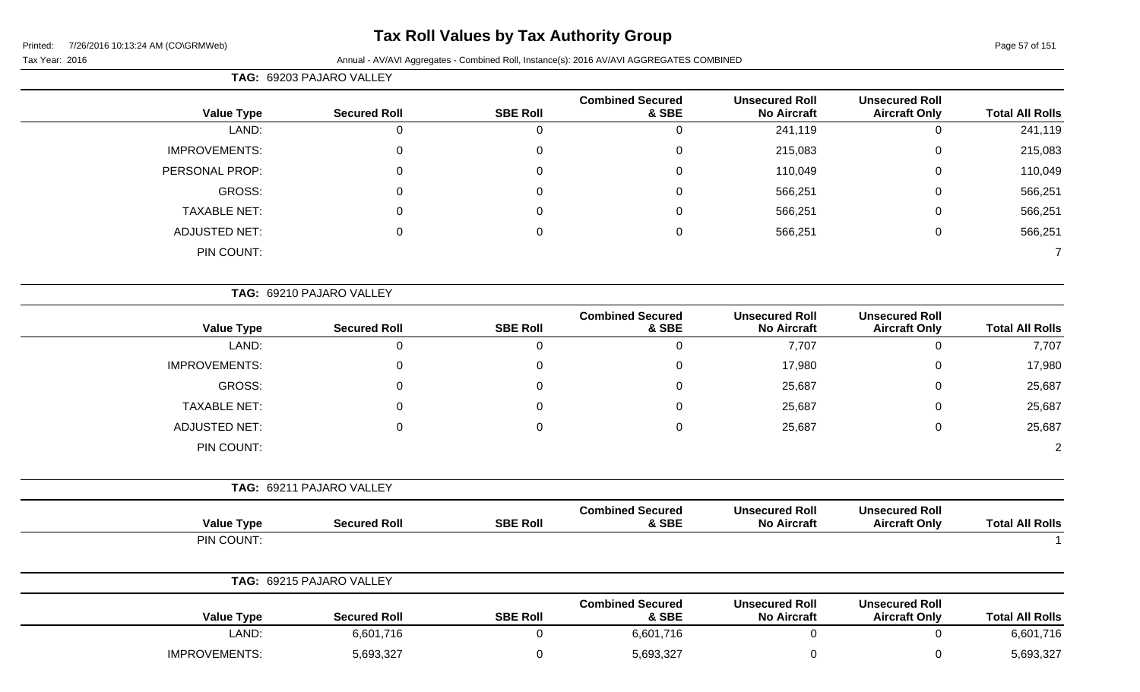# **Tax Roll Values by Tax Authority Group**

|                        |                                               |                                             |                                  |                 | TAG: 69203 PAJARO VALLEY |                      |
|------------------------|-----------------------------------------------|---------------------------------------------|----------------------------------|-----------------|--------------------------|----------------------|
| <b>Total All Rolls</b> | <b>Unsecured Roll</b><br><b>Aircraft Only</b> | <b>Unsecured Roll</b><br><b>No Aircraft</b> | <b>Combined Secured</b><br>& SBE | <b>SBE Roll</b> | <b>Secured Roll</b>      | <b>Value Type</b>    |
| 241,119                | $\overline{0}$                                | 241,119                                     | 0                                | $\mathbf 0$     | $\overline{0}$           | LAND:                |
| 215,083                | $\pmb{0}$                                     | 215,083                                     | 0                                | $\mathbf 0$     | $\mathbf 0$              | <b>IMPROVEMENTS:</b> |
| 110,049                | $\Omega$                                      | 110,049                                     | $\Omega$                         | $\Omega$        | $\Omega$                 | PERSONAL PROP:       |
| 566,251                | $\Omega$                                      | 566,251                                     | $\Omega$                         | $\Omega$        | U                        | <b>GROSS:</b>        |
| 566,251                | 0                                             | 566,251                                     | 0                                | 0               | 0                        | <b>TAXABLE NET:</b>  |
| 566,251                | 0                                             | 566,251                                     | 0                                | $\Omega$        | $\Omega$                 | <b>ADJUSTED NET:</b> |
| $\overline{7}$         |                                               |                                             |                                  |                 |                          | PIN COUNT:           |
|                        |                                               |                                             |                                  |                 | TAG: 69210 PAJARO VALLEY |                      |
| <b>Total All Rolls</b> | <b>Unsecured Roll</b><br><b>Aircraft Only</b> | <b>Unsecured Roll</b><br><b>No Aircraft</b> | <b>Combined Secured</b><br>& SBE | <b>SBE Roll</b> | <b>Secured Roll</b>      | <b>Value Type</b>    |
| 7,707                  | $\mathbf 0$                                   | 7,707                                       | 0                                | $\overline{0}$  | $\overline{0}$           | LAND:                |
| 17,980                 | $\mathbf 0$                                   | 17,980                                      | 0                                | $\mathbf 0$     | $\mathbf 0$              | <b>IMPROVEMENTS:</b> |
| 25,687                 | 0                                             | 25,687                                      | 0                                | $\Omega$        | 0                        | <b>GROSS:</b>        |
| 25,687                 | 0                                             | 25,687                                      | 0                                | $\Omega$        | 0                        | <b>TAXABLE NET:</b>  |
| 25,687                 | $\mathbf 0$                                   | 25,687                                      | 0                                | $\Omega$        | $\Omega$                 | <b>ADJUSTED NET:</b> |
| $\overline{c}$         |                                               |                                             |                                  |                 |                          | PIN COUNT:           |
|                        |                                               |                                             |                                  |                 | TAG: 69211 PAJARO VALLEY |                      |
| <b>Total All Rolls</b> | <b>Unsecured Roll</b><br><b>Aircraft Only</b> | <b>Unsecured Roll</b><br><b>No Aircraft</b> | <b>Combined Secured</b><br>& SBE | <b>SBE Roll</b> | <b>Secured Roll</b>      | <b>Value Type</b>    |
| -1                     |                                               |                                             |                                  |                 |                          | PIN COUNT:           |
|                        |                                               |                                             |                                  |                 | TAG: 69215 PAJARO VALLEY |                      |
| <b>Total All Rolls</b> | <b>Unsecured Roll</b><br><b>Aircraft Only</b> | <b>Unsecured Roll</b><br><b>No Aircraft</b> | <b>Combined Secured</b><br>& SBE | <b>SBE Roll</b> | <b>Secured Roll</b>      | <b>Value Type</b>    |
| 6,601,716              | $\mathbf 0$                                   | $\mathbf 0$                                 | 6,601,716                        | $\mathsf 0$     | 6,601,716                | LAND:                |
| 5,693,327              | $\mathbf 0$                                   | 0                                           | 5,693,327                        | $\mathbf 0$     | 5,693,327                | IMPROVEMENTS:        |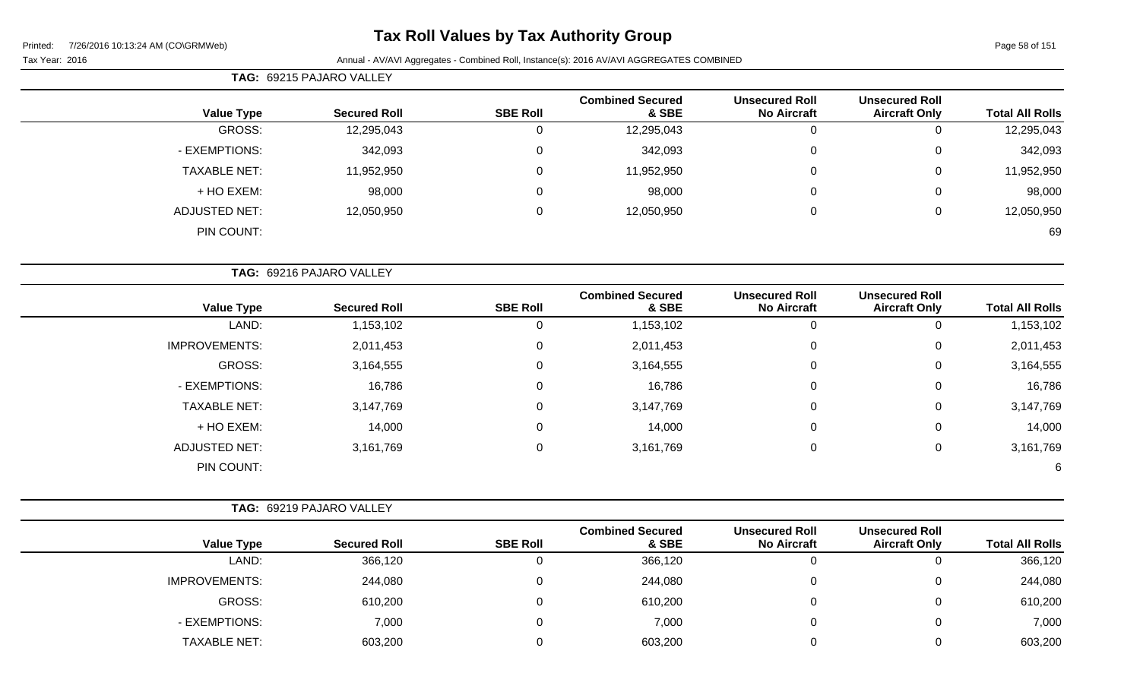# **Tax Roll Values by Tax Authority Group**

|                        |                                               |                                             |                                  |                 | TAG: 69215 PAJARO VALLEY |                      |
|------------------------|-----------------------------------------------|---------------------------------------------|----------------------------------|-----------------|--------------------------|----------------------|
| <b>Total All Rolls</b> | <b>Unsecured Roll</b><br><b>Aircraft Only</b> | <b>Unsecured Roll</b><br><b>No Aircraft</b> | <b>Combined Secured</b><br>& SBE | <b>SBE Roll</b> | <b>Secured Roll</b>      | <b>Value Type</b>    |
| 12,295,043             | 0                                             | 0                                           | 12,295,043                       | 0               | 12,295,043               | GROSS:               |
| 342,093                | 0                                             | $\mathbf 0$                                 | 342,093                          | $\mathbf 0$     | 342,093                  | - EXEMPTIONS:        |
| 11,952,950             | 0                                             | 0                                           | 11,952,950                       | 0               | 11,952,950               | <b>TAXABLE NET:</b>  |
| 98,000                 | 0                                             | 0                                           | 98,000                           | 0               | 98,000                   | + HO EXEM:           |
| 12,050,950             | 0                                             | $\mathbf 0$                                 | 12,050,950                       | 0               | 12,050,950               | ADJUSTED NET:        |
| 69                     |                                               |                                             |                                  |                 |                          | PIN COUNT:           |
|                        |                                               |                                             |                                  |                 | TAG: 69216 PAJARO VALLEY |                      |
| <b>Total All Rolls</b> | <b>Unsecured Roll</b><br><b>Aircraft Only</b> | <b>Unsecured Roll</b><br><b>No Aircraft</b> | <b>Combined Secured</b><br>& SBE | <b>SBE Roll</b> | <b>Secured Roll</b>      | <b>Value Type</b>    |
| 1,153,102              | 0                                             | $\Omega$                                    | 1,153,102                        | 0               | 1,153,102                | LAND:                |
| 2,011,453              | 0                                             | $\mathbf 0$                                 | 2,011,453                        | $\mathbf 0$     | 2,011,453                | <b>IMPROVEMENTS:</b> |
| 3,164,555              | 0                                             | 0                                           | 3,164,555                        | 0               | 3,164,555                | GROSS:               |

| 2,011,453 |  | 2,011,453 | 0 | 2,011,453 | <b>IMPROVEMENTS:</b> |
|-----------|--|-----------|---|-----------|----------------------|
| 3,164,555 |  | 3,164,555 | 0 | 3,164,555 | GROSS:               |
| 16,786    |  | 16,786    | 0 | 16,786    | - EXEMPTIONS:        |
| 3,147,769 |  | 3,147,769 | 0 | 3,147,769 | <b>TAXABLE NET:</b>  |
| 14,000    |  | 14,000    | 0 | 14,000    | + HO EXEM:           |
| 3,161,769 |  | 3,161,769 | 0 | 3,161,769 | <b>ADJUSTED NET:</b> |
| 6         |  |           |   |           | PIN COUNT:           |

|                      | <b>TAG: 69219 PAJARO VALLEY</b> |                 |                                  |                                             |                                               |                        |
|----------------------|---------------------------------|-----------------|----------------------------------|---------------------------------------------|-----------------------------------------------|------------------------|
| <b>Value Type</b>    | <b>Secured Roll</b>             | <b>SBE Roll</b> | <b>Combined Secured</b><br>& SBE | <b>Unsecured Roll</b><br><b>No Aircraft</b> | <b>Unsecured Roll</b><br><b>Aircraft Only</b> | <b>Total All Rolls</b> |
| LAND:                | 366,120                         |                 | 366,120                          | υ                                           | 0                                             | 366,120                |
| <b>IMPROVEMENTS:</b> | 244,080                         |                 | 244,080                          |                                             | $\overline{0}$                                | 244,080                |
| GROSS:               | 610,200                         |                 | 610,200                          |                                             | $\overline{0}$                                | 610,200                |
| - EXEMPTIONS:        | 7,000                           |                 | 7,000                            | v                                           | 0                                             | 7,000                  |
| <b>TAXABLE NET:</b>  | 603,200                         |                 | 603,200                          |                                             | 0                                             | 603,200                |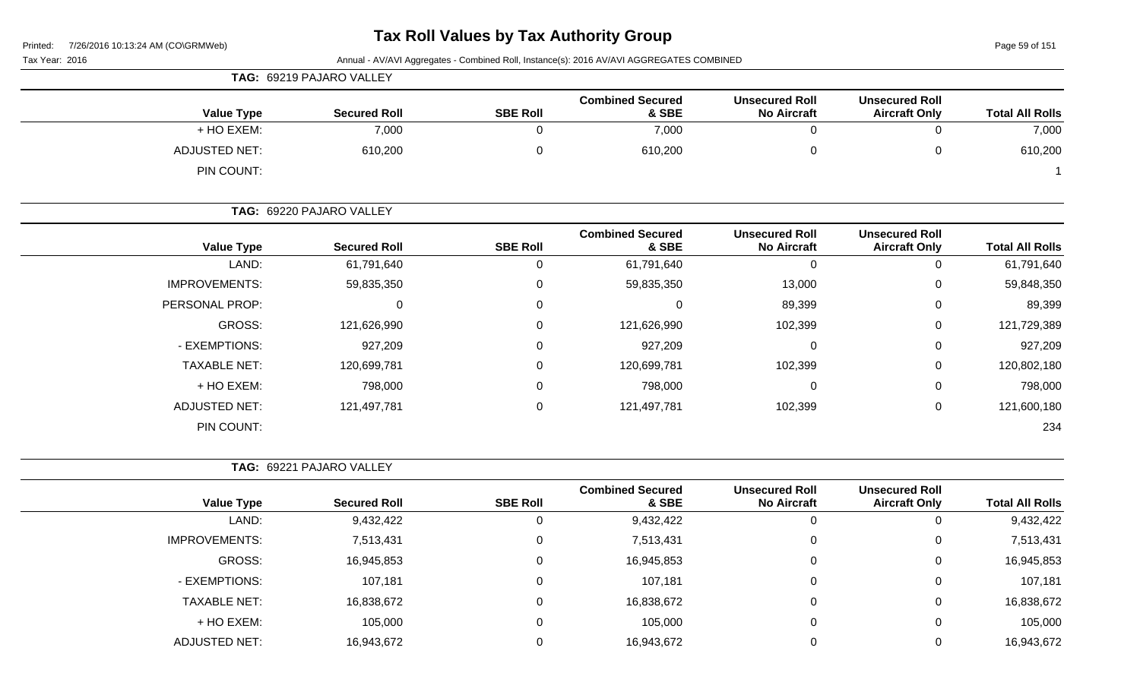| Tax Year: 2016       |                          |                 | Annual - AV/AVI Aggregates - Combined Roll, Instance(s): 2016 AV/AVI AGGREGATES COMBINED |                                             |                                               |                        |
|----------------------|--------------------------|-----------------|------------------------------------------------------------------------------------------|---------------------------------------------|-----------------------------------------------|------------------------|
|                      | TAG: 69219 PAJARO VALLEY |                 |                                                                                          |                                             |                                               |                        |
| <b>Value Type</b>    | <b>Secured Roll</b>      | <b>SBE Roll</b> | <b>Combined Secured</b><br>& SBE                                                         | <b>Unsecured Roll</b><br><b>No Aircraft</b> | <b>Unsecured Roll</b><br><b>Aircraft Only</b> | <b>Total All Rolls</b> |
| + HO EXEM:           | 7,000                    | $\Omega$        | 7,000                                                                                    | $\mathbf 0$                                 | $\mathbf 0$                                   | 7,000                  |
| <b>ADJUSTED NET:</b> | 610,200                  | $\Omega$        | 610,200                                                                                  | $\mathbf 0$                                 | 0                                             | 610,200                |
| PIN COUNT:           |                          |                 |                                                                                          |                                             |                                               |                        |
|                      | TAG: 69220 PAJARO VALLEY |                 |                                                                                          |                                             |                                               |                        |
| <b>Value Type</b>    | <b>Secured Roll</b>      | <b>SBE Roll</b> | <b>Combined Secured</b><br>& SBE                                                         | <b>Unsecured Roll</b><br><b>No Aircraft</b> | <b>Unsecured Roll</b><br><b>Aircraft Only</b> | <b>Total All Rolls</b> |
| LAND:                | 61,791,640               | 0               | 61,791,640                                                                               | $\mathbf 0$                                 | 0                                             | 61,791,640             |
| <b>IMPROVEMENTS:</b> | 59,835,350               | 0               | 59,835,350                                                                               | 13,000                                      | 0                                             | 59,848,350             |
| PERSONAL PROP:       | 0                        | 0               | 0                                                                                        | 89,399                                      | 0                                             | 89,399                 |
| <b>GROSS:</b>        | 121,626,990              | 0               | 121,626,990                                                                              | 102,399                                     | 0                                             | 121,729,389            |
| - EXEMPTIONS:        | 927,209                  | 0               | 927,209                                                                                  | 0                                           | 0                                             | 927,209                |
| <b>TAXABLE NET:</b>  | 120,699,781              | 0               | 120,699,781                                                                              | 102,399                                     | 0                                             | 120,802,180            |
| + HO EXEM:           | 798,000                  | 0               | 798,000                                                                                  | 0                                           | 0                                             | 798,000                |
| <b>ADJUSTED NET:</b> | 121,497,781              | 0               | 121,497,781                                                                              | 102,399                                     | 0                                             | 121,600,180            |
| PIN COUNT:           |                          |                 |                                                                                          |                                             |                                               | 234                    |
|                      | TAG: 69221 PAJARO VALLEY |                 |                                                                                          |                                             |                                               |                        |
| <b>Value Type</b>    | <b>Secured Roll</b>      | <b>SBE Roll</b> | <b>Combined Secured</b><br>& SBE                                                         | <b>Unsecured Roll</b><br><b>No Aircraft</b> | <b>Unsecured Roll</b><br><b>Aircraft Only</b> | <b>Total All Rolls</b> |
| LAND:                | 9,432,422                | 0               | 9,432,422                                                                                | $\mathbf 0$                                 | 0                                             | 9,432,422              |
| <b>IMPROVEMENTS:</b> | 7,513,431                | 0               | 7,513,431                                                                                | 0                                           | 0                                             | 7,513,431              |
| <b>GROSS:</b>        | 16,945,853               | 0               | 16,945,853                                                                               | $\mathbf{0}$                                | 0                                             | 16,945,853             |
| - EXEMPTIONS:        | 107,181                  | 0               | 107,181                                                                                  | $\mathbf 0$                                 | 0                                             | 107,181                |
| <b>TAXABLE NET:</b>  | 16,838,672               | 0               | 16,838,672                                                                               | $\mathbf 0$                                 | 0                                             | 16,838,672             |
| + HO EXEM:           | 105,000                  | $\Omega$        | 105,000                                                                                  | $\mathbf 0$                                 | 0                                             | 105,000                |
| <b>ADJUSTED NET:</b> | 16,943,672               | $\mathbf 0$     | 16,943,672                                                                               | $\mathbf 0$                                 | 0                                             | 16,943,672             |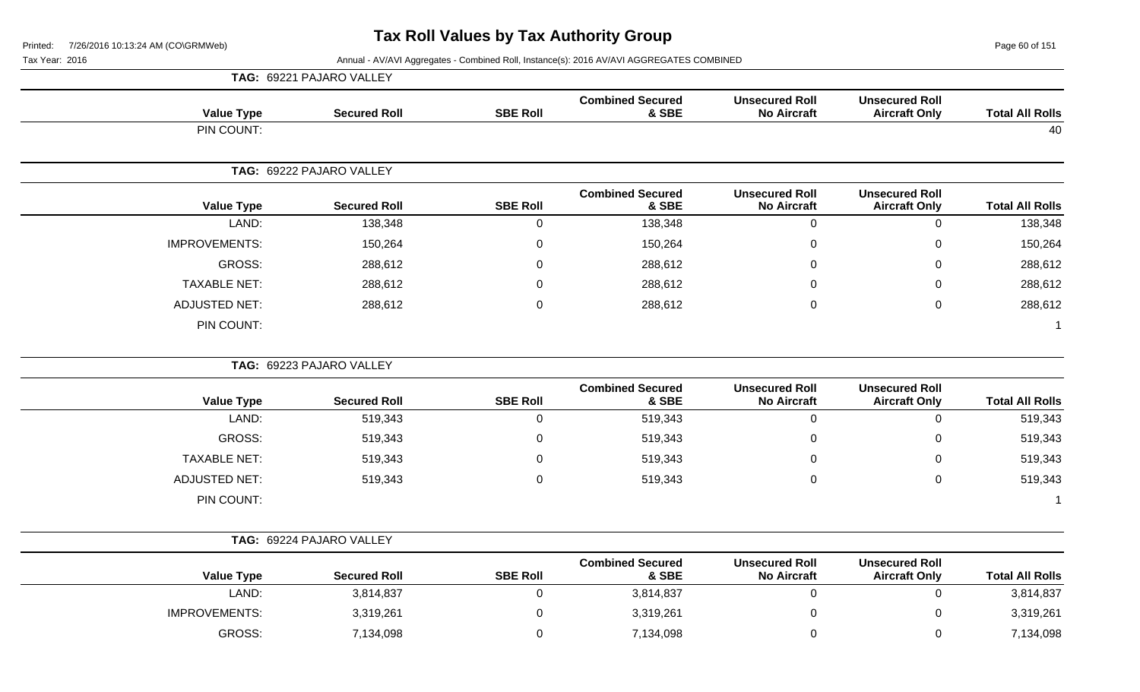Page 60 of 151

|                        |                                               |                                             |                                  |                     | TAG: 69221 PAJARO VALLEY |                      |
|------------------------|-----------------------------------------------|---------------------------------------------|----------------------------------|---------------------|--------------------------|----------------------|
| <b>Total All Rolls</b> | <b>Unsecured Roll</b><br><b>Aircraft Only</b> | <b>Unsecured Roll</b><br><b>No Aircraft</b> | <b>Combined Secured</b><br>& SBE | <b>SBE Roll</b>     | <b>Secured Roll</b>      | <b>Value Type</b>    |
| 40                     |                                               |                                             |                                  |                     |                          | PIN COUNT:           |
|                        |                                               |                                             |                                  |                     | TAG: 69222 PAJARO VALLEY |                      |
| <b>Total All Rolls</b> | <b>Unsecured Roll</b><br><b>Aircraft Only</b> | <b>Unsecured Roll</b><br><b>No Aircraft</b> | <b>Combined Secured</b><br>& SBE | <b>SBE Roll</b>     | <b>Secured Roll</b>      | <b>Value Type</b>    |
| 138,348                | $\pmb{0}$                                     | $\mathbf 0$                                 | 138,348                          | $\mathsf 0$         | 138,348                  | LAND:                |
| 150,264                | $\pmb{0}$                                     | $\mathbf 0$                                 | 150,264                          | $\pmb{0}$           | 150,264                  | <b>IMPROVEMENTS:</b> |
| 288,612                | $\boldsymbol{0}$                              | $\Omega$                                    | 288,612                          | $\mathbf 0$         | 288,612                  | GROSS:               |
| 288,612                | $\mathbf 0$                                   | $\Omega$                                    | 288,612                          | $\mathbf 0$         | 288,612                  | <b>TAXABLE NET:</b>  |
| 288,612                | $\pmb{0}$                                     | $\mathbf 0$                                 | 288,612                          | $\mathbf 0$         | 288,612                  | <b>ADJUSTED NET:</b> |
| 1                      |                                               |                                             |                                  |                     |                          | PIN COUNT:           |
|                        |                                               |                                             |                                  |                     | TAG: 69223 PAJARO VALLEY |                      |
| <b>Total All Rolls</b> | <b>Unsecured Roll</b><br><b>Aircraft Only</b> | <b>Unsecured Roll</b><br><b>No Aircraft</b> | <b>Combined Secured</b><br>& SBE | <b>SBE Roll</b>     | <b>Secured Roll</b>      | <b>Value Type</b>    |
| 519,343                | $\mathbf 0$                                   | $\overline{0}$                              | 519,343                          | $\mathbf 0$         | 519,343                  | LAND:                |
| 519,343                | $\mathbf 0$                                   | $\mathbf 0$                                 | 519,343                          | $\pmb{0}$           | 519,343                  | <b>GROSS:</b>        |
| 519,343                | $\boldsymbol{0}$                              | 0                                           | 519,343                          | $\mathbf 0$         | 519,343                  | <b>TAXABLE NET:</b>  |
| 519,343                | $\boldsymbol{0}$                              | $\mathbf 0$                                 | 519,343                          | $\mathsf{O}\xspace$ | 519,343                  | <b>ADJUSTED NET:</b> |
| $\overline{1}$         |                                               |                                             |                                  |                     |                          | PIN COUNT:           |
|                        |                                               |                                             |                                  |                     | TAG: 69224 PAJARO VALLEY |                      |
| <b>Total All Rolls</b> | <b>Unsecured Roll</b><br><b>Aircraft Only</b> | <b>Unsecured Roll</b><br><b>No Aircraft</b> | <b>Combined Secured</b><br>& SBE | <b>SBE Roll</b>     | <b>Secured Roll</b>      | <b>Value Type</b>    |
| 3,814,837              | $\pmb{0}$                                     | $\boldsymbol{0}$                            | 3,814,837                        | $\mathbf 0$         | 3,814,837                | LAND:                |
| 3,319,261              | $\boldsymbol{0}$                              | $\mathbf 0$                                 | 3,319,261                        | $\pmb{0}$           | 3,319,261                | <b>IMPROVEMENTS:</b> |
|                        |                                               |                                             |                                  |                     |                          | <b>GROSS:</b>        |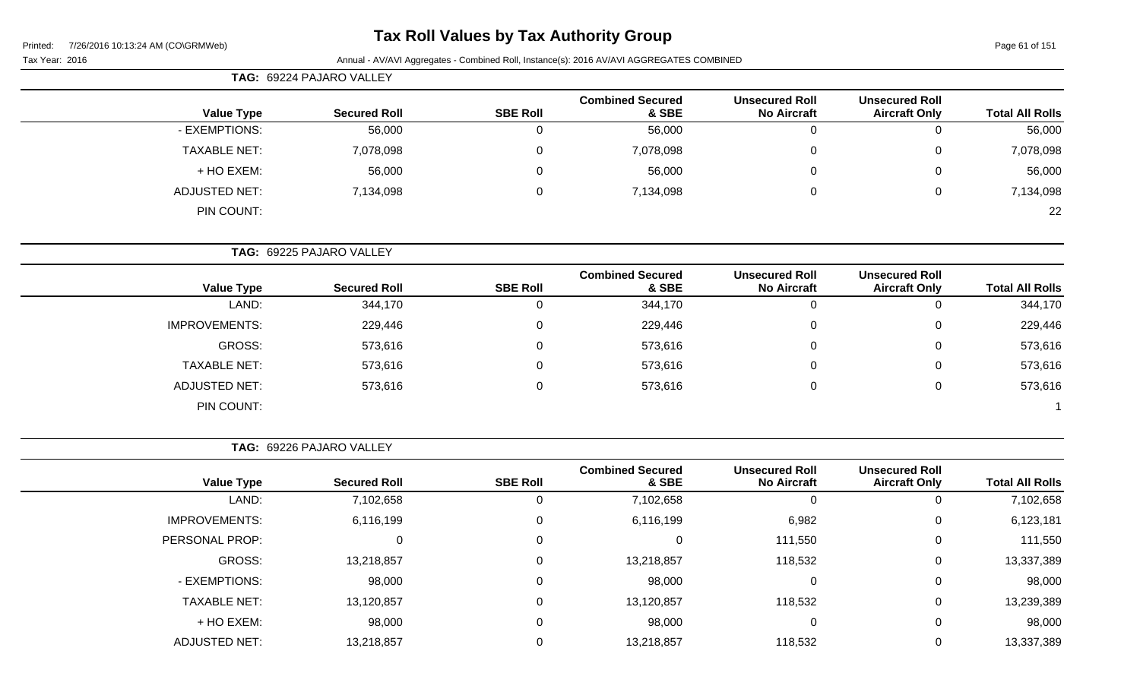# **Tax Roll Values by Tax Authority Group**

Tax Year: 2016 **Annual - AV/AVI Aggregates - Combined Roll**, Instance(s): 2016 AV/AVI AGGREGATES COMBINED

| TAG: 69224 PAJARO VALLEY |                      |                     |                 |                                  |                                             |                                               |                        |
|--------------------------|----------------------|---------------------|-----------------|----------------------------------|---------------------------------------------|-----------------------------------------------|------------------------|
|                          | <b>Value Type</b>    | <b>Secured Roll</b> | <b>SBE Roll</b> | <b>Combined Secured</b><br>& SBE | <b>Unsecured Roll</b><br><b>No Aircraft</b> | <b>Unsecured Roll</b><br><b>Aircraft Only</b> | <b>Total All Rolls</b> |
|                          | - EXEMPTIONS:        | 56,000              |                 | 56,000                           |                                             | $\overline{0}$                                | 56,000                 |
|                          | <b>TAXABLE NET:</b>  | 7,078,098           |                 | 7,078,098                        |                                             | $\mathbf{0}$                                  | 7,078,098              |
|                          | + HO EXEM:           | 56,000              |                 | 56,000                           |                                             | $\mathbf{0}$                                  | 56,000                 |
|                          | <b>ADJUSTED NET:</b> | 7,134,098           |                 | 7,134,098                        |                                             | $\mathbf{0}$                                  | 7,134,098              |
|                          | PIN COUNT:           |                     |                 |                                  |                                             |                                               | 22                     |

**TAG:** 69225 PAJARO VALLEY

|                      |                     |                 | <b>Combined Secured</b> | <b>Unsecured Roll</b> | <b>Unsecured Roll</b> |                        |
|----------------------|---------------------|-----------------|-------------------------|-----------------------|-----------------------|------------------------|
| <b>Value Type</b>    | <b>Secured Roll</b> | <b>SBE Roll</b> | & SBE                   | <b>No Aircraft</b>    | <b>Aircraft Only</b>  | <b>Total All Rolls</b> |
| LAND:                | 344,170             |                 | 344,170                 | υ                     |                       | 344,170                |
| <b>IMPROVEMENTS:</b> | 229,446             |                 | 229,446                 | 0                     | 0                     | 229,446                |
| GROSS:               | 573,616             |                 | 573,616                 | U                     |                       | 573,616                |
| <b>TAXABLE NET:</b>  | 573,616             |                 | 573,616                 | U                     |                       | 573,616                |
| <b>ADJUSTED NET:</b> | 573,616             |                 | 573,616                 | U                     | U                     | 573,616                |
| PIN COUNT:           |                     |                 |                         |                       |                       |                        |

**TAG:** 69226 PAJARO VALLEY

|                      |                     |                 | <b>Combined Secured</b> | <b>Unsecured Roll</b> | <b>Unsecured Roll</b> |                        |
|----------------------|---------------------|-----------------|-------------------------|-----------------------|-----------------------|------------------------|
| <b>Value Type</b>    | <b>Secured Roll</b> | <b>SBE Roll</b> | & SBE                   | <b>No Aircraft</b>    | <b>Aircraft Only</b>  | <b>Total All Rolls</b> |
| LAND:                | 7,102,658           | 0               | 7,102,658               | -O                    |                       | 7,102,658              |
| <b>IMPROVEMENTS:</b> | 6,116,199           | 0               | 6,116,199               | 6,982                 | 0                     | 6,123,181              |
| PERSONAL PROP:       |                     | 0               | 0                       | 111,550               | 0                     | 111,550                |
| GROSS:               | 13,218,857          | 0               | 13,218,857              | 118,532               | 0                     | 13,337,389             |
| - EXEMPTIONS:        | 98,000              | 0               | 98,000                  | $\Omega$              | 0                     | 98,000                 |
| <b>TAXABLE NET:</b>  | 13,120,857          | 0               | 13,120,857              | 118,532               | 0                     | 13,239,389             |
| + HO EXEM:           | 98,000              | 0               | 98,000                  | $\Omega$              | 0                     | 98,000                 |
| <b>ADJUSTED NET:</b> | 13,218,857          | 0               | 13,218,857              | 118,532               |                       | 13,337,389             |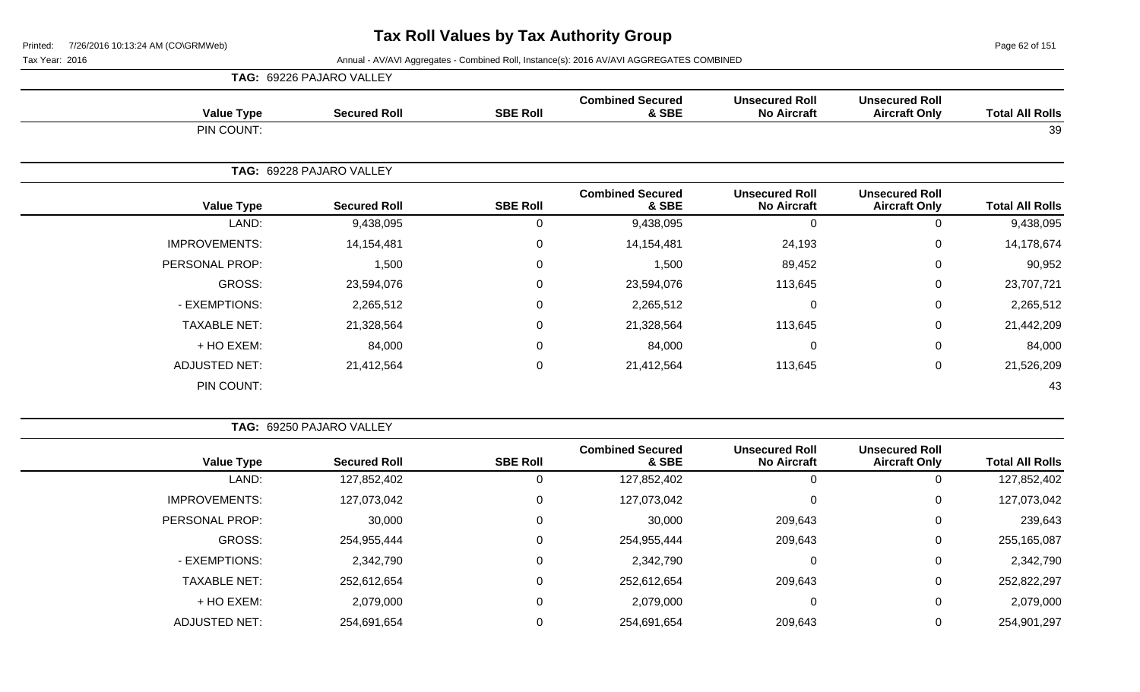Page 62 of 151

|                        |                                               |                                             |                                  |                 | TAG: 69226 PAJARO VALLEY |                      |
|------------------------|-----------------------------------------------|---------------------------------------------|----------------------------------|-----------------|--------------------------|----------------------|
| <b>Total All Rolls</b> | <b>Unsecured Roll</b><br><b>Aircraft Only</b> | <b>Unsecured Roll</b><br><b>No Aircraft</b> | <b>Combined Secured</b><br>& SBE | <b>SBE Roll</b> | <b>Secured Roll</b>      | <b>Value Type</b>    |
| 39                     |                                               |                                             |                                  |                 |                          | PIN COUNT:           |
|                        |                                               |                                             |                                  |                 | TAG: 69228 PAJARO VALLEY |                      |
| <b>Total All Rolls</b> | <b>Unsecured Roll</b><br><b>Aircraft Only</b> | <b>Unsecured Roll</b><br><b>No Aircraft</b> | <b>Combined Secured</b><br>& SBE | <b>SBE Roll</b> | <b>Secured Roll</b>      | <b>Value Type</b>    |
| 9,438,095              | 0                                             | $\Omega$                                    | 9,438,095                        | 0               | 9,438,095                | LAND:                |
| 14,178,674             | $\mathbf 0$                                   | 24,193                                      | 14,154,481                       | 0               | 14,154,481               | <b>IMPROVEMENTS:</b> |
| 90,952                 | $\mathbf 0$                                   | 89,452                                      | 1,500                            | 0               | 1,500                    | PERSONAL PROP:       |
| 23,707,721             | $\mathbf 0$                                   | 113,645                                     | 23,594,076                       | 0               | 23,594,076               | GROSS:               |
| 2,265,512              | $\mathbf 0$                                   | 0                                           | 2,265,512                        | 0               | 2,265,512                | - EXEMPTIONS:        |
| 21,442,209             | $\mathbf 0$                                   | 113,645                                     | 21,328,564                       | 0               | 21,328,564               | <b>TAXABLE NET:</b>  |
| 84,000                 | $\mathbf 0$                                   | 0                                           | 84,000                           | 0               | 84,000                   | + HO EXEM:           |
| 21,526,209             | $\mathbf 0$                                   | 113,645                                     | 21,412,564                       | 0               | 21,412,564               | <b>ADJUSTED NET:</b> |
| 43                     |                                               |                                             |                                  |                 |                          | PIN COUNT:           |
|                        |                                               |                                             |                                  |                 |                          |                      |

| <b>TAG: 69250 PAJARO VALLEY</b> |
|---------------------------------|

| <b>Value Type</b>    | <b>Secured Roll</b> | <b>SBE Roll</b> | <b>Combined Secured</b><br>& SBE | <b>Unsecured Roll</b><br><b>No Aircraft</b> | <b>Unsecured Roll</b><br><b>Aircraft Only</b> | <b>Total All Rolls</b> |
|----------------------|---------------------|-----------------|----------------------------------|---------------------------------------------|-----------------------------------------------|------------------------|
| LAND:                | 127,852,402         | O               | 127,852,402                      |                                             | 0                                             | 127,852,402            |
| <b>IMPROVEMENTS:</b> | 127,073,042         | 0               | 127,073,042                      |                                             | 0                                             | 127,073,042            |
| PERSONAL PROP:       | 30,000              | 0               | 30,000                           | 209,643                                     | 0                                             | 239,643                |
| GROSS:               | 254,955,444         | 0               | 254,955,444                      | 209,643                                     | 0                                             | 255,165,087            |
| - EXEMPTIONS:        | 2,342,790           | 0               | 2,342,790                        |                                             | 0                                             | 2,342,790              |
| <b>TAXABLE NET:</b>  | 252,612,654         | 0               | 252,612,654                      | 209,643                                     | 0                                             | 252,822,297            |
| + HO EXEM:           | 2,079,000           | 0               | 2,079,000                        |                                             | 0                                             | 2,079,000              |
| <b>ADJUSTED NET:</b> | 254,691,654         |                 | 254,691,654                      | 209,643                                     | 0                                             | 254,901,297            |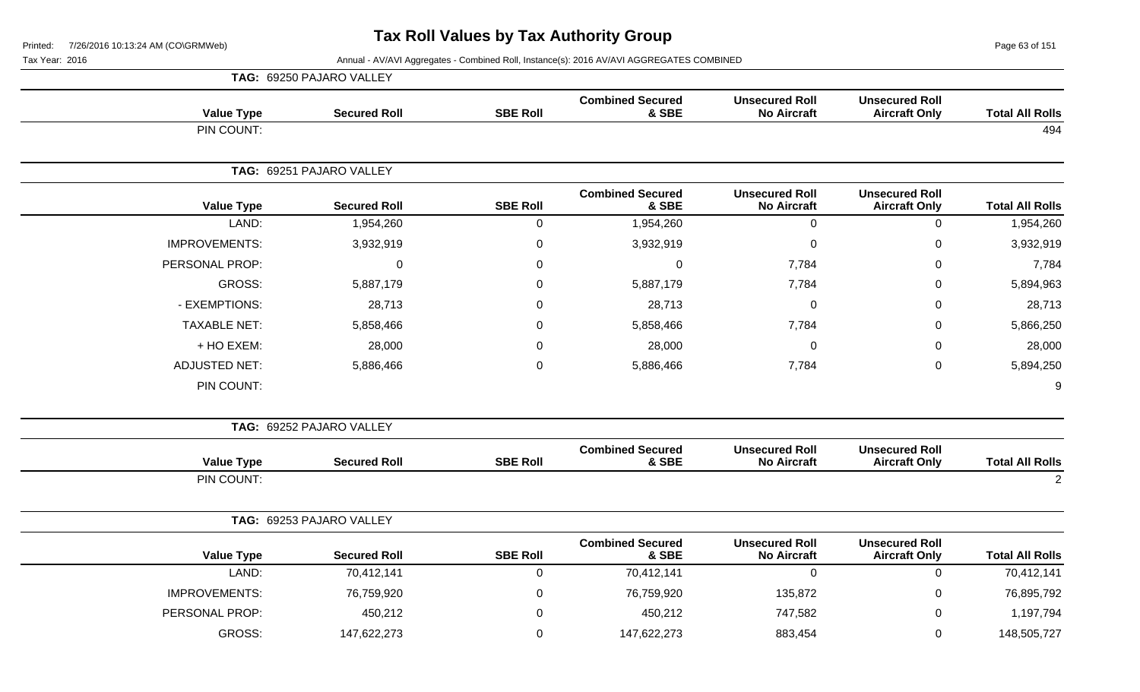Page 63 of 151

|                        |                                               |                                             |                                  |                  | TAG: 69250 PAJARO VALLEY |                      |
|------------------------|-----------------------------------------------|---------------------------------------------|----------------------------------|------------------|--------------------------|----------------------|
| <b>Total All Rolls</b> | <b>Unsecured Roll</b><br><b>Aircraft Only</b> | <b>Unsecured Roll</b><br><b>No Aircraft</b> | <b>Combined Secured</b><br>& SBE | <b>SBE Roll</b>  | <b>Secured Roll</b>      | <b>Value Type</b>    |
| 494                    |                                               |                                             |                                  |                  |                          | PIN COUNT:           |
|                        |                                               |                                             |                                  |                  | TAG: 69251 PAJARO VALLEY |                      |
| <b>Total All Rolls</b> | <b>Unsecured Roll</b><br><b>Aircraft Only</b> | <b>Unsecured Roll</b><br><b>No Aircraft</b> | <b>Combined Secured</b><br>& SBE | <b>SBE Roll</b>  | <b>Secured Roll</b>      | <b>Value Type</b>    |
| 1,954,260              | $\pmb{0}$                                     | $\mathbf 0$                                 | 1,954,260                        | $\pmb{0}$        | 1,954,260                | LAND:                |
| 3,932,919              | $\mathbf 0$                                   | $\pmb{0}$                                   | 3,932,919                        | $\boldsymbol{0}$ | 3,932,919                | <b>IMPROVEMENTS:</b> |
| 7,784                  | 0                                             | 7,784                                       | $\Omega$                         | $\mathbf 0$      | $\mathbf{0}$             | PERSONAL PROP:       |
| 5,894,963              | $\mathsf 0$                                   | 7,784                                       | 5,887,179                        | $\boldsymbol{0}$ | 5,887,179                | <b>GROSS:</b>        |
| 28,713                 | $\mathbf 0$                                   | $\mathbf 0$                                 | 28,713                           | $\mathbf 0$      | 28,713                   | - EXEMPTIONS:        |
| 5,866,250              | 0                                             | 7,784                                       | 5,858,466                        | 0                | 5,858,466                | <b>TAXABLE NET:</b>  |
| 28,000                 | $\mathbf 0$                                   | 0                                           | 28,000                           | $\mathbf 0$      | 28,000                   | + HO EXEM:           |
| 5,894,250              | $\pmb{0}$                                     | 7,784                                       | 5,886,466                        | $\pmb{0}$        | 5,886,466                | <b>ADJUSTED NET:</b> |
| 9                      |                                               |                                             |                                  |                  |                          | PIN COUNT:           |
|                        |                                               |                                             |                                  |                  | TAG: 69252 PAJARO VALLEY |                      |
| <b>Total All Rolls</b> | <b>Unsecured Roll</b><br><b>Aircraft Only</b> | <b>Unsecured Roll</b><br><b>No Aircraft</b> | <b>Combined Secured</b><br>& SBE | <b>SBE Roll</b>  | <b>Secured Roll</b>      | <b>Value Type</b>    |
| 2                      |                                               |                                             |                                  |                  |                          | PIN COUNT:           |
|                        |                                               |                                             |                                  |                  | TAG: 69253 PAJARO VALLEY |                      |
| <b>Total All Rolls</b> | <b>Unsecured Roll</b><br><b>Aircraft Only</b> | <b>Unsecured Roll</b><br><b>No Aircraft</b> | <b>Combined Secured</b><br>& SBE | <b>SBE Roll</b>  | <b>Secured Roll</b>      | <b>Value Type</b>    |
| 70,412,141             | $\mathsf 0$                                   | $\mathbf 0$                                 | 70,412,141                       | $\mathsf 0$      | 70,412,141               | LAND:                |
| 76,895,792             | $\mathbf 0$                                   | 135,872                                     | 76,759,920                       | $\boldsymbol{0}$ | 76,759,920               | <b>IMPROVEMENTS:</b> |
| 1,197,794              | $\mathbf 0$                                   | 747,582                                     | 450,212                          | $\boldsymbol{0}$ | 450,212                  | PERSONAL PROP:       |
| 148,505,727            | 0                                             | 883,454                                     | 147,622,273                      | 0                | 147,622,273              | <b>GROSS:</b>        |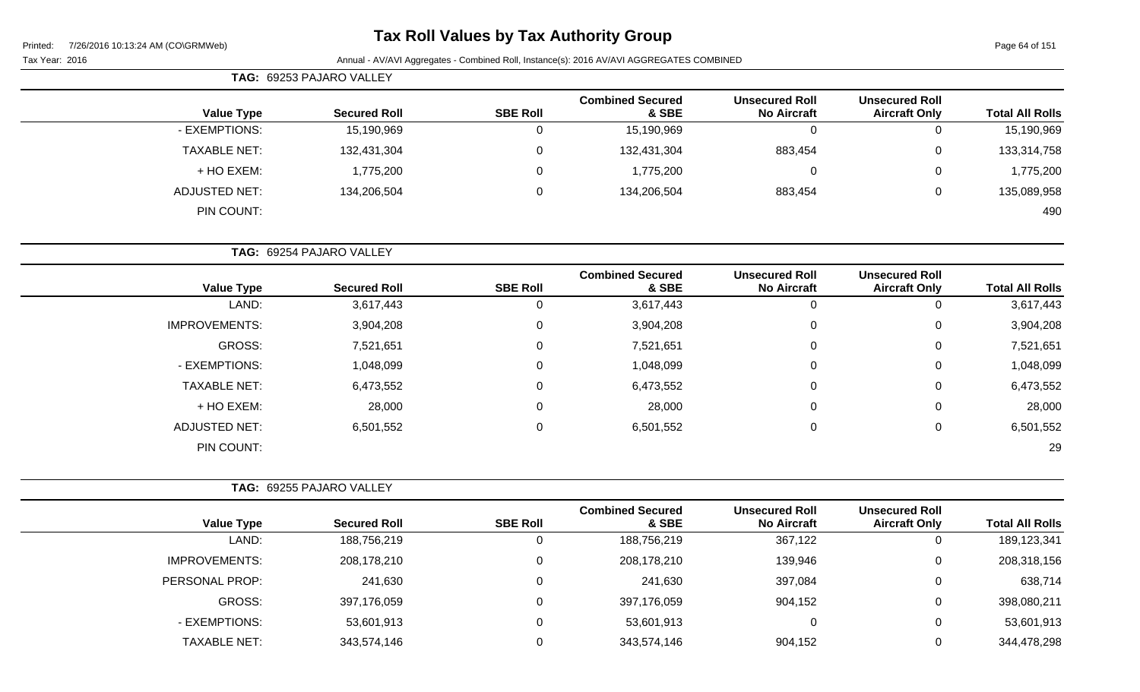# **Tax Roll Values by Tax Authority Group**

Page 64 of 151

Tax Year: 2016 **Annual - AV/AVI Aggregates - Combined Roll**, Instance(s): 2016 AV/AVI AGGREGATES COMBINED

| <b>TAG: 69253 PAJARO VALLEY</b> |                     |                 |                                  |                                             |                                               |                        |
|---------------------------------|---------------------|-----------------|----------------------------------|---------------------------------------------|-----------------------------------------------|------------------------|
| <b>Value Type</b>               | <b>Secured Roll</b> | <b>SBE Roll</b> | <b>Combined Secured</b><br>& SBE | <b>Unsecured Roll</b><br><b>No Aircraft</b> | <b>Unsecured Roll</b><br><b>Aircraft Only</b> | <b>Total All Rolls</b> |
| - EXEMPTIONS:                   | 15,190,969          |                 | 15,190,969                       | 0                                           | $\mathbf{0}$                                  | 15,190,969             |
| <b>TAXABLE NET:</b>             | 132,431,304         |                 | 132,431,304                      | 883,454                                     | 0                                             | 133,314,758            |
| + HO EXEM:                      | 1,775,200           |                 | 1,775,200                        | 0                                           | 0                                             | 1,775,200              |
| <b>ADJUSTED NET:</b>            | 134,206,504         |                 | 134,206,504                      | 883,454                                     | 0                                             | 135,089,958            |
| PIN COUNT:                      |                     |                 |                                  |                                             |                                               | 490                    |

**TAG:** 69254 PAJARO VALLEY

| <b>Value Type</b>    | <b>Secured Roll</b> | <b>SBE Roll</b> | <b>Combined Secured</b><br>& SBE | <b>Unsecured Roll</b><br><b>No Aircraft</b> | <b>Unsecured Roll</b><br><b>Aircraft Only</b> | <b>Total All Rolls</b> |
|----------------------|---------------------|-----------------|----------------------------------|---------------------------------------------|-----------------------------------------------|------------------------|
| LAND:                | 3,617,443           | 0               | 3,617,443                        | 0                                           | U                                             | 3,617,443              |
| <b>IMPROVEMENTS:</b> | 3,904,208           | 0               | 3,904,208                        | 0                                           | 0                                             | 3,904,208              |
| GROSS:               | 7,521,651           | 0               | 7,521,651                        | 0                                           | 0                                             | 7,521,651              |
| - EXEMPTIONS:        | 1,048,099           | 0               | 1,048,099                        | $\pmb{0}$                                   | 0                                             | 1,048,099              |
| <b>TAXABLE NET:</b>  | 6,473,552           | 0               | 6,473,552                        | $\pmb{0}$                                   | 0                                             | 6,473,552              |
| + HO EXEM:           | 28,000              | 0               | 28,000                           | $\pmb{0}$                                   | 0                                             | 28,000                 |
| <b>ADJUSTED NET:</b> | 6,501,552           | 0               | 6,501,552                        | 0                                           | 0                                             | 6,501,552              |
| PIN COUNT:           |                     |                 |                                  |                                             |                                               | 29                     |

|                      | <b>TAG: 69255 PAJARO VALLEY</b> |                 |                                  |                                             |                                               |                        |
|----------------------|---------------------------------|-----------------|----------------------------------|---------------------------------------------|-----------------------------------------------|------------------------|
| <b>Value Type</b>    | <b>Secured Roll</b>             | <b>SBE Roll</b> | <b>Combined Secured</b><br>& SBE | <b>Unsecured Roll</b><br><b>No Aircraft</b> | <b>Unsecured Roll</b><br><b>Aircraft Only</b> | <b>Total All Rolls</b> |
| LAND:                | 188,756,219                     |                 | 188,756,219                      | 367,122                                     | 0                                             | 189,123,341            |
| <b>IMPROVEMENTS:</b> | 208,178,210                     |                 | 208,178,210                      | 139,946                                     | $\mathbf{0}$                                  | 208,318,156            |
| PERSONAL PROP:       | 241,630                         |                 | 241,630                          | 397,084                                     | $\mathbf 0$                                   | 638,714                |
| GROSS:               | 397,176,059                     |                 | 397,176,059                      | 904,152                                     | 0                                             | 398,080,211            |
| - EXEMPTIONS:        | 53,601,913                      |                 | 53,601,913                       | 0                                           | 0                                             | 53,601,913             |
| <b>TAXABLE NET:</b>  | 343,574,146                     |                 | 343,574,146                      | 904,152                                     | $\mathbf 0$                                   | 344,478,298            |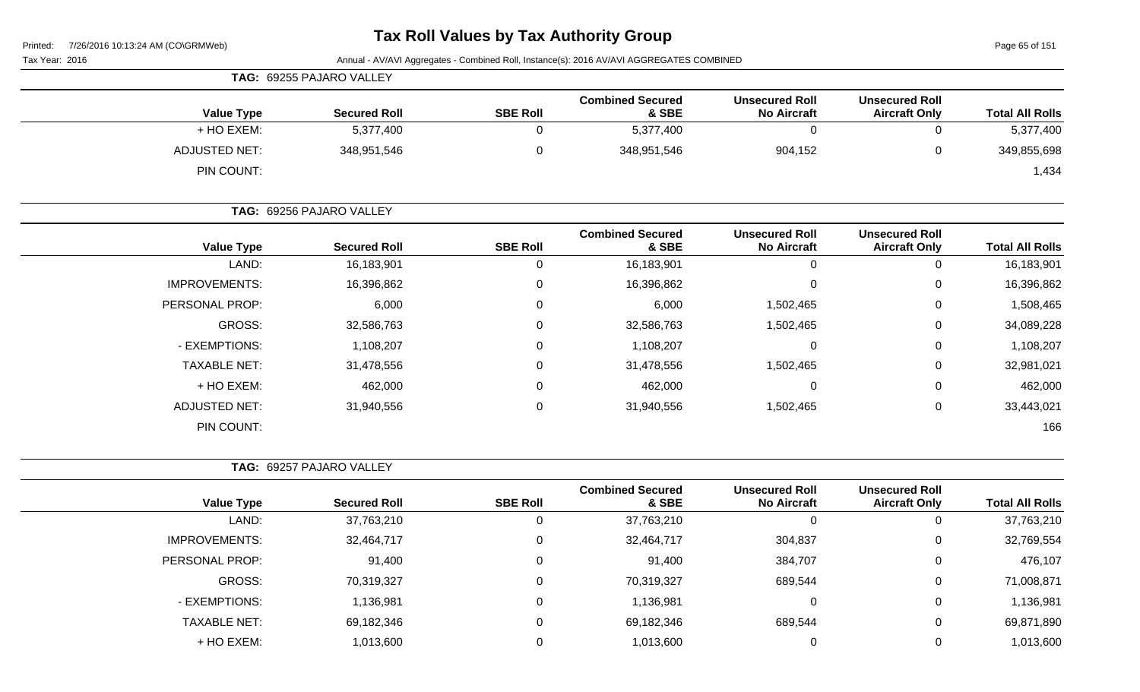Page 65 of 151

|  | Tax Year: 2016 |  |  |
|--|----------------|--|--|
|--|----------------|--|--|

|                   | TAG: 69255 PAJARO VALLEY |                 |                                  |                                             |                                               |                        |
|-------------------|--------------------------|-----------------|----------------------------------|---------------------------------------------|-----------------------------------------------|------------------------|
| <b>Value Type</b> | <b>Secured Roll</b>      | <b>SBE Roll</b> | <b>Combined Secured</b><br>& SBE | <b>Unsecured Roll</b><br><b>No Aircraft</b> | <b>Unsecured Roll</b><br><b>Aircraft Only</b> | <b>Total All Rolls</b> |
| + HO EXEM:        | 5,377,400                |                 | 5,377,400                        |                                             |                                               | 5,377,400              |
| ADJUSTED NET:     | 348,951,546              |                 | 348,951,546                      | 904,152                                     |                                               | 349,855,698            |
| PIN COUNT:        |                          |                 |                                  |                                             |                                               | 1,434                  |

|                      | TAG: 69256 PAJARO VALLEY |                 |                                  |                                             |                                               |                        |
|----------------------|--------------------------|-----------------|----------------------------------|---------------------------------------------|-----------------------------------------------|------------------------|
| <b>Value Type</b>    | <b>Secured Roll</b>      | <b>SBE Roll</b> | <b>Combined Secured</b><br>& SBE | <b>Unsecured Roll</b><br><b>No Aircraft</b> | <b>Unsecured Roll</b><br><b>Aircraft Only</b> | <b>Total All Rolls</b> |
| LAND:                | 16,183,901               | 0               | 16,183,901                       | 0                                           | υ                                             | 16,183,901             |
| <b>IMPROVEMENTS:</b> | 16,396,862               | $\mathbf 0$     | 16,396,862                       | 0                                           | 0                                             | 16,396,862             |
| PERSONAL PROP:       | 6,000                    | $\mathbf 0$     | 6,000                            | 1,502,465                                   | 0                                             | 1,508,465              |
| GROSS:               | 32,586,763               | $\mathbf 0$     | 32,586,763                       | 1,502,465                                   | 0                                             | 34,089,228             |
| - EXEMPTIONS:        | 1,108,207                | $\mathbf 0$     | 1,108,207                        | 0                                           | 0                                             | 1,108,207              |
| <b>TAXABLE NET:</b>  | 31,478,556               | $\mathbf 0$     | 31,478,556                       | 1,502,465                                   | 0                                             | 32,981,021             |
| + HO EXEM:           | 462,000                  | $\mathbf 0$     | 462,000                          | 0                                           | 0                                             | 462,000                |
| <b>ADJUSTED NET:</b> | 31,940,556               | $\mathbf 0$     | 31,940,556                       | 1,502,465                                   | 0                                             | 33,443,021             |
| PIN COUNT:           |                          |                 |                                  |                                             |                                               | 166                    |

| <b>TAG: 69257 PAJARO VALLEY</b> |  |
|---------------------------------|--|
|                                 |  |

| <b>Value Type</b>    | <b>Secured Roll</b> | <b>SBE Roll</b> | <b>Combined Secured</b><br>& SBE | <b>Unsecured Roll</b><br><b>No Aircraft</b> | <b>Unsecured Roll</b><br><b>Aircraft Only</b> | <b>Total All Rolls</b> |
|----------------------|---------------------|-----------------|----------------------------------|---------------------------------------------|-----------------------------------------------|------------------------|
| LAND:                | 37,763,210          |                 | 37,763,210                       | 0                                           |                                               | 37,763,210             |
| <b>IMPROVEMENTS:</b> | 32,464,717          |                 | 32,464,717                       | 304,837                                     | 0                                             | 32,769,554             |
| PERSONAL PROP:       | 91,400              |                 | 91,400                           | 384,707                                     |                                               | 476,107                |
| GROSS:               | 70,319,327          |                 | 70,319,327                       | 689,544                                     |                                               | 71,008,871             |
| - EXEMPTIONS:        | 1,136,981           |                 | 1,136,981                        | 0                                           | 0                                             | 1,136,981              |
| <b>TAXABLE NET:</b>  | 69,182,346          |                 | 69,182,346                       | 689,544                                     | 0                                             | 69,871,890             |
| + HO EXEM:           | 1,013,600           |                 | 1,013,600                        | 0                                           |                                               | 1,013,600              |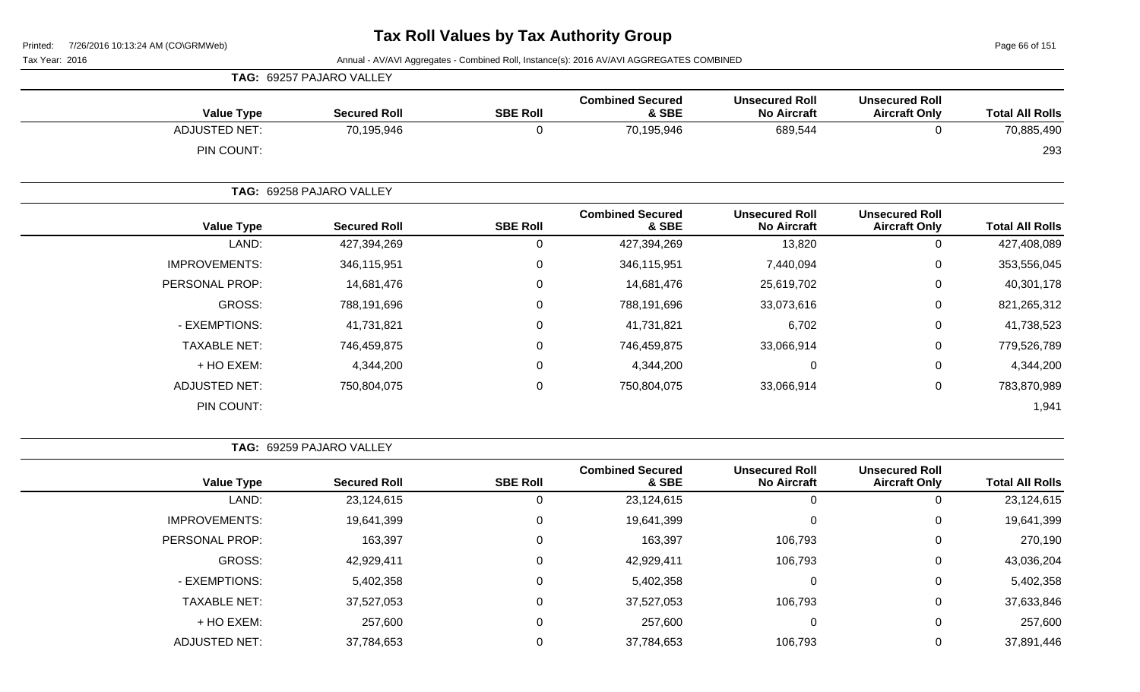Page 66 of 151

Tax Year: 2016 **Annual - AV/AVI Aggregates - Combined Roll**, Instance(s): 2016 AV/AVI AGGREGATES COMBINED

|                      | TAG: 69257 PAJARO VALLEY |                 |                                  |                                             |                                               |                        |
|----------------------|--------------------------|-----------------|----------------------------------|---------------------------------------------|-----------------------------------------------|------------------------|
| <b>Value Type</b>    | <b>Secured Roll</b>      | <b>SBE Roll</b> | <b>Combined Secured</b><br>& SBE | <b>Unsecured Roll</b><br><b>No Aircraft</b> | <b>Unsecured Roll</b><br><b>Aircraft Only</b> | <b>Total All Rolls</b> |
| <b>ADJUSTED NET:</b> | 70,195,946               | $\mathbf{0}$    | 70,195,946                       | 689,544                                     | 0                                             | 70,885,490             |
| PIN COUNT:           |                          |                 |                                  |                                             |                                               | 293                    |
|                      | TAG: 69258 PAJARO VALLEY |                 |                                  |                                             |                                               |                        |
| <b>Value Type</b>    | <b>Secured Roll</b>      | <b>SBE Roll</b> | <b>Combined Secured</b><br>& SBE | <b>Unsecured Roll</b><br><b>No Aircraft</b> | <b>Unsecured Roll</b><br><b>Aircraft Only</b> | <b>Total All Rolls</b> |
| LAND:                | 427,394,269              | $\Omega$        | 427,394,269                      | 13,820                                      | 0                                             | 427,408,089            |
| <b>IMPROVEMENTS:</b> | 346,115,951              | 0               | 346,115,951                      | 7,440,094                                   | 0                                             | 353,556,045            |
| PERSONAL PROP:       | 14,681,476               | 0               | 14,681,476                       | 25,619,702                                  | 0                                             | 40,301,178             |
| GROSS:               | 788,191,696              | 0               | 788,191,696                      | 33,073,616                                  | 0                                             | 821,265,312            |
| - EXEMPTIONS:        | 41,731,821               | $\Omega$        | 41,731,821                       | 6,702                                       | 0                                             | 41,738,523             |
| <b>TAXABLE NET:</b>  | 746,459,875              | 0               | 746,459,875                      | 33,066,914                                  | 0                                             | 779,526,789            |
| + HO EXEM:           | 4,344,200                | 0               | 4,344,200                        | $\mathbf 0$                                 | 0                                             | 4,344,200              |
| <b>ADJUSTED NET:</b> | 750,804,075              | $\pmb{0}$       | 750,804,075                      | 33,066,914                                  | 0                                             | 783,870,989            |
| PIN COUNT:           |                          |                 |                                  |                                             |                                               | 1,941                  |

**TAG:** 69259 PAJARO VALLEY

| <b>Value Type</b>    | <b>Secured Roll</b> | <b>SBE Roll</b> | <b>Combined Secured</b><br>& SBE | <b>Unsecured Roll</b><br><b>No Aircraft</b> | <b>Unsecured Roll</b><br><b>Aircraft Only</b> | <b>Total All Rolls</b> |
|----------------------|---------------------|-----------------|----------------------------------|---------------------------------------------|-----------------------------------------------|------------------------|
|                      |                     |                 |                                  |                                             |                                               |                        |
| LAND:                | 23,124,615          |                 | 23,124,615                       | U                                           | 0                                             | 23,124,615             |
| <b>IMPROVEMENTS:</b> | 19,641,399          | 0               | 19,641,399                       | 0                                           | 0                                             | 19,641,399             |
| PERSONAL PROP:       | 163,397             | 0               | 163,397                          | 106,793                                     | $\mathbf 0$                                   | 270,190                |
| GROSS:               | 42,929,411          |                 | 42,929,411                       | 106,793                                     | $\mathbf 0$                                   | 43,036,204             |
| - EXEMPTIONS:        | 5,402,358           |                 | 5,402,358                        | $\mathbf 0$                                 | 0                                             | 5,402,358              |
| <b>TAXABLE NET:</b>  | 37,527,053          |                 | 37,527,053                       | 106,793                                     | 0                                             | 37,633,846             |
| + HO EXEM:           | 257,600             |                 | 257,600                          | $\mathbf 0$                                 | 0                                             | 257,600                |
| <b>ADJUSTED NET:</b> | 37,784,653          |                 | 37,784,653                       | 106,793                                     | 0                                             | 37,891,446             |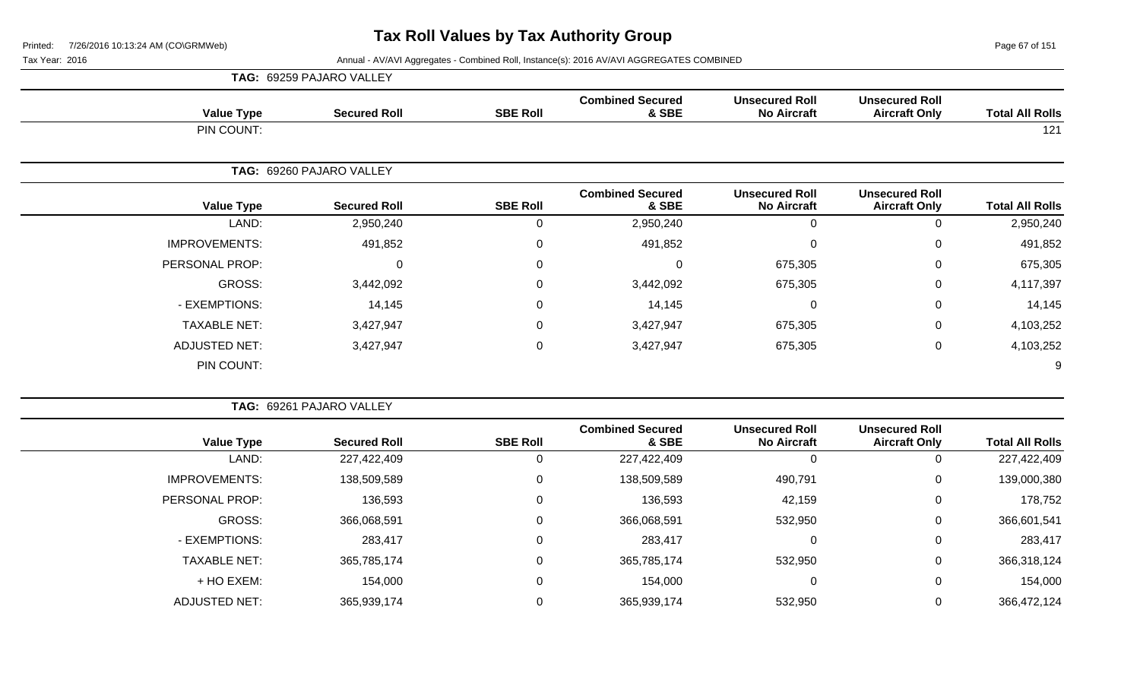Page 67 of 151

|                        |                                               |                                             |                                  |                 | TAG: 69259 PAJARO VALLEY |                      |
|------------------------|-----------------------------------------------|---------------------------------------------|----------------------------------|-----------------|--------------------------|----------------------|
| <b>Total All Rolls</b> | <b>Unsecured Roll</b><br><b>Aircraft Only</b> | <b>Unsecured Roll</b><br><b>No Aircraft</b> | <b>Combined Secured</b><br>& SBE | <b>SBE Roll</b> | <b>Secured Roll</b>      | <b>Value Type</b>    |
| 121                    |                                               |                                             |                                  |                 |                          | PIN COUNT:           |
|                        |                                               |                                             |                                  |                 | TAG: 69260 PAJARO VALLEY |                      |
| <b>Total All Rolls</b> | <b>Unsecured Roll</b><br><b>Aircraft Only</b> | <b>Unsecured Roll</b><br><b>No Aircraft</b> | <b>Combined Secured</b><br>& SBE | <b>SBE Roll</b> | <b>Secured Roll</b>      | <b>Value Type</b>    |
| 2,950,240              | $\pmb{0}$                                     | 0                                           | 2,950,240                        | $\mathbf 0$     | 2,950,240                | LAND:                |
| 491,852                | 0                                             | $\mathbf 0$                                 | 491,852                          | 0               | 491,852                  | <b>IMPROVEMENTS:</b> |
| 675,305                | 0                                             | 675,305                                     | $\Omega$                         | $\Omega$        | 0                        | PERSONAL PROP:       |
| 4,117,397              | 0                                             | 675,305                                     | 3,442,092                        | 0               | 3,442,092                | GROSS:               |
| 14,145                 | 0                                             | 0                                           | 14,145                           | $\mathbf 0$     | 14,145                   | - EXEMPTIONS:        |
| 4,103,252              | 0                                             | 675,305                                     | 3,427,947                        | $\mathbf 0$     | 3,427,947                | <b>TAXABLE NET:</b>  |
| 4,103,252              | 0                                             | 675,305                                     | 3,427,947                        | $\mathbf 0$     | 3,427,947                | ADJUSTED NET:        |
| 9                      |                                               |                                             |                                  |                 |                          | PIN COUNT:           |
|                        |                                               |                                             |                                  |                 |                          |                      |
|                        |                                               |                                             |                                  |                 | TAG: 69261 PAJARO VALLEY |                      |

| <b>Value Type</b>    | <b>Secured Roll</b> | <b>SBE Roll</b> | <b>Combined Secured</b><br>& SBE | <b>Unsecured Roll</b><br><b>No Aircraft</b> | <b>Unsecured Roll</b><br><b>Aircraft Only</b> | <b>Total All Rolls</b> |
|----------------------|---------------------|-----------------|----------------------------------|---------------------------------------------|-----------------------------------------------|------------------------|
|                      |                     |                 |                                  |                                             |                                               |                        |
| LAND:                | 227,422,409         |                 | 227,422,409                      | 0                                           |                                               | 227,422,409            |
| <b>IMPROVEMENTS:</b> | 138,509,589         |                 | 138,509,589                      | 490,791                                     | 0                                             | 139,000,380            |
| PERSONAL PROP:       | 136,593             |                 | 136,593                          | 42,159                                      | 0                                             | 178,752                |
| GROSS:               | 366,068,591         |                 | 366,068,591                      | 532,950                                     | 0                                             | 366,601,541            |
| - EXEMPTIONS:        | 283,417             |                 | 283,417                          | 0                                           | 0                                             | 283,417                |
| <b>TAXABLE NET:</b>  | 365,785,174         |                 | 365,785,174                      | 532,950                                     | 0                                             | 366,318,124            |
| + HO EXEM:           | 154,000             |                 | 154,000                          | 0                                           |                                               | 154,000                |
| <b>ADJUSTED NET:</b> | 365,939,174         |                 | 365,939,174                      | 532,950                                     |                                               | 366,472,124            |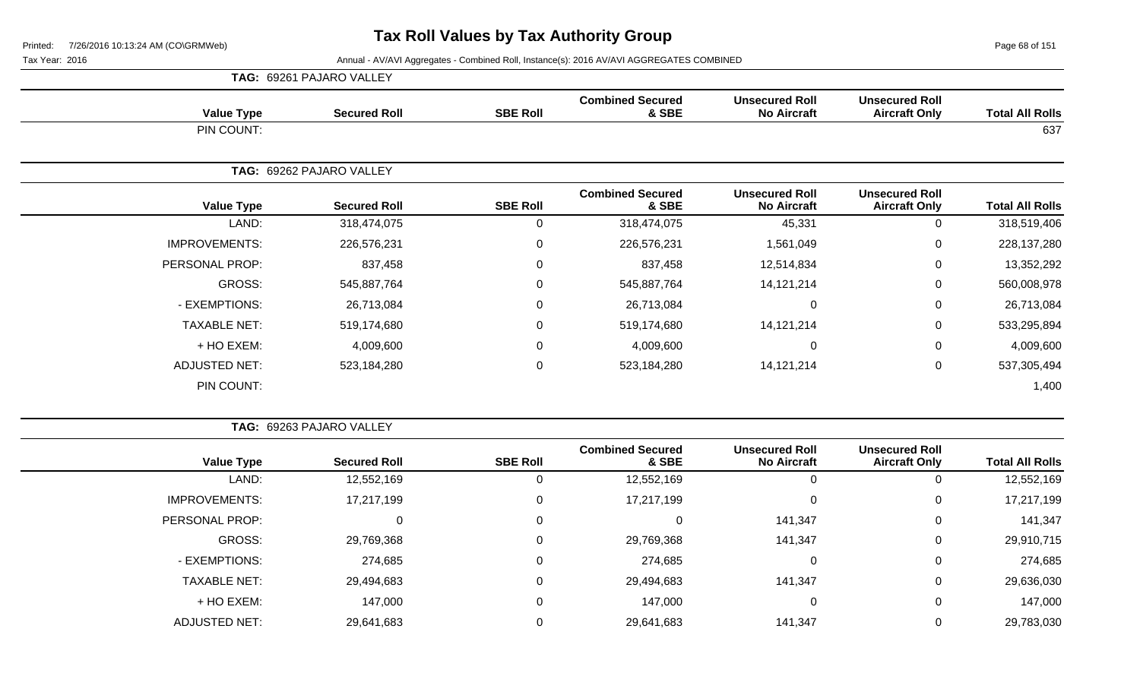Page 68 of 151

|                      |                      | <b>TAG: 69261 PAJARO VALLEY</b> |                  |                                  |                                             |                                               |                        |
|----------------------|----------------------|---------------------------------|------------------|----------------------------------|---------------------------------------------|-----------------------------------------------|------------------------|
|                      | <b>Value Type</b>    | <b>Secured Roll</b>             | <b>SBE Roll</b>  | <b>Combined Secured</b><br>& SBE | <b>Unsecured Roll</b><br><b>No Aircraft</b> | <b>Unsecured Roll</b><br><b>Aircraft Only</b> | <b>Total All Rolls</b> |
|                      | PIN COUNT:           |                                 |                  |                                  |                                             |                                               | 637                    |
|                      |                      | TAG: 69262 PAJARO VALLEY        |                  |                                  |                                             |                                               |                        |
|                      | <b>Value Type</b>    | <b>Secured Roll</b>             | <b>SBE Roll</b>  | <b>Combined Secured</b><br>& SBE | <b>Unsecured Roll</b><br><b>No Aircraft</b> | <b>Unsecured Roll</b><br><b>Aircraft Only</b> | <b>Total All Rolls</b> |
|                      | LAND:                | 318,474,075                     | 0                | 318,474,075                      | 45,331                                      | 0                                             | 318,519,406            |
| <b>IMPROVEMENTS:</b> |                      | 226,576,231                     | $\pmb{0}$        | 226,576,231                      | 1,561,049                                   | 0                                             | 228,137,280            |
| PERSONAL PROP:       |                      | 837,458                         | 0                | 837,458                          | 12,514,834                                  | 0                                             | 13,352,292             |
|                      | GROSS:               | 545,887,764                     | $\mathbf 0$      | 545,887,764                      | 14,121,214                                  | 0                                             | 560,008,978            |
|                      | - EXEMPTIONS:        | 26,713,084                      | $\mathbf 0$      | 26,713,084                       | 0                                           | $\mathbf 0$                                   | 26,713,084             |
|                      | <b>TAXABLE NET:</b>  | 519,174,680                     | $\mathbf 0$      | 519,174,680                      | 14, 121, 214                                | 0                                             | 533,295,894            |
|                      | + HO EXEM:           | 4,009,600                       | $\mathbf 0$      | 4,009,600                        | 0                                           | $\mathbf 0$                                   | 4,009,600              |
|                      | <b>ADJUSTED NET:</b> | 523,184,280                     | $\boldsymbol{0}$ | 523,184,280                      | 14, 121, 214                                | $\mathbf 0$                                   | 537,305,494            |
|                      | PIN COUNT:           |                                 |                  |                                  |                                             |                                               | 1,400                  |

|                        |                                               |                                             |                                  | TAG: 69263 PAJARO VALLEY |                     |                      |  |  |  |
|------------------------|-----------------------------------------------|---------------------------------------------|----------------------------------|--------------------------|---------------------|----------------------|--|--|--|
| <b>Total All Rolls</b> | <b>Unsecured Roll</b><br><b>Aircraft Only</b> | <b>Unsecured Roll</b><br><b>No Aircraft</b> | <b>Combined Secured</b><br>& SBE | <b>SBE Roll</b>          | <b>Secured Roll</b> | <b>Value Type</b>    |  |  |  |
| 12,552,169             | 0                                             |                                             | 12,552,169                       | 0                        | 12,552,169          | LAND:                |  |  |  |
| 17,217,199             | 0                                             | 0                                           | 17,217,199                       | 0                        | 17,217,199          | <b>IMPROVEMENTS:</b> |  |  |  |
| 141,347                | 0                                             | 141,347                                     | 0                                | 0                        | 0                   | PERSONAL PROP:       |  |  |  |
| 29,910,715             | 0                                             | 141,347                                     | 29,769,368                       | 0                        | 29,769,368          | <b>GROSS:</b>        |  |  |  |
| 274,685                | 0                                             | 0                                           | 274,685                          | 0                        | 274,685             | - EXEMPTIONS:        |  |  |  |
| 29,636,030             | 0                                             | 141,347                                     | 29,494,683                       | 0                        | 29,494,683          | <b>TAXABLE NET:</b>  |  |  |  |
| 147,000                | 0                                             | 0                                           | 147,000                          | 0                        | 147,000             | + HO EXEM:           |  |  |  |
| 29,783,030             | 0                                             | 141,347                                     | 29,641,683                       | 0                        | 29,641,683          | <b>ADJUSTED NET:</b> |  |  |  |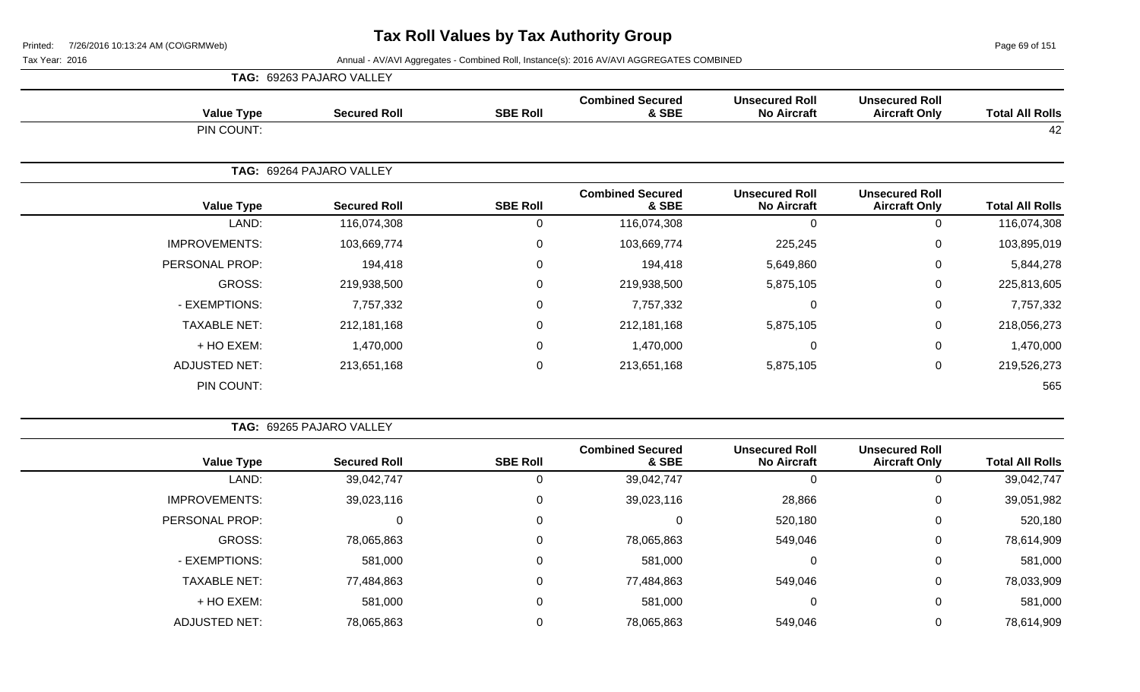Page 69 of 151

|                      | TAG: 69263 PAJARO VALLEY |                  |                                  |                                             |                                               |                        |
|----------------------|--------------------------|------------------|----------------------------------|---------------------------------------------|-----------------------------------------------|------------------------|
| <b>Value Type</b>    | <b>Secured Roll</b>      | <b>SBE Roll</b>  | <b>Combined Secured</b><br>& SBE | <b>Unsecured Roll</b><br><b>No Aircraft</b> | <b>Unsecured Roll</b><br><b>Aircraft Only</b> | <b>Total All Rolls</b> |
| PIN COUNT:           |                          |                  |                                  |                                             |                                               | 42                     |
|                      | TAG: 69264 PAJARO VALLEY |                  |                                  |                                             |                                               |                        |
| <b>Value Type</b>    | <b>Secured Roll</b>      | <b>SBE Roll</b>  | <b>Combined Secured</b><br>& SBE | <b>Unsecured Roll</b><br><b>No Aircraft</b> | <b>Unsecured Roll</b><br><b>Aircraft Only</b> | <b>Total All Rolls</b> |
| LAND:                | 116,074,308              | 0                | 116,074,308                      | $\mathbf 0$                                 | 0                                             | 116,074,308            |
| <b>IMPROVEMENTS:</b> | 103,669,774              | $\boldsymbol{0}$ | 103,669,774                      | 225,245                                     | $\mathbf 0$                                   | 103,895,019            |
| PERSONAL PROP:       | 194,418                  | 0                | 194,418                          | 5,649,860                                   | $\mathbf 0$                                   | 5,844,278              |
| GROSS:               | 219,938,500              | $\mathbf 0$      | 219,938,500                      | 5,875,105                                   | 0                                             | 225,813,605            |
| - EXEMPTIONS:        | 7,757,332                | $\mathbf 0$      | 7,757,332                        | $\mathbf 0$                                 | $\mathbf 0$                                   | 7,757,332              |
| <b>TAXABLE NET:</b>  | 212,181,168              | $\boldsymbol{0}$ | 212, 181, 168                    | 5,875,105                                   | $\mathbf 0$                                   | 218,056,273            |
| + HO EXEM:           | 1,470,000                | $\mathbf 0$      | 1,470,000                        | $\Omega$                                    | $\mathbf 0$                                   | 1,470,000              |
| <b>ADJUSTED NET:</b> | 213,651,168              | $\mathbf 0$      | 213,651,168                      | 5,875,105                                   | $\pmb{0}$                                     | 219,526,273            |
| PIN COUNT:           |                          |                  |                                  |                                             |                                               | 565                    |

| TAG: 69265 PAJARO VALLEY |  |
|--------------------------|--|

| <b>Total All Rolls</b> | <b>Unsecured Roll</b><br><b>Aircraft Only</b> | <b>Unsecured Roll</b><br><b>No Aircraft</b> | <b>Combined Secured</b><br>& SBE | <b>SBE Roll</b> | <b>Secured Roll</b> | <b>Value Type</b>    |
|------------------------|-----------------------------------------------|---------------------------------------------|----------------------------------|-----------------|---------------------|----------------------|
| 39,042,747             | v                                             | 0                                           | 39,042,747                       |                 | 39,042,747          | LAND:                |
| 39,051,982             | U                                             | 28,866                                      | 39,023,116                       |                 | 39,023,116          | <b>IMPROVEMENTS:</b> |
| 520,180                | 0                                             | 520,180                                     |                                  |                 |                     | PERSONAL PROP:       |
| 78,614,909             | 0                                             | 549,046                                     | 78,065,863                       | 0               | 78,065,863          | GROSS:               |
| 581,000                | 0                                             | 0                                           | 581,000                          | 0               | 581,000             | - EXEMPTIONS:        |
| 78,033,909             | U                                             | 549,046                                     | 77,484,863                       | $\Omega$        | 77,484,863          | <b>TAXABLE NET:</b>  |
| 581,000                | 0                                             | 0                                           | 581,000                          | 0               | 581,000             | + HO EXEM:           |
| 78,614,909             | υ                                             | 549,046                                     | 78,065,863                       |                 | 78,065,863          | <b>ADJUSTED NET:</b> |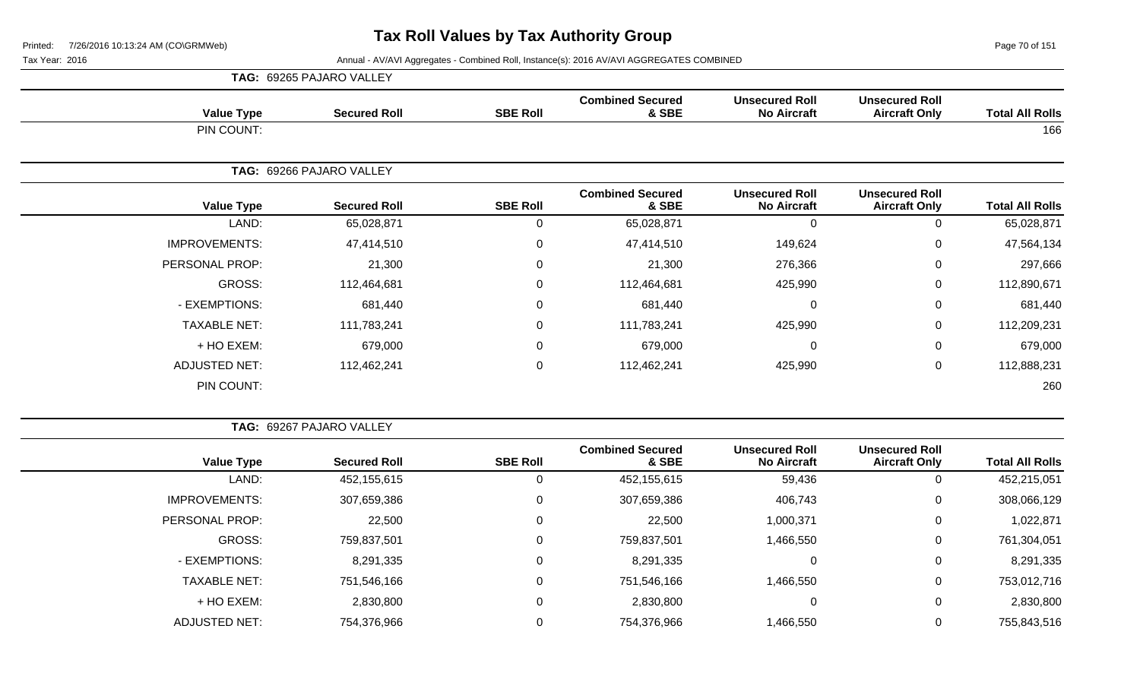Page 70 of 151

|                      |                     | TAG: 69265 PAJARO VALLEY |                 |                                  |                                             |                                               |                        |
|----------------------|---------------------|--------------------------|-----------------|----------------------------------|---------------------------------------------|-----------------------------------------------|------------------------|
|                      | <b>Value Type</b>   | <b>Secured Roll</b>      | <b>SBE Roll</b> | <b>Combined Secured</b><br>& SBE | <b>Unsecured Roll</b><br><b>No Aircraft</b> | <b>Unsecured Roll</b><br><b>Aircraft Only</b> | <b>Total All Rolls</b> |
|                      | PIN COUNT:          |                          |                 |                                  |                                             |                                               | 166                    |
|                      | TAG:                | 69266 PAJARO VALLEY      |                 |                                  |                                             |                                               |                        |
|                      | <b>Value Type</b>   | <b>Secured Roll</b>      | <b>SBE Roll</b> | <b>Combined Secured</b><br>& SBE | <b>Unsecured Roll</b><br><b>No Aircraft</b> | <b>Unsecured Roll</b><br><b>Aircraft Only</b> | <b>Total All Rolls</b> |
|                      | LAND:               | 65,028,871               | 0               | 65,028,871                       | $\Omega$                                    | 0                                             | 65,028,871             |
| <b>IMPROVEMENTS:</b> |                     | 47,414,510               | 0               | 47,414,510                       | 149,624                                     | $\pmb{0}$                                     | 47,564,134             |
| PERSONAL PROP:       |                     | 21,300                   | 0               | 21,300                           | 276,366                                     | 0                                             | 297,666                |
|                      | GROSS:              | 112,464,681              | 0               | 112,464,681                      | 425,990                                     | $\mathbf 0$                                   | 112,890,671            |
| - EXEMPTIONS:        |                     | 681,440                  | 0               | 681,440                          | $\mathbf{0}$                                | $\mathbf 0$                                   | 681,440                |
|                      | <b>TAXABLE NET:</b> | 111,783,241              | $\mathsf 0$     | 111,783,241                      | 425,990                                     | $\mathbf 0$                                   | 112,209,231            |
|                      | + HO EXEM:          | 679,000                  | 0               | 679,000                          | 0                                           | $\mathbf 0$                                   | 679,000                |
| <b>ADJUSTED NET:</b> |                     | 112,462,241              | 0               | 112,462,241                      | 425,990                                     | $\mathbf 0$                                   | 112,888,231            |
|                      | PIN COUNT:          |                          |                 |                                  |                                             |                                               | 260                    |

|                        |                                               |                                             |                                  |                 | TAG: 69267 PAJARO VALLEY |                      |  |  |  |
|------------------------|-----------------------------------------------|---------------------------------------------|----------------------------------|-----------------|--------------------------|----------------------|--|--|--|
| <b>Total All Rolls</b> | <b>Unsecured Roll</b><br><b>Aircraft Only</b> | <b>Unsecured Roll</b><br><b>No Aircraft</b> | <b>Combined Secured</b><br>& SBE | <b>SBE Roll</b> | <b>Secured Roll</b>      | <b>Value Type</b>    |  |  |  |
| 452,215,051            | 0                                             | 59,436                                      | 452,155,615                      | 0               | 452,155,615              | LAND:                |  |  |  |
| 308,066,129            | 0                                             | 406,743                                     | 307,659,386                      | 0               | 307,659,386              | <b>IMPROVEMENTS:</b> |  |  |  |
| 1,022,871              | 0                                             | 1,000,371                                   | 22,500                           | 0               | 22,500                   | PERSONAL PROP:       |  |  |  |
| 761,304,051            | 0                                             | 1,466,550                                   | 759,837,501                      | 0               | 759,837,501              | <b>GROSS:</b>        |  |  |  |
| 8,291,335              | 0                                             | $\Omega$                                    | 8,291,335                        | $\Omega$        | 8,291,335                | - EXEMPTIONS:        |  |  |  |
| 753,012,716            | 0                                             | 1,466,550                                   | 751,546,166                      | $\Omega$        | 751,546,166              | <b>TAXABLE NET:</b>  |  |  |  |
| 2,830,800              | 0                                             | 0                                           | 2,830,800                        | $\Omega$        | 2,830,800                | + HO EXEM:           |  |  |  |
| 755,843,516            | 0                                             | 1,466,550                                   | 754,376,966                      |                 | 754,376,966              | <b>ADJUSTED NET:</b> |  |  |  |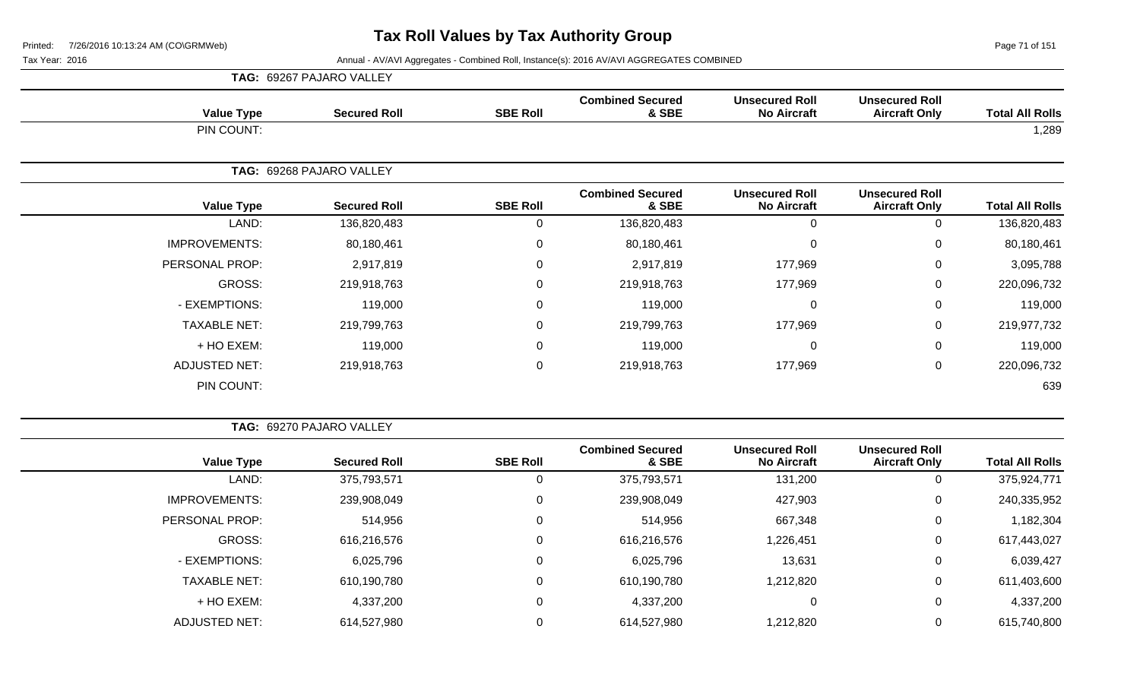Page 71 of 151

|                      |                      | <b>TAG: 69267 PAJARO VALLEY</b> |                 |                                  |                                             |                                               |                        |
|----------------------|----------------------|---------------------------------|-----------------|----------------------------------|---------------------------------------------|-----------------------------------------------|------------------------|
|                      | <b>Value Type</b>    | <b>Secured Roll</b>             | <b>SBE Roll</b> | <b>Combined Secured</b><br>& SBE | <b>Unsecured Roll</b><br><b>No Aircraft</b> | <b>Unsecured Roll</b><br><b>Aircraft Only</b> | <b>Total All Rolls</b> |
|                      | PIN COUNT:           |                                 |                 |                                  |                                             |                                               | 1,289                  |
|                      |                      | TAG: 69268 PAJARO VALLEY        |                 |                                  |                                             |                                               |                        |
|                      | <b>Value Type</b>    | <b>Secured Roll</b>             | <b>SBE Roll</b> | <b>Combined Secured</b><br>& SBE | <b>Unsecured Roll</b><br><b>No Aircraft</b> | <b>Unsecured Roll</b><br><b>Aircraft Only</b> | <b>Total All Rolls</b> |
|                      | LAND:                | 136,820,483                     | 0               | 136,820,483                      | $\Omega$                                    | 0                                             | 136,820,483            |
| <b>IMPROVEMENTS:</b> |                      | 80,180,461                      | 0               | 80,180,461                       | $\Omega$                                    | $\mathbf 0$                                   | 80,180,461             |
| PERSONAL PROP:       |                      | 2,917,819                       | 0               | 2,917,819                        | 177,969                                     | $\mathbf 0$                                   | 3,095,788              |
|                      | GROSS:               | 219,918,763                     | $\mathbf 0$     | 219,918,763                      | 177,969                                     | $\mathbf 0$                                   | 220,096,732            |
|                      | - EXEMPTIONS:        | 119,000                         | 0               | 119,000                          | $\Omega$                                    | $\mathbf 0$                                   | 119,000                |
|                      | <b>TAXABLE NET:</b>  | 219,799,763                     | 0               | 219,799,763                      | 177,969                                     | $\mathbf 0$                                   | 219,977,732            |
|                      | + HO EXEM:           | 119,000                         | 0               | 119,000                          | $\Omega$                                    | $\mathbf 0$                                   | 119,000                |
|                      | <b>ADJUSTED NET:</b> | 219,918,763                     | 0               | 219,918,763                      | 177,969                                     | $\mathbf 0$                                   | 220,096,732            |
|                      | PIN COUNT:           |                                 |                 |                                  |                                             |                                               | 639                    |

|                      | TAG: 69270 PAJARO VALLEY |                 |                                  |                                             |                                               |                        |
|----------------------|--------------------------|-----------------|----------------------------------|---------------------------------------------|-----------------------------------------------|------------------------|
| <b>Value Type</b>    | <b>Secured Roll</b>      | <b>SBE Roll</b> | <b>Combined Secured</b><br>& SBE | <b>Unsecured Roll</b><br><b>No Aircraft</b> | <b>Unsecured Roll</b><br><b>Aircraft Only</b> | <b>Total All Rolls</b> |
| LAND:                | 375,793,571              | 0               | 375,793,571                      | 131,200                                     |                                               | 375,924,771            |
| <b>IMPROVEMENTS:</b> | 239,908,049              | 0               | 239,908,049                      | 427,903                                     | 0                                             | 240,335,952            |
| PERSONAL PROP:       | 514,956                  | 0               | 514,956                          | 667,348                                     | 0                                             | 1,182,304              |
| GROSS:               | 616,216,576              | 0               | 616,216,576                      | 1,226,451                                   | $\Omega$                                      | 617,443,027            |
| - EXEMPTIONS:        | 6,025,796                | $\Omega$        | 6,025,796                        | 13,631                                      | $\Omega$                                      | 6,039,427              |
| <b>TAXABLE NET:</b>  | 610,190,780              | $\mathbf 0$     | 610,190,780                      | 1,212,820                                   | 0                                             | 611,403,600            |
| + HO EXEM:           | 4,337,200                | 0               | 4,337,200                        | 0                                           | 0                                             | 4,337,200              |
| <b>ADJUSTED NET:</b> | 614,527,980              | $\mathbf 0$     | 614,527,980                      | 1,212,820                                   | 0                                             | 615,740,800            |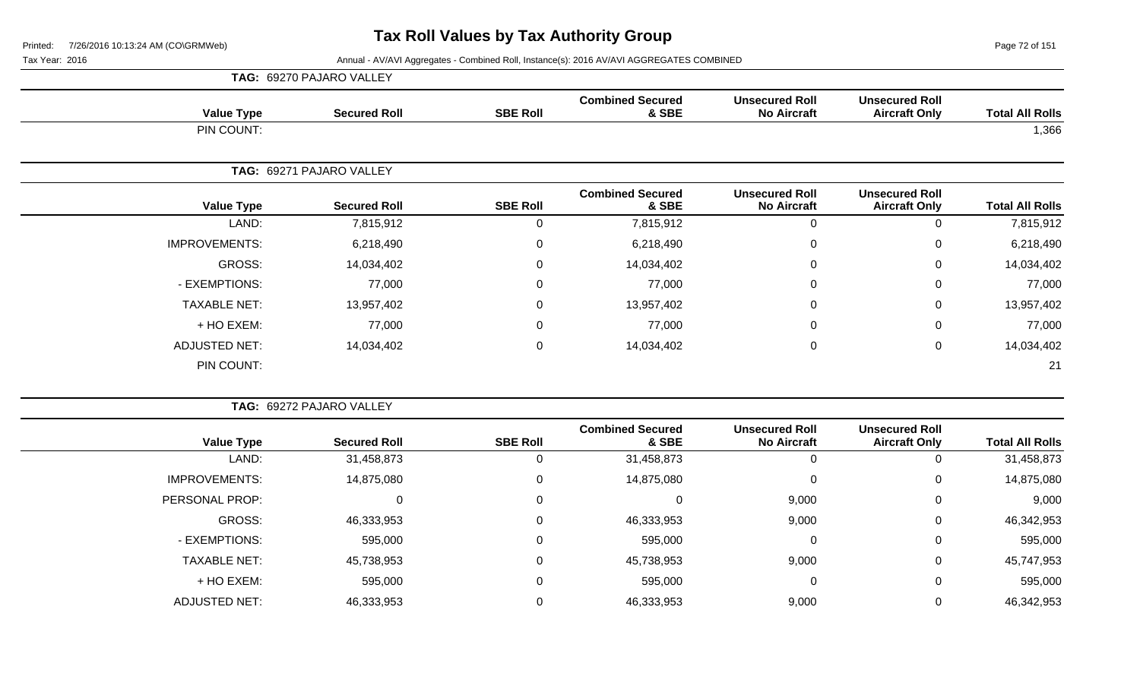Page 72 of 151

|                      | TAG: 69270 PAJARO VALLEY |                 |                                  |                                             |                                               |                        |
|----------------------|--------------------------|-----------------|----------------------------------|---------------------------------------------|-----------------------------------------------|------------------------|
| <b>Value Type</b>    | <b>Secured Roll</b>      | <b>SBE Roll</b> | <b>Combined Secured</b><br>& SBE | <b>Unsecured Roll</b><br><b>No Aircraft</b> | <b>Unsecured Roll</b><br><b>Aircraft Only</b> | <b>Total All Rolls</b> |
| PIN COUNT:           |                          |                 |                                  |                                             |                                               | 1,366                  |
|                      | TAG: 69271 PAJARO VALLEY |                 |                                  |                                             |                                               |                        |
| <b>Value Type</b>    | <b>Secured Roll</b>      | <b>SBE Roll</b> | <b>Combined Secured</b><br>& SBE | <b>Unsecured Roll</b><br><b>No Aircraft</b> | <b>Unsecured Roll</b><br><b>Aircraft Only</b> | <b>Total All Rolls</b> |
| LAND:                | 7,815,912                | $\mathbf 0$     | 7,815,912                        | 0                                           | 0                                             | 7,815,912              |
| <b>IMPROVEMENTS:</b> | 6,218,490                | 0               | 6,218,490                        | 0                                           | $\mathbf 0$                                   | 6,218,490              |
| GROSS:               | 14,034,402               | $\mathbf 0$     | 14,034,402                       | 0                                           | 0                                             | 14,034,402             |
| - EXEMPTIONS:        | 77,000                   | $\mathbf 0$     | 77,000                           | 0                                           | $\mathbf 0$                                   | 77,000                 |
| <b>TAXABLE NET:</b>  | 13,957,402               | $\mathbf 0$     | 13,957,402                       | $\mathbf 0$                                 | $\mathbf 0$                                   | 13,957,402             |
| + HO EXEM:           | 77,000                   | $\mathbf 0$     | 77,000                           | 0                                           | $\mathbf 0$                                   | 77,000                 |
| <b>ADJUSTED NET:</b> | 14,034,402               | $\mathbf 0$     | 14,034,402                       | 0                                           | $\mathbf 0$                                   | 14,034,402             |
| PIN COUNT:           |                          |                 |                                  |                                             |                                               | 21                     |

|                      |                   | TAG: 69272 PAJARO VALLEY |                 |                                  |                                             |                                               |                        |
|----------------------|-------------------|--------------------------|-----------------|----------------------------------|---------------------------------------------|-----------------------------------------------|------------------------|
|                      | <b>Value Type</b> | <b>Secured Roll</b>      | <b>SBE Roll</b> | <b>Combined Secured</b><br>& SBE | <b>Unsecured Roll</b><br><b>No Aircraft</b> | <b>Unsecured Roll</b><br><b>Aircraft Only</b> | <b>Total All Rolls</b> |
|                      | LAND:             | 31,458,873               |                 | 31,458,873                       | 0                                           | 0                                             | 31,458,873             |
| <b>IMPROVEMENTS:</b> |                   | 14,875,080               |                 | 14,875,080                       | 0                                           | 0                                             | 14,875,080             |
| PERSONAL PROP:       |                   |                          | 0               | 0                                | 9,000                                       | $\mathbf 0$                                   | 9,000                  |
|                      | GROSS:            | 46,333,953               |                 | 46,333,953                       | 9,000                                       | 0                                             | 46,342,953             |
| - EXEMPTIONS:        |                   | 595,000                  |                 | 595,000                          | $\Omega$                                    | 0                                             | 595,000                |
| <b>TAXABLE NET:</b>  |                   | 45,738,953               |                 | 45,738,953                       | 9,000                                       | $\mathbf 0$                                   | 45,747,953             |
|                      | + HO EXEM:        | 595,000                  |                 | 595,000                          | $\Omega$                                    | 0                                             | 595,000                |
| <b>ADJUSTED NET:</b> |                   | 46,333,953               |                 | 46,333,953                       | 9,000                                       | 0                                             | 46,342,953             |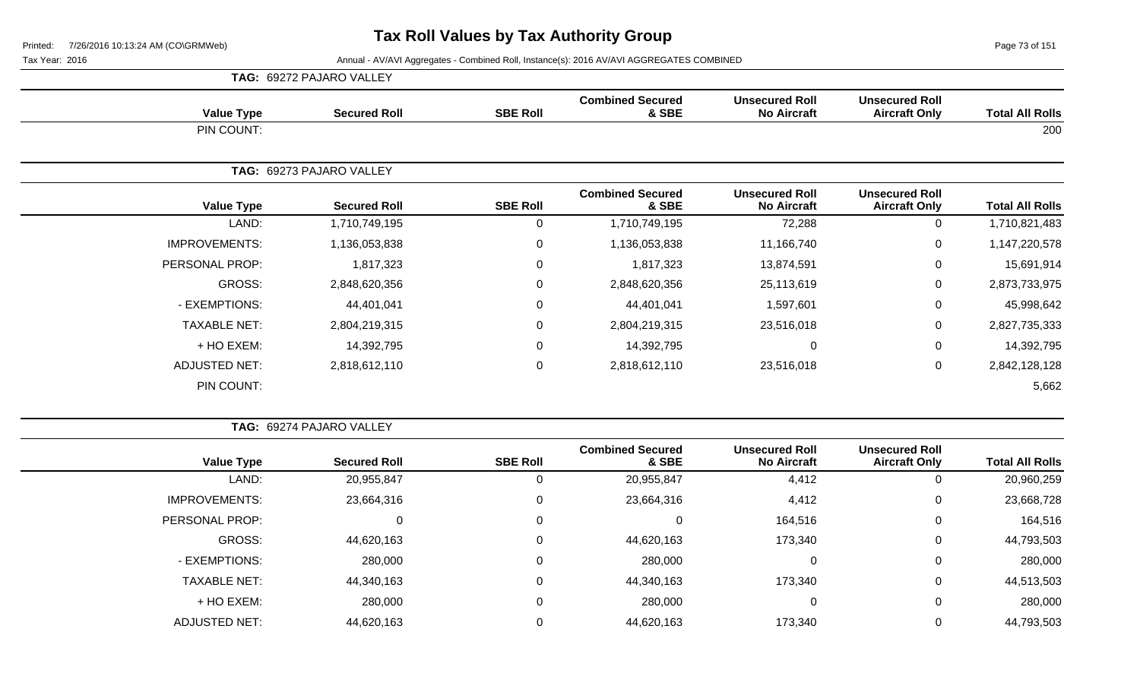Page 73 of 151

|                      | <b>TAG: 69272 PAJARO VALLEY</b> |                 |                                  |                                             |                                               |                        |
|----------------------|---------------------------------|-----------------|----------------------------------|---------------------------------------------|-----------------------------------------------|------------------------|
| <b>Value Type</b>    | <b>Secured Roll</b>             | <b>SBE Roll</b> | <b>Combined Secured</b><br>& SBE | <b>Unsecured Roll</b><br><b>No Aircraft</b> | <b>Unsecured Roll</b><br><b>Aircraft Only</b> | <b>Total All Rolls</b> |
| PIN COUNT:           |                                 |                 |                                  |                                             |                                               | 200                    |
|                      | TAG: 69273 PAJARO VALLEY        |                 |                                  |                                             |                                               |                        |
| <b>Value Type</b>    | <b>Secured Roll</b>             | <b>SBE Roll</b> | <b>Combined Secured</b><br>& SBE | <b>Unsecured Roll</b><br><b>No Aircraft</b> | <b>Unsecured Roll</b><br><b>Aircraft Only</b> | <b>Total All Rolls</b> |
| LAND:                | 1,710,749,195                   | 0               | 1,710,749,195                    | 72,288                                      | 0                                             | 1,710,821,483          |
| <b>IMPROVEMENTS:</b> | 1,136,053,838                   | $\mathbf 0$     | 1,136,053,838                    | 11,166,740                                  | 0                                             | 1,147,220,578          |
| PERSONAL PROP:       | 1,817,323                       | 0               | 1,817,323                        | 13,874,591                                  | 0                                             | 15,691,914             |
| GROSS:               | 2,848,620,356                   | $\pmb{0}$       | 2,848,620,356                    | 25,113,619                                  | $\mathbf 0$                                   | 2,873,733,975          |
| - EXEMPTIONS:        | 44,401,041                      | $\pmb{0}$       | 44,401,041                       | 1,597,601                                   | $\mathbf 0$                                   | 45,998,642             |
| <b>TAXABLE NET:</b>  | 2,804,219,315                   | 0               | 2,804,219,315                    | 23,516,018                                  | $\mathbf 0$                                   | 2,827,735,333          |
| + HO EXEM:           | 14,392,795                      | 0               | 14,392,795                       | $\mathbf 0$                                 | $\mathbf 0$                                   | 14,392,795             |
| <b>ADJUSTED NET:</b> | 2,818,612,110                   | 0               | 2,818,612,110                    | 23,516,018                                  | $\mathbf 0$                                   | 2,842,128,128          |
| PIN COUNT:           |                                 |                 |                                  |                                             |                                               | 5,662                  |

|                        |                                               |                                             |                                  | <b>TAG: 69274 PAJARO VALLEY</b> |                     |                       |  |  |
|------------------------|-----------------------------------------------|---------------------------------------------|----------------------------------|---------------------------------|---------------------|-----------------------|--|--|
| <b>Total All Rolls</b> | <b>Unsecured Roll</b><br><b>Aircraft Only</b> | <b>Unsecured Roll</b><br><b>No Aircraft</b> | <b>Combined Secured</b><br>& SBE | <b>SBE Roll</b>                 | <b>Secured Roll</b> | <b>Value Type</b>     |  |  |
| 20,960,259             | 0                                             | 4,412                                       | 20,955,847                       | 0                               | 20,955,847          | LAND:                 |  |  |
| 23,668,728             | 0                                             | 4,412                                       | 23,664,316                       | 0                               | 23,664,316          | <b>IMPROVEMENTS:</b>  |  |  |
| 164,516                | 0                                             | 164,516                                     | 0                                | 0                               |                     | <b>PERSONAL PROP:</b> |  |  |
| 44,793,503             | $\mathbf{0}$                                  | 173,340                                     | 44,620,163                       | 0                               | 44,620,163          | GROSS:                |  |  |
| 280,000                | $\mathbf 0$                                   |                                             | 280,000                          | 0                               | 280,000             | - EXEMPTIONS:         |  |  |
| 44,513,503             | $\mathbf 0$                                   | 173,340                                     | 44,340,163                       | $\Omega$                        | 44,340,163          | <b>TAXABLE NET:</b>   |  |  |
| 280,000                | 0                                             | 0                                           | 280,000                          | 0                               | 280,000             | + HO EXEM:            |  |  |
| 44,793,503             | $\mathbf 0$                                   | 173,340                                     | 44,620,163                       | 0                               | 44,620,163          | <b>ADJUSTED NET:</b>  |  |  |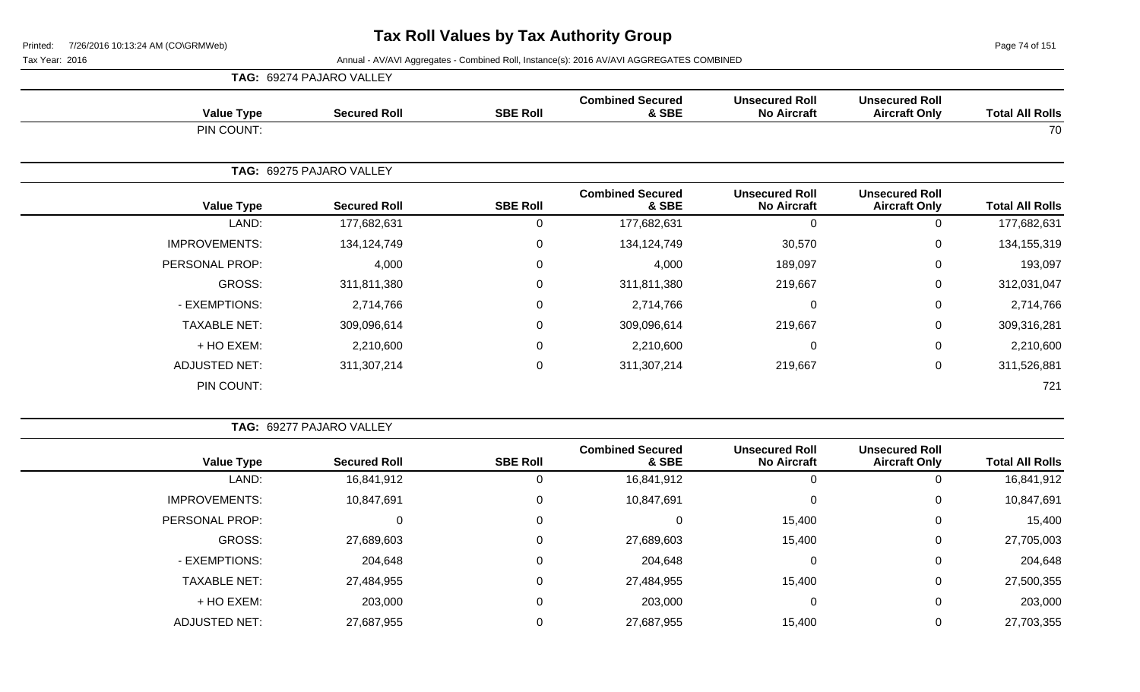Page 74 of 151

|                      | TAG: 69274 PAJARO VALLEY |                 |                                  |                                             |                                               |                        |
|----------------------|--------------------------|-----------------|----------------------------------|---------------------------------------------|-----------------------------------------------|------------------------|
| <b>Value Type</b>    | <b>Secured Roll</b>      | <b>SBE Roll</b> | <b>Combined Secured</b><br>& SBE | <b>Unsecured Roll</b><br><b>No Aircraft</b> | <b>Unsecured Roll</b><br><b>Aircraft Only</b> | <b>Total All Rolls</b> |
| PIN COUNT:           |                          |                 |                                  |                                             |                                               | 70                     |
|                      | TAG: 69275 PAJARO VALLEY |                 |                                  |                                             |                                               |                        |
| <b>Value Type</b>    | <b>Secured Roll</b>      | <b>SBE Roll</b> | <b>Combined Secured</b><br>& SBE | <b>Unsecured Roll</b><br><b>No Aircraft</b> | <b>Unsecured Roll</b><br><b>Aircraft Only</b> | <b>Total All Rolls</b> |
| LAND:                | 177,682,631              | 0               | 177,682,631                      | $\Omega$                                    | 0                                             | 177,682,631            |
| <b>IMPROVEMENTS:</b> | 134,124,749              | 0               | 134,124,749                      | 30,570                                      | $\pmb{0}$                                     | 134,155,319            |
| PERSONAL PROP:       | 4,000                    | 0               | 4,000                            | 189,097                                     | $\mathbf 0$                                   | 193,097                |
| GROSS:               | 311,811,380              | 0               | 311,811,380                      | 219,667                                     | $\mathbf 0$                                   | 312,031,047            |
| - EXEMPTIONS:        | 2,714,766                | 0               | 2,714,766                        | 0                                           | $\mathbf 0$                                   | 2,714,766              |
| <b>TAXABLE NET:</b>  | 309,096,614              | 0               | 309,096,614                      | 219,667                                     | 0                                             | 309,316,281            |
| + HO EXEM:           | 2,210,600                | 0               | 2,210,600                        | 0                                           | $\mathbf 0$                                   | 2,210,600              |
| <b>ADJUSTED NET:</b> | 311,307,214              | 0               | 311,307,214                      | 219,667                                     | $\mathbf 0$                                   | 311,526,881            |
| PIN COUNT:           |                          |                 |                                  |                                             |                                               | 721                    |

| <b>TAG: 69277 PAJARO VALLEY</b> |
|---------------------------------|
|                                 |

| <b>Total All Rolls</b> | <b>Unsecured Roll</b><br><b>Aircraft Only</b> | <b>Unsecured Roll</b><br><b>No Aircraft</b> | <b>Combined Secured</b><br>& SBE | <b>SBE Roll</b> | <b>Secured Roll</b> | <b>Value Type</b>    |
|------------------------|-----------------------------------------------|---------------------------------------------|----------------------------------|-----------------|---------------------|----------------------|
| 16,841,912             | 0                                             | 0                                           | 16,841,912                       |                 | 16,841,912          | LAND:                |
| 10,847,691             | 0                                             | 0                                           | 10,847,691                       |                 | 10,847,691          | <b>IMPROVEMENTS:</b> |
| 15,400                 | 0                                             | 15,400                                      |                                  |                 | 0                   | PERSONAL PROP:       |
| 27,705,003             | 0                                             | 15,400                                      | 27,689,603                       |                 | 27,689,603          | GROSS:               |
| 204,648                | 0                                             | 0                                           | 204,648                          |                 | 204,648             | - EXEMPTIONS:        |
| 27,500,355             | 0                                             | 15,400                                      | 27,484,955                       |                 | 27,484,955          | <b>TAXABLE NET:</b>  |
| 203,000                | 0                                             | 0                                           | 203,000                          |                 | 203,000             | + HO EXEM:           |
| 27,703,355             | 0                                             | 15,400                                      | 27,687,955                       |                 | 27,687,955          | <b>ADJUSTED NET:</b> |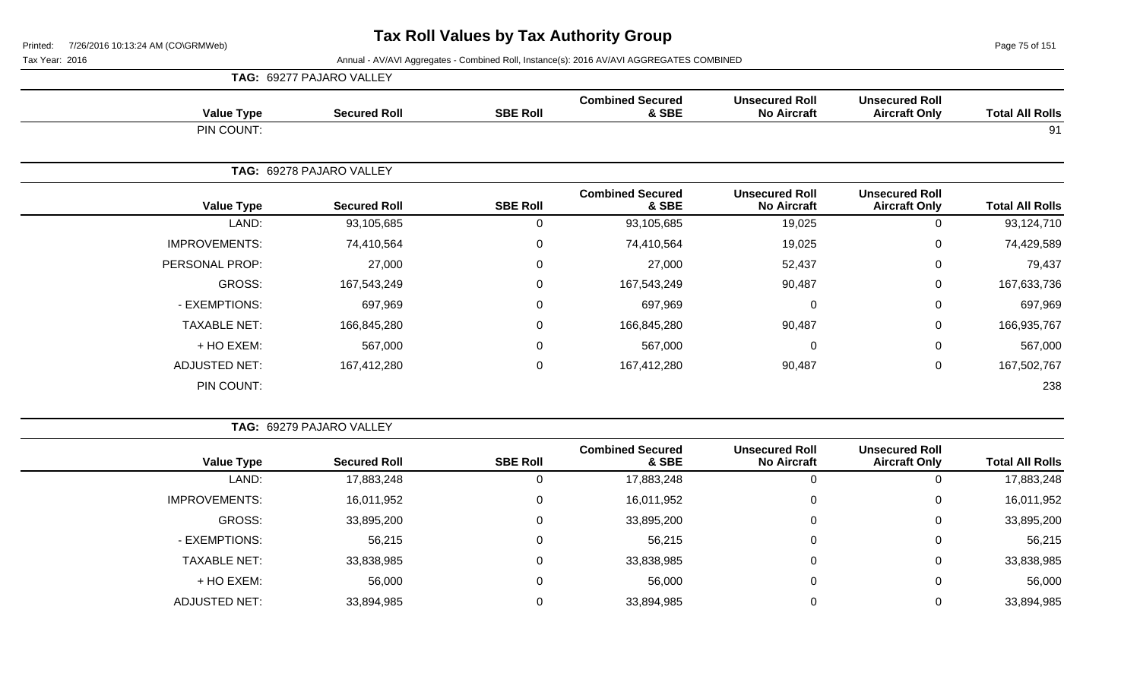Page 75 of 151

|                      | <b>TAG: 69277 PAJARO VALLEY</b> |                 |                                  |                                             |                                               |                        |
|----------------------|---------------------------------|-----------------|----------------------------------|---------------------------------------------|-----------------------------------------------|------------------------|
| <b>Value Type</b>    | <b>Secured Roll</b>             | <b>SBE Roll</b> | <b>Combined Secured</b><br>& SBE | <b>Unsecured Roll</b><br><b>No Aircraft</b> | <b>Unsecured Roll</b><br><b>Aircraft Only</b> | <b>Total All Rolls</b> |
| PIN COUNT:           |                                 |                 |                                  |                                             |                                               | 91                     |
|                      | TAG: 69278 PAJARO VALLEY        |                 |                                  |                                             |                                               |                        |
| <b>Value Type</b>    | <b>Secured Roll</b>             | <b>SBE Roll</b> | <b>Combined Secured</b><br>& SBE | <b>Unsecured Roll</b><br><b>No Aircraft</b> | <b>Unsecured Roll</b><br><b>Aircraft Only</b> | <b>Total All Rolls</b> |
| LAND:                | 93,105,685                      | 0               | 93,105,685                       | 19,025                                      | $\mathbf 0$                                   | 93,124,710             |
| <b>IMPROVEMENTS:</b> | 74,410,564                      | 0               | 74,410,564                       | 19,025                                      | $\mathbf 0$                                   | 74,429,589             |
| PERSONAL PROP:       | 27,000                          | 0               | 27,000                           | 52,437                                      | $\mathbf 0$                                   | 79,437                 |
| <b>GROSS:</b>        | 167,543,249                     | $\pmb{0}$       | 167,543,249                      | 90,487                                      | $\mathbf 0$                                   | 167,633,736            |
| - EXEMPTIONS:        | 697,969                         | 0               | 697,969                          | $\Omega$                                    | $\mathbf 0$                                   | 697,969                |
| <b>TAXABLE NET:</b>  | 166,845,280                     | $\pmb{0}$       | 166,845,280                      | 90,487                                      | $\mathbf 0$                                   | 166,935,767            |
| + HO EXEM:           | 567,000                         | 0               | 567,000                          | $\Omega$                                    | $\mathbf 0$                                   | 567,000                |
| <b>ADJUSTED NET:</b> | 167,412,280                     | $\pmb{0}$       | 167,412,280                      | 90,487                                      | $\mathbf 0$                                   | 167,502,767            |
| PIN COUNT:           |                                 |                 |                                  |                                             |                                               | 238                    |

| <b>TAG: 69279 PAJARO VALLEY</b> |  |
|---------------------------------|--|
|                                 |  |

|                      |                     |                 | <b>Combined Secured</b> | <b>Unsecured Roll</b> | <b>Unsecured Roll</b> |                        |
|----------------------|---------------------|-----------------|-------------------------|-----------------------|-----------------------|------------------------|
| <b>Value Type</b>    | <b>Secured Roll</b> | <b>SBE Roll</b> | & SBE                   | <b>No Aircraft</b>    | <b>Aircraft Only</b>  | <b>Total All Rolls</b> |
| LAND:                | 17,883,248          |                 | 17,883,248              | 0                     |                       | 17,883,248             |
| <b>IMPROVEMENTS:</b> | 16,011,952          |                 | 16,011,952              | 0                     |                       | 16,011,952             |
| GROSS:               | 33,895,200          | 0               | 33,895,200              | 0                     | U                     | 33,895,200             |
| - EXEMPTIONS:        | 56,215              | 0               | 56,215                  | 0                     |                       | 56,215                 |
| <b>TAXABLE NET:</b>  | 33,838,985          |                 | 33,838,985              | 0                     |                       | 33,838,985             |
| + HO EXEM:           | 56,000              |                 | 56,000                  | 0                     |                       | 56,000                 |
| ADJUSTED NET:        | 33,894,985          |                 | 33,894,985              |                       |                       | 33,894,985             |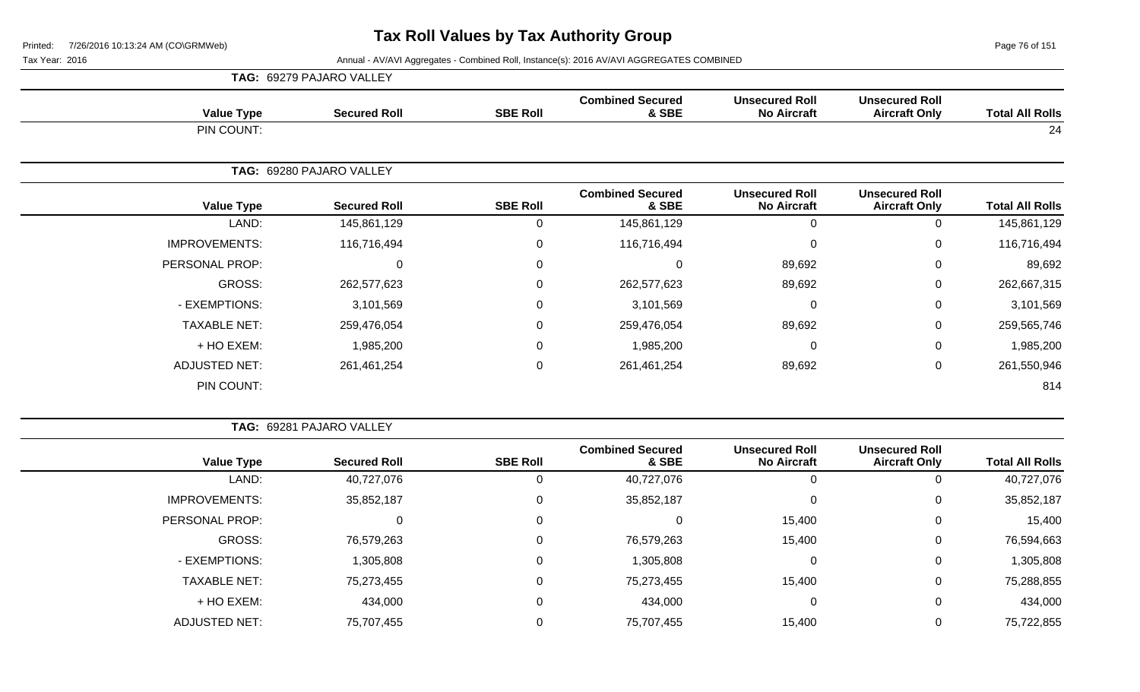Page 76 of 151

 $\overline{\phantom{a}}$ 

|                      | TAG: 69279 PAJARO VALLEY |                 |                                  |                                             |                                               |                        |
|----------------------|--------------------------|-----------------|----------------------------------|---------------------------------------------|-----------------------------------------------|------------------------|
| <b>Value Type</b>    | <b>Secured Roll</b>      | <b>SBE Roll</b> | <b>Combined Secured</b><br>& SBE | <b>Unsecured Roll</b><br><b>No Aircraft</b> | <b>Unsecured Roll</b><br><b>Aircraft Only</b> | <b>Total All Rolls</b> |
| PIN COUNT:           |                          |                 |                                  |                                             |                                               | 24                     |
|                      | TAG: 69280 PAJARO VALLEY |                 |                                  |                                             |                                               |                        |
| <b>Value Type</b>    | <b>Secured Roll</b>      | <b>SBE Roll</b> | <b>Combined Secured</b><br>& SBE | <b>Unsecured Roll</b><br><b>No Aircraft</b> | <b>Unsecured Roll</b><br><b>Aircraft Only</b> | <b>Total All Rolls</b> |
| LAND:                | 145,861,129              | 0               | 145,861,129                      | $\Omega$                                    | 0                                             | 145,861,129            |
| <b>IMPROVEMENTS:</b> | 116,716,494              | 0               | 116,716,494                      | 0                                           | $\mathbf 0$                                   | 116,716,494            |
| PERSONAL PROP:       | 0                        | 0               | $\Omega$                         | 89,692                                      | $\mathbf 0$                                   | 89,692                 |
| <b>GROSS:</b>        | 262,577,623              | 0               | 262,577,623                      | 89,692                                      | $\mathbf 0$                                   | 262,667,315            |
| - EXEMPTIONS:        | 3,101,569                | 0               | 3,101,569                        | $\Omega$                                    | $\mathbf 0$                                   | 3,101,569              |
| <b>TAXABLE NET:</b>  | 259,476,054              | 0               | 259,476,054                      | 89,692                                      | 0                                             | 259,565,746            |
| + HO EXEM:           | 1,985,200                | 0               | 1,985,200                        | $\Omega$                                    | $\mathbf 0$                                   | 1,985,200              |
| <b>ADJUSTED NET:</b> | 261,461,254              | 0               | 261,461,254                      | 89,692                                      | $\mathbf 0$                                   | 261,550,946            |
| PIN COUNT:           |                          |                 |                                  |                                             |                                               | 814                    |

|  | <b>TAG: 69281 PAJARO VALLEY</b> |  |
|--|---------------------------------|--|
|  |                                 |  |

| <b>Total All Rolls</b> | <b>Unsecured Roll</b><br><b>Aircraft Only</b> | <b>Unsecured Roll</b><br><b>No Aircraft</b> | <b>Combined Secured</b><br>& SBE | <b>SBE Roll</b> | <b>Secured Roll</b> | <b>Value Type</b>    |
|------------------------|-----------------------------------------------|---------------------------------------------|----------------------------------|-----------------|---------------------|----------------------|
| 40,727,076             |                                               |                                             | 40,727,076                       |                 | 40,727,076          | LAND:                |
| 35,852,187             | 0                                             |                                             | 35,852,187                       | 0               | 35,852,187          | <b>IMPROVEMENTS:</b> |
| 15,400                 | 0                                             | 15,400                                      | 0                                | $\mathbf 0$     |                     | PERSONAL PROP:       |
| 76,594,663             | 0                                             | 15,400                                      | 76,579,263                       | $\overline{0}$  | 76,579,263          | GROSS:               |
| 1,305,808              | 0                                             |                                             | 1,305,808                        | $\mathbf 0$     | 1,305,808           | - EXEMPTIONS:        |
| 75,288,855             | 0                                             | 15,400                                      | 75,273,455                       | $\mathbf 0$     | 75,273,455          | <b>TAXABLE NET:</b>  |
| 434,000                | 0                                             |                                             | 434,000                          | $\mathbf{0}$    | 434,000             | + HO EXEM:           |
| 75,722,855             |                                               | 15,400                                      | 75,707,455                       |                 | 75,707,455          | ADJUSTED NET:        |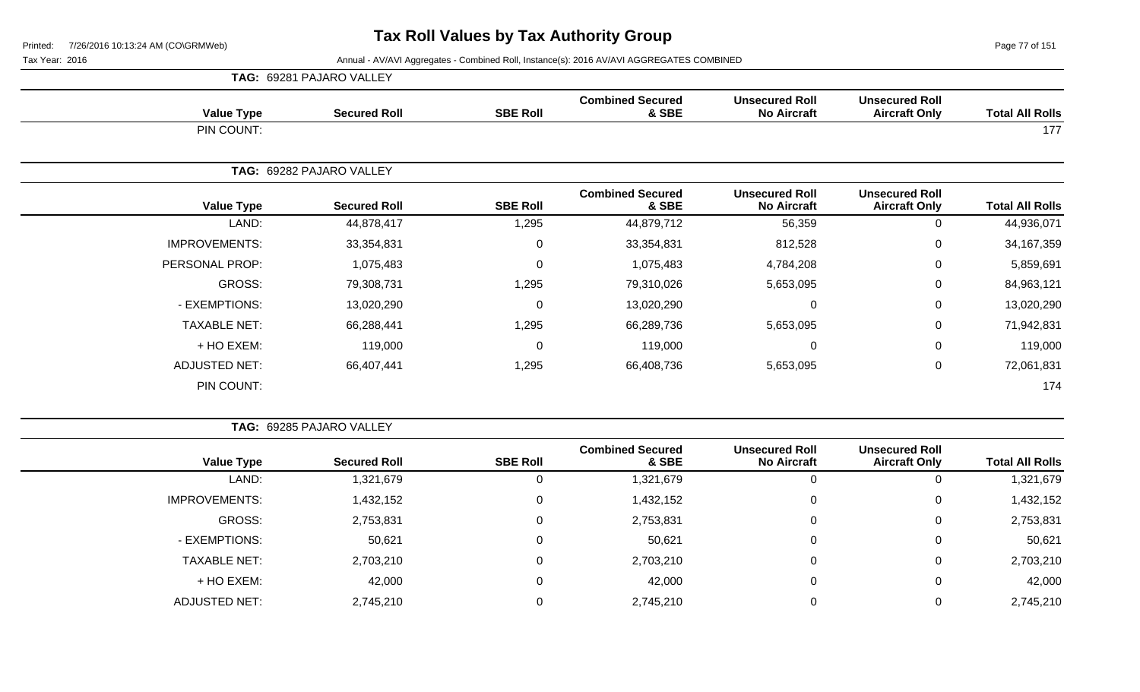Page 77 of 151

|                      | <b>TAG: 69281 PAJARO VALLEY</b> |                 |                                  |                                             |                                               |                        |
|----------------------|---------------------------------|-----------------|----------------------------------|---------------------------------------------|-----------------------------------------------|------------------------|
| <b>Value Type</b>    | <b>Secured Roll</b>             | <b>SBE Roll</b> | <b>Combined Secured</b><br>& SBE | <b>Unsecured Roll</b><br><b>No Aircraft</b> | <b>Unsecured Roll</b><br><b>Aircraft Only</b> | <b>Total All Rolls</b> |
| PIN COUNT:           |                                 |                 |                                  |                                             |                                               | 177                    |
|                      | TAG: 69282 PAJARO VALLEY        |                 |                                  |                                             |                                               |                        |
| <b>Value Type</b>    | <b>Secured Roll</b>             | <b>SBE Roll</b> | <b>Combined Secured</b><br>& SBE | <b>Unsecured Roll</b><br><b>No Aircraft</b> | <b>Unsecured Roll</b><br><b>Aircraft Only</b> | <b>Total All Rolls</b> |
| LAND:                | 44,878,417                      | 1,295           | 44,879,712                       | 56,359                                      | 0                                             | 44,936,071             |
| <b>IMPROVEMENTS:</b> | 33,354,831                      | $\mathbf 0$     | 33,354,831                       | 812,528                                     | 0                                             | 34,167,359             |
| PERSONAL PROP:       | 1,075,483                       | 0               | 1,075,483                        | 4,784,208                                   | $\mathbf 0$                                   | 5,859,691              |
| GROSS:               | 79,308,731                      | 1,295           | 79,310,026                       | 5,653,095                                   | 0                                             | 84,963,121             |
| - EXEMPTIONS:        | 13,020,290                      | 0               | 13,020,290                       | 0                                           | 0                                             | 13,020,290             |
| <b>TAXABLE NET:</b>  | 66,288,441                      | 1,295           | 66,289,736                       | 5,653,095                                   | $\mathbf 0$                                   | 71,942,831             |
| + HO EXEM:           | 119,000                         | 0               | 119,000                          |                                             | 0                                             | 119,000                |
| <b>ADJUSTED NET:</b> | 66,407,441                      | 1,295           | 66,408,736                       | 5,653,095                                   | $\mathbf 0$                                   | 72,061,831             |
| PIN COUNT:           |                                 |                 |                                  |                                             |                                               | 174                    |

|                        | TAG: 69285 PAJARO VALLEY                      |                                             |                                  |                 |                     |                      |
|------------------------|-----------------------------------------------|---------------------------------------------|----------------------------------|-----------------|---------------------|----------------------|
| <b>Total All Rolls</b> | <b>Unsecured Roll</b><br><b>Aircraft Only</b> | <b>Unsecured Roll</b><br><b>No Aircraft</b> | <b>Combined Secured</b><br>& SBE | <b>SBE Roll</b> | <b>Secured Roll</b> | <b>Value Type</b>    |
| 1,321,679              | 0                                             | $\overline{0}$                              | 1,321,679                        | 0               | 1,321,679           | LAND:                |
| 1,432,152              | 0                                             | 0                                           | 1,432,152                        | 0               | 1,432,152           | <b>IMPROVEMENTS:</b> |
| 2,753,831              | 0                                             | 0                                           | 2,753,831                        | 0               | 2,753,831           | GROSS:               |
| 50,621                 | 0                                             | 0                                           | 50,621                           | 0               | 50,621              | - EXEMPTIONS:        |
| 2,703,210              | 0                                             | $\overline{0}$                              | 2,703,210                        | $\mathbf 0$     | 2,703,210           | <b>TAXABLE NET:</b>  |
| 42,000                 | 0                                             | 0                                           | 42,000                           | 0               | 42,000              | + HO EXEM:           |
| 2,745,210              | 0                                             | $\Omega$                                    | 2,745,210                        | $\Omega$        | 2,745,210           | <b>ADJUSTED NET:</b> |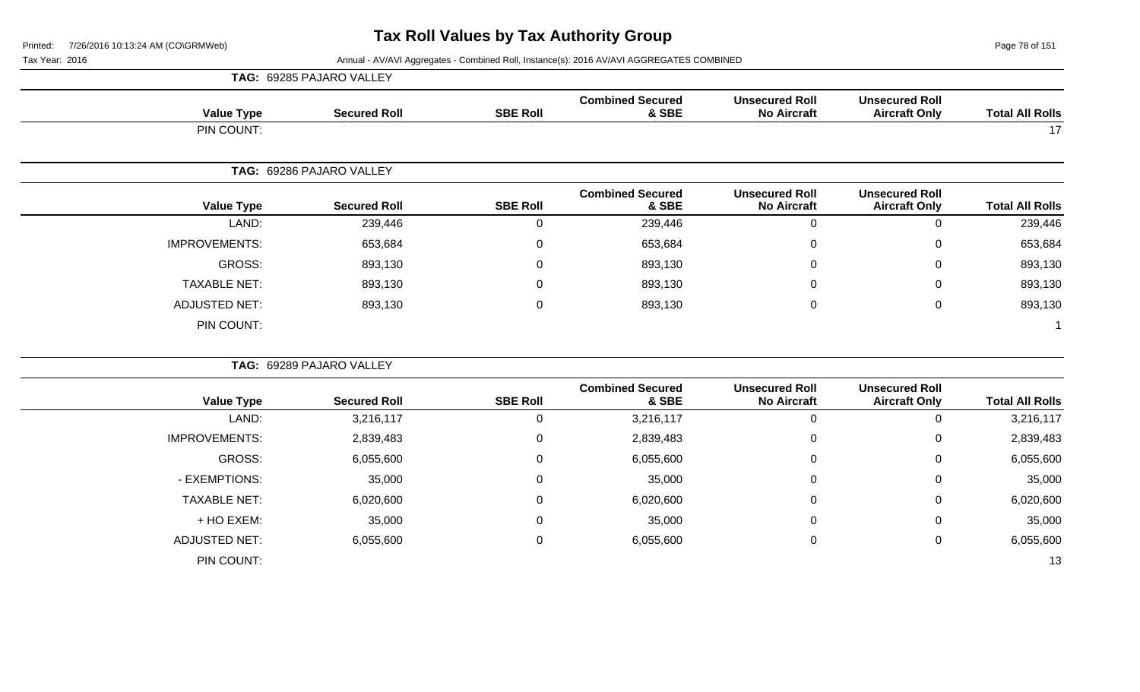**TAG:** 69285 PAJARO VALLEY

Page 78 of 151

| <b>Value Type</b>    | <b>Secured Roll</b>      | <b>SBE Roll</b>  | <b>Combined Secured</b><br>& SBE | <b>Unsecured Roll</b><br><b>No Aircraft</b> | <b>Unsecured Roll</b><br><b>Aircraft Only</b> | <b>Total All Rolls</b> |
|----------------------|--------------------------|------------------|----------------------------------|---------------------------------------------|-----------------------------------------------|------------------------|
| PIN COUNT:           |                          |                  |                                  |                                             |                                               | 17                     |
|                      | TAG: 69286 PAJARO VALLEY |                  |                                  |                                             |                                               |                        |
| <b>Value Type</b>    | <b>Secured Roll</b>      | <b>SBE Roll</b>  | <b>Combined Secured</b><br>& SBE | <b>Unsecured Roll</b><br><b>No Aircraft</b> | <b>Unsecured Roll</b><br><b>Aircraft Only</b> | <b>Total All Rolls</b> |
| LAND:                | 239,446                  | 0                | 239,446                          | $\mathbf 0$                                 | 0                                             | 239,446                |
| <b>IMPROVEMENTS:</b> | 653,684                  | $\mathbf 0$      | 653,684                          | $\Omega$                                    | $\mathbf 0$                                   | 653,684                |
| <b>GROSS:</b>        | 893,130                  | $\mathbf 0$      | 893,130                          | 0                                           | 0                                             | 893,130                |
| <b>TAXABLE NET:</b>  | 893,130                  | $\mathbf 0$      | 893,130                          | $\Omega$                                    | 0                                             | 893,130                |
| <b>ADJUSTED NET:</b> | 893,130                  | $\mathbf 0$      | 893,130                          | $\mathbf 0$                                 | $\pmb{0}$                                     | 893,130                |
| PIN COUNT:           |                          |                  |                                  |                                             |                                               |                        |
|                      | TAG: 69289 PAJARO VALLEY |                  |                                  |                                             |                                               |                        |
| <b>Value Type</b>    | <b>Secured Roll</b>      | <b>SBE Roll</b>  | <b>Combined Secured</b><br>& SBE | <b>Unsecured Roll</b><br><b>No Aircraft</b> | <b>Unsecured Roll</b><br><b>Aircraft Only</b> | <b>Total All Rolls</b> |
| LAND:                | 3,216,117                | $\mathbf 0$      | 3,216,117                        | $\Omega$                                    | 0                                             | 3,216,117              |
| <b>IMPROVEMENTS:</b> | 2,839,483                | $\boldsymbol{0}$ | 2,839,483                        | $\Omega$                                    | $\boldsymbol{0}$                              | 2,839,483              |
| <b>GROSS:</b>        | 6,055,600                | $\mathbf 0$      | 6,055,600                        | $\mathbf 0$                                 | $\mathbf 0$                                   | 6,055,600              |
| - EXEMPTIONS:        | 35,000                   | $\mathbf 0$      | 35,000                           | $\Omega$                                    | $\,0\,$                                       | 35,000                 |
| <b>TAXABLE NET:</b>  | 6,020,600                | $\mathbf 0$      | 6,020,600                        | $\Omega$                                    | $\mathbf 0$                                   | 6,020,600              |
| + HO EXEM:           | 35,000                   | $\mathbf{0}$     | 35,000                           | $\Omega$                                    | 0                                             | 35,000                 |
| <b>ADJUSTED NET:</b> | 6,055,600                | $\mathbf 0$      | 6,055,600                        | $\Omega$                                    | $\mathbf 0$                                   | 6,055,600              |
| PIN COUNT:           |                          |                  |                                  |                                             |                                               | 13                     |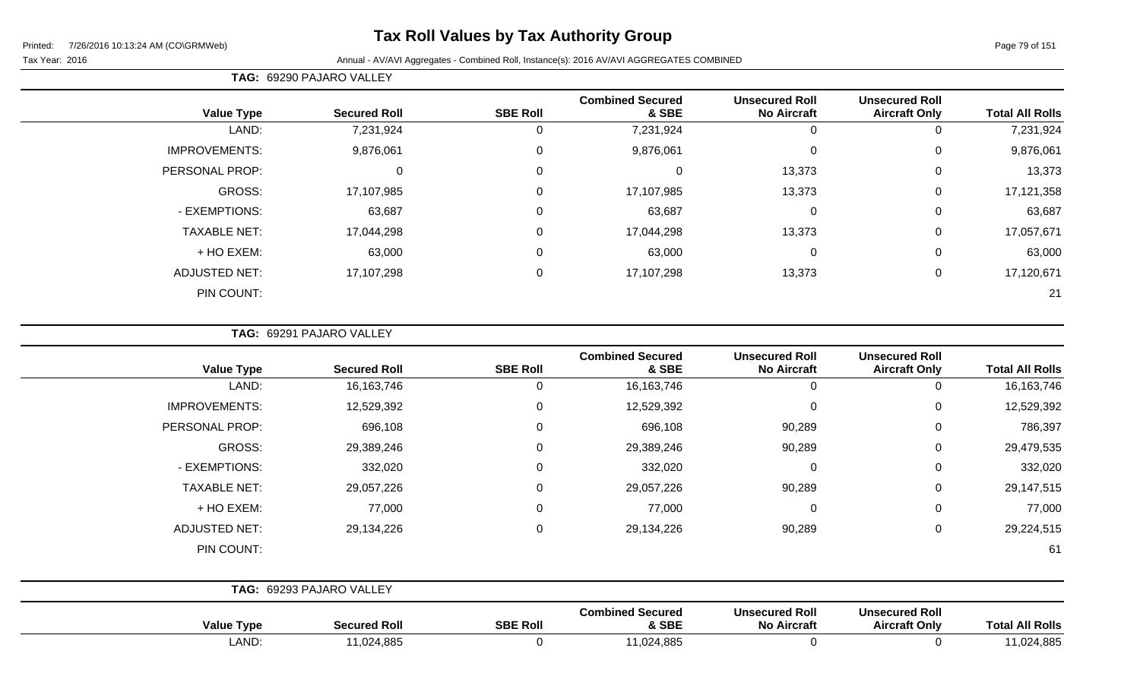# **Tax Roll Values by Tax Authority Group**

#### Tax Year: 2016 **Annual - AV/AVI Aggregates - Combined Roll**, Instance(s): 2016 AV/AVI AGGREGATES COMBINED

**TAG:** 69290 PAJARO VALLEY

|                      |                     |                 | <b>Combined Secured</b> | <b>Unsecured Roll</b> | <b>Unsecured Roll</b> |                        |
|----------------------|---------------------|-----------------|-------------------------|-----------------------|-----------------------|------------------------|
| <b>Value Type</b>    | <b>Secured Roll</b> | <b>SBE Roll</b> | & SBE                   | <b>No Aircraft</b>    | <b>Aircraft Only</b>  | <b>Total All Rolls</b> |
| LAND:                | 7,231,924           |                 | 7,231,924               | 0                     |                       | 7,231,924              |
| <b>IMPROVEMENTS:</b> | 9,876,061           | $\Omega$        | 9,876,061               | $\overline{0}$        | 0                     | 9,876,061              |
| PERSONAL PROP:       | 0                   | 0               |                         | 13,373                | 0                     | 13,373                 |
| <b>GROSS:</b>        | 17,107,985          | $\Omega$        | 17,107,985              | 13,373                | 0                     | 17,121,358             |
| - EXEMPTIONS:        | 63,687              | $\Omega$        | 63,687                  | $\mathbf 0$           | 0                     | 63,687                 |
| <b>TAXABLE NET:</b>  | 17,044,298          | $\mathbf 0$     | 17,044,298              | 13,373                | 0                     | 17,057,671             |
| + HO EXEM:           | 63,000              | 0               | 63,000                  | $\overline{0}$        | 0                     | 63,000                 |
| <b>ADJUSTED NET:</b> | 17,107,298          | 0               | 17,107,298              | 13,373                | 0                     | 17,120,671             |
| PIN COUNT:           |                     |                 |                         |                       |                       | 21                     |

**TAG:** 69291 PAJARO VALLEY

| <b>Total All Rolls</b> | <b>Unsecured Roll</b><br><b>Aircraft Only</b> | <b>Unsecured Roll</b><br><b>No Aircraft</b> | <b>Combined Secured</b><br>& SBE | <b>SBE Roll</b> | <b>Secured Roll</b>      | <b>Value Type</b>    |
|------------------------|-----------------------------------------------|---------------------------------------------|----------------------------------|-----------------|--------------------------|----------------------|
| 16,163,746<br>$\Omega$ |                                               | $\mathbf 0$                                 | 16, 163, 746                     | 0               | 16, 163, 746             | LAND:                |
| 12,529,392<br>0        |                                               | $\mathbf 0$                                 | 12,529,392                       | 0               | 12,529,392               | <b>IMPROVEMENTS:</b> |
| 786,397<br>0           |                                               | 90,289                                      | 696,108                          | 0               | 696,108                  | PERSONAL PROP:       |
| 29,479,535<br>0        |                                               | 90,289                                      | 29,389,246                       | 0               | 29,389,246               | GROSS:               |
| 332,020<br>0           |                                               | $\mathbf 0$                                 | 332,020                          | 0               | 332,020                  | - EXEMPTIONS:        |
| 29,147,515<br>0        |                                               | 90,289                                      | 29,057,226                       | 0               | 29,057,226               | <b>TAXABLE NET:</b>  |
| 77,000<br>0            |                                               | $\mathbf 0$                                 | 77,000                           | 0               | 77,000                   | + HO EXEM:           |
| 29,224,515<br>0        |                                               | 90,289                                      | 29,134,226                       | 0               | 29,134,226               | <b>ADJUSTED NET:</b> |
| 61                     |                                               |                                             |                                  |                 |                          | PIN COUNT:           |
|                        |                                               |                                             |                                  |                 | TAG: 69293 PAJARO VALLEY |                      |
|                        | <b>Unsecured Roll</b>                         | <b>Unsecured Roll</b>                       | <b>Combined Secured</b>          |                 |                          |                      |

| Value<br>I vpe | Secured Roll                            | <b>SBE Roll</b> | <b>Combined Secured</b><br>& SBE | <b>Unsecured Roll</b><br><b>No Aircraft</b> | <b>Unsecured Rol</b><br><b>Aircraft Only</b> | <b>Rolls</b><br>⊺ota. |
|----------------|-----------------------------------------|-----------------|----------------------------------|---------------------------------------------|----------------------------------------------|-----------------------|
| LAND           | 0.24005<br>1124.<br><b>U</b> CO, PSU, I |                 | 1,024,885                        |                                             |                                              | 0.024,885             |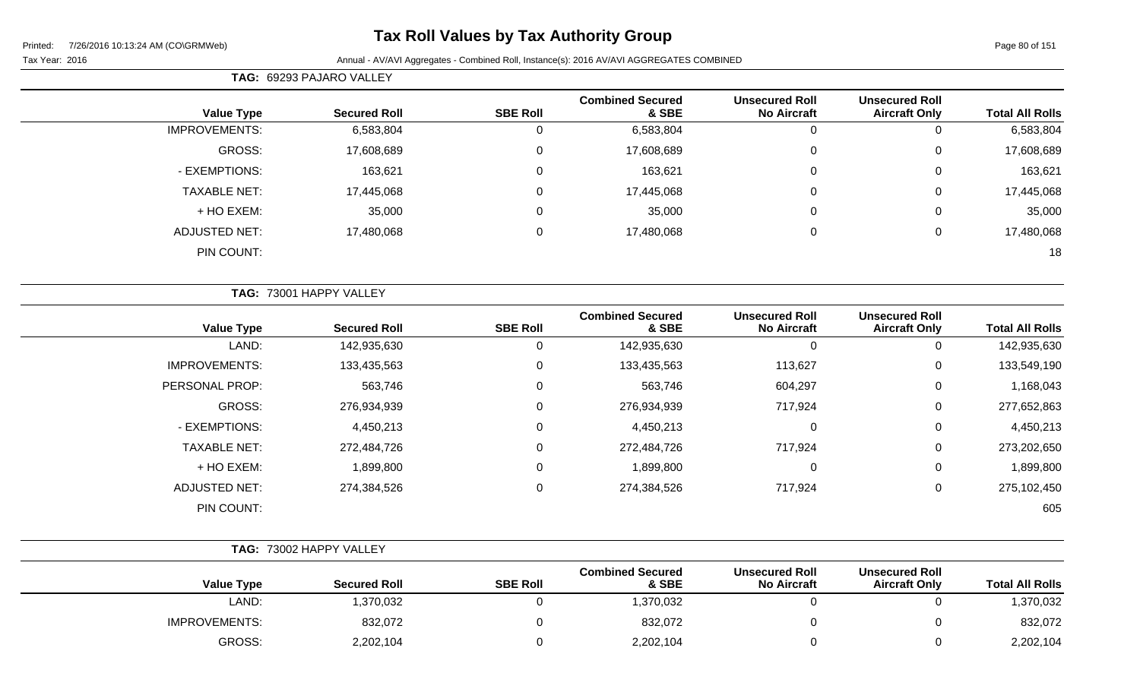# **Tax Roll Values by Tax Authority Group**

|                      | TAG: 69293 PAJARO VALLEY |                 |                                  |                                             |                                               |                        |
|----------------------|--------------------------|-----------------|----------------------------------|---------------------------------------------|-----------------------------------------------|------------------------|
| <b>Value Type</b>    | <b>Secured Roll</b>      | <b>SBE Roll</b> | <b>Combined Secured</b><br>& SBE | <b>Unsecured Roll</b><br><b>No Aircraft</b> | <b>Unsecured Roll</b><br><b>Aircraft Only</b> | <b>Total All Rolls</b> |
| <b>IMPROVEMENTS:</b> | 6,583,804                | U               | 6,583,804                        | υ                                           |                                               | 6,583,804              |
| GROSS:               | 17,608,689               | U               | 17,608,689                       | 0                                           | 0                                             | 17,608,689             |
| - EXEMPTIONS:        | 163,621                  | 0               | 163,621                          | 0                                           | 0                                             | 163,621                |
| <b>TAXABLE NET:</b>  | 17,445,068               | 0               | 17,445,068                       | 0                                           | $\Omega$                                      | 17,445,068             |
| + HO EXEM:           | 35,000                   | U               | 35,000                           | 0                                           | $\Omega$                                      | 35,000                 |
| ADJUSTED NET:        | 17,480,068               | 0               | 17,480,068                       | 0                                           | 0                                             | 17,480,068             |
| PIN COUNT:           |                          |                 |                                  |                                             |                                               | 18                     |

|                      | TAG: 73001 HAPPY VALLEY |                 |                                  |                                             |                                               |                        |
|----------------------|-------------------------|-----------------|----------------------------------|---------------------------------------------|-----------------------------------------------|------------------------|
| <b>Value Type</b>    | <b>Secured Roll</b>     | <b>SBE Roll</b> | <b>Combined Secured</b><br>& SBE | <b>Unsecured Roll</b><br><b>No Aircraft</b> | <b>Unsecured Roll</b><br><b>Aircraft Only</b> | <b>Total All Rolls</b> |
| LAND:                | 142,935,630             | 0               | 142,935,630                      | 0                                           | 0                                             | 142,935,630            |
| <b>IMPROVEMENTS:</b> | 133,435,563             | 0               | 133,435,563                      | 113,627                                     | $\mathbf 0$                                   | 133,549,190            |
| PERSONAL PROP:       | 563,746                 | 0               | 563,746                          | 604,297                                     | 0                                             | 1,168,043              |
| <b>GROSS:</b>        | 276,934,939             | $\Omega$        | 276,934,939                      | 717,924                                     | 0                                             | 277,652,863            |
| - EXEMPTIONS:        | 4,450,213               | 0               | 4,450,213                        | $\mathbf 0$                                 | 0                                             | 4,450,213              |
| <b>TAXABLE NET:</b>  | 272,484,726             | 0               | 272,484,726                      | 717,924                                     | $\mathbf 0$                                   | 273,202,650            |
| + HO EXEM:           | 1,899,800               | 0               | 1,899,800                        | $\mathbf 0$                                 | $\mathbf 0$                                   | 1,899,800              |
| <b>ADJUSTED NET:</b> | 274,384,526             | 0               | 274,384,526                      | 717,924                                     | $\mathbf 0$                                   | 275,102,450            |
| PIN COUNT:           |                         |                 |                                  |                                             |                                               | 605                    |

|                        |                                               |                                             | TAG: 73002 HAPPY VALLEY          |                 |                     |                      |  |  |  |
|------------------------|-----------------------------------------------|---------------------------------------------|----------------------------------|-----------------|---------------------|----------------------|--|--|--|
| <b>Total All Rolls</b> | <b>Unsecured Roll</b><br><b>Aircraft Only</b> | <b>Unsecured Roll</b><br><b>No Aircraft</b> | <b>Combined Secured</b><br>& SBE | <b>SBE Roll</b> | <b>Secured Roll</b> | <b>Value Type</b>    |  |  |  |
| 1,370,032              |                                               |                                             | 1,370,032                        |                 | 1,370,032           | LAND:                |  |  |  |
| 832,072                |                                               |                                             | 832,072                          |                 | 832,072             | <b>IMPROVEMENTS:</b> |  |  |  |
| 2,202,104              |                                               |                                             | 2,202,104                        |                 | 2,202,104           | GROSS:               |  |  |  |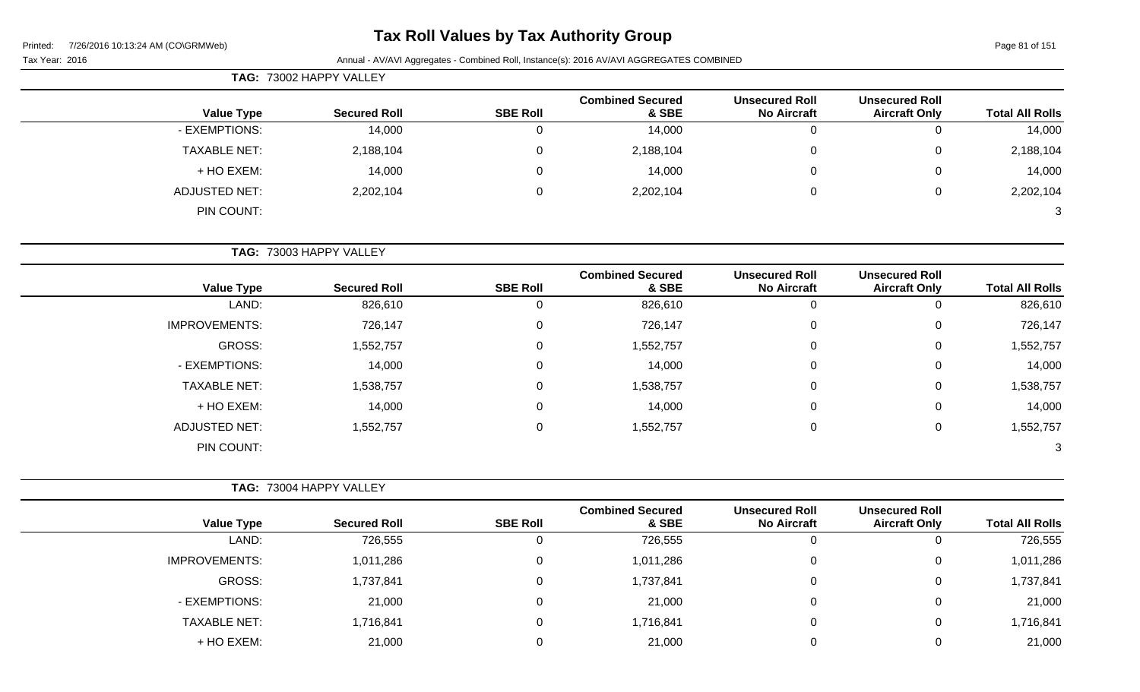# **Tax Roll Values by Tax Authority Group**

Tax Year: 2016 **Annual - AV/AVI Aggregates - Combined Roll**, Instance(s): 2016 AV/AVI AGGREGATES COMBINED

| <b>TAG: 73002 HAPPY VALLEY</b> |                     |                 |                                  |                                             |                                               |                        |
|--------------------------------|---------------------|-----------------|----------------------------------|---------------------------------------------|-----------------------------------------------|------------------------|
| <b>Value Type</b>              | <b>Secured Roll</b> | <b>SBE Roll</b> | <b>Combined Secured</b><br>& SBE | <b>Unsecured Roll</b><br><b>No Aircraft</b> | <b>Unsecured Roll</b><br><b>Aircraft Only</b> | <b>Total All Rolls</b> |
| - EXEMPTIONS:                  | 14,000              |                 | 14,000                           | υ                                           | 0                                             | 14,000                 |
| <b>TAXABLE NET:</b>            | 2,188,104           | 0               | 2,188,104                        | 0                                           | $\overline{0}$                                | 2,188,104              |
| + HO EXEM:                     | 14,000              |                 | 14,000                           |                                             | $\mathbf{0}$                                  | 14,000                 |
| <b>ADJUSTED NET:</b>           | 2,202,104           |                 | 2,202,104                        | 0                                           | 0                                             | 2,202,104              |
| PIN COUNT:                     |                     |                 |                                  |                                             |                                               | 3                      |

**TAG:** 73003 HAPPY VALLEY

| <b>Value Type</b>    | <b>Secured Roll</b> | <b>SBE Roll</b> | <b>Combined Secured</b><br>& SBE | <b>Unsecured Roll</b><br><b>No Aircraft</b> | <b>Unsecured Roll</b><br><b>Aircraft Only</b> | <b>Total All Rolls</b> |
|----------------------|---------------------|-----------------|----------------------------------|---------------------------------------------|-----------------------------------------------|------------------------|
| LAND:                | 826,610             | 0               | 826,610                          | 0                                           | υ                                             | 826,610                |
| <b>IMPROVEMENTS:</b> | 726,147             | 0               | 726,147                          | 0                                           | 0                                             | 726,147                |
| GROSS:               | 1,552,757           | 0               | 1,552,757                        | 0                                           | 0                                             | 1,552,757              |
| - EXEMPTIONS:        | 14,000              | 0               | 14,000                           | $\pmb{0}$                                   | 0                                             | 14,000                 |
| <b>TAXABLE NET:</b>  | 1,538,757           | 0               | 1,538,757                        | $\pmb{0}$                                   | 0                                             | 1,538,757              |
| + HO EXEM:           | 14,000              | 0               | 14,000                           | 0                                           | 0                                             | 14,000                 |
| <b>ADJUSTED NET:</b> | 1,552,757           | 0               | 1,552,757                        | 0                                           | 0                                             | 1,552,757              |
| PIN COUNT:           |                     |                 |                                  |                                             |                                               | 3                      |

|                      | <b>TAG: 73004 HAPPY VALLEY</b> |                 |                                  |                                             |                                               |                        |
|----------------------|--------------------------------|-----------------|----------------------------------|---------------------------------------------|-----------------------------------------------|------------------------|
| <b>Value Type</b>    | <b>Secured Roll</b>            | <b>SBE Roll</b> | <b>Combined Secured</b><br>& SBE | <b>Unsecured Roll</b><br><b>No Aircraft</b> | <b>Unsecured Roll</b><br><b>Aircraft Only</b> | <b>Total All Rolls</b> |
| LAND:                | 726,555                        | υ               | 726,555                          | υ                                           | U                                             | 726,555                |
| <b>IMPROVEMENTS:</b> | 1,011,286                      | 0               | 1,011,286                        | 0                                           | 0                                             | 1,011,286              |
| <b>GROSS:</b>        | 1,737,841                      | 0               | 1,737,841                        | 0                                           | 0                                             | 1,737,841              |
| - EXEMPTIONS:        | 21,000                         | 0               | 21,000                           | 0                                           | 0                                             | 21,000                 |
| <b>TAXABLE NET:</b>  | 1,716,841                      | 0               | 1,716,841                        | 0                                           | 0                                             | 1,716,841              |
| + HO EXEM:           | 21,000                         | 0               | 21,000                           |                                             | 0                                             | 21,000                 |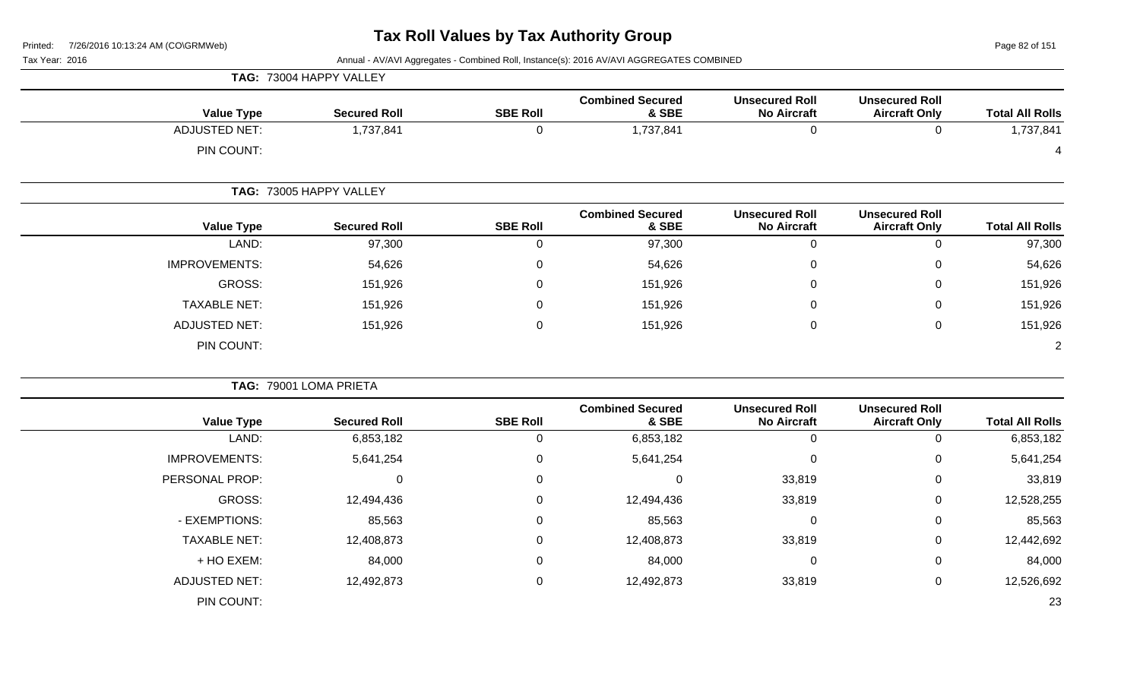Page 82 of 151

| Tax Year: 2016 |  |  |  |
|----------------|--|--|--|
|----------------|--|--|--|

|                      | TAG: 73004 HAPPY VALLEY |                 |                                  |                                             |                                               |                        |
|----------------------|-------------------------|-----------------|----------------------------------|---------------------------------------------|-----------------------------------------------|------------------------|
| <b>Value Type</b>    | <b>Secured Roll</b>     | <b>SBE Roll</b> | <b>Combined Secured</b><br>& SBE | <b>Unsecured Roll</b><br><b>No Aircraft</b> | <b>Unsecured Roll</b><br><b>Aircraft Only</b> | <b>Total All Rolls</b> |
| <b>ADJUSTED NET:</b> | 1,737,841               | 0               | 1,737,841                        | $\mathbf 0$                                 | $\mathbf 0$                                   | 1,737,841              |
| PIN COUNT:           |                         |                 |                                  |                                             |                                               |                        |
|                      | TAG: 73005 HAPPY VALLEY |                 |                                  |                                             |                                               |                        |
| <b>Value Type</b>    | <b>Secured Roll</b>     | <b>SBE Roll</b> | <b>Combined Secured</b><br>& SBE | <b>Unsecured Roll</b><br><b>No Aircraft</b> | <b>Unsecured Roll</b><br><b>Aircraft Only</b> | <b>Total All Rolls</b> |
| LAND:                | 97,300                  | 0               | 97,300                           | $\pmb{0}$                                   | $\mathbf 0$                                   | 97,300                 |
| <b>IMPROVEMENTS:</b> | 54,626                  | 0               | 54,626                           | 0                                           | 0                                             | 54,626                 |
| GROSS:               | 151,926                 | 0               | 151,926                          | 0                                           | 0                                             | 151,926                |
| <b>TAXABLE NET:</b>  | 151,926                 | 0               | 151,926                          | 0                                           | $\mathbf 0$                                   | 151,926                |
| <b>ADJUSTED NET:</b> | 151,926                 | $\Omega$        | 151,926                          | 0                                           | $\mathbf 0$                                   | 151,926                |
| PIN COUNT:           |                         |                 |                                  |                                             |                                               | $\overline{c}$         |
|                      | TAG: 79001 LOMA PRIETA  |                 |                                  |                                             |                                               |                        |
| <b>Value Type</b>    | <b>Secured Roll</b>     | <b>SBE Roll</b> | <b>Combined Secured</b><br>& SBE | <b>Unsecured Roll</b><br><b>No Aircraft</b> | <b>Unsecured Roll</b><br><b>Aircraft Only</b> | <b>Total All Rolls</b> |
| LAND:                | 6,853,182               | $\mathbf 0$     | 6,853,182                        | $\pmb{0}$                                   | $\mathbf 0$                                   | 6,853,182              |
| <b>IMPROVEMENTS:</b> | 5,641,254               | 0               | 5,641,254                        | 0                                           | 0                                             | 5,641,254              |
| PERSONAL PROP:       | $\mathbf 0$             | 0               | $\mathbf 0$                      | 33,819                                      | 0                                             | 33,819                 |
| <b>GROSS:</b>        | 12,494,436              | 0               | 12,494,436                       | 33,819                                      | $\mathbf 0$                                   | 12,528,255             |
| - EXEMPTIONS:        | 85,563                  | 0               | 85,563                           | 0                                           | 0                                             | 85,563                 |
| <b>TAXABLE NET:</b>  | 12,408,873              | 0               | 12,408,873                       | 33,819                                      | 0                                             | 12,442,692             |
| + HO EXEM:           | 84,000                  | 0               | 84,000                           | $\pmb{0}$                                   | 0                                             | 84,000                 |
| <b>ADJUSTED NET:</b> | 12,492,873              | 0               | 12,492,873                       | 33,819                                      | $\mathbf 0$                                   | 12,526,692             |
| PIN COUNT:           |                         |                 |                                  |                                             |                                               | 23                     |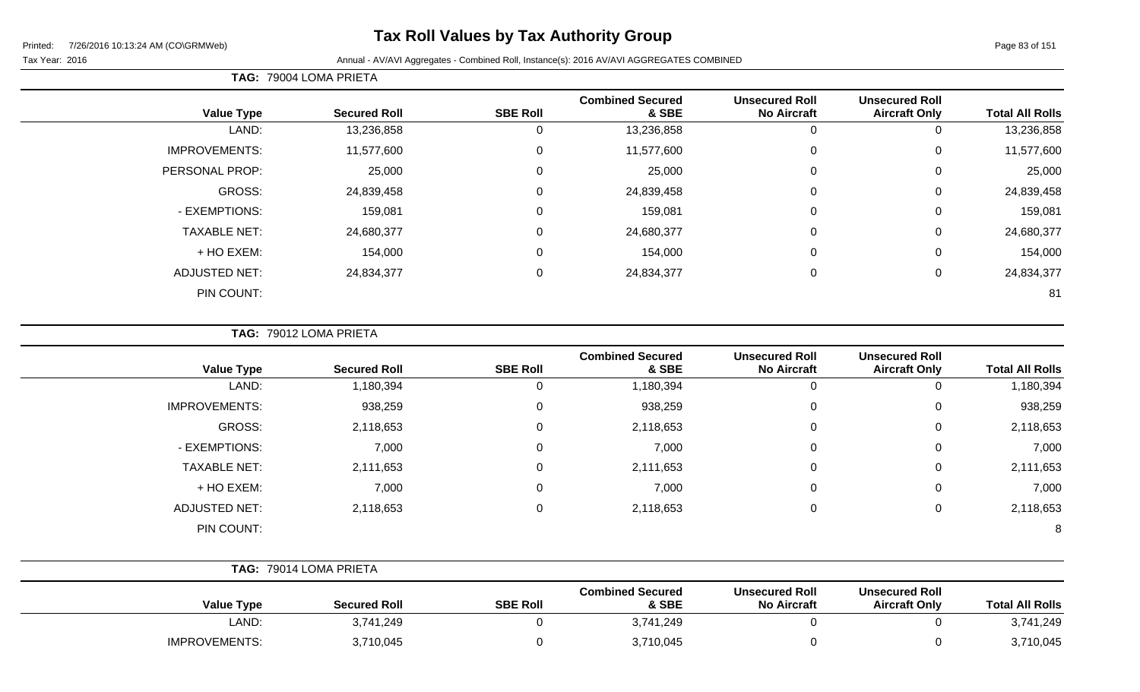# **Tax Roll Values by Tax Authority Group**

#### Tax Year: 2016 **Annual - AV/AVI Aggregates - Combined Roll**, Instance(s): 2016 AV/AVI AGGREGATES COMBINED

**TAG:** 79004 LOMA PRIETA

| <b>Value Type</b>    | <b>Secured Roll</b> | <b>SBE Roll</b> | <b>Combined Secured</b><br>& SBE | <b>Unsecured Roll</b><br><b>No Aircraft</b> | <b>Unsecured Roll</b><br><b>Aircraft Only</b> | <b>Total All Rolls</b> |
|----------------------|---------------------|-----------------|----------------------------------|---------------------------------------------|-----------------------------------------------|------------------------|
| LAND:                | 13,236,858          | 0               | 13,236,858                       | 0                                           |                                               | 13,236,858             |
| <b>IMPROVEMENTS:</b> | 11,577,600          | 0               | 11,577,600                       | 0                                           | 0                                             | 11,577,600             |
| PERSONAL PROP:       | 25,000              | $\mathbf 0$     | 25,000                           | $\mathbf 0$                                 | 0                                             | 25,000                 |
| GROSS:               | 24,839,458          | 0               | 24,839,458                       | $\mathbf 0$                                 | 0                                             | 24,839,458             |
| - EXEMPTIONS:        | 159,081             | 0               | 159,081                          | $\mathbf 0$                                 | 0                                             | 159,081                |
| <b>TAXABLE NET:</b>  | 24,680,377          | $\mathbf 0$     | 24,680,377                       | $\mathbf 0$                                 | 0                                             | 24,680,377             |
| + HO EXEM:           | 154,000             | $\overline{0}$  | 154,000                          | $\mathbf 0$                                 | 0                                             | 154,000                |
| <b>ADJUSTED NET:</b> | 24,834,377          | $\overline{0}$  | 24,834,377                       | $\mathbf 0$                                 | 0                                             | 24,834,377             |
| PIN COUNT:           |                     |                 |                                  |                                             |                                               | 81                     |

**TAG:** 79012 LOMA PRIETA

|                      |                     |                 | <b>Combined Secured</b> | <b>Unsecured Roll</b> | <b>Unsecured Roll</b> |                        |
|----------------------|---------------------|-----------------|-------------------------|-----------------------|-----------------------|------------------------|
| <b>Value Type</b>    | <b>Secured Roll</b> | <b>SBE Roll</b> | & SBE                   | <b>No Aircraft</b>    | <b>Aircraft Only</b>  | <b>Total All Rolls</b> |
| LAND:                | 1,180,394           |                 | 1,180,394               | $\Omega$              | 0                     | 1,180,394              |
| <b>IMPROVEMENTS:</b> | 938,259             | $\Omega$        | 938,259                 | $\Omega$              | 0                     | 938,259                |
| GROSS:               | 2,118,653           | $\Omega$        | 2,118,653               | 0                     | 0                     | 2,118,653              |
| - EXEMPTIONS:        | 7,000               | 0               | 7,000                   | 0                     | 0                     | 7,000                  |
| <b>TAXABLE NET:</b>  | 2,111,653           | $\mathbf 0$     | 2,111,653               | $\Omega$              | 0                     | 2,111,653              |
| + HO EXEM:           | 7,000               | $\Omega$        | 7,000                   | 0                     | 0                     | 7,000                  |
| <b>ADJUSTED NET:</b> | 2,118,653           | 0               | 2,118,653               | 0                     | $\mathbf 0$           | 2,118,653              |
| PIN COUNT:           |                     |                 |                         |                       |                       | 8                      |

|                      | <b>TAG: 79014 LOMA PRIETA</b> |                 |                                  |                                             |                                               |                        |
|----------------------|-------------------------------|-----------------|----------------------------------|---------------------------------------------|-----------------------------------------------|------------------------|
| <b>Value Type</b>    | <b>Secured Roll</b>           | <b>SBE Roll</b> | <b>Combined Secured</b><br>& SBE | <b>Unsecured Roll</b><br><b>No Aircraft</b> | <b>Unsecured Roll</b><br><b>Aircraft Only</b> | <b>Total All Rolls</b> |
| LAND:                | 3,741,249                     |                 | 3,741,249                        |                                             |                                               | 3,741,249              |
| <b>IMPROVEMENTS:</b> | 3,710,045                     |                 | 3,710,045                        |                                             |                                               | 3,710,045              |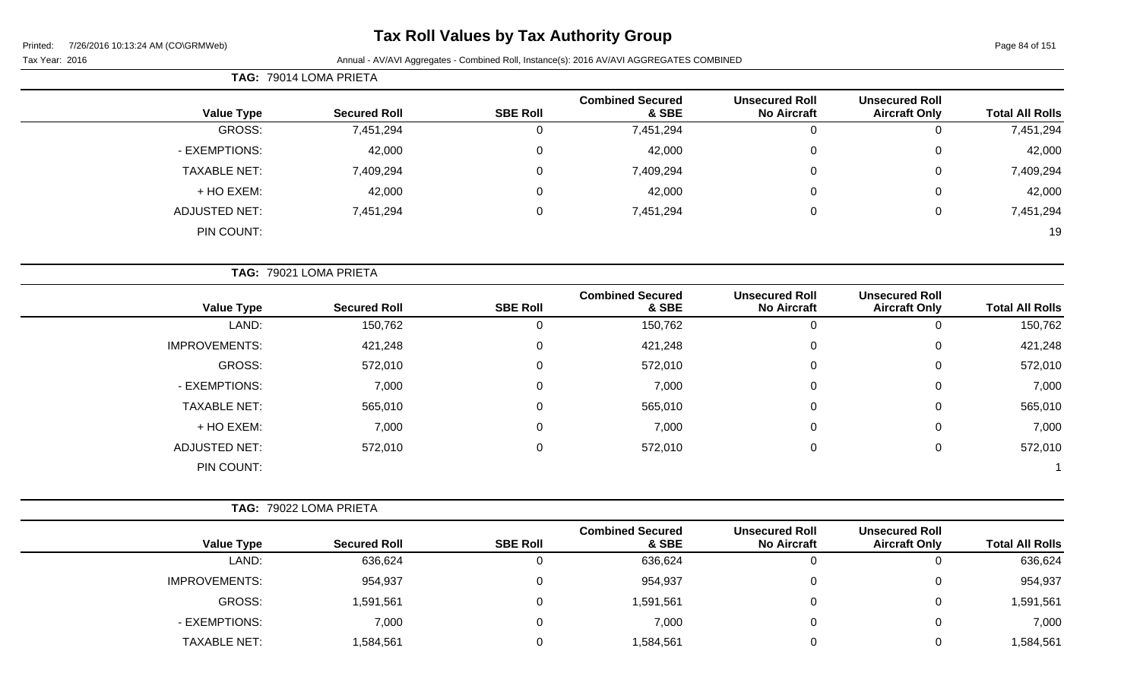# **Tax Roll Values by Tax Authority Group**

Tax Year: 2016 **Annual - AV/AVI Aggregates - Combined Roll**, Instance(s): 2016 AV/AVI AGGREGATES COMBINED

Page 84 of 151

| <b>Total All Rolls</b> | <b>Unsecured Roll</b><br><b>Aircraft Only</b> | <b>Unsecured Roll</b><br><b>No Aircraft</b> | <b>Combined Secured</b><br>& SBE | <b>SBE Roll</b> | <b>Secured Roll</b>    | <b>Value Type</b>    |
|------------------------|-----------------------------------------------|---------------------------------------------|----------------------------------|-----------------|------------------------|----------------------|
| 7,451,294              | 0                                             | 0                                           | 7,451,294                        | $\mathbf 0$     | 7,451,294              | GROSS:               |
| 42,000                 | 0                                             | $\Omega$                                    | 42,000                           | $\mathbf 0$     | 42,000                 | - EXEMPTIONS:        |
| 7,409,294              | 0                                             | $\Omega$                                    | 7,409,294                        | $\overline{0}$  | 7,409,294              | <b>TAXABLE NET:</b>  |
| 42,000                 | 0                                             |                                             | 42,000                           | $\mathbf 0$     | 42,000                 | + HO EXEM:           |
| 7,451,294              | 0                                             | $\mathbf 0$                                 | 7,451,294                        | $\mathbf 0$     | 7,451,294              | <b>ADJUSTED NET:</b> |
| 19                     |                                               |                                             |                                  |                 |                        | PIN COUNT:           |
|                        |                                               |                                             |                                  |                 | TAG: 79021 LOMA PRIETA |                      |
| <b>Total All Rolls</b> | <b>Unsecured Roll</b><br><b>Aircraft Only</b> | <b>Unsecured Roll</b><br><b>No Aircraft</b> | <b>Combined Secured</b><br>& SBE | <b>SBE Roll</b> | <b>Secured Roll</b>    | <b>Value Type</b>    |
| 150,762                | 0                                             | 0                                           | 150,762                          | $\overline{0}$  | 150,762                | LAND:                |
| 421,248                | 0                                             | $\Omega$                                    | 421,248                          | $\mathbf 0$     | 421,248                | <b>IMPROVEMENTS:</b> |
| 572,010                | 0                                             | $\Omega$                                    | 572,010                          | $\mathbf 0$     | 572,010                | GROSS:               |
| 7,000                  | 0                                             | 0                                           | 7,000                            | $\mathbf 0$     | 7,000                  | - EXEMPTIONS:        |
| 565,010                | 0                                             | $\Omega$                                    | 565,010                          | $\overline{0}$  | 565,010                | <b>TAXABLE NET:</b>  |
| 7,000                  | 0                                             | $\Omega$                                    | 7,000                            | $\mathbf 0$     | 7,000                  | + HO EXEM:           |
| 572,010                | 0                                             | $\mathbf 0$                                 | 572,010                          | $\mathbf 0$     | 572,010                | <b>ADJUSTED NET:</b> |
| -1                     |                                               |                                             |                                  |                 |                        | PIN COUNT:           |
|                        |                                               |                                             |                                  |                 | TAG: 79022 LOMA PRIETA |                      |
|                        |                                               |                                             |                                  |                 |                        |                      |

| <b>Value Type</b>    | <b>Secured Roll</b> | <b>SBE Roll</b> | <b>Combined Secured</b><br>& SBE | <b>Unsecured Roll</b><br><b>No Aircraft</b> | <b>Unsecured Roll</b><br><b>Aircraft Only</b> | <b>Total All Rolls</b> |
|----------------------|---------------------|-----------------|----------------------------------|---------------------------------------------|-----------------------------------------------|------------------------|
| LAND:                | 636,624             |                 | 636,624                          |                                             | U                                             | 636,624                |
| <b>IMPROVEMENTS:</b> | 954,937             |                 | 954,937                          |                                             | 0                                             | 954,937                |
| <b>GROSS:</b>        | 1,591,561           |                 | 1,591,561                        |                                             | 0                                             | 1,591,561              |
| - EXEMPTIONS:        | 7,000               |                 | 7,000                            |                                             | 0                                             | 7,000                  |
| <b>TAXABLE NET:</b>  | 1,584,561           |                 | 1,584,561                        |                                             | 0                                             | 1,584,561              |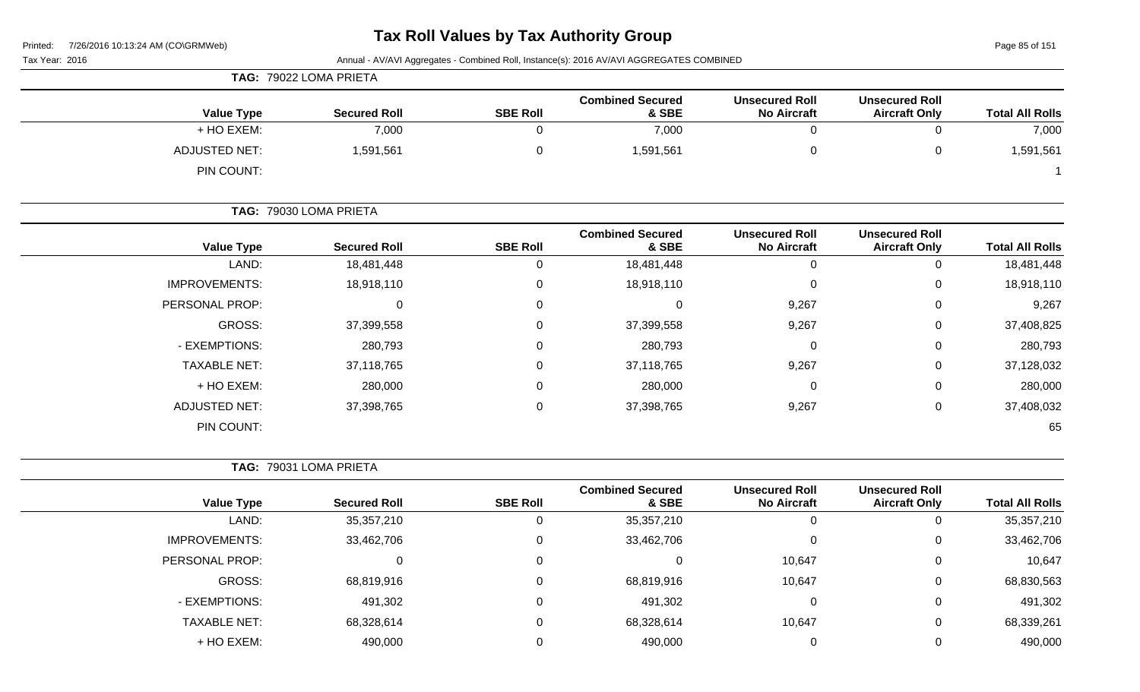Page 85 of 151

|                        |                                               |                                             | Annual - AV/AVI Aggregates - Combined Roll, Instance(s): 2016 AV/AVI AGGREGATES COMBINED |                 |                        | Tax Year: 2016       |
|------------------------|-----------------------------------------------|---------------------------------------------|------------------------------------------------------------------------------------------|-----------------|------------------------|----------------------|
|                        |                                               |                                             |                                                                                          |                 | TAG: 79022 LOMA PRIETA |                      |
| <b>Total All Rolls</b> | <b>Unsecured Roll</b><br><b>Aircraft Only</b> | <b>Unsecured Roll</b><br><b>No Aircraft</b> | <b>Combined Secured</b><br>& SBE                                                         | <b>SBE Roll</b> | <b>Secured Roll</b>    | <b>Value Type</b>    |
| 7,000                  | $\mathbf 0$                                   | $\mathbf 0$                                 | 7,000                                                                                    | 0               | 7,000                  | + HO EXEM:           |
| 1,591,561              | $\mathbf 0$                                   | $\pmb{0}$                                   | 1,591,561                                                                                | 0               | 1,591,561              | <b>ADJUSTED NET:</b> |
|                        |                                               |                                             |                                                                                          |                 |                        | PIN COUNT:           |
|                        |                                               |                                             |                                                                                          |                 | TAG: 79030 LOMA PRIETA |                      |
| <b>Total All Rolls</b> | <b>Unsecured Roll</b><br><b>Aircraft Only</b> | <b>Unsecured Roll</b><br><b>No Aircraft</b> | <b>Combined Secured</b><br>& SBE                                                         | <b>SBE Roll</b> | <b>Secured Roll</b>    | <b>Value Type</b>    |
| 18,481,448             | 0                                             | $\boldsymbol{0}$                            | 18,481,448                                                                               | 0               | 18,481,448             | LAND:                |
| 18,918,110             | 0                                             | $\pmb{0}$                                   | 18,918,110                                                                               | 0               | 18,918,110             | IMPROVEMENTS:        |
| 9,267                  | 0                                             | 9,267                                       | $\Omega$                                                                                 | 0               | $\mathbf{0}$           | PERSONAL PROP:       |
| 37,408,825             | 0                                             | 9,267                                       | 37,399,558                                                                               | 0               | 37,399,558             | <b>GROSS:</b>        |
| 280,793                | 0                                             | $\pmb{0}$                                   | 280,793                                                                                  | 0               | 280,793                | - EXEMPTIONS:        |
| 37,128,032             | 0                                             | 9,267                                       | 37,118,765                                                                               | 0               | 37,118,765             | <b>TAXABLE NET:</b>  |
| 280,000                | 0                                             | 0                                           | 280,000                                                                                  | 0               | 280,000                | + HO EXEM:           |
| 37,408,032             | $\pmb{0}$                                     | 9,267                                       | 37,398,765                                                                               | 0               | 37,398,765             | <b>ADJUSTED NET:</b> |
| 65                     |                                               |                                             |                                                                                          |                 |                        | PIN COUNT:           |
|                        |                                               |                                             |                                                                                          |                 | TAG: 79031 LOMA PRIETA |                      |
| <b>Total All Rolls</b> | <b>Unsecured Roll</b><br><b>Aircraft Only</b> | <b>Unsecured Roll</b><br><b>No Aircraft</b> | <b>Combined Secured</b><br>& SBE                                                         | <b>SBE Roll</b> | <b>Secured Roll</b>    | <b>Value Type</b>    |
| 35,357,210             | 0                                             | 0                                           | 35, 357, 210                                                                             | 0               | 35, 357, 210           | LAND:                |
| 33,462,706             | 0                                             | 0                                           | 33,462,706                                                                               | 0               | 33,462,706             | <b>IMPROVEMENTS:</b> |
| 10,647                 | 0                                             | 10,647                                      | $\overline{0}$                                                                           | $\overline{0}$  | $\Omega$               | PERSONAL PROP:       |
| 68,830,563             | 0                                             | 10,647                                      | 68,819,916                                                                               | 0               | 68,819,916             | GROSS:               |
| 491,302                | 0                                             | 0                                           | 491,302                                                                                  | 0               | 491,302                | - EXEMPTIONS:        |
| 68,339,261             | 0                                             | 10,647                                      | 68,328,614                                                                               | 0               | 68,328,614             | TAXABLE NET:         |
| 490,000                | 0                                             | 0                                           | 490,000                                                                                  | 0               | 490,000                | + HO EXEM:           |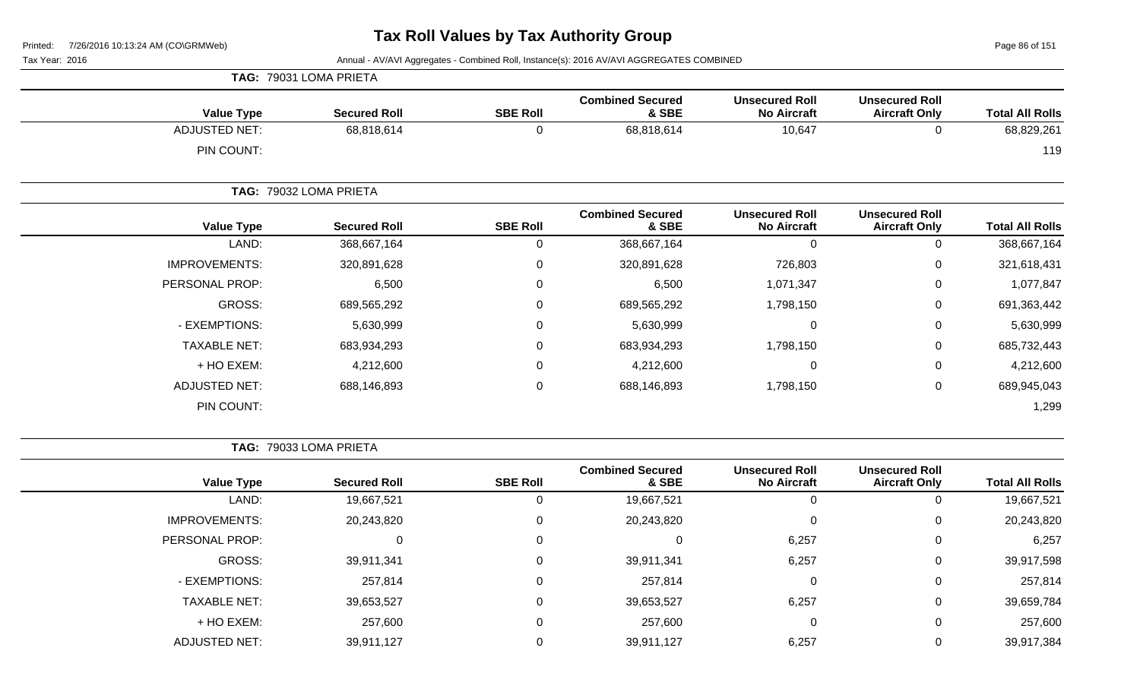Page 86 of 151

Tax Year: 2016 **Annual - AV/AVI Aggregates - Combined Roll**, Instance(s): 2016 AV/AVI AGGREGATES COMBINED

| <b>Value Type</b>    | <b>Secured Roll</b>    | <b>SBE Roll</b> | <b>Combined Secured</b><br>& SBE | <b>Unsecured Roll</b><br><b>No Aircraft</b> | <b>Unsecured Roll</b><br><b>Aircraft Only</b> | <b>Total All Rolls</b> |
|----------------------|------------------------|-----------------|----------------------------------|---------------------------------------------|-----------------------------------------------|------------------------|
| <b>ADJUSTED NET:</b> | 68,818,614             | 0               | 68,818,614                       | 10,647                                      | 0                                             | 68,829,261             |
| PIN COUNT:           |                        |                 |                                  |                                             |                                               | 119                    |
|                      | TAG: 79032 LOMA PRIETA |                 |                                  |                                             |                                               |                        |
| <b>Value Type</b>    | <b>Secured Roll</b>    | <b>SBE Roll</b> | <b>Combined Secured</b><br>& SBE | <b>Unsecured Roll</b><br><b>No Aircraft</b> | <b>Unsecured Roll</b><br><b>Aircraft Only</b> | <b>Total All Rolls</b> |
| LAND:                | 368,667,164            | 0               | 368,667,164                      | 0                                           | 0                                             | 368,667,164            |
| <b>IMPROVEMENTS:</b> | 320,891,628            | $\Omega$        | 320,891,628                      | 726,803                                     | 0                                             | 321,618,431            |
| PERSONAL PROP:       | 6,500                  | $\mathbf{0}$    | 6,500                            | 1,071,347                                   | 0                                             | 1,077,847              |
| GROSS:               | 689,565,292            | $\Omega$        | 689,565,292                      | 1,798,150                                   | 0                                             | 691,363,442            |
| - EXEMPTIONS:        | 5,630,999              | 0               | 5,630,999                        | $\mathbf 0$                                 | 0                                             | 5,630,999              |
| <b>TAXABLE NET:</b>  | 683,934,293            | $\Omega$        | 683,934,293                      | 1,798,150                                   | 0                                             | 685,732,443            |
| + HO EXEM:           | 4,212,600              | 0               | 4,212,600                        | $\mathbf 0$                                 | 0                                             | 4,212,600              |
| <b>ADJUSTED NET:</b> | 688,146,893            | 0               | 688,146,893                      | 1,798,150                                   | 0                                             | 689,945,043            |
| PIN COUNT:           |                        |                 |                                  |                                             |                                               | 1,299                  |

**TAG:** 79033 LOMA PRIETA

**TAG:** 79031 LOMA PRIETA

| <b>Value Type</b>    | <b>Secured Roll</b> | <b>SBE Roll</b> | <b>Combined Secured</b><br>& SBE | <b>Unsecured Roll</b><br><b>No Aircraft</b> | <b>Unsecured Roll</b><br><b>Aircraft Only</b> | <b>Total All Rolls</b> |
|----------------------|---------------------|-----------------|----------------------------------|---------------------------------------------|-----------------------------------------------|------------------------|
| LAND:                | 19,667,521          | 0               | 19,667,521                       | 0                                           |                                               | 19,667,521             |
| <b>IMPROVEMENTS:</b> | 20,243,820          | 0               | 20,243,820                       | $\Omega$                                    | 0                                             | 20,243,820             |
| PERSONAL PROP:       | 0                   | 0               | 0                                | 6,257                                       | 0                                             | 6,257                  |
| <b>GROSS:</b>        | 39,911,341          | 0               | 39,911,341                       | 6,257                                       | 0                                             | 39,917,598             |
| - EXEMPTIONS:        | 257,814             | 0               | 257,814                          | 0                                           | 0                                             | 257,814                |
| <b>TAXABLE NET:</b>  | 39,653,527          | 0               | 39,653,527                       | 6,257                                       | 0                                             | 39,659,784             |
| + HO EXEM:           | 257,600             | 0               | 257,600                          | 0                                           | 0                                             | 257,600                |
| <b>ADJUSTED NET:</b> | 39,911,127          | 0               | 39,911,127                       | 6,257                                       |                                               | 39,917,384             |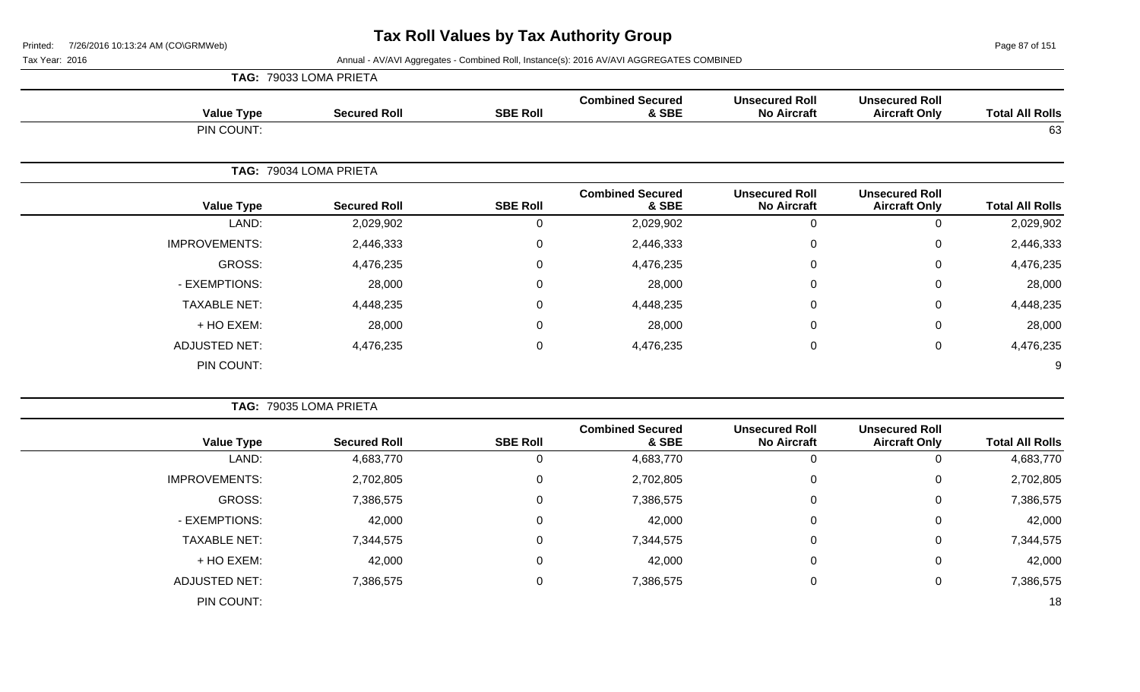**TAG:** 79033 LOMA PRIETA

Page 87 of 151

Tax Year: 2016 **Annual - AV/AVI Aggregates - Combined Roll**, Instance(s): 2016 AV/AVI AGGREGATES COMBINED

| <b>Total All Rolls</b> | <b>Unsecured Roll</b><br><b>Aircraft Only</b> | <b>Unsecured Roll</b><br><b>No Aircraft</b> | <b>Combined Secured</b><br>& SBE | <b>SBE Roll</b> | <b>Secured Roll</b>    | <b>Value Type</b>    |
|------------------------|-----------------------------------------------|---------------------------------------------|----------------------------------|-----------------|------------------------|----------------------|
| 63                     |                                               |                                             |                                  |                 |                        | PIN COUNT:           |
|                        |                                               |                                             |                                  |                 | TAG: 79034 LOMA PRIETA |                      |
| <b>Total All Rolls</b> | <b>Unsecured Roll</b><br><b>Aircraft Only</b> | <b>Unsecured Roll</b><br><b>No Aircraft</b> | <b>Combined Secured</b><br>& SBE | <b>SBE Roll</b> | <b>Secured Roll</b>    | <b>Value Type</b>    |
| 2,029,902              | $\mathbf 0$                                   | $\mathbf 0$                                 | 2,029,902                        | $\mathbf 0$     | 2,029,902              | LAND:                |
| 2,446,333              | 0                                             | $\overline{0}$                              | 2,446,333                        | $\mathbf 0$     | 2,446,333              | <b>IMPROVEMENTS:</b> |
| 4,476,235              | 0                                             | 0                                           | 4,476,235                        | 0               | 4,476,235              | GROSS:               |
| 28,000                 | 0                                             | 0                                           | 28,000                           | 0               | 28,000                 | - EXEMPTIONS:        |
| 4,448,235              | 0                                             | $\Omega$                                    | 4,448,235                        | $\mathbf{0}$    | 4,448,235              | <b>TAXABLE NET:</b>  |
| 28,000                 | 0                                             | 0                                           | 28,000                           | 0               | 28,000                 | + HO EXEM:           |
| 4,476,235              | $\mathsf 0$                                   | $\mathbf 0$                                 | 4,476,235                        | $\mathbf 0$     | 4,476,235              | <b>ADJUSTED NET:</b> |
| 9                      |                                               |                                             |                                  |                 |                        | PIN COUNT:           |
|                        |                                               |                                             |                                  |                 | TAG: 79035 LOMA PRIETA |                      |
| <b>Total All Rolls</b> | <b>Unsecured Roll</b><br><b>Aircraft Only</b> | <b>Unsecured Roll</b><br><b>No Aircraft</b> | <b>Combined Secured</b><br>& SBE | <b>SBE Roll</b> | <b>Secured Roll</b>    | <b>Value Type</b>    |
| 4,683,770              | $\mathbf 0$                                   | $\mathbf 0$                                 | 4,683,770                        | $\mathbf 0$     | 4,683,770              | LAND:                |
| 2,702,805              | 0                                             | 0                                           | 2,702,805                        | $\mathbf{0}$    | 2,702,805              | <b>IMPROVEMENTS:</b> |
| 7,386,575              | 0                                             | 0                                           | 7,386,575                        | 0               | 7,386,575              | GROSS:               |
| 42,000                 | 0                                             | 0                                           | 42,000                           | 0               | 42,000                 | - EXEMPTIONS:        |
| 7,344,575              | $\mathbf 0$                                   | 0                                           | 7,344,575                        | $\mathbf 0$     | 7,344,575              | <b>TAXABLE NET:</b>  |
| 42,000                 | 0                                             | 0                                           | 42,000                           | $\mathbf{0}$    | 42,000                 | + HO EXEM:           |
| 7,386,575              | $\mathbf 0$                                   | 0                                           | 7,386,575                        | $\mathbf 0$     | 7,386,575              | <b>ADJUSTED NET:</b> |

PIN COUNT: 18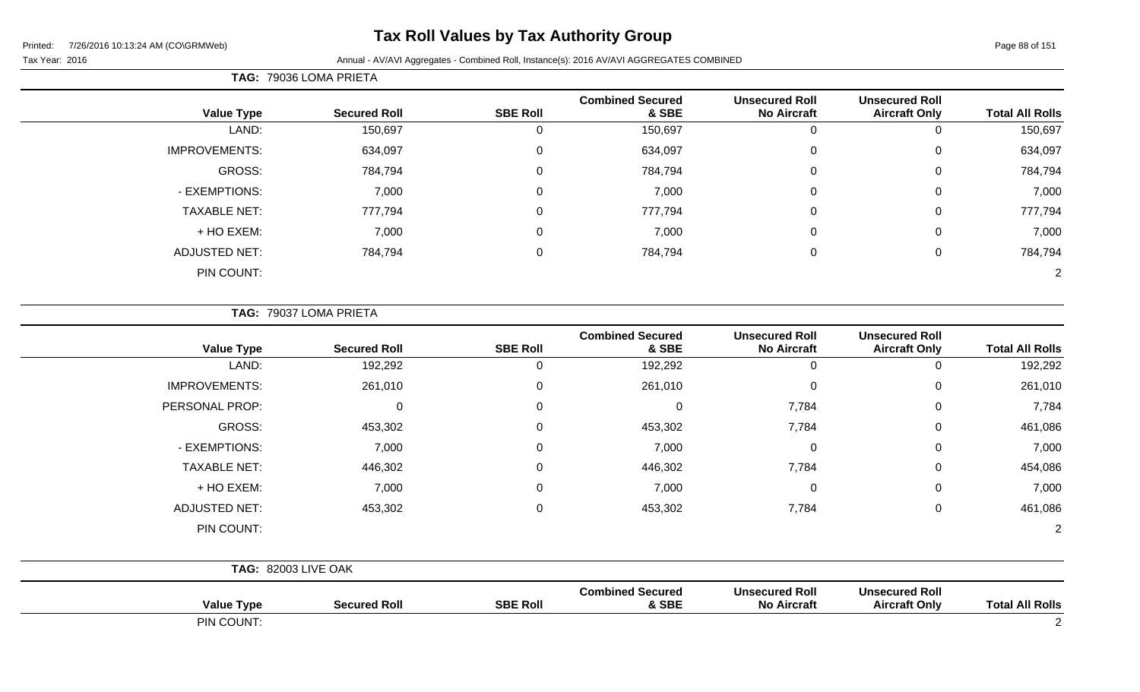# **Tax Roll Values by Tax Authority Group**

**TAG:** 79036 LOMA PRIETA

Tax Year: 2016 **Annual - AV/AVI Aggregates - Combined Roll**, Instance(s): 2016 AV/AVI AGGREGATES COMBINED

| <b>Total All Rolls</b> | <b>Unsecured Roll</b><br><b>Aircraft Only</b> | <b>Unsecured Roll</b><br><b>No Aircraft</b> | <b>Combined Secured</b><br>& SBE | <b>SBE Roll</b> | <b>Secured Roll</b> | <b>Value Type</b>    |
|------------------------|-----------------------------------------------|---------------------------------------------|----------------------------------|-----------------|---------------------|----------------------|
| 150,697                | 0                                             | 0                                           | 150,697                          | 0               | 150,697             | LAND:                |
| 634,097                | $\mathbf 0$                                   | 0                                           | 634,097                          | 0               | 634,097             | <b>IMPROVEMENTS:</b> |
| 784,794                | 0                                             | 0                                           | 784,794                          | 0               | 784,794             | GROSS:               |
| 7,000                  | $\mathbf 0$                                   | 0                                           | 7,000                            | 0               | 7,000               | - EXEMPTIONS:        |
| 777,794                | $\overline{0}$                                | 0                                           | 777,794                          | 0               | 777,794             | <b>TAXABLE NET:</b>  |
| 7,000                  | $\mathbf 0$                                   | 0                                           | 7,000                            | 0               | 7,000               | + HO EXEM:           |
| 784,794                | $\mathbf 0$                                   | 0                                           | 784,794                          | 0               | 784,794             | <b>ADJUSTED NET:</b> |
| $\overline{2}$         |                                               |                                             |                                  |                 |                     | PIN COUNT:           |
|                        |                                               |                                             |                                  |                 |                     |                      |

**TAG:** 79037 LOMA PRIETA

| <b>Value Type</b>          | <b>Secured Roll</b> | <b>SBE Roll</b> | <b>Combined Secured</b><br>& SBE | <b>Unsecured Roll</b><br><b>No Aircraft</b> | <b>Unsecured Roll</b><br><b>Aircraft Only</b> | <b>Total All Rolls</b> |
|----------------------------|---------------------|-----------------|----------------------------------|---------------------------------------------|-----------------------------------------------|------------------------|
| LAND:                      | 192,292             | 0               | 192,292                          | $\pmb{0}$                                   | $\mathbf 0$                                   | 192,292                |
| <b>IMPROVEMENTS:</b>       | 261,010             | 0               | 261,010                          | $\pmb{0}$                                   | 0                                             | 261,010                |
| PERSONAL PROP:             | 0                   | 0               | 0                                | 7,784                                       | 0                                             | 7,784                  |
| GROSS:                     | 453,302             | 0               | 453,302                          | 7,784                                       | 0                                             | 461,086                |
| - EXEMPTIONS:              | 7,000               | 0               | 7,000                            | $\pmb{0}$                                   | $\mathbf 0$                                   | 7,000                  |
| <b>TAXABLE NET:</b>        | 446,302             | 0               | 446,302                          | 7,784                                       | $\pmb{0}$                                     | 454,086                |
| + HO EXEM:                 | 7,000               | 0               | 7,000                            | $\pmb{0}$                                   | 0                                             | 7,000                  |
| <b>ADJUSTED NET:</b>       | 453,302             | 0               | 453,302                          | 7,784                                       | $\mathbf 0$                                   | 461,086                |
| PIN COUNT:                 |                     |                 |                                  |                                             |                                               | $\overline{2}$         |
| <b>TAG: 82003 LIVE OAK</b> |                     |                 |                                  |                                             |                                               |                        |
| <b>Value Type</b>          | <b>Secured Roll</b> | <b>SBE Roll</b> | <b>Combined Secured</b><br>& SBE | <b>Unsecured Roll</b><br><b>No Aircraft</b> | <b>Unsecured Roll</b><br><b>Aircraft Only</b> | <b>Total All Rolls</b> |
| PIN COUNT:                 |                     |                 |                                  |                                             |                                               | 2                      |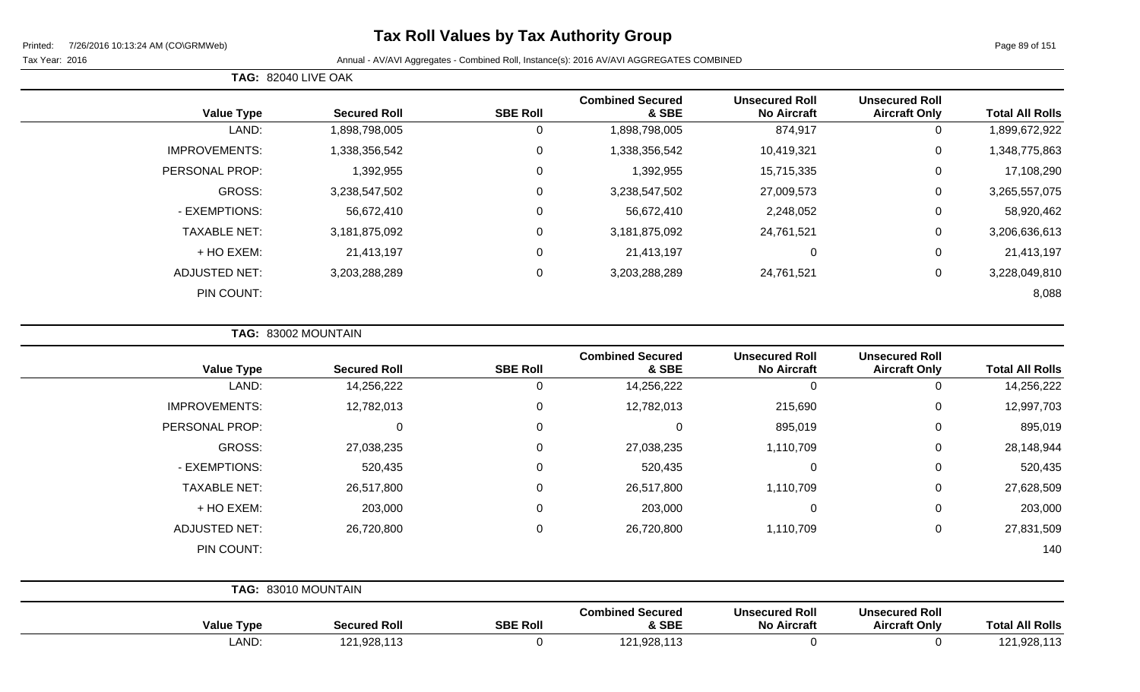# **Tax Roll Values by Tax Authority Group**

#### Tax Year: 2016 **Annual - AV/AVI Aggregates - Combined Roll**, Instance(s): 2016 AV/AVI AGGREGATES COMBINED

**TAG:** 82040 LIVE OAK

| <b>Total All Rolls</b> | <b>Unsecured Roll</b><br><b>Aircraft Only</b> | <b>Unsecured Roll</b><br><b>No Aircraft</b> | <b>Combined Secured</b><br>& SBE | <b>SBE Roll</b> | <b>Secured Roll</b> | <b>Value Type</b>    |
|------------------------|-----------------------------------------------|---------------------------------------------|----------------------------------|-----------------|---------------------|----------------------|
| 1,899,672,922          | 0                                             | 874,917                                     | 1,898,798,005                    | 0               | 1,898,798,005       | LAND:                |
| 1,348,775,863          | 0                                             | 10,419,321                                  | 1,338,356,542                    | 0               | 1,338,356,542       | <b>IMPROVEMENTS:</b> |
| 17,108,290             | 0                                             | 15,715,335                                  | 1,392,955                        | 0               | 1,392,955           | PERSONAL PROP:       |
| 3,265,557,075          | $\mathbf 0$                                   | 27,009,573                                  | 3,238,547,502                    | 0               | 3,238,547,502       | <b>GROSS:</b>        |
| 58,920,462             | 0                                             | 2,248,052                                   | 56,672,410                       | $\mathbf 0$     | 56,672,410          | - EXEMPTIONS:        |
| 3,206,636,613          | $\mathbf 0$                                   | 24,761,521                                  | 3,181,875,092                    | 0               | 3,181,875,092       | <b>TAXABLE NET:</b>  |
| 21,413,197             | 0                                             | 0                                           | 21,413,197                       | 0               | 21,413,197          | + HO EXEM:           |
| 3,228,049,810          | $\mathbf 0$                                   | 24,761,521                                  | 3,203,288,289                    | 0               | 3,203,288,289       | <b>ADJUSTED NET:</b> |
| 8,088                  |                                               |                                             |                                  |                 |                     | PIN COUNT:           |
|                        |                                               |                                             |                                  |                 |                     |                      |

| TAG: 83002 MOUNTAIN |  |  |
|---------------------|--|--|
|---------------------|--|--|

| <b>Value Type</b>    | <b>Secured Roll</b> | <b>SBE Roll</b> | <b>Combined Secured</b><br>& SBE | <b>Unsecured Roll</b><br><b>No Aircraft</b> | <b>Unsecured Roll</b><br><b>Aircraft Only</b> | <b>Total All Rolls</b> |
|----------------------|---------------------|-----------------|----------------------------------|---------------------------------------------|-----------------------------------------------|------------------------|
| LAND:                | 14,256,222          | 0               | 14,256,222                       | 0                                           | 0                                             | 14,256,222             |
| <b>IMPROVEMENTS:</b> | 12,782,013          | $\mathsf 0$     | 12,782,013                       | 215,690                                     | 0                                             | 12,997,703             |
| PERSONAL PROP:       | 0                   | 0               | 0                                | 895,019                                     | 0                                             | 895,019                |
| GROSS:               | 27,038,235          | 0               | 27,038,235                       | 1,110,709                                   | 0                                             | 28,148,944             |
| - EXEMPTIONS:        | 520,435             | 0               | 520,435                          | $\Omega$                                    | 0                                             | 520,435                |
| <b>TAXABLE NET:</b>  | 26,517,800          | 0               | 26,517,800                       | 1,110,709                                   | 0                                             | 27,628,509             |
| + HO EXEM:           | 203,000             | 0               | 203,000                          | 0                                           | 0                                             | 203,000                |
| <b>ADJUSTED NET:</b> | 26,720,800          | 0               | 26,720,800                       | 1,110,709                                   | 0                                             | 27,831,509             |
| PIN COUNT:           |                     |                 |                                  |                                             |                                               | 140                    |
|                      | TAG: 83010 MOUNTAIN |                 |                                  |                                             |                                               |                        |
| <b>Value Type</b>    | <b>Secured Roll</b> | <b>SBE Roll</b> | <b>Combined Secured</b><br>& SBE | <b>Unsecured Roll</b><br><b>No Aircraft</b> | <b>Unsecured Roll</b><br><b>Aircraft Only</b> | <b>Total All Rolls</b> |

LAND: 121,928,113 0 121,928,113 0 0 121,928,113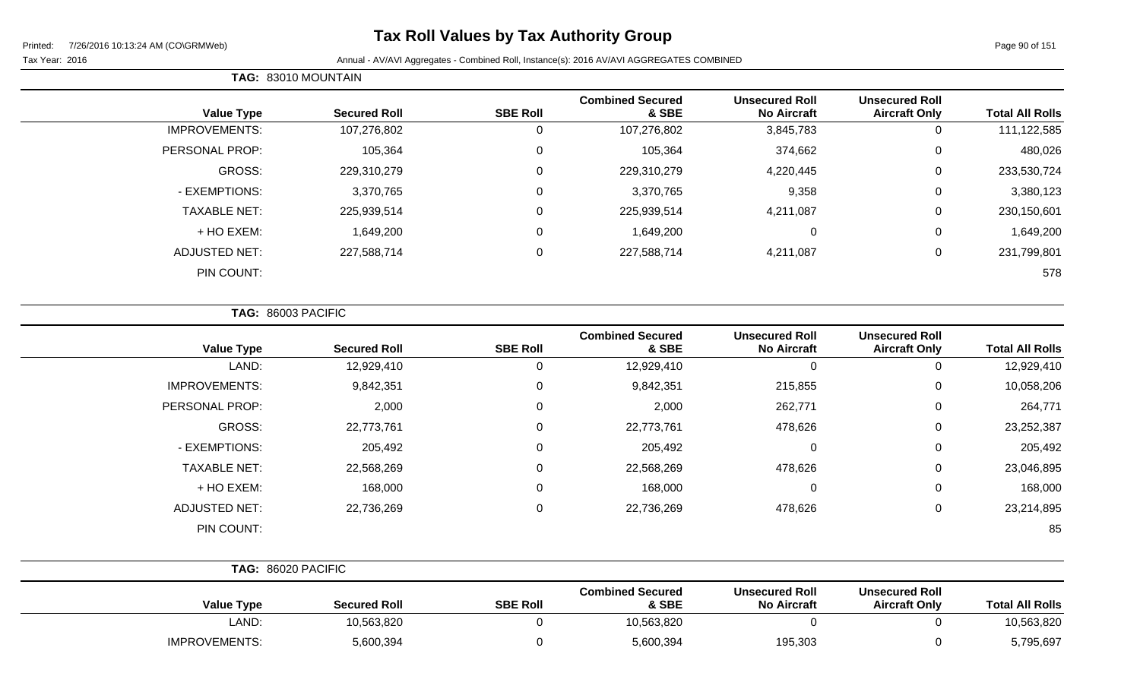# **Tax Roll Values by Tax Authority Group**

Page 90 of 151

#### Tax Year: 2016 **Annual - AV/AVI Aggregates - Combined Roll**, Instance(s): 2016 AV/AVI AGGREGATES COMBINED

| <b>Total All Rolls</b> | <b>Unsecured Roll</b><br><b>Aircraft Only</b> | <b>Unsecured Roll</b><br><b>No Aircraft</b> | <b>Combined Secured</b><br>& SBE | <b>SBE Roll</b> | <b>Secured Roll</b> | <b>Value Type</b>    |
|------------------------|-----------------------------------------------|---------------------------------------------|----------------------------------|-----------------|---------------------|----------------------|
| 111,122,585            | 0                                             | 3,845,783                                   | 107,276,802                      | v               | 107,276,802         | <b>IMPROVEMENTS:</b> |
| 480,026                | 0                                             | 374,662                                     | 105,364                          | 0               | 105,364             | PERSONAL PROP:       |
| 233,530,724            | 0                                             | 4,220,445                                   | 229,310,279                      | 0               | 229,310,279         | GROSS:               |
| 3,380,123              | 0                                             | 9,358                                       | 3,370,765                        | 0               | 3,370,765           | - EXEMPTIONS:        |
| 230,150,601            | 0                                             | 4,211,087                                   | 225,939,514                      | 0               | 225,939,514         | <b>TAXABLE NET:</b>  |
| 1,649,200              | $\mathbf 0$                                   | $\mathbf 0$                                 | 1,649,200                        | 0               | 1,649,200           | + HO EXEM:           |
| 231,799,801            | 0                                             | 4,211,087                                   | 227,588,714                      | 0               | 227,588,714         | <b>ADJUSTED NET:</b> |
| 578                    |                                               |                                             |                                  |                 |                     | PIN COUNT:           |
|                        |                                               |                                             |                                  |                 |                     |                      |

**TAG:** 86003 PACIFIC

**TAG:** 83010 MOUNTAIN

| <b>Value Type</b>    | <b>Secured Roll</b> | <b>SBE Roll</b> | <b>Combined Secured</b><br>& SBE | <b>Unsecured Roll</b><br><b>No Aircraft</b> | <b>Unsecured Roll</b><br><b>Aircraft Only</b> | <b>Total All Rolls</b> |
|----------------------|---------------------|-----------------|----------------------------------|---------------------------------------------|-----------------------------------------------|------------------------|
| LAND:                | 12,929,410          | 0               | 12,929,410                       | 0                                           | 0                                             | 12,929,410             |
| <b>IMPROVEMENTS:</b> | 9,842,351           | $\mathbf{0}$    | 9,842,351                        | 215,855                                     | $\mathbf 0$                                   | 10,058,206             |
| PERSONAL PROP:       | 2,000               | $\mathbf{0}$    | 2,000                            | 262,771                                     | $\mathbf 0$                                   | 264,771                |
| GROSS:               | 22,773,761          | $\mathbf{0}$    | 22,773,761                       | 478,626                                     | 0                                             | 23,252,387             |
| - EXEMPTIONS:        | 205,492             |                 | 205,492                          | $\mathbf 0$                                 | 0                                             | 205,492                |
| <b>TAXABLE NET:</b>  | 22,568,269          |                 | 22,568,269                       | 478,626                                     | 0                                             | 23,046,895             |
| + HO EXEM:           | 168,000             | $\Omega$        | 168,000                          | 0                                           | 0                                             | 168,000                |
| <b>ADJUSTED NET:</b> | 22,736,269          | $\Omega$        | 22,736,269                       | 478,626                                     | 0                                             | 23,214,895             |
| PIN COUNT:           |                     |                 |                                  |                                             |                                               | 85                     |

|                      | TAG: 86020 PACIFIC  |                 |                                  |                                             |                                               |                        |
|----------------------|---------------------|-----------------|----------------------------------|---------------------------------------------|-----------------------------------------------|------------------------|
| <b>Value Type</b>    | <b>Secured Roll</b> | <b>SBE Roll</b> | <b>Combined Secured</b><br>& SBE | <b>Unsecured Roll</b><br><b>No Aircraft</b> | <b>Unsecured Roll</b><br><b>Aircraft Only</b> | <b>Total All Rolls</b> |
| LAND:                | 10,563,820          |                 | 10,563,820                       |                                             |                                               | 10,563,820             |
| <b>IMPROVEMENTS:</b> | 5,600,394           |                 | 5,600,394                        | 195,303                                     |                                               | 5,795,697              |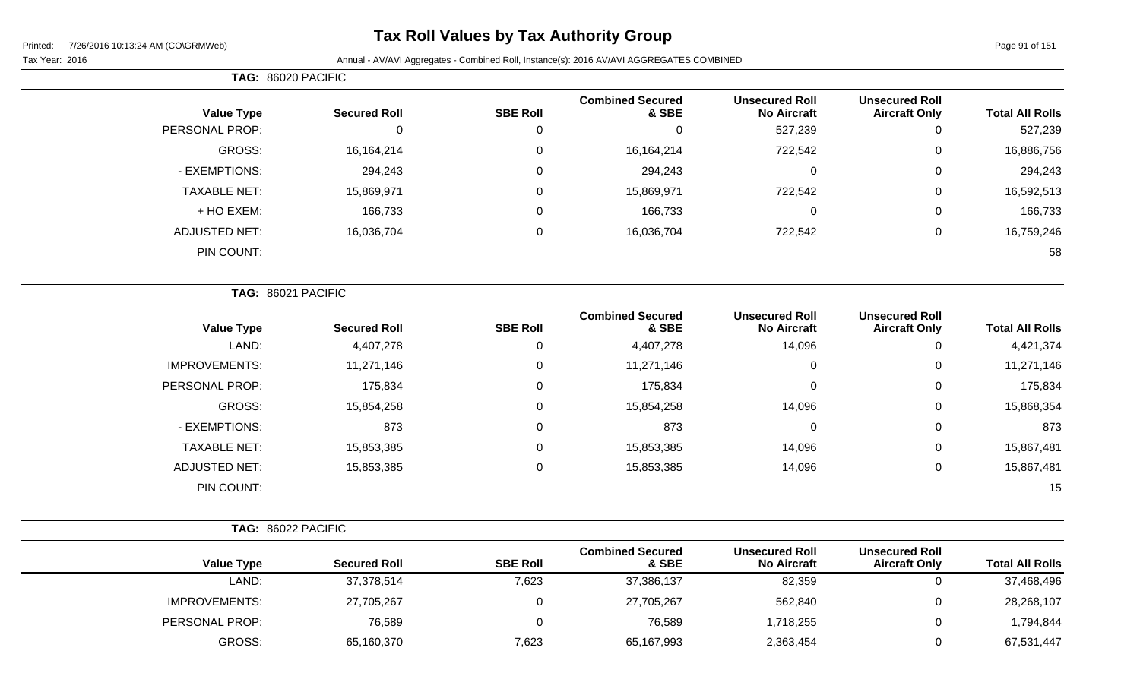# **Tax Roll Values by Tax Authority Group**

#### Tax Year: 2016 **Annual - AV/AVI Aggregates - Combined Roll**, Instance(s): 2016 AV/AVI AGGREGATES COMBINED

|                        |                                               |                                             |                                  |                  |                     | TAG: 86020 PACIFIC   |
|------------------------|-----------------------------------------------|---------------------------------------------|----------------------------------|------------------|---------------------|----------------------|
| <b>Total All Rolls</b> | <b>Unsecured Roll</b><br><b>Aircraft Only</b> | <b>Unsecured Roll</b><br><b>No Aircraft</b> | <b>Combined Secured</b><br>& SBE | <b>SBE Roll</b>  | <b>Secured Roll</b> | <b>Value Type</b>    |
| 527,239                | $\mathbf 0$                                   | 527,239                                     | $\mathbf 0$                      | 0                | $\mathbf 0$         | PERSONAL PROP:       |
| 16,886,756             | 0                                             | 722,542                                     | 16, 164, 214                     | 0                | 16,164,214          | GROSS:               |
| 294,243                | $\pmb{0}$                                     | $\mathbf 0$                                 | 294,243                          | $\mathbf 0$      | 294,243             | - EXEMPTIONS:        |
| 16,592,513             | $\mathbf 0$                                   | 722,542                                     | 15,869,971                       | $\mathbf 0$      | 15,869,971          | <b>TAXABLE NET:</b>  |
| 166,733                | 0                                             | $\mathbf 0$                                 | 166,733                          | $\mathbf 0$      | 166,733             | + HO EXEM:           |
| 16,759,246             | $\pmb{0}$                                     | 722,542                                     | 16,036,704                       | $\boldsymbol{0}$ | 16,036,704          | <b>ADJUSTED NET:</b> |
| 58                     |                                               |                                             |                                  |                  |                     | PIN COUNT:           |
|                        |                                               |                                             |                                  |                  |                     | TAG: 86021 PACIFIC   |
| <b>Total All Rolls</b> | <b>Unsecured Roll</b><br><b>Aircraft Only</b> | <b>Unsecured Roll</b><br><b>No Aircraft</b> | <b>Combined Secured</b><br>& SBE | <b>SBE Roll</b>  | <b>Secured Roll</b> | <b>Value Type</b>    |
| 4,421,374              | $\mathbf 0$                                   | 14,096                                      | 4,407,278                        | $\mathsf 0$      | 4,407,278           | LAND:                |
| 11,271,146             | $\pmb{0}$                                     | $\mathbf 0$                                 | 11,271,146                       | $\pmb{0}$        | 11,271,146          | <b>IMPROVEMENTS:</b> |
| 175,834                | 0                                             | $\mathbf 0$                                 | 175,834                          | $\mathbf 0$      | 175,834             | PERSONAL PROP:       |
| 15,868,354             | $\pmb{0}$                                     | 14,096                                      | 15,854,258                       | $\boldsymbol{0}$ | 15,854,258          | GROSS:               |
| 873                    | 0                                             | $\mathbf 0$                                 | 873                              | $\mathbf 0$      | 873                 | - EXEMPTIONS:        |
| 15,867,481             | 0                                             | 14,096                                      | 15,853,385                       | 0                | 15,853,385          | <b>TAXABLE NET:</b>  |
| 15,867,481             | $\mathbf 0$                                   | 14,096                                      | 15,853,385                       | $\mathbf 0$      | 15,853,385          | <b>ADJUSTED NET:</b> |
| 15                     |                                               |                                             |                                  |                  |                     | PIN COUNT:           |
|                        |                                               |                                             |                                  |                  |                     | TAG: 86022 PACIFIC   |
| <b>Total All Rolls</b> | <b>Unsecured Roll</b><br><b>Aircraft Only</b> | <b>Unsecured Roll</b><br><b>No Aircraft</b> | <b>Combined Secured</b><br>& SBE | <b>SBE Roll</b>  | <b>Secured Roll</b> | <b>Value Type</b>    |
| 37,468,496             | 0                                             | 82,359                                      | 37,386,137                       | 7,623            | 37,378,514          | LAND:                |
| 28,268,107             | 0                                             | 562,840                                     | 27,705,267                       | $\mathbf 0$      | 27,705,267          | <b>IMPROVEMENTS:</b> |

PERSONAL PROP: 76,589 76,589 0 76,589 76,589 76,589 1,718,255 0 1,794,844

GROSS: 65,160,370 7,623 65,167,993 2,363,454 0 67,531,447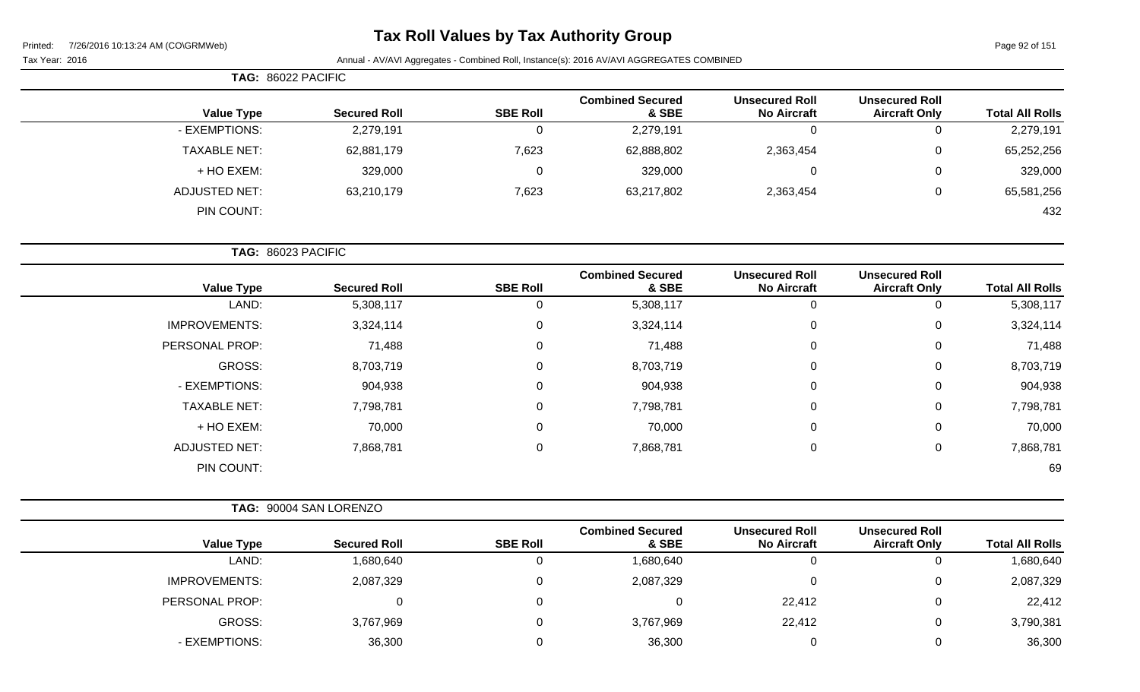# **Tax Roll Values by Tax Authority Group**

Page 92 of 151

| TAG: 86022 PACIFIC   |                     |                 |                                  |                                             |                                               |                        |
|----------------------|---------------------|-----------------|----------------------------------|---------------------------------------------|-----------------------------------------------|------------------------|
| <b>Value Type</b>    | <b>Secured Roll</b> | <b>SBE Roll</b> | <b>Combined Secured</b><br>& SBE | <b>Unsecured Roll</b><br><b>No Aircraft</b> | <b>Unsecured Roll</b><br><b>Aircraft Only</b> | <b>Total All Rolls</b> |
| - EXEMPTIONS:        | 2,279,191           | $\Omega$        | 2,279,191                        | $\Omega$                                    |                                               | 2,279,191              |
| TAXABLE NET:         | 62,881,179          | 7,623           | 62,888,802                       | 2,363,454                                   | 0                                             | 65,252,256             |
| + HO EXEM:           | 329,000             | 0               | 329,000                          | 0                                           | 0                                             | 329,000                |
| <b>ADJUSTED NET:</b> | 63,210,179          | 7,623           | 63,217,802                       | 2,363,454                                   | 0                                             | 65,581,256             |
| PIN COUNT:           |                     |                 |                                  |                                             |                                               | 432                    |

|                        |                                               |                                             |                                  |                 | TAG: 86023 PACIFIC  |                      |  |  |
|------------------------|-----------------------------------------------|---------------------------------------------|----------------------------------|-----------------|---------------------|----------------------|--|--|
| <b>Total All Rolls</b> | <b>Unsecured Roll</b><br><b>Aircraft Only</b> | <b>Unsecured Roll</b><br><b>No Aircraft</b> | <b>Combined Secured</b><br>& SBE | <b>SBE Roll</b> | <b>Secured Roll</b> | <b>Value Type</b>    |  |  |
| 5,308,117              | 0                                             | U                                           | 5,308,117                        |                 | 5,308,117           | LAND:                |  |  |
| 3,324,114              | $\mathbf 0$                                   | 0                                           | 3,324,114                        | 0               | 3,324,114           | <b>IMPROVEMENTS:</b> |  |  |
| 71,488                 | 0                                             | $\mathbf 0$                                 | 71,488                           | $\Omega$        | 71,488              | PERSONAL PROP:       |  |  |
| 8,703,719              | $\mathbf{0}$                                  | 0                                           | 8,703,719                        | $\Omega$        | 8,703,719           | GROSS:               |  |  |
| 904,938                | $\mathbf 0$                                   | $\overline{0}$                              | 904,938                          |                 | 904,938             | - EXEMPTIONS:        |  |  |
| 7,798,781              | $\mathbf 0$                                   | $\mathbf 0$                                 | 7,798,781                        | 0               | 7,798,781           | <b>TAXABLE NET:</b>  |  |  |
| 70,000                 | $\mathbf{0}$                                  | 0                                           | 70,000                           | $\Omega$        | 70,000              | + HO EXEM:           |  |  |
| 7,868,781              | 0                                             | $\mathbf 0$                                 | 7,868,781                        | $\Omega$        | 7,868,781           | <b>ADJUSTED NET:</b> |  |  |
| 69                     |                                               |                                             |                                  |                 |                     | PIN COUNT:           |  |  |

|                      | TAG: 90004 SAN LORENZO |                 |                                  |                                             |                                               |                        |
|----------------------|------------------------|-----------------|----------------------------------|---------------------------------------------|-----------------------------------------------|------------------------|
| <b>Value Type</b>    | <b>Secured Roll</b>    | <b>SBE Roll</b> | <b>Combined Secured</b><br>& SBE | <b>Unsecured Roll</b><br><b>No Aircraft</b> | <b>Unsecured Roll</b><br><b>Aircraft Only</b> | <b>Total All Rolls</b> |
| LAND:                | 1,680,640              | 0               | 1,680,640                        | 0                                           |                                               | 1,680,640              |
| <b>IMPROVEMENTS:</b> | 2,087,329              | 0               | 2,087,329                        | 0                                           | U                                             | 2,087,329              |
| PERSONAL PROP:       |                        | 0               |                                  | 22,412                                      | 0                                             | 22,412                 |
| GROSS:               | 3,767,969              | 0               | 3,767,969                        | 22,412                                      | U                                             | 3,790,381              |
| - EXEMPTIONS:        | 36,300                 | 0               | 36,300                           | 0                                           |                                               | 36,300                 |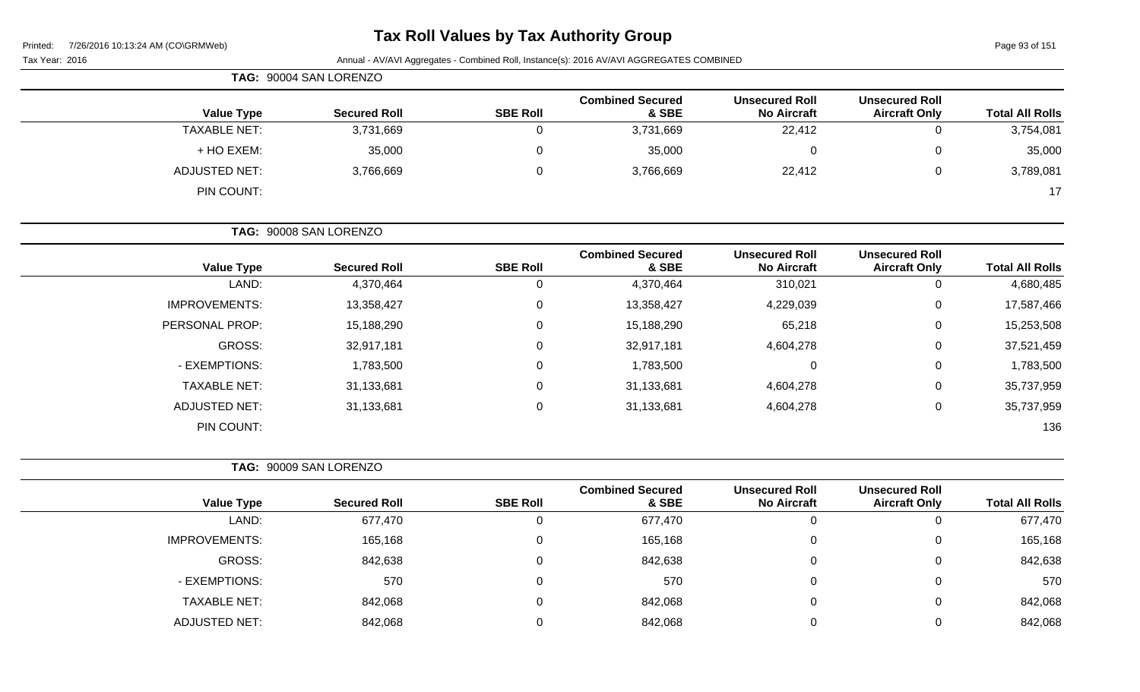### **Tax Roll Values by Tax Authority Group**

| Page 93 of 151<br>7/26/2016 10:13:24 AM (CO\GRMWeb)<br>Printed: |                                             |                                  |                 |                     |                                                                                                                                                                        |  |
|-----------------------------------------------------------------|---------------------------------------------|----------------------------------|-----------------|---------------------|------------------------------------------------------------------------------------------------------------------------------------------------------------------------|--|
|                                                                 |                                             |                                  |                 |                     | Tax Year: 2016                                                                                                                                                         |  |
|                                                                 |                                             |                                  |                 |                     |                                                                                                                                                                        |  |
| <b>Unsecured Roll</b><br><b>Aircraft Only</b>                   | <b>Unsecured Roll</b><br><b>No Aircraft</b> | <b>Combined Secured</b><br>& SBE | <b>SBE Roll</b> | <b>Secured Roll</b> | <b>Value Type</b>                                                                                                                                                      |  |
| 0                                                               | 22,412                                      | 3,731,669                        | 0               | 3,731,669           | <b>TAXABLE NET:</b>                                                                                                                                                    |  |
| 0                                                               | 0                                           | 35,000                           | 0               | 35,000              | + HO EXEM:                                                                                                                                                             |  |
| 0                                                               | 22,412                                      | 3,766,669                        | $\mathbf 0$     | 3,766,669           | <b>ADJUSTED NET:</b>                                                                                                                                                   |  |
|                                                                 |                                             |                                  |                 |                     | PIN COUNT:                                                                                                                                                             |  |
|                                                                 |                                             |                                  |                 |                     |                                                                                                                                                                        |  |
| <b>Unsecured Roll</b><br><b>Aircraft Only</b>                   | <b>Unsecured Roll</b><br><b>No Aircraft</b> | <b>Combined Secured</b><br>& SBE | <b>SBE Roll</b> | <b>Secured Roll</b> | <b>Value Type</b>                                                                                                                                                      |  |
| $\mathbf 0$                                                     | 310,021                                     | 4,370,464                        | 0               | 4,370,464           | LAND:                                                                                                                                                                  |  |
| 0                                                               | 4,229,039                                   | 13,358,427                       | 0               | 13,358,427          | <b>IMPROVEMENTS:</b>                                                                                                                                                   |  |
| 0                                                               | 65,218                                      | 15,188,290                       | 0               | 15,188,290          | PERSONAL PROP:                                                                                                                                                         |  |
| 0                                                               | 4,604,278                                   | 32,917,181                       | 0               | 32,917,181          | GROSS:                                                                                                                                                                 |  |
| 0                                                               | $\pmb{0}$                                   | 1,783,500                        | 0               | 1,783,500           | - EXEMPTIONS:                                                                                                                                                          |  |
| 0                                                               | 4,604,278                                   | 31,133,681                       | 0               | 31,133,681          | <b>TAXABLE NET:</b>                                                                                                                                                    |  |
| 0                                                               | 4,604,278                                   | 31,133,681                       | 0               | 31,133,681          | <b>ADJUSTED NET:</b>                                                                                                                                                   |  |
|                                                                 |                                             |                                  |                 |                     | PIN COUNT:                                                                                                                                                             |  |
|                                                                 |                                             |                                  |                 |                     |                                                                                                                                                                        |  |
| <b>Unsecured Roll</b><br><b>Aircraft Only</b>                   | <b>Unsecured Roll</b><br><b>No Aircraft</b> | <b>Combined Secured</b><br>& SBE | <b>SBE Roll</b> | <b>Secured Roll</b> | <b>Value Type</b>                                                                                                                                                      |  |
| $\Omega$                                                        | $\mathbf 0$                                 | 677,470                          | 0               | 677,470             | LAND:                                                                                                                                                                  |  |
| 0                                                               | 0                                           | 165,168                          | 0               | 165,168             | <b>IMPROVEMENTS:</b>                                                                                                                                                   |  |
| $\,0\,$                                                         | $\pmb{0}$                                   | 842,638                          | $\mathbf 0$     | 842,638             | GROSS:                                                                                                                                                                 |  |
| 0                                                               | $\pmb{0}$                                   | 570                              | $\mathbf 0$     | 570                 | - EXEMPTIONS:                                                                                                                                                          |  |
| 0                                                               | $\pmb{0}$                                   | 842,068                          | $\mathbf 0$     | 842,068             | <b>TAXABLE NET:</b>                                                                                                                                                    |  |
| 0                                                               | $\pmb{0}$                                   | 842,068                          | 0               | 842,068             | <b>ADJUSTED NET:</b>                                                                                                                                                   |  |
|                                                                 |                                             |                                  |                 |                     | Annual - AV/AVI Aggregates - Combined Roll, Instance(s): 2016 AV/AVI AGGREGATES COMBINED<br>TAG: 90004 SAN LORENZO<br>TAG: 90008 SAN LORENZO<br>TAG: 90009 SAN LORENZO |  |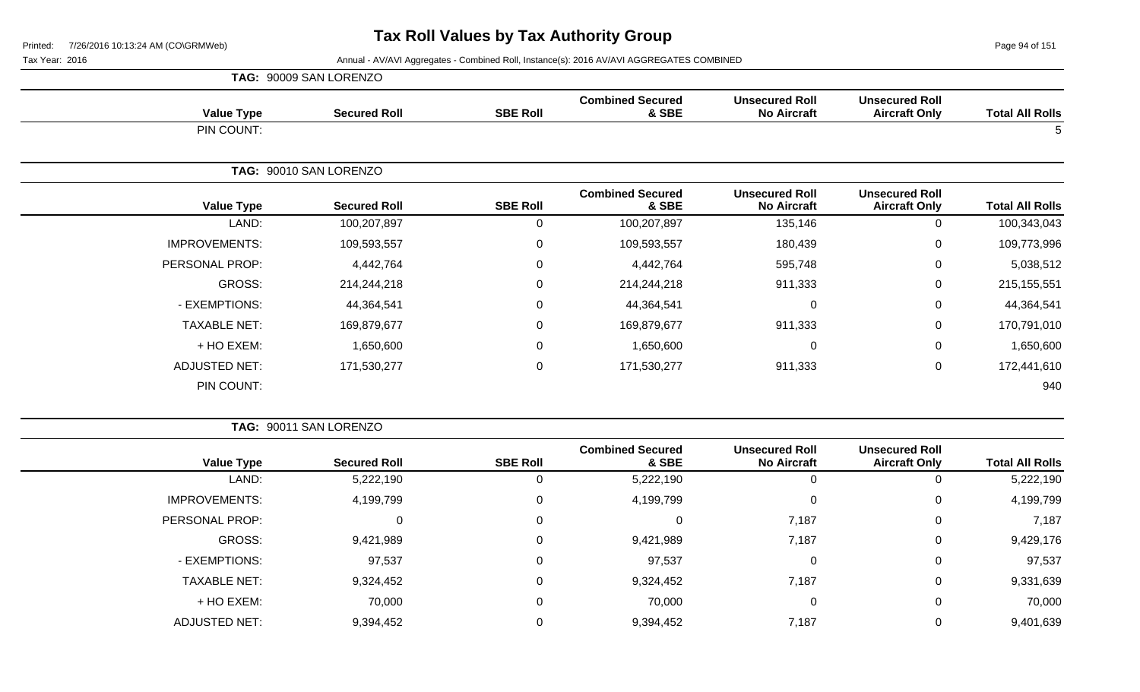Page 94 of 151

|                      | TAG: 90009 SAN LORENZO |                 |                                  |                                             |                                               |                        |
|----------------------|------------------------|-----------------|----------------------------------|---------------------------------------------|-----------------------------------------------|------------------------|
| <b>Value Type</b>    | <b>Secured Roll</b>    | <b>SBE Roll</b> | <b>Combined Secured</b><br>& SBE | <b>Unsecured Roll</b><br><b>No Aircraft</b> | <b>Unsecured Roll</b><br><b>Aircraft Only</b> | <b>Total All Rolls</b> |
| PIN COUNT:           |                        |                 |                                  |                                             |                                               | 5                      |
|                      | TAG: 90010 SAN LORENZO |                 |                                  |                                             |                                               |                        |
| <b>Value Type</b>    | <b>Secured Roll</b>    | <b>SBE Roll</b> | <b>Combined Secured</b><br>& SBE | <b>Unsecured Roll</b><br><b>No Aircraft</b> | <b>Unsecured Roll</b><br><b>Aircraft Only</b> | <b>Total All Rolls</b> |
| LAND:                | 100,207,897            | 0               | 100,207,897                      | 135,146                                     | 0                                             | 100,343,043            |
| <b>IMPROVEMENTS:</b> | 109,593,557            | 0               | 109,593,557                      | 180,439                                     | 0                                             | 109,773,996            |
| PERSONAL PROP:       | 4,442,764              | $\Omega$        | 4,442,764                        | 595,748                                     | 0                                             | 5,038,512              |
| GROSS:               | 214,244,218            | $\mathbf 0$     | 214,244,218                      | 911,333                                     | 0                                             | 215, 155, 551          |
| - EXEMPTIONS:        | 44,364,541             | $\mathbf 0$     | 44,364,541                       | $\mathbf 0$                                 | 0                                             | 44,364,541             |
| <b>TAXABLE NET:</b>  | 169,879,677            | 0               | 169,879,677                      | 911,333                                     | 0                                             | 170,791,010            |
| + HO EXEM:           | 1,650,600              | $\mathbf 0$     | 1,650,600                        | $\mathbf 0$                                 | 0                                             | 1,650,600              |
| <b>ADJUSTED NET:</b> | 171,530,277            | $\mathbf 0$     | 171,530,277                      | 911,333                                     | 0                                             | 172,441,610            |
| PIN COUNT:           |                        |                 |                                  |                                             |                                               | 940                    |

|                      | TAG: 90011 SAN LORENZO |                 |                                  |                                             |                                               |                        |
|----------------------|------------------------|-----------------|----------------------------------|---------------------------------------------|-----------------------------------------------|------------------------|
| <b>Value Type</b>    | <b>Secured Roll</b>    | <b>SBE Roll</b> | <b>Combined Secured</b><br>& SBE | <b>Unsecured Roll</b><br><b>No Aircraft</b> | <b>Unsecured Roll</b><br><b>Aircraft Only</b> | <b>Total All Rolls</b> |
| LAND:                | 5,222,190              | 0               | 5,222,190                        |                                             | 0                                             | 5,222,190              |
| <b>IMPROVEMENTS:</b> | 4,199,799              | 0               | 4,199,799                        | 0                                           | 0                                             | 4,199,799              |
| PERSONAL PROP:       |                        | 0               | 0                                | 7,187                                       | 0                                             | 7,187                  |
| GROSS:               | 9,421,989              | 0               | 9,421,989                        | 7,187                                       | 0                                             | 9,429,176              |
| - EXEMPTIONS:        | 97,537                 | 0               | 97,537                           | $\Omega$                                    | 0                                             | 97,537                 |
| <b>TAXABLE NET:</b>  | 9,324,452              | 0               | 9,324,452                        | 7,187                                       | $\mathbf{0}$                                  | 9,331,639              |
| + HO EXEM:           | 70,000                 | 0               | 70,000                           | 0                                           | $\mathbf{0}$                                  | 70,000                 |
| <b>ADJUSTED NET:</b> | 9,394,452              | 0               | 9,394,452                        | 7,187                                       | 0                                             | 9,401,639              |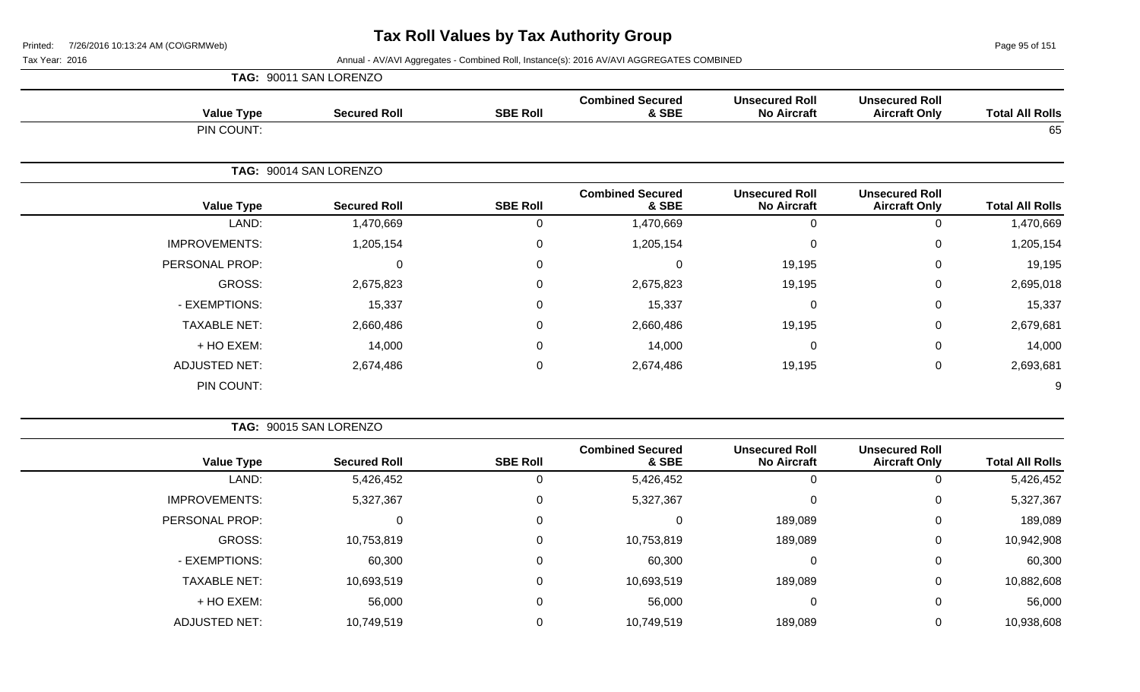Page 95 of 151

|                      | TAG: 90011 SAN LORENZO |                        |                 |                                  |                                             |                                               |                        |
|----------------------|------------------------|------------------------|-----------------|----------------------------------|---------------------------------------------|-----------------------------------------------|------------------------|
| <b>Value Type</b>    |                        | <b>Secured Roll</b>    | <b>SBE Roll</b> | <b>Combined Secured</b><br>& SBE | <b>Unsecured Roll</b><br><b>No Aircraft</b> | <b>Unsecured Roll</b><br><b>Aircraft Only</b> | <b>Total All Rolls</b> |
| PIN COUNT:           |                        |                        |                 |                                  |                                             |                                               | 65                     |
|                      |                        | TAG: 90014 SAN LORENZO |                 |                                  |                                             |                                               |                        |
| <b>Value Type</b>    |                        | <b>Secured Roll</b>    | <b>SBE Roll</b> | <b>Combined Secured</b><br>& SBE | <b>Unsecured Roll</b><br><b>No Aircraft</b> | <b>Unsecured Roll</b><br><b>Aircraft Only</b> | <b>Total All Rolls</b> |
|                      | LAND:                  | 1,470,669              | 0               | 1,470,669                        | 0                                           | 0                                             | 1,470,669              |
| <b>IMPROVEMENTS:</b> |                        | 1,205,154              | $\mathbf 0$     | 1,205,154                        | 0                                           | 0                                             | 1,205,154              |
| PERSONAL PROP:       |                        | 0                      | 0               | 0                                | 19,195                                      | $\mathbf 0$                                   | 19,195                 |
| GROSS:               |                        | 2,675,823              | 0               | 2,675,823                        | 19,195                                      | $\mathbf 0$                                   | 2,695,018              |
| - EXEMPTIONS:        |                        | 15,337                 | 0               | 15,337                           | 0                                           | $\Omega$                                      | 15,337                 |
| <b>TAXABLE NET:</b>  |                        | 2,660,486              | $\mathbf 0$     | 2,660,486                        | 19,195                                      | $\mathbf 0$                                   | 2,679,681              |
| + HO EXEM:           |                        | 14,000                 | $\mathbf 0$     | 14,000                           | $\mathbf 0$                                 | $\mathbf 0$                                   | 14,000                 |
| ADJUSTED NET:        |                        | 2,674,486              | $\mathbf 0$     | 2,674,486                        | 19,195                                      | $\mathbf 0$                                   | 2,693,681              |
| PIN COUNT:           |                        |                        |                 |                                  |                                             |                                               | 9                      |

|                        |                                               |                                             |                                  | TAG: 90015 SAN LORENZO |                     |                      |  |  |
|------------------------|-----------------------------------------------|---------------------------------------------|----------------------------------|------------------------|---------------------|----------------------|--|--|
| <b>Total All Rolls</b> | <b>Unsecured Roll</b><br><b>Aircraft Only</b> | <b>Unsecured Roll</b><br><b>No Aircraft</b> | <b>Combined Secured</b><br>& SBE | <b>SBE Roll</b>        | <b>Secured Roll</b> | <b>Value Type</b>    |  |  |
| 5,426,452              | 0                                             | 0                                           | 5,426,452                        | 0                      | 5,426,452           | LAND:                |  |  |
| 5,327,367              | 0                                             | 0                                           | 5,327,367                        | 0                      | 5,327,367           | <b>IMPROVEMENTS:</b> |  |  |
| 189,089                | $\mathbf 0$                                   | 189,089                                     | $\mathbf 0$                      | 0                      | 0                   | PERSONAL PROP:       |  |  |
| 10,942,908             | 0                                             | 189,089                                     | 10,753,819                       | $\mathbf 0$            | 10,753,819          | GROSS:               |  |  |
| 60,300                 | 0                                             | 0                                           | 60,300                           | 0                      | 60,300              | - EXEMPTIONS:        |  |  |
| 10,882,608             | $\mathbf 0$                                   | 189,089                                     | 10,693,519                       | 0                      | 10,693,519          | <b>TAXABLE NET:</b>  |  |  |
| 56,000                 | $\mathbf 0$                                   | 0                                           | 56,000                           | 0                      | 56,000              | + HO EXEM:           |  |  |
| 10,938,608             | 0                                             | 189,089                                     | 10,749,519                       | 0                      | 10,749,519          | <b>ADJUSTED NET:</b> |  |  |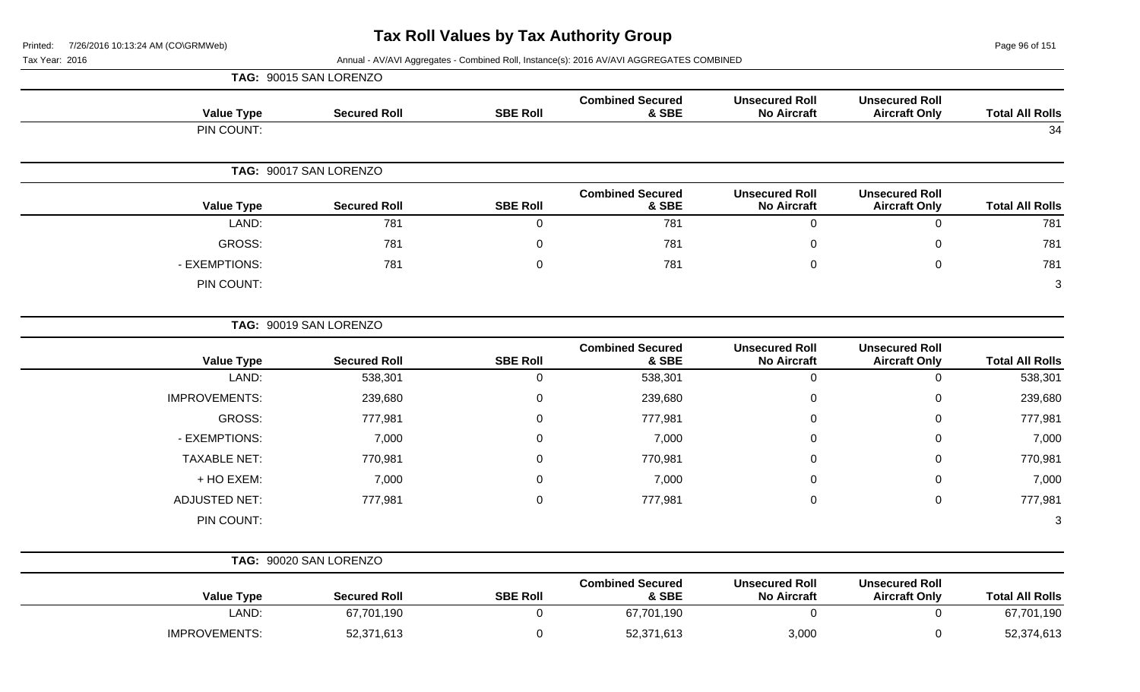**TAG:** 90015 SAN LORENZO

Page 96 of 151

| <b>Total All Rolls</b> | <b>Unsecured Roll</b><br><b>Aircraft Only</b> | <b>Unsecured Roll</b><br><b>No Aircraft</b> | <b>Combined Secured</b><br>& SBE | <b>SBE Roll</b> | <b>Secured Roll</b>    | <b>Value Type</b> |
|------------------------|-----------------------------------------------|---------------------------------------------|----------------------------------|-----------------|------------------------|-------------------|
| 34                     |                                               |                                             |                                  |                 |                        | PIN COUNT:        |
|                        |                                               |                                             |                                  |                 | TAG: 90017 SAN LORENZO |                   |
| <b>Total All Rolls</b> | <b>Unsecured Roll</b><br><b>Aircraft Only</b> | <b>Unsecured Roll</b><br><b>No Aircraft</b> | <b>Combined Secured</b><br>& SBE | <b>SBE Roll</b> | <b>Secured Roll</b>    | <b>Value Type</b> |
| 781                    | 0                                             | 0                                           | 781                              | 0               | 781                    | LAND:             |
| 781                    | $\mathbf 0$                                   | 0                                           | 781                              | $\mathbf 0$     | 781                    | GROSS:            |
| 781                    | $\mathbf 0$                                   | 0                                           | 781                              | $\mathbf 0$     | 781                    | - EXEMPTIONS:     |
| 3                      |                                               |                                             |                                  |                 |                        | PIN COUNT:        |

|                      | TAG: 90019 SAN LORENZO |                 |                                  |                                             |                                               |                        |
|----------------------|------------------------|-----------------|----------------------------------|---------------------------------------------|-----------------------------------------------|------------------------|
| <b>Value Type</b>    | <b>Secured Roll</b>    | <b>SBE Roll</b> | <b>Combined Secured</b><br>& SBE | <b>Unsecured Roll</b><br><b>No Aircraft</b> | <b>Unsecured Roll</b><br><b>Aircraft Only</b> | <b>Total All Rolls</b> |
| LAND:                | 538,301                | 0               | 538,301                          |                                             |                                               | 538,301                |
| <b>IMPROVEMENTS:</b> | 239,680                | 0               | 239,680                          | $\mathbf 0$                                 | 0                                             | 239,680                |
| GROSS:               | 777,981                | 0               | 777,981                          | 0                                           | 0                                             | 777,981                |
| - EXEMPTIONS:        | 7,000                  | 0               | 7,000                            | 0                                           | 0                                             | 7,000                  |
| <b>TAXABLE NET:</b>  | 770,981                | 0               | 770,981                          | 0                                           | 0                                             | 770,981                |
| + HO EXEM:           | 7,000                  | 0               | 7,000                            | $\mathbf 0$                                 | 0                                             | 7,000                  |
| <b>ADJUSTED NET:</b> | 777,981                | 0               | 777,981                          | 0                                           | 0                                             | 777,981                |
| PIN COUNT:           |                        |                 |                                  |                                             |                                               | 3                      |

|                      | TAG: 90020 SAN LORENZO |                 |                                  |                                             |                                               |                        |
|----------------------|------------------------|-----------------|----------------------------------|---------------------------------------------|-----------------------------------------------|------------------------|
| <b>Value Type</b>    | <b>Secured Roll</b>    | <b>SBE Roll</b> | <b>Combined Secured</b><br>& SBE | <b>Unsecured Roll</b><br><b>No Aircraft</b> | <b>Unsecured Roll</b><br><b>Aircraft Only</b> | <b>Total All Rolls</b> |
| LAND:                | 67,701,190             |                 | 67,701,190                       |                                             |                                               | 67,701,190             |
| <b>IMPROVEMENTS:</b> | 52,371,613             |                 | 52,371,613                       | 3,000                                       |                                               | 52,374,613             |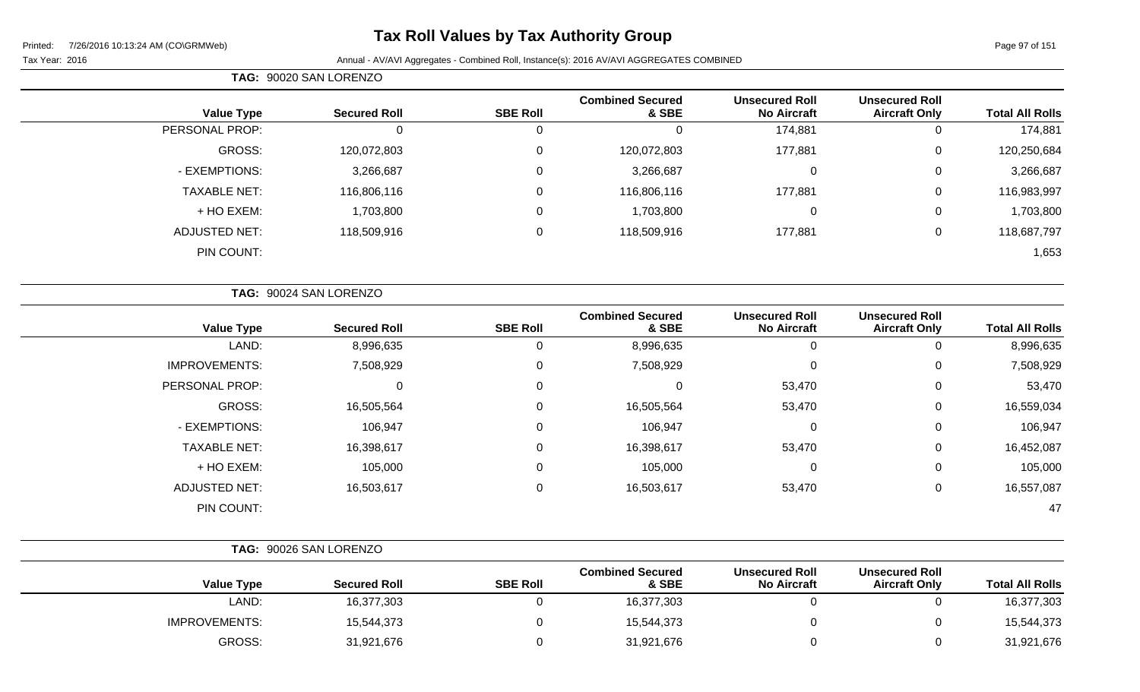# **Tax Roll Values by Tax Authority Group**

Tax Year: 2016 **Annual - AV/AVI Aggregates - Combined Roll**, Instance(s): 2016 AV/AVI AGGREGATES COMBINED

**TAG:** 90020 SAN LORENZO

| <b>Total All Rolls</b> | <b>Unsecured Roll</b><br><b>Aircraft Only</b> | <b>Unsecured Roll</b><br><b>No Aircraft</b> | <b>Combined Secured</b><br>& SBE | <b>SBE Roll</b> | <b>Secured Roll</b> | <b>Value Type</b>   |
|------------------------|-----------------------------------------------|---------------------------------------------|----------------------------------|-----------------|---------------------|---------------------|
| 174,881                |                                               | 174,881                                     | υ                                | ັບ              | 0                   | PERSONAL PROP:      |
| 120,250,684            | 0                                             | 177,881                                     | 120,072,803                      | 0               | 120,072,803         | GROSS:              |
| 3,266,687              | 0                                             |                                             | 3,266,687                        | 0               | 3,266,687           | - EXEMPTIONS:       |
| 116,983,997            | 0                                             | 177,881                                     | 116,806,116                      | 0               | 116,806,116         | <b>TAXABLE NET:</b> |
| 1,703,800              | 0                                             |                                             | 1,703,800                        | 0               | 1,703,800           | + HO EXEM:          |
| 118,687,797            | 0                                             | 177,881                                     | 118,509,916                      | 0               | 118,509,916         | ADJUSTED NET:       |
| 1,653                  |                                               |                                             |                                  |                 |                     | PIN COUNT:          |
|                        |                                               |                                             |                                  |                 |                     |                     |

|                      | TAG: 90024 SAN LORENZO |                 |                                  |                                             |                                               |                        |
|----------------------|------------------------|-----------------|----------------------------------|---------------------------------------------|-----------------------------------------------|------------------------|
| <b>Value Type</b>    | <b>Secured Roll</b>    | <b>SBE Roll</b> | <b>Combined Secured</b><br>& SBE | <b>Unsecured Roll</b><br><b>No Aircraft</b> | <b>Unsecured Roll</b><br><b>Aircraft Only</b> | <b>Total All Rolls</b> |
| LAND:                | 8,996,635              | 0               | 8,996,635                        |                                             | 0                                             | 8,996,635              |
| <b>IMPROVEMENTS:</b> | 7,508,929              | 0               | 7,508,929                        | $\mathbf 0$                                 | 0                                             | 7,508,929              |
| PERSONAL PROP:       | 0                      | 0               | 0                                | 53,470                                      | 0                                             | 53,470                 |
| GROSS:               | 16,505,564             | 0               | 16,505,564                       | 53,470                                      | 0                                             | 16,559,034             |
| - EXEMPTIONS:        | 106,947                | 0               | 106,947                          | $\mathbf 0$                                 | 0                                             | 106,947                |
| <b>TAXABLE NET:</b>  | 16,398,617             | 0               | 16,398,617                       | 53,470                                      | $\mathbf 0$                                   | 16,452,087             |
| + HO EXEM:           | 105,000                | 0               | 105,000                          | 0                                           | 0                                             | 105,000                |
| <b>ADJUSTED NET:</b> | 16,503,617             | 0               | 16,503,617                       | 53,470                                      | 0                                             | 16,557,087             |
| PIN COUNT:           |                        |                 |                                  |                                             |                                               | 47                     |

|                      | TAG: 90026 SAN LORENZO |                 |                                  |                                             |                                               |                        |
|----------------------|------------------------|-----------------|----------------------------------|---------------------------------------------|-----------------------------------------------|------------------------|
| <b>Value Type</b>    | <b>Secured Roll</b>    | <b>SBE Roll</b> | <b>Combined Secured</b><br>& SBE | <b>Unsecured Roll</b><br><b>No Aircraft</b> | <b>Unsecured Roll</b><br><b>Aircraft Only</b> | <b>Total All Rolls</b> |
| LAND:                | 16,377,303             |                 | 16,377,303                       |                                             |                                               | 16,377,303             |
| <b>IMPROVEMENTS:</b> | 15,544,373             |                 | 15,544,373                       |                                             |                                               | 15,544,373             |
| GROSS:               | 31,921,676             |                 | 31,921,676                       |                                             |                                               | 31,921,676             |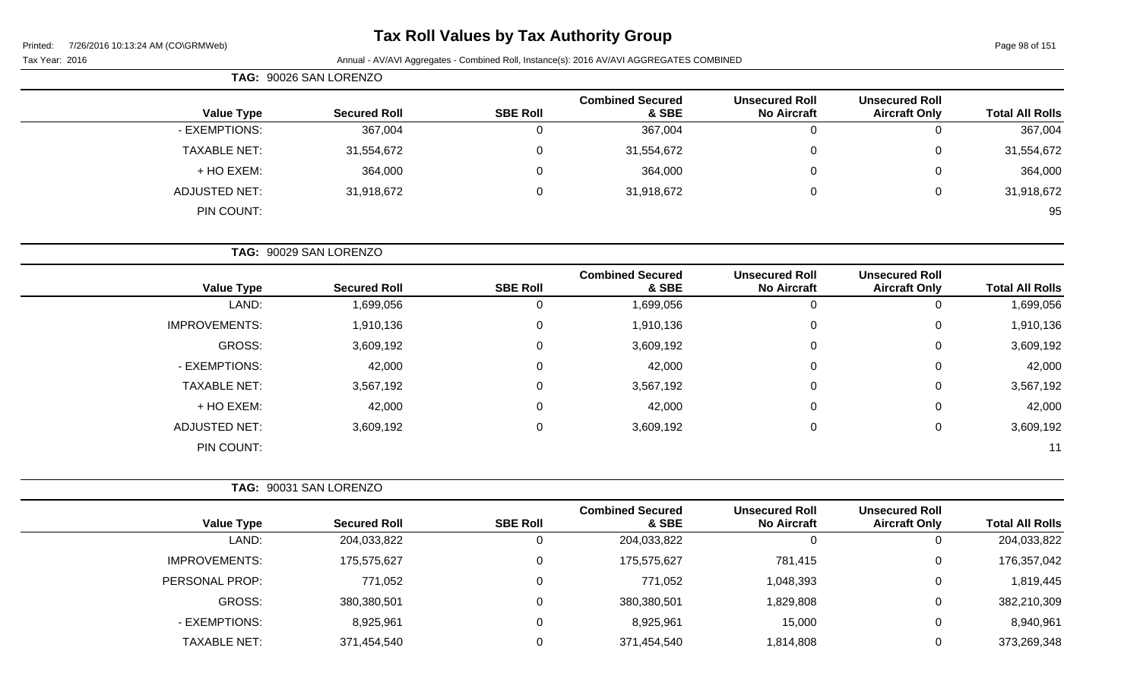# **Tax Roll Values by Tax Authority Group**

| TAG: 90026 SAN LORENZO |                     |                 |                                  |                                             |                                               |                        |
|------------------------|---------------------|-----------------|----------------------------------|---------------------------------------------|-----------------------------------------------|------------------------|
| <b>Value Type</b>      | <b>Secured Roll</b> | <b>SBE Roll</b> | <b>Combined Secured</b><br>& SBE | <b>Unsecured Roll</b><br><b>No Aircraft</b> | <b>Unsecured Roll</b><br><b>Aircraft Only</b> | <b>Total All Rolls</b> |
| - EXEMPTIONS:          | 367,004             |                 | 367,004                          | 0                                           | O                                             | 367,004                |
| <b>TAXABLE NET:</b>    | 31,554,672          |                 | 31,554,672                       | $\overline{0}$                              | 0                                             | 31,554,672             |
| + HO EXEM:             | 364,000             |                 | 364,000                          | $\overline{0}$                              | 0                                             | 364,000                |
| <b>ADJUSTED NET:</b>   | 31,918,672          |                 | 31,918,672                       | $\overline{0}$                              | 0                                             | 31,918,672             |
| PIN COUNT:             |                     |                 |                                  |                                             |                                               | 95                     |

|                      | TAG: 90029 SAN LORENZO |                 |                                  |                                             |                                               |                        |  |  |
|----------------------|------------------------|-----------------|----------------------------------|---------------------------------------------|-----------------------------------------------|------------------------|--|--|
| <b>Value Type</b>    | <b>Secured Roll</b>    | <b>SBE Roll</b> | <b>Combined Secured</b><br>& SBE | <b>Unsecured Roll</b><br><b>No Aircraft</b> | <b>Unsecured Roll</b><br><b>Aircraft Only</b> | <b>Total All Rolls</b> |  |  |
| LAND:                | 1,699,056              | U               | 1,699,056                        | 0                                           |                                               | 1,699,056              |  |  |
| <b>IMPROVEMENTS:</b> | 1,910,136              | 0               | 1,910,136                        | 0                                           | 0                                             | 1,910,136              |  |  |
| GROSS:               | 3,609,192              | 0               | 3,609,192                        | $\mathbf 0$                                 | 0                                             | 3,609,192              |  |  |
| - EXEMPTIONS:        | 42,000                 | 0               | 42,000                           | $\mathbf 0$                                 | $\mathbf 0$                                   | 42,000                 |  |  |
| <b>TAXABLE NET:</b>  | 3,567,192              | 0               | 3,567,192                        | $\mathbf 0$                                 | 0                                             | 3,567,192              |  |  |
| + HO EXEM:           | 42,000                 | 0               | 42,000                           | $\mathbf 0$                                 | 0                                             | 42,000                 |  |  |
| <b>ADJUSTED NET:</b> | 3,609,192              | 0               | 3,609,192                        | $\mathbf 0$                                 | 0                                             | 3,609,192              |  |  |
| PIN COUNT:           |                        |                 |                                  |                                             |                                               | 11                     |  |  |

|                      | TAG: 90031 SAN LORENZO |                 |                                  |                                             |                                               |                        |
|----------------------|------------------------|-----------------|----------------------------------|---------------------------------------------|-----------------------------------------------|------------------------|
| <b>Value Type</b>    | <b>Secured Roll</b>    | <b>SBE Roll</b> | <b>Combined Secured</b><br>& SBE | <b>Unsecured Roll</b><br><b>No Aircraft</b> | <b>Unsecured Roll</b><br><b>Aircraft Only</b> | <b>Total All Rolls</b> |
| LAND:                | 204,033,822            |                 | 204,033,822                      | O                                           | 0                                             | 204,033,822            |
| <b>IMPROVEMENTS:</b> | 175,575,627            |                 | 175,575,627                      | 781,415                                     | $\mathbf{0}$                                  | 176,357,042            |
| PERSONAL PROP:       | 771,052                |                 | 771,052                          | 1,048,393                                   | $\mathbf{0}$                                  | 1,819,445              |
| GROSS:               | 380,380,501            |                 | 380,380,501                      | 1,829,808                                   | 0                                             | 382,210,309            |
| - EXEMPTIONS:        | 8,925,961              |                 | 8,925,961                        | 15,000                                      | $\overline{0}$                                | 8,940,961              |
| <b>TAXABLE NET:</b>  | 371,454,540            |                 | 371,454,540                      | 1,814,808                                   | 0                                             | 373,269,348            |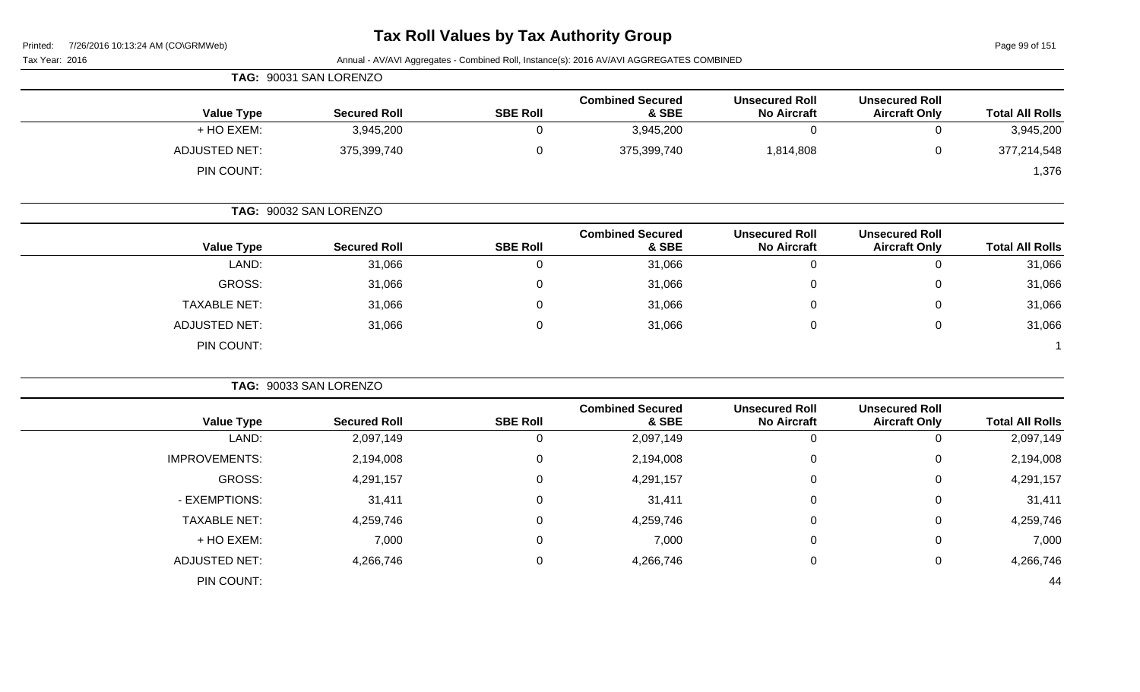Page 99 of 151

|                      | TAG: 90031 SAN LORENZO |                 |                                  |                                             |                                               |                        |
|----------------------|------------------------|-----------------|----------------------------------|---------------------------------------------|-----------------------------------------------|------------------------|
| <b>Value Type</b>    | <b>Secured Roll</b>    | <b>SBE Roll</b> | <b>Combined Secured</b><br>& SBE | <b>Unsecured Roll</b><br><b>No Aircraft</b> | <b>Unsecured Roll</b><br><b>Aircraft Only</b> | <b>Total All Rolls</b> |
| + HO EXEM:           | 3,945,200              |                 | 3,945,200                        |                                             |                                               | 3,945,200              |
| <b>ADJUSTED NET:</b> | 375,399,740            |                 | 375,399,740                      | 1,814,808                                   | v                                             | 377,214,548            |
| PIN COUNT:           |                        |                 |                                  |                                             |                                               | 1,376                  |

|                      | TAG: 90032 SAN LORENZO |                 |                                  |                                             |                                               |                        |
|----------------------|------------------------|-----------------|----------------------------------|---------------------------------------------|-----------------------------------------------|------------------------|
| <b>Value Type</b>    | <b>Secured Roll</b>    | <b>SBE Roll</b> | <b>Combined Secured</b><br>& SBE | <b>Unsecured Roll</b><br><b>No Aircraft</b> | <b>Unsecured Roll</b><br><b>Aircraft Only</b> | <b>Total All Rolls</b> |
| LAND:                | 31,066                 | 0               | 31,066                           |                                             | υ                                             | 31,066                 |
| GROSS:               | 31,066                 | 0               | 31,066                           | U                                           | 0                                             | 31,066                 |
| <b>TAXABLE NET:</b>  | 31,066                 | 0               | 31,066                           |                                             | 0                                             | 31,066                 |
| <b>ADJUSTED NET:</b> | 31,066                 | 0               | 31,066                           |                                             | 0                                             | 31,066                 |
| PIN COUNT:           |                        |                 |                                  |                                             |                                               |                        |

|                        |                                               |                                             |                                  |                 | TAG: 90033 SAN LORENZO |                      |
|------------------------|-----------------------------------------------|---------------------------------------------|----------------------------------|-----------------|------------------------|----------------------|
| <b>Total All Rolls</b> | <b>Unsecured Roll</b><br><b>Aircraft Only</b> | <b>Unsecured Roll</b><br><b>No Aircraft</b> | <b>Combined Secured</b><br>& SBE | <b>SBE Roll</b> | <b>Secured Roll</b>    | <b>Value Type</b>    |
| 2,097,149              | υ                                             | 0                                           | 2,097,149                        | 0               | 2,097,149              | LAND:                |
| 2,194,008              | 0                                             | 0                                           | 2,194,008                        | 0               | 2,194,008              | <b>IMPROVEMENTS:</b> |
| 4,291,157              | 0                                             | 0                                           | 4,291,157                        | 0               | 4,291,157              | GROSS:               |
| 31,411                 | 0                                             | $\mathbf 0$                                 | 31,411                           | 0               | 31,411                 | - EXEMPTIONS:        |
| 4,259,746              | 0                                             | 0                                           | 4,259,746                        | 0               | 4,259,746              | <b>TAXABLE NET:</b>  |
| 7,000                  | 0                                             | 0                                           | 7,000                            | 0               | 7,000                  | + HO EXEM:           |
| 4,266,746              | 0                                             | 0                                           | 4,266,746                        | 0               | 4,266,746              | <b>ADJUSTED NET:</b> |
| 44                     |                                               |                                             |                                  |                 |                        | PIN COUNT:           |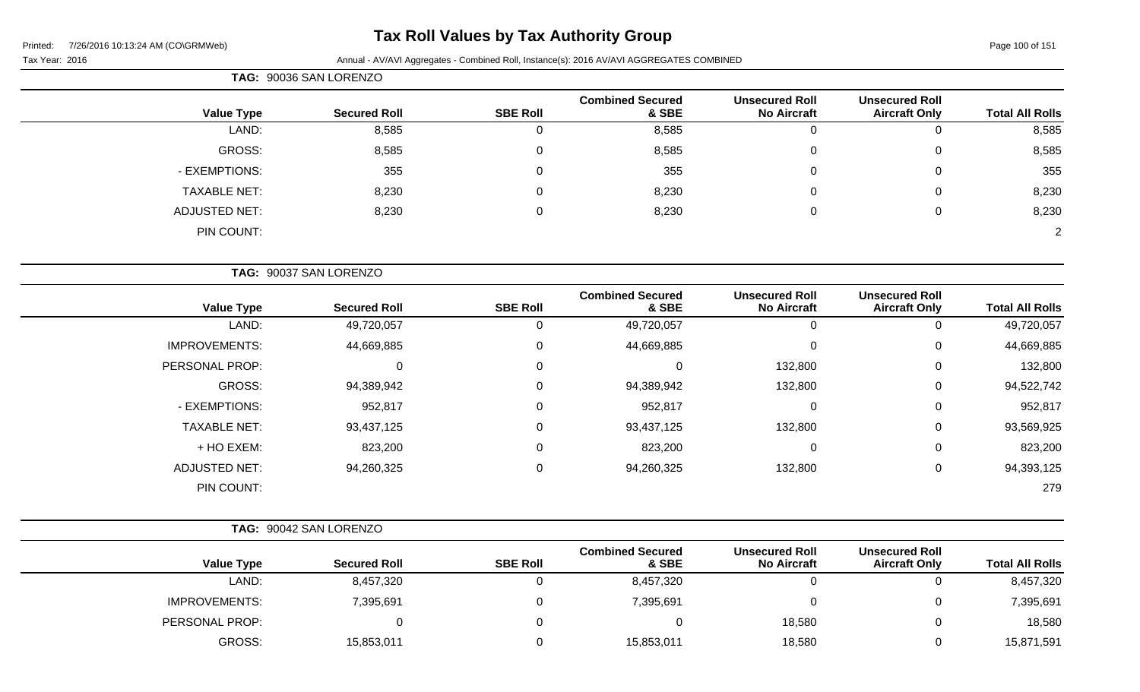# **Tax Roll Values by Tax Authority Group**

Printed: 7/26/2016 10:13:24 AM (CO\GRMWeb)

| Page 100 of 151 |  |  |
|-----------------|--|--|
|                 |  |  |

| <sup>-</sup> ax Year: 2016 |  |
|----------------------------|--|
|                            |  |

|                      | TAG: 90036 SAN LORENZO |                 |                                  |                                             |                                               |                        |
|----------------------|------------------------|-----------------|----------------------------------|---------------------------------------------|-----------------------------------------------|------------------------|
| <b>Value Type</b>    | <b>Secured Roll</b>    | <b>SBE Roll</b> | <b>Combined Secured</b><br>& SBE | <b>Unsecured Roll</b><br><b>No Aircraft</b> | <b>Unsecured Roll</b><br><b>Aircraft Only</b> | <b>Total All Rolls</b> |
| LAND:                | 8,585                  | 0               | 8,585                            | U                                           | 0                                             | 8,585                  |
| GROSS:               | 8,585                  | 0               | 8,585                            | $\mathbf 0$                                 | 0                                             | 8,585                  |
| - EXEMPTIONS:        | 355                    | 0               | 355                              | 0                                           | 0                                             | 355                    |
| <b>TAXABLE NET:</b>  | 8,230                  | 0               | 8,230                            | $\mathbf 0$                                 | 0                                             | 8,230                  |
| <b>ADJUSTED NET:</b> | 8,230                  | 0               | 8,230                            | 0                                           | 0                                             | 8,230                  |
| PIN COUNT:           |                        |                 |                                  |                                             |                                               | $\overline{2}$         |
|                      | TAG: 90037 SAN LORENZO |                 |                                  |                                             |                                               |                        |

| <b>Value Type</b>    | <b>Secured Roll</b> | <b>SBE Roll</b> | <b>Combined Secured</b><br>& SBE | <b>Unsecured Roll</b><br><b>No Aircraft</b> | <b>Unsecured Roll</b><br><b>Aircraft Only</b> | <b>Total All Rolls</b> |
|----------------------|---------------------|-----------------|----------------------------------|---------------------------------------------|-----------------------------------------------|------------------------|
| LAND:                | 49,720,057          | 0               | 49,720,057                       | 0                                           | 0                                             | 49,720,057             |
| <b>IMPROVEMENTS:</b> | 44,669,885          | 0               | 44,669,885                       | 0                                           | 0                                             | 44,669,885             |
| PERSONAL PROP:       | 0                   | 0               | 0                                | 132,800                                     | 0                                             | 132,800                |
| <b>GROSS:</b>        | 94,389,942          | 0               | 94,389,942                       | 132,800                                     | 0                                             | 94,522,742             |
| - EXEMPTIONS:        | 952,817             | 0               | 952,817                          | 0                                           | 0                                             | 952,817                |
| <b>TAXABLE NET:</b>  | 93,437,125          | 0               | 93,437,125                       | 132,800                                     | 0                                             | 93,569,925             |
| + HO EXEM:           | 823,200             | 0               | 823,200                          | 0                                           | 0                                             | 823,200                |
| <b>ADJUSTED NET:</b> | 94,260,325          | 0               | 94,260,325                       | 132,800                                     | 0                                             | 94,393,125             |
| PIN COUNT:           |                     |                 |                                  |                                             |                                               | 279                    |

|                      | TAG: 90042 SAN LORENZO |                 |                                  |                                             |                                               |                        |
|----------------------|------------------------|-----------------|----------------------------------|---------------------------------------------|-----------------------------------------------|------------------------|
| <b>Value Type</b>    | <b>Secured Roll</b>    | <b>SBE Roll</b> | <b>Combined Secured</b><br>& SBE | <b>Unsecured Roll</b><br><b>No Aircraft</b> | <b>Unsecured Roll</b><br><b>Aircraft Only</b> | <b>Total All Rolls</b> |
| LAND:                | 8,457,320              |                 | 8,457,320                        |                                             | $\Omega$                                      | 8,457,320              |
| <b>IMPROVEMENTS:</b> | 7,395,691              |                 | 7,395,691                        |                                             | $\Omega$                                      | 7,395,691              |
| PERSONAL PROP:       |                        |                 | 0                                | 18,580                                      | 0                                             | 18,580                 |
| GROSS:               | 15,853,011             |                 | 15,853,011                       | 18,580                                      | $\overline{0}$                                | 15,871,591             |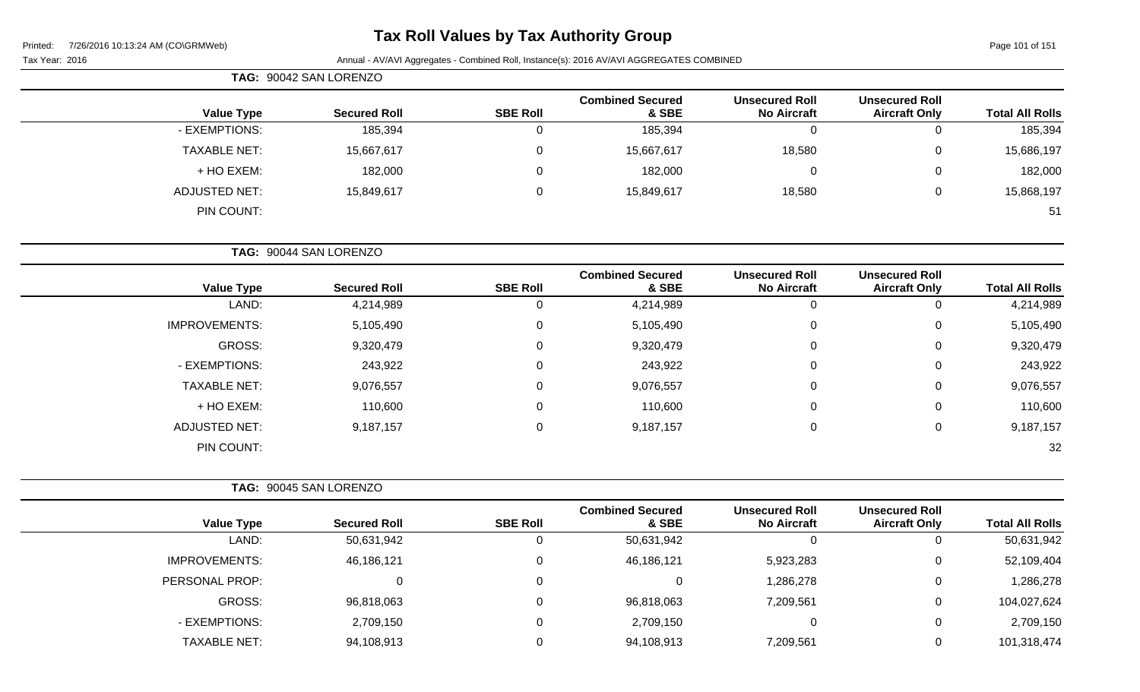# **Tax Roll Values by Tax Authority Group**

Page 101 of 151

|                     | TAG: 90042 SAN LORENZO |                     |                 |                                  |                                             |                                               |                        |
|---------------------|------------------------|---------------------|-----------------|----------------------------------|---------------------------------------------|-----------------------------------------------|------------------------|
| <b>Value Type</b>   |                        | <b>Secured Roll</b> | <b>SBE Roll</b> | <b>Combined Secured</b><br>& SBE | <b>Unsecured Roll</b><br><b>No Aircraft</b> | <b>Unsecured Roll</b><br><b>Aircraft Only</b> | <b>Total All Rolls</b> |
| - EXEMPTIONS:       |                        | 185,394             | υ               | 185,394                          | 0                                           |                                               | 185,394                |
| <b>TAXABLE NET:</b> |                        | 15,667,617          | 0               | 15,667,617                       | 18,580                                      | 0                                             | 15,686,197             |
| + HO EXEM:          |                        | 182,000             | $\Omega$        | 182,000                          | 0                                           |                                               | 182,000                |
| ADJUSTED NET:       |                        | 15,849,617          | 0               | 15,849,617                       | 18,580                                      | 0                                             | 15,868,197             |
| PIN COUNT:          |                        |                     |                 |                                  |                                             |                                               | 51                     |

|                      | TAG: 90044 SAN LORENZO |                 |                                  |                                             |                                               |                        |
|----------------------|------------------------|-----------------|----------------------------------|---------------------------------------------|-----------------------------------------------|------------------------|
| <b>Value Type</b>    | <b>Secured Roll</b>    | <b>SBE Roll</b> | <b>Combined Secured</b><br>& SBE | <b>Unsecured Roll</b><br><b>No Aircraft</b> | <b>Unsecured Roll</b><br><b>Aircraft Only</b> | <b>Total All Rolls</b> |
| LAND:                | 4,214,989              |                 | 4,214,989                        | 0                                           | 0                                             | 4,214,989              |
| <b>IMPROVEMENTS:</b> | 5,105,490              |                 | 5,105,490                        | 0                                           | 0                                             | 5,105,490              |
| <b>GROSS:</b>        | 9,320,479              | 0               | 9,320,479                        | 0                                           | 0                                             | 9,320,479              |
| - EXEMPTIONS:        | 243,922                |                 | 243,922                          | 0                                           | 0                                             | 243,922                |
| <b>TAXABLE NET:</b>  | 9,076,557              | $\Omega$        | 9,076,557                        | $\mathbf 0$                                 | 0                                             | 9,076,557              |
| + HO EXEM:           | 110,600                | $\Omega$        | 110,600                          | 0                                           | 0                                             | 110,600                |
| <b>ADJUSTED NET:</b> | 9,187,157              |                 | 9,187,157                        | $\mathbf 0$                                 | 0                                             | 9,187,157              |
| PIN COUNT:           |                        |                 |                                  |                                             |                                               | 32                     |

|                      | TAG: 90045 SAN LORENZO |                 |                                  |                                             |                                               |                        |
|----------------------|------------------------|-----------------|----------------------------------|---------------------------------------------|-----------------------------------------------|------------------------|
| <b>Value Type</b>    | <b>Secured Roll</b>    | <b>SBE Roll</b> | <b>Combined Secured</b><br>& SBE | <b>Unsecured Roll</b><br><b>No Aircraft</b> | <b>Unsecured Roll</b><br><b>Aircraft Only</b> | <b>Total All Rolls</b> |
| LAND:                | 50,631,942             | υ               | 50,631,942                       |                                             | 0                                             | 50,631,942             |
| <b>IMPROVEMENTS:</b> | 46,186,121             |                 | 46,186,121                       | 5,923,283                                   | 0                                             | 52,109,404             |
| PERSONAL PROP:       |                        |                 | 0                                | 1,286,278                                   | 0                                             | 1,286,278              |
| GROSS:               | 96,818,063             | 0               | 96,818,063                       | 7,209,561                                   | 0                                             | 104,027,624            |
| - EXEMPTIONS:        | 2,709,150              |                 | 2,709,150                        |                                             | 0                                             | 2,709,150              |
| <b>TAXABLE NET:</b>  | 94,108,913             |                 | 94,108,913                       | 7,209,561                                   | 0                                             | 101,318,474            |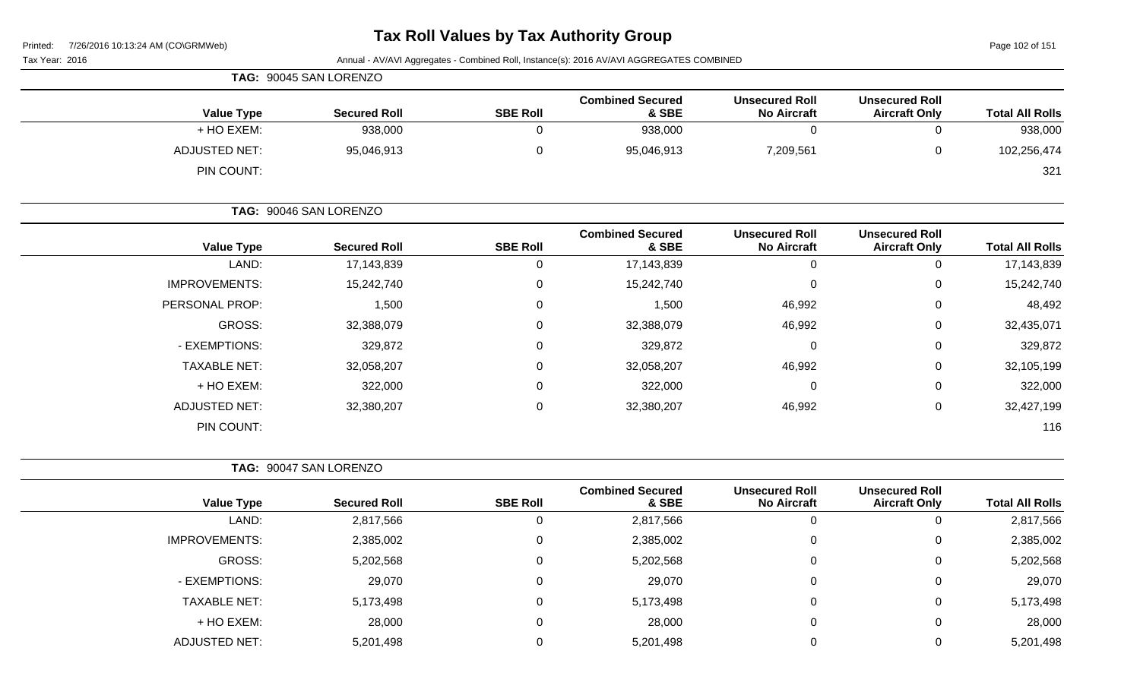Page 102 of 151

| Tax Year: 2016       |                        |                 | Annual - AV/AVI Aggregates - Combined Roll, Instance(s): 2016 AV/AVI AGGREGATES COMBINED |                                             |                                               |                        |
|----------------------|------------------------|-----------------|------------------------------------------------------------------------------------------|---------------------------------------------|-----------------------------------------------|------------------------|
|                      | TAG: 90045 SAN LORENZO |                 |                                                                                          |                                             |                                               |                        |
| <b>Value Type</b>    | <b>Secured Roll</b>    | <b>SBE Roll</b> | <b>Combined Secured</b><br>& SBE                                                         | <b>Unsecured Roll</b><br><b>No Aircraft</b> | <b>Unsecured Roll</b><br><b>Aircraft Only</b> | <b>Total All Rolls</b> |
| + HO EXEM:           | 938,000                | $\mathbf 0$     | 938,000                                                                                  | $\mathbf 0$                                 | 0                                             | 938,000                |
| <b>ADJUSTED NET:</b> | 95,046,913             | $\mathbf 0$     | 95,046,913                                                                               | 7,209,561                                   | 0                                             | 102,256,474            |
| PIN COUNT:           |                        |                 |                                                                                          |                                             |                                               | 321                    |
|                      | TAG: 90046 SAN LORENZO |                 |                                                                                          |                                             |                                               |                        |
| <b>Value Type</b>    | <b>Secured Roll</b>    | <b>SBE Roll</b> | <b>Combined Secured</b><br>& SBE                                                         | <b>Unsecured Roll</b><br><b>No Aircraft</b> | <b>Unsecured Roll</b><br><b>Aircraft Only</b> | <b>Total All Rolls</b> |
| LAND:                | 17,143,839             | $\mathbf 0$     | 17,143,839                                                                               | $\Omega$                                    | 0                                             | 17,143,839             |
| <b>IMPROVEMENTS:</b> | 15,242,740             | 0               | 15,242,740                                                                               | $\Omega$                                    | 0                                             | 15,242,740             |
| PERSONAL PROP:       | 1,500                  | 0               | 1,500                                                                                    | 46,992                                      | 0                                             | 48,492                 |
| GROSS:               | 32,388,079             | 0               | 32,388,079                                                                               | 46,992                                      | 0                                             | 32,435,071             |
| - EXEMPTIONS:        | 329,872                | 0               | 329,872                                                                                  | 0                                           | 0                                             | 329,872                |
| <b>TAXABLE NET:</b>  | 32,058,207             | 0               | 32,058,207                                                                               | 46,992                                      | 0                                             | 32,105,199             |
| + HO EXEM:           | 322,000                | 0               | 322,000                                                                                  | 0                                           | 0                                             | 322,000                |
| <b>ADJUSTED NET:</b> | 32,380,207             | $\mathbf 0$     | 32,380,207                                                                               | 46,992                                      | 0                                             | 32,427,199             |
| PIN COUNT:           |                        |                 |                                                                                          |                                             |                                               | 116                    |
|                      | TAG: 90047 SAN LORENZO |                 |                                                                                          |                                             |                                               |                        |
| <b>Value Type</b>    | <b>Secured Roll</b>    | <b>SBE Roll</b> | <b>Combined Secured</b><br>& SBE                                                         | <b>Unsecured Roll</b><br><b>No Aircraft</b> | <b>Unsecured Roll</b><br><b>Aircraft Only</b> | <b>Total All Rolls</b> |
| LAND:                | 2,817,566              | $\mathbf 0$     | 2,817,566                                                                                | 0                                           | 0                                             | 2,817,566              |
| <b>IMPROVEMENTS:</b> | 2,385,002              | 0               | 2,385,002                                                                                |                                             | 0                                             | 2,385,002              |
| GROSS:               | 5,202,568              | $\mathbf 0$     | 5,202,568                                                                                | $\mathbf 0$                                 | 0                                             | 5,202,568              |
| - EXEMPTIONS:        | 29,070                 | $\mathbf 0$     | 29,070                                                                                   | $\Omega$                                    | 0                                             | 29,070                 |
| <b>TAXABLE NET:</b>  | 5,173,498              | $\pmb{0}$       | 5,173,498                                                                                | 0                                           | 0                                             | 5,173,498              |
| + HO EXEM:           | 28,000                 | $\mathbf 0$     | 28,000                                                                                   | 0                                           | 0                                             | 28,000                 |
| <b>ADJUSTED NET:</b> | 5,201,498              | $\mathbf 0$     | 5,201,498                                                                                | 0                                           | 0                                             | 5,201,498              |
|                      |                        |                 |                                                                                          |                                             |                                               |                        |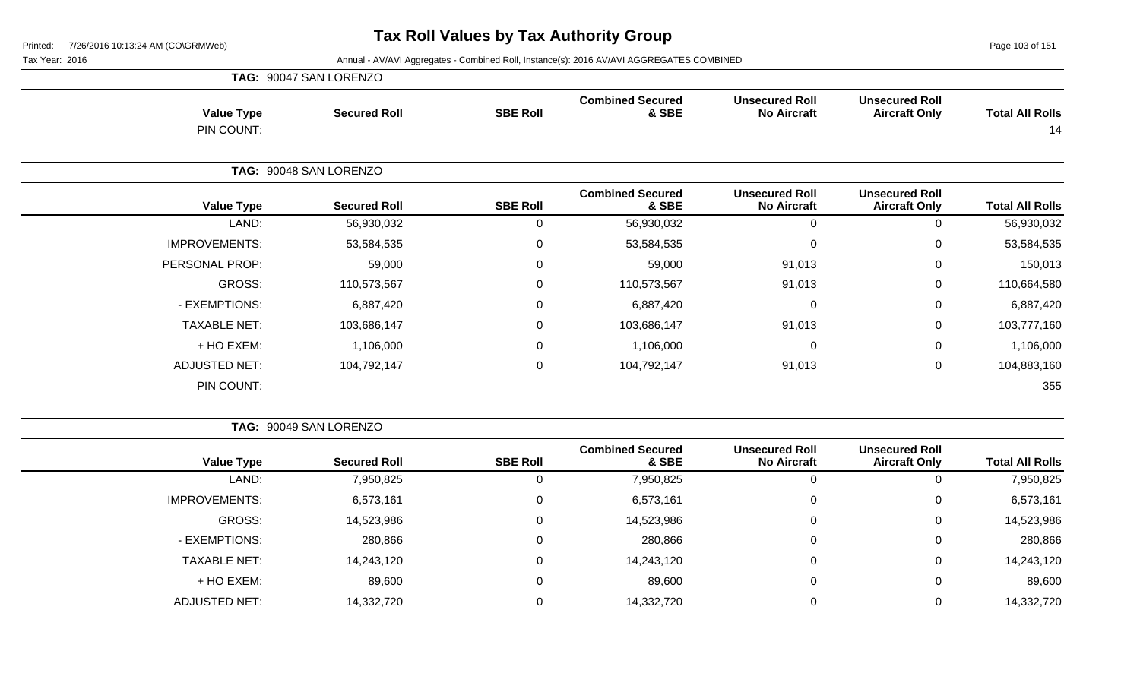Page 103 of 151

|                      | TAG: 90047 SAN LORENZO |                 |                                  |                                             |                                               |                        |
|----------------------|------------------------|-----------------|----------------------------------|---------------------------------------------|-----------------------------------------------|------------------------|
| <b>Value Type</b>    | <b>Secured Roll</b>    | <b>SBE Roll</b> | <b>Combined Secured</b><br>& SBE | <b>Unsecured Roll</b><br><b>No Aircraft</b> | <b>Unsecured Roll</b><br><b>Aircraft Only</b> | <b>Total All Rolls</b> |
| PIN COUNT:           |                        |                 |                                  |                                             |                                               | 14                     |
|                      | TAG: 90048 SAN LORENZO |                 |                                  |                                             |                                               |                        |
| <b>Value Type</b>    | <b>Secured Roll</b>    | <b>SBE Roll</b> | <b>Combined Secured</b><br>& SBE | <b>Unsecured Roll</b><br><b>No Aircraft</b> | <b>Unsecured Roll</b><br><b>Aircraft Only</b> | <b>Total All Rolls</b> |
| LAND:                | 56,930,032             | 0               | 56,930,032                       | $\mathbf 0$                                 | 0                                             | 56,930,032             |
| <b>IMPROVEMENTS:</b> | 53,584,535             | $\mathbf 0$     | 53,584,535                       | $\mathbf 0$                                 | 0                                             | 53,584,535             |
| PERSONAL PROP:       | 59,000                 | 0               | 59,000                           | 91,013                                      | $\mathbf 0$                                   | 150,013                |
| GROSS:               | 110,573,567            | $\mathbf 0$     | 110,573,567                      | 91,013                                      | $\mathbf 0$                                   | 110,664,580            |
| - EXEMPTIONS:        | 6,887,420              | 0               | 6,887,420                        | $\overline{0}$                              | $\mathbf 0$                                   | 6,887,420              |
| <b>TAXABLE NET:</b>  | 103,686,147            | $\mathbf 0$     | 103,686,147                      | 91,013                                      | $\mathsf 0$                                   | 103,777,160            |
| + HO EXEM:           | 1,106,000              | $\mathbf 0$     | 1,106,000                        | $\mathbf 0$                                 | 0                                             | 1,106,000              |
| <b>ADJUSTED NET:</b> | 104,792,147            | $\mathbf 0$     | 104,792,147                      | 91,013                                      | $\mathbf 0$                                   | 104,883,160            |
| PIN COUNT:           |                        |                 |                                  |                                             |                                               | 355                    |

|                        |                                               |                                             |                                  |                 | TAG: 90049 SAN LORENZO |                      |
|------------------------|-----------------------------------------------|---------------------------------------------|----------------------------------|-----------------|------------------------|----------------------|
| <b>Total All Rolls</b> | <b>Unsecured Roll</b><br><b>Aircraft Only</b> | <b>Unsecured Roll</b><br><b>No Aircraft</b> | <b>Combined Secured</b><br>& SBE | <b>SBE Roll</b> | <b>Secured Roll</b>    | <b>Value Type</b>    |
| 7,950,825              | 0                                             | 0                                           | 7,950,825                        |                 | 7,950,825              | LAND:                |
| 6,573,161              | 0                                             | 0                                           | 6,573,161                        | 0               | 6,573,161              | <b>IMPROVEMENTS:</b> |
| 14,523,986             | 0                                             | 0                                           | 14,523,986                       | 0               | 14,523,986             | GROSS:               |
| 280,866                | 0                                             | 0                                           | 280,866                          | 0               | 280,866                | - EXEMPTIONS:        |
| 14,243,120             | 0                                             | 0                                           | 14,243,120                       | $\Omega$        | 14,243,120             | <b>TAXABLE NET:</b>  |
| 89,600                 | 0                                             | 0                                           | 89,600                           | 0               | 89,600                 | + HO EXEM:           |
| 14,332,720             | 0                                             | 0                                           | 14,332,720                       |                 | 14,332,720             | <b>ADJUSTED NET:</b> |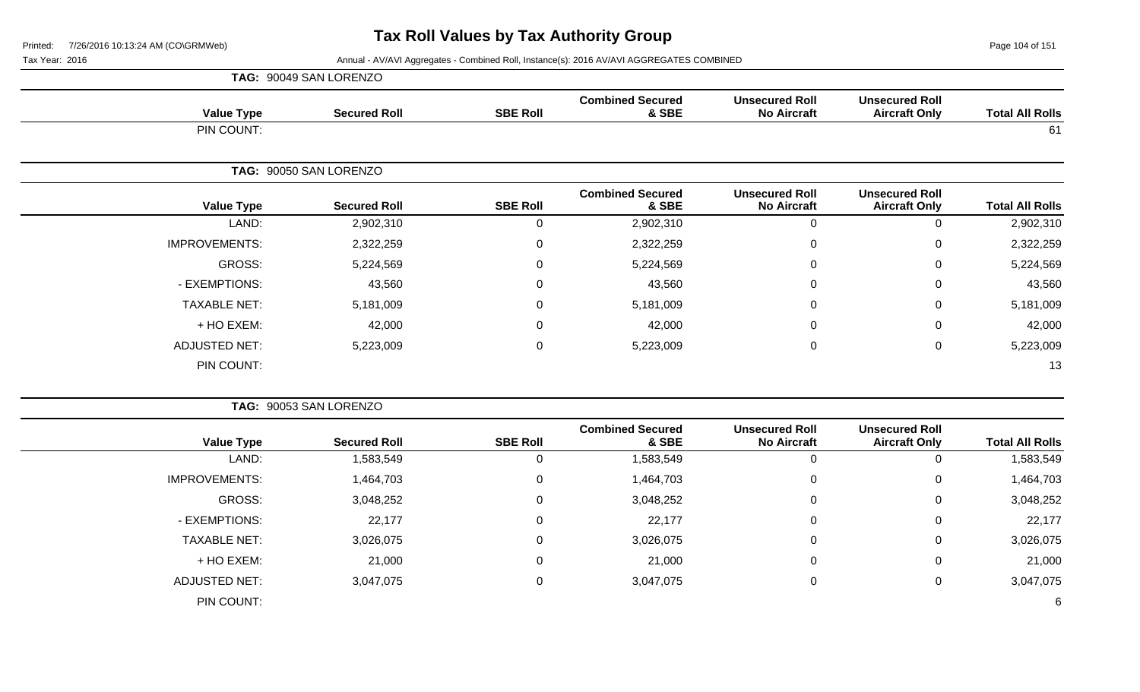Page 104 of 151

| <b>Total All Rolls</b> | <b>Unsecured Roll</b><br><b>Aircraft Only</b> | <b>Unsecured Roll</b><br><b>No Aircraft</b> | <b>Combined Secured</b><br>& SBE | <b>SBE Roll</b> | <b>Secured Roll</b> | <b>Value Type</b>    |
|------------------------|-----------------------------------------------|---------------------------------------------|----------------------------------|-----------------|---------------------|----------------------|
| 61                     |                                               |                                             |                                  |                 |                     | PIN COUNT:           |
|                        | TAG: 90050 SAN LORENZO                        |                                             |                                  |                 |                     |                      |
| <b>Total All Rolls</b> | <b>Unsecured Roll</b><br><b>Aircraft Only</b> | <b>Unsecured Roll</b><br><b>No Aircraft</b> | <b>Combined Secured</b><br>& SBE | <b>SBE Roll</b> | <b>Secured Roll</b> | <b>Value Type</b>    |
| 2,902,310              | 0                                             | $\mathbf 0$                                 | 2,902,310                        | 0               | 2,902,310           | LAND:                |
| 2,322,259              | 0                                             | $\mathbf 0$                                 | 2,322,259                        | $\mathbf 0$     | 2,322,259           | <b>IMPROVEMENTS:</b> |
| 5,224,569              | 0                                             | $\mathbf 0$                                 | 5,224,569                        | 0               | 5,224,569           | GROSS:               |
| 43,560                 | 0                                             | $\mathbf 0$                                 | 43,560                           | $\mathbf 0$     | 43,560              | - EXEMPTIONS:        |
| 5,181,009              | 0                                             | $\mathbf 0$                                 | 5,181,009                        | $\mathbf 0$     | 5,181,009           | <b>TAXABLE NET:</b>  |
| 42,000                 | 0                                             | $\mathbf 0$                                 | 42,000                           | $\mathbf 0$     | 42,000              | + HO EXEM:           |
| 5,223,009              | 0                                             | $\mathbf 0$                                 | 5,223,009                        | $\mathbf 0$     | 5,223,009           | <b>ADJUSTED NET:</b> |
| 13                     |                                               |                                             |                                  |                 |                     | PIN COUNT:           |

| <b>Value Type</b>    | <b>Secured Roll</b> | <b>SBE Roll</b> | <b>Combined Secured</b><br>& SBE | <b>Unsecured Roll</b><br><b>No Aircraft</b> | <b>Unsecured Roll</b><br><b>Aircraft Only</b> | <b>Total All Rolls</b> |
|----------------------|---------------------|-----------------|----------------------------------|---------------------------------------------|-----------------------------------------------|------------------------|
|                      |                     |                 |                                  |                                             |                                               |                        |
| LAND:                | 1,583,549           | 0               | 1,583,549                        | 0                                           |                                               | 1,583,549              |
| <b>IMPROVEMENTS:</b> | 1,464,703           | 0               | 1,464,703                        | 0                                           | 0                                             | 1,464,703              |
| GROSS:               | 3,048,252           | 0               | 3,048,252                        | 0                                           | 0                                             | 3,048,252              |
| - EXEMPTIONS:        | 22,177              | $\Omega$        | 22,177                           | $\mathbf 0$                                 | 0                                             | 22,177                 |
| <b>TAXABLE NET:</b>  | 3,026,075           | $\Omega$        | 3,026,075                        | $\mathbf 0$                                 | 0                                             | 3,026,075              |
| + HO EXEM:           | 21,000              | 0               | 21,000                           | 0                                           | 0                                             | 21,000                 |
| <b>ADJUSTED NET:</b> | 3,047,075           | 0               | 3,047,075                        | 0                                           | 0                                             | 3,047,075              |
| PIN COUNT:           |                     |                 |                                  |                                             |                                               | 6                      |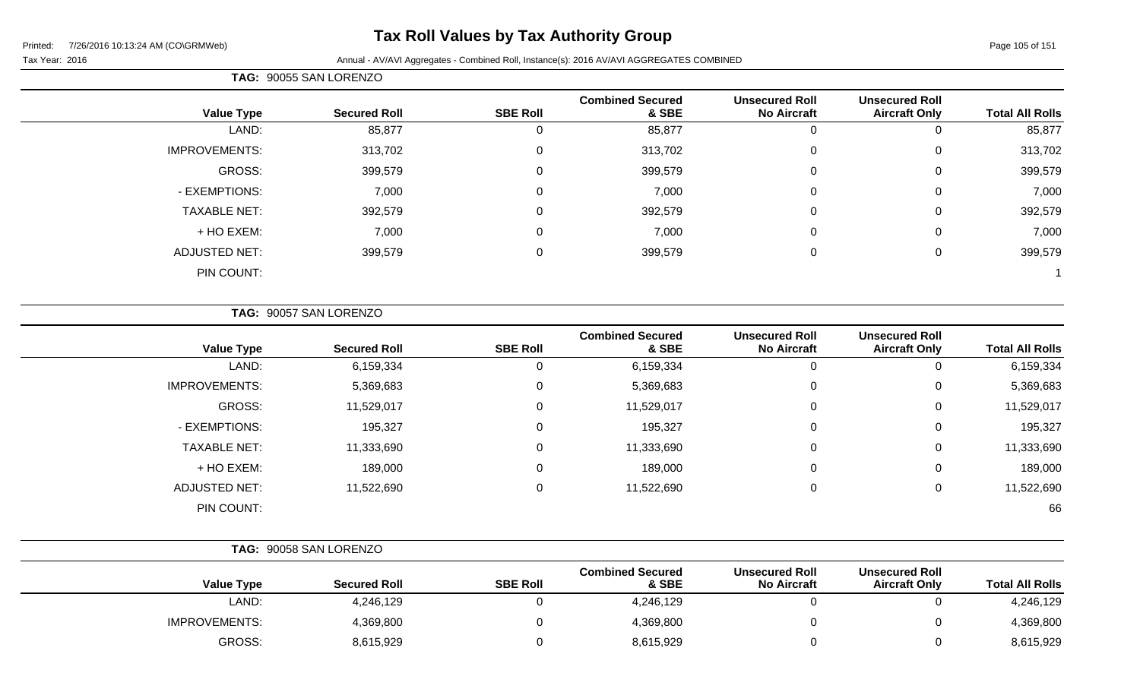# **Tax Roll Values by Tax Authority Group**

Printed: 7/26/2016 10:13:24 AM (CO\GRMWeb)

#### Page 105 of 151

#### Tax Year: 2016 **Annual - AV/AVI Aggregates - Combined Roll**, Instance(s): 2016 AV/AVI AGGREGATES COMBINED

| <b>Total All Rolls</b> | <b>Unsecured Roll</b><br><b>Aircraft Only</b> | <b>Unsecured Roll</b><br><b>No Aircraft</b> | <b>Combined Secured</b><br>& SBE | <b>SBE Roll</b> | <b>Secured Roll</b> | <b>Value Type</b>    |
|------------------------|-----------------------------------------------|---------------------------------------------|----------------------------------|-----------------|---------------------|----------------------|
| 85,877                 |                                               | 0                                           | 85,877                           | 0               | 85,877              | LAND:                |
| 313,702                | 0                                             | $\overline{0}$                              | 313,702                          | 0               | 313,702             | <b>IMPROVEMENTS:</b> |
| 399,579                | 0                                             | $\mathbf 0$                                 | 399,579                          | 0               | 399,579             | GROSS:               |
| 7,000                  | $\mathbf 0$                                   | 0                                           | 7,000                            | $\mathbf 0$     | 7,000               | - EXEMPTIONS:        |
| 392,579                | 0                                             | $\overline{0}$                              | 392,579                          | $\mathbf 0$     | 392,579             | <b>TAXABLE NET:</b>  |
| 7,000                  | 0                                             | $\mathbf 0$                                 | 7,000                            | 0               | 7,000               | + HO EXEM:           |
| 399,579                | 0                                             | $\mathbf 0$                                 | 399,579                          | $\mathbf 0$     | 399,579             | <b>ADJUSTED NET:</b> |
|                        |                                               |                                             |                                  |                 |                     | PIN COUNT:           |

### **TAG:** 90057 SAN LORENZO

**TAG:** 90055 SAN LORENZO

| <b>Secured Roll</b> | <b>SBE Roll</b> | <b>Combined Secured</b><br>& SBE | <b>Unsecured Roll</b><br><b>No Aircraft</b> | <b>Unsecured Roll</b><br><b>Aircraft Only</b> | <b>Total All Rolls</b> |
|---------------------|-----------------|----------------------------------|---------------------------------------------|-----------------------------------------------|------------------------|
| 6,159,334           | U               | 6,159,334                        | U                                           | 0                                             | 6,159,334              |
| 5,369,683           | 0               | 5,369,683                        | $\Omega$                                    | 0                                             | 5,369,683              |
| 11,529,017          | 0               | 11,529,017                       | $\Omega$                                    | 0                                             | 11,529,017             |
| 195,327             | 0               | 195,327                          | 0                                           | 0                                             | 195,327                |
| 11,333,690          | 0               | 11,333,690                       | $\Omega$                                    | 0                                             | 11,333,690             |
| 189,000             | 0               | 189,000                          | $\mathbf{0}$                                | 0                                             | 189,000                |
| 11,522,690          | 0               | 11,522,690                       | $\Omega$                                    | 0                                             | 11,522,690             |
|                     |                 |                                  |                                             |                                               | 66                     |
|                     |                 |                                  |                                             |                                               |                        |

|                      | TAG: 90058 SAN LORENZO |                 |                                  |                                             |                                               |                        |
|----------------------|------------------------|-----------------|----------------------------------|---------------------------------------------|-----------------------------------------------|------------------------|
| <b>Value Type</b>    | <b>Secured Roll</b>    | <b>SBE Roll</b> | <b>Combined Secured</b><br>& SBE | <b>Unsecured Roll</b><br><b>No Aircraft</b> | <b>Unsecured Roll</b><br><b>Aircraft Only</b> | <b>Total All Rolls</b> |
| LAND:                | 4,246,129              |                 | 4,246,129                        |                                             |                                               | 4,246,129              |
| <b>IMPROVEMENTS:</b> | 4,369,800              |                 | 4,369,800                        |                                             |                                               | 4,369,800              |
| GROSS:               | 8,615,929              |                 | 8,615,929                        |                                             |                                               | 8,615,929              |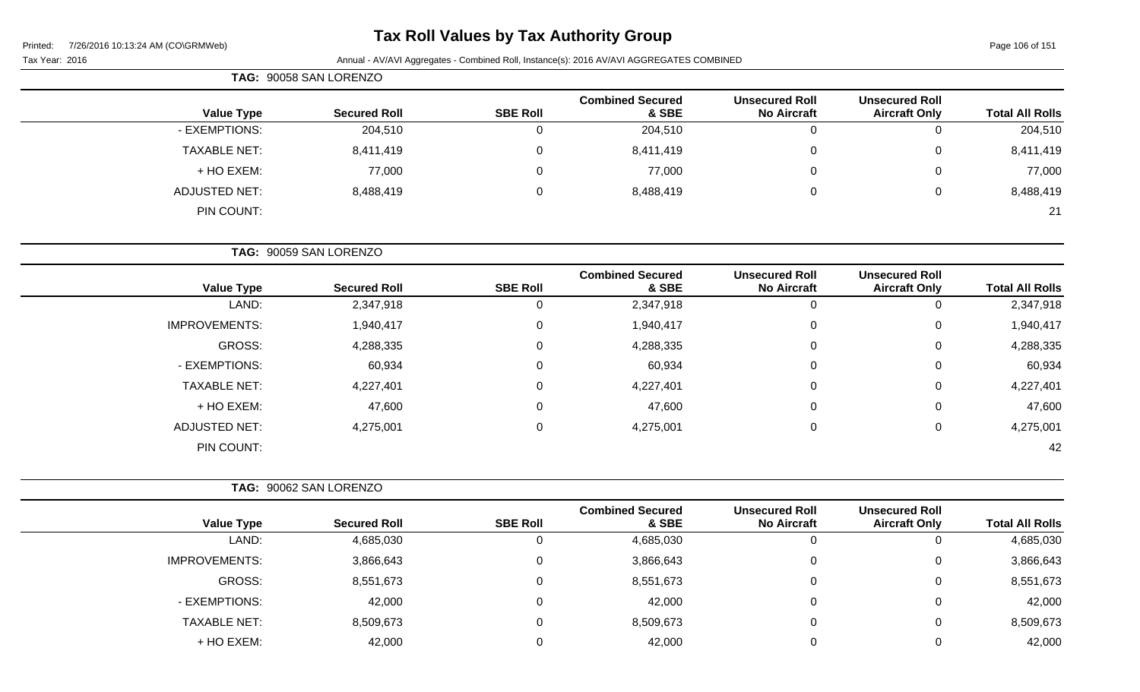# **Tax Roll Values by Tax Authority Group**

Page 106 of 151

|                     | TAG: 90058 SAN LORENZO |                 |                                  |                                             |                                               |                        |
|---------------------|------------------------|-----------------|----------------------------------|---------------------------------------------|-----------------------------------------------|------------------------|
| <b>Value Type</b>   | <b>Secured Roll</b>    | <b>SBE Roll</b> | <b>Combined Secured</b><br>& SBE | <b>Unsecured Roll</b><br><b>No Aircraft</b> | <b>Unsecured Roll</b><br><b>Aircraft Only</b> | <b>Total All Rolls</b> |
| - EXEMPTIONS:       | 204,510                |                 | 204,510                          | 0                                           |                                               | 204,510                |
| <b>TAXABLE NET:</b> | 8,411,419              | 0               | 8,411,419                        | 0                                           | 0                                             | 8,411,419              |
| + HO EXEM:          | 77,000                 | 0               | 77,000                           | 0                                           | 0                                             | 77,000                 |
| ADJUSTED NET:       | 8,488,419              | 0               | 8,488,419                        | 0                                           | 0                                             | 8,488,419              |
| PIN COUNT:          |                        |                 |                                  |                                             |                                               | 21                     |

|                      | TAG: 90059 SAN LORENZO |                 |                                  |                                             |                                               |                        |
|----------------------|------------------------|-----------------|----------------------------------|---------------------------------------------|-----------------------------------------------|------------------------|
| <b>Value Type</b>    | <b>Secured Roll</b>    | <b>SBE Roll</b> | <b>Combined Secured</b><br>& SBE | <b>Unsecured Roll</b><br><b>No Aircraft</b> | <b>Unsecured Roll</b><br><b>Aircraft Only</b> | <b>Total All Rolls</b> |
| LAND:                | 2,347,918              | υ               | 2,347,918                        |                                             | 0                                             | 2,347,918              |
| <b>IMPROVEMENTS:</b> | 1,940,417              | 0               | 1,940,417                        | $\Omega$                                    | 0                                             | 1,940,417              |
| GROSS:               | 4,288,335              | $\Omega$        | 4,288,335                        | $\mathbf 0$                                 | 0                                             | 4,288,335              |
| - EXEMPTIONS:        | 60,934                 | 0               | 60,934                           | $\Omega$                                    | 0                                             | 60,934                 |
| <b>TAXABLE NET:</b>  | 4,227,401              | $\Omega$        | 4,227,401                        | $\Omega$                                    | 0                                             | 4,227,401              |
| + HO EXEM:           | 47,600                 | $\Omega$        | 47,600                           | $\Omega$                                    | $\mathbf 0$                                   | 47,600                 |
| <b>ADJUSTED NET:</b> | 4,275,001              | 0               | 4,275,001                        | 0                                           | 0                                             | 4,275,001              |
| PIN COUNT:           |                        |                 |                                  |                                             |                                               | 42                     |

|                      | TAG: 90062 SAN LORENZO |                 |                                  |                                             |                                               |                        |
|----------------------|------------------------|-----------------|----------------------------------|---------------------------------------------|-----------------------------------------------|------------------------|
| <b>Value Type</b>    | <b>Secured Roll</b>    | <b>SBE Roll</b> | <b>Combined Secured</b><br>& SBE | <b>Unsecured Roll</b><br><b>No Aircraft</b> | <b>Unsecured Roll</b><br><b>Aircraft Only</b> | <b>Total All Rolls</b> |
| LAND:                | 4,685,030              |                 | 4,685,030                        |                                             | 0                                             | 4,685,030              |
| <b>IMPROVEMENTS:</b> | 3,866,643              |                 | 3,866,643                        |                                             | 0                                             | 3,866,643              |
| GROSS:               | 8,551,673              |                 | 8,551,673                        | 0                                           | 0                                             | 8,551,673              |
| - EXEMPTIONS:        | 42,000                 |                 | 42,000                           |                                             | 0                                             | 42,000                 |
| <b>TAXABLE NET:</b>  | 8,509,673              |                 | 8,509,673                        |                                             | 0                                             | 8,509,673              |
| + HO EXEM:           | 42,000                 |                 | 42,000                           |                                             | 0                                             | 42,000                 |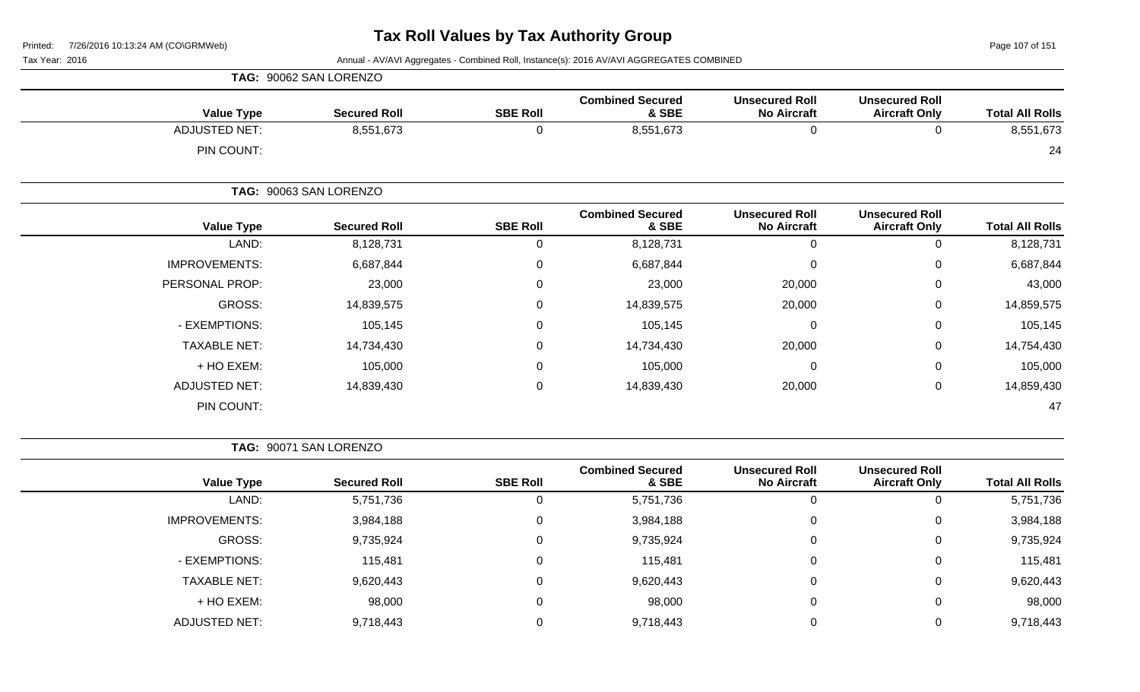Page 107 of 151

Tax Year: 2016 **Annual - AV/AVI Aggregates - Combined Roll**, Instance(s): 2016 AV/AVI AGGREGATES COMBINED

|                      | TAG: 90062 SAN LORENZO |                 |                                  |                                             |                                               |                        |
|----------------------|------------------------|-----------------|----------------------------------|---------------------------------------------|-----------------------------------------------|------------------------|
| <b>Value Type</b>    | <b>Secured Roll</b>    | <b>SBE Roll</b> | <b>Combined Secured</b><br>& SBE | <b>Unsecured Roll</b><br><b>No Aircraft</b> | <b>Unsecured Roll</b><br><b>Aircraft Only</b> | <b>Total All Rolls</b> |
| <b>ADJUSTED NET:</b> | 8,551,673              | 0               | 8,551,673                        | 0                                           | 0                                             | 8,551,673              |
| PIN COUNT:           |                        |                 |                                  |                                             |                                               | 24                     |
|                      | TAG: 90063 SAN LORENZO |                 |                                  |                                             |                                               |                        |
| <b>Value Type</b>    | <b>Secured Roll</b>    | <b>SBE Roll</b> | <b>Combined Secured</b><br>& SBE | <b>Unsecured Roll</b><br><b>No Aircraft</b> | <b>Unsecured Roll</b><br><b>Aircraft Only</b> | <b>Total All Rolls</b> |
| LAND:                | 8,128,731              | 0               | 8,128,731                        | $\mathbf 0$                                 | $\mathbf 0$                                   | 8,128,731              |
| <b>IMPROVEMENTS:</b> | 6,687,844              | 0               | 6,687,844                        | 0                                           | $\mathbf 0$                                   | 6,687,844              |
| PERSONAL PROP:       | 23,000                 | 0               | 23,000                           | 20,000                                      | $\mathbf 0$                                   | 43,000                 |
| GROSS:               | 14,839,575             | 0               | 14,839,575                       | 20,000                                      | $\mathbf 0$                                   | 14,859,575             |
| - EXEMPTIONS:        | 105,145                | 0               | 105,145                          | 0                                           | $\mathbf 0$                                   | 105,145                |
| <b>TAXABLE NET:</b>  | 14,734,430             | 0               | 14,734,430                       | 20,000                                      | $\mathbf 0$                                   | 14,754,430             |
| + HO EXEM:           | 105,000                | 0               | 105,000                          | 0                                           | $\mathbf 0$                                   | 105,000                |
| <b>ADJUSTED NET:</b> | 14,839,430             | 0               | 14,839,430                       | 20,000                                      | $\mathbf 0$                                   | 14,859,430             |
| PIN COUNT:           |                        |                 |                                  |                                             |                                               | 47                     |

**TAG:** 90071 SAN LORENZO

| <b>Total All Rolls</b> | <b>Unsecured Roll</b><br><b>Aircraft Only</b> | <b>Unsecured Roll</b><br><b>No Aircraft</b> | <b>Combined Secured</b><br>& SBE | <b>SBE Roll</b> | <b>Secured Roll</b> | <b>Value Type</b>    |
|------------------------|-----------------------------------------------|---------------------------------------------|----------------------------------|-----------------|---------------------|----------------------|
| 5,751,736              | 0                                             |                                             | 5,751,736                        | 0               | 5,751,736           | LAND:                |
| 3,984,188              | 0                                             |                                             | 3,984,188                        | $\mathbf 0$     | 3,984,188           | <b>IMPROVEMENTS:</b> |
| 9,735,924              | 0                                             | 0                                           | 9,735,924                        | 0               | 9,735,924           | GROSS:               |
| 115,481                | 0                                             | $\Omega$                                    | 115,481                          | 0               | 115,481             | - EXEMPTIONS:        |
| 9,620,443              | $\mathbf 0$                                   | $\Omega$                                    | 9,620,443                        | $\Omega$        | 9,620,443           | <b>TAXABLE NET:</b>  |
| 98,000                 | $\overline{0}$                                | $\Omega$                                    | 98,000                           | $\mathbf{0}$    | 98,000              | + HO EXEM:           |
| 9,718,443              | 0                                             |                                             | 9,718,443                        | $\Omega$        | 9,718,443           | <b>ADJUSTED NET:</b> |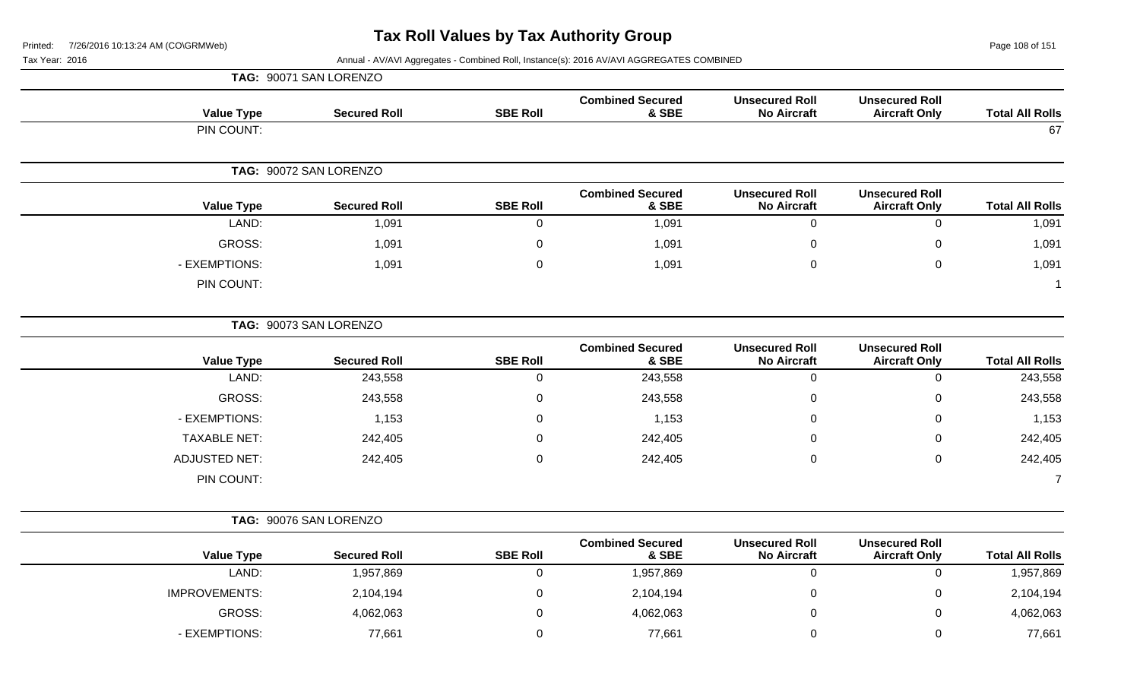Page 108 of 151

Tax Year: 2016 Annual - AV/AVI Aggregates - Combined Roll, Instance(s): 2016 AV/AVI AGGREGATES COMBINED

|                        |                                               |                                             |                                  |                 | TAG: 90071 SAN LORENZO |                      |  |
|------------------------|-----------------------------------------------|---------------------------------------------|----------------------------------|-----------------|------------------------|----------------------|--|
| <b>Total All Rolls</b> | <b>Unsecured Roll</b><br><b>Aircraft Only</b> | <b>Unsecured Roll</b><br><b>No Aircraft</b> | <b>Combined Secured</b><br>& SBE | <b>SBE Roll</b> | <b>Secured Roll</b>    | <b>Value Type</b>    |  |
| 67                     |                                               |                                             |                                  |                 |                        | PIN COUNT:           |  |
|                        | TAG: 90072 SAN LORENZO                        |                                             |                                  |                 |                        |                      |  |
| <b>Total All Rolls</b> | <b>Unsecured Roll</b><br><b>Aircraft Only</b> | <b>Unsecured Roll</b><br><b>No Aircraft</b> | <b>Combined Secured</b><br>& SBE | <b>SBE Roll</b> | <b>Secured Roll</b>    | <b>Value Type</b>    |  |
| 1,091                  | $\mathbf 0$                                   | $\mathbf 0$                                 | 1,091                            | 0               | 1,091                  | LAND:                |  |
| 1,091                  | 0                                             | $\Omega$                                    | 1,091                            | 0               | 1,091                  | GROSS:               |  |
| 1,091                  | $\mathbf 0$                                   | $\mathbf 0$                                 | 1,091                            | $\Omega$        | 1,091                  | - EXEMPTIONS:        |  |
|                        |                                               |                                             |                                  |                 |                        | PIN COUNT:           |  |
|                        |                                               |                                             |                                  |                 | TAG: 90073 SAN LORENZO |                      |  |
| <b>Total All Rolls</b> | <b>Unsecured Roll</b><br><b>Aircraft Only</b> | <b>Unsecured Roll</b><br><b>No Aircraft</b> | <b>Combined Secured</b><br>& SBE | <b>SBE Roll</b> | <b>Secured Roll</b>    | <b>Value Type</b>    |  |
| 243,558                | $\mathbf 0$                                   | $\mathbf 0$                                 | 243,558                          | $\mathbf 0$     | 243,558                | LAND:                |  |
| 243,558                | 0                                             | 0                                           | 243,558                          | $\mathsf 0$     | 243,558                | <b>GROSS:</b>        |  |
| 1,153                  | 0                                             | 0                                           | 1,153                            | $\mathbf 0$     | 1,153                  | - EXEMPTIONS:        |  |
| 242,405                | 0                                             | 0                                           | 242,405                          | 0               | 242,405                | <b>TAXABLE NET:</b>  |  |
| 242,405                | 0                                             | $\mathbf 0$                                 | 242,405                          | 0               | 242,405                | <b>ADJUSTED NET:</b> |  |
| $\overline{7}$         |                                               |                                             |                                  |                 |                        | PIN COUNT:           |  |
|                        | TAG: 90076 SAN LORENZO                        |                                             |                                  |                 |                        |                      |  |
| <b>Total All Rolls</b> | <b>Unsecured Roll</b><br><b>Aircraft Only</b> | <b>Unsecured Roll</b><br><b>No Aircraft</b> | <b>Combined Secured</b><br>& SBE | <b>SBE Roll</b> | <b>Secured Roll</b>    | <b>Value Type</b>    |  |

LAND: 1,957,869 0 1,957,869 0 0 1,957,869

GROSS: 4,062,063 0 4,062,063 0 0 4,062,063

IMPROVEMENTS: 2,104,194 0 2,104,194 0 2,104,194 0 2,104,194 0 2,104,194

- EXEMPTIONS: 77,661 0 77,661 0 0 77,661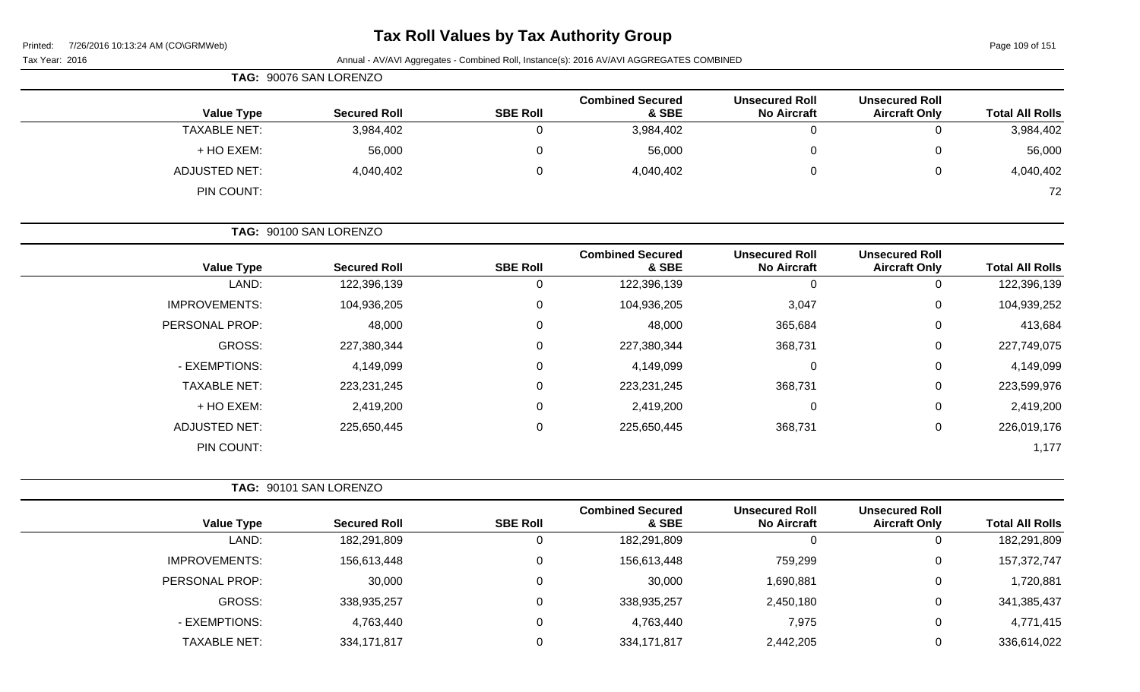# **Tax Roll Values by Tax Authority Group**

Page 109 of 151

| 1/20/2010101012277101100001011010001<br>Tax Year: 2016 |                        |                 | Annual - AV/AVI Aggregates - Combined Roll, Instance(s): 2016 AV/AVI AGGREGATES COMBINED |                                             |                                               | i ayo 100 01 101       |
|--------------------------------------------------------|------------------------|-----------------|------------------------------------------------------------------------------------------|---------------------------------------------|-----------------------------------------------|------------------------|
|                                                        | TAG: 90076 SAN LORENZO |                 |                                                                                          |                                             |                                               |                        |
| <b>Value Type</b>                                      | <b>Secured Roll</b>    | <b>SBE Roll</b> | <b>Combined Secured</b><br>& SBE                                                         | <b>Unsecured Roll</b><br><b>No Aircraft</b> | <b>Unsecured Roll</b><br><b>Aircraft Only</b> | <b>Total All Rolls</b> |
| <b>TAXABLE NET:</b>                                    | 3,984,402              | 0               | 3,984,402                                                                                | $\overline{0}$                              | $\mathbf 0$                                   | 3,984,402              |
| + HO EXEM:                                             | 56,000                 | 0               | 56,000                                                                                   | 0                                           | $\mathbf 0$                                   | 56,000                 |
| <b>ADJUSTED NET:</b>                                   | 4,040,402              | $\Omega$        | 4,040,402                                                                                | $\pmb{0}$                                   | $\mathbf 0$                                   | 4,040,402              |
| PIN COUNT:                                             |                        |                 |                                                                                          |                                             |                                               | 72                     |
|                                                        | TAG: 90100 SAN LORENZO |                 |                                                                                          |                                             |                                               |                        |
| <b>Value Type</b>                                      | <b>Secured Roll</b>    | <b>SBE Roll</b> | <b>Combined Secured</b><br>& SBE                                                         | <b>Unsecured Roll</b><br><b>No Aircraft</b> | <b>Unsecured Roll</b><br><b>Aircraft Only</b> | <b>Total All Rolls</b> |
| LAND:                                                  | 122,396,139            | $\pmb{0}$       | 122,396,139                                                                              | $\mathbf 0$                                 | $\mathbf 0$                                   | 122,396,139            |
| <b>IMPROVEMENTS:</b>                                   | 104,936,205            | $\pmb{0}$       | 104,936,205                                                                              | 3,047                                       | $\mathbf 0$                                   | 104,939,252            |
| PERSONAL PROP:                                         | 48,000                 | 0               | 48,000                                                                                   | 365,684                                     | $\mathbf 0$                                   | 413,684                |
| <b>GROSS:</b>                                          | 227,380,344            | 0               | 227,380,344                                                                              | 368,731                                     | $\mathbf 0$                                   | 227,749,075            |
| - EXEMPTIONS:                                          | 4,149,099              | 0               | 4,149,099                                                                                | $\pmb{0}$                                   | $\mathbf 0$                                   | 4,149,099              |
| <b>TAXABLE NET:</b>                                    | 223,231,245            | 0               | 223, 231, 245                                                                            | 368,731                                     | $\mathbf 0$                                   | 223,599,976            |
| + HO EXEM:                                             | 2,419,200              | 0               | 2,419,200                                                                                | $\pmb{0}$                                   | $\mathbf 0$                                   | 2,419,200              |
| <b>ADJUSTED NET:</b>                                   | 225,650,445            | 0               | 225,650,445                                                                              | 368,731                                     | $\mathbf 0$                                   | 226,019,176            |
| PIN COUNT:                                             |                        |                 |                                                                                          |                                             |                                               | 1,177                  |
|                                                        | TAG: 90101 SAN LORENZO |                 |                                                                                          |                                             |                                               |                        |
| <b>Value Type</b>                                      | <b>Secured Roll</b>    | <b>SBE Roll</b> | <b>Combined Secured</b><br>& SBE                                                         | <b>Unsecured Roll</b><br><b>No Aircraft</b> | <b>Unsecured Roll</b><br><b>Aircraft Only</b> | <b>Total All Rolls</b> |
| LAND:                                                  | 182,291,809            | $\pmb{0}$       | 182,291,809                                                                              | $\mathbf 0$                                 | $\mathbf 0$                                   | 182,291,809            |
| <b>IMPROVEMENTS:</b>                                   | 156,613,448            | 0               | 156,613,448                                                                              | 759,299                                     | 0                                             | 157,372,747            |
| PERSONAL PROP:                                         | 30,000                 | 0               | 30,000                                                                                   | 1,690,881                                   | 0                                             | 1,720,881              |

GROSS: 338,935,257 0 338,935,257 2,450,180 0 341,385,437

- EXEMPTIONS: 4,763,440 0 4,763,440 7,975 0 4,771,415 TAXABLE NET: 334,171,817 0 334,171,817 2,442,205 0 336,614,022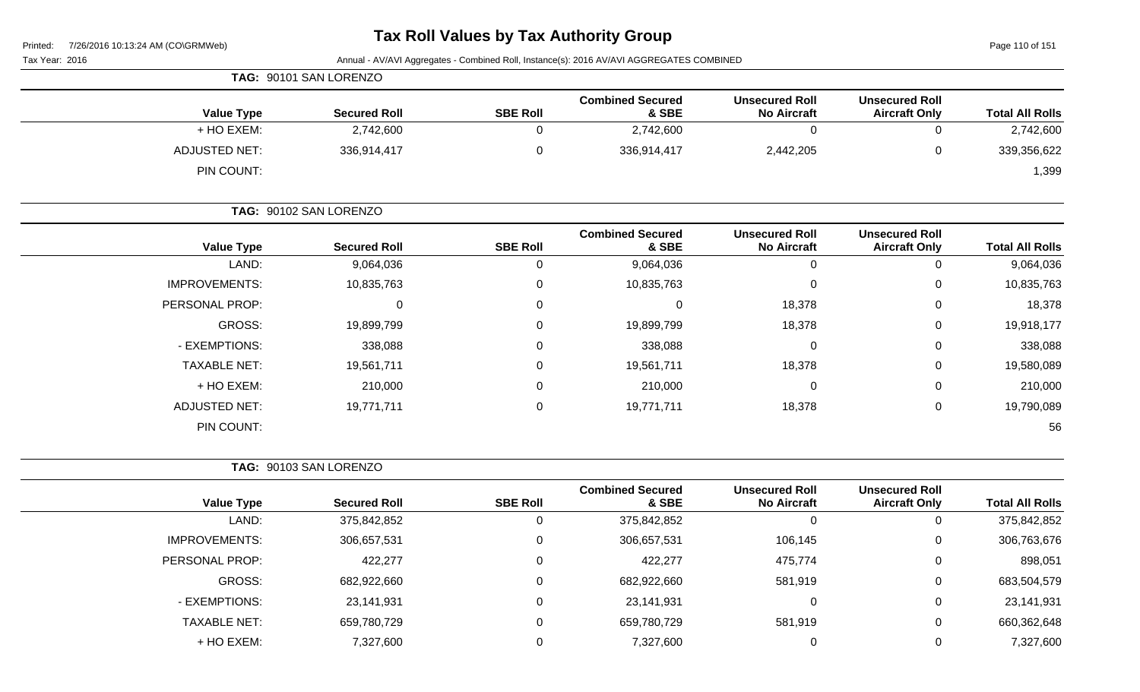Page 110 of 151

| Tax Year: 2016       |                        |                 | Annual - AV/AVI Aggregates - Combined Roll, Instance(s): 2016 AV/AVI AGGREGATES COMBINED |                                             |                                               |                        |
|----------------------|------------------------|-----------------|------------------------------------------------------------------------------------------|---------------------------------------------|-----------------------------------------------|------------------------|
|                      | TAG: 90101 SAN LORENZO |                 |                                                                                          |                                             |                                               |                        |
| <b>Value Type</b>    | <b>Secured Roll</b>    | <b>SBE Roll</b> | <b>Combined Secured</b><br>& SBE                                                         | <b>Unsecured Roll</b><br><b>No Aircraft</b> | <b>Unsecured Roll</b><br><b>Aircraft Only</b> | <b>Total All Rolls</b> |
| + HO EXEM:           | 2,742,600              | 0               | 2,742,600                                                                                | $\mathbf 0$                                 | 0                                             | 2,742,600              |
| <b>ADJUSTED NET:</b> | 336,914,417            | 0               | 336,914,417                                                                              | 2,442,205                                   | 0                                             | 339,356,622            |
| PIN COUNT:           |                        |                 |                                                                                          |                                             |                                               | 1,399                  |
|                      | TAG: 90102 SAN LORENZO |                 |                                                                                          |                                             |                                               |                        |
| <b>Value Type</b>    | <b>Secured Roll</b>    | <b>SBE Roll</b> | <b>Combined Secured</b><br>& SBE                                                         | <b>Unsecured Roll</b><br><b>No Aircraft</b> | <b>Unsecured Roll</b><br><b>Aircraft Only</b> | <b>Total All Rolls</b> |
| LAND:                | 9,064,036              | 0               | 9,064,036                                                                                | $\mathbf 0$                                 | 0                                             | 9,064,036              |
| <b>IMPROVEMENTS:</b> | 10,835,763             | 0               | 10,835,763                                                                               | 0                                           | 0                                             | 10,835,763             |
| PERSONAL PROP:       | $\mathbf 0$            | 0               | $\mathbf 0$                                                                              | 18,378                                      | 0                                             | 18,378                 |
| <b>GROSS:</b>        | 19,899,799             | 0               | 19,899,799                                                                               | 18,378                                      | 0                                             | 19,918,177             |
| - EXEMPTIONS:        | 338,088                | 0               | 338,088                                                                                  | 0                                           | 0                                             | 338,088                |
| <b>TAXABLE NET:</b>  | 19,561,711             | 0               | 19,561,711                                                                               | 18,378                                      | 0                                             | 19,580,089             |
| + HO EXEM:           | 210,000                | 0               | 210,000                                                                                  | 0                                           | 0                                             | 210,000                |
| <b>ADJUSTED NET:</b> | 19,771,711             | 0               | 19,771,711                                                                               | 18,378                                      | 0                                             | 19,790,089             |
| PIN COUNT:           |                        |                 |                                                                                          |                                             |                                               | 56                     |
|                      | TAG: 90103 SAN LORENZO |                 |                                                                                          |                                             |                                               |                        |
| <b>Value Type</b>    | <b>Secured Roll</b>    | <b>SBE Roll</b> | <b>Combined Secured</b><br>& SBE                                                         | <b>Unsecured Roll</b><br><b>No Aircraft</b> | <b>Unsecured Roll</b><br><b>Aircraft Only</b> | <b>Total All Rolls</b> |
| LAND:                | 375,842,852            | 0               | 375,842,852                                                                              | $\mathbf 0$                                 | 0                                             | 375,842,852            |
| <b>IMPROVEMENTS:</b> | 306,657,531            | 0               | 306,657,531                                                                              | 106,145                                     | 0                                             | 306,763,676            |
| PERSONAL PROP:       | 422,277                | 0               | 422,277                                                                                  | 475,774                                     | 0                                             | 898,051                |
| GROSS:               | 682,922,660            | 0               | 682,922,660                                                                              | 581,919                                     | 0                                             | 683,504,579            |
| - EXEMPTIONS:        | 23,141,931             | 0               | 23,141,931                                                                               | $\boldsymbol{0}$                            | 0                                             | 23,141,931             |
| <b>TAXABLE NET:</b>  | 659,780,729            | 0               | 659,780,729                                                                              | 581,919                                     | 0                                             | 660,362,648            |
| + HO EXEM:           | 7,327,600              | 0               | 7,327,600                                                                                | $\overline{0}$                              | 0                                             | 7,327,600              |
|                      |                        |                 |                                                                                          |                                             |                                               |                        |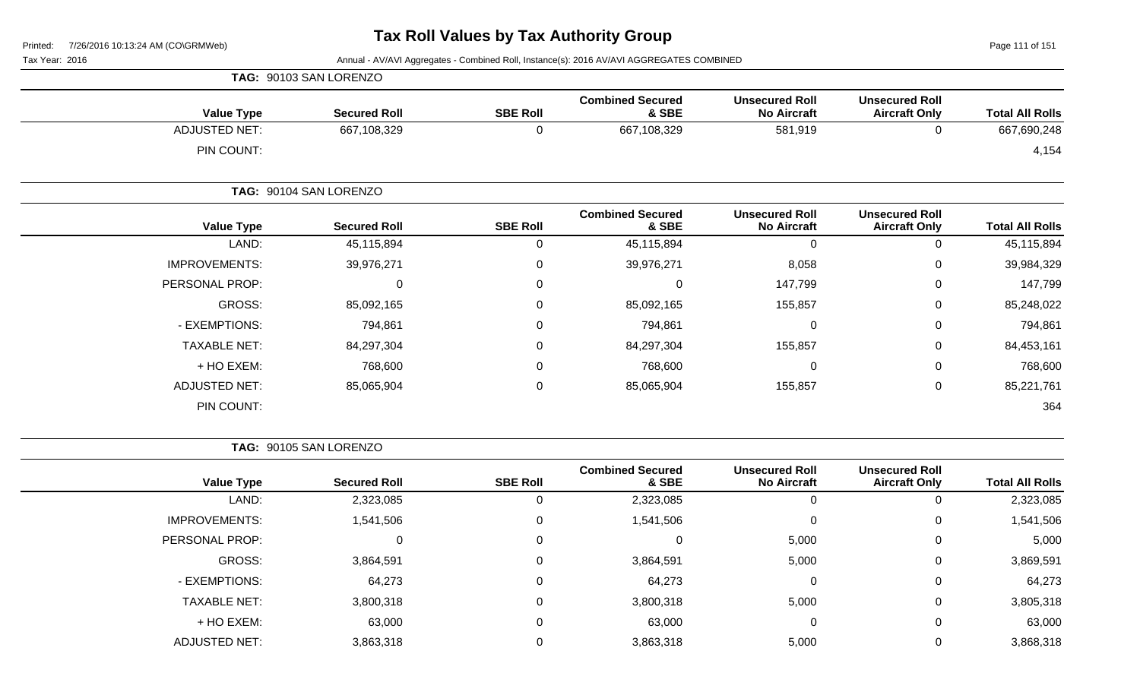Page 111 of 151

Tax Year: 2016 **Annual - AV/AVI Aggregates - Combined Roll**, Instance(s): 2016 AV/AVI AGGREGATES COMBINED

|                      | TAG: 90103 SAN LORENZO |                 |                                  |                                             |                                               |                        |
|----------------------|------------------------|-----------------|----------------------------------|---------------------------------------------|-----------------------------------------------|------------------------|
| <b>Value Type</b>    | <b>Secured Roll</b>    | <b>SBE Roll</b> | <b>Combined Secured</b><br>& SBE | <b>Unsecured Roll</b><br><b>No Aircraft</b> | <b>Unsecured Roll</b><br><b>Aircraft Only</b> | <b>Total All Rolls</b> |
| <b>ADJUSTED NET:</b> | 667,108,329            | 0               | 667,108,329                      | 581,919                                     | 0                                             | 667,690,248            |
| PIN COUNT:           |                        |                 |                                  |                                             |                                               | 4,154                  |
|                      | TAG: 90104 SAN LORENZO |                 |                                  |                                             |                                               |                        |
| <b>Value Type</b>    | <b>Secured Roll</b>    | <b>SBE Roll</b> | <b>Combined Secured</b><br>& SBE | <b>Unsecured Roll</b><br><b>No Aircraft</b> | <b>Unsecured Roll</b><br><b>Aircraft Only</b> | <b>Total All Rolls</b> |
| LAND:                | 45,115,894             | 0               | 45,115,894                       | 0                                           | 0                                             | 45,115,894             |
| <b>IMPROVEMENTS:</b> | 39,976,271             | 0               | 39,976,271                       | 8,058                                       | 0                                             | 39,984,329             |
| PERSONAL PROP:       | 0                      | 0               | 0                                | 147,799                                     | 0                                             | 147,799                |
| GROSS:               | 85,092,165             | 0               | 85,092,165                       | 155,857                                     | 0                                             | 85,248,022             |
| - EXEMPTIONS:        | 794,861                | 0               | 794,861                          | $\mathbf 0$                                 | 0                                             | 794,861                |
| <b>TAXABLE NET:</b>  | 84,297,304             | 0               | 84,297,304                       | 155,857                                     | 0                                             | 84,453,161             |
| + HO EXEM:           | 768,600                | 0               | 768,600                          | $\pmb{0}$                                   | 0                                             | 768,600                |
| <b>ADJUSTED NET:</b> | 85,065,904             | 0               | 85,065,904                       | 155,857                                     | 0                                             | 85,221,761             |
| PIN COUNT:           |                        |                 |                                  |                                             |                                               | 364                    |

**TAG:** 90105 SAN LORENZO

| <b>Total All Rolls</b> | <b>Unsecured Roll</b><br><b>Aircraft Only</b> | <b>Unsecured Roll</b><br><b>No Aircraft</b> | <b>Combined Secured</b><br>& SBE | <b>SBE Roll</b> | <b>Secured Roll</b> | <b>Value Type</b>    |
|------------------------|-----------------------------------------------|---------------------------------------------|----------------------------------|-----------------|---------------------|----------------------|
| 2,323,085              |                                               | 0                                           | 2,323,085                        | J               | 2,323,085           | LAND:                |
| 1,541,506              | 0                                             | 0                                           | 1,541,506                        | $\mathbf 0$     | 1,541,506           | <b>IMPROVEMENTS:</b> |
| 5,000                  | 0                                             | 5,000                                       | 0                                | $\mathbf 0$     | $\Omega$            | PERSONAL PROP:       |
| 3,869,591              | $\overline{0}$                                | 5,000                                       | 3,864,591                        | 0               | 3,864,591           | GROSS:               |
| 64,273                 | 0                                             | 0                                           | 64,273                           | 0               | 64,273              | - EXEMPTIONS:        |
| 3,805,318              | 0                                             | 5,000                                       | 3,800,318                        | $\mathbf 0$     | 3,800,318           | <b>TAXABLE NET:</b>  |
| 63,000                 | 0                                             | $\mathbf 0$                                 | 63,000                           | $\mathbf 0$     | 63,000              | + HO EXEM:           |
| 3,868,318              | 0                                             | 5,000                                       | 3,863,318                        | 0               | 3,863,318           | <b>ADJUSTED NET:</b> |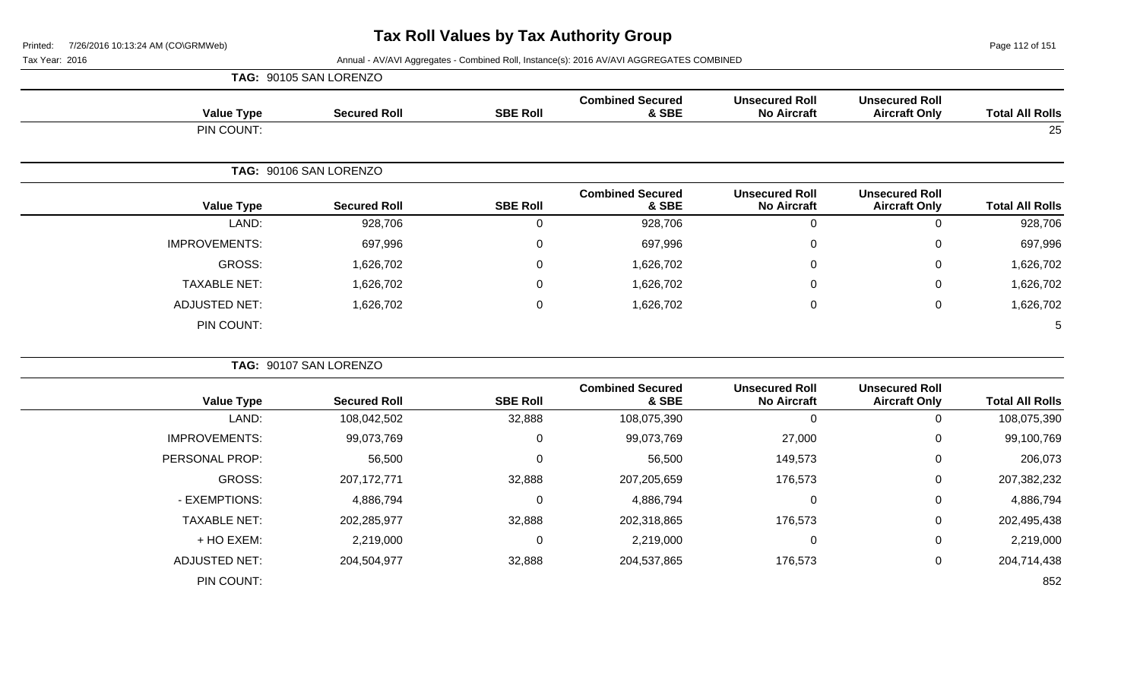Page 112 of 151

|                        |                                               |                                             |                                  |                 | TAG: 90105 SAN LORENZO |                      |
|------------------------|-----------------------------------------------|---------------------------------------------|----------------------------------|-----------------|------------------------|----------------------|
| <b>Total All Rolls</b> | <b>Unsecured Roll</b><br><b>Aircraft Only</b> | <b>Unsecured Roll</b><br><b>No Aircraft</b> | <b>Combined Secured</b><br>& SBE | <b>SBE Roll</b> | <b>Secured Roll</b>    | <b>Value Type</b>    |
| 25                     |                                               |                                             |                                  |                 |                        | PIN COUNT:           |
|                        |                                               |                                             |                                  |                 | TAG: 90106 SAN LORENZO |                      |
| <b>Total All Rolls</b> | <b>Unsecured Roll</b><br><b>Aircraft Only</b> | <b>Unsecured Roll</b><br><b>No Aircraft</b> | <b>Combined Secured</b><br>& SBE | <b>SBE Roll</b> | <b>Secured Roll</b>    | <b>Value Type</b>    |
| 928,706                | $\pmb{0}$                                     | $\mathbf 0$                                 | 928,706                          | $\mathbf 0$     | 928,706                | LAND:                |
| 697,996                | $\mathbf 0$                                   | $\overline{0}$                              | 697,996                          | $\pmb{0}$       | 697,996                | <b>IMPROVEMENTS:</b> |
| 1,626,702              | $\pmb{0}$                                     | $\Omega$                                    | 1,626,702                        | $\pmb{0}$       | 1,626,702              | <b>GROSS:</b>        |
| 1,626,702              | $\mathbf 0$                                   | $\Omega$                                    | 1,626,702                        | $\pmb{0}$       | 1,626,702              | <b>TAXABLE NET:</b>  |
| 1,626,702              | $\pmb{0}$                                     | 0                                           | 1,626,702                        | $\pmb{0}$       | 1,626,702              | <b>ADJUSTED NET:</b> |
| 5                      |                                               |                                             |                                  |                 |                        | PIN COUNT:           |
|                        |                                               |                                             |                                  |                 | TAG: 90107 SAN LORENZO |                      |
| <b>Total All Rolls</b> | <b>Unsecured Roll</b><br><b>Aircraft Only</b> | <b>Unsecured Roll</b><br><b>No Aircraft</b> | <b>Combined Secured</b><br>& SBE | <b>SBE Roll</b> | <b>Secured Roll</b>    | <b>Value Type</b>    |
| 108,075,390            | $\mathbf 0$                                   | $\mathbf 0$                                 | 108,075,390                      | 32,888          | 108,042,502            | LAND:                |
| 99,100,769             | $\mathbf 0$                                   | 27,000                                      | 99,073,769                       | $\pmb{0}$       | 99,073,769             | <b>IMPROVEMENTS:</b> |
| 206,073                | $\mathbf 0$                                   | 149,573                                     | 56,500                           | $\mathbf 0$     | 56,500                 | PERSONAL PROP:       |
| 207,382,232            | $\mathbf 0$                                   | 176,573                                     | 207,205,659                      | 32,888          | 207, 172, 771          | <b>GROSS:</b>        |
| 4,886,794              | $\mathbf 0$                                   | 0                                           | 4,886,794                        | $\pmb{0}$       | 4,886,794              | - EXEMPTIONS:        |
| 202,495,438            | $\pmb{0}$                                     | 176,573                                     | 202,318,865                      | 32,888          | 202,285,977            | <b>TAXABLE NET:</b>  |
| 2,219,000              | $\pmb{0}$                                     | $\Omega$                                    | 2,219,000                        | $\pmb{0}$       | 2,219,000              | + HO EXEM:           |
| 204,714,438            | $\mathbf 0$                                   | 176,573                                     | 204,537,865                      | 32,888          | 204,504,977            | <b>ADJUSTED NET:</b> |
| 852                    |                                               |                                             |                                  |                 |                        | PIN COUNT:           |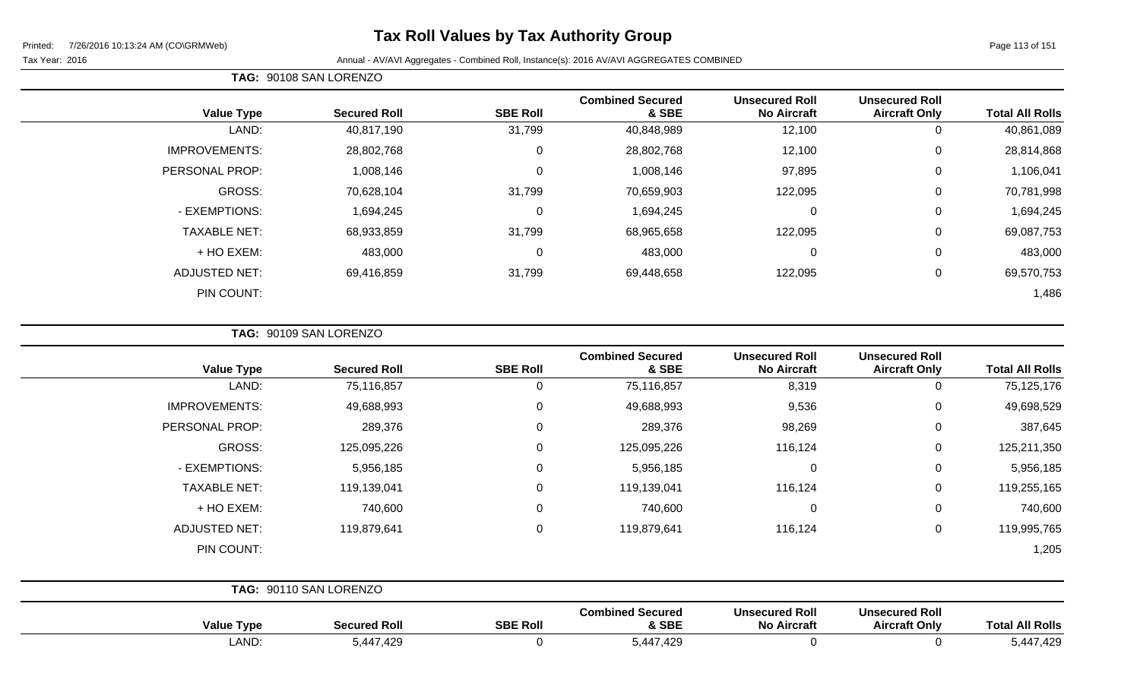# **Tax Roll Values by Tax Authority Group**

Tax Year: 2016 **Annual - AV/AVI Aggregates - Combined Roll**, Instance(s): 2016 AV/AVI AGGREGATES COMBINED

| <b>Total All Rolls</b> | <b>Unsecured Roll</b><br><b>Aircraft Only</b> | <b>Unsecured Roll</b><br><b>No Aircraft</b> | <b>Combined Secured</b><br>& SBE | <b>SBE Roll</b> | <b>Secured Roll</b> | <b>Value Type</b>    |
|------------------------|-----------------------------------------------|---------------------------------------------|----------------------------------|-----------------|---------------------|----------------------|
| 40,861,089             | 0                                             | 12,100                                      | 40,848,989                       | 31,799          | 40,817,190          | LAND:                |
| 28,814,868             | $\mathbf 0$                                   | 12,100                                      | 28,802,768                       | 0               | 28,802,768          | <b>IMPROVEMENTS:</b> |
| 1,106,041              | 0                                             | 97,895                                      | 1,008,146                        | 0               | 1,008,146           | PERSONAL PROP:       |
| 70,781,998             | 0                                             | 122,095                                     | 70,659,903                       | 31,799          | 70,628,104          | GROSS:               |
| 1,694,245              | 0                                             | 0                                           | 1,694,245                        | 0               | 1,694,245           | - EXEMPTIONS:        |
| 69,087,753             | 0                                             | 122,095                                     | 68,965,658                       | 31,799          | 68,933,859          | <b>TAXABLE NET:</b>  |
| 483,000                | $\mathbf 0$                                   | 0                                           | 483,000                          | 0               | 483,000             | + HO EXEM:           |
| 69,570,753             | 0                                             | 122,095                                     | 69,448,658                       | 31,799          | 69,416,859          | <b>ADJUSTED NET:</b> |
| 1,486                  |                                               |                                             |                                  |                 |                     | PIN COUNT:           |

| TAG: 90109 SAN LORENZO |
|------------------------|
|                        |

**TAG:** 90108 SAN LORENZO

| <b>Value Type</b>    | <b>Secured Roll</b>    | <b>SBE Roll</b> | <b>Combined Secured</b><br>& SBE | <b>Unsecured Roll</b><br><b>No Aircraft</b> | <b>Unsecured Roll</b><br><b>Aircraft Only</b> | <b>Total All Rolls</b> |
|----------------------|------------------------|-----------------|----------------------------------|---------------------------------------------|-----------------------------------------------|------------------------|
| LAND:                | 75,116,857             | 0               | 75,116,857                       | 8,319                                       | 0                                             | 75,125,176             |
| <b>IMPROVEMENTS:</b> | 49,688,993             | 0               | 49,688,993                       | 9,536                                       | $\overline{0}$                                | 49,698,529             |
| PERSONAL PROP:       | 289,376                | $\mathbf 0$     | 289,376                          | 98,269                                      | $\overline{0}$                                | 387,645                |
| GROSS:               | 125,095,226            | 0               | 125,095,226                      | 116,124                                     | $\mathbf 0$                                   | 125,211,350            |
| - EXEMPTIONS:        | 5,956,185              | 0               | 5,956,185                        | $\mathbf 0$                                 | $\mathbf 0$                                   | 5,956,185              |
| <b>TAXABLE NET:</b>  | 119,139,041            | 0               | 119,139,041                      | 116,124                                     | $\mathbf 0$                                   | 119,255,165            |
| + HO EXEM:           | 740,600                | 0               | 740,600                          | $\mathbf 0$                                 | $\mathbf 0$                                   | 740,600                |
| <b>ADJUSTED NET:</b> | 119,879,641            | 0               | 119,879,641                      | 116,124                                     | $\mathbf 0$                                   | 119,995,765            |
| PIN COUNT:           |                        |                 |                                  |                                             |                                               | 1,205                  |
|                      | TAG: 90110 SAN LORENZO |                 |                                  |                                             |                                               |                        |

| <b>Value Type</b> | <b>Secured Roll</b> | <b>SBE Roll</b> | <b>Combined Secured</b><br><b>&amp; SBE</b> | <b>Unsecured Roll</b><br><b>No Aircraft</b> | <b>Unsecured Roll</b><br><b>Aircraft Only</b> | Total.<br><b>All Rolls</b> |
|-------------------|---------------------|-----------------|---------------------------------------------|---------------------------------------------|-----------------------------------------------|----------------------------|
| LAND:             | 447,429,د<br>ວ.4    |                 | ,447,429<br>J. <del></del>                  |                                             |                                               | 5,447,429                  |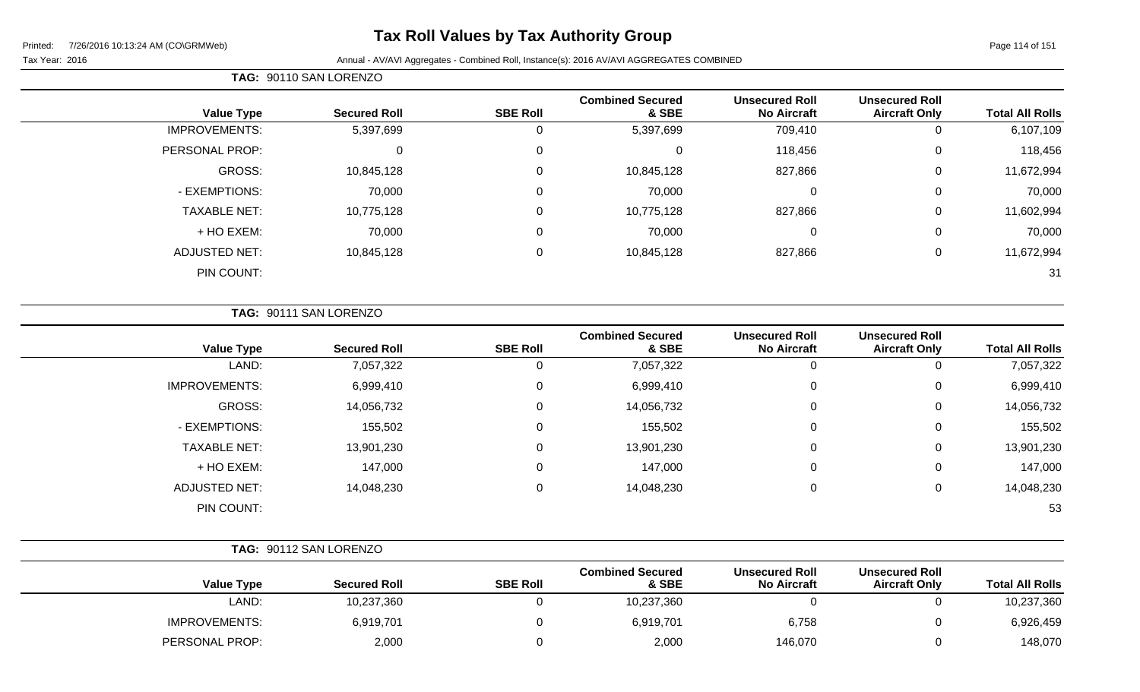# **Tax Roll Values by Tax Authority Group**

| <b>Total All Rolls</b> | <b>Unsecured Roll</b><br><b>Aircraft Only</b> | <b>Unsecured Roll</b><br><b>No Aircraft</b> | <b>Combined Secured</b><br>& SBE | <b>SBE Roll</b>  | <b>Secured Roll</b> | <b>Value Type</b>    |
|------------------------|-----------------------------------------------|---------------------------------------------|----------------------------------|------------------|---------------------|----------------------|
| 6,107,109              | 0                                             | 709,410                                     | 5,397,699                        | 0                | 5,397,699           | <b>IMPROVEMENTS:</b> |
| 118,456                | 0                                             | 118,456                                     | 0                                | $\mathbf 0$      | $\mathbf 0$         | PERSONAL PROP:       |
| 11,672,994             | 0                                             | 827,866                                     | 10,845,128                       | $\boldsymbol{0}$ | 10,845,128          | GROSS:               |
| 70,000                 | 0                                             | $\overline{0}$                              | 70,000                           | 0                | 70,000              | - EXEMPTIONS:        |
| 11,602,994             | 0                                             | 827,866                                     | 10,775,128                       | $\mathbf 0$      | 10,775,128          | <b>TAXABLE NET:</b>  |
| 70,000                 | 0                                             | $\mathbf 0$                                 | 70,000                           | 0                | 70,000              | + HO EXEM:           |
| 11,672,994             | 0                                             | 827,866                                     | 10,845,128                       | $\boldsymbol{0}$ | 10,845,128          | <b>ADJUSTED NET:</b> |
| 31                     |                                               |                                             |                                  |                  |                     | PIN COUNT:           |
|                        |                                               |                                             |                                  |                  |                     |                      |

|  | <b>TAG: 90111 SAN LORENZO</b> |
|--|-------------------------------|
|  |                               |

| <b>Value Type</b>    | <b>Secured Roll</b> | <b>SBE Roll</b> | <b>Combined Secured</b><br>& SBE | <b>Unsecured Roll</b><br><b>No Aircraft</b> | <b>Unsecured Roll</b><br><b>Aircraft Only</b> | <b>Total All Rolls</b> |
|----------------------|---------------------|-----------------|----------------------------------|---------------------------------------------|-----------------------------------------------|------------------------|
| LAND:                | 7,057,322           | 0               | 7,057,322                        | 0                                           | 0                                             | 7,057,322              |
| <b>IMPROVEMENTS:</b> | 6,999,410           | 0               | 6,999,410                        | 0                                           | 0                                             | 6,999,410              |
| GROSS:               | 14,056,732          | 0               | 14,056,732                       | 0                                           | 0                                             | 14,056,732             |
| - EXEMPTIONS:        | 155,502             | 0               | 155,502                          | 0                                           | 0                                             | 155,502                |
| <b>TAXABLE NET:</b>  | 13,901,230          | 0               | 13,901,230                       | 0                                           | 0                                             | 13,901,230             |
| + HO EXEM:           | 147,000             | 0               | 147,000                          | 0                                           | 0                                             | 147,000                |
| ADJUSTED NET:        | 14,048,230          | 0               | 14,048,230                       | 0                                           | 0                                             | 14,048,230             |
| PIN COUNT:           |                     |                 |                                  |                                             |                                               | 53                     |

|                        |                                               |                                             |                                  |                 | TAG: 90112 SAN LORENZO |                      |
|------------------------|-----------------------------------------------|---------------------------------------------|----------------------------------|-----------------|------------------------|----------------------|
| <b>Total All Rolls</b> | <b>Unsecured Roll</b><br><b>Aircraft Only</b> | <b>Unsecured Roll</b><br><b>No Aircraft</b> | <b>Combined Secured</b><br>& SBE | <b>SBE Roll</b> | <b>Secured Roll</b>    | <b>Value Type</b>    |
| 10,237,360             |                                               |                                             | 10,237,360                       |                 | 10,237,360             | LAND:                |
| 6,926,459              |                                               | 6,758                                       | 6,919,701                        |                 | 6,919,701              | <b>IMPROVEMENTS:</b> |
| 148,070                |                                               | 146,070                                     | 2,000                            |                 | 2,000                  | PERSONAL PROP:       |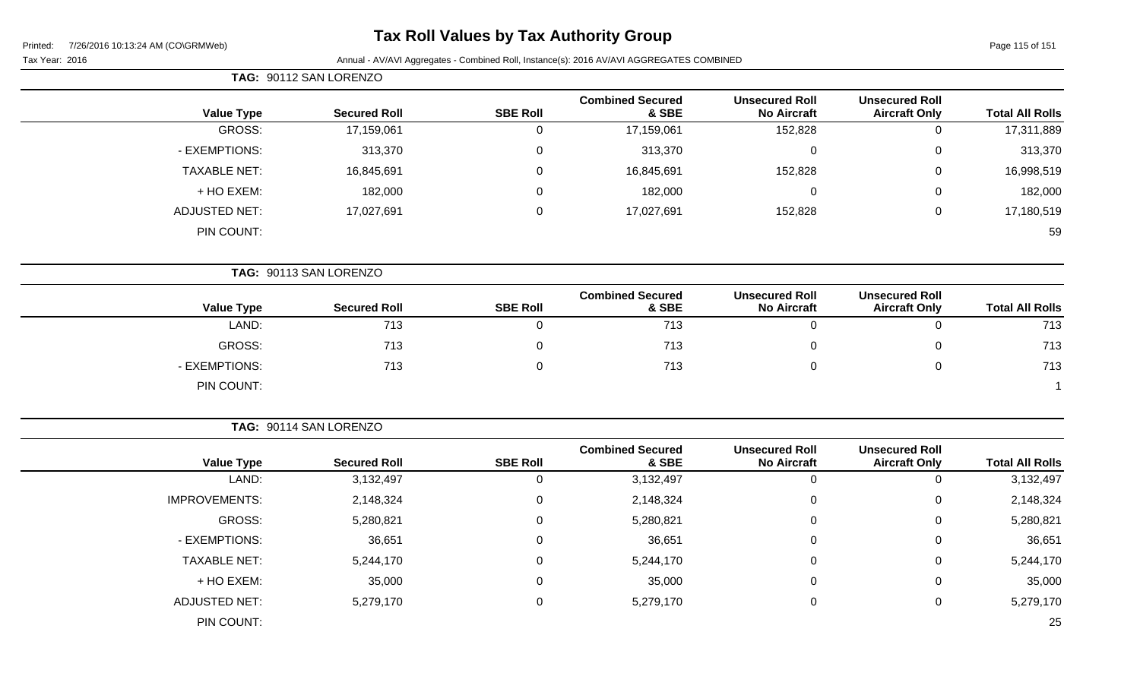# **Tax Roll Values by Tax Authority Group**

Tax Year: 2016 **Annual - AV/AVI Aggregates - Combined Roll**, Instance(s): 2016 AV/AVI AGGREGATES COMBINED

| Page 115 of 151 |  |  |  |
|-----------------|--|--|--|
|-----------------|--|--|--|

|                        |                                               |                                             |                                  |                 | TAG: 90112 SAN LORENZO |                      |
|------------------------|-----------------------------------------------|---------------------------------------------|----------------------------------|-----------------|------------------------|----------------------|
| <b>Total All Rolls</b> | <b>Unsecured Roll</b><br><b>Aircraft Only</b> | <b>Unsecured Roll</b><br><b>No Aircraft</b> | <b>Combined Secured</b><br>& SBE | <b>SBE Roll</b> | <b>Secured Roll</b>    | <b>Value Type</b>    |
| 17,311,889             | $\mathbf 0$                                   | 152,828                                     | 17,159,061                       | $\overline{0}$  | 17,159,061             | <b>GROSS:</b>        |
| 313,370                | $\pmb{0}$                                     | $\mathbf 0$                                 | 313,370                          | $\mathbf 0$     | 313,370                | - EXEMPTIONS:        |
| 16,998,519             | 0                                             | 152,828                                     | 16,845,691                       | $\mathbf 0$     | 16,845,691             | <b>TAXABLE NET:</b>  |
| 182,000                | 0                                             | $\mathbf 0$                                 | 182,000                          | $\mathbf 0$     | 182,000                | + HO EXEM:           |
| 17,180,519             | $\pmb{0}$                                     | 152,828                                     | 17,027,691                       | $\mathbf 0$     | 17,027,691             | <b>ADJUSTED NET:</b> |
| 59                     |                                               |                                             |                                  |                 |                        | PIN COUNT:           |
|                        |                                               |                                             |                                  |                 | TAG: 90113 SAN LORENZO |                      |
| <b>Total All Rolls</b> | <b>Unsecured Roll</b><br><b>Aircraft Only</b> | <b>Unsecured Roll</b><br><b>No Aircraft</b> | <b>Combined Secured</b><br>& SBE | <b>SBE Roll</b> | <b>Secured Roll</b>    | <b>Value Type</b>    |
| 713                    | $\mathbf 0$                                   | $\overline{0}$                              | 713                              | $\mathbf 0$     | 713                    | LAND:                |
| 713                    | $\mathbf 0$                                   | 0                                           | 713                              | 0               | 713                    | <b>GROSS:</b>        |
| 713                    | $\,0\,$                                       | $\boldsymbol{0}$                            | 713                              | $\mathbf 0$     | 713                    | - EXEMPTIONS:        |
|                        |                                               |                                             |                                  |                 |                        | PIN COUNT:           |
|                        |                                               |                                             |                                  |                 | TAG: 90114 SAN LORENZO |                      |
| <b>Total All Rolls</b> | <b>Unsecured Roll</b><br><b>Aircraft Only</b> | <b>Unsecured Roll</b><br><b>No Aircraft</b> | <b>Combined Secured</b><br>& SBE | <b>SBE Roll</b> | <b>Secured Roll</b>    | <b>Value Type</b>    |
| 3,132,497              | $\mathbf 0$                                   | $\mathbf 0$                                 | 3,132,497                        | $\mathbf 0$     | 3,132,497              | LAND:                |
| 2,148,324              | 0                                             | $\mathbf 0$                                 | 2,148,324                        | $\mathbf 0$     | 2,148,324              | <b>IMPROVEMENTS:</b> |
| 5,280,821              | 0                                             | $\mathbf 0$                                 | 5,280,821                        | $\mathbf 0$     | 5,280,821              | <b>GROSS:</b>        |
|                        |                                               |                                             |                                  |                 |                        |                      |

- EXEMPTIONS: 36,651 0 36,651 0 36,651 TAXABLE NET: 5,244,170 0 5,244,170 0 0 5,244,170 + HO EXEM: 35,000 0 35,000 0 0 35,000

ADJUSTED NET: 5,279,170 0 5,279,170 0 0 5,279,170

PIN COUNT: 25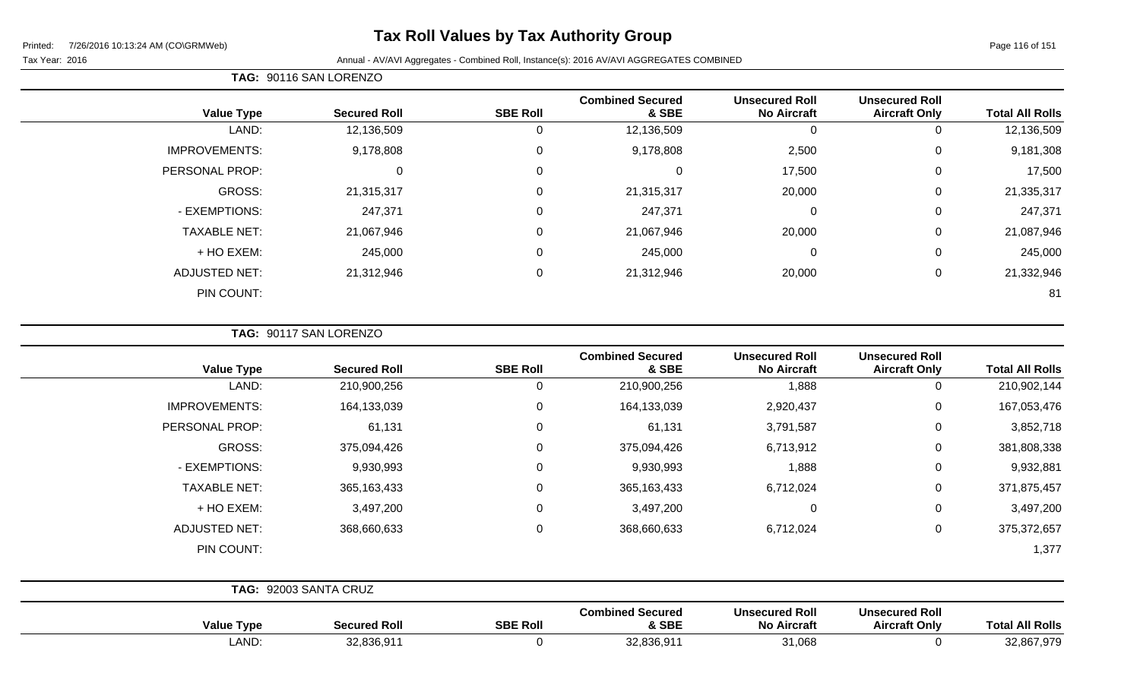# **Tax Roll Values by Tax Authority Group**

 $\overline{\phantom{0}}$ 

#### Tax Year: 2016 **Annual - AV/AVI Aggregates - Combined Roll**, Instance(s): 2016 AV/AVI AGGREGATES COMBINED

|                      |                     |                 | <b>Combined Secured</b> | <b>Unsecured Roll</b> | <b>Unsecured Roll</b> |                        |
|----------------------|---------------------|-----------------|-------------------------|-----------------------|-----------------------|------------------------|
| <b>Value Type</b>    | <b>Secured Roll</b> | <b>SBE Roll</b> | & SBE                   | <b>No Aircraft</b>    | <b>Aircraft Only</b>  | <b>Total All Rolls</b> |
| LAND:                | 12,136,509          | U               | 12,136,509              | 0                     | U                     | 12,136,509             |
| <b>IMPROVEMENTS:</b> | 9,178,808           | $\mathbf 0$     | 9,178,808               | 2,500                 | 0                     | 9,181,308              |
| PERSONAL PROP:       | 0                   | 0               | 0                       | 17,500                | 0                     | 17,500                 |
| GROSS:               | 21,315,317          | 0               | 21,315,317              | 20,000                | $\mathbf 0$           | 21,335,317             |
| - EXEMPTIONS:        | 247,371             | 0               | 247,371                 | $\mathbf 0$           | 0                     | 247,371                |
| <b>TAXABLE NET:</b>  | 21,067,946          | 0               | 21,067,946              | 20,000                | 0                     | 21,087,946             |
| + HO EXEM:           | 245,000             | 0               | 245,000                 | $\mathbf 0$           | $\overline{0}$        | 245,000                |
| <b>ADJUSTED NET:</b> | 21,312,946          | 0               | 21,312,946              | 20,000                | $\mathbf 0$           | 21,332,946             |
| PIN COUNT:           |                     |                 |                         |                       |                       | 81                     |

**TAG:** 90117 SAN LORENZO

| <b>Total All Rolls</b> | <b>Unsecured Roll</b><br><b>Aircraft Only</b> | <b>Unsecured Roll</b><br><b>No Aircraft</b> | <b>Combined Secured</b><br>& SBE | <b>SBE Roll</b> | <b>Secured Roll</b>   | <b>Value Type</b>    |
|------------------------|-----------------------------------------------|---------------------------------------------|----------------------------------|-----------------|-----------------------|----------------------|
| 210,902,144            | 0                                             | 1,888                                       | 210,900,256                      | 0               | 210,900,256           | LAND:                |
| 167,053,476            | 0                                             | 2,920,437                                   | 164,133,039                      | $\mathbf 0$     | 164,133,039           | <b>IMPROVEMENTS:</b> |
| 3,852,718              | $\mathbf 0$                                   | 3,791,587                                   | 61,131                           | $\mathbf 0$     | 61,131                | PERSONAL PROP:       |
| 381,808,338            | 0                                             | 6,713,912                                   | 375,094,426                      | $\mathbf 0$     | 375,094,426           | GROSS:               |
| 9,932,881              | 0                                             | 1,888                                       | 9,930,993                        | $\mathbf 0$     | 9,930,993             | - EXEMPTIONS:        |
| 371,875,457            | $\mathbf 0$                                   | 6,712,024                                   | 365,163,433                      | $\mathbf 0$     | 365, 163, 433         | <b>TAXABLE NET:</b>  |
| 3,497,200              | 0                                             | 0                                           | 3,497,200                        | $\mathbf 0$     | 3,497,200             | + HO EXEM:           |
| 375, 372, 657          | $\mathbf 0$                                   | 6,712,024                                   | 368,660,633                      | $\mathbf 0$     | 368,660,633           | <b>ADJUSTED NET:</b> |
| 1,377                  |                                               |                                             |                                  |                 |                       | PIN COUNT:           |
|                        |                                               |                                             |                                  |                 |                       |                      |
|                        |                                               |                                             |                                  |                 | TAG: 92003 SANTA CRUZ |                      |

| <b>Value Type</b> | Secured Roll | <b>SBE Roll</b> | <b>Combined Secured</b><br>& SBE | Unsecured Roll<br><b>No Aircraft</b> | <b>Unsecured Roll</b><br><b>Aircraft Only</b> | <b>All Rolls</b><br>Гоtal |
|-------------------|--------------|-----------------|----------------------------------|--------------------------------------|-----------------------------------------------|---------------------------|
| LAND:             | 32,836,91    |                 | 32.836.01                        | 31,068                               |                                               | 32,867,979                |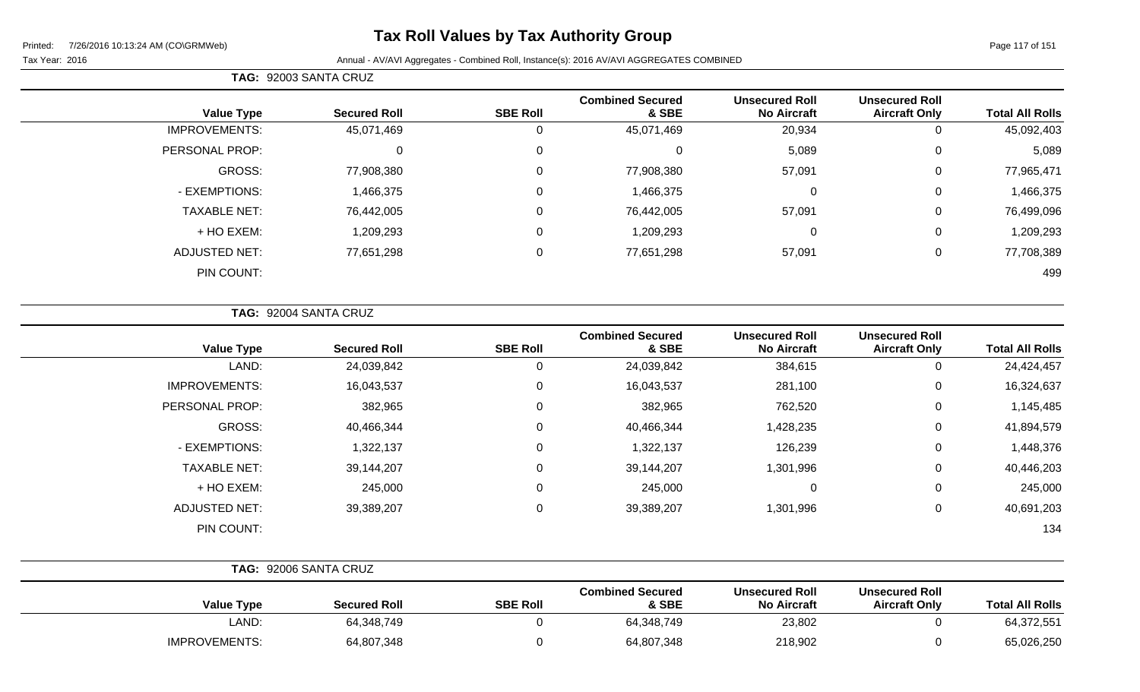# **Tax Roll Values by Tax Authority Group**

÷

#### Tax Year: 2016 **Annual - AV/AVI Aggregates - Combined Roll**, Instance(s): 2016 AV/AVI AGGREGATES COMBINED

|                      | TAG: 92003 SANTA CRUZ |                 |                                  |                                             |                                               |                        |
|----------------------|-----------------------|-----------------|----------------------------------|---------------------------------------------|-----------------------------------------------|------------------------|
| <b>Value Type</b>    | <b>Secured Roll</b>   | <b>SBE Roll</b> | <b>Combined Secured</b><br>& SBE | <b>Unsecured Roll</b><br><b>No Aircraft</b> | <b>Unsecured Roll</b><br><b>Aircraft Only</b> | <b>Total All Rolls</b> |
| <b>IMPROVEMENTS:</b> | 45,071,469            | 0               | 45,071,469                       | 20,934                                      | 0                                             | 45,092,403             |
| PERSONAL PROP:       | $\Omega$              | 0               | 0                                | 5,089                                       | 0                                             | 5,089                  |
| GROSS:               | 77,908,380            | 0               | 77,908,380                       | 57,091                                      | 0                                             | 77,965,471             |
| - EXEMPTIONS:        | 1,466,375             | 0               | 1,466,375                        | 0                                           | 0                                             | 1,466,375              |
| <b>TAXABLE NET:</b>  | 76,442,005            | $\mathbf 0$     | 76,442,005                       | 57,091                                      | $\mathbf 0$                                   | 76,499,096             |
| + HO EXEM:           | 1,209,293             | 0               | 1,209,293                        | 0                                           | 0                                             | 1,209,293              |
| ADJUSTED NET:        | 77,651,298            | $\mathbf 0$     | 77,651,298                       | 57,091                                      | 0                                             | 77,708,389             |
| PIN COUNT:           |                       |                 |                                  |                                             |                                               | 499                    |

**TAG:** 92004 SANTA CRUZ

| <b>Value Type</b>    | <b>Secured Roll</b> | <b>SBE Roll</b> | <b>Combined Secured</b><br>& SBE | <b>Unsecured Roll</b><br><b>No Aircraft</b> | <b>Unsecured Roll</b><br><b>Aircraft Only</b> | <b>Total All Rolls</b> |
|----------------------|---------------------|-----------------|----------------------------------|---------------------------------------------|-----------------------------------------------|------------------------|
| LAND:                | 24,039,842          | 0               | 24,039,842                       | 384,615                                     | 0                                             | 24,424,457             |
| <b>IMPROVEMENTS:</b> | 16,043,537          | 0               | 16,043,537                       | 281,100                                     | 0                                             | 16,324,637             |
| PERSONAL PROP:       | 382,965             | 0               | 382,965                          | 762,520                                     | 0                                             | 1,145,485              |
| GROSS:               | 40,466,344          | 0               | 40,466,344                       | 1,428,235                                   | 0                                             | 41,894,579             |
| - EXEMPTIONS:        | 1,322,137           | 0               | 1,322,137                        | 126,239                                     | 0                                             | 1,448,376              |
| <b>TAXABLE NET:</b>  | 39,144,207          | 0               | 39,144,207                       | 1,301,996                                   | 0                                             | 40,446,203             |
| + HO EXEM:           | 245,000             | 0               | 245,000                          | 0                                           | 0                                             | 245,000                |
| <b>ADJUSTED NET:</b> | 39,389,207          | 0               | 39,389,207                       | 1,301,996                                   | 0                                             | 40,691,203             |
| PIN COUNT:           |                     |                 |                                  |                                             |                                               | 134                    |

|                      | TAG: 92006 SANTA CRUZ |                 |                                  |                                             |                                               |                        |
|----------------------|-----------------------|-----------------|----------------------------------|---------------------------------------------|-----------------------------------------------|------------------------|
| <b>Value Type</b>    | <b>Secured Roll</b>   | <b>SBE Roll</b> | <b>Combined Secured</b><br>& SBE | <b>Unsecured Roll</b><br><b>No Aircraft</b> | <b>Unsecured Roll</b><br><b>Aircraft Only</b> | <b>Total All Rolls</b> |
| LAND:                | 64,348,749            |                 | 64,348,749                       | 23,802                                      |                                               | 64,372,551             |
| <b>IMPROVEMENTS:</b> | 64,807,348            |                 | 64,807,348                       | 218,902                                     |                                               | 65,026,250             |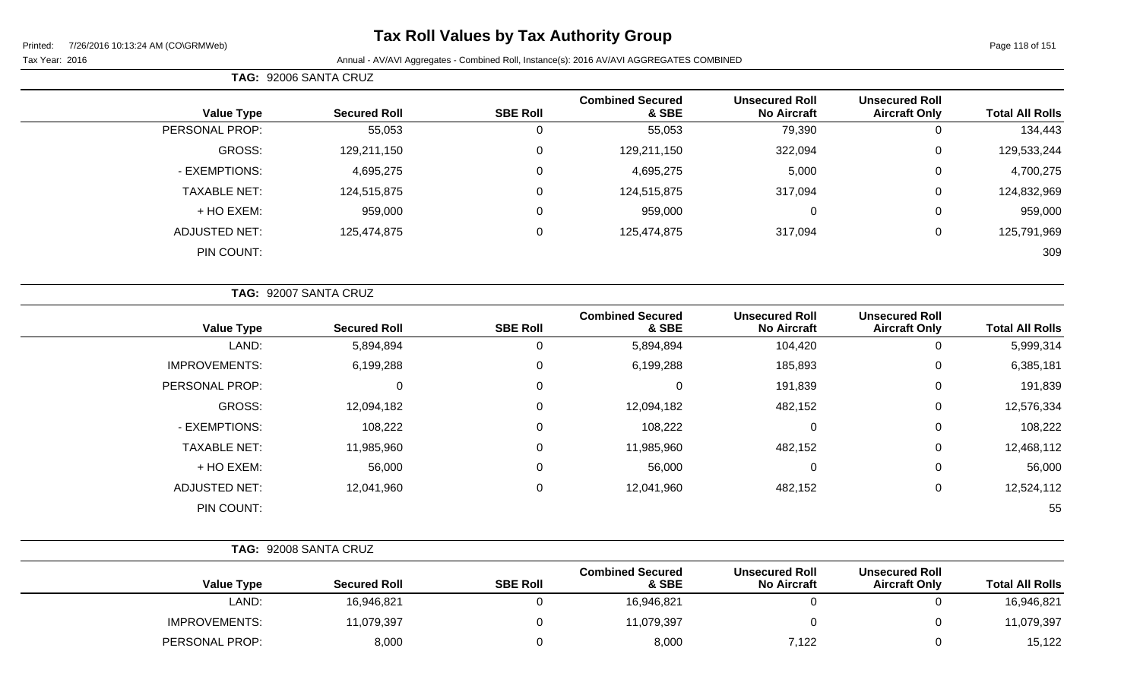# **Tax Roll Values by Tax Authority Group**

#### Tax Year: 2016 **Annual - AV/AVI Aggregates - Combined Roll**, Instance(s): 2016 AV/AVI AGGREGATES COMBINED

**TAG:** 92006 SANTA CRUZ

|                        | <b>Unsecured Roll</b> | <b>Unsecured Roll</b> | <b>Combined Secured</b> |                 |                     |                      |
|------------------------|-----------------------|-----------------------|-------------------------|-----------------|---------------------|----------------------|
| <b>Total All Rolls</b> | <b>Aircraft Only</b>  | <b>No Aircraft</b>    | & SBE                   | <b>SBE Roll</b> | <b>Secured Roll</b> | <b>Value Type</b>    |
| 134,443                | 0                     | 79,390                | 55,053                  | u               | 55,053              | PERSONAL PROP:       |
| 129,533,244            | 0                     | 322,094               | 129,211,150             | 0               | 129,211,150         | GROSS:               |
| 4,700,275              | 0                     | 5,000                 | 4,695,275               | $\Omega$        | 4,695,275           | - EXEMPTIONS:        |
| 124,832,969            | 0                     | 317,094               | 124,515,875             | $\Omega$        | 124,515,875         | <b>TAXABLE NET:</b>  |
| 959,000                | $\mathbf 0$           | 0                     | 959,000                 | 0               | 959,000             | + HO EXEM:           |
| 125,791,969            | $\mathbf 0$           | 317,094               | 125,474,875             | $\Omega$        | 125,474,875         | <b>ADJUSTED NET:</b> |
| 309                    |                       |                       |                         |                 |                     | PIN COUNT:           |
|                        |                       |                       |                         |                 |                     |                      |

|                      | TAG: 92007 SANTA CRUZ |                 |                                  |                                             |                                               |                        |
|----------------------|-----------------------|-----------------|----------------------------------|---------------------------------------------|-----------------------------------------------|------------------------|
| <b>Value Type</b>    | <b>Secured Roll</b>   | <b>SBE Roll</b> | <b>Combined Secured</b><br>& SBE | <b>Unsecured Roll</b><br><b>No Aircraft</b> | <b>Unsecured Roll</b><br><b>Aircraft Only</b> | <b>Total All Rolls</b> |
| LAND:                | 5,894,894             | 0               | 5,894,894                        | 104,420                                     | U                                             | 5,999,314              |
| <b>IMPROVEMENTS:</b> | 6,199,288             | 0               | 6,199,288                        | 185,893                                     | 0                                             | 6,385,181              |
| PERSONAL PROP:       | 0                     | 0               | 0                                | 191,839                                     | 0                                             | 191,839                |
| GROSS:               | 12,094,182            | 0               | 12,094,182                       | 482,152                                     | 0                                             | 12,576,334             |
| - EXEMPTIONS:        | 108,222               | 0               | 108,222                          | 0                                           | 0                                             | 108,222                |
| <b>TAXABLE NET:</b>  | 11,985,960            | 0               | 11,985,960                       | 482,152                                     | 0                                             | 12,468,112             |
| + HO EXEM:           | 56,000                | 0               | 56,000                           | $\mathbf 0$                                 | 0                                             | 56,000                 |
| <b>ADJUSTED NET:</b> | 12,041,960            | 0               | 12,041,960                       | 482,152                                     | 0                                             | 12,524,112             |
| PIN COUNT:           |                       |                 |                                  |                                             |                                               | 55                     |

| TAG: 92008 SANTA CRUZ |                     |                 |                                  |                                             |                                               |                        |
|-----------------------|---------------------|-----------------|----------------------------------|---------------------------------------------|-----------------------------------------------|------------------------|
| <b>Value Type</b>     | <b>Secured Roll</b> | <b>SBE Roll</b> | <b>Combined Secured</b><br>& SBE | <b>Unsecured Roll</b><br><b>No Aircraft</b> | <b>Unsecured Roll</b><br><b>Aircraft Only</b> | <b>Total All Rolls</b> |
| LAND:                 | 16,946,821          |                 | 16,946,821                       |                                             |                                               | 16,946,821             |
| <b>IMPROVEMENTS:</b>  | 11,079,397          |                 | 11,079,397                       |                                             |                                               | 11,079,397             |
| PERSONAL PROP:        | 8,000               |                 | 8,000                            | 7,122                                       |                                               | 15,122                 |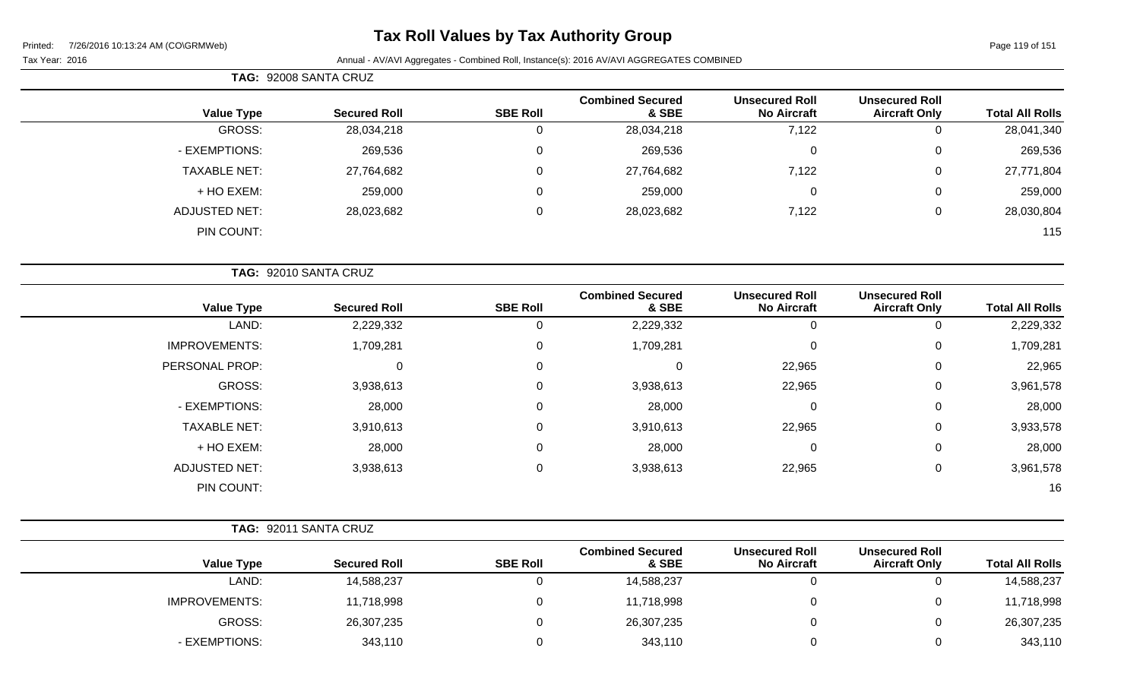# **Tax Roll Values by Tax Authority Group**

|                     | TAG: 92008 SANTA CRUZ |                 |                                  |                                             |                                               |                        |
|---------------------|-----------------------|-----------------|----------------------------------|---------------------------------------------|-----------------------------------------------|------------------------|
| <b>Value Type</b>   | <b>Secured Roll</b>   | <b>SBE Roll</b> | <b>Combined Secured</b><br>& SBE | <b>Unsecured Roll</b><br><b>No Aircraft</b> | <b>Unsecured Roll</b><br><b>Aircraft Only</b> | <b>Total All Rolls</b> |
| GROSS:              | 28,034,218            | 0               | 28,034,218                       | 7,122                                       | 0                                             | 28,041,340             |
| - EXEMPTIONS:       | 269,536               | $\mathbf 0$     | 269,536                          | 0                                           | $\mathbf 0$                                   | 269,536                |
| <b>TAXABLE NET:</b> | 27,764,682            | $\mathbf 0$     | 27,764,682                       | 7,122                                       | 0                                             | 27,771,804             |
| + HO EXEM:          | 259,000               | 0               | 259,000                          | 0                                           | 0                                             | 259,000                |
| ADJUSTED NET:       | 28,023,682            | $\mathbf 0$     | 28,023,682                       | 7,122                                       | 0                                             | 28,030,804             |
| PIN COUNT:          |                       |                 |                                  |                                             |                                               | 115                    |

| TAG: 92010 SANTA CRUZ |                     |                 |                                  |                                             |                                               |                        |
|-----------------------|---------------------|-----------------|----------------------------------|---------------------------------------------|-----------------------------------------------|------------------------|
| <b>Value Type</b>     | <b>Secured Roll</b> | <b>SBE Roll</b> | <b>Combined Secured</b><br>& SBE | <b>Unsecured Roll</b><br><b>No Aircraft</b> | <b>Unsecured Roll</b><br><b>Aircraft Only</b> | <b>Total All Rolls</b> |
| LAND:                 | 2,229,332           |                 | 2,229,332                        | 0                                           |                                               | 2,229,332              |
| <b>IMPROVEMENTS:</b>  | 1,709,281           | 0               | 1,709,281                        | $\mathbf 0$                                 | 0                                             | 1,709,281              |
| PERSONAL PROP:        |                     | 0               | $\Omega$                         | 22,965                                      | 0                                             | 22,965                 |
| GROSS:                | 3,938,613           | $\Omega$        | 3,938,613                        | 22,965                                      | 0                                             | 3,961,578              |
| - EXEMPTIONS:         | 28,000              | $\Omega$        | 28,000                           | $\mathbf 0$                                 | $\Omega$                                      | 28,000                 |
| <b>TAXABLE NET:</b>   | 3,910,613           | $\Omega$        | 3,910,613                        | 22,965                                      | 0                                             | 3,933,578              |
| + HO EXEM:            | 28,000              | 0               | 28,000                           | $\mathbf 0$                                 | 0                                             | 28,000                 |
| <b>ADJUSTED NET:</b>  | 3,938,613           | 0               | 3,938,613                        | 22,965                                      | $\mathbf 0$                                   | 3,961,578              |
| PIN COUNT:            |                     |                 |                                  |                                             |                                               | 16                     |

| <b>TAG: 92011 SANTA CRUZ</b> |  |
|------------------------------|--|
|                              |  |

| <b>Value Type</b>    | <b>Secured Roll</b> | <b>SBE Roll</b> | <b>Combined Secured</b><br>& SBE | <b>Unsecured Roll</b><br><b>No Aircraft</b> | <b>Unsecured Roll</b><br><b>Aircraft Only</b> | <b>Total All Rolls</b> |
|----------------------|---------------------|-----------------|----------------------------------|---------------------------------------------|-----------------------------------------------|------------------------|
| LAND:                | 14,588,237          |                 | 14,588,237                       |                                             | υ                                             | 14,588,237             |
| <b>IMPROVEMENTS:</b> | 11,718,998          |                 | 11,718,998                       |                                             | 0                                             | 11,718,998             |
| GROSS:               | 26,307,235          |                 | 26,307,235                       |                                             | 0                                             | 26,307,235             |
| - EXEMPTIONS:        | 343,110             |                 | 343,110                          |                                             |                                               | 343,110                |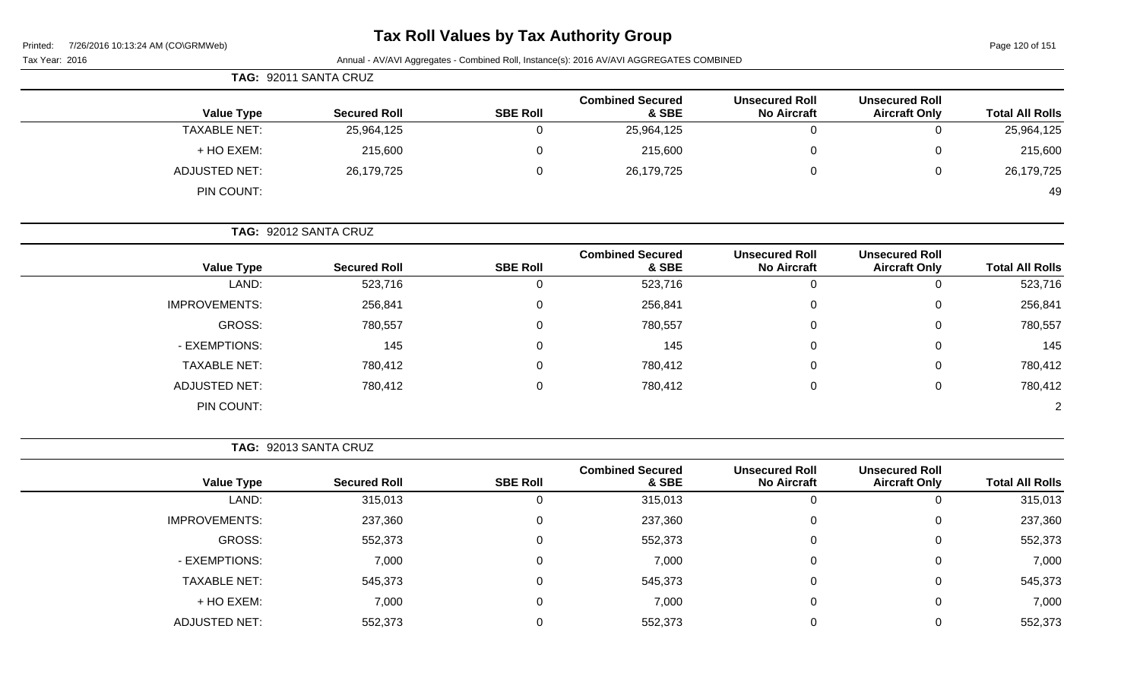| Printed: |  | 7/26/2016 10:13:24 AM (CO\GRMWeb) |
|----------|--|-----------------------------------|
|          |  |                                   |

# **Tax Roll Values by Tax Authority Group**

Page 120 of 151

| Printed:<br>7/26/2016 10:13:24 AM (CONGRMWED)<br>Tax Year: 2016 |                       |                 | Annual - AV/AVI Aggregates - Combined Roll, Instance(s): 2016 AV/AVI AGGREGATES COMBINED |                                             |                                               | Page 120 or 151        |
|-----------------------------------------------------------------|-----------------------|-----------------|------------------------------------------------------------------------------------------|---------------------------------------------|-----------------------------------------------|------------------------|
|                                                                 | TAG: 92011 SANTA CRUZ |                 |                                                                                          |                                             |                                               |                        |
| <b>Value Type</b>                                               | <b>Secured Roll</b>   | <b>SBE Roll</b> | <b>Combined Secured</b><br>& SBE                                                         | <b>Unsecured Roll</b><br><b>No Aircraft</b> | <b>Unsecured Roll</b><br><b>Aircraft Only</b> | <b>Total All Rolls</b> |
| <b>TAXABLE NET:</b>                                             | 25,964,125            | 0               | 25,964,125                                                                               | $\mathbf 0$                                 | $\Omega$                                      | 25,964,125             |
| + HO EXEM:                                                      | 215,600               | 0               | 215,600                                                                                  | 0                                           | $\Omega$                                      | 215,600                |
| <b>ADJUSTED NET:</b>                                            | 26,179,725            | 0               | 26,179,725                                                                               | 0                                           | 0                                             | 26,179,725             |
| PIN COUNT:                                                      |                       |                 |                                                                                          |                                             |                                               | 49                     |
|                                                                 | TAG: 92012 SANTA CRUZ |                 |                                                                                          |                                             |                                               |                        |
| <b>Value Type</b>                                               | <b>Secured Roll</b>   | <b>SBE Roll</b> | <b>Combined Secured</b><br>& SBE                                                         | <b>Unsecured Roll</b><br><b>No Aircraft</b> | <b>Unsecured Roll</b><br><b>Aircraft Only</b> | <b>Total All Rolls</b> |
| LAND:                                                           | 523,716               | 0               | 523,716                                                                                  | $\mathbf 0$                                 | $\mathbf 0$                                   | 523,716                |
| <b>IMPROVEMENTS:</b>                                            | 256,841               | 0               | 256,841                                                                                  | $\Omega$                                    | $\Omega$                                      | 256,841                |
| <b>GROSS:</b>                                                   | 780,557               | 0               | 780,557                                                                                  | 0                                           | 0                                             | 780,557                |
| - EXEMPTIONS:                                                   | 145                   | 0               | 145                                                                                      | 0                                           | 0                                             | 145                    |
| <b>TAXABLE NET:</b>                                             | 780,412               | 0               | 780,412                                                                                  | 0                                           | 0                                             | 780,412                |
| <b>ADJUSTED NET:</b>                                            | 780,412               | $\Omega$        | 780,412                                                                                  | 0                                           | $\Omega$                                      | 780,412                |
| PIN COUNT:                                                      |                       |                 |                                                                                          |                                             |                                               | $\overline{2}$         |
|                                                                 | TAG: 92013 SANTA CRUZ |                 |                                                                                          |                                             |                                               |                        |
| <b>Value Type</b>                                               | <b>Secured Roll</b>   | <b>SBE Roll</b> | <b>Combined Secured</b><br>& SBE                                                         | <b>Unsecured Roll</b><br><b>No Aircraft</b> | <b>Unsecured Roll</b><br><b>Aircraft Only</b> | <b>Total All Rolls</b> |
| LAND:                                                           | 315,013               | 0               | 315,013                                                                                  | $\mathbf 0$                                 | $\Omega$                                      | 315,013                |
| <b>IMPROVEMENTS:</b>                                            | 237,360               | 0               | 237,360                                                                                  | 0                                           | 0                                             | 237,360                |

GROSS: 552,373 0 552,373 0 0 552,373

- EXEMPTIONS: 7,000 0 7,000 0 0 7,000 TAXABLE NET: 545,373 0 545,373 0 0 545,373 + HO EXEM: 7,000 0 7,000 0 0 7,000 ADJUSTED NET: 652,373 552,373 0 552,373 0 552,373 0 552,373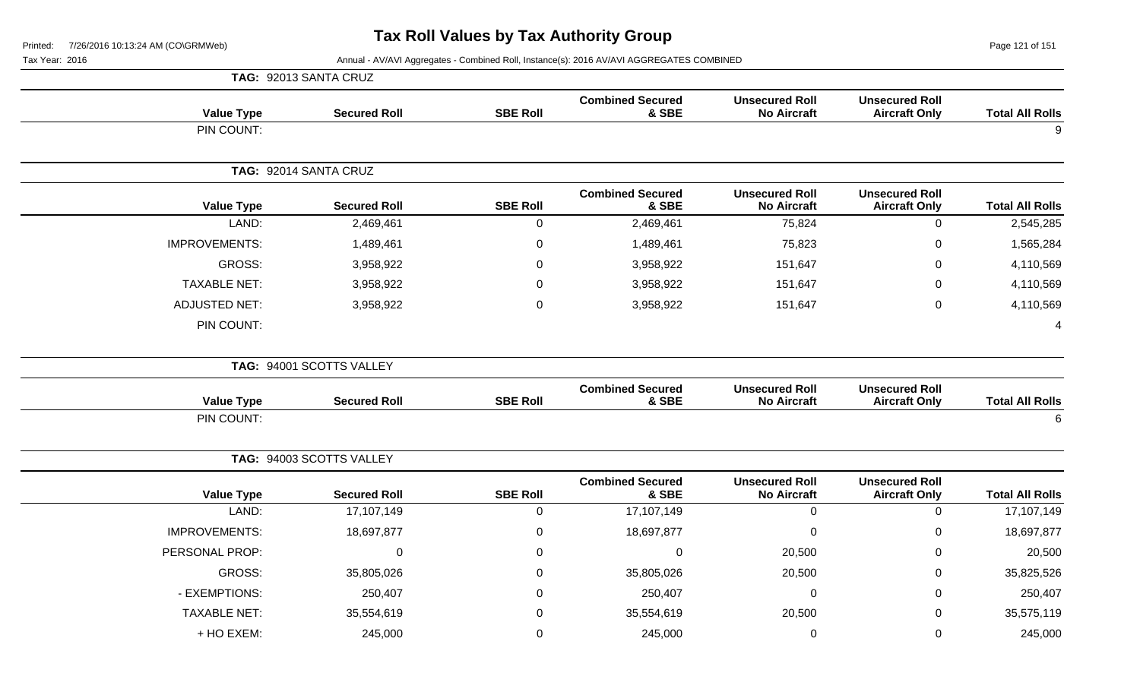Page 121 of 151

|                        |                                               |                                             |                                  |                 | TAG: 92013 SANTA CRUZ    |                      |
|------------------------|-----------------------------------------------|---------------------------------------------|----------------------------------|-----------------|--------------------------|----------------------|
| <b>Total All Rolls</b> | <b>Unsecured Roll</b><br><b>Aircraft Only</b> | <b>Unsecured Roll</b><br><b>No Aircraft</b> | <b>Combined Secured</b><br>& SBE | <b>SBE Roll</b> | <b>Secured Roll</b>      | <b>Value Type</b>    |
| 9                      |                                               |                                             |                                  |                 |                          | PIN COUNT:           |
|                        |                                               |                                             |                                  |                 | TAG: 92014 SANTA CRUZ    |                      |
| <b>Total All Rolls</b> | <b>Unsecured Roll</b><br><b>Aircraft Only</b> | <b>Unsecured Roll</b><br><b>No Aircraft</b> | <b>Combined Secured</b><br>& SBE | <b>SBE Roll</b> | <b>Secured Roll</b>      | <b>Value Type</b>    |
| 2,545,285              | $\mathbf 0$                                   | 75,824                                      | 2,469,461                        | 0               | 2,469,461                | LAND:                |
| 1,565,284              | 0                                             | 75,823                                      | 1,489,461                        | 0               | 1,489,461                | <b>IMPROVEMENTS:</b> |
| 4,110,569              | 0                                             | 151,647                                     | 3,958,922                        | 0               | 3,958,922                | <b>GROSS:</b>        |
| 4,110,569              | 0                                             | 151,647                                     | 3,958,922                        | 0               | 3,958,922                | <b>TAXABLE NET:</b>  |
| 4,110,569              | 0                                             | 151,647                                     | 3,958,922                        | 0               | 3,958,922                | <b>ADJUSTED NET:</b> |
| 4                      |                                               |                                             |                                  |                 |                          | PIN COUNT:           |
|                        |                                               |                                             |                                  |                 | TAG: 94001 SCOTTS VALLEY |                      |
| <b>Total All Rolls</b> | <b>Unsecured Roll</b><br><b>Aircraft Only</b> | <b>Unsecured Roll</b><br><b>No Aircraft</b> | <b>Combined Secured</b><br>& SBE | <b>SBE Roll</b> | <b>Secured Roll</b>      | <b>Value Type</b>    |
| 6                      |                                               |                                             |                                  |                 |                          | PIN COUNT:           |
|                        |                                               |                                             |                                  |                 | TAG: 94003 SCOTTS VALLEY |                      |
| <b>Total All Rolls</b> | <b>Unsecured Roll</b><br><b>Aircraft Only</b> | <b>Unsecured Roll</b><br><b>No Aircraft</b> | <b>Combined Secured</b><br>& SBE | <b>SBE Roll</b> | <b>Secured Roll</b>      | <b>Value Type</b>    |
| 17,107,149             | $\mathbf 0$                                   | $\mathbf 0$                                 | 17,107,149                       | $\mathbf 0$     | 17,107,149               | LAND:                |
| 18,697,877             | 0                                             | $\mathbf 0$                                 | 18,697,877                       | 0               | 18,697,877               | <b>IMPROVEMENTS:</b> |
| 20,500                 | 0                                             | 20,500                                      | 0                                | 0               | $\mathbf 0$              | PERSONAL PROP:       |
| 35,825,526             | 0                                             | 20,500                                      | 35,805,026                       | 0               | 35,805,026               | <b>GROSS:</b>        |
| 250,407                | 0                                             | $\mathbf 0$                                 | 250,407                          | $\Omega$        | 250,407                  | - EXEMPTIONS:        |
| 35,575,119             | 0                                             | 20,500                                      | 35,554,619                       | 0               | 35,554,619               | <b>TAXABLE NET:</b>  |
| 245,000                | 0                                             | 0                                           | 245,000                          | 0               | 245,000                  | + HO EXEM:           |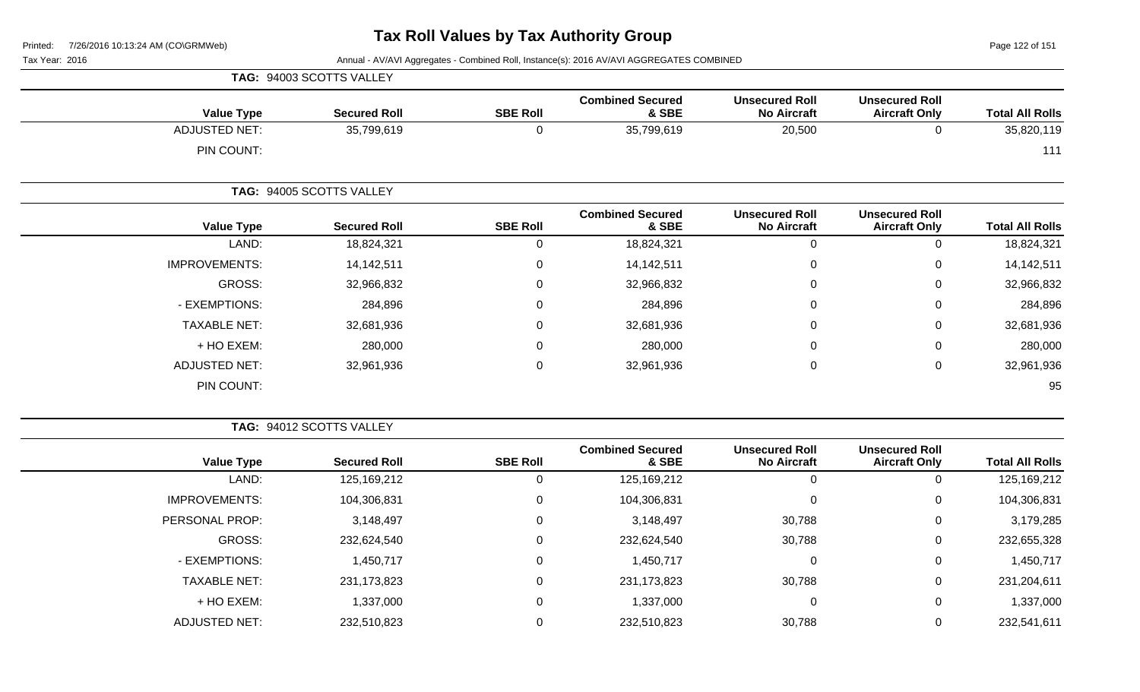Page 122 of 151

|                      | TAG: 94003 SCOTTS VALLEY |                 |                                  |                                             |                                               |                        |
|----------------------|--------------------------|-----------------|----------------------------------|---------------------------------------------|-----------------------------------------------|------------------------|
| <b>Value Type</b>    | <b>Secured Roll</b>      | <b>SBE Roll</b> | <b>Combined Secured</b><br>& SBE | <b>Unsecured Roll</b><br><b>No Aircraft</b> | <b>Unsecured Roll</b><br><b>Aircraft Only</b> | <b>Total All Rolls</b> |
| <b>ADJUSTED NET:</b> | 35,799,619               | 0               | 35,799,619                       | 20,500                                      | 0                                             | 35,820,119             |
| PIN COUNT:           |                          |                 |                                  |                                             |                                               | 111                    |
|                      | TAG: 94005 SCOTTS VALLEY |                 |                                  |                                             |                                               |                        |
| <b>Value Type</b>    | <b>Secured Roll</b>      | <b>SBE Roll</b> | <b>Combined Secured</b><br>& SBE | <b>Unsecured Roll</b><br><b>No Aircraft</b> | <b>Unsecured Roll</b><br><b>Aircraft Only</b> | <b>Total All Rolls</b> |
| LAND:                | 18,824,321               | $\mathbf 0$     | 18,824,321                       | $\mathbf 0$                                 | $\mathbf 0$                                   | 18,824,321             |
| <b>IMPROVEMENTS:</b> | 14,142,511               | 0               | 14,142,511                       | $\mathbf 0$                                 | $\mathbf 0$                                   | 14,142,511             |
| GROSS:               | 32,966,832               | 0               | 32,966,832                       | $\mathbf 0$                                 | $\mathbf 0$                                   | 32,966,832             |
| - EXEMPTIONS:        | 284,896                  | 0               | 284,896                          | $\pmb{0}$                                   | $\mathbf 0$                                   | 284,896                |
| <b>TAXABLE NET:</b>  | 32,681,936               | $\mathbf 0$     | 32,681,936                       | $\pmb{0}$                                   | $\mathbf 0$                                   | 32,681,936             |
| + HO EXEM:           | 280,000                  | $\Omega$        | 280,000                          | $\mathbf 0$                                 | 0                                             | 280,000                |
| <b>ADJUSTED NET:</b> | 32,961,936               | $\mathbf 0$     | 32,961,936                       | $\mathbf 0$                                 | $\mathbf 0$                                   | 32,961,936             |
| PIN COUNT:           |                          |                 |                                  |                                             |                                               | 95                     |

|                      |                     |                 | <b>Combined Secured</b> | <b>Unsecured Roll</b> | <b>Unsecured Roll</b> |                        |
|----------------------|---------------------|-----------------|-------------------------|-----------------------|-----------------------|------------------------|
| <b>Value Type</b>    | <b>Secured Roll</b> | <b>SBE Roll</b> | & SBE                   | <b>No Aircraft</b>    | <b>Aircraft Only</b>  | <b>Total All Rolls</b> |
| LAND:                | 125,169,212         |                 | 125,169,212             |                       |                       | 125,169,212            |
| <b>IMPROVEMENTS:</b> | 104,306,831         | 0               | 104,306,831             |                       | 0                     | 104,306,831            |
| PERSONAL PROP:       | 3,148,497           | 0               | 3,148,497               | 30,788                | 0                     | 3,179,285              |
| GROSS:               | 232,624,540         | 0               | 232,624,540             | 30,788                | 0                     | 232,655,328            |
| - EXEMPTIONS:        | 1,450,717           | 0               | 1,450,717               | 0                     | 0                     | 1,450,717              |
| <b>TAXABLE NET:</b>  | 231, 173, 823       | 0               | 231, 173, 823           | 30,788                | 0                     | 231,204,611            |
| + HO EXEM:           | 1,337,000           | 0               | 1,337,000               | 0                     | 0                     | 1,337,000              |
| <b>ADJUSTED NET:</b> | 232,510,823         |                 | 232,510,823             | 30,788                | 0                     | 232,541,611            |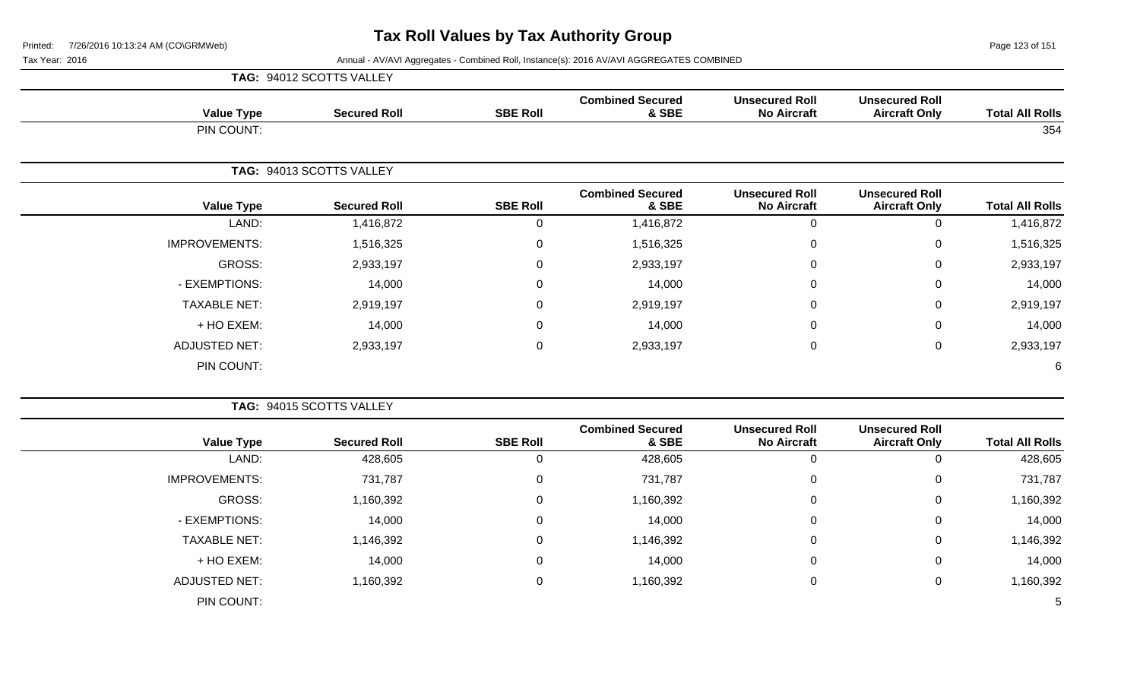Page 123 of 151

|                        |                                               |                                             |                                  |                 | TAG: 94012 SCOTTS VALLEY |                      |
|------------------------|-----------------------------------------------|---------------------------------------------|----------------------------------|-----------------|--------------------------|----------------------|
| <b>Total All Rolls</b> | <b>Unsecured Roll</b><br><b>Aircraft Only</b> | <b>Unsecured Roll</b><br><b>No Aircraft</b> | <b>Combined Secured</b><br>& SBE | <b>SBE Roll</b> | <b>Secured Roll</b>      | <b>Value Type</b>    |
| 354                    |                                               |                                             |                                  |                 |                          | PIN COUNT:           |
|                        |                                               |                                             |                                  |                 | TAG: 94013 SCOTTS VALLEY |                      |
| <b>Total All Rolls</b> | <b>Unsecured Roll</b><br><b>Aircraft Only</b> | <b>Unsecured Roll</b><br><b>No Aircraft</b> | <b>Combined Secured</b><br>& SBE | <b>SBE Roll</b> | <b>Secured Roll</b>      | <b>Value Type</b>    |
| 1,416,872              | 0                                             | $\mathbf 0$                                 | 1,416,872                        | $\mathbf 0$     | 1,416,872                | LAND:                |
| 1,516,325              | 0                                             | $\mathbf 0$                                 | 1,516,325                        | 0               | 1,516,325                | <b>IMPROVEMENTS:</b> |
| 2,933,197              | 0                                             | $\mathbf 0$                                 | 2,933,197                        | $\mathbf 0$     | 2,933,197                | GROSS:               |
| 14,000                 | 0                                             | $\mathbf 0$                                 | 14,000                           | $\mathbf 0$     | 14,000                   | - EXEMPTIONS:        |
| 2,919,197              | 0                                             | $\mathbf 0$                                 | 2,919,197                        | $\mathbf 0$     | 2,919,197                | <b>TAXABLE NET:</b>  |
| 14,000                 | 0                                             | $\mathbf 0$                                 | 14,000                           | $\mathbf 0$     | 14,000                   | + HO EXEM:           |
| 2,933,197              | 0                                             | $\mathbf 0$                                 | 2,933,197                        | $\mathbf 0$     | 2,933,197                | <b>ADJUSTED NET:</b> |
| 6                      |                                               |                                             |                                  |                 |                          | PIN COUNT:           |
|                        |                                               |                                             |                                  |                 | TAG: 94015 SCOTTS VALLEY |                      |
| <b>Total All Rolls</b> | <b>Unsecured Roll</b><br><b>Aircraft Only</b> | <b>Unsecured Roll</b><br><b>No Aircraft</b> | <b>Combined Secured</b><br>& SBE | <b>SBE Roll</b> | <b>Secured Roll</b>      | <b>Value Type</b>    |

| <b>Total All Rolls</b> | Unsecured Roll<br><b>Aircraft Only</b> | Unsecured Roll<br><b>No Aircraft</b> | Compined Secured<br>& SBE | <b>SBE Roll</b> | <b>Secured Roll</b> | <b>Value Type</b>    |
|------------------------|----------------------------------------|--------------------------------------|---------------------------|-----------------|---------------------|----------------------|
| 428,605                |                                        | 0                                    | 428,605                   | v               | 428,605             | LAND:                |
| 731,787                | 0                                      | 0                                    | 731,787                   | 0               | 731,787             | <b>IMPROVEMENTS:</b> |
| 1,160,392              | 0                                      | 0                                    | 1,160,392                 | 0               | 1,160,392           | <b>GROSS:</b>        |
| 14,000                 | 0                                      | 0                                    | 14,000                    | 0               | 14,000              | - EXEMPTIONS:        |
| 1,146,392              | 0                                      | 0                                    | 1,146,392                 | 0               | 1,146,392           | <b>TAXABLE NET:</b>  |
| 14,000                 | 0                                      | 0                                    | 14,000                    | 0               | 14,000              | + HO EXEM:           |
| 1,160,392              | 0                                      | 0                                    | 1,160,392                 | 0               | 1,160,392           | <b>ADJUSTED NET:</b> |
| $\mathcal{D}$          |                                        |                                      |                           |                 |                     | PIN COUNT:           |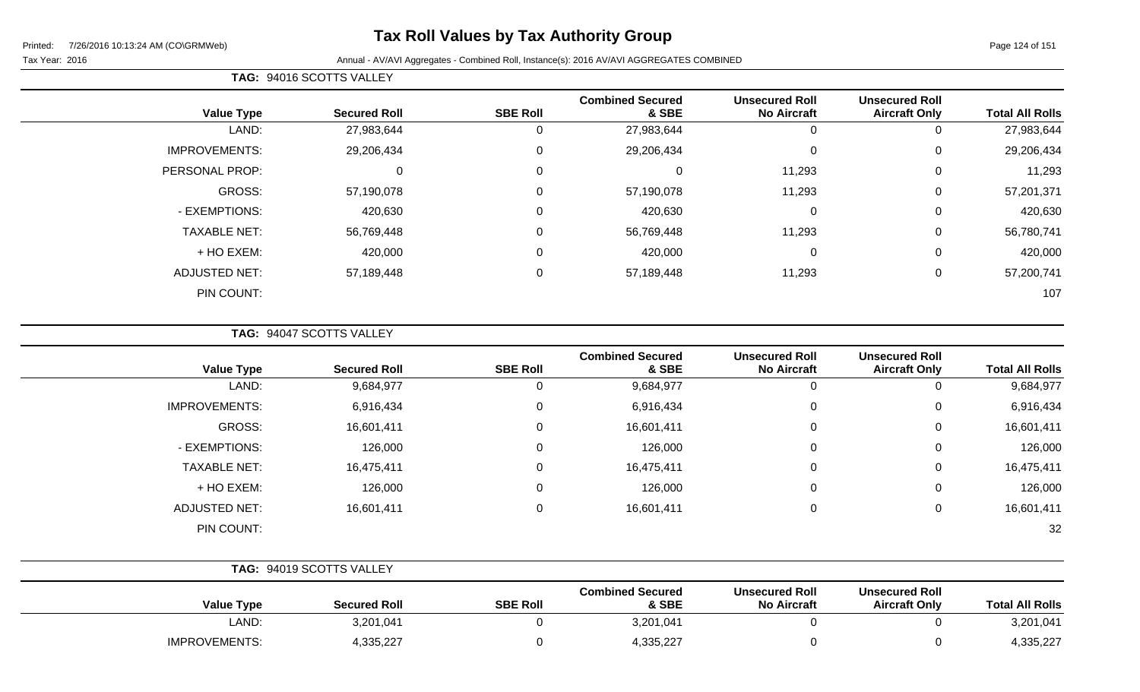# **Tax Roll Values by Tax Authority Group**

### Tax Year: 2016 **Annual - AV/AVI Aggregates - Combined Roll**, Instance(s): 2016 AV/AVI AGGREGATES COMBINED

| <b>TAG: 94016 SCOTTS VALLEY</b> |
|---------------------------------|
|                                 |

|                      |                     |                 | <b>Combined Secured</b> | <b>Unsecured Roll</b> | <b>Unsecured Roll</b> |                        |
|----------------------|---------------------|-----------------|-------------------------|-----------------------|-----------------------|------------------------|
| <b>Value Type</b>    | <b>Secured Roll</b> | <b>SBE Roll</b> | & SBE                   | <b>No Aircraft</b>    | <b>Aircraft Only</b>  | <b>Total All Rolls</b> |
| LAND:                | 27,983,644          | U               | 27,983,644              | 0                     |                       | 27,983,644             |
| <b>IMPROVEMENTS:</b> | 29,206,434          | $\mathbf 0$     | 29,206,434              | $\overline{0}$        | 0                     | 29,206,434             |
| PERSONAL PROP:       | 0                   | 0               |                         | 11,293                | 0                     | 11,293                 |
| <b>GROSS:</b>        | 57,190,078          | $\mathbf 0$     | 57,190,078              | 11,293                | 0                     | 57,201,371             |
| - EXEMPTIONS:        | 420,630             | $\mathbf 0$     | 420,630                 | $\mathbf 0$           | 0                     | 420,630                |
| <b>TAXABLE NET:</b>  | 56,769,448          | $\mathbf 0$     | 56,769,448              | 11,293                | 0                     | 56,780,741             |
| + HO EXEM:           | 420,000             | 0               | 420,000                 | $\overline{0}$        | 0                     | 420,000                |
| <b>ADJUSTED NET:</b> | 57,189,448          | 0               | 57,189,448              | 11,293                | 0                     | 57,200,741             |
| PIN COUNT:           |                     |                 |                         |                       |                       | 107                    |

**TAG:** 94047 SCOTTS VALLEY

| <b>Value Type</b>    | <b>Secured Roll</b> | <b>SBE Roll</b> | <b>Combined Secured</b><br>& SBE | <b>Unsecured Roll</b><br><b>No Aircraft</b> | <b>Unsecured Roll</b><br><b>Aircraft Only</b> | <b>Total All Rolls</b> |
|----------------------|---------------------|-----------------|----------------------------------|---------------------------------------------|-----------------------------------------------|------------------------|
| LAND:                | 9,684,977           | O               | 9,684,977                        |                                             | 0                                             | 9,684,977              |
| <b>IMPROVEMENTS:</b> | 6,916,434           | 0               | 6,916,434                        | $\Omega$                                    | 0                                             | 6,916,434              |
| GROSS:               | 16,601,411          | 0               | 16,601,411                       | $\Omega$                                    | 0                                             | 16,601,411             |
| - EXEMPTIONS:        | 126,000             | 0               | 126,000                          | $\Omega$                                    | 0                                             | 126,000                |
| <b>TAXABLE NET:</b>  | 16,475,411          | 0               | 16,475,411                       |                                             | 0                                             | 16,475,411             |
| + HO EXEM:           | 126,000             | 0               | 126,000                          | $\Omega$                                    | 0                                             | 126,000                |
| <b>ADJUSTED NET:</b> | 16,601,411          | 0               | 16,601,411                       | $\Omega$                                    | 0                                             | 16,601,411             |
| PIN COUNT:           |                     |                 |                                  |                                             |                                               | 32                     |

|                      | TAG: 94019 SCOTTS VALLEY |                 |                                  |                                             |                                               |                        |
|----------------------|--------------------------|-----------------|----------------------------------|---------------------------------------------|-----------------------------------------------|------------------------|
| <b>Value Type</b>    | <b>Secured Roll</b>      | <b>SBE Roll</b> | <b>Combined Secured</b><br>& SBE | <b>Unsecured Roll</b><br><b>No Aircraft</b> | <b>Unsecured Roll</b><br><b>Aircraft Only</b> | <b>Total All Rolls</b> |
| LAND:                | 3,201,041                |                 | 3,201,041                        |                                             |                                               | 3,201,041              |
| <b>IMPROVEMENTS:</b> | 4,335,227                |                 | 4,335,227                        |                                             |                                               | 4,335,227              |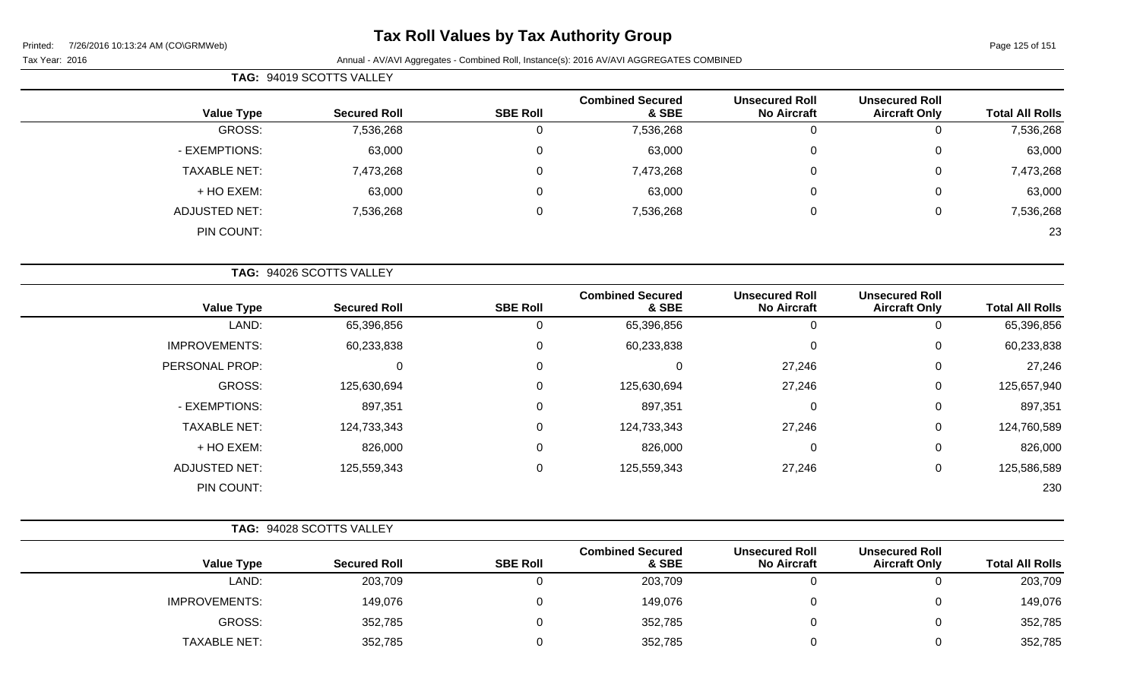# **Tax Roll Values by Tax Authority Group**

|                     | TAG: 94019 SCOTTS VALLEY |                 |                                  |                                             |                                               |                        |
|---------------------|--------------------------|-----------------|----------------------------------|---------------------------------------------|-----------------------------------------------|------------------------|
| <b>Value Type</b>   | <b>Secured Roll</b>      | <b>SBE Roll</b> | <b>Combined Secured</b><br>& SBE | <b>Unsecured Roll</b><br><b>No Aircraft</b> | <b>Unsecured Roll</b><br><b>Aircraft Only</b> | <b>Total All Rolls</b> |
| GROSS:              | 7,536,268                | 0               | 7,536,268                        | υ                                           |                                               | 7,536,268              |
| - EXEMPTIONS:       | 63,000                   | $\mathbf 0$     | 63,000                           | 0                                           |                                               | 63,000                 |
| <b>TAXABLE NET:</b> | 7,473,268                | 0               | 7,473,268                        | 0                                           | 0                                             | 7,473,268              |
| + HO EXEM:          | 63,000                   | 0               | 63,000                           | 0                                           | 0                                             | 63,000                 |
| ADJUSTED NET:       | 7,536,268                | $\mathbf 0$     | 7,536,268                        | 0                                           |                                               | 7,536,268              |
| PIN COUNT:          |                          |                 |                                  |                                             |                                               | 23                     |

|                      | TAG: 94026 SCOTTS VALLEY |                 |                                  |                                             |                                               |                        |
|----------------------|--------------------------|-----------------|----------------------------------|---------------------------------------------|-----------------------------------------------|------------------------|
| <b>Value Type</b>    | <b>Secured Roll</b>      | <b>SBE Roll</b> | <b>Combined Secured</b><br>& SBE | <b>Unsecured Roll</b><br><b>No Aircraft</b> | <b>Unsecured Roll</b><br><b>Aircraft Only</b> | <b>Total All Rolls</b> |
| LAND:                | 65,396,856               | 0               | 65,396,856                       | 0                                           | 0                                             | 65,396,856             |
| <b>IMPROVEMENTS:</b> | 60,233,838               | $\mathbf 0$     | 60,233,838                       | $\mathbf 0$                                 | $\mathbf 0$                                   | 60,233,838             |
| PERSONAL PROP:       | 0                        | 0               | $\mathbf 0$                      | 27,246                                      | $\mathbf 0$                                   | 27,246                 |
| GROSS:               | 125,630,694              | $\Omega$        | 125,630,694                      | 27,246                                      | $\mathbf 0$                                   | 125,657,940            |
| - EXEMPTIONS:        | 897,351                  | $\mathbf 0$     | 897,351                          | 0                                           | $\mathbf 0$                                   | 897,351                |
| <b>TAXABLE NET:</b>  | 124,733,343              | 0               | 124,733,343                      | 27,246                                      | $\mathbf 0$                                   | 124,760,589            |
| + HO EXEM:           | 826,000                  | 0               | 826,000                          | $\mathbf 0$                                 | $\mathbf 0$                                   | 826,000                |
| <b>ADJUSTED NET:</b> | 125,559,343              | 0               | 125,559,343                      | 27,246                                      | 0                                             | 125,586,589            |
| PIN COUNT:           |                          |                 |                                  |                                             |                                               | 230                    |

|                      | TAG: 94028 SCOTTS VALLEY |                 |                                  |                                             |                                               |                        |
|----------------------|--------------------------|-----------------|----------------------------------|---------------------------------------------|-----------------------------------------------|------------------------|
| <b>Value Type</b>    | <b>Secured Roll</b>      | <b>SBE Roll</b> | <b>Combined Secured</b><br>& SBE | <b>Unsecured Roll</b><br><b>No Aircraft</b> | <b>Unsecured Roll</b><br><b>Aircraft Only</b> | <b>Total All Rolls</b> |
| LAND:                | 203,709                  |                 | 203,709                          |                                             |                                               | 203,709                |
| <b>IMPROVEMENTS:</b> | 149,076                  |                 | 149,076                          |                                             |                                               | 149,076                |
| GROSS:               | 352,785                  |                 | 352,785                          |                                             |                                               | 352,785                |
| <b>TAXABLE NET:</b>  | 352,785                  |                 | 352,785                          |                                             |                                               | 352,785                |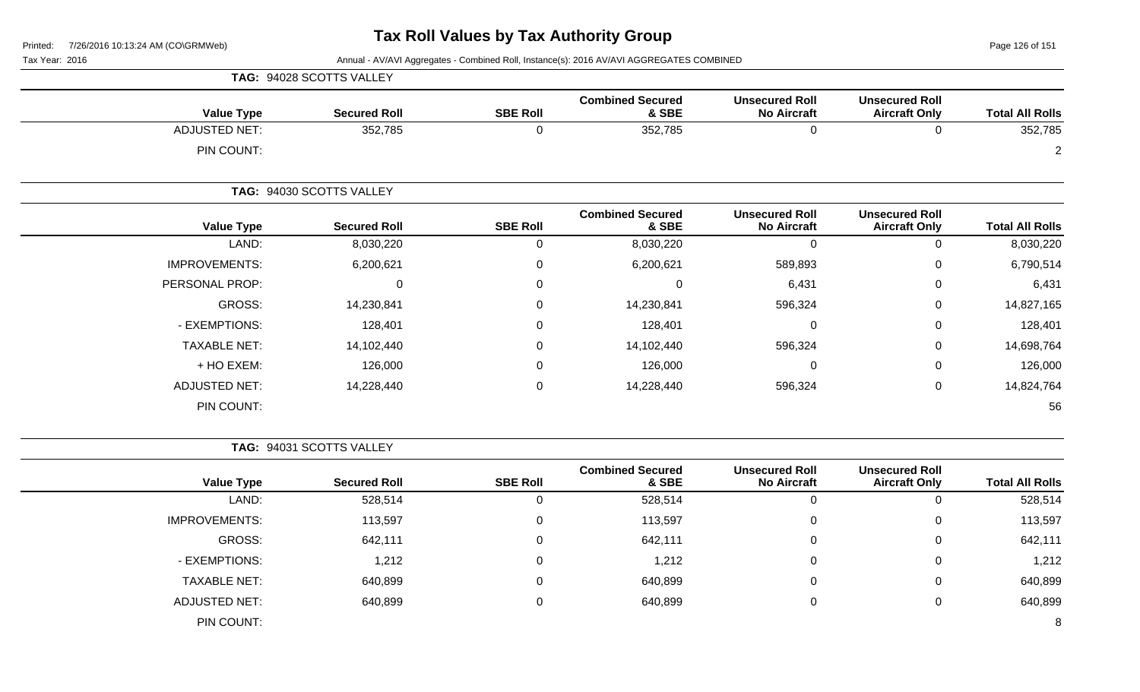Page 126 of 151

Tax Year: 2016 **Annual - AV/AVI Aggregates - Combined Roll**, Instance(s): 2016 AV/AVI AGGREGATES COMBINED

|                      | TAG: 94028 SCOTTS VALLEY |                 |                                  |                                             |                                               |                        |
|----------------------|--------------------------|-----------------|----------------------------------|---------------------------------------------|-----------------------------------------------|------------------------|
| <b>Value Type</b>    | <b>Secured Roll</b>      | <b>SBE Roll</b> | <b>Combined Secured</b><br>& SBE | <b>Unsecured Roll</b><br><b>No Aircraft</b> | <b>Unsecured Roll</b><br><b>Aircraft Only</b> | <b>Total All Rolls</b> |
| <b>ADJUSTED NET:</b> | 352,785                  | U               | 352,785                          | U                                           |                                               | 352,785                |
| PIN COUNT:           |                          |                 |                                  |                                             |                                               | $\overline{2}$         |
|                      | TAG: 94030 SCOTTS VALLEY |                 |                                  |                                             |                                               |                        |
| <b>Value Type</b>    | <b>Secured Roll</b>      | <b>SBE Roll</b> | <b>Combined Secured</b><br>& SBE | <b>Unsecured Roll</b><br><b>No Aircraft</b> | <b>Unsecured Roll</b><br><b>Aircraft Only</b> | <b>Total All Rolls</b> |
| LAND:                | 8,030,220                | U               | 8,030,220                        | U                                           | 0                                             | 8,030,220              |
| <b>IMPROVEMENTS:</b> | 6,200,621                |                 | 6,200,621                        | 589,893                                     | 0                                             | 6,790,514              |

| <b>Total All Rolls</b> | <b>Aircraft Only</b> | <b>No Aircraft</b> | & SBE      | <b>SBE ROIL</b> | <b>Secured Roll</b> | Value Type           |
|------------------------|----------------------|--------------------|------------|-----------------|---------------------|----------------------|
| 8,030,220              | O                    | 0                  | 8,030,220  | υ               | 8,030,220           | LAND:                |
| 6,790,514              | $\overline{0}$       | 589,893            | 6,200,621  |                 | 6,200,621           | <b>IMPROVEMENTS:</b> |
| 6,431                  | 0                    | 6,431              | 0          | 0               |                     | PERSONAL PROP:       |
| 14,827,165             | 0                    | 596,324            | 14,230,841 |                 | 14,230,841          | GROSS:               |
| 128,401                | 0                    | 0                  | 128,401    | 0               | 128,401             | - EXEMPTIONS:        |
| 14,698,764             | 0                    | 596,324            | 14,102,440 |                 | 14,102,440          | <b>TAXABLE NET:</b>  |
| 126,000                | 0                    | 0                  | 126,000    |                 | 126,000             | + HO EXEM:           |
| 14,824,764             | 0                    | 596,324            | 14,228,440 | 0               | 14,228,440          | <b>ADJUSTED NET:</b> |
| 56                     |                      |                    |            |                 |                     | PIN COUNT:           |

**TAG:** 94031 SCOTTS VALLEY

| <b>Value Type</b>    | <b>Secured Roll</b> | <b>SBE Roll</b> | <b>Combined Secured</b><br>& SBE | <b>Unsecured Roll</b><br><b>No Aircraft</b> | <b>Unsecured Roll</b><br><b>Aircraft Only</b> | <b>Total All Rolls</b> |
|----------------------|---------------------|-----------------|----------------------------------|---------------------------------------------|-----------------------------------------------|------------------------|
| LAND:                | 528,514             | υ               | 528,514                          | 0                                           |                                               | 528,514                |
| <b>IMPROVEMENTS:</b> | 113,597             | 0               | 113,597                          | 0                                           | 0                                             | 113,597                |
| GROSS:               | 642,111             | 0               | 642,111                          | 0                                           | 0                                             | 642,111                |
| - EXEMPTIONS:        | 1,212               | U               | 1,212                            | 0                                           | 0                                             | 1,212                  |
| <b>TAXABLE NET:</b>  | 640,899             | 0               | 640,899                          | 0                                           | 0                                             | 640,899                |
| <b>ADJUSTED NET:</b> | 640,899             | 0               | 640,899                          | 0                                           | 0                                             | 640,899                |
| PIN COUNT:           |                     |                 |                                  |                                             |                                               | 8                      |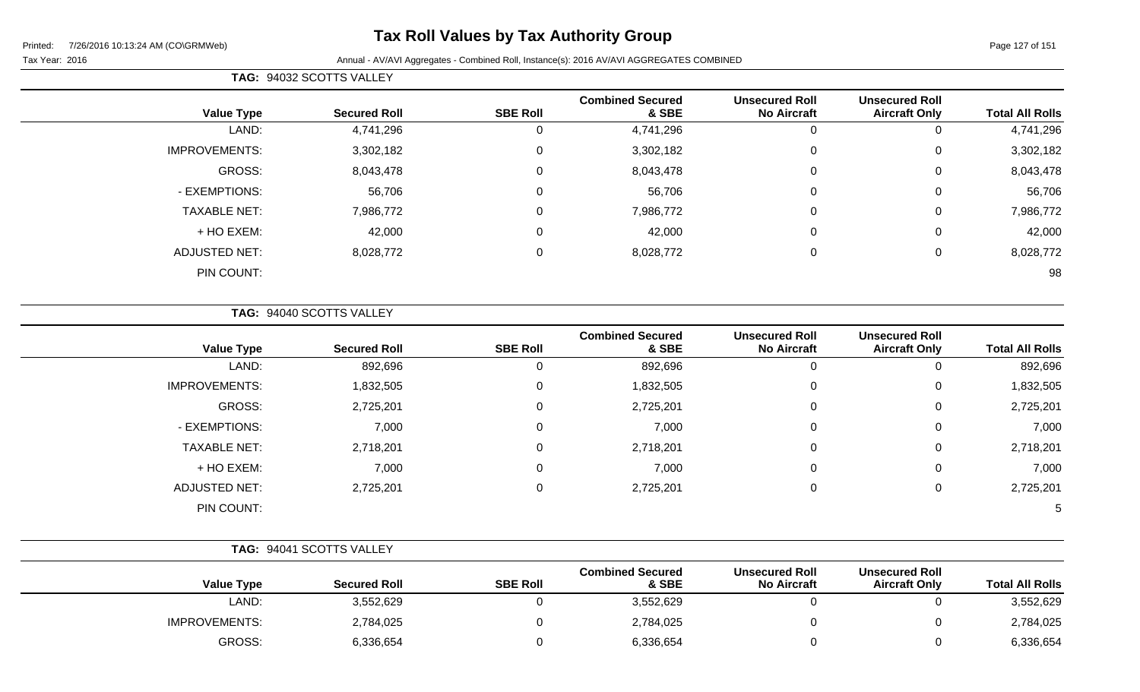# **Tax Roll Values by Tax Authority Group**

| <b>Total All Rolls</b> |                                               |                                             |                                  | TAG: 94032 SCOTTS VALLEY |                     |                      |  |  |
|------------------------|-----------------------------------------------|---------------------------------------------|----------------------------------|--------------------------|---------------------|----------------------|--|--|
|                        | <b>Unsecured Roll</b><br><b>Aircraft Only</b> | <b>Unsecured Roll</b><br><b>No Aircraft</b> | <b>Combined Secured</b><br>& SBE | <b>SBE Roll</b>          | <b>Secured Roll</b> | <b>Value Type</b>    |  |  |
| 4,741,296              | 0                                             | 0                                           | 4,741,296                        |                          | 4,741,296           | LAND:                |  |  |
| 3,302,182              | $\mathbf 0$                                   | $\mathbf 0$                                 | 3,302,182                        | $\Omega$                 | 3,302,182           | <b>IMPROVEMENTS:</b> |  |  |
| 8,043,478              | $\mathbf 0$                                   | $\mathbf 0$                                 | 8,043,478                        | $\Omega$                 | 8,043,478           | GROSS:               |  |  |
| 56,706                 | $\mathbf 0$                                   | 0                                           | 56,706                           | $\Omega$                 | 56,706              | - EXEMPTIONS:        |  |  |
| 7,986,772              | 0                                             | 0                                           | 7,986,772                        | $\Omega$                 | 7,986,772           | <b>TAXABLE NET:</b>  |  |  |
| 42,000                 | 0                                             | $\mathbf 0$                                 | 42,000                           | $\Omega$                 | 42,000              | + HO EXEM:           |  |  |
| 8,028,772              | 0                                             | 0                                           | 8,028,772                        | $\Omega$                 | 8,028,772           | <b>ADJUSTED NET:</b> |  |  |
| 98                     |                                               |                                             |                                  |                          |                     | PIN COUNT:           |  |  |

**TAG:** 94040 SCOTTS VALLEY

| <b>Value Type</b>    | <b>Secured Roll</b> | <b>SBE Roll</b> | <b>Combined Secured</b><br>& SBE | <b>Unsecured Roll</b><br><b>No Aircraft</b> | <b>Unsecured Roll</b><br><b>Aircraft Only</b> | <b>Total All Rolls</b> |
|----------------------|---------------------|-----------------|----------------------------------|---------------------------------------------|-----------------------------------------------|------------------------|
| LAND:                | 892,696             |                 | 892,696                          | 0                                           | υ                                             | 892,696                |
| <b>IMPROVEMENTS:</b> | 1,832,505           | 0               | 1,832,505                        | 0                                           | 0                                             | 1,832,505              |
| GROSS:               | 2,725,201           | $\Omega$        | 2,725,201                        | 0                                           | 0                                             | 2,725,201              |
| - EXEMPTIONS:        | 7,000               | $\Omega$        | 7,000                            | 0                                           | 0                                             | 7,000                  |
| <b>TAXABLE NET:</b>  | 2,718,201           | $\mathbf 0$     | 2,718,201                        | 0                                           | 0                                             | 2,718,201              |
| + HO EXEM:           | 7,000               |                 | 7,000                            | 0                                           | 0                                             | 7,000                  |
| <b>ADJUSTED NET:</b> | 2,725,201           | 0               | 2,725,201                        | 0                                           | 0                                             | 2,725,201              |
| PIN COUNT:           |                     |                 |                                  |                                             |                                               | 5                      |

|                      | TAG: 94041 SCOTTS VALLEY |                 |                                  |                                             |                                               |                        |  |
|----------------------|--------------------------|-----------------|----------------------------------|---------------------------------------------|-----------------------------------------------|------------------------|--|
| <b>Value Type</b>    | <b>Secured Roll</b>      | <b>SBE Roll</b> | <b>Combined Secured</b><br>& SBE | <b>Unsecured Roll</b><br><b>No Aircraft</b> | <b>Unsecured Roll</b><br><b>Aircraft Only</b> | <b>Total All Rolls</b> |  |
| LAND:                | 3,552,629                |                 | 3,552,629                        |                                             |                                               | 3,552,629              |  |
| <b>IMPROVEMENTS:</b> | 2,784,025                |                 | 2,784,025                        |                                             |                                               | 2,784,025              |  |
| GROSS:               | 6,336,654                |                 | 6,336,654                        |                                             |                                               | 6,336,654              |  |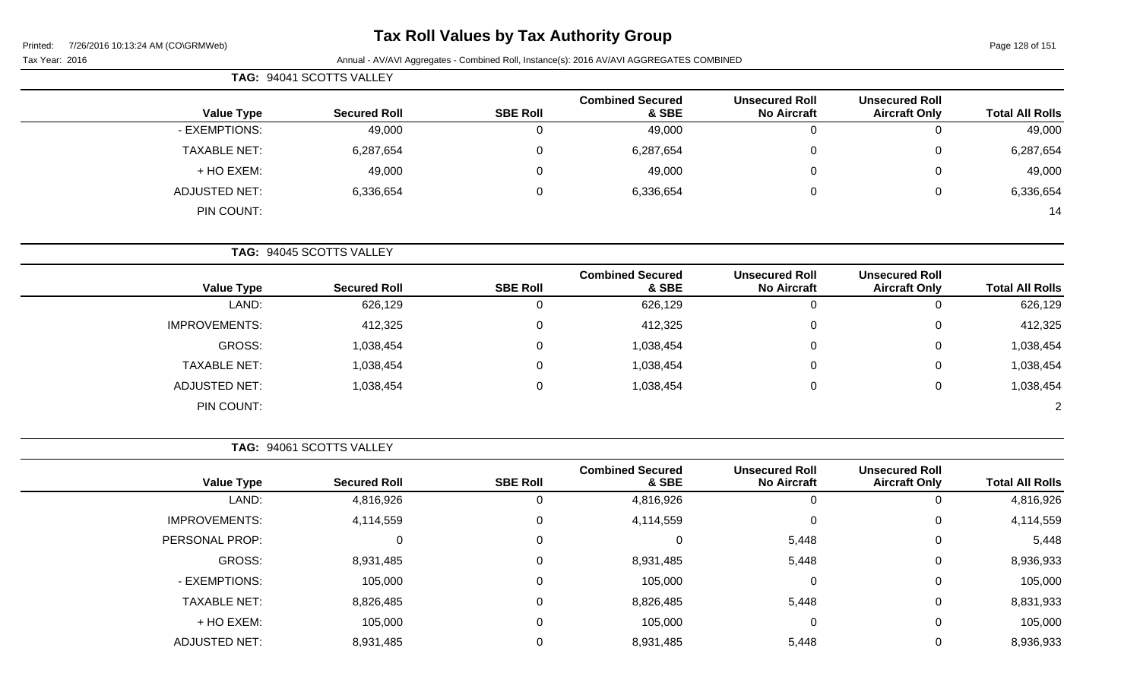# **Tax Roll Values by Tax Authority Group**

Page 128 of 151

Tax Year: 2016 **Annual - AV/AVI Aggregates - Combined Roll**, Instance(s): 2016 AV/AVI AGGREGATES COMBINED

|                     | TAG: 94041 SCOTTS VALLEY |                 |                                  |                                             |                                               |                        |
|---------------------|--------------------------|-----------------|----------------------------------|---------------------------------------------|-----------------------------------------------|------------------------|
| <b>Value Type</b>   | <b>Secured Roll</b>      | <b>SBE Roll</b> | <b>Combined Secured</b><br>& SBE | <b>Unsecured Roll</b><br><b>No Aircraft</b> | <b>Unsecured Roll</b><br><b>Aircraft Only</b> | <b>Total All Rolls</b> |
| - EXEMPTIONS:       | 49,000                   | 0               | 49,000                           | 0                                           | U                                             | 49,000                 |
| <b>TAXABLE NET:</b> | 6,287,654                | 0               | 6,287,654                        | $\overline{0}$                              | 0                                             | 6,287,654              |
| + HO EXEM:          | 49,000                   | 0               | 49,000                           | 0                                           | 0                                             | 49,000                 |
| ADJUSTED NET:       | 6,336,654                | 0               | 6,336,654                        | 0                                           | 0                                             | 6,336,654              |
| PIN COUNT:          |                          |                 |                                  |                                             |                                               | 14                     |
|                     |                          |                 |                                  |                                             |                                               |                        |

**TAG:** 94045 SCOTTS VALLEY

|                      |                     |                 | <b>Combined Secured</b> | <b>Unsecured Roll</b> | <b>Unsecured Roll</b> |                        |
|----------------------|---------------------|-----------------|-------------------------|-----------------------|-----------------------|------------------------|
| <b>Value Type</b>    | <b>Secured Roll</b> | <b>SBE Roll</b> | & SBE                   | <b>No Aircraft</b>    | <b>Aircraft Only</b>  | <b>Total All Rolls</b> |
| LAND:                | 626,129             |                 | 626,129                 |                       |                       | 626,129                |
| <b>IMPROVEMENTS:</b> | 412,325             |                 | 412,325                 |                       |                       | 412,325                |
| <b>GROSS:</b>        | 1,038,454           |                 | 1,038,454               |                       |                       | 1,038,454              |
| <b>TAXABLE NET:</b>  | 1,038,454           |                 | 1,038,454               |                       | 0                     | 1,038,454              |
| <b>ADJUSTED NET:</b> | 1,038,454           |                 | 1,038,454               |                       | 0                     | 1,038,454              |
| PIN COUNT:           |                     |                 |                         |                       |                       |                        |

**TAG:** 94061 SCOTTS VALLEY

| <b>Value Type</b>    | <b>Secured Roll</b> | <b>SBE Roll</b> | <b>Combined Secured</b><br>& SBE | <b>Unsecured Roll</b><br><b>No Aircraft</b> | <b>Unsecured Roll</b><br><b>Aircraft Only</b> | <b>Total All Rolls</b> |
|----------------------|---------------------|-----------------|----------------------------------|---------------------------------------------|-----------------------------------------------|------------------------|
| LAND:                | 4,816,926           | U               | 4,816,926                        | 0                                           | 0                                             | 4,816,926              |
| <b>IMPROVEMENTS:</b> | 4,114,559           | $\Omega$        | 4,114,559                        | $\Omega$                                    | 0                                             | 4,114,559              |
| PERSONAL PROP:       | 0                   | $\Omega$        | $\Omega$                         | 5,448                                       | 0                                             | 5,448                  |
| GROSS:               | 8,931,485           | $\mathbf{0}$    | 8,931,485                        | 5,448                                       | 0                                             | 8,936,933              |
| - EXEMPTIONS:        | 105,000             | $\Omega$        | 105,000                          | $\Omega$                                    | 0                                             | 105,000                |
| <b>TAXABLE NET:</b>  | 8,826,485           | $\Omega$        | 8,826,485                        | 5,448                                       | 0                                             | 8,831,933              |
| + HO EXEM:           | 105,000             | 0               | 105,000                          | 0                                           | $\mathbf 0$                                   | 105,000                |
| <b>ADJUSTED NET:</b> | 8,931,485           |                 | 8,931,485                        | 5,448                                       | 0                                             | 8,936,933              |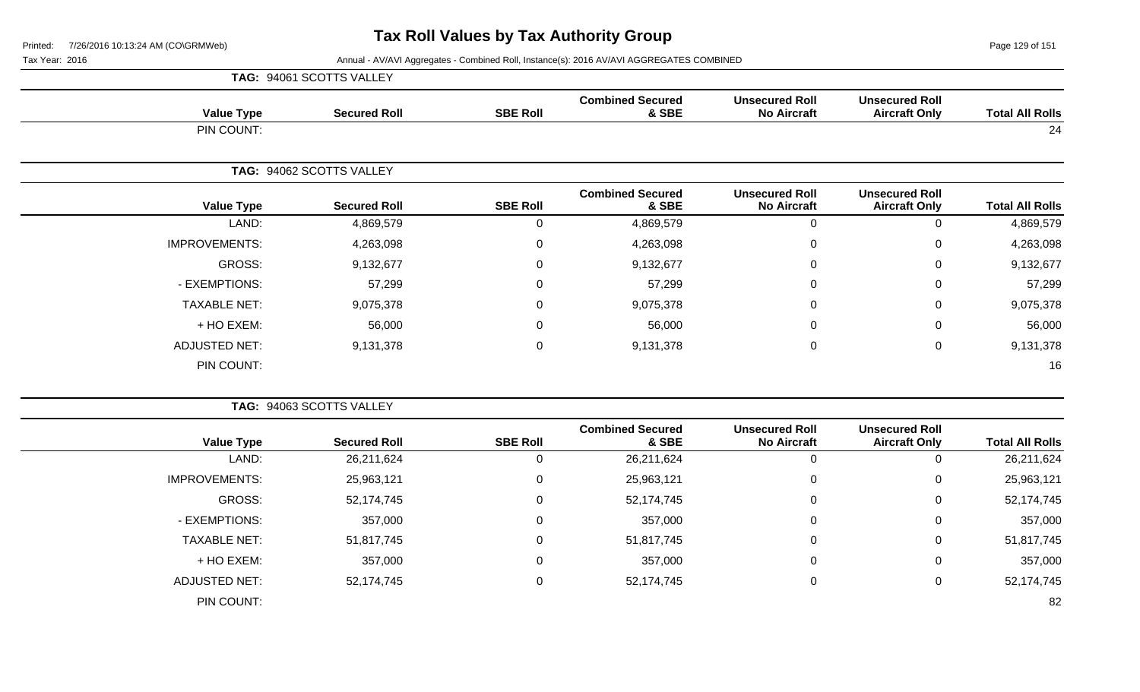Page 129 of 151

| <b>Total All Rolls</b> | <b>Unsecured Roll</b><br><b>Aircraft Only</b> |                                             |                                  |                  |                          | TAG: 94061 SCOTTS VALLEY |  |  |
|------------------------|-----------------------------------------------|---------------------------------------------|----------------------------------|------------------|--------------------------|--------------------------|--|--|
|                        |                                               | <b>Unsecured Roll</b><br><b>No Aircraft</b> | <b>Combined Secured</b><br>& SBE | <b>SBE Roll</b>  | <b>Secured Roll</b>      | <b>Value Type</b>        |  |  |
| 24                     |                                               |                                             |                                  |                  |                          | PIN COUNT:               |  |  |
|                        |                                               |                                             |                                  |                  | TAG: 94062 SCOTTS VALLEY |                          |  |  |
| <b>Total All Rolls</b> | <b>Unsecured Roll</b><br><b>Aircraft Only</b> | <b>Unsecured Roll</b><br><b>No Aircraft</b> | <b>Combined Secured</b><br>& SBE | <b>SBE Roll</b>  | <b>Secured Roll</b>      | <b>Value Type</b>        |  |  |
| 4,869,579              | 0                                             | 0                                           | 4,869,579                        | 0                | 4,869,579                | LAND:                    |  |  |
| 4,263,098              | $\pmb{0}$                                     | 0                                           | 4,263,098                        | $\pmb{0}$        | 4,263,098                | <b>IMPROVEMENTS:</b>     |  |  |
| 9,132,677              | 0                                             | $\Omega$                                    | 9,132,677                        | $\Omega$         | 9,132,677                | GROSS:                   |  |  |
| 57,299                 | 0                                             | 0                                           | 57,299                           | 0                | 57,299                   | - EXEMPTIONS:            |  |  |
| 9,075,378              | $\mathbf 0$                                   | 0                                           | 9,075,378                        | 0                | 9,075,378                | <b>TAXABLE NET:</b>      |  |  |
| 56,000                 | 0                                             | $\Omega$                                    | 56,000                           | 0                | 56,000                   | + HO EXEM:               |  |  |
| 9,131,378              | $\pmb{0}$                                     | $\mathbf 0$                                 | 9,131,378                        | $\boldsymbol{0}$ | 9,131,378                | <b>ADJUSTED NET:</b>     |  |  |
| 16                     |                                               |                                             |                                  |                  |                          | PIN COUNT:               |  |  |

|                      | TAG: 94063 SCOTTS VALLEY |                 |                                  |                                             |                                               |                        |
|----------------------|--------------------------|-----------------|----------------------------------|---------------------------------------------|-----------------------------------------------|------------------------|
| <b>Value Type</b>    | <b>Secured Roll</b>      | <b>SBE Roll</b> | <b>Combined Secured</b><br>& SBE | <b>Unsecured Roll</b><br><b>No Aircraft</b> | <b>Unsecured Roll</b><br><b>Aircraft Only</b> | <b>Total All Rolls</b> |
| LAND:                | 26,211,624               | U               | 26,211,624                       | 0                                           | 0                                             | 26,211,624             |
| <b>IMPROVEMENTS:</b> | 25,963,121               | 0               | 25,963,121                       | $\overline{0}$                              | 0                                             | 25,963,121             |
| GROSS:               | 52,174,745               | 0               | 52,174,745                       | $\mathbf 0$                                 | 0                                             | 52,174,745             |
| - EXEMPTIONS:        | 357,000                  | 0               | 357,000                          | $\mathbf 0$                                 | 0                                             | 357,000                |
| <b>TAXABLE NET:</b>  | 51,817,745               | $\mathbf 0$     | 51,817,745                       | $\mathbf 0$                                 | 0                                             | 51,817,745             |
| + HO EXEM:           | 357,000                  | $\mathbf 0$     | 357,000                          | $\mathbf 0$                                 | 0                                             | 357,000                |
| <b>ADJUSTED NET:</b> | 52,174,745               | $\mathbf 0$     | 52,174,745                       | $\overline{0}$                              | 0                                             | 52,174,745             |
| PIN COUNT:           |                          |                 |                                  |                                             |                                               | 82                     |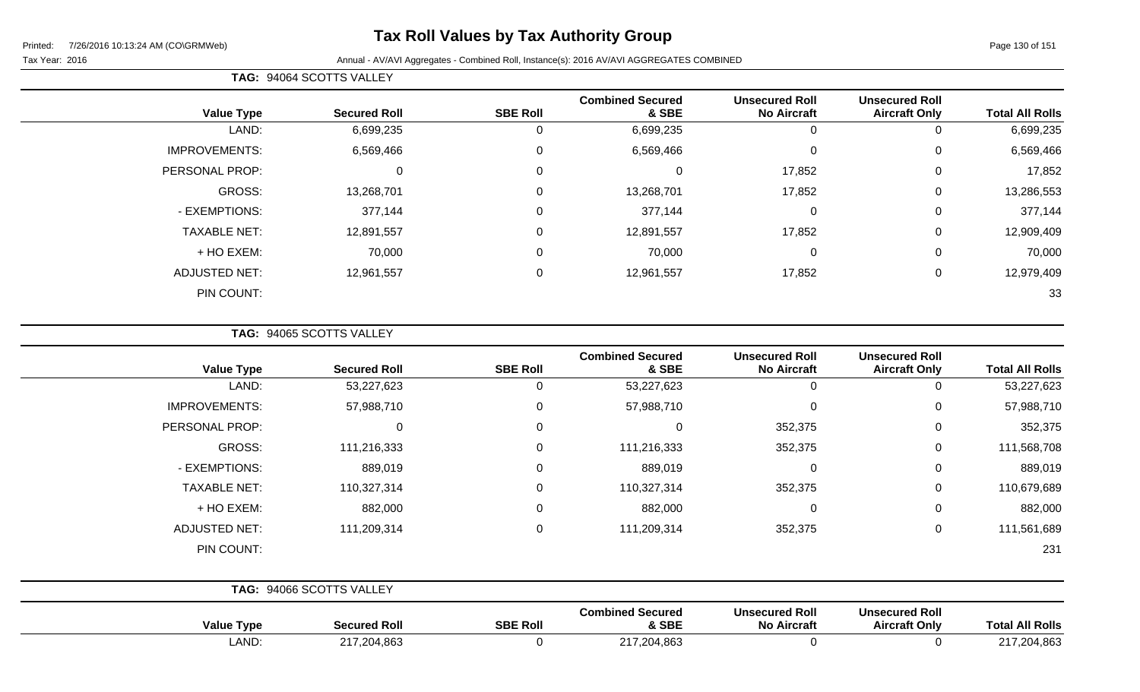# **Tax Roll Values by Tax Authority Group**

#### Tax Year: 2016 **Annual - AV/AVI Aggregates - Combined Roll**, Instance(s): 2016 AV/AVI AGGREGATES COMBINED

| <b>TAG: 94064 SCOTTS VALLEY</b> |  |
|---------------------------------|--|
|                                 |  |

|                      |                     |                 | <b>Combined Secured</b> | <b>Unsecured Roll</b> | <b>Unsecured Roll</b> |                        |
|----------------------|---------------------|-----------------|-------------------------|-----------------------|-----------------------|------------------------|
| <b>Value Type</b>    | <b>Secured Roll</b> | <b>SBE Roll</b> | & SBE                   | <b>No Aircraft</b>    | <b>Aircraft Only</b>  | <b>Total All Rolls</b> |
| LAND:                | 6,699,235           | U               | 6,699,235               | 0                     | 0                     | 6,699,235              |
| <b>IMPROVEMENTS:</b> | 6,569,466           | $\mathbf 0$     | 6,569,466               | $\mathbf 0$           | 0                     | 6,569,466              |
| PERSONAL PROP:       | 0                   | 0               |                         | 17,852                | 0                     | 17,852                 |
| GROSS:               | 13,268,701          | 0               | 13,268,701              | 17,852                | 0                     | 13,286,553             |
| - EXEMPTIONS:        | 377,144             | 0               | 377,144                 | $\mathbf 0$           | 0                     | 377,144                |
| <b>TAXABLE NET:</b>  | 12,891,557          | 0               | 12,891,557              | 17,852                | 0                     | 12,909,409             |
| + HO EXEM:           | 70,000              | 0               | 70,000                  | $\mathbf 0$           | 0                     | 70,000                 |
| <b>ADJUSTED NET:</b> | 12,961,557          | 0               | 12,961,557              | 17,852                | 0                     | 12,979,409             |
| PIN COUNT:           |                     |                 |                         |                       |                       | 33                     |

**TAG:** 94065 SCOTTS VALLEY

| <b>Value Type</b>    | <b>Secured Roll</b>      | <b>SBE Roll</b> | <b>Combined Secured</b><br>& SBE | <b>Unsecured Roll</b><br><b>No Aircraft</b> | <b>Unsecured Roll</b><br><b>Aircraft Only</b> | <b>Total All Rolls</b> |
|----------------------|--------------------------|-----------------|----------------------------------|---------------------------------------------|-----------------------------------------------|------------------------|
| LAND:                | 53,227,623               | 0               | 53,227,623                       | $\overline{0}$                              | 0                                             | 53,227,623             |
| <b>IMPROVEMENTS:</b> | 57,988,710               | $\mathbf 0$     | 57,988,710                       | $\Omega$                                    | $\mathbf 0$                                   | 57,988,710             |
| PERSONAL PROP:       | $\Omega$                 | $\mathbf 0$     | 0                                | 352,375                                     | $\mathbf 0$                                   | 352,375                |
| GROSS:               | 111,216,333              | $\mathbf{0}$    | 111,216,333                      | 352,375                                     | $\mathbf 0$                                   | 111,568,708            |
| - EXEMPTIONS:        | 889,019                  | 0               | 889,019                          | $\Omega$                                    | $\mathbf 0$                                   | 889,019                |
| <b>TAXABLE NET:</b>  | 110,327,314              | $\mathbf 0$     | 110,327,314                      | 352,375                                     | $\mathbf 0$                                   | 110,679,689            |
| + HO EXEM:           | 882,000                  | $\mathbf 0$     | 882,000                          | $\mathbf 0$                                 | $\mathbf 0$                                   | 882,000                |
| <b>ADJUSTED NET:</b> | 111,209,314              | $\mathbf{0}$    | 111,209,314                      | 352,375                                     | $\mathbf 0$                                   | 111,561,689            |
| PIN COUNT:           |                          |                 |                                  |                                             |                                               | 231                    |
|                      | TAG: 94066 SCOTTS VALLEY |                 |                                  |                                             |                                               |                        |
| <b>Value Type</b>    | <b>Secured Roll</b>      | <b>SBE Roll</b> | <b>Combined Secured</b><br>& SBE | <b>Unsecured Roll</b><br><b>No Aircraft</b> | <b>Unsecured Roll</b><br><b>Aircraft Only</b> | <b>Total All Rolls</b> |

LAND: 217,204,863 0 217,204,863 0 0 217,204,863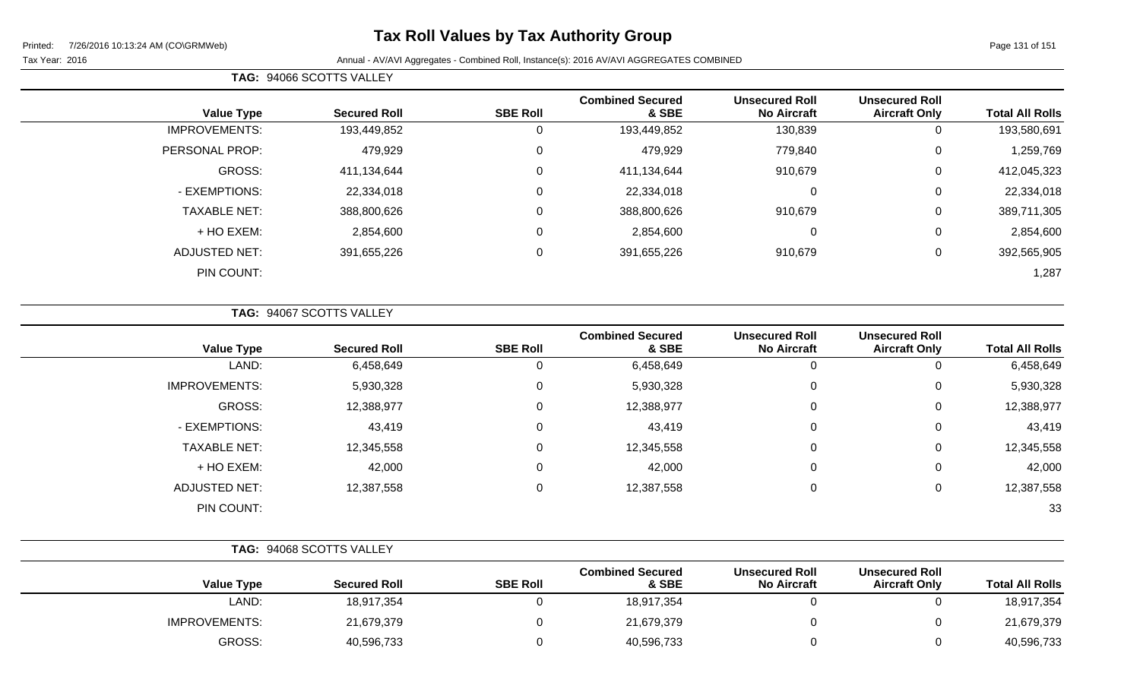# **Tax Roll Values by Tax Authority Group**

Tax Year: 2016 **Annual - AV/AVI Aggregates - Combined Roll**, Instance(s): 2016 AV/AVI AGGREGATES COMBINED

| <b>Total All Rolls</b> | <b>Unsecured Roll</b><br><b>Aircraft Only</b> | <b>Unsecured Roll</b><br><b>No Aircraft</b> | <b>Combined Secured</b><br>& SBE | <b>SBE Roll</b> | <b>Secured Roll</b> | <b>Value Type</b>    |
|------------------------|-----------------------------------------------|---------------------------------------------|----------------------------------|-----------------|---------------------|----------------------|
| 193,580,691            | 0                                             | 130,839                                     | 193,449,852                      | U               | 193,449,852         | <b>IMPROVEMENTS:</b> |
| 1,259,769              | 0                                             | 779,840                                     | 479,929                          | 0               | 479,929             | PERSONAL PROP:       |
| 412,045,323            | 0                                             | 910,679                                     | 411,134,644                      | $\mathbf 0$     | 411,134,644         | GROSS:               |
| 22,334,018             | 0                                             | $\mathbf 0$                                 | 22,334,018                       | 0               | 22,334,018          | - EXEMPTIONS:        |
| 389,711,305            | 0                                             | 910,679                                     | 388,800,626                      | 0               | 388,800,626         | <b>TAXABLE NET:</b>  |
| 2,854,600              | 0                                             | $\mathbf 0$                                 | 2,854,600                        | 0               | 2,854,600           | $+$ HO EXEM:         |
| 392,565,905            | 0                                             | 910,679                                     | 391,655,226                      | 0               | 391,655,226         | <b>ADJUSTED NET:</b> |
| 1,287                  |                                               |                                             |                                  |                 |                     | PIN COUNT:           |
|                        |                                               |                                             |                                  |                 |                     |                      |

**TAG:** 94067 SCOTTS VALLEY

**TAG:** 94066 SCOTTS VALLEY

| <b>Total All Rolls</b> | <b>Unsecured Roll</b><br><b>Aircraft Only</b> | <b>Unsecured Roll</b><br><b>No Aircraft</b> | <b>Combined Secured</b><br>& SBE | <b>SBE Roll</b> | <b>Secured Roll</b> | <b>Value Type</b>    |
|------------------------|-----------------------------------------------|---------------------------------------------|----------------------------------|-----------------|---------------------|----------------------|
| 6,458,649              |                                               | 0                                           | 6,458,649                        |                 | 6,458,649           | LAND:                |
| 5,930,328              | 0                                             | $\mathbf 0$                                 | 5,930,328                        | 0               | 5,930,328           | <b>IMPROVEMENTS:</b> |
| 12,388,977             | 0                                             | $\mathbf 0$                                 | 12,388,977                       | $\Omega$        | 12,388,977          | GROSS:               |
| 43,419                 | $\Omega$                                      | $\mathbf 0$                                 | 43,419                           |                 | 43,419              | - EXEMPTIONS:        |
| 12,345,558             | 0                                             | $\mathbf 0$                                 | 12,345,558                       |                 | 12,345,558          | <b>TAXABLE NET:</b>  |
| 42,000                 | 0                                             | $\mathbf 0$                                 | 42,000                           | 0               | 42,000              | + HO EXEM:           |
| 12,387,558             | 0                                             | $\overline{0}$                              | 12,387,558                       | 0               | 12,387,558          | <b>ADJUSTED NET:</b> |
| 33                     |                                               |                                             |                                  |                 |                     | PIN COUNT:           |
|                        |                                               |                                             |                                  |                 |                     |                      |

|                      | TAG: 94068 SCOTTS VALLEY |                 |                                  |                                             |                                               |                        |
|----------------------|--------------------------|-----------------|----------------------------------|---------------------------------------------|-----------------------------------------------|------------------------|
| <b>Value Type</b>    | <b>Secured Roll</b>      | <b>SBE Roll</b> | <b>Combined Secured</b><br>& SBE | <b>Unsecured Roll</b><br><b>No Aircraft</b> | <b>Unsecured Roll</b><br><b>Aircraft Only</b> | <b>Total All Rolls</b> |
| LAND:                | 18,917,354               |                 | 18,917,354                       |                                             | υ                                             | 18,917,354             |
| <b>IMPROVEMENTS:</b> | 21,679,379               |                 | 21,679,379                       |                                             | 0                                             | 21,679,379             |
| GROSS:               | 40,596,733               |                 | 40,596,733                       |                                             | 0                                             | 40,596,733             |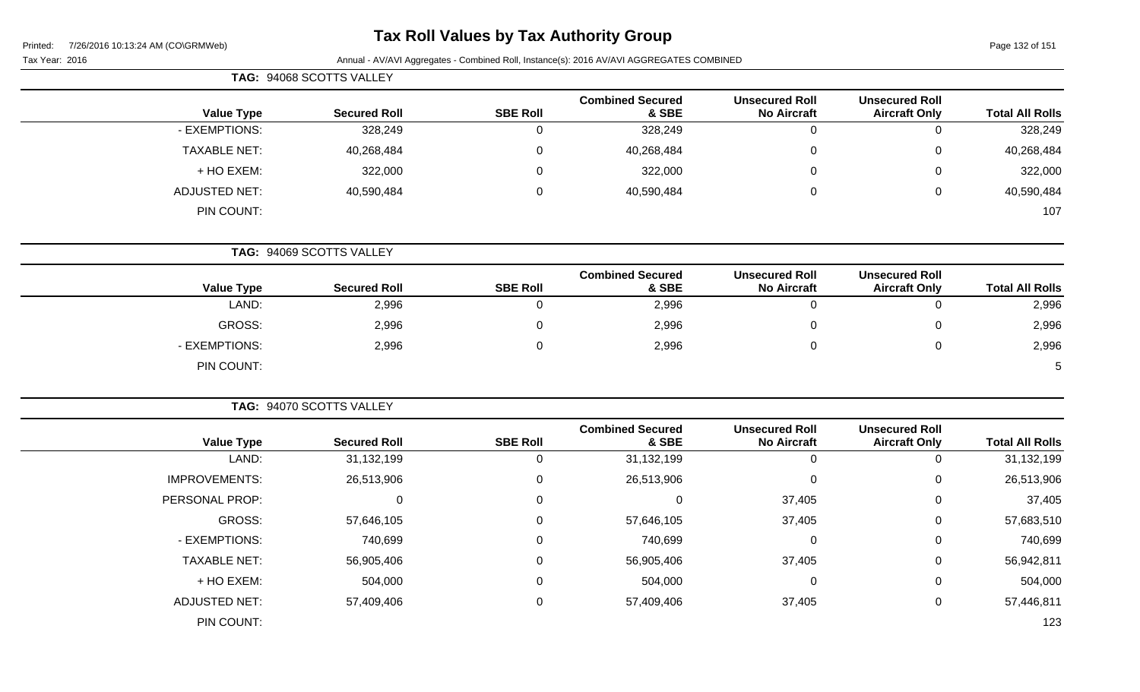# **Tax Roll Values by Tax Authority Group**

Page 132 of 151

|                        |                                               |                                             |                                  |                 | TAG: 94068 SCOTTS VALLEY |                      |
|------------------------|-----------------------------------------------|---------------------------------------------|----------------------------------|-----------------|--------------------------|----------------------|
| <b>Total All Rolls</b> | <b>Unsecured Roll</b><br><b>Aircraft Only</b> | <b>Unsecured Roll</b><br><b>No Aircraft</b> | <b>Combined Secured</b><br>& SBE | <b>SBE Roll</b> | <b>Secured Roll</b>      | <b>Value Type</b>    |
| 328,249                | $\pmb{0}$                                     | $\mathbf 0$                                 | 328,249                          | $\mathbf 0$     | 328,249                  | - EXEMPTIONS:        |
| 40,268,484             | 0                                             | $\Omega$                                    | 40,268,484                       | $\mathbf 0$     | 40,268,484               | <b>TAXABLE NET:</b>  |
| 322,000                | 0                                             | $\Omega$                                    | 322,000                          | $\mathbf 0$     | 322,000                  | + HO EXEM:           |
| 40,590,484             | 0                                             | $\pmb{0}$                                   | 40,590,484                       | $\pmb{0}$       | 40,590,484               | <b>ADJUSTED NET:</b> |
| 107                    |                                               |                                             |                                  |                 |                          | PIN COUNT:           |
|                        |                                               |                                             |                                  |                 | TAG: 94069 SCOTTS VALLEY |                      |
| <b>Total All Rolls</b> | <b>Unsecured Roll</b><br><b>Aircraft Only</b> | <b>Unsecured Roll</b><br><b>No Aircraft</b> | <b>Combined Secured</b><br>& SBE | <b>SBE Roll</b> | <b>Secured Roll</b>      | <b>Value Type</b>    |
| 2,996                  | $\mathbf 0$                                   | $\mathbf 0$                                 | 2,996                            | $\mathbf 0$     | 2,996                    | LAND:                |
| 2,996                  | 0                                             | 0                                           | 2,996                            | $\mathbf 0$     | 2,996                    | GROSS:               |
| 2,996                  | 0                                             | $\mathbf 0$                                 | 2,996                            | $\mathbf 0$     | 2,996                    | - EXEMPTIONS:        |
| 5                      |                                               |                                             |                                  |                 |                          | PIN COUNT:           |
|                        |                                               |                                             |                                  |                 | TAG: 94070 SCOTTS VALLEY |                      |
| <b>Total All Rolls</b> | <b>Unsecured Roll</b><br><b>Aircraft Only</b> | <b>Unsecured Roll</b><br><b>No Aircraft</b> | <b>Combined Secured</b><br>& SBE | <b>SBE Roll</b> | <b>Secured Roll</b>      | <b>Value Type</b>    |
| 31,132,199             | $\mathbf 0$                                   | $\mathbf 0$                                 | 31,132,199                       | $\mathbf 0$     | 31,132,199               | LAND:                |
| 26,513,906             | 0                                             | $\mathbf 0$                                 | 26,513,906                       | $\pmb{0}$       | 26,513,906               | <b>IMPROVEMENTS:</b> |
| 37,405                 | 0                                             | 37,405                                      | $\mathbf 0$                      | $\mathbf 0$     | $\mathbf 0$              | PERSONAL PROP:       |
| 57,683,510             | 0                                             | 37,405                                      | 57,646,105                       | $\mathbf 0$     | 57,646,105               | GROSS:               |
| 740,699                | 0                                             | $\mathbf 0$                                 | 740,699                          | $\mathbf 0$     | 740,699                  | - EXEMPTIONS:        |
| 56,942,811             | 0                                             | 37,405                                      | 56,905,406                       | $\mathbf 0$     | 56,905,406               | <b>TAXABLE NET:</b>  |
| 504,000                | 0                                             | 0                                           | 504,000                          | $\mathbf 0$     | 504,000                  | + HO EXEM:           |
| 57,446,811             | 0                                             | 37,405                                      | 57,409,406                       | $\mathbf 0$     | 57,409,406               | <b>ADJUSTED NET:</b> |
| 123                    |                                               |                                             |                                  |                 |                          | PIN COUNT:           |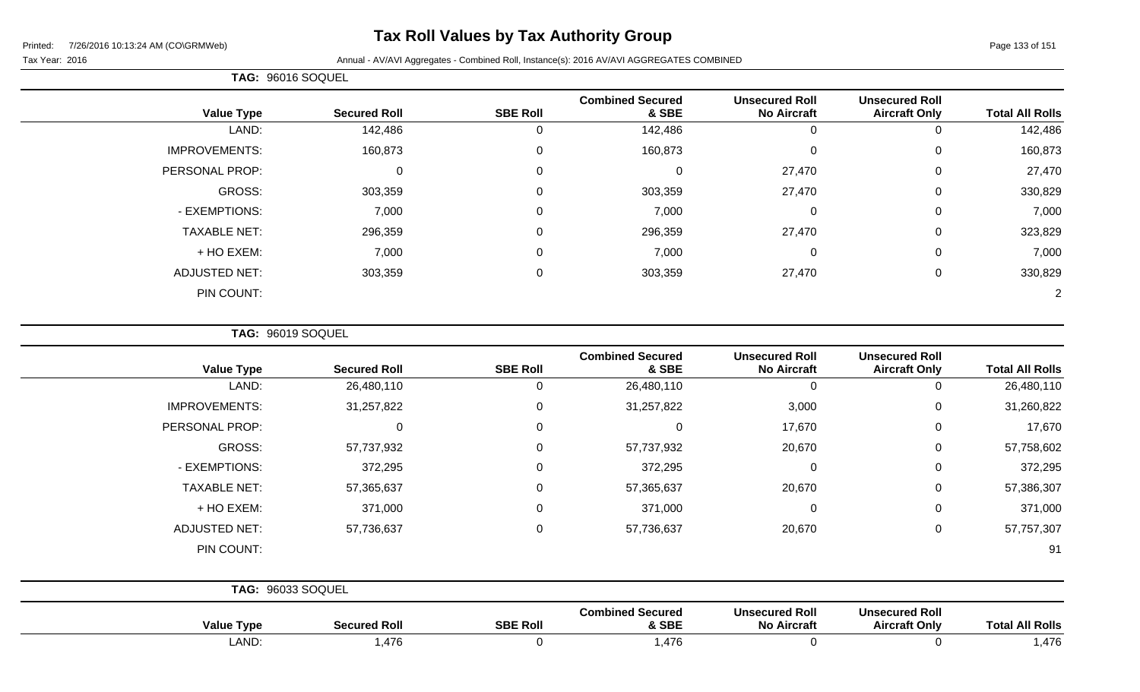# **Tax Roll Values by Tax Authority Group**

Printed: 7/26/2016 10:13:24 AM (CO\GRMWeb)

Tax Year: 2016 **Annual - AV/AVI Aggregates - Combined Roll**, Instance(s): 2016 AV/AVI AGGREGATES COMBINED

|                      | TAG: 96016 SOQUEL   |                 |                                  |                                             |                                               |                        |
|----------------------|---------------------|-----------------|----------------------------------|---------------------------------------------|-----------------------------------------------|------------------------|
| <b>Value Type</b>    | <b>Secured Roll</b> | <b>SBE Roll</b> | <b>Combined Secured</b><br>& SBE | <b>Unsecured Roll</b><br><b>No Aircraft</b> | <b>Unsecured Roll</b><br><b>Aircraft Only</b> | <b>Total All Rolls</b> |
| LAND:                | 142,486             |                 | 142,486                          | 0                                           | 0                                             | 142,486                |
| <b>IMPROVEMENTS:</b> | 160,873             | $\Omega$        | 160,873                          | 0                                           | $\mathbf 0$                                   | 160,873                |
| PERSONAL PROP:       | $\Omega$            | $\Omega$        |                                  | 27,470                                      | $\mathbf 0$                                   | 27,470                 |
| GROSS:               | 303,359             | $\Omega$        | 303,359                          | 27,470                                      | $\mathbf 0$                                   | 330,829                |
| - EXEMPTIONS:        | 7,000               | $\Omega$        | 7,000                            | 0                                           | $\mathbf 0$                                   | 7,000                  |
| <b>TAXABLE NET:</b>  | 296,359             | $\Omega$        | 296,359                          | 27,470                                      | $\mathbf 0$                                   | 323,829                |
| + HO EXEM:           | 7,000               | $\Omega$        | 7,000                            | $\mathbf 0$                                 | $\mathbf 0$                                   | 7,000                  |
| <b>ADJUSTED NET:</b> | 303,359             | $\Omega$        | 303,359                          | 27,470                                      | $\mathbf 0$                                   | 330,829                |
| PIN COUNT:           |                     |                 |                                  |                                             |                                               | 2                      |

**TAG:** 96019 SOQUEL

| <b>Value Type</b>    | <b>Secured Roll</b>      | <b>SBE Roll</b> | <b>Combined Secured</b><br>& SBE | <b>Unsecured Roll</b><br><b>No Aircraft</b> | <b>Unsecured Roll</b><br><b>Aircraft Only</b> | <b>Total All Rolls</b> |
|----------------------|--------------------------|-----------------|----------------------------------|---------------------------------------------|-----------------------------------------------|------------------------|
| LAND:                | 26,480,110               | 0               | 26,480,110                       | 0                                           | 0                                             | 26,480,110             |
| <b>IMPROVEMENTS:</b> | 31,257,822               | $\Omega$        | 31,257,822                       | 3,000                                       | $\mathbf 0$                                   | 31,260,822             |
| PERSONAL PROP:       | 0                        | $\Omega$        | 0                                | 17,670                                      | $\mathbf 0$                                   | 17,670                 |
| GROSS:               | 57,737,932               | 0               | 57,737,932                       | 20,670                                      | $\mathbf 0$                                   | 57,758,602             |
| - EXEMPTIONS:        | 372,295                  | 0               | 372,295                          | $\mathbf 0$                                 | $\mathbf 0$                                   | 372,295                |
| <b>TAXABLE NET:</b>  | 57,365,637               | $\mathbf 0$     | 57,365,637                       | 20,670                                      | $\mathbf 0$                                   | 57,386,307             |
| + HO EXEM:           | 371,000                  | 0               | 371,000                          | 0                                           | $\mathbf 0$                                   | 371,000                |
| <b>ADJUSTED NET:</b> | 57,736,637               | $\Omega$        | 57,736,637                       | 20,670                                      | $\mathbf 0$                                   | 57,757,307             |
| PIN COUNT:           |                          |                 |                                  |                                             |                                               | 91                     |
|                      | <b>TAG: 96033 SOQUEL</b> |                 |                                  |                                             |                                               |                        |
|                      |                          |                 | <b>Combined Secured</b>          | <b>Unsecured Roll</b>                       | <b>Unsecured Roll</b>                         |                        |

| <b>All Rolls</b><br>otal. | <b>Unsecured Roll</b><br><b>Aircraft Only</b> | <b>Unsecured Roll</b><br>∖ Aircraf∖<br>No | <b>Combined Secured</b><br>& SBE | <b>SBE Rol</b> | Secured Rol   | Value<br><b>Type</b> |
|---------------------------|-----------------------------------------------|-------------------------------------------|----------------------------------|----------------|---------------|----------------------|
| ,476                      |                                               |                                           | 176<br>.,470                     |                | 176<br>$-412$ | LAND:                |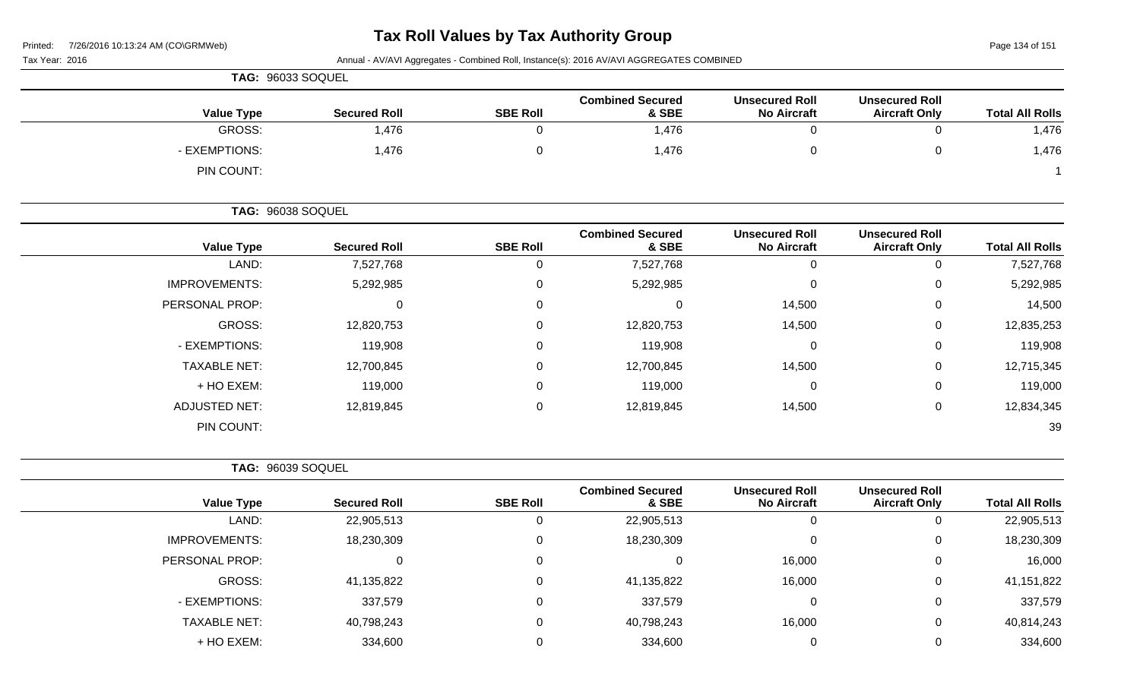Page 134 of 151

| Tax Year: 2016           |                     |                 | Annual - AV/AVI Aggregates - Combined Roll, Instance(s): 2016 AV/AVI AGGREGATES COMBINED |                                             |                                               |                        |
|--------------------------|---------------------|-----------------|------------------------------------------------------------------------------------------|---------------------------------------------|-----------------------------------------------|------------------------|
| <b>TAG: 96033 SOQUEL</b> |                     |                 |                                                                                          |                                             |                                               |                        |
| <b>Value Type</b>        | <b>Secured Roll</b> | <b>SBE Roll</b> | <b>Combined Secured</b><br>& SBE                                                         | <b>Unsecured Roll</b><br><b>No Aircraft</b> | <b>Unsecured Roll</b><br><b>Aircraft Only</b> | <b>Total All Rolls</b> |
| GROSS:                   | 1,476               | 0               | 1,476                                                                                    | 0                                           | $\mathbf{0}$                                  | 1,476                  |
| - EXEMPTIONS:            | 1,476               | 0               | 1,476                                                                                    | 0                                           | $\Omega$                                      | 1,476                  |
| PIN COUNT:               |                     |                 |                                                                                          |                                             |                                               |                        |
| TAG: 96038 SOQUEL        |                     |                 |                                                                                          |                                             |                                               |                        |
| <b>Value Type</b>        | <b>Secured Roll</b> | <b>SBE Roll</b> | <b>Combined Secured</b><br>& SBE                                                         | <b>Unsecured Roll</b><br><b>No Aircraft</b> | <b>Unsecured Roll</b><br><b>Aircraft Only</b> | <b>Total All Rolls</b> |
| LAND:                    | 7,527,768           | $\Omega$        | 7,527,768                                                                                | 0                                           | $\mathbf{0}$                                  | 7,527,768              |
| <b>IMPROVEMENTS:</b>     | 5,292,985           | 0               | 5,292,985                                                                                | 0                                           | ∩                                             | 5,292,985              |
| PERSONAL PROP:           | 0                   | 0               | $\Omega$                                                                                 | 14,500                                      | 0                                             | 14,500                 |
| GROSS:                   | 12,820,753          | 0               | 12,820,753                                                                               | 14,500                                      | 0                                             | 12,835,253             |
| - EXEMPTIONS:            | 119,908             | 0               | 119,908                                                                                  | 0                                           | 0                                             | 119,908                |
| <b>TAXABLE NET:</b>      | 12,700,845          | 0               | 12,700,845                                                                               | 14,500                                      | 0                                             | 12,715,345             |
| + HO EXEM:               | 119,000             | 0               | 119,000                                                                                  | 0                                           | 0                                             | 119,000                |
| <b>ADJUSTED NET:</b>     | 12,819,845          | 0               | 12,819,845                                                                               | 14,500                                      | 0                                             | 12,834,345             |
| PIN COUNT:               |                     |                 |                                                                                          |                                             |                                               | 39                     |
| TAG: 96039 SOQUEL        |                     |                 |                                                                                          |                                             |                                               |                        |
| <b>Value Type</b>        | <b>Secured Roll</b> | <b>SBE Roll</b> | <b>Combined Secured</b><br>& SBE                                                         | <b>Unsecured Roll</b><br><b>No Aircraft</b> | <b>Unsecured Roll</b><br><b>Aircraft Only</b> | <b>Total All Rolls</b> |
| LAND:                    | 22,905,513          | 0               | 22,905,513                                                                               | 0                                           | $\Omega$                                      | 22,905,513             |
| <b>IMPROVEMENTS:</b>     | 18,230,309          | 0               | 18,230,309                                                                               | 0                                           |                                               | 18,230,309             |
| PERSONAL PROP:           | $\overline{0}$      | $\overline{0}$  | $\overline{0}$                                                                           | 16,000                                      | 0                                             | 16,000                 |
| GROSS:                   | 41,135,822          | 0               | 41,135,822                                                                               | 16,000                                      | $\mathbf 0$                                   | 41, 151, 822           |
| - EXEMPTIONS:            | 337,579             | 0               | 337,579                                                                                  | $\pmb{0}$                                   | $\mathbf 0$                                   | 337,579                |
| <b>TAXABLE NET:</b>      | 40,798,243          | $\mathbf 0$     | 40,798,243                                                                               | 16,000                                      | 0                                             | 40,814,243             |
| + HO EXEM:               | 334,600             | $\mathbf 0$     | 334,600                                                                                  | $\pmb{0}$                                   | $\pmb{0}$                                     | 334,600                |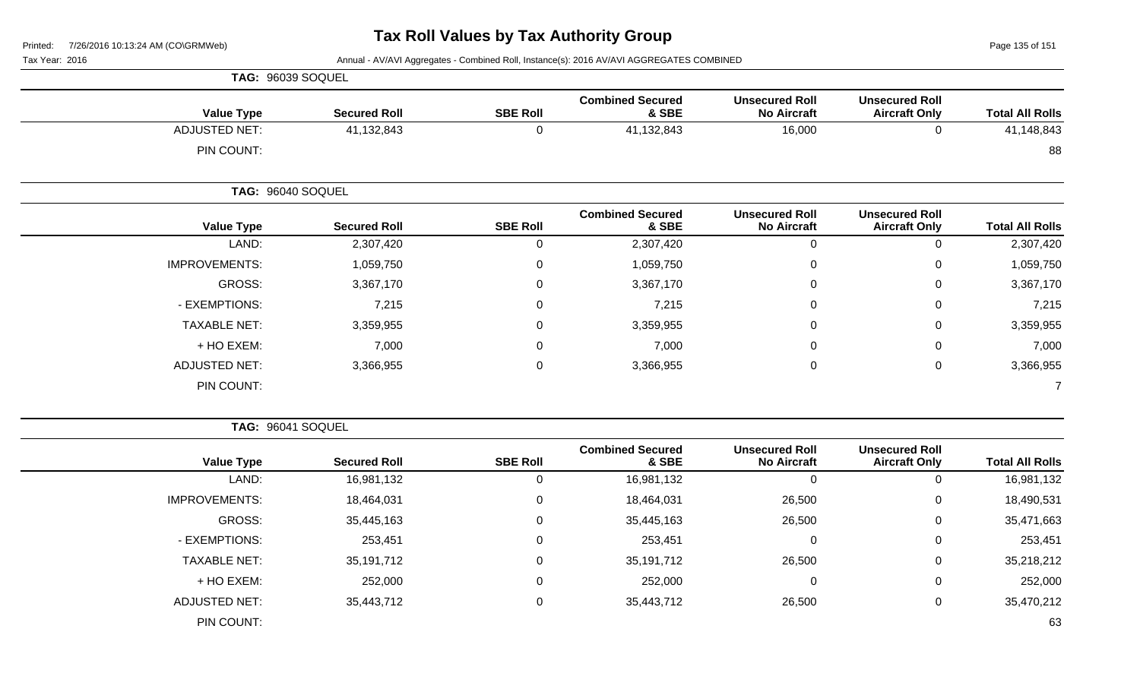Tax Year: 2016 **Annual - AV/AVI Aggregates - Combined Roll**, Instance(s): 2016 AV/AVI AGGREGATES COMBINED

|                      | TAG: 96039 SOQUEL   |                 |                                  |                                             |                                               |                        |
|----------------------|---------------------|-----------------|----------------------------------|---------------------------------------------|-----------------------------------------------|------------------------|
| <b>Value Type</b>    | <b>Secured Roll</b> | <b>SBE Roll</b> | <b>Combined Secured</b><br>& SBE | <b>Unsecured Roll</b><br><b>No Aircraft</b> | <b>Unsecured Roll</b><br><b>Aircraft Only</b> | <b>Total All Rolls</b> |
| <b>ADJUSTED NET:</b> | 41,132,843          | $\mathbf 0$     | 41,132,843                       | 16,000                                      | $\mathbf 0$                                   | 41,148,843             |
| PIN COUNT:           |                     |                 |                                  |                                             |                                               | 88                     |
|                      | TAG: 96040 SOQUEL   |                 |                                  |                                             |                                               |                        |
| <b>Value Type</b>    | <b>Secured Roll</b> | <b>SBE Roll</b> | <b>Combined Secured</b><br>& SBE | <b>Unsecured Roll</b><br><b>No Aircraft</b> | <b>Unsecured Roll</b><br><b>Aircraft Only</b> | <b>Total All Rolls</b> |
| LAND:                | 2,307,420           | 0               | 2,307,420                        | $\mathbf 0$                                 | 0                                             | 2,307,420              |
| <b>IMPROVEMENTS:</b> | 1,059,750           | $\mathbf 0$     | 1,059,750                        | $\mathbf 0$                                 | $\mathbf 0$                                   | 1,059,750              |
| GROSS:               | 3,367,170           | 0               | 3,367,170                        | $\mathbf 0$                                 | $\mathbf 0$                                   | 3,367,170              |
| - EXEMPTIONS:        | 7,215               | $\mathbf 0$     | 7,215                            | $\mathbf 0$                                 | $\mathbf 0$                                   | 7,215                  |
| <b>TAXABLE NET:</b>  | 3,359,955           | 0               | 3,359,955                        | $\mathbf 0$                                 | $\mathbf 0$                                   | 3,359,955              |
| + HO EXEM:           | 7,000               | 0               | 7,000                            | $\mathbf 0$                                 | $\mathbf 0$                                   | 7,000                  |
| <b>ADJUSTED NET:</b> | 3,366,955           | $\mathbf 0$     | 3,366,955                        | $\pmb{0}$                                   | $\mathbf 0$                                   | 3,366,955              |
| PIN COUNT:           |                     |                 |                                  |                                             |                                               |                        |

**TAG:** 96041 SOQUEL

| <b>Total All Rolls</b> | <b>Unsecured Roll</b><br><b>Aircraft Only</b> | <b>Unsecured Roll</b><br><b>No Aircraft</b> | <b>Combined Secured</b><br>& SBE | <b>SBE Roll</b> | <b>Secured Roll</b> | <b>Value Type</b>    |  |  |  |
|------------------------|-----------------------------------------------|---------------------------------------------|----------------------------------|-----------------|---------------------|----------------------|--|--|--|
| 16,981,132             |                                               | 0                                           | 16,981,132                       | 0               | 16,981,132          | LAND:                |  |  |  |
| 18,490,531             | 0                                             | 26,500                                      | 18,464,031                       | 0               | 18,464,031          | <b>IMPROVEMENTS:</b> |  |  |  |
| 35,471,663             | 0                                             | 26,500                                      | 35,445,163                       | 0               | 35,445,163          | GROSS:               |  |  |  |
| 253,451                | 0                                             | 0                                           | 253,451                          | 0               | 253,451             | - EXEMPTIONS:        |  |  |  |
| 35,218,212             | 0                                             | 26,500                                      | 35,191,712                       | 0               | 35,191,712          | <b>TAXABLE NET:</b>  |  |  |  |
| 252,000                | $\Omega$                                      | 0                                           | 252,000                          | 0               | 252,000             | + HO EXEM:           |  |  |  |
| 35,470,212             | 0                                             | 26,500                                      | 35,443,712                       | 0               | 35,443,712          | <b>ADJUSTED NET:</b> |  |  |  |
| 63                     |                                               |                                             |                                  |                 |                     | PIN COUNT:           |  |  |  |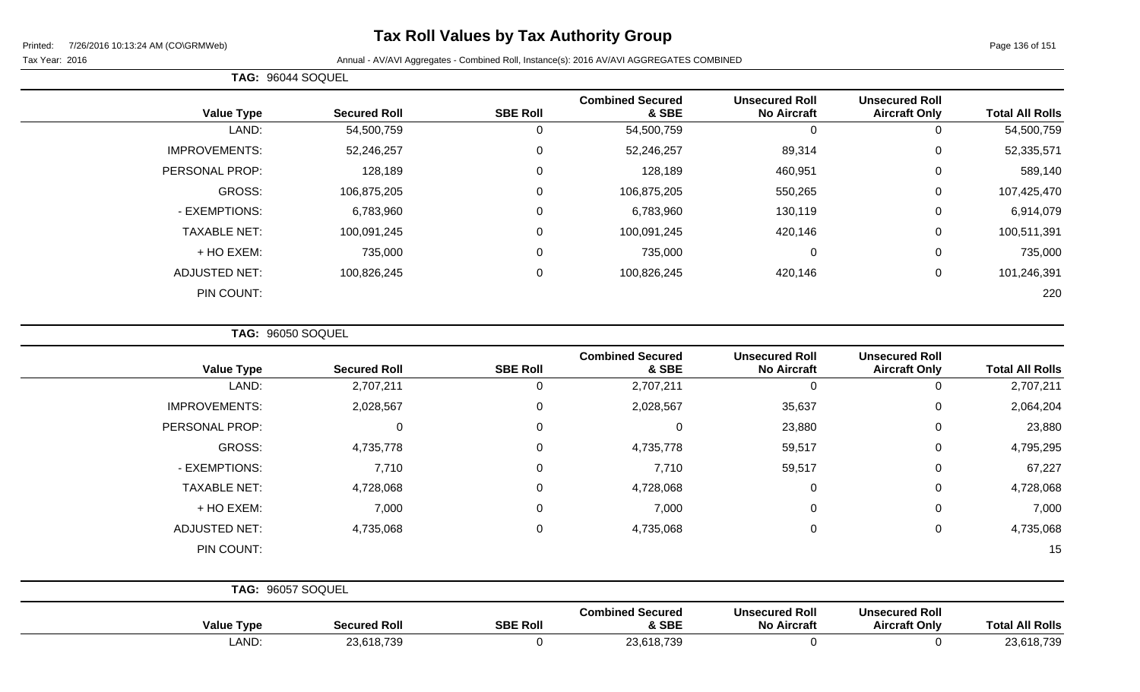# **Tax Roll Values by Tax Authority Group**

#### Tax Year: 2016 **Annual - AV/AVI Aggregates - Combined Roll**, Instance(s): 2016 AV/AVI AGGREGATES COMBINED

|                      | TAG: 96044 SOQUEL |                     |                 |                                  |                                             |                                               |                        |
|----------------------|-------------------|---------------------|-----------------|----------------------------------|---------------------------------------------|-----------------------------------------------|------------------------|
| <b>Value Type</b>    |                   | <b>Secured Roll</b> | <b>SBE Roll</b> | <b>Combined Secured</b><br>& SBE | <b>Unsecured Roll</b><br><b>No Aircraft</b> | <b>Unsecured Roll</b><br><b>Aircraft Only</b> | <b>Total All Rolls</b> |
|                      | LAND:             | 54,500,759          | U               | 54,500,759                       | 0                                           | 0                                             | 54,500,759             |
| <b>IMPROVEMENTS:</b> |                   | 52,246,257          | 0               | 52,246,257                       | 89,314                                      | 0                                             | 52,335,571             |
| PERSONAL PROP:       |                   | 128,189             | 0               | 128,189                          | 460,951                                     | 0                                             | 589,140                |
|                      | GROSS:            | 106,875,205         | 0               | 106,875,205                      | 550,265                                     | 0                                             | 107,425,470            |
| - EXEMPTIONS:        |                   | 6,783,960           | 0               | 6,783,960                        | 130,119                                     | 0                                             | 6,914,079              |
| <b>TAXABLE NET:</b>  |                   | 100,091,245         | 0               | 100,091,245                      | 420,146                                     | 0                                             | 100,511,391            |
| + HO EXEM:           |                   | 735,000             | 0               | 735,000                          | 0                                           | 0                                             | 735,000                |
| <b>ADJUSTED NET:</b> |                   | 100,826,245         | 0               | 100,826,245                      | 420,146                                     | 0                                             | 101,246,391            |
| PIN COUNT:           |                   |                     |                 |                                  |                                             |                                               | 220                    |

**TAG:** 96050 SOQUEL

| <b>Value Type</b>    | <b>Secured Roll</b> | <b>SBE Roll</b> | <b>Combined Secured</b><br>& SBE | <b>Unsecured Roll</b><br><b>No Aircraft</b> | <b>Unsecured Roll</b><br><b>Aircraft Only</b> | <b>Total All Rolls</b> |
|----------------------|---------------------|-----------------|----------------------------------|---------------------------------------------|-----------------------------------------------|------------------------|
| LAND:                | 2,707,211           |                 | 2,707,211                        | $\mathbf 0$                                 | $\Omega$                                      | 2,707,211              |
| <b>IMPROVEMENTS:</b> | 2,028,567           | 0               | 2,028,567                        | 35,637                                      | 0                                             | 2,064,204              |
| PERSONAL PROP:       | $\Omega$            | $\Omega$        | $\Omega$                         | 23,880                                      | $\Omega$                                      | 23,880                 |
| GROSS:               | 4,735,778           | $\Omega$        | 4,735,778                        | 59,517                                      | 0                                             | 4,795,295              |
| - EXEMPTIONS:        | 7,710               | 0               | 7,710                            | 59,517                                      | 0                                             | 67,227                 |
| <b>TAXABLE NET:</b>  | 4,728,068           | 0               | 4,728,068                        | $\mathbf 0$                                 | 0                                             | 4,728,068              |
| + HO EXEM:           | 7,000               | $\Omega$        | 7,000                            | $\mathbf 0$                                 | 0                                             | 7,000                  |
| <b>ADJUSTED NET:</b> | 4,735,068           | $\Omega$        | 4,735,068                        | $\mathbf 0$                                 | 0                                             | 4,735,068              |
| PIN COUNT:           |                     |                 |                                  |                                             |                                               | 15                     |
|                      | TAG: 96057 SOQUEL   |                 |                                  |                                             |                                               |                        |
| <b>Value Type</b>    | <b>Secured Roll</b> | <b>SBE Roll</b> | <b>Combined Secured</b><br>& SBE | <b>Unsecured Roll</b><br><b>No Aircraft</b> | <b>Unsecured Roll</b><br><b>Aircraft Only</b> | <b>Total All Rolls</b> |

LAND: 23,618,739 0 23,618,739 0 0 23,618,739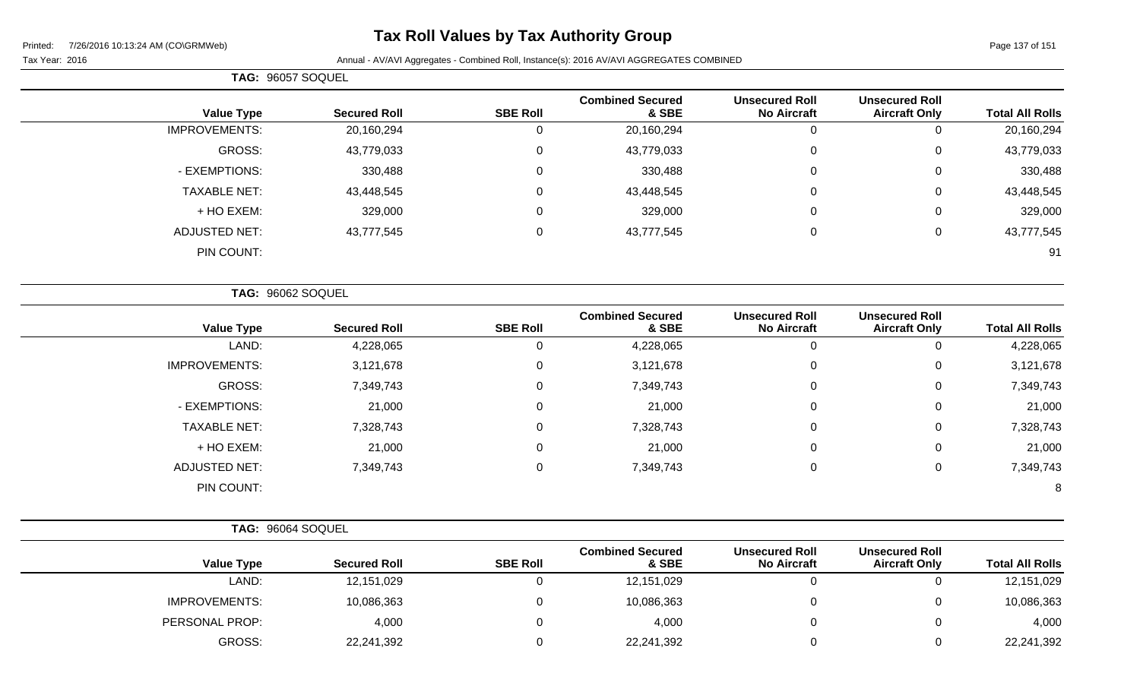### **Tax Roll Values by Tax Authority Group**

Tax Year: 2016 **Annual - AV/AVI Aggregates - Combined Roll**, Instance(s): 2016 AV/AVI AGGREGATES COMBINED

**TAG:** 96057 SOQUEL **Value Type Secured Roll SBE Roll Combined Secured & SBE Unsecured Roll No Aircraft Unsecured Roll Total All Rolls** IMPROVEMENTS: 20,160,294 0 20,160,294 0 0 20,160,294 GROSS: 43,779,033 0 43,779,033 0 0 43,779,033 - EXEMPTIONS: 330,488 0 330,488 0 330,488 TAXABLE NET: 43,448,545 0 43,448,545 0 0 43,448,545 + HO EXEM: 329,000 0 329,000 0 0 329,000 ADJUSTED NET: 43,777,545 0 43,777,545 0 0 43,777,545 PIN COUNT: 91

|                      | TAG: 96062 SOQUEL   |                 |                                  |                                             |                                               |                        |
|----------------------|---------------------|-----------------|----------------------------------|---------------------------------------------|-----------------------------------------------|------------------------|
| <b>Value Type</b>    | <b>Secured Roll</b> | <b>SBE Roll</b> | <b>Combined Secured</b><br>& SBE | <b>Unsecured Roll</b><br><b>No Aircraft</b> | <b>Unsecured Roll</b><br><b>Aircraft Only</b> | <b>Total All Rolls</b> |
| LAND:                | 4,228,065           |                 | 4,228,065                        | 0                                           | U                                             | 4,228,065              |
| <b>IMPROVEMENTS:</b> | 3,121,678           | 0               | 3,121,678                        | 0                                           | 0                                             | 3,121,678              |
| <b>GROSS:</b>        | 7,349,743           | 0               | 7,349,743                        | 0                                           | 0                                             | 7,349,743              |
| - EXEMPTIONS:        | 21,000              | 0               | 21,000                           | 0                                           | 0                                             | 21,000                 |
| <b>TAXABLE NET:</b>  | 7,328,743           | $\Omega$        | 7,328,743                        | 0                                           | 0                                             | 7,328,743              |
| + HO EXEM:           | 21,000              | 0               | 21,000                           | 0                                           | 0                                             | 21,000                 |
| <b>ADJUSTED NET:</b> | 7,349,743           | 0               | 7,349,743                        | 0                                           | 0                                             | 7,349,743              |
| PIN COUNT:           |                     |                 |                                  |                                             |                                               | 8                      |

PERSONAL PROP: 4,000 0 4,000 0 0 4,000

GROSS: 22,241,392 0 22,241,392 0 0 22,241,392

**TAG:** 96064 SOQUEL **Value Type Secured Roll SBE Roll Combined Secured & SBE Unsecured Roll No Aircraft** LAND: 12,151,029 0 12,151,029 0 0 12,151,029 IMPROVEMENTS: 10,086,363 0 10,086,363 0 10,086,363

**Total All Rolls** 

**Unsecured Roll**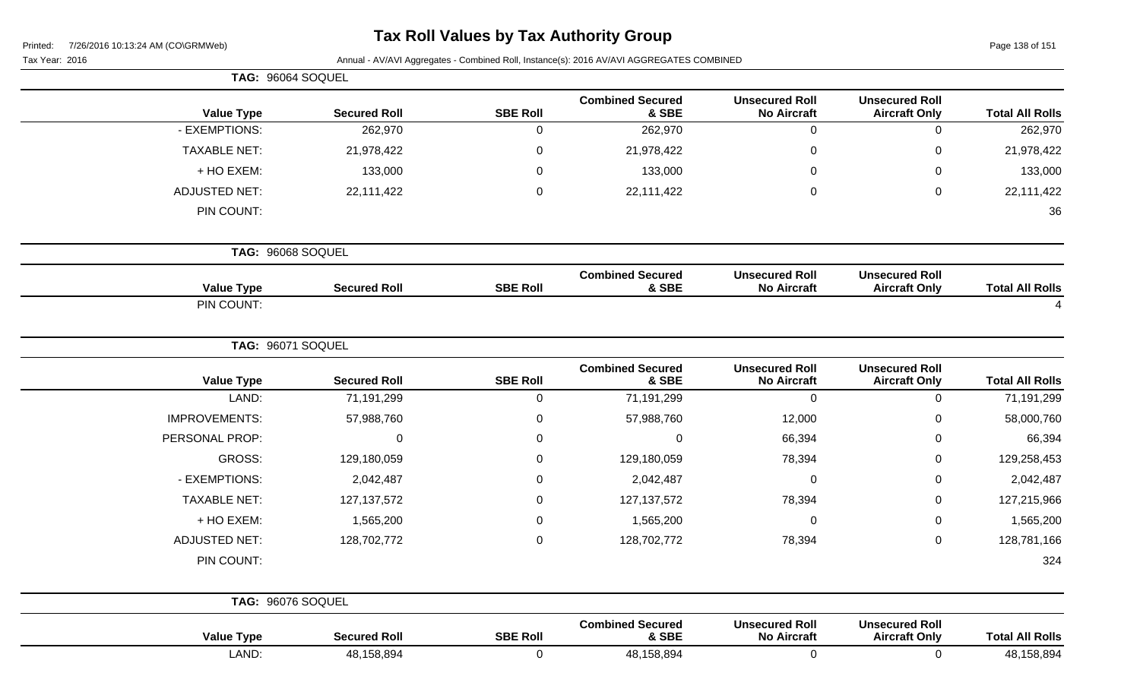| Printed: |  | 7/26/2016 10:13:24 AM (CO\GRMWeb) |
|----------|--|-----------------------------------|
|          |  |                                   |

Page 138 of 151

|                        |                                               |                                             | Annual - AV/AVI Aggregates - Combined Roll, Instance(s): 2016 AV/AVI AGGREGATES COMBINED |                 |                     | Tax Year: 2016       |
|------------------------|-----------------------------------------------|---------------------------------------------|------------------------------------------------------------------------------------------|-----------------|---------------------|----------------------|
|                        |                                               |                                             |                                                                                          |                 |                     | TAG: 96064 SOQUEL    |
| <b>Total All Rolls</b> | <b>Unsecured Roll</b><br><b>Aircraft Only</b> | <b>Unsecured Roll</b><br><b>No Aircraft</b> | <b>Combined Secured</b><br>& SBE                                                         | <b>SBE Roll</b> | <b>Secured Roll</b> | <b>Value Type</b>    |
| 262,970                | 0                                             | 0                                           | 262,970                                                                                  | 0               | 262,970             | - EXEMPTIONS:        |
| 21,978,422             | 0                                             | 0                                           | 21,978,422                                                                               | 0               | 21,978,422          | <b>TAXABLE NET:</b>  |
| 133,000                | 0                                             | 0                                           | 133,000                                                                                  | 0               | 133,000             | + HO EXEM:           |
| 22,111,422             | 0                                             | $\mathbf 0$                                 | 22,111,422                                                                               | $\mathbf 0$     | 22,111,422          | <b>ADJUSTED NET:</b> |
| 36                     |                                               |                                             |                                                                                          |                 |                     | PIN COUNT:           |
|                        |                                               |                                             |                                                                                          |                 |                     | TAG: 96068 SOQUEL    |
| <b>Total All Rolls</b> | <b>Unsecured Roll</b><br><b>Aircraft Only</b> | <b>Unsecured Roll</b><br><b>No Aircraft</b> | <b>Combined Secured</b><br>& SBE                                                         | <b>SBE Roll</b> | <b>Secured Roll</b> | <b>Value Type</b>    |
|                        |                                               |                                             |                                                                                          |                 |                     | PIN COUNT:           |
|                        |                                               |                                             |                                                                                          |                 |                     | TAG: 96071 SOQUEL    |
| <b>Total All Rolls</b> | <b>Unsecured Roll</b><br><b>Aircraft Only</b> | <b>Unsecured Roll</b><br><b>No Aircraft</b> | <b>Combined Secured</b><br>& SBE                                                         | <b>SBE Roll</b> | <b>Secured Roll</b> | <b>Value Type</b>    |
| 71,191,299             | 0                                             | $\mathbf 0$                                 | 71,191,299                                                                               | 0               | 71,191,299          | LAND:                |
| 58,000,760             | 0                                             | 12,000                                      | 57,988,760                                                                               | 0               | 57,988,760          | <b>IMPROVEMENTS:</b> |
| 66,394                 | 0                                             | 66,394                                      | $\mathbf 0$                                                                              | 0               | $\Omega$            | PERSONAL PROP:       |
| 129,258,453            | 0                                             | 78,394                                      | 129,180,059                                                                              | 0               | 129,180,059         | GROSS:               |
| 2,042,487              | 0                                             | 0                                           | 2,042,487                                                                                | 0               | 2,042,487           | - EXEMPTIONS:        |
| 127,215,966            | 0                                             | 78,394                                      | 127, 137, 572                                                                            | 0               | 127, 137, 572       | <b>TAXABLE NET:</b>  |
| 1,565,200              | 0                                             | 0                                           | 1,565,200                                                                                | 0               | 1,565,200           | + HO EXEM:           |
| 128,781,166            | 0                                             | 78,394                                      | 128,702,772                                                                              | 0               | 128,702,772         | <b>ADJUSTED NET:</b> |
| 324                    |                                               |                                             |                                                                                          |                 |                     | PIN COUNT:           |
|                        |                                               |                                             |                                                                                          |                 |                     | TAG: 96076 SOQUEL    |
| <b>Total All Rolls</b> | <b>Unsecured Roll</b><br><b>Aircraft Only</b> | <b>Unsecured Roll</b><br><b>No Aircraft</b> | <b>Combined Secured</b><br>& SBE                                                         | <b>SBE Roll</b> | <b>Secured Roll</b> | <b>Value Type</b>    |
| 48,158,894             | $\mathbf 0$                                   | $\mathbf 0$                                 | 48,158,894                                                                               | $\overline{0}$  | 48,158,894          | LAND:                |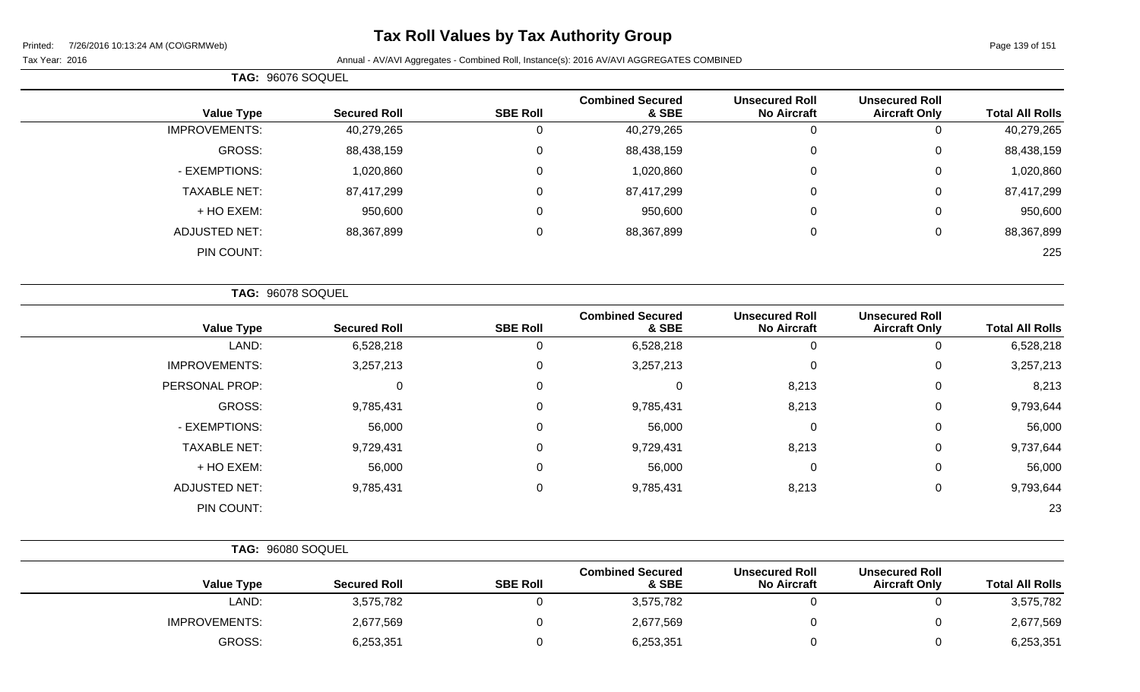# **Tax Roll Values by Tax Authority Group**

|                      | TAG: 96076 SOQUEL   |                 |                                  |                                             |                                               |                        |
|----------------------|---------------------|-----------------|----------------------------------|---------------------------------------------|-----------------------------------------------|------------------------|
| <b>Value Type</b>    | <b>Secured Roll</b> | <b>SBE Roll</b> | <b>Combined Secured</b><br>& SBE | <b>Unsecured Roll</b><br><b>No Aircraft</b> | <b>Unsecured Roll</b><br><b>Aircraft Only</b> | <b>Total All Rolls</b> |
| <b>IMPROVEMENTS:</b> | 40,279,265          | 0               | 40,279,265                       | υ                                           | υ                                             | 40,279,265             |
| GROSS:               | 88,438,159          | 0               | 88,438,159                       | 0                                           | 0                                             | 88,438,159             |
| - EXEMPTIONS:        | 1,020,860           | 0               | 1,020,860                        | 0                                           | 0                                             | 1,020,860              |
| <b>TAXABLE NET:</b>  | 87,417,299          | 0               | 87,417,299                       | 0                                           | 0                                             | 87,417,299             |
| + HO EXEM:           | 950,600             | 0               | 950,600                          | 0                                           | 0                                             | 950,600                |
| <b>ADJUSTED NET:</b> | 88,367,899          | 0               | 88,367,899                       | 0                                           | 0                                             | 88,367,899             |
| PIN COUNT:           |                     |                 |                                  |                                             |                                               | 225                    |

|                      | TAG: 96078 SOQUEL   |                 |                                  |                                             |                                               |                        |
|----------------------|---------------------|-----------------|----------------------------------|---------------------------------------------|-----------------------------------------------|------------------------|
| <b>Value Type</b>    | <b>Secured Roll</b> | <b>SBE Roll</b> | <b>Combined Secured</b><br>& SBE | <b>Unsecured Roll</b><br><b>No Aircraft</b> | <b>Unsecured Roll</b><br><b>Aircraft Only</b> | <b>Total All Rolls</b> |
| LAND:                | 6,528,218           | $\Omega$        | 6,528,218                        |                                             | 0                                             | 6,528,218              |
| <b>IMPROVEMENTS:</b> | 3,257,213           | 0               | 3,257,213                        | $\mathbf 0$                                 | 0                                             | 3,257,213              |
| PERSONAL PROP:       | $\mathbf 0$         | 0               | 0                                | 8,213                                       | 0                                             | 8,213                  |
| GROSS:               | 9,785,431           | $\mathbf 0$     | 9,785,431                        | 8,213                                       | 0                                             | 9,793,644              |
| - EXEMPTIONS:        | 56,000              | $\mathbf 0$     | 56,000                           | 0                                           | $\mathbf{0}$                                  | 56,000                 |
| <b>TAXABLE NET:</b>  | 9,729,431           | 0               | 9,729,431                        | 8,213                                       | 0                                             | 9,737,644              |
| + HO EXEM:           | 56,000              | $\mathbf 0$     | 56,000                           | $\Omega$                                    | 0                                             | 56,000                 |
| <b>ADJUSTED NET:</b> | 9,785,431           | $\mathbf 0$     | 9,785,431                        | 8,213                                       | 0                                             | 9,793,644              |
| PIN COUNT:           |                     |                 |                                  |                                             |                                               | 23                     |

|                      | TAG: 96080 SOQUEL   |                 |                                  |                                             |                                               |                        |
|----------------------|---------------------|-----------------|----------------------------------|---------------------------------------------|-----------------------------------------------|------------------------|
| <b>Value Type</b>    | <b>Secured Roll</b> | <b>SBE Roll</b> | <b>Combined Secured</b><br>& SBE | <b>Unsecured Roll</b><br><b>No Aircraft</b> | <b>Unsecured Roll</b><br><b>Aircraft Only</b> | <b>Total All Rolls</b> |
| LAND:                | 3,575,782           |                 | 3,575,782                        |                                             |                                               | 3,575,782              |
| <b>IMPROVEMENTS:</b> | 2,677,569           |                 | 2,677,569                        |                                             |                                               | 2,677,569              |
| GROSS:               | 6,253,351           |                 | 6,253,351                        |                                             |                                               | 6,253,351              |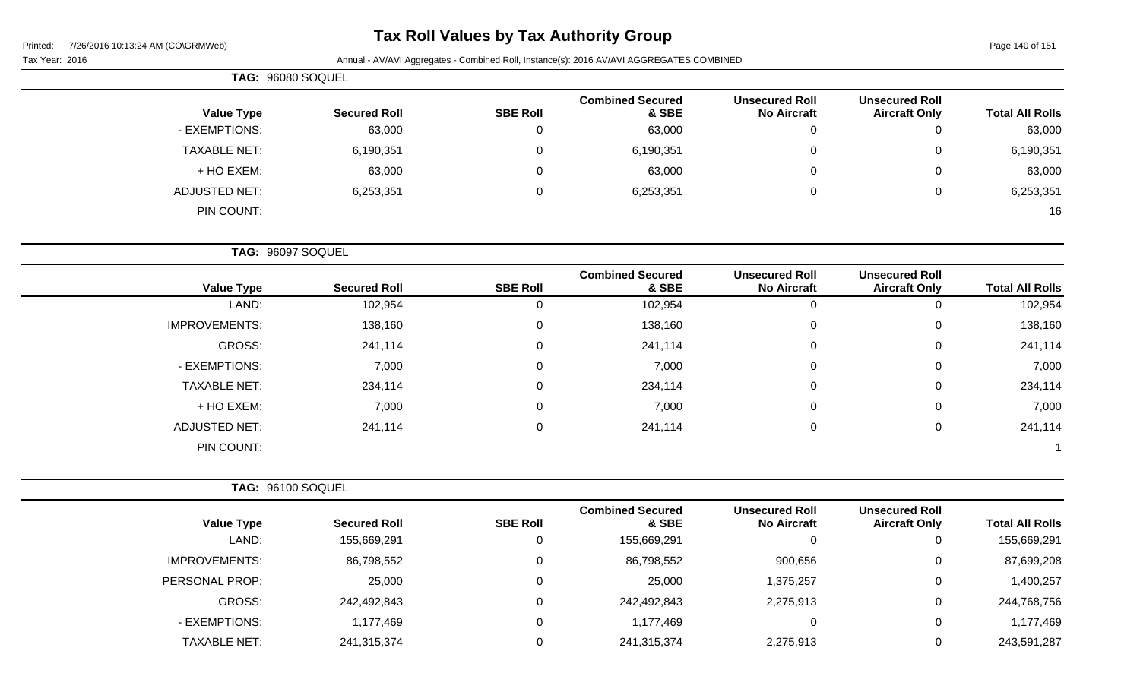# **Tax Roll Values by Tax Authority Group**

Page 140 of 151

Tax Year: 2016 **Annual - AV/AVI Aggregates - Combined Roll**, Instance(s): 2016 AV/AVI AGGREGATES COMBINED

| TAG: 96080 SOQUEL |                     |                 |                                  |                                             |                                               |                        |
|-------------------|---------------------|-----------------|----------------------------------|---------------------------------------------|-----------------------------------------------|------------------------|
| <b>Value Type</b> | <b>Secured Roll</b> | <b>SBE Roll</b> | <b>Combined Secured</b><br>& SBE | <b>Unsecured Roll</b><br><b>No Aircraft</b> | <b>Unsecured Roll</b><br><b>Aircraft Only</b> | <b>Total All Rolls</b> |
| - EXEMPTIONS:     | 63,000              |                 | 63,000                           | 0                                           | 0                                             | 63,000                 |
| TAXABLE NET:      | 6,190,351           |                 | 6,190,351                        | $\overline{0}$                              | $\overline{0}$                                | 6,190,351              |
| + HO EXEM:        | 63,000              | 0               | 63,000                           | $\overline{0}$                              | 0                                             | 63,000                 |
| ADJUSTED NET:     | 6,253,351           | 0               | 6,253,351                        | 0                                           | 0                                             | 6,253,351              |
| PIN COUNT:        |                     |                 |                                  |                                             |                                               | 16                     |

**TAG:** 96097 SOQUEL

| <b>Value Type</b>    | <b>Secured Roll</b> | <b>SBE Roll</b> | <b>Combined Secured</b><br>& SBE | <b>Unsecured Roll</b><br><b>No Aircraft</b> | <b>Unsecured Roll</b><br><b>Aircraft Only</b> | <b>Total All Rolls</b> |
|----------------------|---------------------|-----------------|----------------------------------|---------------------------------------------|-----------------------------------------------|------------------------|
| LAND:                | 102,954             | 0               | 102,954                          | 0                                           |                                               | 102,954                |
|                      |                     |                 |                                  |                                             | υ                                             |                        |
| <b>IMPROVEMENTS:</b> | 138,160             | $\mathbf 0$     | 138,160                          | 0                                           | 0                                             | 138,160                |
| GROSS:               | 241,114             | $\mathbf 0$     | 241,114                          | 0                                           | 0                                             | 241,114                |
| - EXEMPTIONS:        | 7,000               | $\mathbf 0$     | 7,000                            | 0                                           | 0                                             | 7,000                  |
| <b>TAXABLE NET:</b>  | 234,114             | $\mathbf 0$     | 234,114                          | 0                                           | 0                                             | 234,114                |
| + HO EXEM:           | 7,000               | $\mathbf 0$     | 7,000                            | 0                                           | 0                                             | 7,000                  |
| <b>ADJUSTED NET:</b> | 241,114             | $\mathbf 0$     | 241,114                          | 0                                           | 0                                             | 241,114                |
| PIN COUNT:           |                     |                 |                                  |                                             |                                               |                        |

|                      | <b>TAG: 96100 SOQUEL</b> |                 |                                  |                                             |                                               |                        |
|----------------------|--------------------------|-----------------|----------------------------------|---------------------------------------------|-----------------------------------------------|------------------------|
| <b>Value Type</b>    | <b>Secured Roll</b>      | <b>SBE Roll</b> | <b>Combined Secured</b><br>& SBE | <b>Unsecured Roll</b><br><b>No Aircraft</b> | <b>Unsecured Roll</b><br><b>Aircraft Only</b> | <b>Total All Rolls</b> |
| LAND:                | 155,669,291              |                 | 155,669,291                      | 0                                           | 0                                             | 155,669,291            |
| <b>IMPROVEMENTS:</b> | 86,798,552               |                 | 86,798,552                       | 900,656                                     | $\mathbf{0}$                                  | 87,699,208             |
| PERSONAL PROP:       | 25,000                   |                 | 25,000                           | 1,375,257                                   | $\mathbf{0}$                                  | 1,400,257              |
| GROSS:               | 242,492,843              |                 | 242,492,843                      | 2,275,913                                   | $\mathbf{0}$                                  | 244,768,756            |
| - EXEMPTIONS:        | 1,177,469                |                 | 1,177,469                        | 0                                           | $\mathbf{0}$                                  | 1,177,469              |
| <b>TAXABLE NET:</b>  | 241,315,374              |                 | 241,315,374                      | 2,275,913                                   | $\overline{0}$                                | 243,591,287            |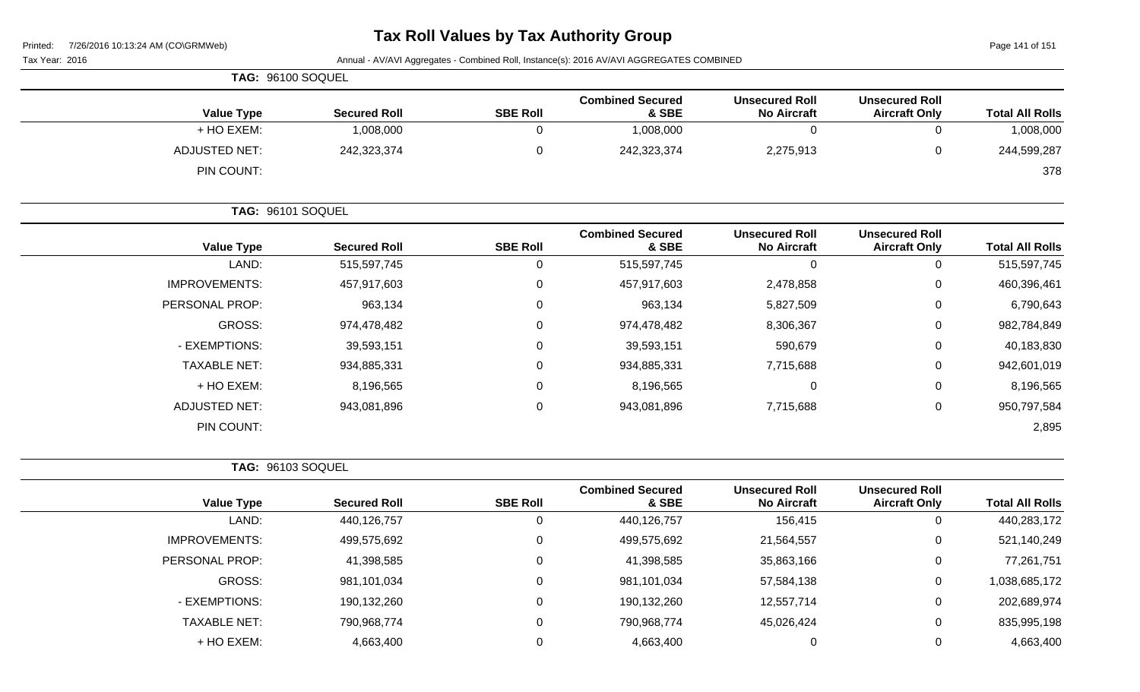| Printed:<br>7/26/2016 10:13:24 AM (CO\GRMWeb) |                     |                 |                                                                                          |                                             |                                               | Page 141 of 151        |
|-----------------------------------------------|---------------------|-----------------|------------------------------------------------------------------------------------------|---------------------------------------------|-----------------------------------------------|------------------------|
| Tax Year: 2016                                |                     |                 | Annual - AV/AVI Aggregates - Combined Roll, Instance(s): 2016 AV/AVI AGGREGATES COMBINED |                                             |                                               |                        |
| TAG: 96100 SOQUEL                             |                     |                 |                                                                                          |                                             |                                               |                        |
| <b>Value Type</b>                             | <b>Secured Roll</b> | <b>SBE Roll</b> | <b>Combined Secured</b><br>& SBE                                                         | <b>Unsecured Roll</b><br><b>No Aircraft</b> | <b>Unsecured Roll</b><br><b>Aircraft Only</b> | <b>Total All Rolls</b> |
| + HO EXEM:                                    | 1,008,000           | 0               | 1,008,000                                                                                | $\mathbf 0$                                 | $\mathbf 0$                                   | 1,008,000              |
| <b>ADJUSTED NET:</b>                          | 242,323,374         | $\mathbf 0$     | 242,323,374                                                                              | 2,275,913                                   | $\mathbf 0$                                   | 244,599,287            |
| PIN COUNT:                                    |                     |                 |                                                                                          |                                             |                                               | 378                    |
| <b>TAG: 96101 SOQUEL</b>                      |                     |                 |                                                                                          |                                             |                                               |                        |
| <b>Value Type</b>                             | <b>Secured Roll</b> | <b>SBE Roll</b> | <b>Combined Secured</b><br>& SBE                                                         | <b>Unsecured Roll</b><br><b>No Aircraft</b> | <b>Unsecured Roll</b><br><b>Aircraft Only</b> | <b>Total All Rolls</b> |
| LAND:                                         | 515,597,745         | $\overline{0}$  | 515,597,745                                                                              | $\mathbf 0$                                 | $\mathbf 0$                                   | 515,597,745            |
| <b>IMPROVEMENTS:</b>                          | 457,917,603         | 0               | 457,917,603                                                                              | 2,478,858                                   | $\Omega$                                      | 460,396,461            |
| PERSONAL PROP:                                | 963,134             | $\Omega$        | 963,134                                                                                  | 5,827,509                                   | $\Omega$                                      | 6,790,643              |
| <b>GROSS:</b>                                 | 974,478,482         | 0               | 974,478,482                                                                              | 8,306,367                                   | $\Omega$                                      | 982,784,849            |
| - EXEMPTIONS:                                 | 39,593,151          | 0               | 39,593,151                                                                               | 590,679                                     | 0                                             | 40,183,830             |
| <b>TAXABLE NET:</b>                           | 934,885,331         | 0               | 934,885,331                                                                              | 7,715,688                                   | 0                                             | 942,601,019            |
| + HO EXEM:                                    | 8,196,565           | 0               | 8,196,565                                                                                | 0                                           | $\Omega$                                      | 8,196,565              |
| <b>ADJUSTED NET:</b>                          | 943,081,896         | 0               | 943,081,896                                                                              | 7,715,688                                   | $\Omega$                                      | 950,797,584            |
| PIN COUNT:                                    |                     |                 |                                                                                          |                                             |                                               | 2,895                  |
| <b>TAG: 96103 SOQUEL</b>                      |                     |                 |                                                                                          |                                             |                                               |                        |
| <b>Value Type</b>                             | <b>Secured Roll</b> | <b>SBE Roll</b> | <b>Combined Secured</b><br>& SBE                                                         | <b>Unsecured Roll</b><br><b>No Aircraft</b> | <b>Unsecured Roll</b><br><b>Aircraft Only</b> | <b>Total All Rolls</b> |
| LAND:                                         | 440,126,757         | $\mathbf 0$     | 440,126,757                                                                              | 156,415                                     | $\mathbf 0$                                   | 440,283,172            |
| <b>IMPROVEMENTS:</b>                          | 499,575,692         | 0               | 499,575,692                                                                              | 21,564,557                                  | 0                                             | 521,140,249            |
| PERSONAL PROP:                                | 41,398,585          | $\Omega$        | 41,398,585                                                                               | 35,863,166                                  | $\Omega$                                      | 77,261,751             |
| <b>GROSS:</b>                                 | 981,101,034         | $\mathbf 0$     | 981,101,034                                                                              | 57,584,138                                  | $\Omega$                                      | 1,038,685,172          |
| - EXEMPTIONS:                                 | 190,132,260         | $\mathbf{0}$    | 190,132,260                                                                              | 12,557,714                                  | 0                                             | 202,689,974            |

TAXABLE NET: 790,968,774 0 790,968,774 45,026,424 0 835,995,198 + HO EXEM: 4,663,400 0 4,663,400 0 0 4,663,400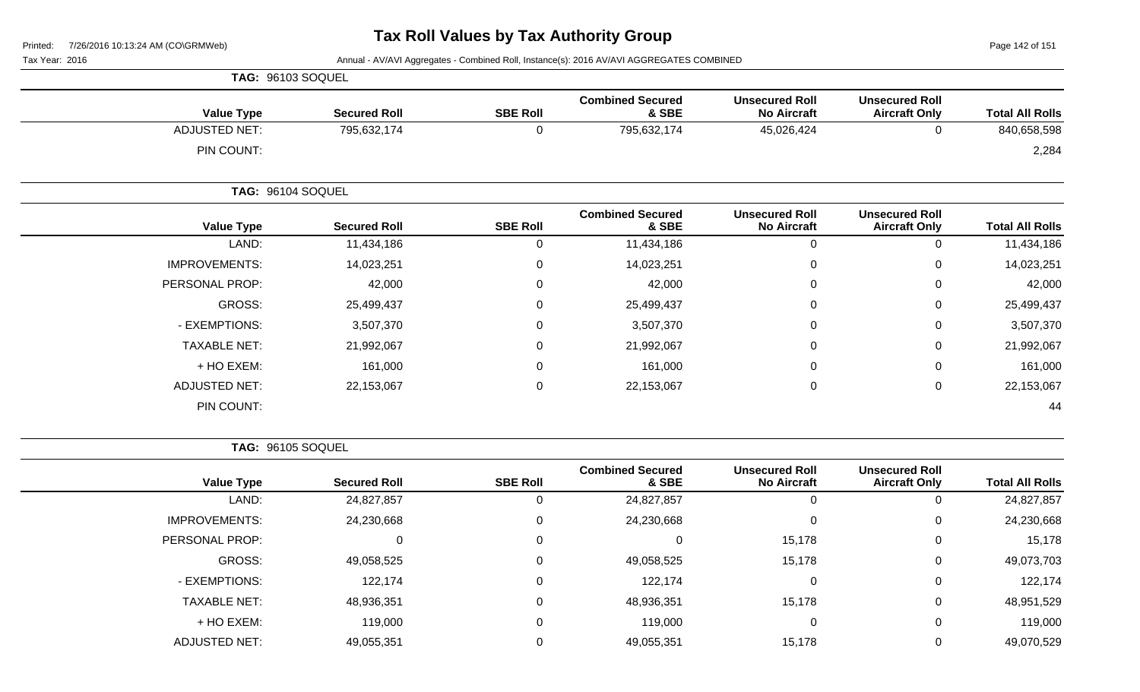Page 142 of 151

Tax Year: 2016 **Annual - AV/AVI Aggregates - Combined Roll**, Instance(s): 2016 AV/AVI AGGREGATES COMBINED

|                      | TAG: 96103 SOQUEL   |                 |                                  |                                             |                                               |                        |
|----------------------|---------------------|-----------------|----------------------------------|---------------------------------------------|-----------------------------------------------|------------------------|
| <b>Value Type</b>    | <b>Secured Roll</b> | <b>SBE Roll</b> | <b>Combined Secured</b><br>& SBE | <b>Unsecured Roll</b><br><b>No Aircraft</b> | <b>Unsecured Roll</b><br><b>Aircraft Only</b> | <b>Total All Rolls</b> |
| <b>ADJUSTED NET:</b> | 795,632,174         | 0               | 795,632,174                      | 45,026,424                                  | $\mathbf 0$                                   | 840,658,598            |
| PIN COUNT:           |                     |                 |                                  |                                             |                                               | 2,284                  |
|                      | TAG: 96104 SOQUEL   |                 |                                  |                                             |                                               |                        |
| <b>Value Type</b>    | <b>Secured Roll</b> | <b>SBE Roll</b> | <b>Combined Secured</b><br>& SBE | <b>Unsecured Roll</b><br><b>No Aircraft</b> | <b>Unsecured Roll</b><br><b>Aircraft Only</b> | <b>Total All Rolls</b> |
| LAND:                | 11,434,186          | 0               | 11,434,186                       | $\mathbf 0$                                 | $\pmb{0}$                                     | 11,434,186             |
| <b>IMPROVEMENTS:</b> | 14,023,251          | 0               | 14,023,251                       | $\mathbf 0$                                 | $\mathbf 0$                                   | 14,023,251             |
| PERSONAL PROP:       | 42,000              | 0               | 42,000                           | $\mathbf 0$                                 | $\mathbf 0$                                   | 42,000                 |
| GROSS:               | 25,499,437          | 0               | 25,499,437                       | $\mathbf 0$                                 | 0                                             | 25,499,437             |
| - EXEMPTIONS:        | 3,507,370           | 0               | 3,507,370                        | $\mathbf 0$                                 | $\mathbf 0$                                   | 3,507,370              |
| <b>TAXABLE NET:</b>  | 21,992,067          | 0               | 21,992,067                       | $\mathbf 0$                                 | $\mathbf 0$                                   | 21,992,067             |
| + HO EXEM:           | 161,000             | 0               | 161,000                          | $\mathbf 0$                                 | $\mathbf 0$                                   | 161,000                |
| <b>ADJUSTED NET:</b> | 22,153,067          | $\mathbf 0$     | 22,153,067                       | $\pmb{0}$                                   | $\pmb{0}$                                     | 22,153,067             |
| PIN COUNT:           |                     |                 |                                  |                                             |                                               | 44                     |

**TAG:** 96105 SOQUEL

| <b>Value Type</b>    | <b>Secured Roll</b> | <b>SBE Roll</b> | <b>Combined Secured</b><br>& SBE | <b>Unsecured Roll</b><br><b>No Aircraft</b> | <b>Unsecured Roll</b><br><b>Aircraft Only</b> | <b>Total All Rolls</b> |
|----------------------|---------------------|-----------------|----------------------------------|---------------------------------------------|-----------------------------------------------|------------------------|
| LAND:                | 24,827,857          | 0               | 24,827,857                       | $\Omega$                                    |                                               | 24,827,857             |
| <b>IMPROVEMENTS:</b> | 24,230,668          | 0               | 24,230,668                       | $\Omega$                                    |                                               | 24,230,668             |
| PERSONAL PROP:       | 0                   | $\mathbf{0}$    | C                                | 15,178                                      | 0                                             | 15,178                 |
| GROSS:               | 49,058,525          | 0               | 49,058,525                       | 15,178                                      | 0                                             | 49,073,703             |
| - EXEMPTIONS:        | 122,174             | $\mathbf{0}$    | 122,174                          | $\Omega$                                    | $\overline{0}$                                | 122,174                |
| <b>TAXABLE NET:</b>  | 48,936,351          | $\mathbf{0}$    | 48,936,351                       | 15,178                                      | 0                                             | 48,951,529             |
| + HO EXEM:           | 119,000             | $\Omega$        | 119,000                          | $\Omega$                                    | 0                                             | 119,000                |
| <b>ADJUSTED NET:</b> | 49,055,351          | 0               | 49,055,351                       | 15,178                                      |                                               | 49,070,529             |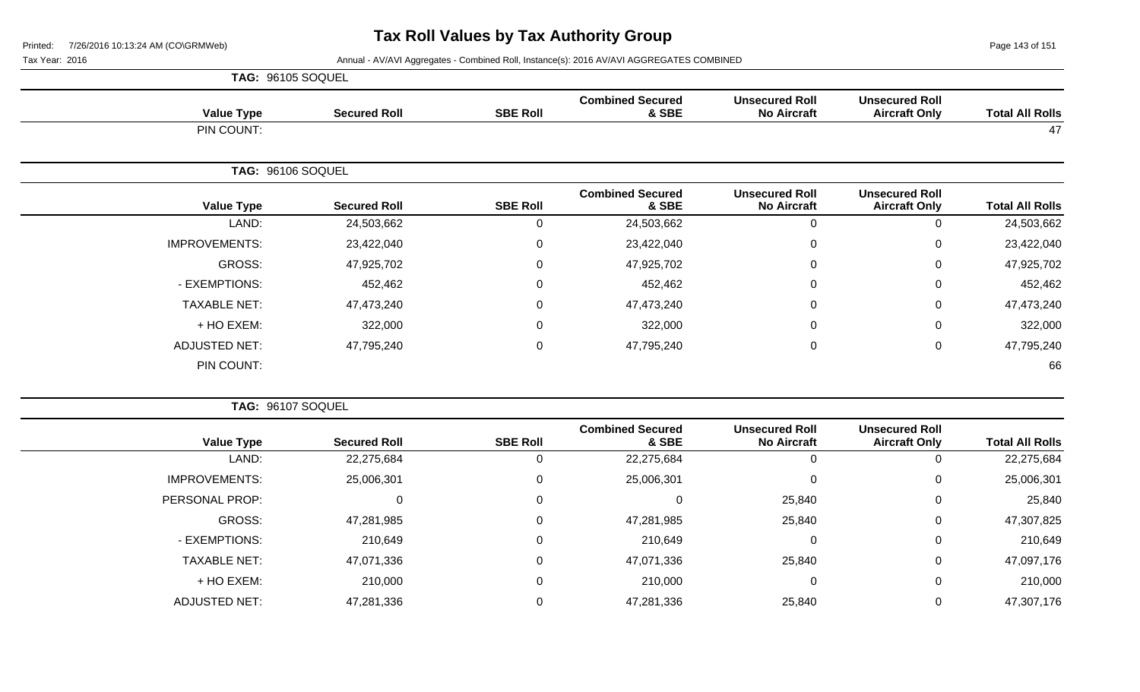Page 143 of 151

| <b>Secured Roll</b> | <b>SBE Roll</b>                        | <b>Combined Secured</b><br>& SBE | <b>Unsecured Roll</b><br><b>No Aircraft</b> | <b>Unsecured Roll</b><br><b>Aircraft Only</b> | <b>Total All Rolls</b> |
|---------------------|----------------------------------------|----------------------------------|---------------------------------------------|-----------------------------------------------|------------------------|
|                     |                                        |                                  |                                             |                                               | 47                     |
|                     |                                        |                                  |                                             |                                               |                        |
| <b>Secured Roll</b> | <b>SBE Roll</b>                        | <b>Combined Secured</b><br>& SBE | <b>Unsecured Roll</b><br><b>No Aircraft</b> | <b>Unsecured Roll</b><br><b>Aircraft Only</b> | <b>Total All Rolls</b> |
| 24,503,662          | 0                                      | 24,503,662                       | $\mathbf 0$                                 | 0                                             | 24,503,662             |
| 23,422,040          | $\mathbf 0$                            | 23,422,040                       | 0                                           | 0                                             | 23,422,040             |
| 47,925,702          | $\boldsymbol{0}$                       | 47,925,702                       | $\mathbf 0$                                 | 0                                             | 47,925,702             |
| 452,462             | 0                                      | 452,462                          | 0                                           | 0                                             | 452,462                |
| 47,473,240          | $\boldsymbol{0}$                       | 47,473,240                       | $\mathbf 0$                                 | 0                                             | 47,473,240             |
| 322,000             | 0                                      | 322,000                          | $\mathbf{0}$                                | 0                                             | 322,000                |
| 47,795,240          | $\pmb{0}$                              | 47,795,240                       | 0                                           | 0                                             | 47,795,240             |
|                     |                                        |                                  |                                             |                                               | 66                     |
|                     | TAG: 96105 SOQUEL<br>TAG: 96106 SOQUEL |                                  |                                             |                                               |                        |

|                      | TAG: 96107 SOQUEL   |                 |                                  |                                             |                                               |                        |
|----------------------|---------------------|-----------------|----------------------------------|---------------------------------------------|-----------------------------------------------|------------------------|
| <b>Value Type</b>    | <b>Secured Roll</b> | <b>SBE Roll</b> | <b>Combined Secured</b><br>& SBE | <b>Unsecured Roll</b><br><b>No Aircraft</b> | <b>Unsecured Roll</b><br><b>Aircraft Only</b> | <b>Total All Rolls</b> |
| LAND:                | 22,275,684          |                 | 22,275,684                       |                                             |                                               | 22,275,684             |
| <b>IMPROVEMENTS:</b> | 25,006,301          | 0               | 25,006,301                       | $\Omega$                                    | 0                                             | 25,006,301             |
| PERSONAL PROP:       |                     | 0               |                                  | 25,840                                      | 0                                             | 25,840                 |
| GROSS:               | 47,281,985          | 0               | 47,281,985                       | 25,840                                      | 0                                             | 47,307,825             |
| - EXEMPTIONS:        | 210,649             | 0               | 210,649                          | $\Omega$                                    | 0                                             | 210,649                |
| <b>TAXABLE NET:</b>  | 47,071,336          | $\mathbf{0}$    | 47,071,336                       | 25,840                                      | 0                                             | 47,097,176             |
| + HO EXEM:           | 210,000             | 0               | 210,000                          | $\Omega$                                    | 0                                             | 210,000                |
| <b>ADJUSTED NET:</b> | 47,281,336          |                 | 47,281,336                       | 25,840                                      | 0                                             | 47,307,176             |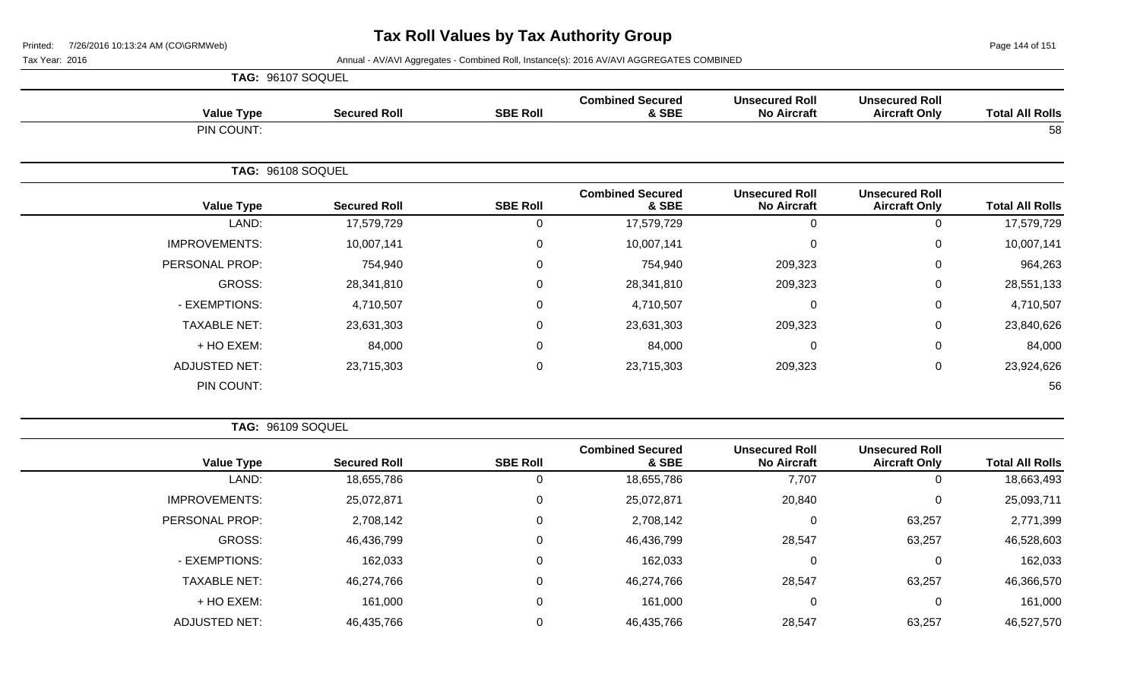Page 144 of 151

Tax Year: 2016 **Annual - AV/AVI Aggregates - Combined Roll**, Instance(s): 2016 AV/AVI AGGREGATES COMBINED

|                      | TAG: 96107 SOQUEL   |                 |                                  |                                             |                                               |                        |
|----------------------|---------------------|-----------------|----------------------------------|---------------------------------------------|-----------------------------------------------|------------------------|
| <b>Value Type</b>    | <b>Secured Roll</b> | <b>SBE Roll</b> | <b>Combined Secured</b><br>& SBE | <b>Unsecured Roll</b><br><b>No Aircraft</b> | <b>Unsecured Roll</b><br><b>Aircraft Only</b> | <b>Total All Rolls</b> |
| PIN COUNT:           |                     |                 |                                  |                                             |                                               | 58                     |
|                      | TAG: 96108 SOQUEL   |                 |                                  |                                             |                                               |                        |
| <b>Value Type</b>    | <b>Secured Roll</b> | <b>SBE Roll</b> | <b>Combined Secured</b><br>& SBE | <b>Unsecured Roll</b><br><b>No Aircraft</b> | <b>Unsecured Roll</b><br><b>Aircraft Only</b> | <b>Total All Rolls</b> |
| LAND:                | 17,579,729          | 0               | 17,579,729                       | $\mathbf 0$                                 | 0                                             | 17,579,729             |
| <b>IMPROVEMENTS:</b> | 10,007,141          | $\mathbf 0$     | 10,007,141                       | $\mathbf 0$                                 | 0                                             | 10,007,141             |
| PERSONAL PROP:       | 754,940             | 0               | 754,940                          | 209,323                                     | 0                                             | 964,263                |
| GROSS:               | 28,341,810          | $\Omega$        | 28,341,810                       | 209,323                                     | 0                                             | 28,551,133             |
| - EXEMPTIONS:        | 4,710,507           | 0               | 4,710,507                        | $\mathbf 0$                                 | 0                                             | 4,710,507              |
| <b>TAXABLE NET:</b>  | 23,631,303          | 0               | 23,631,303                       | 209,323                                     | 0                                             | 23,840,626             |
| + HO EXEM:           | 84,000              | 0               | 84,000                           | $\mathbf 0$                                 | 0                                             | 84,000                 |
| <b>ADJUSTED NET:</b> | 23,715,303          | $\mathbf 0$     | 23,715,303                       | 209,323                                     | 0                                             | 23,924,626             |
| PIN COUNT:           |                     |                 |                                  |                                             |                                               | 56                     |

**TAG:** 96109 SOQUEL

| <b>Total All Rolls</b> | <b>Unsecured Roll</b><br><b>Aircraft Only</b> | <b>Unsecured Roll</b><br><b>No Aircraft</b> | <b>Combined Secured</b><br>& SBE | <b>SBE Roll</b> | <b>Secured Roll</b> | <b>Value Type</b>    |
|------------------------|-----------------------------------------------|---------------------------------------------|----------------------------------|-----------------|---------------------|----------------------|
| 18,663,493             |                                               | 7,707                                       | 18,655,786                       | 0               | 18,655,786          | LAND:                |
| 25,093,711             |                                               | 20,840                                      | 25,072,871                       | 0               | 25,072,871          | <b>IMPROVEMENTS:</b> |
| 2,771,399              | 63,257                                        | 0                                           | 2,708,142                        | 0               | 2,708,142           | PERSONAL PROP:       |
| 46,528,603             | 63,257                                        | 28,547                                      | 46,436,799                       | 0               | 46,436,799          | GROSS:               |
| 162,033                |                                               | 0                                           | 162,033                          | 0               | 162,033             | - EXEMPTIONS:        |
| 46,366,570             | 63,257                                        | 28,547                                      | 46,274,766                       | 0               | 46,274,766          | <b>TAXABLE NET:</b>  |
| 161,000                |                                               | $\mathbf 0$                                 | 161,000                          | 0               | 161,000             | $+$ HO EXEM:         |
| 46,527,570             | 63,257                                        | 28,547                                      | 46,435,766                       | 0               | 46,435,766          | <b>ADJUSTED NET:</b> |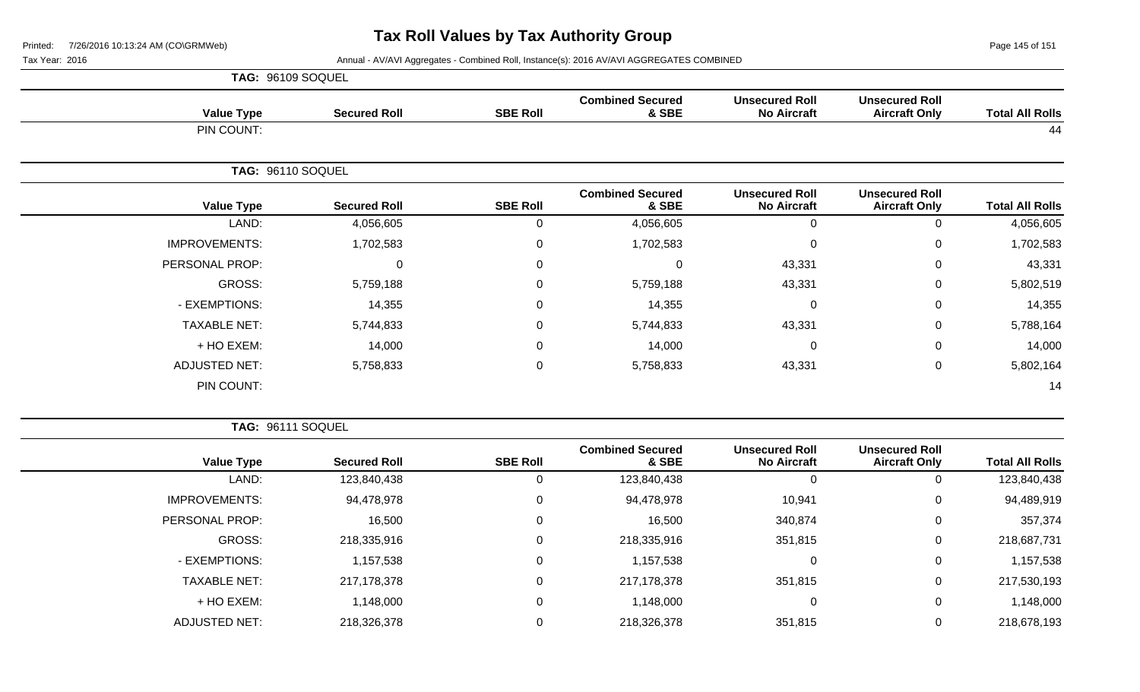Page 145 of 151

Tax Year: 2016 **Annual - AV/AVI Aggregates - Combined Roll**, Instance(s): 2016 AV/AVI AGGREGATES COMBINED

|                      | TAG: 96109 SOQUEL   |                 |                                  |                                             |                                               |                        |
|----------------------|---------------------|-----------------|----------------------------------|---------------------------------------------|-----------------------------------------------|------------------------|
| <b>Value Type</b>    | <b>Secured Roll</b> | <b>SBE Roll</b> | <b>Combined Secured</b><br>& SBE | <b>Unsecured Roll</b><br><b>No Aircraft</b> | <b>Unsecured Roll</b><br><b>Aircraft Only</b> | <b>Total All Rolls</b> |
| PIN COUNT:           |                     |                 |                                  |                                             |                                               | 44                     |
|                      | TAG: 96110 SOQUEL   |                 |                                  |                                             |                                               |                        |
| <b>Value Type</b>    | <b>Secured Roll</b> | <b>SBE Roll</b> | <b>Combined Secured</b><br>& SBE | <b>Unsecured Roll</b><br><b>No Aircraft</b> | <b>Unsecured Roll</b><br><b>Aircraft Only</b> | <b>Total All Rolls</b> |
| LAND:                | 4,056,605           | $\Omega$        | 4,056,605                        | $\mathbf 0$                                 | $\Omega$                                      | 4,056,605              |
| <b>IMPROVEMENTS:</b> | 1,702,583           | 0               | 1,702,583                        | $\mathbf 0$                                 | 0                                             | 1,702,583              |
| PERSONAL PROP:       | 0                   | $\Omega$        | $\Omega$                         | 43,331                                      | 0                                             | 43,331                 |
| GROSS:               | 5,759,188           | 0               | 5,759,188                        | 43,331                                      | 0                                             | 5,802,519              |
| - EXEMPTIONS:        | 14,355              | 0               | 14,355                           | $\mathbf 0$                                 | 0                                             | 14,355                 |
| <b>TAXABLE NET:</b>  | 5,744,833           | $\Omega$        | 5,744,833                        | 43,331                                      | $\Omega$                                      | 5,788,164              |
| + HO EXEM:           | 14,000              | $\mathbf 0$     | 14,000                           | $\mathbf 0$                                 | 0                                             | 14,000                 |
| <b>ADJUSTED NET:</b> | 5,758,833           | 0               | 5,758,833                        | 43,331                                      | 0                                             | 5,802,164              |
| PIN COUNT:           |                     |                 |                                  |                                             |                                               | 14                     |

**TAG:** 96111 SOQUEL

| <b>Total All Rolls</b> | <b>Unsecured Roll</b><br><b>Aircraft Only</b> | <b>Unsecured Roll</b><br><b>No Aircraft</b> | <b>Combined Secured</b><br>& SBE | <b>SBE Roll</b> | <b>Secured Roll</b> | <b>Value Type</b>    |  |
|------------------------|-----------------------------------------------|---------------------------------------------|----------------------------------|-----------------|---------------------|----------------------|--|
| 123,840,438            | 0                                             | 0                                           | 123,840,438                      |                 | 123,840,438         | LAND:                |  |
| 94,489,919             | 0                                             | 10,941                                      | 94,478,978                       |                 | 94,478,978          | <b>IMPROVEMENTS:</b> |  |
| 357,374                | 0                                             | 340,874                                     | 16,500                           |                 | 16,500              | PERSONAL PROP:       |  |
| 218,687,731            | 0                                             | 351,815                                     | 218,335,916                      |                 | 218,335,916         | GROSS:               |  |
| 1,157,538              | $\mathbf 0$                                   | 0                                           | 1,157,538                        |                 | 1,157,538           | - EXEMPTIONS:        |  |
| 217,530,193            | 0                                             | 351,815                                     | 217,178,378                      |                 | 217,178,378         | <b>TAXABLE NET:</b>  |  |
| 1,148,000              | 0                                             | 0                                           | 1,148,000                        |                 | 1,148,000           | + HO EXEM:           |  |
| 218,678,193            | 0                                             | 351,815                                     | 218,326,378                      |                 | 218,326,378         | <b>ADJUSTED NET:</b> |  |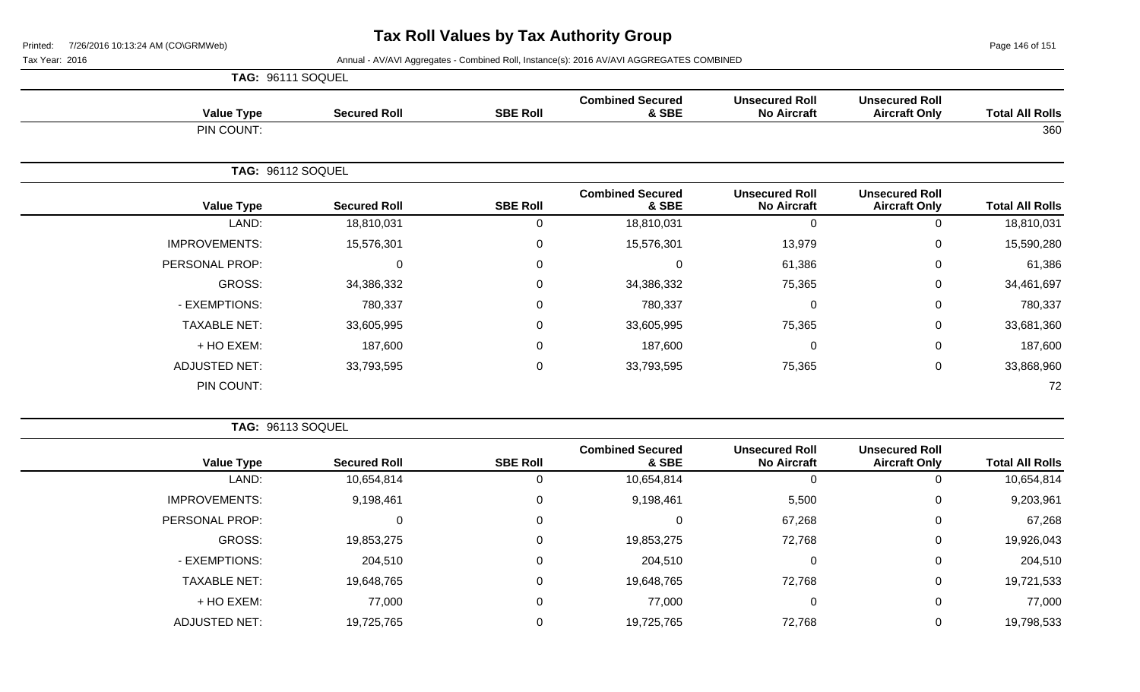Page 146 of 151

Tax Year: 2016 **Annual - AV/AVI Aggregates - Combined Roll**, Instance(s): 2016 AV/AVI AGGREGATES COMBINED

|                      | TAG: 96111 SOQUEL        |                 |                                  |                                             |                                               |                        |
|----------------------|--------------------------|-----------------|----------------------------------|---------------------------------------------|-----------------------------------------------|------------------------|
| <b>Value Type</b>    | <b>Secured Roll</b>      | <b>SBE Roll</b> | <b>Combined Secured</b><br>& SBE | <b>Unsecured Roll</b><br><b>No Aircraft</b> | <b>Unsecured Roll</b><br><b>Aircraft Only</b> | <b>Total All Rolls</b> |
| PIN COUNT:           |                          |                 |                                  |                                             |                                               | 360                    |
|                      | <b>TAG: 96112 SOQUEL</b> |                 |                                  |                                             |                                               |                        |
| <b>Value Type</b>    | <b>Secured Roll</b>      | <b>SBE Roll</b> | <b>Combined Secured</b><br>& SBE | <b>Unsecured Roll</b><br><b>No Aircraft</b> | <b>Unsecured Roll</b><br><b>Aircraft Only</b> | <b>Total All Rolls</b> |
| LAND:                | 18,810,031               | $\overline{0}$  | 18,810,031                       | $\overline{0}$                              | $\Omega$                                      | 18,810,031             |
| <b>IMPROVEMENTS:</b> | 15,576,301               | $\overline{0}$  | 15,576,301                       | 13,979                                      | $\mathbf 0$                                   | 15,590,280             |
| PERSONAL PROP:       | $\mathbf{0}$             | $\overline{0}$  | 0                                | 61,386                                      | 0                                             | 61,386                 |
| GROSS:               | 34,386,332               | $\mathbf 0$     | 34,386,332                       | 75,365                                      | 0                                             | 34,461,697             |
| - EXEMPTIONS:        | 780,337                  | $\overline{0}$  | 780,337                          | $\mathbf 0$                                 | 0                                             | 780,337                |
| <b>TAXABLE NET:</b>  | 33,605,995               | $\mathbf 0$     | 33,605,995                       | 75,365                                      | $\mathbf 0$                                   | 33,681,360             |
| + HO EXEM:           | 187,600                  | $\overline{0}$  | 187,600                          | 0                                           | $\mathbf 0$                                   | 187,600                |
| <b>ADJUSTED NET:</b> | 33,793,595               | $\mathbf 0$     | 33,793,595                       | 75,365                                      | $\mathbf 0$                                   | 33,868,960             |
| PIN COUNT:           |                          |                 |                                  |                                             |                                               | 72                     |

**TAG:** 96113 SOQUEL

| <b>Total All Rolls</b> | <b>Unsecured Roll</b><br><b>Aircraft Only</b> | <b>Unsecured Roll</b><br><b>No Aircraft</b> | <b>Combined Secured</b><br>& SBE | <b>SBE Roll</b> | <b>Secured Roll</b> | <b>Value Type</b>    |
|------------------------|-----------------------------------------------|---------------------------------------------|----------------------------------|-----------------|---------------------|----------------------|
| 10,654,814             | 0                                             | 0                                           | 10,654,814                       | U               | 10,654,814          | LAND:                |
| 9,203,961              | 0                                             | 5,500                                       | 9,198,461                        | 0               | 9,198,461           | <b>IMPROVEMENTS:</b> |
| 67,268                 | 0                                             | 67,268                                      |                                  | 0               |                     | PERSONAL PROP:       |
| 19,926,043             | 0                                             | 72,768                                      | 19,853,275                       | $\Omega$        | 19,853,275          | GROSS:               |
| 204,510                | $\mathbf 0$                                   | $\Omega$                                    | 204,510                          | 0               | 204,510             | - EXEMPTIONS:        |
| 19,721,533             | $\mathbf 0$                                   | 72,768                                      | 19,648,765                       | $\Omega$        | 19,648,765          | <b>TAXABLE NET:</b>  |
| 77,000                 | $\mathbf 0$                                   | 0                                           | 77,000                           | $\Omega$        | 77,000              | + HO EXEM:           |
| 19,798,533             | $\mathbf 0$                                   | 72,768                                      | 19,725,765                       |                 | 19,725,765          | <b>ADJUSTED NET:</b> |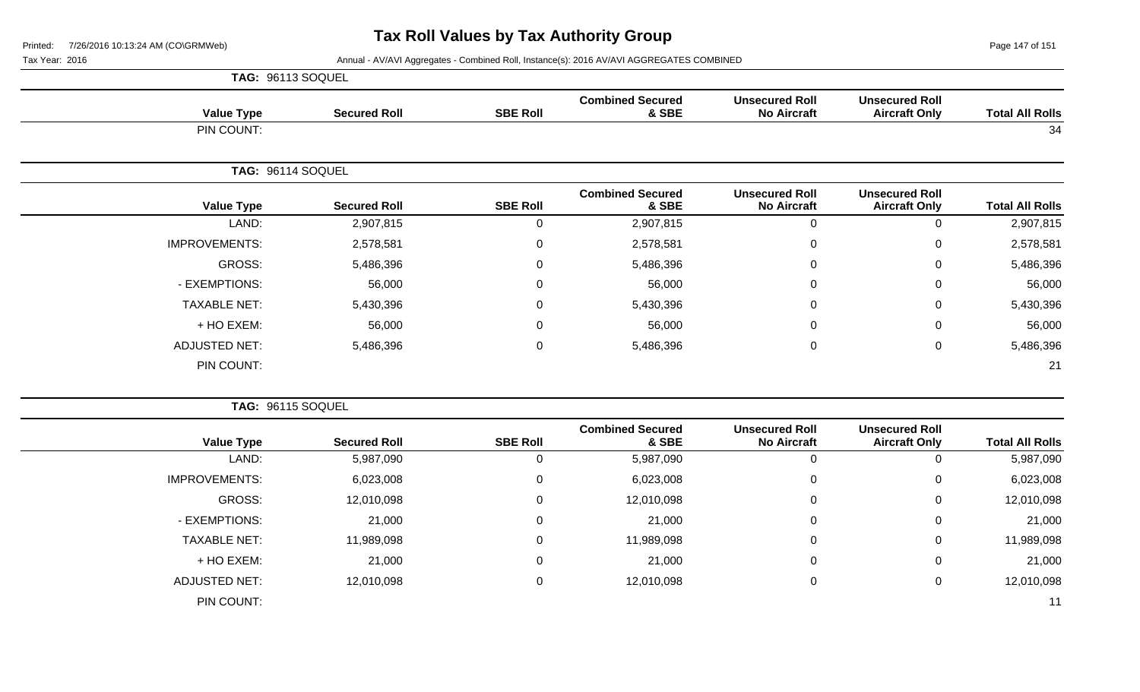Page 147 of 151

|                      | TAG: 96113 SOQUEL   |                 |                                  |                                             |                                               |                        |
|----------------------|---------------------|-----------------|----------------------------------|---------------------------------------------|-----------------------------------------------|------------------------|
| <b>Value Type</b>    | <b>Secured Roll</b> | <b>SBE Roll</b> | <b>Combined Secured</b><br>& SBE | <b>Unsecured Roll</b><br><b>No Aircraft</b> | <b>Unsecured Roll</b><br><b>Aircraft Only</b> | <b>Total All Rolls</b> |
| PIN COUNT:           |                     |                 |                                  |                                             |                                               | 34                     |
|                      | TAG: 96114 SOQUEL   |                 |                                  |                                             |                                               |                        |
| <b>Value Type</b>    | <b>Secured Roll</b> | <b>SBE Roll</b> | <b>Combined Secured</b><br>& SBE | <b>Unsecured Roll</b><br><b>No Aircraft</b> | <b>Unsecured Roll</b><br><b>Aircraft Only</b> | <b>Total All Rolls</b> |
| LAND:                | 2,907,815           | 0               | 2,907,815                        | 0                                           | $\Omega$                                      | 2,907,815              |
| <b>IMPROVEMENTS:</b> | 2,578,581           | 0               | 2,578,581                        | 0                                           | 0                                             | 2,578,581              |
| GROSS:               | 5,486,396           | 0               | 5,486,396                        | 0                                           | 0                                             | 5,486,396              |
| - EXEMPTIONS:        | 56,000              | $\Omega$        | 56,000                           | 0                                           | $\Omega$                                      | 56,000                 |
| <b>TAXABLE NET:</b>  | 5,430,396           | 0               | 5,430,396                        | 0                                           | 0                                             | 5,430,396              |
| + HO EXEM:           | 56,000              | $\overline{0}$  | 56,000                           | 0                                           | $\Omega$                                      | 56,000                 |
| <b>ADJUSTED NET:</b> | 5,486,396           | $\mathbf 0$     | 5,486,396                        | 0                                           | $\mathbf 0$                                   | 5,486,396              |
| PIN COUNT:           |                     |                 |                                  |                                             |                                               | 21                     |

|                        |                                               |                                             |                                  |                 | TAG: 96115 SOQUEL   |                      |  |
|------------------------|-----------------------------------------------|---------------------------------------------|----------------------------------|-----------------|---------------------|----------------------|--|
| <b>Total All Rolls</b> | <b>Unsecured Roll</b><br><b>Aircraft Only</b> | <b>Unsecured Roll</b><br><b>No Aircraft</b> | <b>Combined Secured</b><br>& SBE | <b>SBE Roll</b> | <b>Secured Roll</b> | <b>Value Type</b>    |  |
| 5,987,090              |                                               | 0                                           | 5,987,090                        | U               | 5,987,090           | LAND:                |  |
| 6,023,008              | 0                                             | 0                                           | 6,023,008                        | $\Omega$        | 6,023,008           | <b>IMPROVEMENTS:</b> |  |
| 12,010,098             | 0                                             | 0                                           | 12,010,098                       | 0               | 12,010,098          | GROSS:               |  |
| 21,000                 | $\Omega$                                      | $\mathbf 0$                                 | 21,000                           | $\Omega$        | 21,000              | - EXEMPTIONS:        |  |
| 11,989,098             | 0                                             | 0                                           | 11,989,098                       | $\Omega$        | 11,989,098          | <b>TAXABLE NET:</b>  |  |
| 21,000                 | 0                                             | 0                                           | 21,000                           | $\Omega$        | 21,000              | + HO EXEM:           |  |
| 12,010,098             | 0                                             | 0                                           | 12,010,098                       | $\Omega$        | 12,010,098          | <b>ADJUSTED NET:</b> |  |
| 11                     |                                               |                                             |                                  |                 |                     | PIN COUNT:           |  |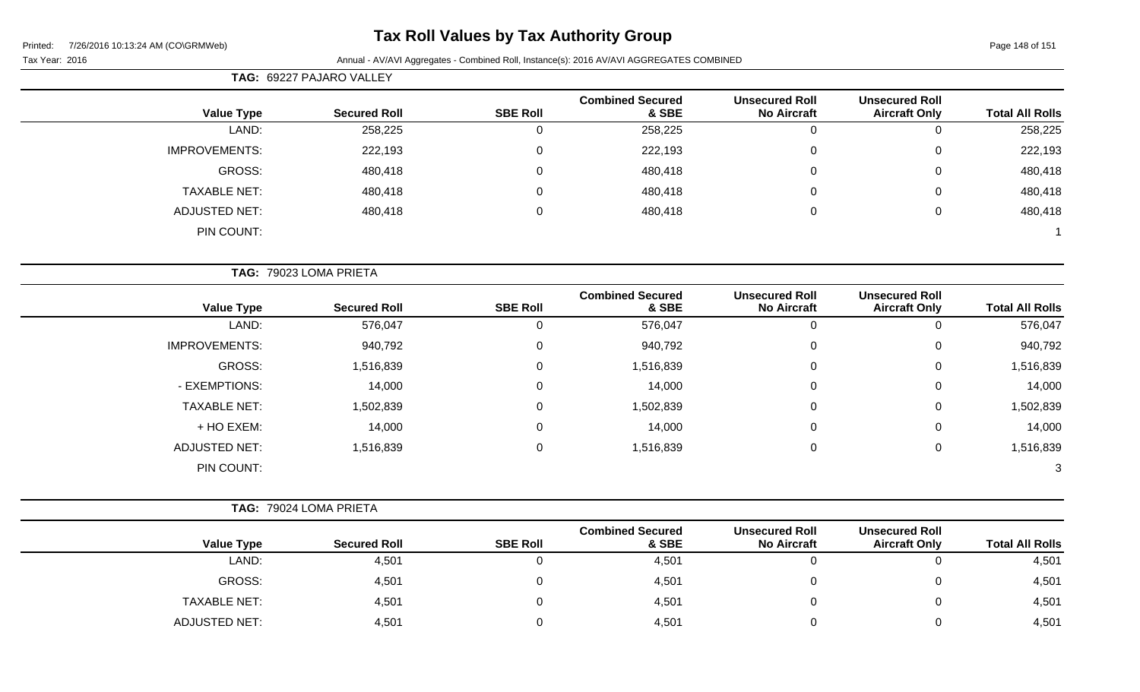## **Tax Roll Values by Tax Authority Group**

|                      | TAG: 69227 PAJARO VALLEY |                  |                                  |                                             |                                               |                        |
|----------------------|--------------------------|------------------|----------------------------------|---------------------------------------------|-----------------------------------------------|------------------------|
| <b>Value Type</b>    | <b>Secured Roll</b>      | <b>SBE Roll</b>  | <b>Combined Secured</b><br>& SBE | <b>Unsecured Roll</b><br><b>No Aircraft</b> | <b>Unsecured Roll</b><br><b>Aircraft Only</b> | <b>Total All Rolls</b> |
| LAND:                | 258,225                  | $\mathbf 0$      | 258,225                          | $\mathbf 0$                                 | $\mathbf 0$                                   | 258,225                |
| <b>IMPROVEMENTS:</b> | 222,193                  | $\pmb{0}$        | 222,193                          | $\pmb{0}$                                   | $\mathbf 0$                                   | 222,193                |
| <b>GROSS:</b>        | 480,418                  | $\mathbf 0$      | 480,418                          | $\pmb{0}$                                   | $\mathbf 0$                                   | 480,418                |
| <b>TAXABLE NET:</b>  | 480,418                  | 0                | 480,418                          | $\Omega$                                    | $\mathbf{0}$                                  | 480,418                |
| <b>ADJUSTED NET:</b> | 480,418                  | $\mathbf 0$      | 480,418                          | $\boldsymbol{0}$                            | $\mathbf 0$                                   | 480,418                |
| PIN COUNT:           |                          |                  |                                  |                                             |                                               |                        |
|                      | TAG: 79023 LOMA PRIETA   |                  |                                  |                                             |                                               |                        |
| <b>Value Type</b>    | <b>Secured Roll</b>      | <b>SBE Roll</b>  | <b>Combined Secured</b><br>& SBE | <b>Unsecured Roll</b><br><b>No Aircraft</b> | <b>Unsecured Roll</b><br><b>Aircraft Only</b> | <b>Total All Rolls</b> |
| LAND:                | 576,047                  | $\mathbf 0$      | 576,047                          | $\mathbf 0$                                 | $\mathbf 0$                                   | 576,047                |
| <b>IMPROVEMENTS:</b> | 940,792                  | $\boldsymbol{0}$ | 940,792                          | $\mathbf 0$                                 | $\mathbf 0$                                   | 940,792                |
| <b>GROSS:</b>        | 1,516,839                | 0                | 1,516,839                        | 0                                           | 0                                             | 1,516,839              |
| - EXEMPTIONS:        | 14,000                   | 0                | 14,000                           | 0                                           | $\mathsf 0$                                   | 14,000                 |
| <b>TAXABLE NET:</b>  | 1,502,839                | $\mathbf 0$      | 1,502,839                        | 0                                           | $\mathbf 0$                                   | 1,502,839              |
| + HO EXEM:           | 14,000                   | $\mathbf 0$      | 14,000                           | 0                                           | $\mathbf 0$                                   | 14,000                 |
| <b>ADJUSTED NET:</b> | 1,516,839                | $\mathbf 0$      | 1,516,839                        | $\boldsymbol{0}$                            | $\mathsf 0$                                   | 1,516,839              |
| PIN COUNT:           |                          |                  |                                  |                                             |                                               | 3                      |
|                      | TAG: 79024 LOMA PRIETA   |                  |                                  |                                             |                                               |                        |
| <b>Value Type</b>    | <b>Secured Roll</b>      | <b>SBE Roll</b>  | <b>Combined Secured</b><br>& SBE | <b>Unsecured Roll</b><br><b>No Aircraft</b> | <b>Unsecured Roll</b><br><b>Aircraft Only</b> | <b>Total All Rolls</b> |

|                      |                     |                 | <u>COMPRIGA OCCARGA</u> | UIISCUUICU NUIL    | UIISCUUICU NUIL      |                        |
|----------------------|---------------------|-----------------|-------------------------|--------------------|----------------------|------------------------|
| <b>Value Type</b>    | <b>Secured Roll</b> | <b>SBE Roll</b> | & SBE                   | <b>No Aircraft</b> | <b>Aircraft Only</b> | <b>Total All Rolls</b> |
| LAND:                | 4,501               |                 | 4,501                   |                    |                      | 4,501                  |
| <b>GROSS:</b>        | 4,501               |                 | 4,501                   |                    |                      | 4,501                  |
| <b>TAXABLE NET:</b>  | 4,501               |                 | 4,501                   |                    |                      | 4,501                  |
| <b>ADJUSTED NET:</b> | 4,501               |                 | 4,501                   |                    |                      | 4,501                  |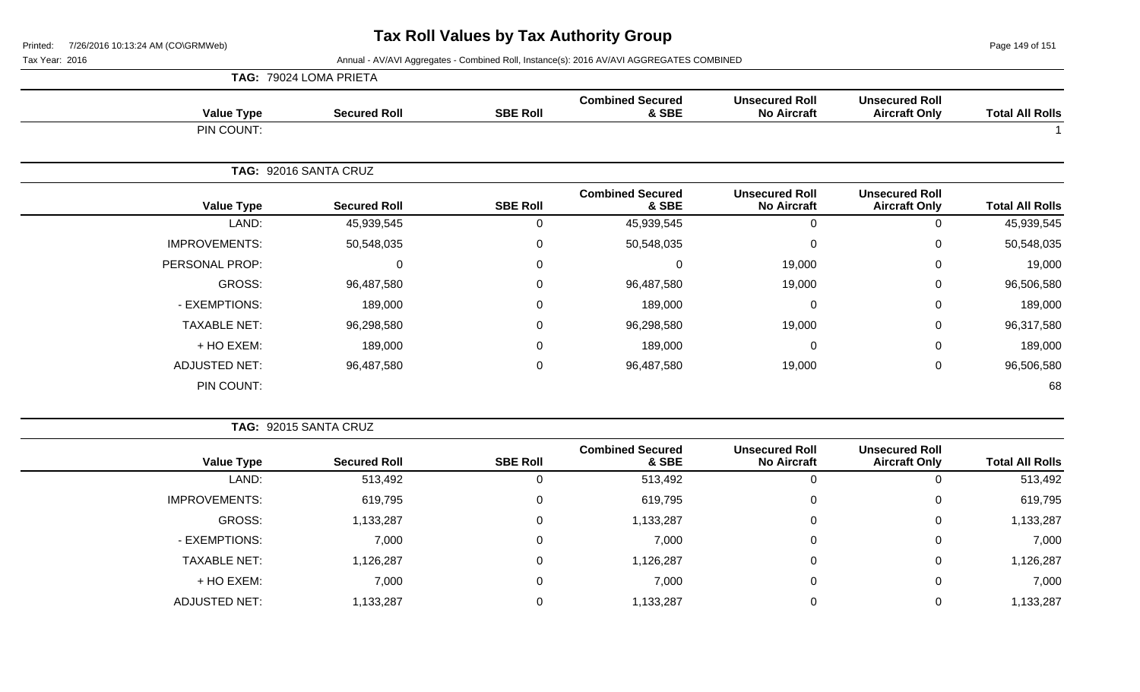Page 149 of 151

|                      | TAG: 79024 LOMA PRIETA |                 |                                  |                                             |                                               |                        |
|----------------------|------------------------|-----------------|----------------------------------|---------------------------------------------|-----------------------------------------------|------------------------|
| <b>Value Type</b>    | <b>Secured Roll</b>    | <b>SBE Roll</b> | <b>Combined Secured</b><br>& SBE | <b>Unsecured Roll</b><br><b>No Aircraft</b> | <b>Unsecured Roll</b><br><b>Aircraft Only</b> | <b>Total All Rolls</b> |
| PIN COUNT:           |                        |                 |                                  |                                             |                                               |                        |
|                      | TAG: 92016 SANTA CRUZ  |                 |                                  |                                             |                                               |                        |
| <b>Value Type</b>    | <b>Secured Roll</b>    | <b>SBE Roll</b> | <b>Combined Secured</b><br>& SBE | <b>Unsecured Roll</b><br><b>No Aircraft</b> | <b>Unsecured Roll</b><br><b>Aircraft Only</b> | <b>Total All Rolls</b> |
| LAND:                | 45,939,545             | 0               | 45,939,545                       | 0                                           | 0                                             | 45,939,545             |
| <b>IMPROVEMENTS:</b> | 50,548,035             | $\Omega$        | 50,548,035                       | 0                                           | $\Omega$                                      | 50,548,035             |
| PERSONAL PROP:       | $\mathbf 0$            | $\Omega$        | 0                                | 19,000                                      | 0                                             | 19,000                 |
| GROSS:               | 96,487,580             | 0               | 96,487,580                       | 19,000                                      | $\mathbf 0$                                   | 96,506,580             |
| - EXEMPTIONS:        | 189,000                | $\Omega$        | 189,000                          | 0                                           | 0                                             | 189,000                |
| <b>TAXABLE NET:</b>  | 96,298,580             | $\mathbf 0$     | 96,298,580                       | 19,000                                      | $\mathbf 0$                                   | 96,317,580             |
| + HO EXEM:           | 189,000                | 0               | 189,000                          | 0                                           | $\pmb{0}$                                     | 189,000                |
| <b>ADJUSTED NET:</b> | 96,487,580             | 0               | 96,487,580                       | 19,000                                      | $\mathbf 0$                                   | 96,506,580             |
| PIN COUNT:           |                        |                 |                                  |                                             |                                               | 68                     |

|                        |                                               |                                             |                                  |                 | TAG: 92015 SANTA CRUZ |                      |
|------------------------|-----------------------------------------------|---------------------------------------------|----------------------------------|-----------------|-----------------------|----------------------|
| <b>Total All Rolls</b> | <b>Unsecured Roll</b><br><b>Aircraft Only</b> | <b>Unsecured Roll</b><br><b>No Aircraft</b> | <b>Combined Secured</b><br>& SBE | <b>SBE Roll</b> | <b>Secured Roll</b>   | <b>Value Type</b>    |
| 513,492                |                                               | Ü                                           | 513,492                          | Ü               | 513,492               | LAND:                |
| 619,795                |                                               | 0                                           | 619,795                          | 0               | 619,795               | <b>IMPROVEMENTS:</b> |
| 1,133,287              | 0                                             | 0                                           | 1,133,287                        | 0               | 1,133,287             | GROSS:               |
| 7,000                  | 0                                             | 0                                           | 7,000                            | 0               | 7,000                 | - EXEMPTIONS:        |
| 1,126,287              |                                               | 0                                           | 1,126,287                        | 0               | 1,126,287             | <b>TAXABLE NET:</b>  |
| 7,000                  | 0                                             | 0                                           | 7,000                            | 0               | 7,000                 | + HO EXEM:           |
| 1,133,287              |                                               |                                             | 1,133,287                        |                 | 1,133,287             | ADJUSTED NET:        |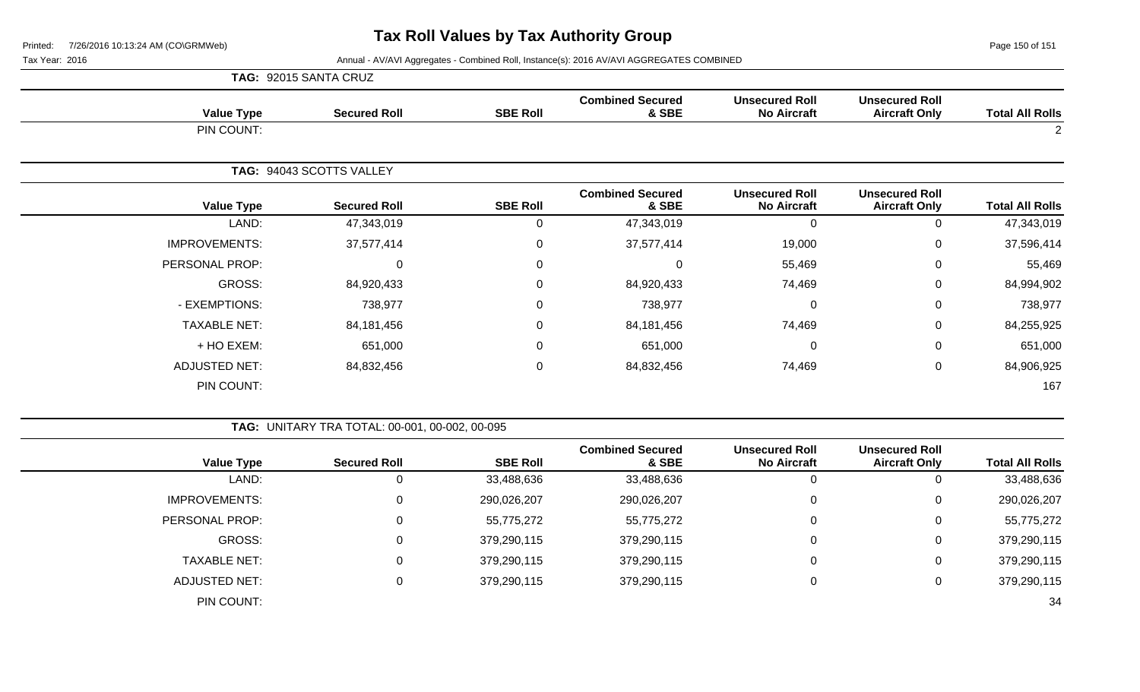Page 150 of 151

|                      | TAG: 92015 SANTA CRUZ    |                 |                                  |                                             |                                               |                        |
|----------------------|--------------------------|-----------------|----------------------------------|---------------------------------------------|-----------------------------------------------|------------------------|
| <b>Value Type</b>    | <b>Secured Roll</b>      | <b>SBE Roll</b> | <b>Combined Secured</b><br>& SBE | <b>Unsecured Roll</b><br><b>No Aircraft</b> | <b>Unsecured Roll</b><br><b>Aircraft Only</b> | <b>Total All Rolls</b> |
| PIN COUNT:           |                          |                 |                                  |                                             |                                               | $\overline{2}$         |
|                      | TAG: 94043 SCOTTS VALLEY |                 |                                  |                                             |                                               |                        |
| <b>Value Type</b>    | <b>Secured Roll</b>      | <b>SBE Roll</b> | <b>Combined Secured</b><br>& SBE | <b>Unsecured Roll</b><br><b>No Aircraft</b> | <b>Unsecured Roll</b><br><b>Aircraft Only</b> | <b>Total All Rolls</b> |
| LAND:                | 47,343,019               | 0               | 47,343,019                       | $\mathbf 0$                                 | 0                                             | 47,343,019             |
| <b>IMPROVEMENTS:</b> | 37,577,414               | $\mathbf 0$     | 37,577,414                       | 19,000                                      | 0                                             | 37,596,414             |
| PERSONAL PROP:       | $\mathbf 0$              | 0               | 0                                | 55,469                                      | $\mathbf 0$                                   | 55,469                 |
| GROSS:               | 84,920,433               | $\Omega$        | 84,920,433                       | 74,469                                      | $\mathbf 0$                                   | 84,994,902             |
| - EXEMPTIONS:        | 738,977                  | $\Omega$        | 738,977                          | 0                                           | $\mathbf 0$                                   | 738,977                |
| <b>TAXABLE NET:</b>  | 84,181,456               | 0               | 84,181,456                       | 74,469                                      | $\mathbf 0$                                   | 84,255,925             |
| + HO EXEM:           | 651,000                  | 0               | 651,000                          | $\pmb{0}$                                   | $\mathbf 0$                                   | 651,000                |
| <b>ADJUSTED NET:</b> | 84,832,456               | $\mathbf 0$     | 84,832,456                       | 74,469                                      | $\mathbf 0$                                   | 84,906,925             |
| PIN COUNT:           |                          |                 |                                  |                                             |                                               | 167                    |

|                      | TAG: UNITARY TRA TOTAL: 00-001, 00-002, 00-095 |                 |                                  |                                             |                                               |                        |
|----------------------|------------------------------------------------|-----------------|----------------------------------|---------------------------------------------|-----------------------------------------------|------------------------|
| <b>Value Type</b>    | <b>Secured Roll</b>                            | <b>SBE Roll</b> | <b>Combined Secured</b><br>& SBE | <b>Unsecured Roll</b><br><b>No Aircraft</b> | <b>Unsecured Roll</b><br><b>Aircraft Only</b> | <b>Total All Rolls</b> |
| LAND:                |                                                | 33,488,636      | 33,488,636                       | 0                                           | U                                             | 33,488,636             |
| <b>IMPROVEMENTS:</b> | 0                                              | 290,026,207     | 290,026,207                      | 0                                           | 0                                             | 290,026,207            |
| PERSONAL PROP:       |                                                | 55,775,272      | 55,775,272                       | $\mathbf 0$                                 | 0                                             | 55,775,272             |
| <b>GROSS:</b>        | $\Omega$                                       | 379,290,115     | 379,290,115                      | $\mathbf 0$                                 | 0                                             | 379,290,115            |
| <b>TAXABLE NET:</b>  | $\Omega$                                       | 379,290,115     | 379,290,115                      | $\mathbf 0$                                 | 0                                             | 379,290,115            |
| ADJUSTED NET:        |                                                | 379,290,115     | 379,290,115                      | 0                                           | U                                             | 379,290,115            |
| PIN COUNT:           |                                                |                 |                                  |                                             |                                               | 34                     |